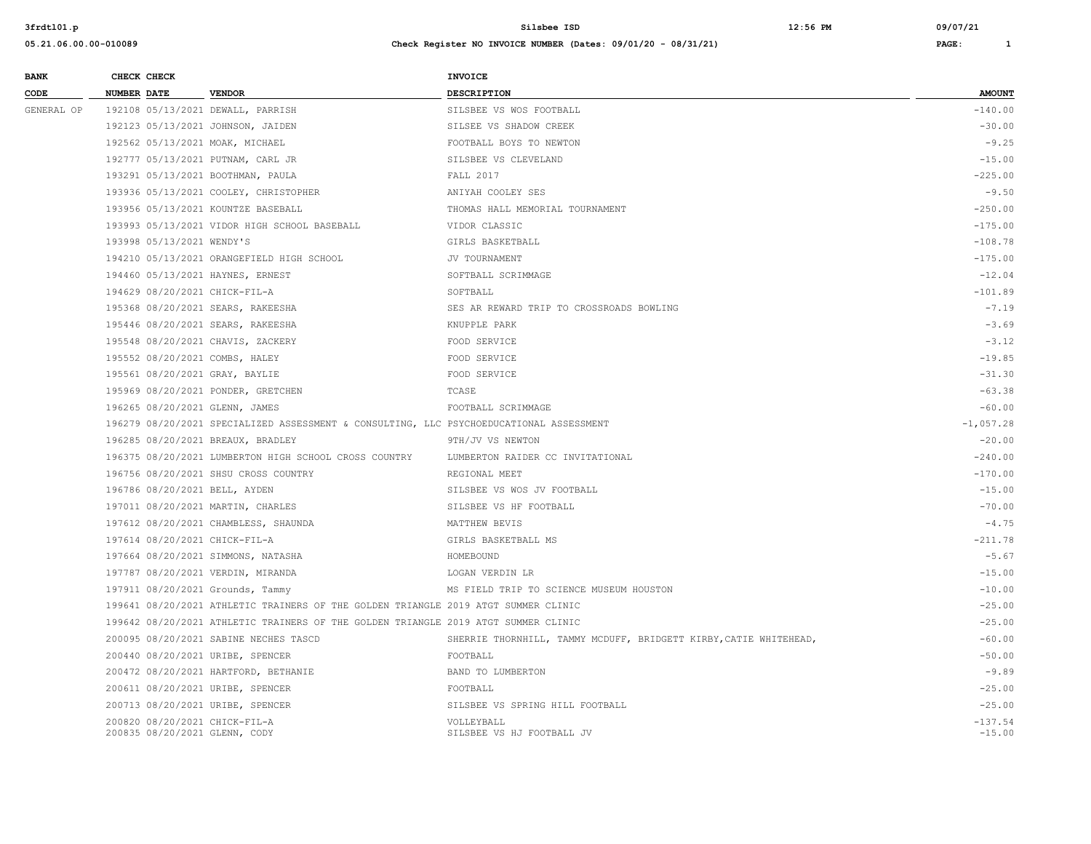| <b>BANK</b> | CHECK CHECK        |                           |                                                                                         | INVOICE                                                           |                       |
|-------------|--------------------|---------------------------|-----------------------------------------------------------------------------------------|-------------------------------------------------------------------|-----------------------|
| CODE        | <b>NUMBER DATE</b> |                           | <b>VENDOR</b>                                                                           | DESCRIPTION                                                       | <b>AMOUNT</b>         |
| GENERAL OP  |                    |                           | 192108 05/13/2021 DEWALL, PARRISH                                                       | SILSBEE VS WOS FOOTBALL                                           | $-140.00$             |
|             |                    |                           | 192123 05/13/2021 JOHNSON, JAIDEN                                                       | SILSEE VS SHADOW CREEK                                            | $-30.00$              |
|             |                    |                           | 192562 05/13/2021 MOAK, MICHAEL                                                         | FOOTBALL BOYS TO NEWTON                                           | $-9.25$               |
|             |                    |                           | 192777 05/13/2021 PUTNAM, CARL JR                                                       | SILSBEE VS CLEVELAND                                              | $-15.00$              |
|             |                    |                           | 193291 05/13/2021 BOOTHMAN, PAULA                                                       | <b>FALL 2017</b>                                                  | $-225.00$             |
|             |                    |                           | 193936 05/13/2021 COOLEY, CHRISTOPHER                                                   | ANIYAH COOLEY SES                                                 | $-9.50$               |
|             |                    |                           | 193956 05/13/2021 KOUNTZE BASEBALL                                                      | THOMAS HALL MEMORIAL TOURNAMENT                                   | $-250.00$             |
|             |                    |                           | 193993 05/13/2021 VIDOR HIGH SCHOOL BASEBALL                                            | VIDOR CLASSIC                                                     | $-175.00$             |
|             |                    | 193998 05/13/2021 WENDY'S |                                                                                         | GIRLS BASKETBALL                                                  | $-108.78$             |
|             |                    |                           | 194210 05/13/2021 ORANGEFIELD HIGH SCHOOL                                               | JV TOURNAMENT                                                     | $-175.00$             |
|             |                    |                           | 194460 05/13/2021 HAYNES, ERNEST                                                        | SOFTBALL SCRIMMAGE                                                | $-12.04$              |
|             |                    |                           | 194629 08/20/2021 CHICK-FIL-A                                                           | SOFTBALL                                                          | $-101.89$             |
|             |                    |                           | 195368 08/20/2021 SEARS, RAKEESHA                                                       | SES AR REWARD TRIP TO CROSSROADS BOWLING                          | $-7.19$               |
|             |                    |                           | 195446 08/20/2021 SEARS, RAKEESHA                                                       | KNUPPLE PARK                                                      | $-3.69$               |
|             |                    |                           | 195548 08/20/2021 CHAVIS, ZACKERY                                                       | FOOD SERVICE                                                      | $-3.12$               |
|             |                    |                           | 195552 08/20/2021 COMBS, HALEY                                                          | FOOD SERVICE                                                      | $-19.85$              |
|             |                    |                           | 195561 08/20/2021 GRAY, BAYLIE                                                          | FOOD SERVICE                                                      | $-31.30$              |
|             |                    |                           | 195969 08/20/2021 PONDER, GRETCHEN                                                      | TCASE                                                             | $-63.38$              |
|             |                    |                           | 196265 08/20/2021 GLENN, JAMES                                                          | FOOTBALL SCRIMMAGE                                                | $-60.00$              |
|             |                    |                           | 196279 08/20/2021 SPECIALIZED ASSESSMENT & CONSULTING, LLC PSYCHOEDUCATIONAL ASSESSMENT |                                                                   | $-1,057.28$           |
|             |                    |                           | 196285 08/20/2021 BREAUX, BRADLEY                                                       | 9TH/JV VS NEWTON                                                  | $-20.00$              |
|             |                    |                           | 196375 08/20/2021 LUMBERTON HIGH SCHOOL CROSS COUNTRY                                   | LUMBERTON RAIDER CC INVITATIONAL                                  | $-240.00$             |
|             |                    |                           | 196756 08/20/2021 SHSU CROSS COUNTRY                                                    | REGIONAL MEET                                                     | $-170.00$             |
|             |                    |                           | 196786 08/20/2021 BELL, AYDEN                                                           | SILSBEE VS WOS JV FOOTBALL                                        | $-15.00$              |
|             |                    |                           | 197011 08/20/2021 MARTIN, CHARLES                                                       | SILSBEE VS HF FOOTBALL                                            | $-70.00$              |
|             |                    |                           | 197612 08/20/2021 CHAMBLESS, SHAUNDA                                                    | MATTHEW BEVIS                                                     | $-4.75$               |
|             |                    |                           | 197614 08/20/2021 CHICK-FIL-A                                                           | GIRLS BASKETBALL MS                                               | $-211.78$             |
|             |                    |                           | 197664 08/20/2021 SIMMONS, NATASHA                                                      | HOMEBOUND                                                         | $-5.67$               |
|             |                    |                           | 197787 08/20/2021 VERDIN, MIRANDA                                                       | LOGAN VERDIN LR                                                   | $-15.00$              |
|             |                    |                           | 197911 08/20/2021 Grounds, Tammy                                                        | MS FIELD TRIP TO SCIENCE MUSEUM HOUSTON                           | $-10.00$              |
|             |                    |                           | 199641 08/20/2021 ATHLETIC TRAINERS OF THE GOLDEN TRIANGLE 2019 ATGT SUMMER CLINIC      |                                                                   | $-25.00$              |
|             |                    |                           | 199642 08/20/2021 ATHLETIC TRAINERS OF THE GOLDEN TRIANGLE 2019 ATGT SUMMER CLINIC      |                                                                   | $-25.00$              |
|             |                    |                           | 200095 08/20/2021 SABINE NECHES TASCD                                                   | SHERRIE THORNHILL, TAMMY MCDUFF, BRIDGETT KIRBY, CATIE WHITEHEAD, | $-60.00$              |
|             |                    |                           | 200440 08/20/2021 URIBE, SPENCER                                                        | FOOTBALL                                                          | $-50.00$              |
|             |                    |                           | 200472 08/20/2021 HARTFORD, BETHANIE                                                    | BAND TO LUMBERTON                                                 | $-9.89$               |
|             |                    |                           | 200611 08/20/2021 URIBE, SPENCER                                                        | FOOTBALL                                                          | $-25.00$              |
|             |                    |                           | 200713 08/20/2021 URIBE, SPENCER                                                        | SILSBEE VS SPRING HILL FOOTBALL                                   | $-25.00$              |
|             |                    |                           | 200820 08/20/2021 CHICK-FIL-A<br>200835 08/20/2021 GLENN, CODY                          | VOLLEYBALL<br>SILSBEE VS HJ FOOTBALL JV                           | $-137.54$<br>$-15.00$ |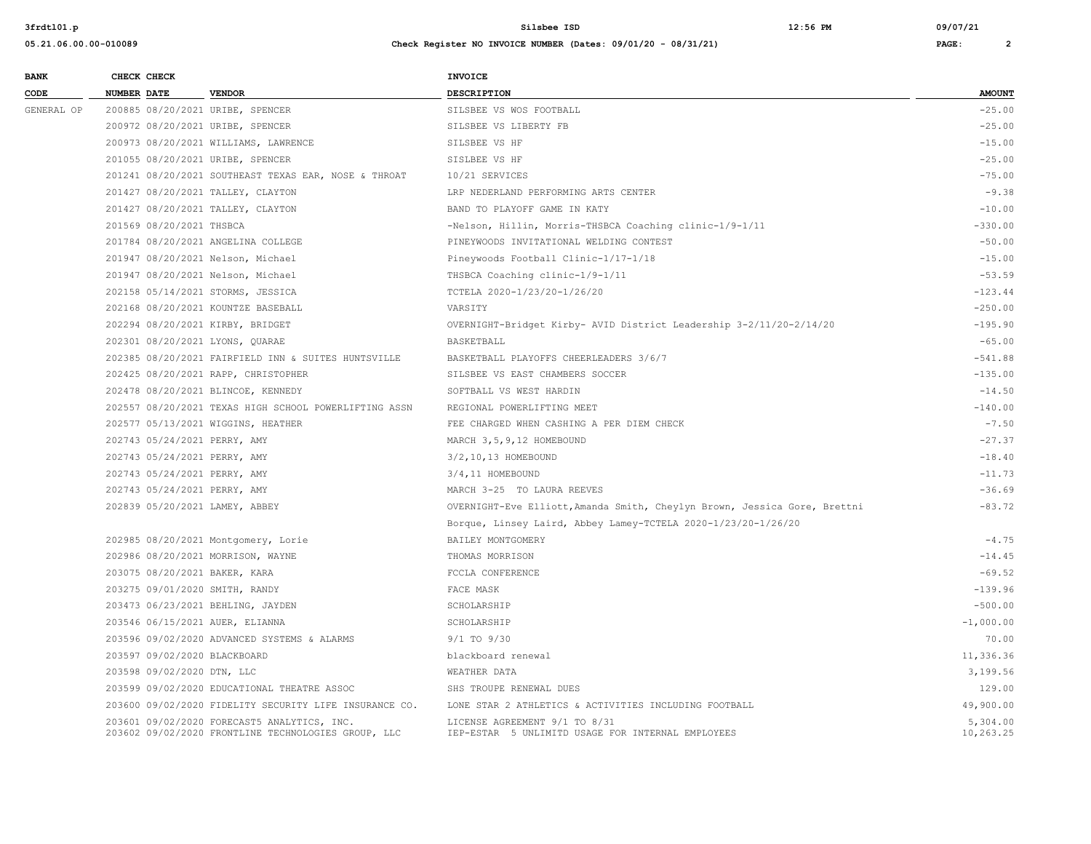| <b>BANK</b> | CHECK CHECK                        |                                                                                                    | <b>INVOICE</b>                                                                     |                       |
|-------------|------------------------------------|----------------------------------------------------------------------------------------------------|------------------------------------------------------------------------------------|-----------------------|
| CODE        | <b>NUMBER DATE</b>                 | <b>VENDOR</b>                                                                                      | <b>DESCRIPTION</b>                                                                 | <b>AMOUNT</b>         |
| GENERAL OP  | 200885 08/20/2021 URIBE, SPENCER   |                                                                                                    | SILSBEE VS WOS FOOTBALL                                                            | $-25.00$              |
|             | 200972 08/20/2021 URIBE, SPENCER   |                                                                                                    | SILSBEE VS LIBERTY FB                                                              | $-25.00$              |
|             |                                    | 200973 08/20/2021 WILLIAMS, LAWRENCE                                                               | SILSBEE VS HF                                                                      | $-15.00$              |
|             | 201055 08/20/2021 URIBE, SPENCER   |                                                                                                    | SISLBEE VS HF                                                                      | $-25.00$              |
|             |                                    | 201241 08/20/2021 SOUTHEAST TEXAS EAR, NOSE & THROAT                                               | 10/21 SERVICES                                                                     | $-75.00$              |
|             | 201427 08/20/2021 TALLEY, CLAYTON  |                                                                                                    | LRP NEDERLAND PERFORMING ARTS CENTER                                               | $-9.38$               |
|             | 201427 08/20/2021 TALLEY, CLAYTON  |                                                                                                    | BAND TO PLAYOFF GAME IN KATY                                                       | $-10.00$              |
|             | 201569 08/20/2021 THSBCA           |                                                                                                    | -Nelson, Hillin, Morris-THSBCA Coaching clinic-1/9-1/11                            | $-330.00$             |
|             | 201784 08/20/2021 ANGELINA COLLEGE |                                                                                                    | PINEYWOODS INVITATIONAL WELDING CONTEST                                            | $-50.00$              |
|             | 201947 08/20/2021 Nelson, Michael  |                                                                                                    | Pineywoods Football Clinic-1/17-1/18                                               | $-15.00$              |
|             | 201947 08/20/2021 Nelson, Michael  |                                                                                                    | THSBCA Coaching clinic-1/9-1/11                                                    | $-53.59$              |
|             | 202158 05/14/2021 STORMS, JESSICA  |                                                                                                    | TCTELA 2020-1/23/20-1/26/20                                                        | $-123.44$             |
|             | 202168 08/20/2021 KOUNTZE BASEBALL |                                                                                                    | VARSITY                                                                            | $-250.00$             |
|             | 202294 08/20/2021 KIRBY, BRIDGET   |                                                                                                    | OVERNIGHT-Bridget Kirby- AVID District Leadership 3-2/11/20-2/14/20                | $-195.90$             |
|             | 202301 08/20/2021 LYONS, QUARAE    |                                                                                                    | BASKETBALL                                                                         | $-65.00$              |
|             |                                    | 202385 08/20/2021 FAIRFIELD INN & SUITES HUNTSVILLE                                                | BASKETBALL PLAYOFFS CHEERLEADERS 3/6/7                                             | $-541.88$             |
|             |                                    | 202425 08/20/2021 RAPP, CHRISTOPHER                                                                | SILSBEE VS EAST CHAMBERS SOCCER                                                    | $-135.00$             |
|             | 202478 08/20/2021 BLINCOE, KENNEDY |                                                                                                    | SOFTBALL VS WEST HARDIN                                                            | $-14.50$              |
|             |                                    | 202557 08/20/2021 TEXAS HIGH SCHOOL POWERLIFTING ASSN                                              | REGIONAL POWERLIFTING MEET                                                         | $-140.00$             |
|             | 202577 05/13/2021 WIGGINS, HEATHER |                                                                                                    | FEE CHARGED WHEN CASHING A PER DIEM CHECK                                          | $-7.50$               |
|             | 202743 05/24/2021 PERRY, AMY       |                                                                                                    | MARCH 3, 5, 9, 12 HOMEBOUND                                                        | $-27.37$              |
|             | 202743 05/24/2021 PERRY, AMY       |                                                                                                    | 3/2,10,13 HOMEBOUND                                                                | $-18.40$              |
|             | 202743 05/24/2021 PERRY, AMY       |                                                                                                    | 3/4,11 HOMEBOUND                                                                   | $-11.73$              |
|             | 202743 05/24/2021 PERRY, AMY       |                                                                                                    | MARCH 3-25 TO LAURA REEVES                                                         | $-36.69$              |
|             | 202839 05/20/2021 LAMEY, ABBEY     |                                                                                                    | OVERNIGHT-Eve Elliott, Amanda Smith, Cheylyn Brown, Jessica Gore, Brettni          | $-83.72$              |
|             |                                    |                                                                                                    | Borque, Linsey Laird, Abbey Lamey-TCTELA 2020-1/23/20-1/26/20                      |                       |
|             |                                    | 202985 08/20/2021 Montgomery, Lorie                                                                | BAILEY MONTGOMERY                                                                  | $-4.75$               |
|             | 202986 08/20/2021 MORRISON, WAYNE  |                                                                                                    | THOMAS MORRISON                                                                    | $-14.45$              |
|             | 203075 08/20/2021 BAKER, KARA      |                                                                                                    | FCCLA CONFERENCE                                                                   | $-69.52$              |
|             | 203275 09/01/2020 SMITH, RANDY     |                                                                                                    | FACE MASK                                                                          | $-139.96$             |
|             | 203473 06/23/2021 BEHLING, JAYDEN  |                                                                                                    | SCHOLARSHIP                                                                        | $-500.00$             |
|             | 203546 06/15/2021 AUER, ELIANNA    |                                                                                                    | SCHOLARSHIP                                                                        | $-1,000.00$           |
|             |                                    | 203596 09/02/2020 ADVANCED SYSTEMS & ALARMS                                                        | $9/1$ TO $9/30$                                                                    | 70.00                 |
|             | 203597 09/02/2020 BLACKBOARD       |                                                                                                    | blackboard renewal                                                                 | 11,336.36             |
|             | 203598 09/02/2020 DTN, LLC         |                                                                                                    | WEATHER DATA                                                                       | 3,199.56              |
|             |                                    | 203599 09/02/2020 EDUCATIONAL THEATRE ASSOC                                                        | SHS TROUPE RENEWAL DUES                                                            | 129.00                |
|             |                                    | 203600 09/02/2020 FIDELITY SECURITY LIFE INSURANCE CO.                                             | LONE STAR 2 ATHLETICS & ACTIVITIES INCLUDING FOOTBALL                              | 49,900.00             |
|             |                                    | 203601 09/02/2020 FORECAST5 ANALYTICS, INC.<br>203602 09/02/2020 FRONTLINE TECHNOLOGIES GROUP, LLC | LICENSE AGREEMENT 9/1 TO 8/31<br>IEP-ESTAR 5 UNLIMITD USAGE FOR INTERNAL EMPLOYEES | 5,304.00<br>10,263.25 |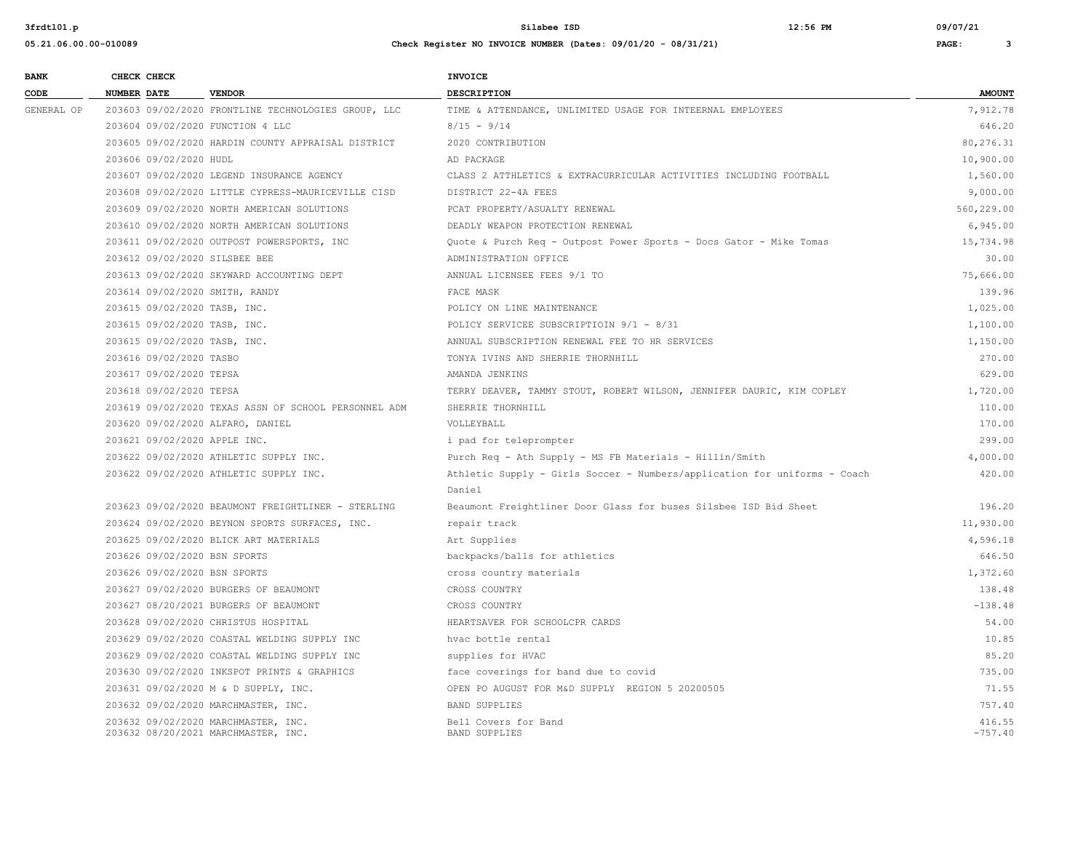**05.21.06.00.00-010089 Check Register NO INVOICE NUMBER (Dates: 09/01/20 - 08/31/21) PAGE: 3**

**3frdtl01.p Silsbee ISD 12:56 PM 09/07/21**

| <b>BANK</b> | CHECK CHECK             |                                                                            | <b>INVOICE</b>                                                            |                     |
|-------------|-------------------------|----------------------------------------------------------------------------|---------------------------------------------------------------------------|---------------------|
| CODE        | NUMBER DATE             | <b>VENDOR</b>                                                              | <b>DESCRIPTION</b>                                                        | <b>AMOUNT</b>       |
| GENERAL OP  |                         | 203603 09/02/2020 FRONTLINE TECHNOLOGIES GROUP, LLC                        | TIME & ATTENDANCE, UNLIMITED USAGE FOR INTEERNAL EMPLOYEES                | 7,912.78            |
|             |                         | 203604 09/02/2020 FUNCTION 4 LLC                                           | $8/15 - 9/14$                                                             | 646.20              |
|             |                         | 203605 09/02/2020 HARDIN COUNTY APPRAISAL DISTRICT                         | 2020 CONTRIBUTION                                                         | 80,276.31           |
|             | 203606 09/02/2020 HUDL  |                                                                            | AD PACKAGE                                                                | 10,900.00           |
|             |                         | 203607 09/02/2020 LEGEND INSURANCE AGENCY                                  | CLASS 2 ATTHLETICS & EXTRACURRICULAR ACTIVITIES INCLUDING FOOTBALL        | 1,560.00            |
|             |                         | 203608 09/02/2020 LITTLE CYPRESS-MAURICEVILLE CISD                         | DISTRICT 22-4A FEES                                                       | 9,000.00            |
|             |                         | 203609 09/02/2020 NORTH AMERICAN SOLUTIONS                                 | PCAT PROPERTY/ASUALTY RENEWAL                                             | 560,229.00          |
|             |                         | 203610 09/02/2020 NORTH AMERICAN SOLUTIONS                                 | DEADLY WEAPON PROTECTION RENEWAL                                          | 6,945.00            |
|             |                         | 203611 09/02/2020 OUTPOST POWERSPORTS, INC                                 | Quote & Purch Req - Outpost Power Sports - Docs Gator - Mike Tomas        | 15,734.98           |
|             |                         | 203612 09/02/2020 SILSBEE BEE                                              | ADMINISTRATION OFFICE                                                     | 30.00               |
|             |                         | 203613 09/02/2020 SKYWARD ACCOUNTING DEPT                                  | ANNUAL LICENSEE FEES 9/1 TO                                               | 75,666.00           |
|             |                         | 203614 09/02/2020 SMITH, RANDY                                             | FACE MASK                                                                 | 139.96              |
|             |                         | 203615 09/02/2020 TASB, INC.                                               | POLICY ON LINE MAINTENANCE                                                | 1,025.00            |
|             |                         | 203615 09/02/2020 TASB, INC.                                               | POLICY SERVICEE SUBSCRIPTIOIN 9/1 - 8/31                                  | 1,100.00            |
|             |                         | 203615 09/02/2020 TASB, INC.                                               | ANNUAL SUBSCRIPTION RENEWAL FEE TO HR SERVICES                            | 1,150.00            |
|             | 203616 09/02/2020 TASBO |                                                                            | TONYA IVINS AND SHERRIE THORNHILL                                         | 270.00              |
|             | 203617 09/02/2020 TEPSA |                                                                            | AMANDA JENKINS                                                            | 629.00              |
|             | 203618 09/02/2020 TEPSA |                                                                            | TERRY DEAVER, TAMMY STOUT, ROBERT WILSON, JENNIFER DAURIC, KIM COPLEY     | 1,720.00            |
|             |                         | 203619 09/02/2020 TEXAS ASSN OF SCHOOL PERSONNEL ADM                       | SHERRIE THORNHILL                                                         | 110.00              |
|             |                         | 203620 09/02/2020 ALFARO, DANIEL                                           | VOLLEYBALL                                                                | 170.00              |
|             |                         | 203621 09/02/2020 APPLE INC.                                               | i pad for teleprompter                                                    | 299.00              |
|             |                         | 203622 09/02/2020 ATHLETIC SUPPLY INC.                                     | Purch Req - Ath Supply - MS FB Materials - Hillin/Smith                   | 4,000.00            |
|             |                         | 203622 09/02/2020 ATHLETIC SUPPLY INC.                                     | Athletic Supply - Girls Soccer - Numbers/application for uniforms - Coach | 420.00              |
|             |                         |                                                                            | Daniel                                                                    |                     |
|             |                         | 203623 09/02/2020 BEAUMONT FREIGHTLINER - STERLING                         | Beaumont Freightliner Door Glass for buses Silsbee ISD Bid Sheet          | 196.20              |
|             |                         | 203624 09/02/2020 BEYNON SPORTS SURFACES, INC.                             | repair track                                                              | 11,930.00           |
|             |                         | 203625 09/02/2020 BLICK ART MATERIALS                                      | Art Supplies                                                              | 4,596.18            |
|             |                         | 203626 09/02/2020 BSN SPORTS                                               | backpacks/balls for athletics                                             | 646.50              |
|             |                         | 203626 09/02/2020 BSN SPORTS                                               | cross country materials                                                   | 1,372.60            |
|             |                         | 203627 09/02/2020 BURGERS OF BEAUMONT                                      | CROSS COUNTRY                                                             | 138.48              |
|             |                         | 203627 08/20/2021 BURGERS OF BEAUMONT                                      | CROSS COUNTRY                                                             | $-138.48$           |
|             |                         | 203628 09/02/2020 CHRISTUS HOSPITAL                                        | HEARTSAVER FOR SCHOOLCPR CARDS                                            | 54.00               |
|             |                         | 203629 09/02/2020 COASTAL WELDING SUPPLY INC                               | hvac bottle rental                                                        | 10.85               |
|             |                         | 203629 09/02/2020 COASTAL WELDING SUPPLY INC                               | supplies for HVAC                                                         | 85.20               |
|             |                         | 203630 09/02/2020 INKSPOT PRINTS & GRAPHICS                                | face coverings for band due to covid                                      | 735.00              |
|             |                         | 203631 09/02/2020 M & D SUPPLY, INC.                                       | OPEN PO AUGUST FOR M&D SUPPLY REGION 5 20200505                           | 71.55               |
|             |                         | 203632 09/02/2020 MARCHMASTER, INC.                                        | <b>BAND SUPPLIES</b>                                                      | 757.40              |
|             |                         | 203632 09/02/2020 MARCHMASTER, INC.<br>203632 08/20/2021 MARCHMASTER, INC. | Bell Covers for Band<br><b>BAND SUPPLIES</b>                              | 416.55<br>$-757.40$ |
|             |                         |                                                                            |                                                                           |                     |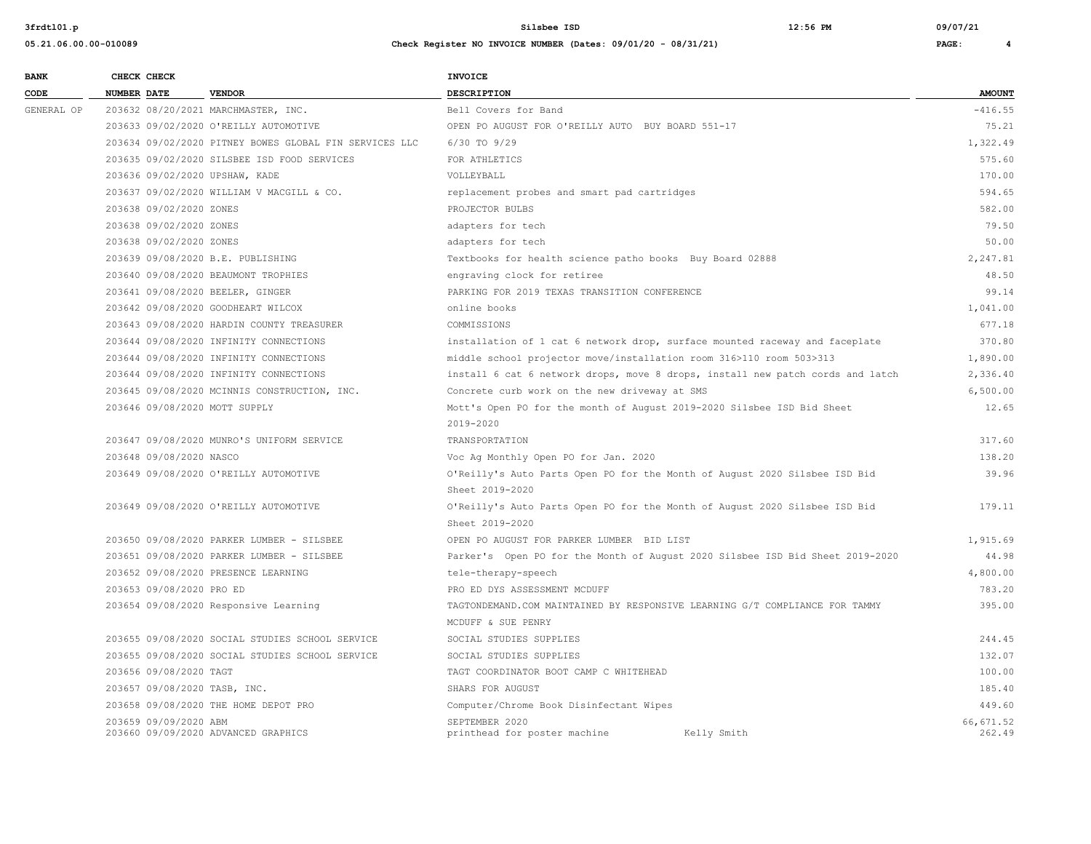**05.21.06.00.00-010089 Check Register NO INVOICE NUMBER (Dates: 09/01/20 - 08/31/21) PAGE: 4**

| <b>BANK</b>     | CHECK CHECK                                                                                                                                                         |                                        |                                                        | <b>INVOICE</b>                                                                 |                     |
|-----------------|---------------------------------------------------------------------------------------------------------------------------------------------------------------------|----------------------------------------|--------------------------------------------------------|--------------------------------------------------------------------------------|---------------------|
| $\texttt{CODE}$ | <b>NUMBER DATE</b>                                                                                                                                                  |                                        | <b>VENDOR</b>                                          | DESCRIPTION                                                                    | <b>AMOUNT</b>       |
| GENERAL OP      |                                                                                                                                                                     |                                        | 203632 08/20/2021 MARCHMASTER, INC.                    | Bell Covers for Band                                                           | $-416.55$           |
|                 | 203633 09/02/2020 O'REILLY AUTOMOTIVE                                                                                                                               |                                        |                                                        | OPEN PO AUGUST FOR O'REILLY AUTO BUY BOARD 551-17                              | 75.21               |
|                 |                                                                                                                                                                     |                                        | 203634 09/02/2020 PITNEY BOWES GLOBAL FIN SERVICES LLC | 6/30 TO 9/29                                                                   | 1,322.49            |
|                 | 203635 09/02/2020 SILSBEE ISD FOOD SERVICES<br>203636 09/02/2020 UPSHAW, KADE<br>203637 09/02/2020 WILLIAM V MACGILL & CO.                                          |                                        |                                                        | FOR ATHLETICS                                                                  | 575.60              |
|                 |                                                                                                                                                                     |                                        |                                                        | VOLLEYBALL                                                                     | 170.00              |
|                 |                                                                                                                                                                     |                                        |                                                        | replacement probes and smart pad cartridges                                    | 594.65              |
|                 |                                                                                                                                                                     | 203638 09/02/2020 ZONES                |                                                        | PROJECTOR BULBS                                                                | 582.00              |
|                 |                                                                                                                                                                     | 203638 09/02/2020 ZONES                |                                                        | adapters for tech                                                              | 79.50               |
|                 |                                                                                                                                                                     | 203638 09/02/2020 ZONES                |                                                        | adapters for tech                                                              | 50.00               |
|                 |                                                                                                                                                                     |                                        | 203639 09/08/2020 B.E. PUBLISHING                      | Textbooks for health science patho books Buy Board 02888                       | 2,247.81            |
|                 |                                                                                                                                                                     |                                        | 203640 09/08/2020 BEAUMONT TROPHIES                    | engraving clock for retiree                                                    | 48.50               |
|                 |                                                                                                                                                                     |                                        | 203641 09/08/2020 BEELER, GINGER                       | PARKING FOR 2019 TEXAS TRANSITION CONFERENCE                                   | 99.14               |
|                 | 203642 09/08/2020 GOODHEART WILCOX<br>203643 09/08/2020 HARDIN COUNTY TREASURER<br>203644 09/08/2020 INFINITY CONNECTIONS<br>203644 09/08/2020 INFINITY CONNECTIONS |                                        |                                                        | online books                                                                   | 1,041.00            |
|                 |                                                                                                                                                                     |                                        |                                                        | COMMISSIONS                                                                    | 677.18              |
|                 |                                                                                                                                                                     |                                        |                                                        | installation of 1 cat 6 network drop, surface mounted raceway and faceplate    | 370.80              |
|                 |                                                                                                                                                                     |                                        |                                                        | middle school projector move/installation room 316>110 room 503>313            | 1,890.00            |
|                 |                                                                                                                                                                     | 203644 09/08/2020 INFINITY CONNECTIONS |                                                        | install 6 cat 6 network drops, move 8 drops, install new patch cords and latch | 2,336.40            |
|                 |                                                                                                                                                                     |                                        | 203645 09/08/2020 MCINNIS CONSTRUCTION, INC.           | Concrete curb work on the new driveway at SMS                                  | 6,500.00            |
|                 |                                                                                                                                                                     |                                        | 203646 09/08/2020 MOTT SUPPLY                          | Mott's Open PO for the month of August 2019-2020 Silsbee ISD Bid Sheet         | 12.65               |
|                 |                                                                                                                                                                     |                                        |                                                        | 2019-2020                                                                      |                     |
|                 |                                                                                                                                                                     |                                        | 203647 09/08/2020 MUNRO'S UNIFORM SERVICE              | TRANSPORTATION                                                                 | 317.60              |
|                 |                                                                                                                                                                     | 203648 09/08/2020 NASCO                |                                                        | Voc Ag Monthly Open PO for Jan. 2020                                           | 138.20              |
|                 | 203649 09/08/2020 O'REILLY AUTOMOTIVE                                                                                                                               |                                        |                                                        | O'Reilly's Auto Parts Open PO for the Month of August 2020 Silsbee ISD Bid     | 39.96               |
|                 |                                                                                                                                                                     |                                        |                                                        | Sheet 2019-2020                                                                |                     |
|                 |                                                                                                                                                                     |                                        | 203649 09/08/2020 O'REILLY AUTOMOTIVE                  | O'Reilly's Auto Parts Open PO for the Month of August 2020 Silsbee ISD Bid     | 179.11              |
|                 |                                                                                                                                                                     |                                        |                                                        | Sheet 2019-2020                                                                |                     |
|                 |                                                                                                                                                                     |                                        | 203650 09/08/2020 PARKER LUMBER - SILSBEE              | OPEN PO AUGUST FOR PARKER LUMBER BID LIST                                      | 1,915.69            |
|                 |                                                                                                                                                                     |                                        | 203651 09/08/2020 PARKER LUMBER - SILSBEE              | Parker's Open PO for the Month of August 2020 Silsbee ISD Bid Sheet 2019-2020  | 44.98               |
|                 |                                                                                                                                                                     |                                        | 203652 09/08/2020 PRESENCE LEARNING                    | tele-therapy-speech                                                            | 4,800.00            |
|                 |                                                                                                                                                                     | 203653 09/08/2020 PRO ED               |                                                        | PRO ED DYS ASSESSMENT MCDUFF                                                   | 783.20              |
|                 |                                                                                                                                                                     |                                        | 203654 09/08/2020 Responsive Learning                  | TAGTONDEMAND. COM MAINTAINED BY RESPONSIVE LEARNING G/T COMPLIANCE FOR TAMMY   | 395.00              |
|                 |                                                                                                                                                                     |                                        |                                                        | MCDUFF & SUE PENRY                                                             |                     |
|                 |                                                                                                                                                                     |                                        | 203655 09/08/2020 SOCIAL STUDIES SCHOOL SERVICE        | SOCIAL STUDIES SUPPLIES                                                        | 244.45              |
|                 |                                                                                                                                                                     |                                        | 203655 09/08/2020 SOCIAL STUDIES SCHOOL SERVICE        | SOCIAL STUDIES SUPPLIES                                                        | 132.07              |
|                 |                                                                                                                                                                     | 203656 09/08/2020 TAGT                 |                                                        | TAGT COORDINATOR BOOT CAMP C WHITEHEAD                                         | 100.00              |
|                 |                                                                                                                                                                     |                                        | 203657 09/08/2020 TASB, INC.                           | SHARS FOR AUGUST                                                               | 185.40              |
|                 |                                                                                                                                                                     |                                        | 203658 09/08/2020 THE HOME DEPOT PRO                   | Computer/Chrome Book Disinfectant Wipes                                        | 449.60              |
|                 |                                                                                                                                                                     | 203659 09/09/2020 ABM                  | 203660 09/09/2020 ADVANCED GRAPHICS                    | SEPTEMBER 2020<br>printhead for poster machine<br>Kelly Smith                  | 66,671.52<br>262.49 |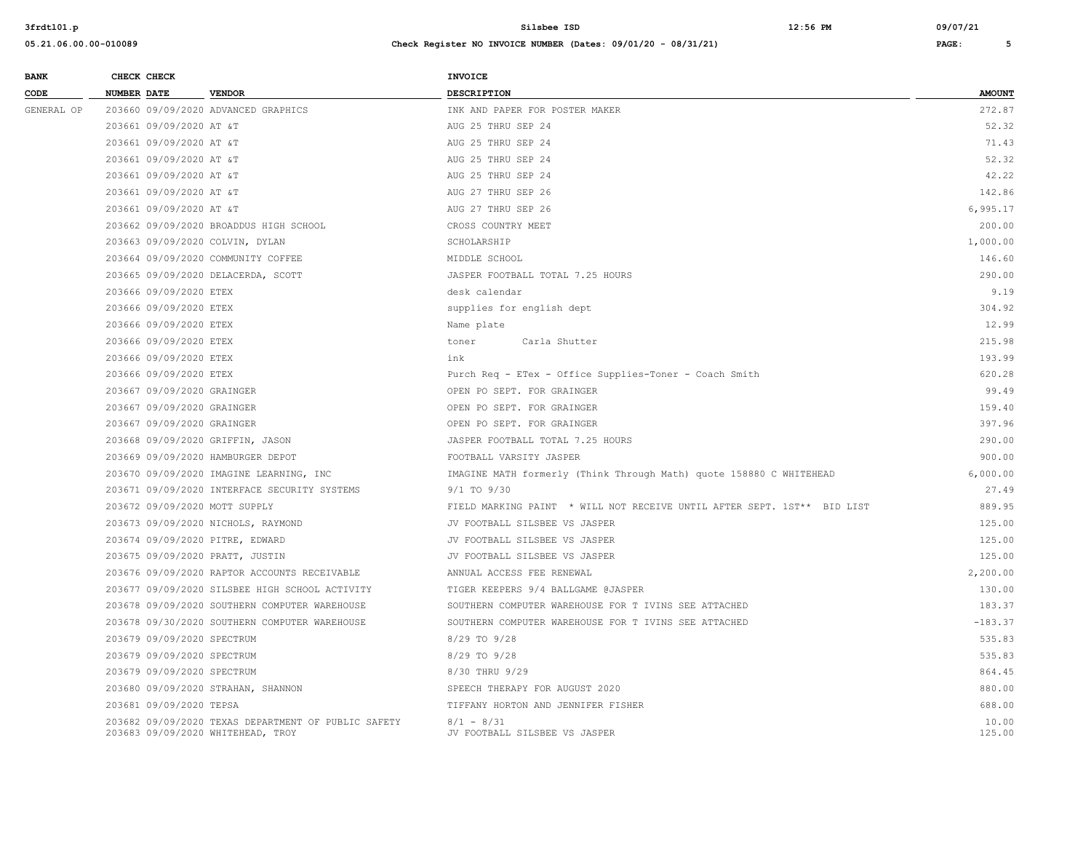| <b>BANK</b> | CHECK CHECK                     |                                                                                          | <b>INVOICE</b>                                                          |                 |
|-------------|---------------------------------|------------------------------------------------------------------------------------------|-------------------------------------------------------------------------|-----------------|
| CODE        | <b>NUMBER DATE</b>              | <b>VENDOR</b>                                                                            | DESCRIPTION                                                             | <b>AMOUNT</b>   |
| GENERAL OP  |                                 | 203660 09/09/2020 ADVANCED GRAPHICS                                                      | INK AND PAPER FOR POSTER MAKER                                          | 272.87          |
|             | 203661 09/09/2020 AT &T         |                                                                                          | AUG 25 THRU SEP 24                                                      | 52.32           |
|             | 203661 09/09/2020 AT &T         |                                                                                          | AUG 25 THRU SEP 24                                                      | 71.43           |
|             | 203661 09/09/2020 AT &T         |                                                                                          | AUG 25 THRU SEP 24                                                      | 52.32           |
|             | 203661 09/09/2020 AT &T         |                                                                                          | AUG 25 THRU SEP 24                                                      | 42.22           |
|             | 203661 09/09/2020 AT &T         |                                                                                          | AUG 27 THRU SEP 26                                                      | 142.86          |
|             | 203661 09/09/2020 AT &T         |                                                                                          | AUG 27 THRU SEP 26                                                      | 6,995.17        |
|             |                                 | 203662 09/09/2020 BROADDUS HIGH SCHOOL                                                   | CROSS COUNTRY MEET                                                      | 200.00          |
|             | 203663 09/09/2020 COLVIN, DYLAN |                                                                                          | SCHOLARSHIP                                                             | 1,000.00        |
|             |                                 | 203664 09/09/2020 COMMUNITY COFFEE                                                       | MIDDLE SCHOOL                                                           | 146.60          |
|             |                                 | 203665 09/09/2020 DELACERDA, SCOTT                                                       | JASPER FOOTBALL TOTAL 7.25 HOURS                                        | 290.00          |
|             | 203666 09/09/2020 ETEX          |                                                                                          | desk calendar                                                           | 9.19            |
|             | 203666 09/09/2020 ETEX          |                                                                                          | supplies for english dept                                               | 304.92          |
|             | 203666 09/09/2020 ETEX          |                                                                                          | Name plate                                                              | 12.99           |
|             | 203666 09/09/2020 ETEX          |                                                                                          | toner<br>Carla Shutter                                                  | 215.98          |
|             | 203666 09/09/2020 ETEX          |                                                                                          | ink                                                                     | 193.99          |
|             | 203666 09/09/2020 ETEX          |                                                                                          | Purch Req - ETex - Office Supplies-Toner - Coach Smith                  | 620.28          |
|             | 203667 09/09/2020 GRAINGER      |                                                                                          | OPEN PO SEPT. FOR GRAINGER                                              | 99.49           |
|             | 203667 09/09/2020 GRAINGER      |                                                                                          | OPEN PO SEPT. FOR GRAINGER                                              | 159.40          |
|             | 203667 09/09/2020 GRAINGER      |                                                                                          | OPEN PO SEPT. FOR GRAINGER                                              | 397.96          |
|             |                                 | 203668 09/09/2020 GRIFFIN, JASON                                                         | JASPER FOOTBALL TOTAL 7.25 HOURS                                        | 290.00          |
|             |                                 | 203669 09/09/2020 HAMBURGER DEPOT                                                        | FOOTBALL VARSITY JASPER                                                 | 900.00          |
|             |                                 | 203670 09/09/2020 IMAGINE LEARNING, INC                                                  | IMAGINE MATH formerly (Think Through Math) quote 158880 C WHITEHEAD     | 6,000.00        |
|             |                                 | 203671 09/09/2020 INTERFACE SECURITY SYSTEMS                                             | $9/1$ TO $9/30$                                                         | 27.49           |
|             | 203672 09/09/2020 MOTT SUPPLY   |                                                                                          | FIELD MARKING PAINT * WILL NOT RECEIVE UNTIL AFTER SEPT. 1ST** BID LIST | 889.95          |
|             |                                 | 203673 09/09/2020 NICHOLS, RAYMOND                                                       | JV FOOTBALL SILSBEE VS JASPER                                           | 125.00          |
|             | 203674 09/09/2020 PITRE, EDWARD |                                                                                          | JV FOOTBALL SILSBEE VS JASPER                                           | 125.00          |
|             | 203675 09/09/2020 PRATT, JUSTIN |                                                                                          | JV FOOTBALL SILSBEE VS JASPER                                           | 125.00          |
|             |                                 | 203676 09/09/2020 RAPTOR ACCOUNTS RECEIVABLE                                             | ANNUAL ACCESS FEE RENEWAL                                               | 2,200.00        |
|             |                                 | 203677 09/09/2020 SILSBEE HIGH SCHOOL ACTIVITY                                           | TIGER KEEPERS 9/4 BALLGAME @JASPER                                      | 130.00          |
|             |                                 | 203678 09/09/2020 SOUTHERN COMPUTER WAREHOUSE                                            | SOUTHERN COMPUTER WAREHOUSE FOR T IVINS SEE ATTACHED                    | 183.37          |
|             |                                 | 203678 09/30/2020 SOUTHERN COMPUTER WAREHOUSE                                            | SOUTHERN COMPUTER WAREHOUSE FOR T IVINS SEE ATTACHED                    | $-183.37$       |
|             | 203679 09/09/2020 SPECTRUM      |                                                                                          | 8/29 TO 9/28                                                            | 535.83          |
|             | 203679 09/09/2020 SPECTRUM      |                                                                                          | 8/29 TO 9/28                                                            | 535.83          |
|             | 203679 09/09/2020 SPECTRUM      |                                                                                          | 8/30 THRU 9/29                                                          | 864.45          |
|             |                                 | 203680 09/09/2020 STRAHAN, SHANNON                                                       | SPEECH THERAPY FOR AUGUST 2020                                          | 880.00          |
|             | 203681 09/09/2020 TEPSA         |                                                                                          | TIFFANY HORTON AND JENNIFER FISHER                                      | 688.00          |
|             |                                 | 203682 09/09/2020 TEXAS DEPARTMENT OF PUBLIC SAFETY<br>203683 09/09/2020 WHITEHEAD, TROY | $8/1 - 8/31$<br>JV FOOTBALL SILSBEE VS JASPER                           | 10.00<br>125.00 |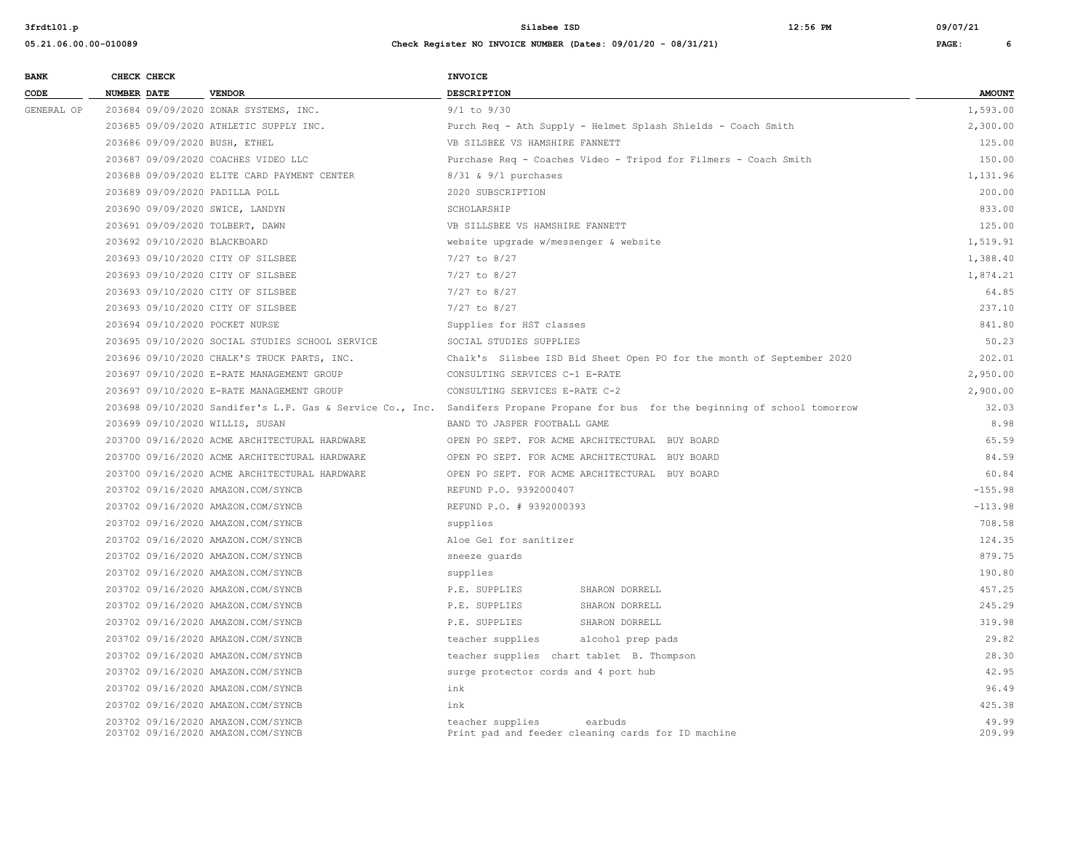| <b>BANK</b>     |                    | CHECK CHECK                                                        |                                                                          | <b>INVOICE</b>                                                                                   |                                                                                                                                  |                 |
|-----------------|--------------------|--------------------------------------------------------------------|--------------------------------------------------------------------------|--------------------------------------------------------------------------------------------------|----------------------------------------------------------------------------------------------------------------------------------|-----------------|
| $\texttt{CODE}$ | <b>NUMBER DATE</b> |                                                                    | <b>VENDOR</b>                                                            | <b>DESCRIPTION</b>                                                                               |                                                                                                                                  | <b>AMOUNT</b>   |
| GENERAL OP      |                    |                                                                    | 203684 09/09/2020 ZONAR SYSTEMS, INC.                                    | $9/1$ to $9/30$                                                                                  |                                                                                                                                  | 1,593.00        |
|                 |                    |                                                                    | 203685 09/09/2020 ATHLETIC SUPPLY INC.                                   |                                                                                                  | Purch Req - Ath Supply - Helmet Splash Shields - Coach Smith                                                                     | 2,300.00        |
|                 |                    |                                                                    | 203686 09/09/2020 BUSH, ETHEL                                            | VB SILSBEE VS HAMSHIRE FANNETT                                                                   |                                                                                                                                  | 125.00          |
|                 |                    |                                                                    | 203687 09/09/2020 COACHES VIDEO LLC                                      |                                                                                                  | Purchase Req - Coaches Video - Tripod for Filmers - Coach Smith                                                                  | 150.00          |
|                 |                    |                                                                    | 203688 09/09/2020 ELITE CARD PAYMENT CENTER                              | 8/31 & 9/1 purchases                                                                             |                                                                                                                                  | 1,131.96        |
|                 |                    |                                                                    | 203689 09/09/2020 PADILLA POLL                                           | 2020 SUBSCRIPTION                                                                                |                                                                                                                                  | 200.00          |
|                 |                    | 203690 09/09/2020 SWICE, LANDYN<br>203691 09/09/2020 TOLBERT, DAWN |                                                                          | SCHOLARSHIP                                                                                      |                                                                                                                                  | 833.00          |
|                 |                    |                                                                    |                                                                          | VB SILLSBEE VS HAMSHIRE FANNETT                                                                  |                                                                                                                                  | 125.00          |
|                 |                    |                                                                    | 203692 09/10/2020 BLACKBOARD                                             | website upgrade w/messenger & website                                                            |                                                                                                                                  | 1,519.91        |
|                 |                    |                                                                    | 203693 09/10/2020 CITY OF SILSBEE                                        | 7/27 to 8/27                                                                                     |                                                                                                                                  | 1,388.40        |
|                 |                    |                                                                    | 203693 09/10/2020 CITY OF SILSBEE                                        | 7/27 to 8/27                                                                                     |                                                                                                                                  | 1,874.21        |
|                 |                    |                                                                    | 203693 09/10/2020 CITY OF SILSBEE                                        | $7/27$ to 8/27                                                                                   |                                                                                                                                  | 64.85           |
|                 |                    |                                                                    | 203693 09/10/2020 CITY OF SILSBEE                                        | $7/27$ to $8/27$                                                                                 |                                                                                                                                  | 237.10          |
|                 |                    |                                                                    | 203694 09/10/2020 POCKET NURSE                                           | Supplies for HST classes                                                                         |                                                                                                                                  | 841.80          |
|                 |                    |                                                                    | 203695 09/10/2020 SOCIAL STUDIES SCHOOL SERVICE                          | SOCIAL STUDIES SUPPLIES<br>Chalk's Silsbee ISD Bid Sheet Open PO for the month of September 2020 |                                                                                                                                  | 50.23           |
|                 |                    |                                                                    | 203696 09/10/2020 CHALK'S TRUCK PARTS, INC.                              |                                                                                                  |                                                                                                                                  | 202.01          |
|                 |                    |                                                                    | 203697 09/10/2020 E-RATE MANAGEMENT GROUP                                | CONSULTING SERVICES C-1 E-RATE                                                                   |                                                                                                                                  | 2,950.00        |
|                 |                    |                                                                    | 203697 09/10/2020 E-RATE MANAGEMENT GROUP                                | CONSULTING SERVICES E-RATE C-2                                                                   |                                                                                                                                  | 2,900.00        |
|                 |                    |                                                                    |                                                                          |                                                                                                  | 203698 09/10/2020 Sandifer's L.P. Gas & Service Co., Inc. Sandifers Propane Propane for bus for the beginning of school tomorrow | 32.03           |
|                 |                    |                                                                    | 203699 09/10/2020 WILLIS, SUSAN                                          | BAND TO JASPER FOOTBALL GAME                                                                     |                                                                                                                                  | 8.98            |
|                 |                    |                                                                    | 203700 09/16/2020 ACME ARCHITECTURAL HARDWARE                            |                                                                                                  | OPEN PO SEPT. FOR ACME ARCHITECTURAL BUY BOARD                                                                                   | 65.59           |
|                 |                    |                                                                    | 203700 09/16/2020 ACME ARCHITECTURAL HARDWARE                            |                                                                                                  | OPEN PO SEPT. FOR ACME ARCHITECTURAL BUY BOARD                                                                                   | 84.59           |
|                 |                    |                                                                    | 203700 09/16/2020 ACME ARCHITECTURAL HARDWARE                            |                                                                                                  | OPEN PO SEPT. FOR ACME ARCHITECTURAL BUY BOARD                                                                                   | 60.84           |
|                 |                    |                                                                    | 203702 09/16/2020 AMAZON.COM/SYNCB                                       | REFUND P.O. 9392000407                                                                           |                                                                                                                                  | $-155.98$       |
|                 |                    |                                                                    | 203702 09/16/2020 AMAZON.COM/SYNCB                                       | REFUND P.O. # 9392000393                                                                         |                                                                                                                                  | $-113.98$       |
|                 |                    |                                                                    | 203702 09/16/2020 AMAZON.COM/SYNCB                                       | supplies                                                                                         |                                                                                                                                  | 708.58          |
|                 |                    |                                                                    | 203702 09/16/2020 AMAZON.COM/SYNCB                                       | Aloe Gel for sanitizer                                                                           |                                                                                                                                  | 124.35          |
|                 |                    |                                                                    | 203702 09/16/2020 AMAZON.COM/SYNCB                                       | sneeze quards                                                                                    |                                                                                                                                  | 879.75          |
|                 |                    |                                                                    | 203702 09/16/2020 AMAZON.COM/SYNCB                                       | supplies                                                                                         |                                                                                                                                  | 190.80          |
|                 |                    |                                                                    | 203702 09/16/2020 AMAZON.COM/SYNCB                                       | P.E. SUPPLIES                                                                                    | SHARON DORRELL                                                                                                                   | 457.25          |
|                 |                    |                                                                    | 203702 09/16/2020 AMAZON.COM/SYNCB                                       | P.E. SUPPLIES                                                                                    | SHARON DORRELL                                                                                                                   | 245.29          |
|                 |                    |                                                                    | 203702 09/16/2020 AMAZON.COM/SYNCB                                       | P.E. SUPPLIES                                                                                    | SHARON DORRELL                                                                                                                   | 319.98          |
|                 |                    |                                                                    | 203702 09/16/2020 AMAZON.COM/SYNCB                                       | teacher supplies                                                                                 | alcohol prep pads                                                                                                                | 29.82           |
|                 |                    |                                                                    | 203702 09/16/2020 AMAZON.COM/SYNCB                                       |                                                                                                  | teacher supplies chart tablet B. Thompson                                                                                        | 28.30           |
|                 |                    |                                                                    | 203702 09/16/2020 AMAZON.COM/SYNCB                                       | surge protector cords and 4 port hub                                                             |                                                                                                                                  | 42.95           |
|                 |                    |                                                                    | 203702 09/16/2020 AMAZON.COM/SYNCB                                       | ink                                                                                              |                                                                                                                                  | 96.49           |
|                 |                    |                                                                    | 203702 09/16/2020 AMAZON.COM/SYNCB                                       | ink                                                                                              |                                                                                                                                  | 425.38          |
|                 |                    |                                                                    | 203702 09/16/2020 AMAZON.COM/SYNCB<br>203702 09/16/2020 AMAZON.COM/SYNCB | teacher supplies                                                                                 | earbuds<br>Print pad and feeder cleaning cards for ID machine                                                                    | 49.99<br>209.99 |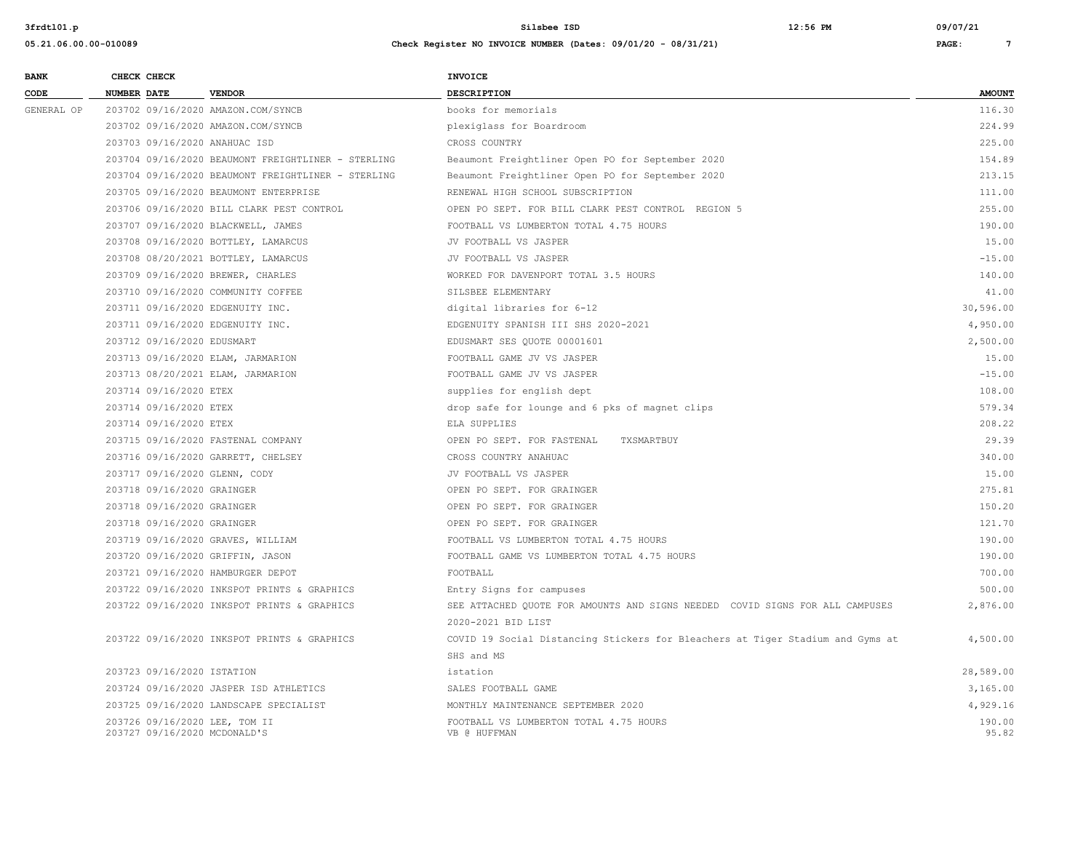| <b>BANK</b> | CHECK CHECK                      |                                                    | <b>INVOICE</b>                                                                 |               |
|-------------|----------------------------------|----------------------------------------------------|--------------------------------------------------------------------------------|---------------|
| CODE        | <b>NUMBER DATE</b>               | <b>VENDOR</b>                                      | <b>DESCRIPTION</b>                                                             | <b>AMOUNT</b> |
| GENERAL OP  |                                  | 203702 09/16/2020 AMAZON.COM/SYNCB                 | books for memorials                                                            | 116.30        |
|             |                                  | 203702 09/16/2020 AMAZON.COM/SYNCB                 | plexiglass for Boardroom                                                       | 224.99        |
|             | 203703 09/16/2020 ANAHUAC ISD    |                                                    | CROSS COUNTRY                                                                  | 225.00        |
|             |                                  | 203704 09/16/2020 BEAUMONT FREIGHTLINER - STERLING | Beaumont Freightliner Open PO for September 2020                               | 154.89        |
|             |                                  | 203704 09/16/2020 BEAUMONT FREIGHTLINER - STERLING | Beaumont Freightliner Open PO for September 2020                               | 213.15        |
|             |                                  | 203705 09/16/2020 BEAUMONT ENTERPRISE              | RENEWAL HIGH SCHOOL SUBSCRIPTION                                               | 111.00        |
|             |                                  | 203706 09/16/2020 BILL CLARK PEST CONTROL          | OPEN PO SEPT. FOR BILL CLARK PEST CONTROL REGION 5                             | 255.00        |
|             |                                  | 203707 09/16/2020 BLACKWELL, JAMES                 | FOOTBALL VS LUMBERTON TOTAL 4.75 HOURS                                         | 190.00        |
|             |                                  | 203708 09/16/2020 BOTTLEY, LAMARCUS                | JV FOOTBALL VS JASPER                                                          | 15.00         |
|             |                                  | 203708 08/20/2021 BOTTLEY, LAMARCUS                | JV FOOTBALL VS JASPER                                                          | $-15.00$      |
|             |                                  | 203709 09/16/2020 BREWER, CHARLES                  | WORKED FOR DAVENPORT TOTAL 3.5 HOURS                                           | 140.00        |
|             |                                  | 203710 09/16/2020 COMMUNITY COFFEE                 | SILSBEE ELEMENTARY                                                             | 41.00         |
|             | 203711 09/16/2020 EDGENUITY INC. |                                                    | digital libraries for 6-12                                                     | 30,596.00     |
|             | 203711 09/16/2020 EDGENUITY INC. |                                                    | EDGENUITY SPANISH III SHS 2020-2021                                            | 4,950.00      |
|             | 203712 09/16/2020 EDUSMART       |                                                    | EDUSMART SES QUOTE 00001601                                                    | 2,500.00      |
|             |                                  | 203713 09/16/2020 ELAM, JARMARION                  | FOOTBALL GAME JV VS JASPER                                                     | 15.00         |
|             |                                  | 203713 08/20/2021 ELAM, JARMARION                  | FOOTBALL GAME JV VS JASPER                                                     | $-15.00$      |
|             | 203714 09/16/2020 ETEX           |                                                    | supplies for english dept                                                      | 108.00        |
|             | 203714 09/16/2020 ETEX           |                                                    | drop safe for lounge and 6 pks of magnet clips                                 | 579.34        |
|             | 203714 09/16/2020 ETEX           |                                                    | ELA SUPPLIES                                                                   | 208.22        |
|             |                                  | 203715 09/16/2020 FASTENAL COMPANY                 | OPEN PO SEPT. FOR FASTENAL<br>TXSMARTBUY                                       | 29.39         |
|             |                                  | 203716 09/16/2020 GARRETT, CHELSEY                 | CROSS COUNTRY ANAHUAC                                                          | 340.00        |
|             | 203717 09/16/2020 GLENN, CODY    |                                                    | JV FOOTBALL VS JASPER                                                          | 15.00         |
|             | 203718 09/16/2020 GRAINGER       |                                                    | OPEN PO SEPT. FOR GRAINGER                                                     | 275.81        |
|             | 203718 09/16/2020 GRAINGER       |                                                    | OPEN PO SEPT. FOR GRAINGER                                                     | 150.20        |
|             | 203718 09/16/2020 GRAINGER       |                                                    | OPEN PO SEPT. FOR GRAINGER                                                     | 121.70        |
|             |                                  | 203719 09/16/2020 GRAVES, WILLIAM                  | FOOTBALL VS LUMBERTON TOTAL 4.75 HOURS                                         | 190.00        |
|             | 203720 09/16/2020 GRIFFIN, JASON |                                                    | FOOTBALL GAME VS LUMBERTON TOTAL 4.75 HOURS                                    | 190.00        |
|             |                                  | 203721 09/16/2020 HAMBURGER DEPOT                  | FOOTBALL                                                                       | 700.00        |
|             |                                  | 203722 09/16/2020 INKSPOT PRINTS & GRAPHICS        | Entry Signs for campuses                                                       | 500.00        |
|             |                                  | 203722 09/16/2020 INKSPOT PRINTS & GRAPHICS        | SEE ATTACHED QUOTE FOR AMOUNTS AND SIGNS NEEDED COVID SIGNS FOR ALL CAMPUSES   | 2,876.00      |
|             |                                  |                                                    | 2020-2021 BID LIST                                                             |               |
|             |                                  | 203722 09/16/2020 INKSPOT PRINTS & GRAPHICS        | COVID 19 Social Distancing Stickers for Bleachers at Tiger Stadium and Gyms at | 4,500.00      |
|             |                                  |                                                    | SHS and MS                                                                     |               |
|             | 203723 09/16/2020 ISTATION       |                                                    | istation                                                                       | 28,589.00     |
|             |                                  | 203724 09/16/2020 JASPER ISD ATHLETICS             | SALES FOOTBALL GAME                                                            | 3,165.00      |
|             |                                  | 203725 09/16/2020 LANDSCAPE SPECIALIST             | MONTHLY MAINTENANCE SEPTEMBER 2020                                             | 4,929.16      |
|             | 203726 09/16/2020 LEE, TOM II    |                                                    | FOOTBALL VS LUMBERTON TOTAL 4.75 HOURS                                         | 190.00        |
|             | 203727 09/16/2020 MCDONALD'S     |                                                    | VB @ HUFFMAN                                                                   | 95.82         |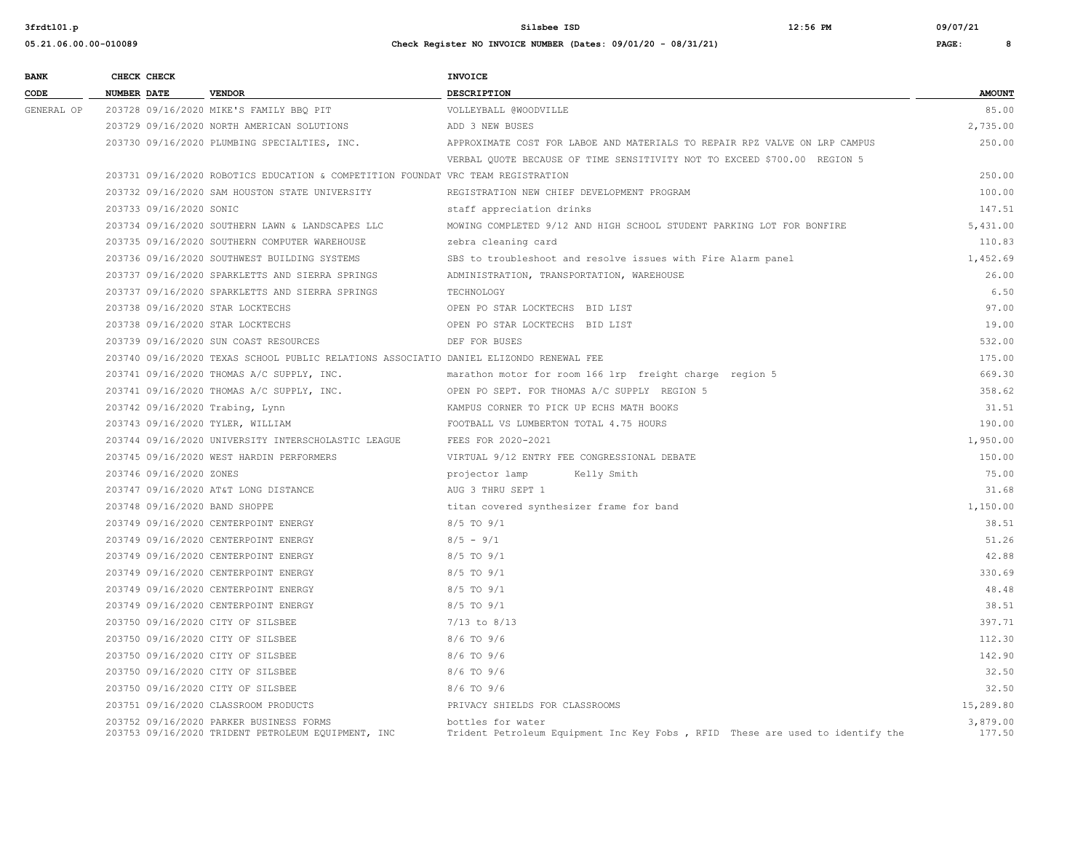| <b>BANK</b> | CHECK CHECK        |                         |                                                                                               | INVOICE                                                                                            |                    |
|-------------|--------------------|-------------------------|-----------------------------------------------------------------------------------------------|----------------------------------------------------------------------------------------------------|--------------------|
| CODE        | <b>NUMBER DATE</b> |                         | <b>VENDOR</b>                                                                                 | DESCRIPTION                                                                                        | <b>AMOUNT</b>      |
| GENERAL OP  |                    |                         | 203728 09/16/2020 MIKE'S FAMILY BBO PIT                                                       | VOLLEYBALL @WOODVILLE                                                                              | 85.00              |
|             |                    |                         | 203729 09/16/2020 NORTH AMERICAN SOLUTIONS                                                    | ADD 3 NEW BUSES                                                                                    | 2,735.00           |
|             |                    |                         | 203730 09/16/2020 PLUMBING SPECIALTIES, INC.                                                  | APPROXIMATE COST FOR LABOE AND MATERIALS TO REPAIR RPZ VALVE ON LRP CAMPUS                         | 250.00             |
|             |                    |                         |                                                                                               | VERBAL QUOTE BECAUSE OF TIME SENSITIVITY NOT TO EXCEED \$700.00 REGION 5                           |                    |
|             |                    |                         | 203731 09/16/2020 ROBOTICS EDUCATION & COMPETITION FOUNDAT VRC TEAM REGISTRATION              |                                                                                                    | 250.00             |
|             |                    |                         | 203732 09/16/2020 SAM HOUSTON STATE UNIVERSITY                                                | REGISTRATION NEW CHIEF DEVELOPMENT PROGRAM                                                         | 100.00             |
|             |                    | 203733 09/16/2020 SONIC |                                                                                               | staff appreciation drinks                                                                          | 147.51             |
|             |                    |                         | 203734 09/16/2020 SOUTHERN LAWN & LANDSCAPES LLC                                              | MOWING COMPLETED 9/12 AND HIGH SCHOOL STUDENT PARKING LOT FOR BONFIRE                              | 5,431.00           |
|             |                    |                         | 203735 09/16/2020 SOUTHERN COMPUTER WAREHOUSE                                                 | zebra cleaning card                                                                                | 110.83             |
|             |                    |                         | 203736 09/16/2020 SOUTHWEST BUILDING SYSTEMS                                                  | SBS to troubleshoot and resolve issues with Fire Alarm panel                                       | 1,452.69           |
|             |                    |                         | 203737 09/16/2020 SPARKLETTS AND SIERRA SPRINGS                                               | ADMINISTRATION, TRANSPORTATION, WAREHOUSE                                                          | 26.00              |
|             |                    |                         | 203737 09/16/2020 SPARKLETTS AND SIERRA SPRINGS                                               | TECHNOLOGY                                                                                         | 6.50               |
|             |                    |                         | 203738 09/16/2020 STAR LOCKTECHS                                                              | OPEN PO STAR LOCKTECHS BID LIST                                                                    | 97.00              |
|             |                    |                         | 203738 09/16/2020 STAR LOCKTECHS                                                              | OPEN PO STAR LOCKTECHS BID LIST                                                                    | 19.00              |
|             |                    |                         | 203739 09/16/2020 SUN COAST RESOURCES                                                         | DEF FOR BUSES                                                                                      | 532.00             |
|             |                    |                         | 203740 09/16/2020 TEXAS SCHOOL PUBLIC RELATIONS ASSOCIATIO DANIEL ELIZONDO RENEWAL FEE        |                                                                                                    | 175.00             |
|             |                    |                         | 203741 09/16/2020 THOMAS A/C SUPPLY, INC.                                                     | marathon motor for room 166 lrp freight charge region 5                                            | 669.30             |
|             |                    |                         | 203741 09/16/2020 THOMAS A/C SUPPLY, INC.                                                     | OPEN PO SEPT. FOR THOMAS A/C SUPPLY REGION 5                                                       | 358.62             |
|             |                    |                         | 203742 09/16/2020 Trabing, Lynn                                                               | KAMPUS CORNER TO PICK UP ECHS MATH BOOKS                                                           | 31.51              |
|             |                    |                         | 203743 09/16/2020 TYLER, WILLIAM                                                              | FOOTBALL VS LUMBERTON TOTAL 4.75 HOURS                                                             | 190.00             |
|             |                    |                         | 203744 09/16/2020 UNIVERSITY INTERSCHOLASTIC LEAGUE                                           | FEES FOR 2020-2021                                                                                 | 1,950.00           |
|             |                    |                         | 203745 09/16/2020 WEST HARDIN PERFORMERS                                                      | VIRTUAL 9/12 ENTRY FEE CONGRESSIONAL DEBATE                                                        | 150.00             |
|             |                    | 203746 09/16/2020 ZONES |                                                                                               | projector lamp<br>Kelly Smith                                                                      | 75.00              |
|             |                    |                         | 203747 09/16/2020 AT&T LONG DISTANCE                                                          | AUG 3 THRU SEPT 1                                                                                  | 31.68              |
|             |                    |                         | 203748 09/16/2020 BAND SHOPPE                                                                 | titan covered synthesizer frame for band                                                           | 1,150.00           |
|             |                    |                         | 203749 09/16/2020 CENTERPOINT ENERGY                                                          | 8/5 TO 9/1                                                                                         | 38.51              |
|             |                    |                         | 203749 09/16/2020 CENTERPOINT ENERGY                                                          | $8/5 - 9/1$                                                                                        | 51.26              |
|             |                    |                         | 203749 09/16/2020 CENTERPOINT ENERGY                                                          | $8/5$ TO $9/1$                                                                                     | 42.88              |
|             |                    |                         | 203749 09/16/2020 CENTERPOINT ENERGY                                                          | $8/5$ TO $9/1$                                                                                     | 330.69             |
|             |                    |                         | 203749 09/16/2020 CENTERPOINT ENERGY                                                          | $8/5$ TO $9/1$                                                                                     | 48.48              |
|             |                    |                         | 203749 09/16/2020 CENTERPOINT ENERGY                                                          | 8/5 TO 9/1                                                                                         | 38.51              |
|             |                    |                         | 203750 09/16/2020 CITY OF SILSBEE                                                             | $7/13$ to $8/13$                                                                                   | 397.71             |
|             |                    |                         | 203750 09/16/2020 CITY OF SILSBEE                                                             | $8/6$ TO $9/6$                                                                                     | 112.30             |
|             |                    |                         | 203750 09/16/2020 CITY OF SILSBEE                                                             | 8/6 TO 9/6                                                                                         | 142.90             |
|             |                    |                         | 203750 09/16/2020 CITY OF SILSBEE                                                             | 8/6 TO 9/6                                                                                         | 32.50              |
|             |                    |                         | 203750 09/16/2020 CITY OF SILSBEE                                                             | $8/6$ TO $9/6$                                                                                     | 32.50              |
|             |                    |                         | 203751 09/16/2020 CLASSROOM PRODUCTS                                                          | PRIVACY SHIELDS FOR CLASSROOMS                                                                     | 15,289.80          |
|             |                    |                         | 203752 09/16/2020 PARKER BUSINESS FORMS<br>203753 09/16/2020 TRIDENT PETROLEUM EQUIPMENT, INC | bottles for water<br>Trident Petroleum Equipment Inc Key Fobs, RFID These are used to identify the | 3,879.00<br>177.50 |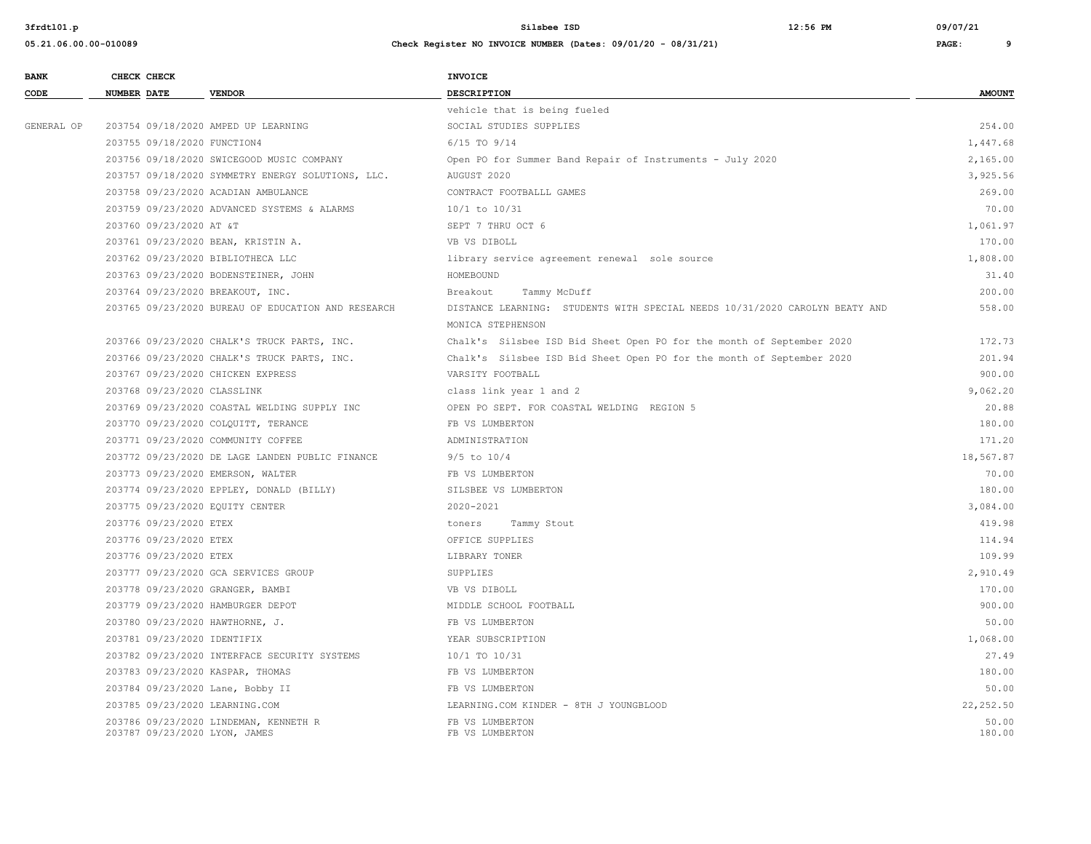| 05.21.06.00.00-010089 |  |
|-----------------------|--|

| <b>BANK</b> | CHECK CHECK                    |                                                    | <b>INVOICE</b>                                                              |                 |
|-------------|--------------------------------|----------------------------------------------------|-----------------------------------------------------------------------------|-----------------|
| CODE        | <b>NUMBER DATE</b>             | <b>VENDOR</b>                                      | <b>DESCRIPTION</b>                                                          | <b>AMOUNT</b>   |
|             |                                |                                                    | vehicle that is being fueled                                                |                 |
| GENERAL OP  |                                | 203754 09/18/2020 AMPED UP LEARNING                | SOCIAL STUDIES SUPPLIES                                                     | 254.00          |
|             | 203755 09/18/2020 FUNCTION4    |                                                    | $6/15$ TO $9/14$                                                            | 1,447.68        |
|             |                                | 203756 09/18/2020 SWICEGOOD MUSIC COMPANY          | Open PO for Summer Band Repair of Instruments - July 2020                   | 2,165.00        |
|             |                                | 203757 09/18/2020 SYMMETRY ENERGY SOLUTIONS, LLC.  | AUGUST 2020                                                                 | 3,925.56        |
|             |                                | 203758 09/23/2020 ACADIAN AMBULANCE                | CONTRACT FOOTBALLL GAMES                                                    | 269.00          |
|             |                                | 203759 09/23/2020 ADVANCED SYSTEMS & ALARMS        | 10/1 to 10/31                                                               | 70.00           |
|             | 203760 09/23/2020 AT &T        |                                                    | SEPT 7 THRU OCT 6                                                           | 1,061.97        |
|             |                                | 203761 09/23/2020 BEAN, KRISTIN A.                 | VB VS DIBOLL                                                                | 170.00          |
|             |                                | 203762 09/23/2020 BIBLIOTHECA LLC                  | library service agreement renewal sole source                               | 1,808.00        |
|             |                                | 203763 09/23/2020 BODENSTEINER, JOHN               | HOMEBOUND                                                                   | 31.40           |
|             |                                | 203764 09/23/2020 BREAKOUT, INC.                   | Breakout<br>Tammy McDuff                                                    | 200.00          |
|             |                                | 203765 09/23/2020 BUREAU OF EDUCATION AND RESEARCH | DISTANCE LEARNING: STUDENTS WITH SPECIAL NEEDS 10/31/2020 CAROLYN BEATY AND | 558.00          |
|             |                                |                                                    | MONICA STEPHENSON                                                           |                 |
|             |                                | 203766 09/23/2020 CHALK'S TRUCK PARTS, INC.        | Chalk's Silsbee ISD Bid Sheet Open PO for the month of September 2020       | 172.73          |
|             |                                | 203766 09/23/2020 CHALK'S TRUCK PARTS, INC.        | Chalk's Silsbee ISD Bid Sheet Open PO for the month of September 2020       | 201.94          |
|             |                                | 203767 09/23/2020 CHICKEN EXPRESS                  | VARSITY FOOTBALL                                                            | 900.00          |
|             | 203768 09/23/2020 CLASSLINK    |                                                    | class link year 1 and 2                                                     | 9,062.20        |
|             |                                | 203769 09/23/2020 COASTAL WELDING SUPPLY INC       | OPEN PO SEPT. FOR COASTAL WELDING REGION 5                                  | 20.88           |
|             |                                | 203770 09/23/2020 COLQUITT, TERANCE                | FB VS LUMBERTON                                                             | 180.00          |
|             |                                | 203771 09/23/2020 COMMUNITY COFFEE                 | ADMINISTRATION                                                              | 171.20          |
|             |                                | 203772 09/23/2020 DE LAGE LANDEN PUBLIC FINANCE    | $9/5$ to $10/4$                                                             | 18,567.87       |
|             |                                | 203773 09/23/2020 EMERSON, WALTER                  | FB VS LUMBERTON                                                             | 70.00           |
|             |                                | 203774 09/23/2020 EPPLEY, DONALD (BILLY)           | SILSBEE VS LUMBERTON                                                        | 180.00          |
|             |                                | 203775 09/23/2020 EQUITY CENTER                    | 2020-2021                                                                   | 3,084.00        |
|             | 203776 09/23/2020 ETEX         |                                                    | Tammy Stout<br>toners                                                       | 419.98          |
|             | 203776 09/23/2020 ETEX         |                                                    | OFFICE SUPPLIES                                                             | 114.94          |
|             | 203776 09/23/2020 ETEX         |                                                    | LIBRARY TONER                                                               | 109.99          |
|             |                                | 203777 09/23/2020 GCA SERVICES GROUP               | SUPPLIES                                                                    | 2,910.49        |
|             |                                | 203778 09/23/2020 GRANGER, BAMBI                   | VB VS DIBOLL                                                                | 170.00          |
|             |                                | 203779 09/23/2020 HAMBURGER DEPOT                  | MIDDLE SCHOOL FOOTBALL                                                      | 900.00          |
|             |                                | 203780 09/23/2020 HAWTHORNE, J.                    | FB VS LUMBERTON                                                             | 50.00           |
|             | 203781 09/23/2020 IDENTIFIX    |                                                    | YEAR SUBSCRIPTION                                                           | 1,068.00        |
|             |                                | 203782 09/23/2020 INTERFACE SECURITY SYSTEMS       | 10/1 TO 10/31                                                               | 27.49           |
|             |                                | 203783 09/23/2020 KASPAR, THOMAS                   | FB VS LUMBERTON                                                             | 180.00          |
|             |                                | 203784 09/23/2020 Lane, Bobby II                   | FB VS LUMBERTON                                                             | 50.00           |
|             | 203785 09/23/2020 LEARNING.COM |                                                    | LEARNING.COM KINDER - 8TH J YOUNGBLOOD                                      | 22, 252.50      |
|             | 203787 09/23/2020 LYON, JAMES  | 203786 09/23/2020 LINDEMAN, KENNETH R              | FB VS LUMBERTON<br>FB VS LUMBERTON                                          | 50.00<br>180.00 |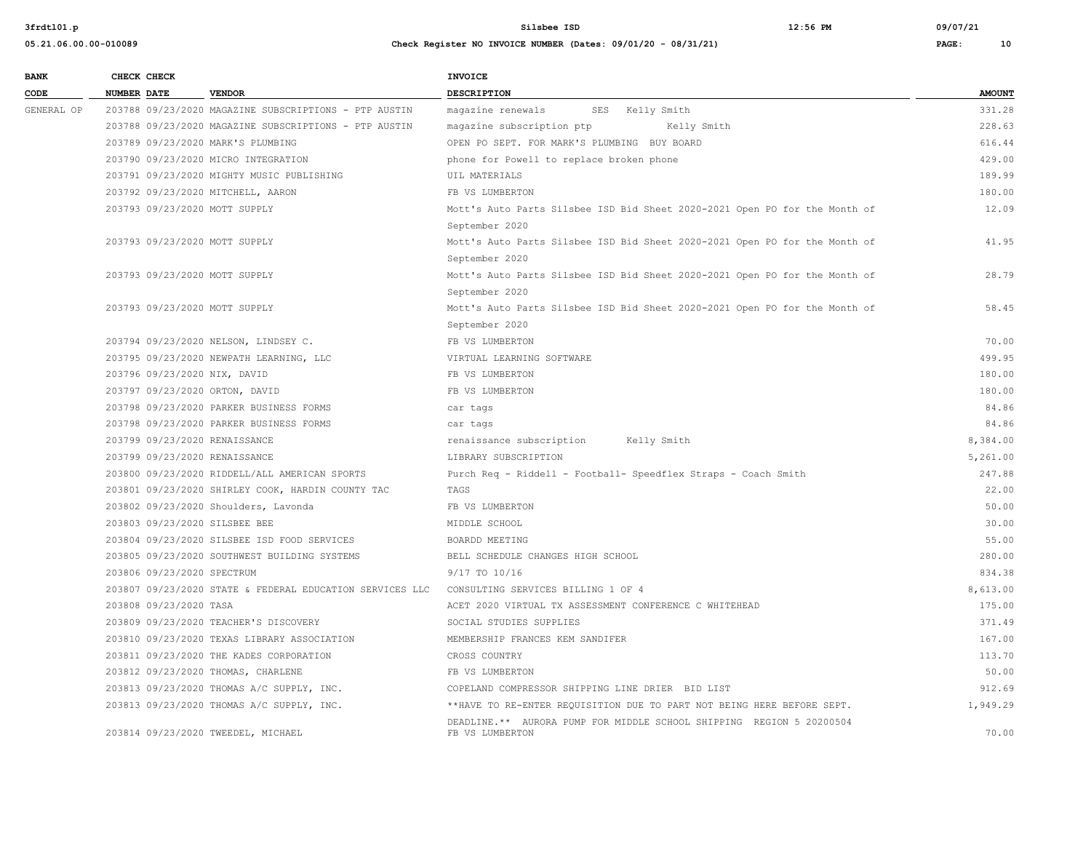**05.21.06.00.00-010089 Check Register NO INVOICE NUMBER (Dates: 09/01/20 - 08/31/21) PAGE: 10**

**BANK CHECK CHECK** 

**3frdtl01.p Silsbee ISD 12:56 PM 09/07/21**

| - |                                 | ___ |  |  |
|---|---------------------------------|-----|--|--|
|   |                                 |     |  |  |
|   |                                 |     |  |  |
|   | <b>INVOICE</b>                  |     |  |  |
|   |                                 |     |  |  |
|   | <b><u><u>BRACKFBBFA</u></u></b> |     |  |  |

| CODE       | <b>NUMBER DATE</b>                 | <b>VENDOR</b>                                            | DESCRIPTION                                                                             | <b>AMOUNT</b> |
|------------|------------------------------------|----------------------------------------------------------|-----------------------------------------------------------------------------------------|---------------|
| GENERAL OP |                                    | 203788 09/23/2020 MAGAZINE SUBSCRIPTIONS - PTP AUSTIN    | magazine renewals<br>SES Kelly Smith                                                    | 331.28        |
|            |                                    | 203788 09/23/2020 MAGAZINE SUBSCRIPTIONS - PTP AUSTIN    | magazine subscription ptp<br>Kelly Smith                                                | 228.63        |
|            | 203789 09/23/2020 MARK'S PLUMBING  |                                                          | OPEN PO SEPT. FOR MARK'S PLUMBING BUY BOARD                                             | 616.44        |
|            |                                    | 203790 09/23/2020 MICRO INTEGRATION                      | phone for Powell to replace broken phone                                                | 429.00        |
|            |                                    | 203791 09/23/2020 MIGHTY MUSIC PUBLISHING                | UIL MATERIALS                                                                           | 189.99        |
|            | 203792 09/23/2020 MITCHELL, AARON  |                                                          | FB VS LUMBERTON                                                                         | 180.00        |
|            | 203793 09/23/2020 MOTT SUPPLY      |                                                          | Mott's Auto Parts Silsbee ISD Bid Sheet 2020-2021 Open PO for the Month of              | 12.09         |
|            |                                    |                                                          | September 2020                                                                          |               |
|            | 203793 09/23/2020 MOTT SUPPLY      |                                                          | Mott's Auto Parts Silsbee ISD Bid Sheet 2020-2021 Open PO for the Month of              | 41.95         |
|            |                                    |                                                          | September 2020                                                                          |               |
|            | 203793 09/23/2020 MOTT SUPPLY      |                                                          | Mott's Auto Parts Silsbee ISD Bid Sheet 2020-2021 Open PO for the Month of              | 28.79         |
|            |                                    |                                                          | September 2020                                                                          |               |
|            | 203793 09/23/2020 MOTT SUPPLY      |                                                          | Mott's Auto Parts Silsbee ISD Bid Sheet 2020-2021 Open PO for the Month of              | 58.45         |
|            |                                    |                                                          | September 2020                                                                          |               |
|            |                                    | 203794 09/23/2020 NELSON, LINDSEY C.                     | FB VS LUMBERTON                                                                         | 70.00         |
|            |                                    | 203795 09/23/2020 NEWPATH LEARNING, LLC                  | VIRTUAL LEARNING SOFTWARE                                                               | 499.95        |
|            | 203796 09/23/2020 NIX, DAVID       |                                                          | FB VS LUMBERTON                                                                         | 180.00        |
|            | 203797 09/23/2020 ORTON, DAVID     |                                                          | FB VS LUMBERTON                                                                         | 180.00        |
|            |                                    | 203798 09/23/2020 PARKER BUSINESS FORMS                  | car tags                                                                                | 84.86         |
|            |                                    | 203798 09/23/2020 PARKER BUSINESS FORMS                  | car tags                                                                                | 84.86         |
|            | 203799 09/23/2020 RENAISSANCE      |                                                          | renaissance subscription Kelly Smith                                                    | 8,384.00      |
|            | 203799 09/23/2020 RENAISSANCE      |                                                          | LIBRARY SUBSCRIPTION                                                                    | 5,261.00      |
|            |                                    | 203800 09/23/2020 RIDDELL/ALL AMERICAN SPORTS            | Purch Req - Riddell - Football- Speedflex Straps - Coach Smith                          | 247.88        |
|            |                                    | 203801 09/23/2020 SHIRLEY COOK, HARDIN COUNTY TAC        | TAGS                                                                                    | 22.00         |
|            |                                    | 203802 09/23/2020 Shoulders, Lavonda                     | FB VS LUMBERTON                                                                         | 50.00         |
|            | 203803 09/23/2020 SILSBEE BEE      |                                                          | MIDDLE SCHOOL                                                                           | 30.00         |
|            |                                    | 203804 09/23/2020 SILSBEE ISD FOOD SERVICES              | BOARDD MEETING                                                                          | 55.00         |
|            |                                    | 203805 09/23/2020 SOUTHWEST BUILDING SYSTEMS             | BELL SCHEDULE CHANGES HIGH SCHOOL                                                       | 280.00        |
|            | 203806 09/23/2020 SPECTRUM         |                                                          | 9/17 TO 10/16                                                                           | 834.38        |
|            |                                    | 203807 09/23/2020 STATE & FEDERAL EDUCATION SERVICES LLC | CONSULTING SERVICES BILLING 1 OF 4                                                      | 8,613.00      |
|            | 203808 09/23/2020 TASA             |                                                          | ACET 2020 VIRTUAL TX ASSESSMENT CONFERENCE C WHITEHEAD                                  | 175.00        |
|            |                                    | 203809 09/23/2020 TEACHER'S DISCOVERY                    | SOCIAL STUDIES SUPPLIES                                                                 | 371.49        |
|            |                                    | 203810 09/23/2020 TEXAS LIBRARY ASSOCIATION              | MEMBERSHIP FRANCES KEM SANDIFER                                                         | 167.00        |
|            |                                    | 203811 09/23/2020 THE KADES CORPORATION                  | CROSS COUNTRY                                                                           | 113.70        |
|            | 203812 09/23/2020 THOMAS, CHARLENE |                                                          | FB VS LUMBERTON                                                                         | 50.00         |
|            |                                    | 203813 09/23/2020 THOMAS A/C SUPPLY, INC.                | COPELAND COMPRESSOR SHIPPING LINE DRIER BID LIST                                        | 912.69        |
|            |                                    | 203813 09/23/2020 THOMAS A/C SUPPLY, INC.                | ** HAVE TO RE-ENTER REQUISITION DUE TO PART NOT BEING HERE BEFORE SEPT.                 | 1,949.29      |
|            | 203814 09/23/2020 TWEEDEL, MICHAEL |                                                          | DEADLINE.** AURORA PUMP FOR MIDDLE SCHOOL SHIPPING REGION 5 20200504<br>FB VS LUMBERTON | 70.00         |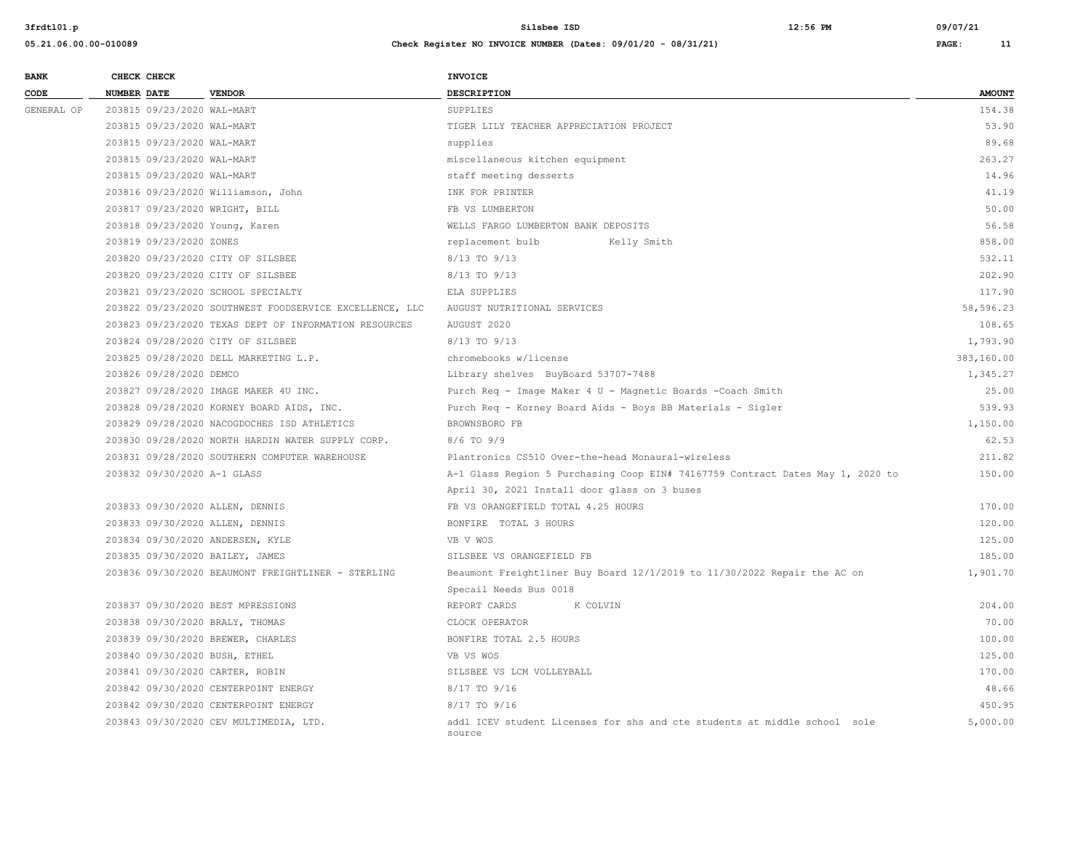| <b>BANK</b> | CHECK CHECK                      |                                                         | <b>INVOICE</b>                                                                      |               |
|-------------|----------------------------------|---------------------------------------------------------|-------------------------------------------------------------------------------------|---------------|
| CODE        | <b>NUMBER DATE</b>               | <b>VENDOR</b>                                           | <b>DESCRIPTION</b>                                                                  | <b>AMOUNT</b> |
| GENERAL OP  | 203815 09/23/2020 WAL-MART       |                                                         | SUPPLIES                                                                            | 154.38        |
|             | 203815 09/23/2020 WAL-MART       |                                                         | TIGER LILY TEACHER APPRECIATION PROJECT                                             | 53.90         |
|             | 203815 09/23/2020 WAL-MART       |                                                         | supplies                                                                            | 89.68         |
|             | 203815 09/23/2020 WAL-MART       |                                                         | miscellaneous kitchen equipment                                                     | 263.27        |
|             | 203815 09/23/2020 WAL-MART       |                                                         | staff meeting desserts                                                              | 14.96         |
|             |                                  | 203816 09/23/2020 Williamson, John                      | INK FOR PRINTER                                                                     | 41.19         |
|             | 203817 09/23/2020 WRIGHT, BILL   |                                                         | FB VS LUMBERTON                                                                     | 50.00         |
|             | 203818 09/23/2020 Young, Karen   |                                                         | WELLS FARGO LUMBERTON BANK DEPOSITS                                                 | 56.58         |
|             | 203819 09/23/2020 ZONES          |                                                         | replacement bulb<br>Kelly Smith                                                     | 858.00        |
|             |                                  | 203820 09/23/2020 CITY OF SILSBEE                       | 8/13 TO 9/13                                                                        | 532.11        |
|             |                                  | 203820 09/23/2020 CITY OF SILSBEE                       | 8/13 TO 9/13                                                                        | 202.90        |
|             |                                  | 203821 09/23/2020 SCHOOL SPECIALTY                      | ELA SUPPLIES                                                                        | 117.90        |
|             |                                  | 203822 09/23/2020 SOUTHWEST FOODSERVICE EXCELLENCE, LLC | AUGUST NUTRITIONAL SERVICES                                                         | 58,596.23     |
|             |                                  | 203823 09/23/2020 TEXAS DEPT OF INFORMATION RESOURCES   | AUGUST 2020                                                                         | 108.65        |
|             |                                  | 203824 09/28/2020 CITY OF SILSBEE                       | 8/13 TO 9/13                                                                        | 1,793.90      |
|             |                                  | 203825 09/28/2020 DELL MARKETING L.P.                   | chromebooks w/license                                                               | 383,160.00    |
|             | 203826 09/28/2020 DEMCO          |                                                         | Library shelves BuyBoard 53707-7488                                                 | 1,345.27      |
|             |                                  | 203827 09/28/2020 IMAGE MAKER 4U INC.                   | Purch Req - Image Maker 4 U - Magnetic Boards - Coach Smith                         | 25.00         |
|             |                                  | 203828 09/28/2020 KORNEY BOARD AIDS, INC.               | Purch Req - Korney Board Aids - Boys BB Materials - Sigler                          | 539.93        |
|             |                                  | 203829 09/28/2020 NACOGDOCHES ISD ATHLETICS             | BROWNSBORO FB                                                                       | 1,150.00      |
|             |                                  | 203830 09/28/2020 NORTH HARDIN WATER SUPPLY CORP.       | 8/6 TO 9/9                                                                          | 62.53         |
|             |                                  | 203831 09/28/2020 SOUTHERN COMPUTER WAREHOUSE           | Plantronics CS510 Over-the-head Monaural-wireless                                   | 211.82        |
|             | 203832 09/30/2020 A-1 GLASS      |                                                         | A-1 Glass Region 5 Purchasing Coop EIN# 74167759 Contract Dates May 1, 2020 to      | 150.00        |
|             |                                  |                                                         | April 30, 2021 Install door glass on 3 buses                                        |               |
|             | 203833 09/30/2020 ALLEN, DENNIS  |                                                         | FB VS ORANGEFIELD TOTAL 4.25 HOURS                                                  | 170.00        |
|             | 203833 09/30/2020 ALLEN, DENNIS  |                                                         | BONFIRE TOTAL 3 HOURS                                                               | 120.00        |
|             | 203834 09/30/2020 ANDERSEN, KYLE |                                                         | VB V WOS                                                                            | 125.00        |
|             | 203835 09/30/2020 BAILEY, JAMES  |                                                         | SILSBEE VS ORANGEFIELD FB                                                           | 185.00        |
|             |                                  | 203836 09/30/2020 BEAUMONT FREIGHTLINER - STERLING      | Beaumont Freightliner Buy Board 12/1/2019 to 11/30/2022 Repair the AC on            | 1,901.70      |
|             |                                  |                                                         | Specail Needs Bus 0018                                                              |               |
|             |                                  | 203837 09/30/2020 BEST MPRESSIONS                       | REPORT CARDS<br>K COLVIN                                                            | 204.00        |
|             | 203838 09/30/2020 BRALY, THOMAS  |                                                         | CLOCK OPERATOR                                                                      | 70.00         |
|             |                                  | 203839 09/30/2020 BREWER, CHARLES                       | BONFIRE TOTAL 2.5 HOURS                                                             | 100.00        |
|             | 203840 09/30/2020 BUSH, ETHEL    |                                                         | VB VS WOS                                                                           | 125.00        |
|             | 203841 09/30/2020 CARTER, ROBIN  |                                                         | SILSBEE VS LCM VOLLEYBALL                                                           | 170.00        |
|             |                                  | 203842 09/30/2020 CENTERPOINT ENERGY                    | 8/17 TO 9/16                                                                        | 48.66         |
|             |                                  | 203842 09/30/2020 CENTERPOINT ENERGY                    | 8/17 TO 9/16                                                                        | 450.95        |
|             |                                  | 203843 09/30/2020 CEV MULTIMEDIA, LTD.                  | addl ICEV student Licenses for shs and cte students at middle school sole<br>source | 5,000.00      |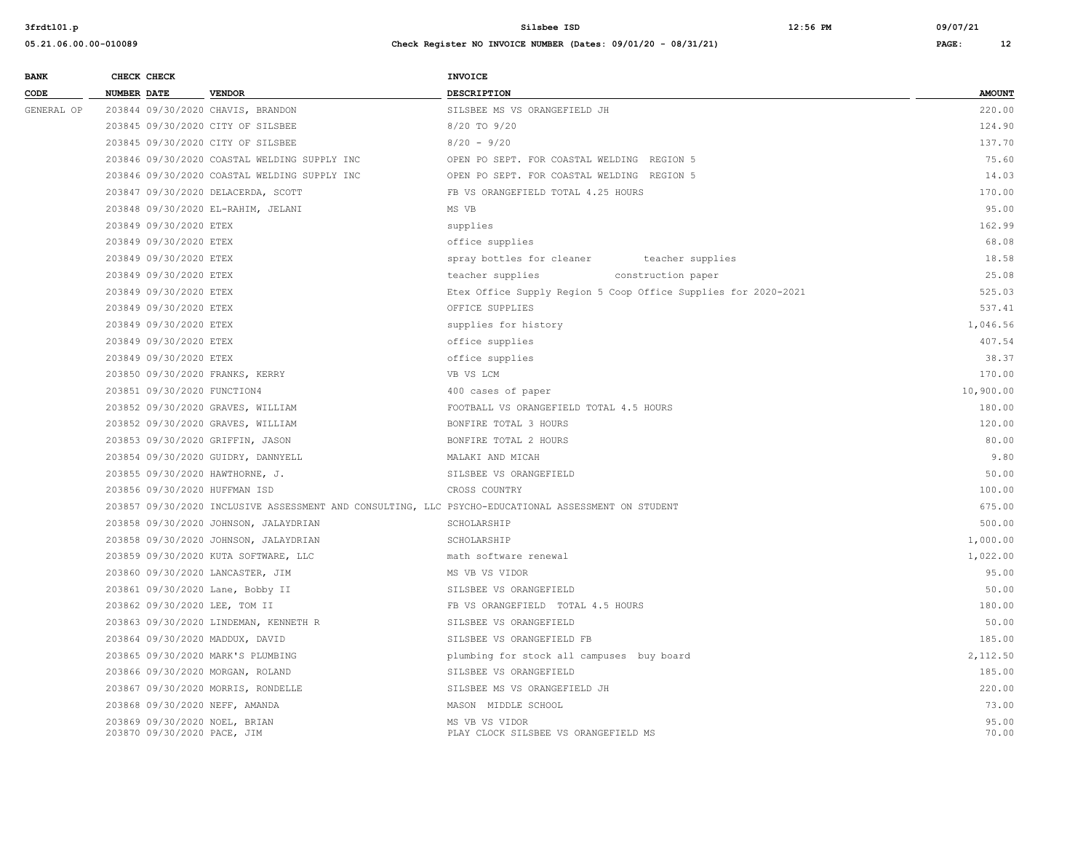| <b>BANK</b> |                    | CHECK CHECK                 |                                              | <b>INVOICE</b>                                                                                      |                |  |
|-------------|--------------------|-----------------------------|----------------------------------------------|-----------------------------------------------------------------------------------------------------|----------------|--|
| CODE        | <b>NUMBER DATE</b> |                             | <b>VENDOR</b>                                | <b>DESCRIPTION</b>                                                                                  | <b>AMOUNT</b>  |  |
| GENERAL OP  |                    |                             | 203844 09/30/2020 CHAVIS, BRANDON            | SILSBEE MS VS ORANGEFIELD JH                                                                        | 220.00         |  |
|             |                    |                             | 203845 09/30/2020 CITY OF SILSBEE            | 8/20 TO 9/20                                                                                        | 124.90         |  |
|             |                    |                             | 203845 09/30/2020 CITY OF SILSBEE            | $8/20 - 9/20$                                                                                       | 137.70         |  |
|             |                    |                             | 203846 09/30/2020 COASTAL WELDING SUPPLY INC | OPEN PO SEPT. FOR COASTAL WELDING REGION 5                                                          | 75.60          |  |
|             |                    |                             | 203846 09/30/2020 COASTAL WELDING SUPPLY INC | OPEN PO SEPT. FOR COASTAL WELDING REGION 5                                                          | 14.03          |  |
|             |                    |                             | 203847 09/30/2020 DELACERDA, SCOTT           | FB VS ORANGEFIELD TOTAL 4.25 HOURS                                                                  | 170.00         |  |
|             |                    |                             | 203848 09/30/2020 EL-RAHIM, JELANI           | MS VB                                                                                               | 95.00          |  |
|             |                    | 203849 09/30/2020 ETEX      |                                              | supplies                                                                                            | 162.99         |  |
|             |                    | 203849 09/30/2020 ETEX      |                                              | office supplies                                                                                     | 68.08          |  |
|             |                    | 203849 09/30/2020 ETEX      |                                              | spray bottles for cleaner<br>teacher supplies                                                       | 18.58          |  |
|             |                    | 203849 09/30/2020 ETEX      |                                              | teacher supplies<br>construction paper                                                              | 25.08          |  |
|             |                    | 203849 09/30/2020 ETEX      |                                              | Etex Office Supply Region 5 Coop Office Supplies for 2020-2021                                      | 525.03         |  |
|             |                    | 203849 09/30/2020 ETEX      |                                              | OFFICE SUPPLIES                                                                                     | 537.41         |  |
|             |                    | 203849 09/30/2020 ETEX      |                                              | supplies for history                                                                                | 1,046.56       |  |
|             |                    | 203849 09/30/2020 ETEX      |                                              | office supplies                                                                                     | 407.54         |  |
|             |                    | 203849 09/30/2020 ETEX      |                                              | office supplies                                                                                     | 38.37          |  |
|             |                    |                             | 203850 09/30/2020 FRANKS, KERRY              | VB VS LCM                                                                                           | 170.00         |  |
|             |                    | 203851 09/30/2020 FUNCTION4 |                                              | 400 cases of paper                                                                                  | 10,900.00      |  |
|             |                    |                             | 203852 09/30/2020 GRAVES, WILLIAM            | FOOTBALL VS ORANGEFIELD TOTAL 4.5 HOURS                                                             | 180.00         |  |
|             |                    |                             | 203852 09/30/2020 GRAVES, WILLIAM            | BONFIRE TOTAL 3 HOURS                                                                               | 120.00         |  |
|             |                    |                             | 203853 09/30/2020 GRIFFIN, JASON             | BONFIRE TOTAL 2 HOURS                                                                               | 80.00          |  |
|             |                    |                             | 203854 09/30/2020 GUIDRY, DANNYELL           | MALAKI AND MICAH                                                                                    | 9.80           |  |
|             |                    |                             | 203855 09/30/2020 HAWTHORNE, J.              | SILSBEE VS ORANGEFIELD                                                                              | 50.00          |  |
|             |                    |                             | 203856 09/30/2020 HUFFMAN ISD                | CROSS COUNTRY                                                                                       | 100.00         |  |
|             |                    |                             |                                              | 203857 09/30/2020 INCLUSIVE ASSESSMENT AND CONSULTING, LLC PSYCHO-EDUCATIONAL ASSESSMENT ON STUDENT | 675.00         |  |
|             |                    |                             | 203858 09/30/2020 JOHNSON, JALAYDRIAN        | SCHOLARSHIP                                                                                         | 500.00         |  |
|             |                    |                             | 203858 09/30/2020 JOHNSON, JALAYDRIAN        | SCHOLARSHIP                                                                                         | 1,000.00       |  |
|             |                    |                             | 203859 09/30/2020 KUTA SOFTWARE, LLC         | math software renewal                                                                               | 1,022.00       |  |
|             |                    |                             | 203860 09/30/2020 LANCASTER, JIM             | MS VB VS VIDOR                                                                                      | 95.00          |  |
|             |                    |                             | 203861 09/30/2020 Lane, Bobby II             | SILSBEE VS ORANGEFIELD                                                                              | 50.00          |  |
|             |                    |                             | 203862 09/30/2020 LEE, TOM II                | FB VS ORANGEFIELD TOTAL 4.5 HOURS                                                                   | 180.00         |  |
|             |                    |                             | 203863 09/30/2020 LINDEMAN, KENNETH R        | SILSBEE VS ORANGEFIELD                                                                              | 50.00          |  |
|             |                    |                             | 203864 09/30/2020 MADDUX, DAVID              | SILSBEE VS ORANGEFIELD FB                                                                           | 185.00         |  |
|             |                    |                             | 203865 09/30/2020 MARK'S PLUMBING            | plumbing for stock all campuses buy board                                                           | 2,112.50       |  |
|             |                    |                             | 203866 09/30/2020 MORGAN, ROLAND             | SILSBEE VS ORANGEFIELD                                                                              | 185.00         |  |
|             |                    |                             | 203867 09/30/2020 MORRIS, RONDELLE           | SILSBEE MS VS ORANGEFIELD JH                                                                        | 220.00         |  |
|             |                    |                             | 203868 09/30/2020 NEFF, AMANDA               | MASON MIDDLE SCHOOL                                                                                 | 73.00          |  |
|             |                    | 203870 09/30/2020 PACE, JIM | 203869 09/30/2020 NOEL, BRIAN                | MS VB VS VIDOR<br>PLAY CLOCK SILSBEE VS ORANGEFIELD MS                                              | 95.00<br>70.00 |  |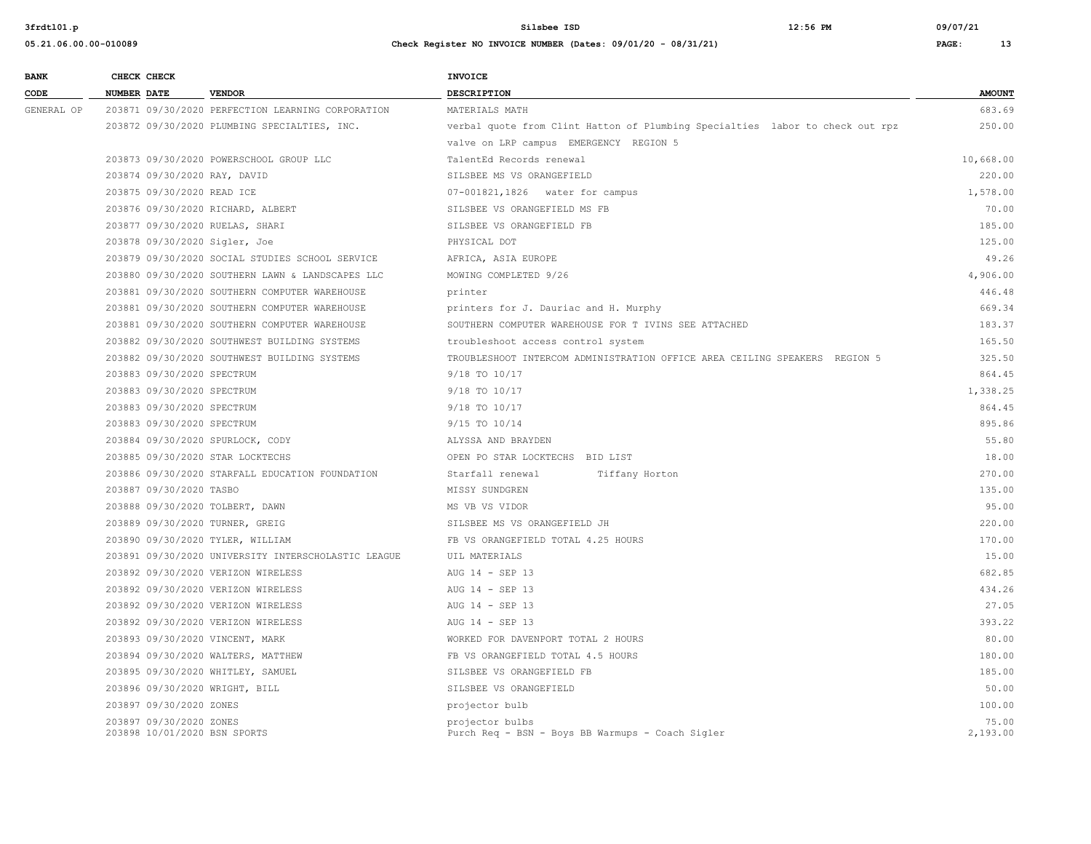| <b>BANK</b> | CHECK CHECK                                             |                                                     | <b>INVOICE</b>                                                                |                   |
|-------------|---------------------------------------------------------|-----------------------------------------------------|-------------------------------------------------------------------------------|-------------------|
| CODE        | NUMBER DATE                                             | <b>VENDOR</b>                                       | DESCRIPTION                                                                   | <b>AMOUNT</b>     |
| GENERAL OP  |                                                         | 203871 09/30/2020 PERFECTION LEARNING CORPORATION   | MATERIALS MATH                                                                | 683.69            |
|             |                                                         | 203872 09/30/2020 PLUMBING SPECIALTIES, INC.        | verbal quote from Clint Hatton of Plumbing Specialties labor to check out rpz | 250.00            |
|             |                                                         |                                                     | valve on LRP campus EMERGENCY REGION 5                                        |                   |
|             |                                                         | 203873 09/30/2020 POWERSCHOOL GROUP LLC             | TalentEd Records renewal                                                      | 10,668.00         |
|             | 203874 09/30/2020 RAY, DAVID                            |                                                     | SILSBEE MS VS ORANGEFIELD                                                     | 220.00            |
|             | 203875 09/30/2020 READ ICE                              |                                                     | 07-001821,1826 water for campus                                               | 1,578.00          |
|             | 203876 09/30/2020 RICHARD, ALBERT                       |                                                     | SILSBEE VS ORANGEFIELD MS FB                                                  | 70.00             |
|             | 203877 09/30/2020 RUELAS, SHARI                         |                                                     | SILSBEE VS ORANGEFIELD FB                                                     | 185.00            |
|             | 203878 09/30/2020 Sigler, Joe                           |                                                     | PHYSICAL DOT                                                                  | 125.00            |
|             |                                                         | 203879 09/30/2020 SOCIAL STUDIES SCHOOL SERVICE     | AFRICA, ASIA EUROPE                                                           | 49.26             |
|             |                                                         | 203880 09/30/2020 SOUTHERN LAWN & LANDSCAPES LLC    | MOWING COMPLETED 9/26                                                         | 4,906.00          |
|             |                                                         | 203881 09/30/2020 SOUTHERN COMPUTER WAREHOUSE       | printer                                                                       | 446.48            |
|             |                                                         | 203881 09/30/2020 SOUTHERN COMPUTER WAREHOUSE       | printers for J. Dauriac and H. Murphy                                         | 669.34            |
|             |                                                         | 203881 09/30/2020 SOUTHERN COMPUTER WAREHOUSE       | SOUTHERN COMPUTER WAREHOUSE FOR T IVINS SEE ATTACHED                          | 183.37            |
|             |                                                         | 203882 09/30/2020 SOUTHWEST BUILDING SYSTEMS        | troubleshoot access control system                                            | 165.50            |
|             |                                                         | 203882 09/30/2020 SOUTHWEST BUILDING SYSTEMS        | TROUBLESHOOT INTERCOM ADMINISTRATION OFFICE AREA CEILING SPEAKERS REGION 5    | 325.50            |
|             | 203883 09/30/2020 SPECTRUM                              |                                                     | 9/18 TO 10/17                                                                 | 864.45            |
|             | 203883 09/30/2020 SPECTRUM                              |                                                     | 9/18 TO 10/17                                                                 | 1,338.25          |
|             | 203883 09/30/2020 SPECTRUM                              |                                                     | 9/18 TO 10/17                                                                 | 864.45            |
|             | 203883 09/30/2020 SPECTRUM                              |                                                     | 9/15 TO 10/14                                                                 | 895.86            |
|             | 203884 09/30/2020 SPURLOCK, CODY                        |                                                     | ALYSSA AND BRAYDEN                                                            | 55.80             |
|             | 203885 09/30/2020 STAR LOCKTECHS                        |                                                     | OPEN PO STAR LOCKTECHS BID LIST                                               | 18.00             |
|             |                                                         | 203886 09/30/2020 STARFALL EDUCATION FOUNDATION     | Starfall renewal<br>Tiffany Horton                                            | 270.00            |
|             | 203887 09/30/2020 TASBO                                 |                                                     | MISSY SUNDGREN                                                                | 135.00            |
|             | 203888 09/30/2020 TOLBERT, DAWN                         |                                                     | MS VB VS VIDOR                                                                | 95.00             |
|             | 203889 09/30/2020 TURNER, GREIG                         |                                                     | SILSBEE MS VS ORANGEFIELD JH                                                  | 220.00            |
|             | 203890 09/30/2020 TYLER, WILLIAM                        |                                                     | FB VS ORANGEFIELD TOTAL 4.25 HOURS                                            | 170.00            |
|             |                                                         | 203891 09/30/2020 UNIVERSITY INTERSCHOLASTIC LEAGUE | UIL MATERIALS                                                                 | 15.00             |
|             |                                                         | 203892 09/30/2020 VERIZON WIRELESS                  | AUG 14 - SEP 13                                                               | 682.85            |
|             |                                                         | 203892 09/30/2020 VERIZON WIRELESS                  | AUG 14 - SEP 13                                                               | 434.26            |
|             |                                                         | 203892 09/30/2020 VERIZON WIRELESS                  | AUG 14 - SEP 13                                                               | 27.05             |
|             |                                                         | 203892 09/30/2020 VERIZON WIRELESS                  | AUG 14 - SEP 13                                                               | 393.22            |
|             | 203893 09/30/2020 VINCENT, MARK                         |                                                     | WORKED FOR DAVENPORT TOTAL 2 HOURS                                            | 80.00             |
|             |                                                         | 203894 09/30/2020 WALTERS, MATTHEW                  | FB VS ORANGEFIELD TOTAL 4.5 HOURS                                             | 180.00            |
|             | 203895 09/30/2020 WHITLEY, SAMUEL                       |                                                     | SILSBEE VS ORANGEFIELD FB                                                     | 185.00            |
|             | 203896 09/30/2020 WRIGHT, BILL                          |                                                     | SILSBEE VS ORANGEFIELD                                                        | 50.00             |
|             | 203897 09/30/2020 ZONES                                 |                                                     | projector bulb                                                                | 100.00            |
|             | 203897 09/30/2020 ZONES<br>203898 10/01/2020 BSN SPORTS |                                                     | projector bulbs<br>Purch Req - BSN - Boys BB Warmups - Coach Sigler           | 75.00<br>2,193.00 |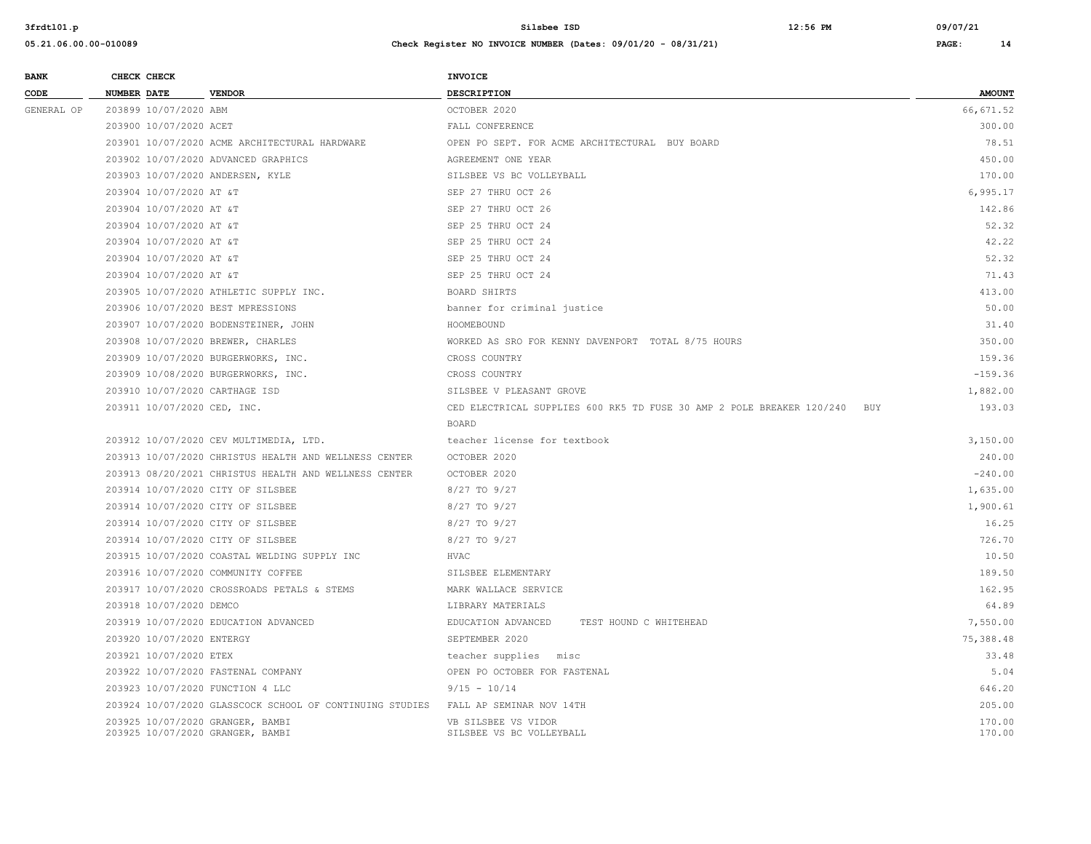| <b>BANK</b> |                    | CHECK CHECK                 |                                                          | <b>INVOICE</b>                                                            |               |
|-------------|--------------------|-----------------------------|----------------------------------------------------------|---------------------------------------------------------------------------|---------------|
| CODE        | <b>NUMBER DATE</b> |                             | <b>VENDOR</b>                                            | DESCRIPTION                                                               | <b>AMOUNT</b> |
| GENERAL OP  |                    | 203899 10/07/2020 ABM       |                                                          | OCTOBER 2020                                                              | 66,671.52     |
|             |                    | 203900 10/07/2020 ACET      |                                                          | FALL CONFERENCE                                                           | 300.00        |
|             |                    |                             | 203901 10/07/2020 ACME ARCHITECTURAL HARDWARE            | OPEN PO SEPT. FOR ACME ARCHITECTURAL BUY BOARD                            | 78.51         |
|             |                    |                             | 203902 10/07/2020 ADVANCED GRAPHICS                      | AGREEMENT ONE YEAR                                                        | 450.00        |
|             |                    |                             | 203903 10/07/2020 ANDERSEN, KYLE                         | SILSBEE VS BC VOLLEYBALL                                                  | 170.00        |
|             |                    | 203904 10/07/2020 AT &T     |                                                          | SEP 27 THRU OCT 26                                                        | 6,995.17      |
|             |                    | 203904 10/07/2020 AT &T     |                                                          | SEP 27 THRU OCT 26                                                        | 142.86        |
|             |                    | 203904 10/07/2020 AT &T     |                                                          | SEP 25 THRU OCT 24                                                        | 52.32         |
|             |                    | 203904 10/07/2020 AT &T     |                                                          | SEP 25 THRU OCT 24                                                        | 42.22         |
|             |                    | 203904 10/07/2020 AT &T     |                                                          | SEP 25 THRU OCT 24                                                        | 52.32         |
|             |                    | 203904 10/07/2020 AT &T     |                                                          | SEP 25 THRU OCT 24                                                        | 71.43         |
|             |                    |                             | 203905 10/07/2020 ATHLETIC SUPPLY INC.                   | BOARD SHIRTS                                                              | 413.00        |
|             |                    |                             | 203906 10/07/2020 BEST MPRESSIONS                        | banner for criminal justice                                               | 50.00         |
|             |                    |                             | 203907 10/07/2020 BODENSTEINER, JOHN                     | HOOMEBOUND                                                                | 31.40         |
|             |                    |                             | 203908 10/07/2020 BREWER, CHARLES                        | WORKED AS SRO FOR KENNY DAVENPORT TOTAL 8/75 HOURS                        | 350.00        |
|             |                    |                             | 203909 10/07/2020 BURGERWORKS, INC.                      | CROSS COUNTRY                                                             | 159.36        |
|             |                    |                             | 203909 10/08/2020 BURGERWORKS, INC.                      | CROSS COUNTRY                                                             | $-159.36$     |
|             |                    |                             | 203910 10/07/2020 CARTHAGE ISD                           | SILSBEE V PLEASANT GROVE                                                  | 1,882.00      |
|             |                    | 203911 10/07/2020 CED, INC. |                                                          | CED ELECTRICAL SUPPLIES 600 RK5 TD FUSE 30 AMP 2 POLE BREAKER 120/240 BUY | 193.03        |
|             |                    |                             |                                                          | <b>BOARD</b>                                                              |               |
|             |                    |                             | 203912 10/07/2020 CEV MULTIMEDIA, LTD.                   | teacher license for textbook                                              | 3,150.00      |
|             |                    |                             | 203913 10/07/2020 CHRISTUS HEALTH AND WELLNESS CENTER    | OCTOBER 2020                                                              | 240.00        |
|             |                    |                             | 203913 08/20/2021 CHRISTUS HEALTH AND WELLNESS CENTER    | OCTOBER 2020                                                              | $-240.00$     |
|             |                    |                             | 203914 10/07/2020 CITY OF SILSBEE                        | 8/27 TO 9/27                                                              | 1,635.00      |
|             |                    |                             | 203914 10/07/2020 CITY OF SILSBEE                        | 8/27 TO 9/27                                                              | 1,900.61      |
|             |                    |                             | 203914 10/07/2020 CITY OF SILSBEE                        | 8/27 TO 9/27                                                              | 16.25         |
|             |                    |                             | 203914 10/07/2020 CITY OF SILSBEE                        | 8/27 TO 9/27                                                              | 726.70        |
|             |                    |                             | 203915 10/07/2020 COASTAL WELDING SUPPLY INC             | HVAC                                                                      | 10.50         |
|             |                    |                             | 203916 10/07/2020 COMMUNITY COFFEE                       | SILSBEE ELEMENTARY                                                        | 189.50        |
|             |                    |                             | 203917 10/07/2020 CROSSROADS PETALS & STEMS              | MARK WALLACE SERVICE                                                      | 162.95        |
|             |                    | 203918 10/07/2020 DEMCO     |                                                          | LIBRARY MATERIALS                                                         | 64.89         |
|             |                    |                             | 203919 10/07/2020 EDUCATION ADVANCED                     | EDUCATION ADVANCED<br>TEST HOUND C WHITEHEAD                              | 7,550.00      |
|             |                    | 203920 10/07/2020 ENTERGY   |                                                          | SEPTEMBER 2020                                                            | 75,388.48     |
|             |                    | 203921 10/07/2020 ETEX      |                                                          | teacher supplies misc                                                     | 33.48         |
|             |                    |                             | 203922 10/07/2020 FASTENAL COMPANY                       | OPEN PO OCTOBER FOR FASTENAL                                              | 5.04          |
|             |                    |                             | 203923 10/07/2020 FUNCTION 4 LLC                         | $9/15 - 10/14$                                                            | 646.20        |
|             |                    |                             | 203924 10/07/2020 GLASSCOCK SCHOOL OF CONTINUING STUDIES | FALL AP SEMINAR NOV 14TH                                                  | 205.00        |
|             |                    |                             | 203925 10/07/2020 GRANGER, BAMBI                         | VB SILSBEE VS VIDOR                                                       | 170.00        |
|             |                    |                             | 203925 10/07/2020 GRANGER, BAMBI                         | SILSBEE VS BC VOLLEYBALL                                                  | 170.00        |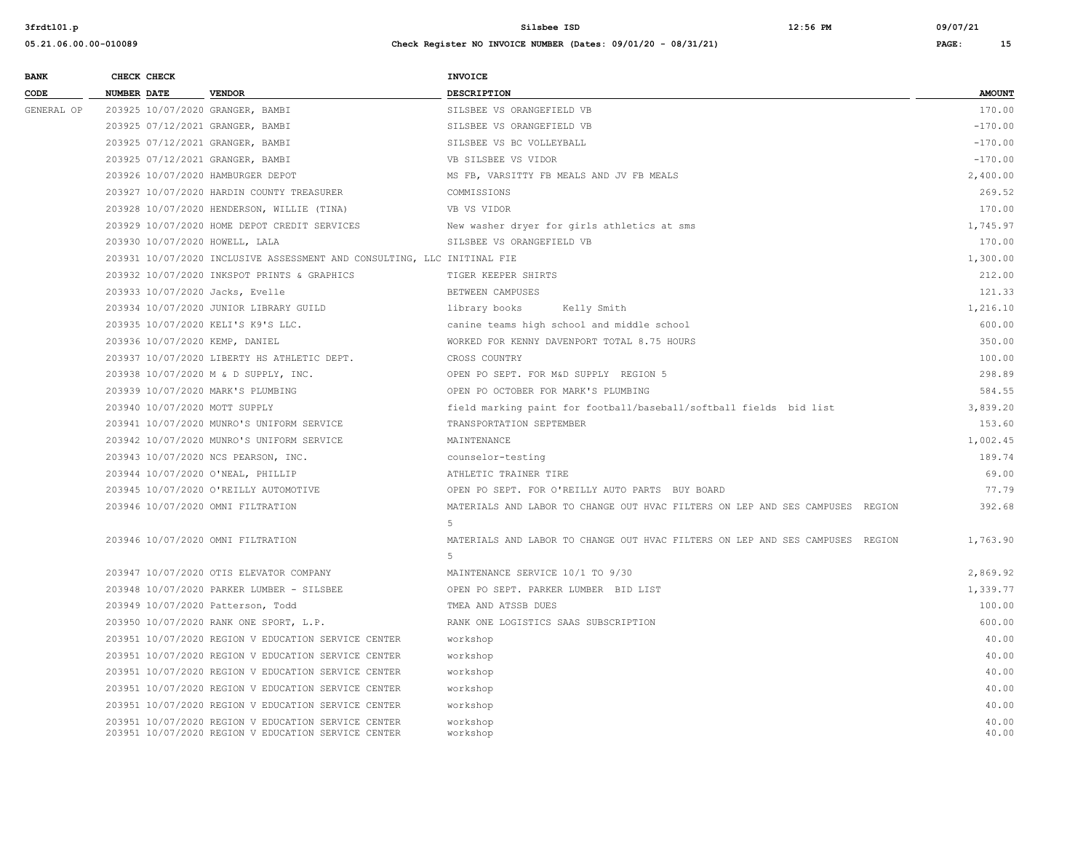| <b>BANK</b> |                    | CHECK CHECK |                                                                                                            | INVOICE                                                                       |                |
|-------------|--------------------|-------------|------------------------------------------------------------------------------------------------------------|-------------------------------------------------------------------------------|----------------|
| CODE        | <b>NUMBER DATE</b> |             | <b>VENDOR</b>                                                                                              | <b>DESCRIPTION</b>                                                            | <b>AMOUNT</b>  |
| GENERAL OP  |                    |             | 203925 10/07/2020 GRANGER, BAMBI                                                                           | SILSBEE VS ORANGEFIELD VB                                                     | 170.00         |
|             |                    |             | 203925 07/12/2021 GRANGER, BAMBI                                                                           | SILSBEE VS ORANGEFIELD VB                                                     | $-170.00$      |
|             |                    |             | 203925 07/12/2021 GRANGER, BAMBI                                                                           | SILSBEE VS BC VOLLEYBALL                                                      | $-170.00$      |
|             |                    |             | 203925 07/12/2021 GRANGER, BAMBI                                                                           | VB SILSBEE VS VIDOR                                                           | $-170.00$      |
|             |                    |             | 203926 10/07/2020 HAMBURGER DEPOT                                                                          | MS FB, VARSITTY FB MEALS AND JV FB MEALS                                      | 2,400.00       |
|             |                    |             | 203927 10/07/2020 HARDIN COUNTY TREASURER                                                                  | COMMISSIONS                                                                   | 269.52         |
|             |                    |             | 203928 10/07/2020 HENDERSON, WILLIE (TINA)                                                                 | VB VS VIDOR                                                                   | 170.00         |
|             |                    |             | 203929 10/07/2020 HOME DEPOT CREDIT SERVICES                                                               | New washer dryer for girls athletics at sms                                   | 1,745.97       |
|             |                    |             | 203930 10/07/2020 HOWELL, LALA                                                                             | SILSBEE VS ORANGEFIELD VB                                                     | 170.00         |
|             |                    |             | 203931 10/07/2020 INCLUSIVE ASSESSMENT AND CONSULTING, LLC INITINAL FIE                                    |                                                                               | 1,300.00       |
|             |                    |             | 203932 10/07/2020 INKSPOT PRINTS & GRAPHICS                                                                | TIGER KEEPER SHIRTS                                                           | 212.00         |
|             |                    |             | 203933 10/07/2020 Jacks, Evelle                                                                            | BETWEEN CAMPUSES                                                              | 121.33         |
|             |                    |             | 203934 10/07/2020 JUNIOR LIBRARY GUILD                                                                     | library books<br>Kelly Smith                                                  | 1,216.10       |
|             |                    |             | 203935 10/07/2020 KELI'S K9'S LLC.                                                                         | canine teams high school and middle school                                    | 600.00         |
|             |                    |             | 203936 10/07/2020 KEMP, DANIEL                                                                             | WORKED FOR KENNY DAVENPORT TOTAL 8.75 HOURS                                   | 350.00         |
|             |                    |             | 203937 10/07/2020 LIBERTY HS ATHLETIC DEPT.                                                                | CROSS COUNTRY                                                                 | 100.00         |
|             |                    |             | 203938 10/07/2020 M & D SUPPLY, INC.                                                                       | OPEN PO SEPT. FOR M&D SUPPLY REGION 5                                         | 298.89         |
|             |                    |             | 203939 10/07/2020 MARK'S PLUMBING                                                                          | OPEN PO OCTOBER FOR MARK'S PLUMBING                                           | 584.55         |
|             |                    |             | 203940 10/07/2020 MOTT SUPPLY                                                                              | field marking paint for football/baseball/softball fields bid list            | 3,839.20       |
|             |                    |             | 203941 10/07/2020 MUNRO'S UNIFORM SERVICE                                                                  | TRANSPORTATION SEPTEMBER                                                      | 153.60         |
|             |                    |             | 203942 10/07/2020 MUNRO'S UNIFORM SERVICE                                                                  | MAINTENANCE                                                                   | 1,002.45       |
|             |                    |             | 203943 10/07/2020 NCS PEARSON, INC.                                                                        | counselor-testing                                                             | 189.74         |
|             |                    |             | 203944 10/07/2020 O'NEAL, PHILLIP                                                                          | ATHLETIC TRAINER TIRE                                                         | 69.00          |
|             |                    |             | 203945 10/07/2020 O'REILLY AUTOMOTIVE                                                                      | OPEN PO SEPT. FOR O'REILLY AUTO PARTS BUY BOARD                               | 77.79          |
|             |                    |             | 203946 10/07/2020 OMNI FILTRATION                                                                          | MATERIALS AND LABOR TO CHANGE OUT HVAC FILTERS ON LEP AND SES CAMPUSES REGION | 392.68         |
|             |                    |             |                                                                                                            | 5                                                                             |                |
|             |                    |             | 203946 10/07/2020 OMNI FILTRATION                                                                          | MATERIALS AND LABOR TO CHANGE OUT HVAC FILTERS ON LEP AND SES CAMPUSES REGION | 1,763.90       |
|             |                    |             |                                                                                                            | 5                                                                             |                |
|             |                    |             | 203947 10/07/2020 OTIS ELEVATOR COMPANY                                                                    | MAINTENANCE SERVICE 10/1 TO 9/30                                              | 2,869.92       |
|             |                    |             | 203948 10/07/2020 PARKER LUMBER - SILSBEE                                                                  | OPEN PO SEPT. PARKER LUMBER BID LIST                                          | 1,339.77       |
|             |                    |             | 203949 10/07/2020 Patterson, Todd                                                                          | TMEA AND ATSSB DUES                                                           | 100.00         |
|             |                    |             | 203950 10/07/2020 RANK ONE SPORT, L.P.                                                                     | RANK ONE LOGISTICS SAAS SUBSCRIPTION                                          | 600.00         |
|             |                    |             | 203951 10/07/2020 REGION V EDUCATION SERVICE CENTER                                                        | workshop                                                                      | 40.00          |
|             |                    |             | 203951 10/07/2020 REGION V EDUCATION SERVICE CENTER                                                        | workshop                                                                      | 40.00          |
|             |                    |             | 203951 10/07/2020 REGION V EDUCATION SERVICE CENTER                                                        | workshop                                                                      | 40.00          |
|             |                    |             | 203951 10/07/2020 REGION V EDUCATION SERVICE CENTER                                                        | workshop                                                                      | 40.00          |
|             |                    |             | 203951 10/07/2020 REGION V EDUCATION SERVICE CENTER                                                        | workshop                                                                      | 40.00          |
|             |                    |             | 203951 10/07/2020 REGION V EDUCATION SERVICE CENTER<br>203951 10/07/2020 REGION V EDUCATION SERVICE CENTER | workshop<br>workshop                                                          | 40.00<br>40.00 |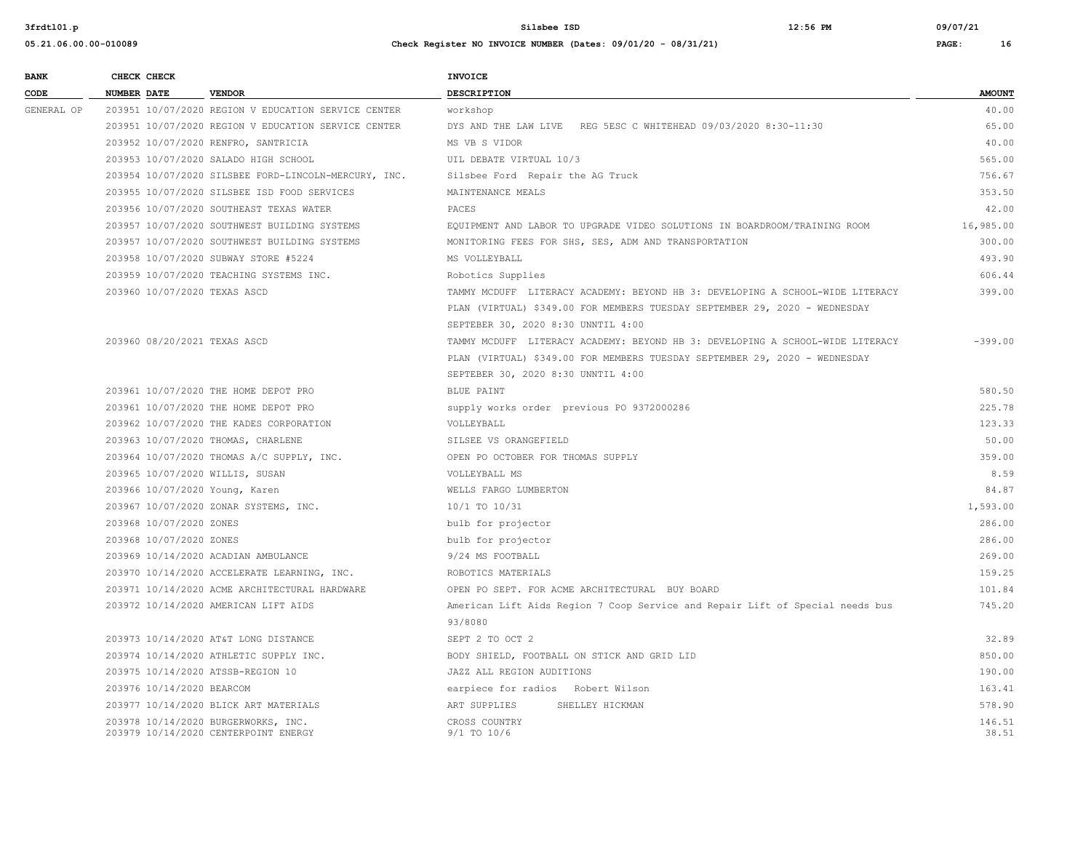| <b>BANK</b> |                    | CHECK CHECK               |                                                      | <b>INVOICE</b>                                                                |               |
|-------------|--------------------|---------------------------|------------------------------------------------------|-------------------------------------------------------------------------------|---------------|
| CODE        | <b>NUMBER DATE</b> |                           | <b>VENDOR</b>                                        | DESCRIPTION                                                                   | <b>AMOUNT</b> |
| GENERAL OP  |                    |                           | 203951 10/07/2020 REGION V EDUCATION SERVICE CENTER  | workshop                                                                      | 40.00         |
|             |                    |                           | 203951 10/07/2020 REGION V EDUCATION SERVICE CENTER  | DYS AND THE LAW LIVE REG 5ESC C WHITEHEAD 09/03/2020 8:30-11:30               | 65.00         |
|             |                    |                           | 203952 10/07/2020 RENFRO, SANTRICIA                  | MS VB S VIDOR                                                                 | 40.00         |
|             |                    |                           | 203953 10/07/2020 SALADO HIGH SCHOOL                 | UIL DEBATE VIRTUAL 10/3                                                       | 565.00        |
|             |                    |                           | 203954 10/07/2020 SILSBEE FORD-LINCOLN-MERCURY, INC. | Silsbee Ford Repair the AG Truck                                              | 756.67        |
|             |                    |                           | 203955 10/07/2020 SILSBEE ISD FOOD SERVICES          | MAINTENANCE MEALS                                                             | 353.50        |
|             |                    |                           | 203956 10/07/2020 SOUTHEAST TEXAS WATER              | PACES                                                                         | 42.00         |
|             |                    |                           | 203957 10/07/2020 SOUTHWEST BUILDING SYSTEMS         | EQUIPMENT AND LABOR TO UPGRADE VIDEO SOLUTIONS IN BOARDROOM/TRAINING ROOM     | 16,985.00     |
|             |                    |                           | 203957 10/07/2020 SOUTHWEST BUILDING SYSTEMS         | MONITORING FEES FOR SHS, SES, ADM AND TRANSPORTATION                          | 300.00        |
|             |                    |                           | 203958 10/07/2020 SUBWAY STORE #5224                 | MS VOLLEYBALL                                                                 | 493.90        |
|             |                    |                           | 203959 10/07/2020 TEACHING SYSTEMS INC.              | Robotics Supplies                                                             | 606.44        |
|             |                    |                           | 203960 10/07/2020 TEXAS ASCD                         | TAMMY MCDUFF LITERACY ACADEMY: BEYOND HB 3: DEVELOPING A SCHOOL-WIDE LITERACY | 399.00        |
|             |                    |                           |                                                      | PLAN (VIRTUAL) \$349.00 FOR MEMBERS TUESDAY SEPTEMBER 29, 2020 - WEDNESDAY    |               |
|             |                    |                           |                                                      | SEPTEBER 30, 2020 8:30 UNNTIL 4:00                                            |               |
|             |                    |                           | 203960 08/20/2021 TEXAS ASCD                         | TAMMY MCDUFF LITERACY ACADEMY: BEYOND HB 3: DEVELOPING A SCHOOL-WIDE LITERACY | $-399.00$     |
|             |                    |                           |                                                      | PLAN (VIRTUAL) \$349.00 FOR MEMBERS TUESDAY SEPTEMBER 29, 2020 - WEDNESDAY    |               |
|             |                    |                           |                                                      | SEPTEBER 30, 2020 8:30 UNNTIL 4:00                                            |               |
|             |                    |                           | 203961 10/07/2020 THE HOME DEPOT PRO                 | BLUE PAINT                                                                    | 580.50        |
|             |                    |                           | 203961 10/07/2020 THE HOME DEPOT PRO                 | supply works order previous PO 9372000286                                     | 225.78        |
|             |                    |                           | 203962 10/07/2020 THE KADES CORPORATION              | VOLLEYBALL                                                                    | 123.33        |
|             |                    |                           | 203963 10/07/2020 THOMAS, CHARLENE                   | SILSEE VS ORANGEFIELD                                                         | 50.00         |
|             |                    |                           | 203964 10/07/2020 THOMAS A/C SUPPLY, INC.            | OPEN PO OCTOBER FOR THOMAS SUPPLY                                             | 359.00        |
|             |                    |                           | 203965 10/07/2020 WILLIS, SUSAN                      | VOLLEYBALL MS                                                                 | 8.59          |
|             |                    |                           | 203966 10/07/2020 Young, Karen                       | WELLS FARGO LUMBERTON                                                         | 84.87         |
|             |                    |                           | 203967 10/07/2020 ZONAR SYSTEMS, INC.                | 10/1 TO 10/31                                                                 | 1,593.00      |
|             |                    | 203968 10/07/2020 ZONES   |                                                      | bulb for projector                                                            | 286.00        |
|             |                    | 203968 10/07/2020 ZONES   |                                                      | bulb for projector                                                            | 286.00        |
|             |                    |                           | 203969 10/14/2020 ACADIAN AMBULANCE                  | 9/24 MS FOOTBALL                                                              | 269.00        |
|             |                    |                           | 203970 10/14/2020 ACCELERATE LEARNING, INC.          | ROBOTICS MATERIALS                                                            | 159.25        |
|             |                    |                           | 203971 10/14/2020 ACME ARCHITECTURAL HARDWARE        | OPEN PO SEPT. FOR ACME ARCHITECTURAL BUY BOARD                                | 101.84        |
|             |                    |                           | 203972 10/14/2020 AMERICAN LIFT AIDS                 | American Lift Aids Region 7 Coop Service and Repair Lift of Special needs bus | 745.20        |
|             |                    |                           |                                                      | 93/8080                                                                       |               |
|             |                    |                           | 203973 10/14/2020 AT&T LONG DISTANCE                 | SEPT 2 TO OCT 2                                                               | 32.89         |
|             |                    |                           | 203974 10/14/2020 ATHLETIC SUPPLY INC.               | BODY SHIELD, FOOTBALL ON STICK AND GRID LID                                   | 850.00        |
|             |                    |                           | 203975 10/14/2020 ATSSB-REGION 10                    | JAZZ ALL REGION AUDITIONS                                                     | 190.00        |
|             |                    | 203976 10/14/2020 BEARCOM |                                                      | earpiece for radios Robert Wilson                                             | 163.41        |
|             |                    |                           | 203977 10/14/2020 BLICK ART MATERIALS                | ART SUPPLIES<br>SHELLEY HICKMAN                                               | 578.90        |
|             |                    |                           | 203978 10/14/2020 BURGERWORKS, INC.                  | CROSS COUNTRY                                                                 | 146.51        |
|             |                    |                           | 203979 10/14/2020 CENTERPOINT ENERGY                 | 9/1 TO 10/6                                                                   | 38.51         |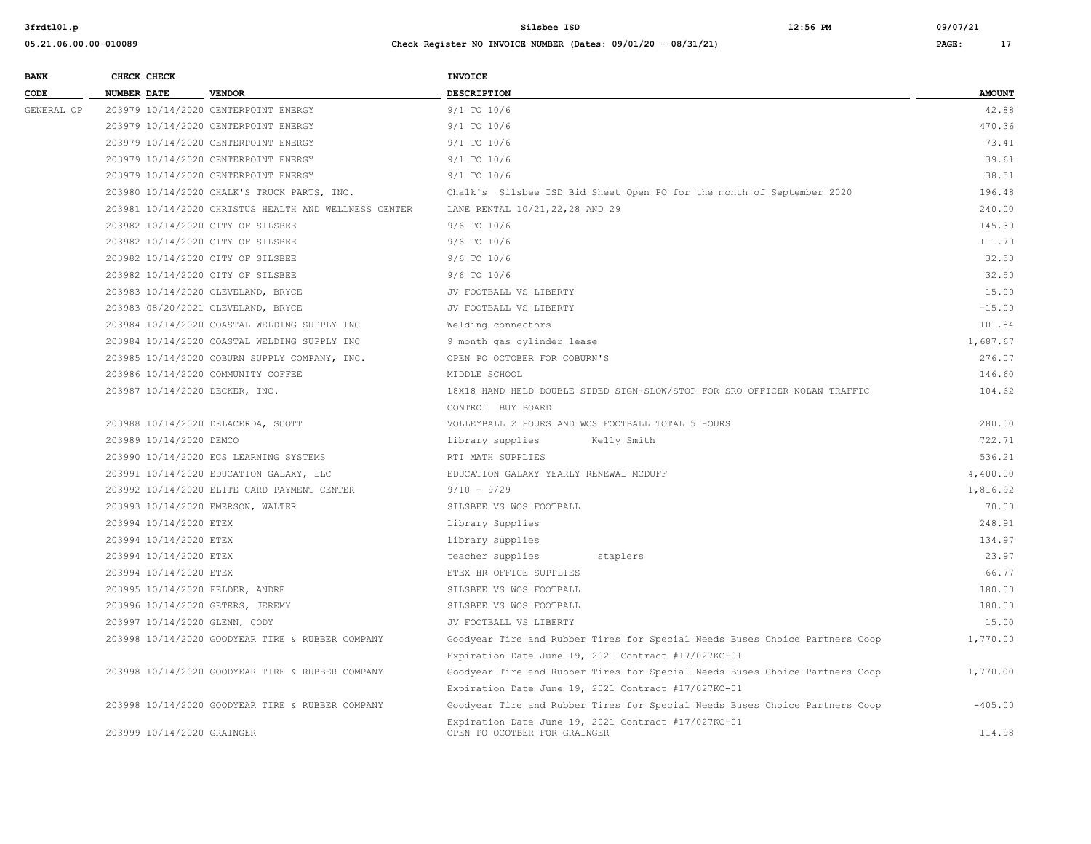| <b>BANK</b> | CHECK CHECK                    |                                                       | <b>INVOICE</b>                                                                      |               |
|-------------|--------------------------------|-------------------------------------------------------|-------------------------------------------------------------------------------------|---------------|
| CODE        | <b>NUMBER DATE</b>             | <b>VENDOR</b>                                         | <b>DESCRIPTION</b>                                                                  | <b>AMOUNT</b> |
| GENERAL OP  |                                | 203979 10/14/2020 CENTERPOINT ENERGY                  | $9/1$ TO $10/6$                                                                     | 42.88         |
|             |                                | 203979 10/14/2020 CENTERPOINT ENERGY                  | $9/1$ TO $10/6$                                                                     | 470.36        |
|             |                                | 203979 10/14/2020 CENTERPOINT ENERGY                  | $9/1$ TO $10/6$                                                                     | 73.41         |
|             |                                | 203979 10/14/2020 CENTERPOINT ENERGY                  | 9/1 TO 10/6                                                                         | 39.61         |
|             |                                | 203979 10/14/2020 CENTERPOINT ENERGY                  | $9/1$ TO $10/6$                                                                     | 38.51         |
|             |                                | 203980 10/14/2020 CHALK'S TRUCK PARTS, INC.           | Chalk's Silsbee ISD Bid Sheet Open PO for the month of September 2020               | 196.48        |
|             |                                | 203981 10/14/2020 CHRISTUS HEALTH AND WELLNESS CENTER | LANE RENTAL 10/21, 22, 28 AND 29                                                    | 240.00        |
|             |                                | 203982 10/14/2020 CITY OF SILSBEE                     | $9/6$ TO $10/6$                                                                     | 145.30        |
|             |                                | 203982 10/14/2020 CITY OF SILSBEE                     | $9/6$ TO $10/6$                                                                     | 111.70        |
|             |                                | 203982 10/14/2020 CITY OF SILSBEE                     | $9/6$ TO $10/6$                                                                     | 32.50         |
|             |                                | 203982 10/14/2020 CITY OF SILSBEE                     | $9/6$ TO $10/6$                                                                     | 32.50         |
|             |                                | 203983 10/14/2020 CLEVELAND, BRYCE                    | JV FOOTBALL VS LIBERTY                                                              | 15.00         |
|             |                                | 203983 08/20/2021 CLEVELAND, BRYCE                    | JV FOOTBALL VS LIBERTY                                                              | $-15.00$      |
|             |                                | 203984 10/14/2020 COASTAL WELDING SUPPLY INC          | Welding connectors                                                                  | 101.84        |
|             |                                | 203984 10/14/2020 COASTAL WELDING SUPPLY INC          | 9 month gas cylinder lease                                                          | 1,687.67      |
|             |                                | 203985 10/14/2020 COBURN SUPPLY COMPANY, INC.         | OPEN PO OCTOBER FOR COBURN'S                                                        | 276.07        |
|             |                                | 203986 10/14/2020 COMMUNITY COFFEE                    | MIDDLE SCHOOL                                                                       | 146.60        |
|             | 203987 10/14/2020 DECKER, INC. |                                                       | 18X18 HAND HELD DOUBLE SIDED SIGN-SLOW/STOP FOR SRO OFFICER NOLAN TRAFFIC           | 104.62        |
|             |                                |                                                       | CONTROL BUY BOARD                                                                   |               |
|             |                                | 203988 10/14/2020 DELACERDA, SCOTT                    | VOLLEYBALL 2 HOURS AND WOS FOOTBALL TOTAL 5 HOURS                                   | 280.00        |
|             | 203989 10/14/2020 DEMCO        |                                                       | library supplies<br>Kelly Smith                                                     | 722.71        |
|             |                                | 203990 10/14/2020 ECS LEARNING SYSTEMS                | RTI MATH SUPPLIES                                                                   | 536.21        |
|             |                                | 203991 10/14/2020 EDUCATION GALAXY, LLC               | EDUCATION GALAXY YEARLY RENEWAL MCDUFF                                              | 4,400.00      |
|             |                                | 203992 10/14/2020 ELITE CARD PAYMENT CENTER           | $9/10 - 9/29$                                                                       | 1,816.92      |
|             |                                | 203993 10/14/2020 EMERSON, WALTER                     | SILSBEE VS WOS FOOTBALL                                                             | 70.00         |
|             | 203994 10/14/2020 ETEX         |                                                       | Library Supplies                                                                    | 248.91        |
|             | 203994 10/14/2020 ETEX         |                                                       | library supplies                                                                    | 134.97        |
|             | 203994 10/14/2020 ETEX         |                                                       | teacher supplies<br>staplers                                                        | 23.97         |
|             | 203994 10/14/2020 ETEX         |                                                       | ETEX HR OFFICE SUPPLIES                                                             | 66.77         |
|             |                                | 203995 10/14/2020 FELDER, ANDRE                       | SILSBEE VS WOS FOOTBALL                                                             | 180.00        |
|             |                                | 203996 10/14/2020 GETERS, JEREMY                      | SILSBEE VS WOS FOOTBALL                                                             | 180.00        |
|             | 203997 10/14/2020 GLENN, CODY  |                                                       | JV FOOTBALL VS LIBERTY                                                              | 15.00         |
|             |                                | 203998 10/14/2020 GOODYEAR TIRE & RUBBER COMPANY      | Goodyear Tire and Rubber Tires for Special Needs Buses Choice Partners Coop         | 1,770.00      |
|             |                                |                                                       | Expiration Date June 19, 2021 Contract #17/027KC-01                                 |               |
|             |                                | 203998 10/14/2020 GOODYEAR TIRE & RUBBER COMPANY      | Goodyear Tire and Rubber Tires for Special Needs Buses Choice Partners Coop         | 1,770.00      |
|             |                                |                                                       | Expiration Date June 19, 2021 Contract #17/027KC-01                                 |               |
|             |                                | 203998 10/14/2020 GOODYEAR TIRE & RUBBER COMPANY      | Goodyear Tire and Rubber Tires for Special Needs Buses Choice Partners Coop         | $-405.00$     |
|             | 203999 10/14/2020 GRAINGER     |                                                       | Expiration Date June 19, 2021 Contract #17/027KC-01<br>OPEN PO OCOTBER FOR GRAINGER | 114.98        |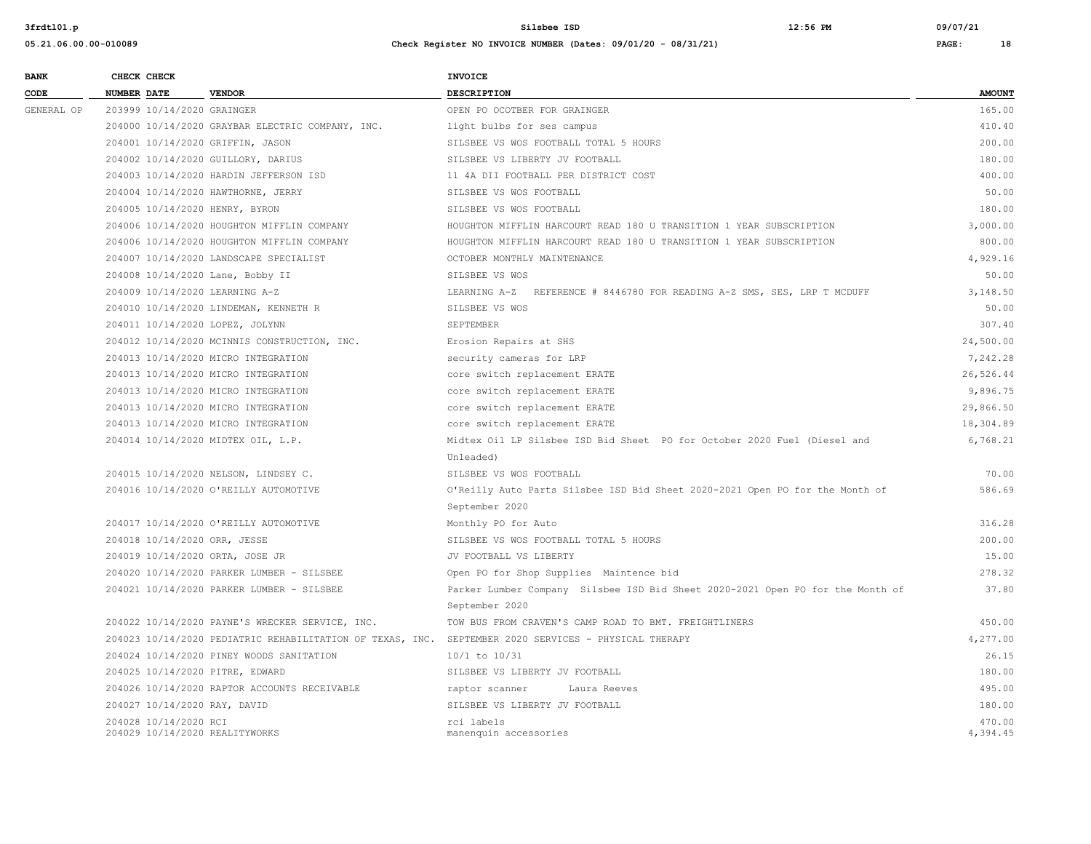| <b>BANK</b> | CHECK CHECK        |                            |                                                  | <b>INVOICE</b>                                                                                       |               |
|-------------|--------------------|----------------------------|--------------------------------------------------|------------------------------------------------------------------------------------------------------|---------------|
| CODE        | <b>NUMBER DATE</b> |                            | <b>VENDOR</b>                                    | <b>DESCRIPTION</b>                                                                                   | <b>AMOUNT</b> |
| GENERAL OP  |                    | 203999 10/14/2020 GRAINGER |                                                  | OPEN PO OCOTBER FOR GRAINGER                                                                         | 165.00        |
|             |                    |                            | 204000 10/14/2020 GRAYBAR ELECTRIC COMPANY, INC. | light bulbs for ses campus                                                                           | 410.40        |
|             |                    |                            | 204001 10/14/2020 GRIFFIN, JASON                 | SILSBEE VS WOS FOOTBALL TOTAL 5 HOURS                                                                | 200.00        |
|             |                    |                            | 204002 10/14/2020 GUILLORY, DARIUS               | SILSBEE VS LIBERTY JV FOOTBALL                                                                       | 180.00        |
|             |                    |                            | 204003 10/14/2020 HARDIN JEFFERSON ISD           | 11 4A DII FOOTBALL PER DISTRICT COST                                                                 | 400.00        |
|             |                    |                            | 204004 10/14/2020 HAWTHORNE, JERRY               | SILSBEE VS WOS FOOTBALL                                                                              | 50.00         |
|             |                    |                            | 204005 10/14/2020 HENRY, BYRON                   | SILSBEE VS WOS FOOTBALL                                                                              | 180.00        |
|             |                    |                            | 204006 10/14/2020 HOUGHTON MIFFLIN COMPANY       | HOUGHTON MIFFLIN HARCOURT READ 180 U TRANSITION 1 YEAR SUBSCRIPTION                                  | 3,000.00      |
|             |                    |                            | 204006 10/14/2020 HOUGHTON MIFFLIN COMPANY       | HOUGHTON MIFFLIN HARCOURT READ 180 U TRANSITION 1 YEAR SUBSCRIPTION                                  | 800.00        |
|             |                    |                            | 204007 10/14/2020 LANDSCAPE SPECIALIST           | OCTOBER MONTHLY MAINTENANCE                                                                          | 4,929.16      |
|             |                    |                            | 204008 10/14/2020 Lane, Bobby II                 | SILSBEE VS WOS                                                                                       | 50.00         |
|             |                    |                            | 204009 10/14/2020 LEARNING A-Z                   | LEARNING A-Z REFERENCE # 8446780 FOR READING A-Z SMS, SES, LRP T MCDUFF                              | 3,148.50      |
|             |                    |                            | 204010 10/14/2020 LINDEMAN, KENNETH R            | SILSBEE VS WOS                                                                                       | 50.00         |
|             |                    |                            | 204011 10/14/2020 LOPEZ, JOLYNN                  | SEPTEMBER                                                                                            | 307.40        |
|             |                    |                            | 204012 10/14/2020 MCINNIS CONSTRUCTION, INC.     | Erosion Repairs at SHS                                                                               | 24,500.00     |
|             |                    |                            | 204013 10/14/2020 MICRO INTEGRATION              | security cameras for LRP                                                                             | 7,242.28      |
|             |                    |                            | 204013 10/14/2020 MICRO INTEGRATION              | core switch replacement ERATE                                                                        | 26,526.44     |
|             |                    |                            | 204013 10/14/2020 MICRO INTEGRATION              | core switch replacement ERATE                                                                        | 9,896.75      |
|             |                    |                            | 204013 10/14/2020 MICRO INTEGRATION              | core switch replacement ERATE                                                                        | 29,866.50     |
|             |                    |                            | 204013 10/14/2020 MICRO INTEGRATION              | core switch replacement ERATE                                                                        | 18,304.89     |
|             |                    |                            | 204014 10/14/2020 MIDTEX OIL, L.P.               | Midtex Oil LP Silsbee ISD Bid Sheet PO for October 2020 Fuel (Diesel and                             | 6,768.21      |
|             |                    |                            |                                                  | Unleaded)                                                                                            |               |
|             |                    |                            | 204015 10/14/2020 NELSON, LINDSEY C.             | SILSBEE VS WOS FOOTBALL                                                                              | 70.00         |
|             |                    |                            | 204016 10/14/2020 O'REILLY AUTOMOTIVE            | O'Reilly Auto Parts Silsbee ISD Bid Sheet 2020-2021 Open PO for the Month of                         | 586.69        |
|             |                    |                            |                                                  | September 2020                                                                                       |               |
|             |                    |                            | 204017 10/14/2020 O'REILLY AUTOMOTIVE            | Monthly PO for Auto                                                                                  | 316.28        |
|             |                    |                            | 204018 10/14/2020 ORR, JESSE                     | SILSBEE VS WOS FOOTBALL TOTAL 5 HOURS                                                                | 200.00        |
|             |                    |                            | 204019 10/14/2020 ORTA, JOSE JR                  | JV FOOTBALL VS LIBERTY                                                                               | 15.00         |
|             |                    |                            | 204020 10/14/2020 PARKER LUMBER - SILSBEE        | Open PO for Shop Supplies Maintence bid                                                              | 278.32        |
|             |                    |                            | 204021 10/14/2020 PARKER LUMBER - SILSBEE        | Parker Lumber Company Silsbee ISD Bid Sheet 2020-2021 Open PO for the Month of                       | 37.80         |
|             |                    |                            |                                                  | September 2020                                                                                       |               |
|             |                    |                            | 204022 10/14/2020 PAYNE'S WRECKER SERVICE, INC.  | TOW BUS FROM CRAVEN'S CAMP ROAD TO BMT. FREIGHTLINERS                                                | 450.00        |
|             |                    |                            |                                                  | 204023 10/14/2020 PEDIATRIC REHABILITATION OF TEXAS, INC. SEPTEMBER 2020 SERVICES - PHYSICAL THERAPY | 4,277.00      |
|             |                    |                            | 204024 10/14/2020 PINEY WOODS SANITATION         | $10/1$ to $10/31$                                                                                    | 26.15         |
|             |                    |                            | 204025 10/14/2020 PITRE, EDWARD                  | SILSBEE VS LIBERTY JV FOOTBALL                                                                       | 180.00        |
|             |                    |                            | 204026 10/14/2020 RAPTOR ACCOUNTS RECEIVABLE     | raptor scanner<br>Laura Reeves                                                                       | 495.00        |
|             |                    |                            | 204027 10/14/2020 RAY, DAVID                     | SILSBEE VS LIBERTY JV FOOTBALL                                                                       | 180.00        |
|             |                    | 204028 10/14/2020 RCI      |                                                  | rci labels                                                                                           | 470.00        |
|             |                    |                            | 204029 10/14/2020 REALITYWORKS                   | manenquin accessories                                                                                | 4,394.45      |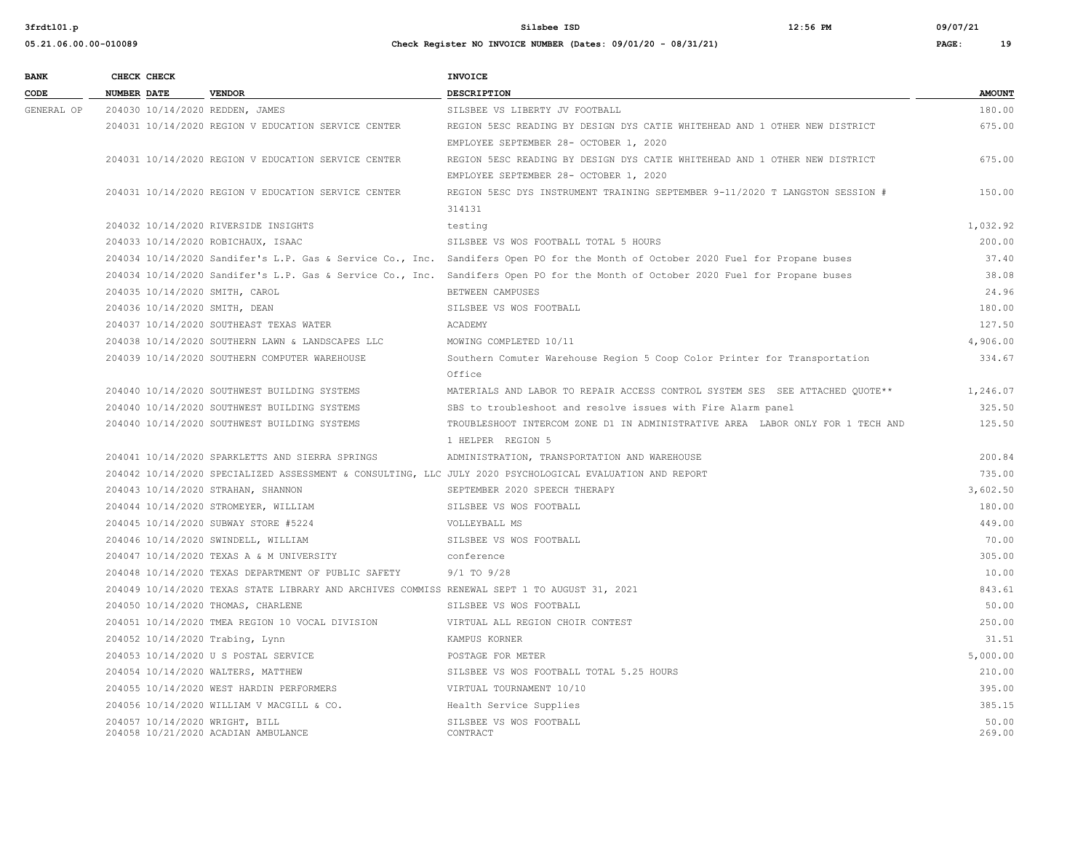| 3frdt101.p            |                                    |                                                           | $12:56$ PM<br>Silsbee ISD                                                                                                        | 09/07/21 |               |
|-----------------------|------------------------------------|-----------------------------------------------------------|----------------------------------------------------------------------------------------------------------------------------------|----------|---------------|
| 05.21.06.00.00-010089 |                                    |                                                           | Check Register NO INVOICE NUMBER (Dates: 09/01/20 - 08/31/21)                                                                    | PAGE:    | 19            |
| <b>BANK</b>           | CHECK CHECK                        |                                                           | <b>INVOICE</b>                                                                                                                   |          |               |
| CODE                  | <b>NUMBER DATE</b>                 | <b>VENDOR</b>                                             | <b>DESCRIPTION</b>                                                                                                               |          | <b>AMOUNT</b> |
| GENERAL OP            | 204030 10/14/2020 REDDEN, JAMES    |                                                           | SILSBEE VS LIBERTY JV FOOTBALL                                                                                                   |          | 180.00        |
|                       |                                    | 204031 10/14/2020 REGION V EDUCATION SERVICE CENTER       | REGION 5ESC READING BY DESIGN DYS CATIE WHITEHEAD AND 1 OTHER NEW DISTRICT                                                       |          | 675.00        |
|                       |                                    |                                                           | EMPLOYEE SEPTEMBER 28- OCTOBER 1, 2020                                                                                           |          |               |
|                       |                                    | 204031 10/14/2020 REGION V EDUCATION SERVICE CENTER       | REGION 5ESC READING BY DESIGN DYS CATIE WHITEHEAD AND 1 OTHER NEW DISTRICT                                                       |          | 675.00        |
|                       |                                    |                                                           | EMPLOYEE SEPTEMBER 28- OCTOBER 1, 2020                                                                                           |          |               |
|                       |                                    | 204031 10/14/2020 REGION V EDUCATION SERVICE CENTER       | REGION 5ESC DYS INSTRUMENT TRAINING SEPTEMBER 9-11/2020 T LANGSTON SESSION #                                                     |          | 150.00        |
|                       |                                    |                                                           | 314131                                                                                                                           |          |               |
|                       |                                    | 204032 10/14/2020 RIVERSIDE INSIGHTS                      | testing                                                                                                                          |          | 1,032.92      |
|                       | 204033 10/14/2020 ROBICHAUX, ISAAC |                                                           | SILSBEE VS WOS FOOTBALL TOTAL 5 HOURS                                                                                            |          | 200.00        |
|                       |                                    |                                                           | 204034 10/14/2020 Sandifer's L.P. Gas & Service Co., Inc. Sandifers Open PO for the Month of October 2020 Fuel for Propane buses |          | 37.40         |
|                       |                                    | 204034 10/14/2020 Sandifer's L.P. Gas & Service Co., Inc. | Sandifers Open PO for the Month of October 2020 Fuel for Propane buses                                                           |          | 38.08         |
|                       | 204035 10/14/2020 SMITH, CAROL     |                                                           | BETWEEN CAMPUSES                                                                                                                 |          | 24.96         |
|                       | 204036 10/14/2020 SMITH, DEAN      |                                                           | SILSBEE VS WOS FOOTBALL                                                                                                          |          | 180.00        |
|                       |                                    | 204037 10/14/2020 SOUTHEAST TEXAS WATER                   | ACADEMY                                                                                                                          |          | 127.50        |
|                       |                                    | 204038 10/14/2020 SOUTHERN LAWN & LANDSCAPES LLC          | MOWING COMPLETED 10/11                                                                                                           |          | 4,906.00      |
|                       |                                    | 204039 10/14/2020 SOUTHERN COMPUTER WAREHOUSE             | Southern Comuter Warehouse Region 5 Coop Color Printer for Transportation                                                        |          | 334.67        |
|                       |                                    |                                                           | Office                                                                                                                           |          |               |
|                       |                                    | 204040 10/14/2020 SOUTHWEST BUILDING SYSTEMS              | MATERIALS AND LABOR TO REPAIR ACCESS CONTROL SYSTEM SES SEE ATTACHED OUOTE**                                                     |          | 1,246.07      |
|                       |                                    | 204040 10/14/2020 SOUTHWEST BUILDING SYSTEMS              | SBS to troubleshoot and resolve issues with Fire Alarm panel                                                                     |          | 325.50        |
|                       |                                    | 204040 10/14/2020 SOUTHWEST BUILDING SYSTEMS              | TROUBLESHOOT INTERCOM ZONE D1 IN ADMINISTRATIVE AREA LABOR ONLY FOR 1 TECH AND                                                   |          | 125.50        |

 1 HELPER REGION 5 204041 10/14/2020 SPARKLETTS AND SIERRA SPRINGS ADMINISTRATION, TRANSPORTATION AND WAREHOUSE 200.84 204042 10/14/2020 SPECIALIZED ASSESSMENT & CONSULTING, LLC JULY 2020 PSYCHOLOGICAL EVALUATION AND REPORT 735.00 204043 10/14/2020 STRAHAN, SHANNON SEPTEMBER 2020 SPEECH THERAPY 3,602.50 204044 10/14/2020 STROMEYER, WILLIAM SILSBEE VS WOS FOOTBALL 180.00 204045 10/14/2020 SUBWAY STORE #5224 VOLLEYBALL MS 449.00 204046 10/14/2020 SWINDELL, WILLIAM SILSBEE VS WOS FOOTBALL 70.00 204047 10/14/2020 TEXAS A & M UNIVERSITY conference 305.00 204048 10/14/2020 TEXAS DEPARTMENT OF PUBLIC SAFETY 9/1 TO 9/28 10.00 204049 10/14/2020 TEXAS STATE LIBRARY AND ARCHIVES COMMISS RENEWAL SEPT 1 TO AUGUST 31, 2021 843.61 204050 10/14/2020 THOMAS, CHARLENE SILSBEE VS WOS FOOTBALL 50.00 204051 10/14/2020 TMEA REGION 10 VOCAL DIVISION VIRTUAL ALL REGION CHOIR CONTEST 250.00 204052 10/14/2020 Trabing, Lynn KAMPUS KORNER 31.51 204053 10/14/2020 U S POSTAL SERVICE POSTAGE FOR METER 5,000.00 204054 10/14/2020 WALTERS, MATTHEW SILSBEE VS WOS FOOTBALL TOTAL 5.25 HOURS 210.00 204055 10/14/2020 WEST HARDIN PERFORMERS VIRTUAL TOURNAMENT 10/10 395.00 204056 10/14/2020 WILLIAM V MACGILL & CO. Health Service Supplies 385.15 204057 10/14/2020 WRIGHT, BILL SILSBEE VS WOS FOOTBALL 50.00 204058 10/21/2020 ACADIAN AMBULANCE CONTRACT 269.00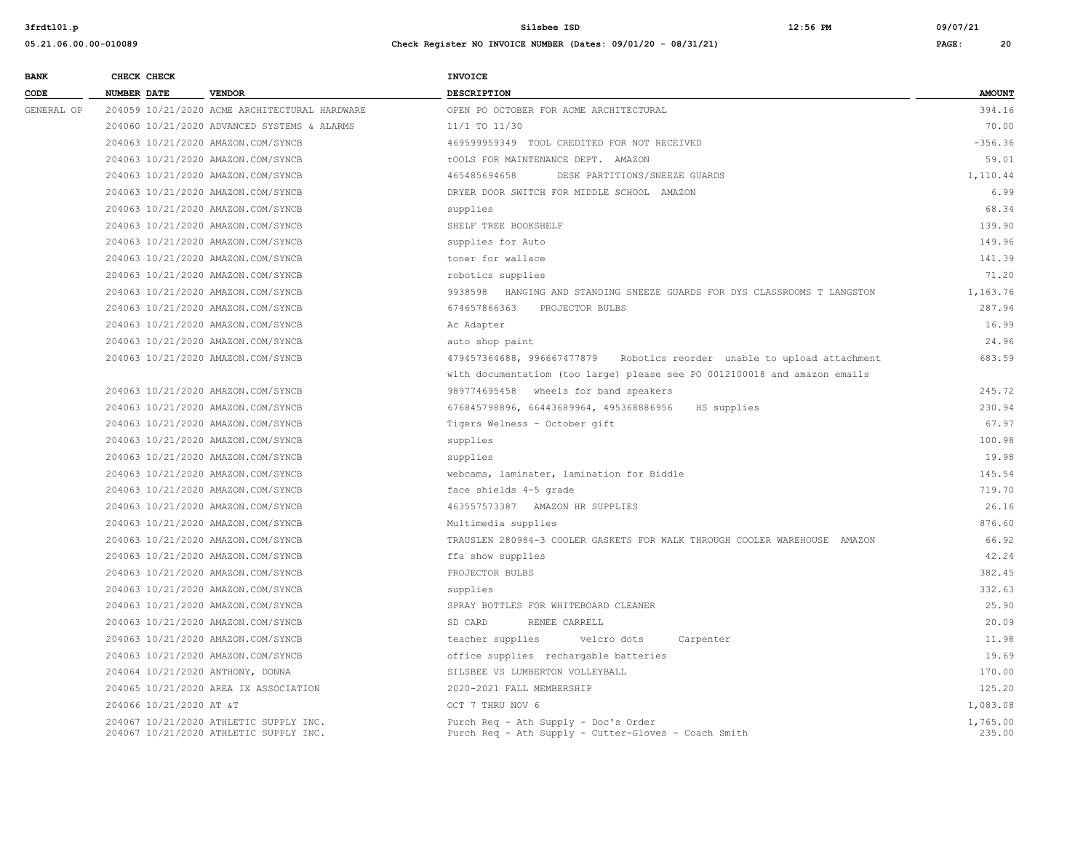| <b>BANK</b> | CHECK CHECK                      |                                                                                  | <b>INVOICE</b>                                                                               |                    |
|-------------|----------------------------------|----------------------------------------------------------------------------------|----------------------------------------------------------------------------------------------|--------------------|
| CODE        | <b>NUMBER DATE</b>               | <b>VENDOR</b>                                                                    | <b>DESCRIPTION</b>                                                                           | <b>AMOUNT</b>      |
| GENERAL OP  |                                  | 204059 10/21/2020 ACME ARCHITECTURAL HARDWARE                                    | OPEN PO OCTOBER FOR ACME ARCHITECTURAL                                                       | 394.16             |
|             |                                  | 204060 10/21/2020 ADVANCED SYSTEMS & ALARMS                                      | 11/1 TO 11/30                                                                                | 70.00              |
|             |                                  | 204063 10/21/2020 AMAZON.COM/SYNCB                                               | 469599959349 TOOL CREDITED FOR NOT RECEIVED                                                  | $-356.36$          |
|             |                                  | 204063 10/21/2020 AMAZON.COM/SYNCB                                               | tOOLS FOR MAINTENANCE DEPT. AMAZON                                                           | 59.01              |
|             |                                  | 204063 10/21/2020 AMAZON.COM/SYNCB                                               | 465485694658<br>DESK PARTITIONS/SNEEZE GUARDS                                                | 1,110.44           |
|             |                                  | 204063 10/21/2020 AMAZON.COM/SYNCB                                               | DRYER DOOR SWITCH FOR MIDDLE SCHOOL AMAZON                                                   | 6.99               |
|             |                                  | 204063 10/21/2020 AMAZON.COM/SYNCB                                               | supplies                                                                                     | 68.34              |
|             |                                  | 204063 10/21/2020 AMAZON.COM/SYNCB                                               | SHELF TREE BOOKSHELF                                                                         | 139.90             |
|             |                                  | 204063 10/21/2020 AMAZON.COM/SYNCB                                               | supplies for Auto                                                                            | 149.96             |
|             |                                  | 204063 10/21/2020 AMAZON.COM/SYNCB                                               | toner for wallace                                                                            | 141.39             |
|             |                                  | 204063 10/21/2020 AMAZON.COM/SYNCB                                               | robotics supplies                                                                            | 71.20              |
|             |                                  | 204063 10/21/2020 AMAZON.COM/SYNCB                                               | HANGING AND STANDING SNEEZE GUARDS FOR DYS CLASSROOMS T LANGSTON<br>9938598                  | 1,163.76           |
|             |                                  | 204063 10/21/2020 AMAZON.COM/SYNCB                                               | 674657866363<br>PROJECTOR BULBS                                                              | 287.94             |
|             |                                  | 204063 10/21/2020 AMAZON.COM/SYNCB                                               | Ac Adapter                                                                                   | 16.99              |
|             |                                  | 204063 10/21/2020 AMAZON.COM/SYNCB                                               | auto shop paint                                                                              | 24.96              |
|             |                                  | 204063 10/21/2020 AMAZON.COM/SYNCB                                               | 479457364688, 996667477879 Robotics reorder unable to upload attachment                      | 683.59             |
|             |                                  |                                                                                  | with documentatiom (too large) please see PO 0012100018 and amazon emails                    |                    |
|             |                                  | 204063 10/21/2020 AMAZON.COM/SYNCB                                               | 989774695458 wheels for band speakers                                                        | 245.72             |
|             |                                  | 204063 10/21/2020 AMAZON.COM/SYNCB                                               | 676845798896, 66443689964, 495368886956<br>HS supplies                                       | 230.94             |
|             |                                  | 204063 10/21/2020 AMAZON.COM/SYNCB                                               | Tigers Welness - October gift                                                                | 67.97              |
|             |                                  | 204063 10/21/2020 AMAZON.COM/SYNCB                                               | supplies                                                                                     | 100.98             |
|             |                                  | 204063 10/21/2020 AMAZON.COM/SYNCB                                               | supplies                                                                                     | 19.98              |
|             |                                  | 204063 10/21/2020 AMAZON.COM/SYNCB                                               | webcams, laminater, lamination for Biddle                                                    | 145.54             |
|             |                                  | 204063 10/21/2020 AMAZON.COM/SYNCB                                               | face shields 4-5 grade                                                                       | 719.70             |
|             |                                  | 204063 10/21/2020 AMAZON.COM/SYNCB                                               | 463557573387 AMAZON HR SUPPLIES                                                              | 26.16              |
|             |                                  | 204063 10/21/2020 AMAZON.COM/SYNCB                                               | Multimedia supplies                                                                          | 876.60             |
|             |                                  | 204063 10/21/2020 AMAZON.COM/SYNCB                                               | TRAUSLEN 280984-3 COOLER GASKETS FOR WALK THROUGH COOLER WAREHOUSE AMAZON                    | 66.92              |
|             |                                  | 204063 10/21/2020 AMAZON.COM/SYNCB                                               | ffa show supplies                                                                            | 42.24              |
|             |                                  | 204063 10/21/2020 AMAZON.COM/SYNCB                                               | PROJECTOR BULBS                                                                              | 382.45             |
|             |                                  | 204063 10/21/2020 AMAZON.COM/SYNCB                                               | supplies                                                                                     | 332.63             |
|             |                                  | 204063 10/21/2020 AMAZON.COM/SYNCB                                               | SPRAY BOTTLES FOR WHITEBOARD CLEANER                                                         | 25.90              |
|             |                                  | 204063 10/21/2020 AMAZON.COM/SYNCB                                               | SD CARD<br>RENEE CARRELL                                                                     | 20.09              |
|             |                                  | 204063 10/21/2020 AMAZON.COM/SYNCB                                               | teacher supplies<br>velcro dots<br>Carpenter                                                 | 11.98              |
|             |                                  | 204063 10/21/2020 AMAZON.COM/SYNCB                                               | office supplies rechargable batteries                                                        | 19.69              |
|             | 204064 10/21/2020 ANTHONY, DONNA |                                                                                  | SILSBEE VS LUMBERTON VOLLEYBALL                                                              | 170.00             |
|             |                                  | 204065 10/21/2020 AREA IX ASSOCIATION                                            | 2020-2021 FALL MEMBERSHIP                                                                    | 125.20             |
|             | 204066 10/21/2020 AT &T          |                                                                                  | OCT 7 THRU NOV 6                                                                             | 1,083.08           |
|             |                                  | 204067 10/21/2020 ATHLETIC SUPPLY INC.<br>204067 10/21/2020 ATHLETIC SUPPLY INC. | Purch Req - Ath Supply - Doc's Order<br>Purch Req - Ath Supply - Cutter-Gloves - Coach Smith | 1,765.00<br>235.00 |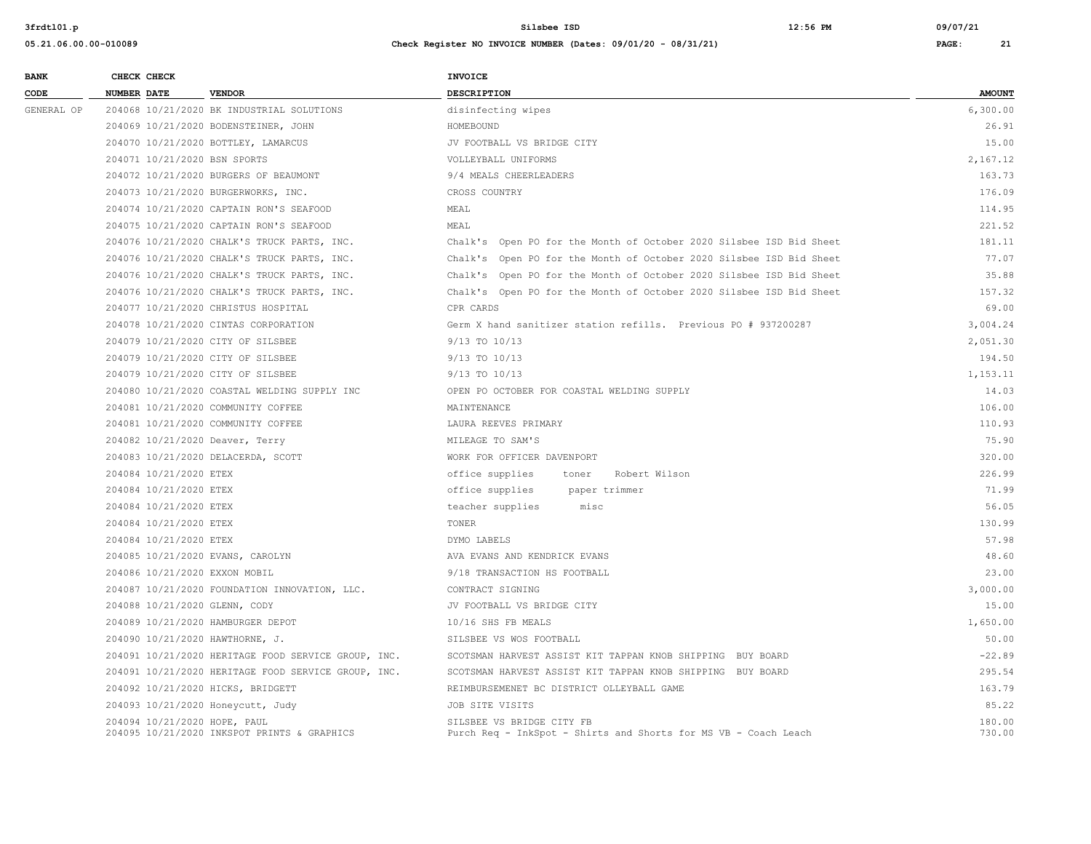| <b>BANK</b> | CHECK CHECK                       |                                                     | INVOICE                                                                                      |                  |
|-------------|-----------------------------------|-----------------------------------------------------|----------------------------------------------------------------------------------------------|------------------|
| CODE        | NUMBER DATE                       | <b>VENDOR</b>                                       | DESCRIPTION                                                                                  | <b>AMOUNT</b>    |
| GENERAL OP  |                                   | 204068 10/21/2020 BK INDUSTRIAL SOLUTIONS           | disinfecting wipes                                                                           | 6,300.00         |
|             |                                   | 204069 10/21/2020 BODENSTEINER, JOHN                | HOMEBOUND                                                                                    | 26.91            |
|             |                                   | 204070 10/21/2020 BOTTLEY, LAMARCUS                 | JV FOOTBALL VS BRIDGE CITY                                                                   | 15.00            |
|             | 204071 10/21/2020 BSN SPORTS      |                                                     | VOLLEYBALL UNIFORMS                                                                          | 2,167.12         |
|             |                                   | 204072 10/21/2020 BURGERS OF BEAUMONT               | 9/4 MEALS CHEERLEADERS                                                                       | 163.73           |
|             |                                   | 204073 10/21/2020 BURGERWORKS, INC.                 | CROSS COUNTRY                                                                                | 176.09           |
|             |                                   | 204074 10/21/2020 CAPTAIN RON'S SEAFOOD             | MEAL                                                                                         | 114.95           |
|             |                                   | 204075 10/21/2020 CAPTAIN RON'S SEAFOOD             | MEAL                                                                                         | 221.52           |
|             |                                   | 204076 10/21/2020 CHALK'S TRUCK PARTS, INC.         | Chalk's Open PO for the Month of October 2020 Silsbee ISD Bid Sheet                          | 181.11           |
|             |                                   | 204076 10/21/2020 CHALK'S TRUCK PARTS, INC.         | Chalk's Open PO for the Month of October 2020 Silsbee ISD Bid Sheet                          | 77.07            |
|             |                                   | 204076 10/21/2020 CHALK'S TRUCK PARTS, INC.         | Chalk's Open PO for the Month of October 2020 Silsbee ISD Bid Sheet                          | 35.88            |
|             |                                   | 204076 10/21/2020 CHALK'S TRUCK PARTS, INC.         | Chalk's Open PO for the Month of October 2020 Silsbee ISD Bid Sheet                          | 157.32           |
|             |                                   | 204077 10/21/2020 CHRISTUS HOSPITAL                 | CPR CARDS                                                                                    | 69.00            |
|             |                                   | 204078 10/21/2020 CINTAS CORPORATION                | Germ X hand sanitizer station refills. Previous PO # 937200287                               | 3,004.24         |
|             | 204079 10/21/2020 CITY OF SILSBEE |                                                     | $9/13$ TO $10/13$                                                                            | 2,051.30         |
|             | 204079 10/21/2020 CITY OF SILSBEE |                                                     | 9/13 TO 10/13                                                                                | 194.50           |
|             | 204079 10/21/2020 CITY OF SILSBEE |                                                     | $9/13$ TO $10/13$                                                                            | 1,153.11         |
|             |                                   | 204080 10/21/2020 COASTAL WELDING SUPPLY INC        | OPEN PO OCTOBER FOR COASTAL WELDING SUPPLY                                                   | 14.03            |
|             |                                   | 204081 10/21/2020 COMMUNITY COFFEE                  | MAINTENANCE                                                                                  | 106.00           |
|             |                                   | 204081 10/21/2020 COMMUNITY COFFEE                  | LAURA REEVES PRIMARY                                                                         | 110.93           |
|             | 204082 10/21/2020 Deaver, Terry   |                                                     | MILEAGE TO SAM'S                                                                             | 75.90            |
|             |                                   | 204083 10/21/2020 DELACERDA, SCOTT                  | WORK FOR OFFICER DAVENPORT                                                                   | 320.00           |
|             | 204084 10/21/2020 ETEX            |                                                     | office supplies<br>toner<br>Robert Wilson                                                    | 226.99           |
|             | 204084 10/21/2020 ETEX            |                                                     | office supplies<br>paper trimmer                                                             | 71.99            |
|             | 204084 10/21/2020 ETEX            |                                                     | teacher supplies<br>misc                                                                     | 56.05            |
|             | 204084 10/21/2020 ETEX            |                                                     | TONER                                                                                        | 130.99           |
|             | 204084 10/21/2020 ETEX            |                                                     | DYMO LABELS                                                                                  | 57.98            |
|             | 204085 10/21/2020 EVANS, CAROLYN  |                                                     | AVA EVANS AND KENDRICK EVANS                                                                 | 48.60            |
|             | 204086 10/21/2020 EXXON MOBIL     |                                                     | 9/18 TRANSACTION HS FOOTBALL                                                                 | 23.00            |
|             |                                   | 204087 10/21/2020 FOUNDATION INNOVATION, LLC.       | CONTRACT SIGNING                                                                             | 3,000.00         |
|             | 204088 10/21/2020 GLENN, CODY     |                                                     | JV FOOTBALL VS BRIDGE CITY                                                                   | 15.00            |
|             | 204089 10/21/2020 HAMBURGER DEPOT |                                                     | 10/16 SHS FB MEALS                                                                           | 1,650.00         |
|             | 204090 10/21/2020 HAWTHORNE, J.   |                                                     | SILSBEE VS WOS FOOTBALL                                                                      | 50.00            |
|             |                                   | 204091 10/21/2020 HERITAGE FOOD SERVICE GROUP, INC. | SCOTSMAN HARVEST ASSIST KIT TAPPAN KNOB SHIPPING BUY BOARD                                   | $-22.89$         |
|             |                                   | 204091 10/21/2020 HERITAGE FOOD SERVICE GROUP, INC. | SCOTSMAN HARVEST ASSIST KIT TAPPAN KNOB SHIPPING BUY BOARD                                   | 295.54           |
|             | 204092 10/21/2020 HICKS, BRIDGETT |                                                     | REIMBURSEMENET BC DISTRICT OLLEYBALL GAME                                                    | 163.79           |
|             | 204093 10/21/2020 Honeycutt, Judy |                                                     | JOB SITE VISITS                                                                              | 85.22            |
|             | 204094 10/21/2020 HOPE, PAUL      | 204095 10/21/2020 INKSPOT PRINTS & GRAPHICS         | SILSBEE VS BRIDGE CITY FB<br>Purch Req - InkSpot - Shirts and Shorts for MS VB - Coach Leach | 180.00<br>730.00 |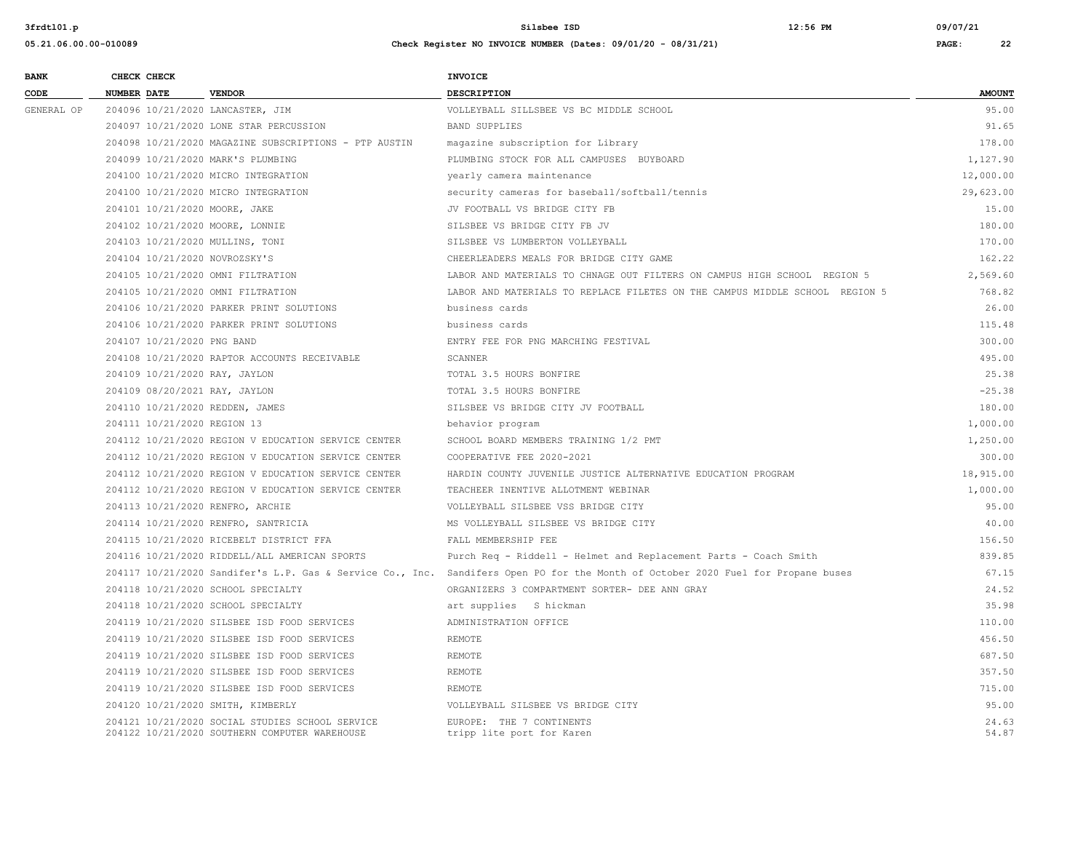| <b>BANK</b> |                    | CHECK CHECK                 |                                                                                                  | INVOICE                                                                                                                          |                |
|-------------|--------------------|-----------------------------|--------------------------------------------------------------------------------------------------|----------------------------------------------------------------------------------------------------------------------------------|----------------|
| CODE        | <b>NUMBER DATE</b> |                             | <b>VENDOR</b>                                                                                    | <b>DESCRIPTION</b>                                                                                                               | <b>AMOUNT</b>  |
| GENERAL OP  |                    |                             | 204096 10/21/2020 LANCASTER, JIM                                                                 | VOLLEYBALL SILLSBEE VS BC MIDDLE SCHOOL                                                                                          | 95.00          |
|             |                    |                             | 204097 10/21/2020 LONE STAR PERCUSSION                                                           | <b>BAND SUPPLIES</b>                                                                                                             | 91.65          |
|             |                    |                             | 204098 10/21/2020 MAGAZINE SUBSCRIPTIONS - PTP AUSTIN                                            | magazine subscription for Library                                                                                                | 178.00         |
|             |                    |                             | 204099 10/21/2020 MARK'S PLUMBING                                                                | PLUMBING STOCK FOR ALL CAMPUSES BUYBOARD                                                                                         | 1,127.90       |
|             |                    |                             | 204100 10/21/2020 MICRO INTEGRATION                                                              | yearly camera maintenance                                                                                                        | 12,000.00      |
|             |                    |                             | 204100 10/21/2020 MICRO INTEGRATION                                                              | security cameras for baseball/softball/tennis                                                                                    | 29,623.00      |
|             |                    |                             | 204101 10/21/2020 MOORE, JAKE                                                                    | JV FOOTBALL VS BRIDGE CITY FB                                                                                                    | 15.00          |
|             |                    |                             | 204102 10/21/2020 MOORE, LONNIE                                                                  | SILSBEE VS BRIDGE CITY FB JV                                                                                                     | 180.00         |
|             |                    |                             | 204103 10/21/2020 MULLINS, TONI                                                                  | SILSBEE VS LUMBERTON VOLLEYBALL                                                                                                  | 170.00         |
|             |                    |                             | 204104 10/21/2020 NOVROZSKY'S                                                                    | CHEERLEADERS MEALS FOR BRIDGE CITY GAME                                                                                          | 162.22         |
|             |                    |                             | 204105 10/21/2020 OMNI FILTRATION                                                                | LABOR AND MATERIALS TO CHNAGE OUT FILTERS ON CAMPUS HIGH SCHOOL REGION 5                                                         | 2,569.60       |
|             |                    |                             | 204105 10/21/2020 OMNI FILTRATION                                                                | LABOR AND MATERIALS TO REPLACE FILETES ON THE CAMPUS MIDDLE SCHOOL REGION 5                                                      | 768.82         |
|             |                    |                             | 204106 10/21/2020 PARKER PRINT SOLUTIONS                                                         | business cards                                                                                                                   | 26.00          |
|             |                    |                             | 204106 10/21/2020 PARKER PRINT SOLUTIONS                                                         | business cards                                                                                                                   | 115.48         |
|             |                    | 204107 10/21/2020 PNG BAND  |                                                                                                  | ENTRY FEE FOR PNG MARCHING FESTIVAL                                                                                              | 300.00         |
|             |                    |                             | 204108 10/21/2020 RAPTOR ACCOUNTS RECEIVABLE                                                     | SCANNER                                                                                                                          | 495.00         |
|             |                    |                             | 204109 10/21/2020 RAY, JAYLON                                                                    | TOTAL 3.5 HOURS BONFIRE                                                                                                          | 25.38          |
|             |                    |                             | 204109 08/20/2021 RAY, JAYLON                                                                    | TOTAL 3.5 HOURS BONFIRE                                                                                                          | $-25.38$       |
|             |                    |                             | 204110 10/21/2020 REDDEN, JAMES                                                                  | SILSBEE VS BRIDGE CITY JV FOOTBALL                                                                                               | 180.00         |
|             |                    | 204111 10/21/2020 REGION 13 |                                                                                                  | behavior program                                                                                                                 | 1,000.00       |
|             |                    |                             | 204112 10/21/2020 REGION V EDUCATION SERVICE CENTER                                              | SCHOOL BOARD MEMBERS TRAINING 1/2 PMT                                                                                            | 1,250.00       |
|             |                    |                             | 204112 10/21/2020 REGION V EDUCATION SERVICE CENTER                                              | COOPERATIVE FEE 2020-2021                                                                                                        | 300.00         |
|             |                    |                             | 204112 10/21/2020 REGION V EDUCATION SERVICE CENTER                                              | HARDIN COUNTY JUVENILE JUSTICE ALTERNATIVE EDUCATION PROGRAM                                                                     | 18,915.00      |
|             |                    |                             | 204112 10/21/2020 REGION V EDUCATION SERVICE CENTER                                              | TEACHEER INENTIVE ALLOTMENT WEBINAR                                                                                              | 1,000.00       |
|             |                    |                             | 204113 10/21/2020 RENFRO, ARCHIE                                                                 | VOLLEYBALL SILSBEE VSS BRIDGE CITY                                                                                               | 95.00          |
|             |                    |                             | 204114 10/21/2020 RENFRO, SANTRICIA                                                              | MS VOLLEYBALL SILSBEE VS BRIDGE CITY                                                                                             | 40.00          |
|             |                    |                             | 204115 10/21/2020 RICEBELT DISTRICT FFA                                                          | FALL MEMBERSHIP FEE                                                                                                              | 156.50         |
|             |                    |                             | 204116 10/21/2020 RIDDELL/ALL AMERICAN SPORTS                                                    | Purch Req - Riddell - Helmet and Replacement Parts - Coach Smith                                                                 | 839.85         |
|             |                    |                             |                                                                                                  | 204117 10/21/2020 Sandifer's L.P. Gas & Service Co., Inc. Sandifers Open PO for the Month of October 2020 Fuel for Propane buses | 67.15          |
|             |                    |                             | 204118 10/21/2020 SCHOOL SPECIALTY                                                               | ORGANIZERS 3 COMPARTMENT SORTER- DEE ANN GRAY                                                                                    | 24.52          |
|             |                    |                             | 204118 10/21/2020 SCHOOL SPECIALTY                                                               | art supplies S hickman                                                                                                           | 35.98          |
|             |                    |                             | 204119 10/21/2020 SILSBEE ISD FOOD SERVICES                                                      | ADMINISTRATION OFFICE                                                                                                            | 110.00         |
|             |                    |                             | 204119 10/21/2020 SILSBEE ISD FOOD SERVICES                                                      | REMOTE                                                                                                                           | 456.50         |
|             |                    |                             | 204119 10/21/2020 SILSBEE ISD FOOD SERVICES                                                      | REMOTE                                                                                                                           | 687.50         |
|             |                    |                             | 204119 10/21/2020 SILSBEE ISD FOOD SERVICES                                                      | REMOTE                                                                                                                           | 357.50         |
|             |                    |                             | 204119 10/21/2020 SILSBEE ISD FOOD SERVICES                                                      | REMOTE                                                                                                                           | 715.00         |
|             |                    |                             | 204120 10/21/2020 SMITH, KIMBERLY                                                                | VOLLEYBALL SILSBEE VS BRIDGE CITY                                                                                                | 95.00          |
|             |                    |                             | 204121 10/21/2020 SOCIAL STUDIES SCHOOL SERVICE<br>204122 10/21/2020 SOUTHERN COMPUTER WAREHOUSE | EUROPE: THE 7 CONTINENTS<br>tripp lite port for Karen                                                                            | 24.63<br>54.87 |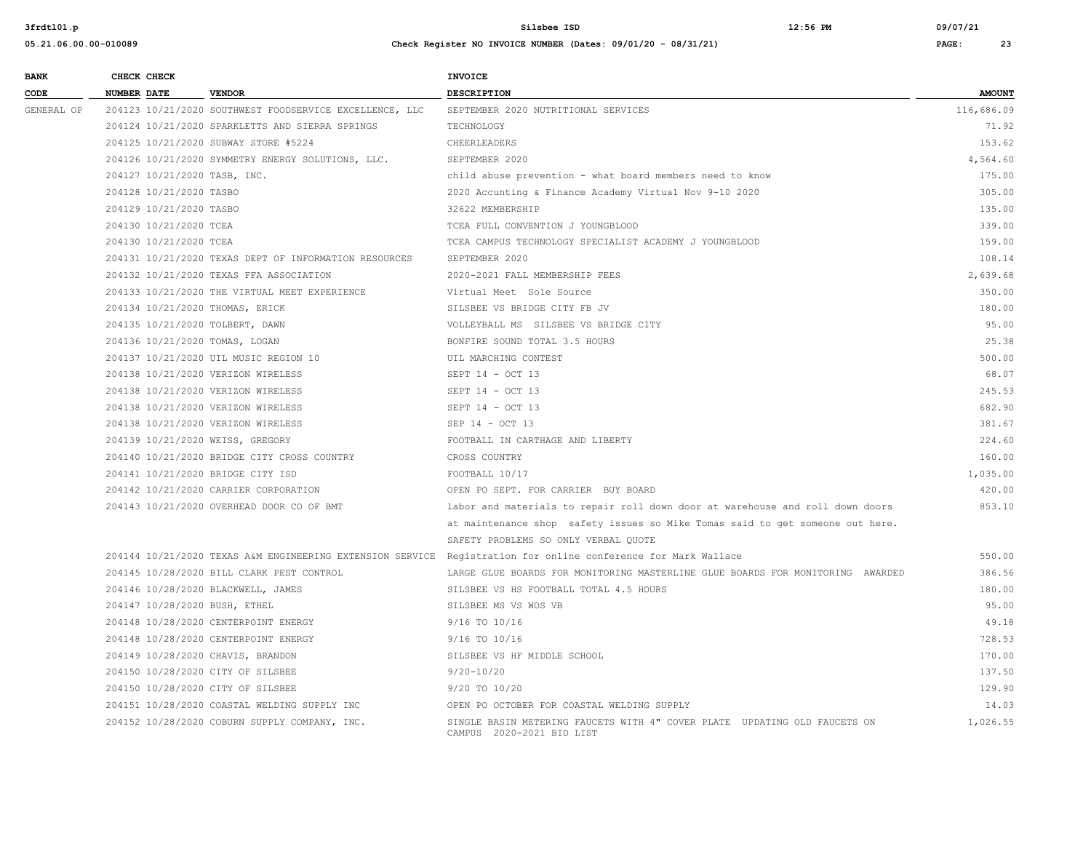**3frdtl01.p Silsbee ISD 12:56 PM 09/07/21**

| 05.21.06.00.00-010089 |                    |                                                         | Check Register NO INVOICE NUMBER (Dates: $09/01/20 - 08/31/21$ ) |            | 23            |
|-----------------------|--------------------|---------------------------------------------------------|------------------------------------------------------------------|------------|---------------|
| <b>BANK</b>           | CHECK CHECK        |                                                         | <b>INVOICE</b>                                                   |            |               |
| CODE                  | <b>NUMBER DATE</b> | <b>VENDOR</b>                                           | <b>DESCRIPTION</b>                                               |            | <b>AMOUNT</b> |
| GENERAL OP            |                    | 204123 10/21/2020 SOUTHWEST FOODSERVICE EXCELLENCE, LLC | SEPTEMBER 2020 NUTRITIONAL SERVICES                              | 116,686.09 |               |
|                       |                    |                                                         |                                                                  |            | _ _ _ _       |

| GENERAL OP |                                    | 204123 10/21/2020 SOUTHWEST FOODSERVICE EXCELLENCE, LLC | SEPTEMBER 2020 NUTRITIONAL SERVICES                                                                           | 116,686.09 |
|------------|------------------------------------|---------------------------------------------------------|---------------------------------------------------------------------------------------------------------------|------------|
|            |                                    | 204124 10/21/2020 SPARKLETTS AND SIERRA SPRINGS         | TECHNOLOGY                                                                                                    | 71.92      |
|            |                                    | 204125 10/21/2020 SUBWAY STORE #5224                    | CHEERLEADERS                                                                                                  | 153.62     |
|            |                                    | 204126 10/21/2020 SYMMETRY ENERGY SOLUTIONS, LLC.       | SEPTEMBER 2020                                                                                                | 4,564.60   |
|            | 204127 10/21/2020 TASB, INC.       |                                                         | child abuse prevention - what board members need to know                                                      | 175.00     |
|            | 204128 10/21/2020 TASBO            |                                                         | 2020 Accunting & Finance Academy Virtual Nov 9-10 2020                                                        | 305.00     |
|            | 204129 10/21/2020 TASBO            |                                                         | 32622 MEMBERSHIP                                                                                              | 135.00     |
|            | 204130 10/21/2020 TCEA             |                                                         | TCEA FULL CONVENTION J YOUNGBLOOD                                                                             | 339.00     |
|            | 204130 10/21/2020 TCEA             |                                                         | TCEA CAMPUS TECHNOLOGY SPECIALIST ACADEMY J YOUNGBLOOD                                                        | 159.00     |
|            |                                    | 204131 10/21/2020 TEXAS DEPT OF INFORMATION RESOURCES   | SEPTEMBER 2020                                                                                                | 108.14     |
|            |                                    | 204132 10/21/2020 TEXAS FFA ASSOCIATION                 | 2020-2021 FALL MEMBERSHIP FEES                                                                                | 2,639.68   |
|            |                                    | 204133 10/21/2020 THE VIRTUAL MEET EXPERIENCE           | Virtual Meet Sole Source                                                                                      | 350.00     |
|            | 204134 10/21/2020 THOMAS, ERICK    |                                                         | SILSBEE VS BRIDGE CITY FB JV                                                                                  | 180.00     |
|            | 204135 10/21/2020 TOLBERT, DAWN    |                                                         | VOLLEYBALL MS SILSBEE VS BRIDGE CITY                                                                          | 95.00      |
|            | 204136 10/21/2020 TOMAS, LOGAN     |                                                         | BONFIRE SOUND TOTAL 3.5 HOURS                                                                                 | 25.38      |
|            |                                    | 204137 10/21/2020 UIL MUSIC REGION 10                   | UIL MARCHING CONTEST                                                                                          | 500.00     |
|            | 204138 10/21/2020 VERIZON WIRELESS |                                                         | SEPT 14 - OCT 13                                                                                              | 68.07      |
|            | 204138 10/21/2020 VERIZON WIRELESS |                                                         | SEPT 14 - OCT 13                                                                                              | 245.53     |
|            | 204138 10/21/2020 VERIZON WIRELESS |                                                         | SEPT 14 - OCT 13                                                                                              | 682.90     |
|            | 204138 10/21/2020 VERIZON WIRELESS |                                                         | SEP 14 - OCT 13                                                                                               | 381.67     |
|            | 204139 10/21/2020 WEISS, GREGORY   |                                                         | FOOTBALL IN CARTHAGE AND LIBERTY                                                                              | 224.60     |
|            |                                    | 204140 10/21/2020 BRIDGE CITY CROSS COUNTRY             | CROSS COUNTRY                                                                                                 | 160.00     |
|            | 204141 10/21/2020 BRIDGE CITY ISD  |                                                         | FOOTBALL 10/17                                                                                                | 1,035.00   |
|            |                                    | 204142 10/21/2020 CARRIER CORPORATION                   | OPEN PO SEPT. FOR CARRIER BUY BOARD                                                                           | 420.00     |
|            |                                    | 204143 10/21/2020 OVERHEAD DOOR CO OF BMT               | labor and materials to repair roll down door at warehouse and roll down doors                                 | 853.10     |
|            |                                    |                                                         | at maintenance shop safety issues so Mike Tomas said to get someone out here.                                 |            |
|            |                                    |                                                         | SAFETY PROBLEMS SO ONLY VERBAL QUOTE                                                                          |            |
|            |                                    |                                                         | 204144 10/21/2020 TEXAS A&M ENGINEERING EXTENSION SERVICE Registration for online conference for Mark Wallace | 550.00     |
|            |                                    | 204145 10/28/2020 BILL CLARK PEST CONTROL               | LARGE GLUE BOARDS FOR MONITORING MASTERLINE GLUE BOARDS FOR MONITORING AWARDED                                | 386.56     |
|            | 204146 10/28/2020 BLACKWELL, JAMES |                                                         | SILSBEE VS HS FOOTBALL TOTAL 4.5 HOURS                                                                        | 180.00     |
|            | 204147 10/28/2020 BUSH, ETHEL      |                                                         | SILSBEE MS VS WOS VB                                                                                          | 95.00      |
|            |                                    | 204148 10/28/2020 CENTERPOINT ENERGY                    | 9/16 TO 10/16                                                                                                 | 49.18      |
|            |                                    | 204148 10/28/2020 CENTERPOINT ENERGY                    | 9/16 TO 10/16                                                                                                 | 728.53     |
|            | 204149 10/28/2020 CHAVIS, BRANDON  |                                                         | SILSBEE VS HF MIDDLE SCHOOL                                                                                   | 170.00     |
|            | 204150 10/28/2020 CITY OF SILSBEE  |                                                         | $9/20 - 10/20$                                                                                                | 137.50     |
|            | 204150 10/28/2020 CITY OF SILSBEE  |                                                         | 9/20 TO 10/20                                                                                                 | 129.90     |
|            |                                    | 204151 10/28/2020 COASTAL WELDING SUPPLY INC            | OPEN PO OCTOBER FOR COASTAL WELDING SUPPLY                                                                    | 14.03      |
|            |                                    | 204152 10/28/2020 COBURN SUPPLY COMPANY, INC.           | SINGLE BASIN METERING FAUCETS WITH 4" COVER PLATE UPDATING OLD FAUCETS ON<br>CAMPUS 2020-2021 BID LIST        | 1,026.55   |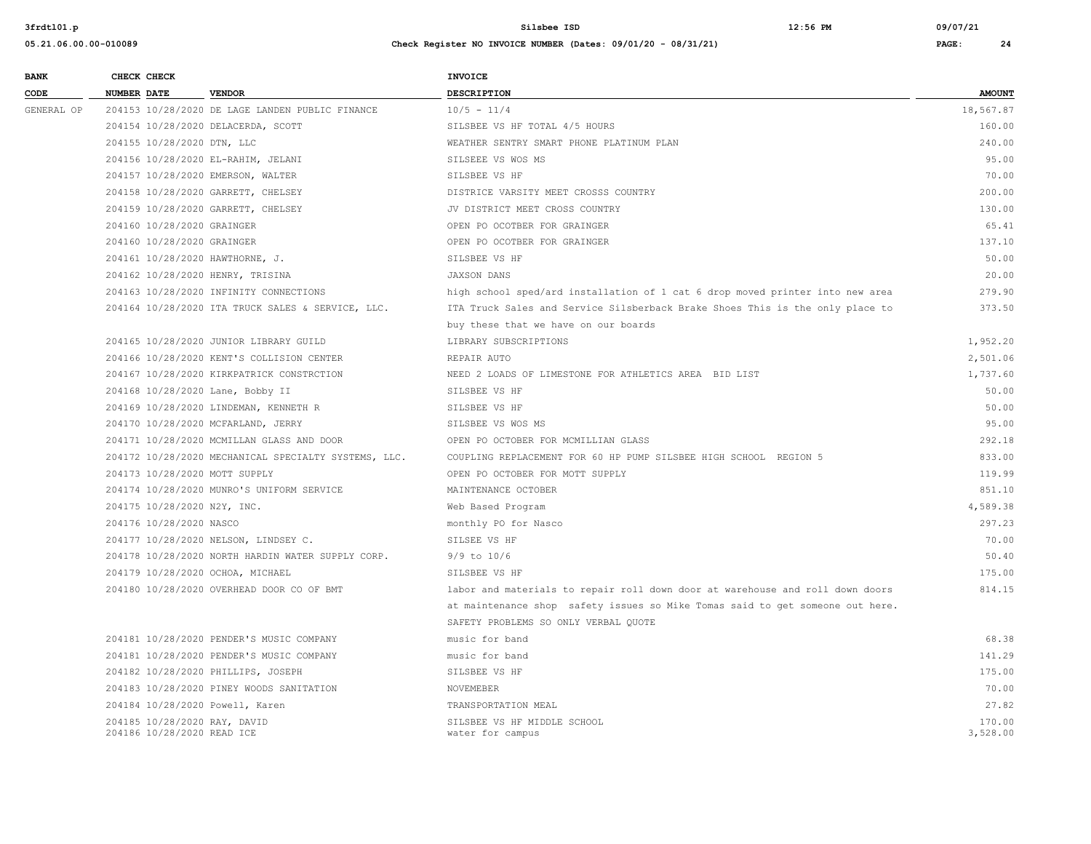| <b>BANK</b> | CHECK CHECK                      |                                                      | <b>INVOICE</b>                                                                |               |
|-------------|----------------------------------|------------------------------------------------------|-------------------------------------------------------------------------------|---------------|
| CODE        | <b>NUMBER DATE</b>               | <b>VENDOR</b>                                        | DESCRIPTION                                                                   | <b>AMOUNT</b> |
| GENERAL OP  |                                  | 204153 10/28/2020 DE LAGE LANDEN PUBLIC FINANCE      | $10/5 - 11/4$                                                                 | 18,567.87     |
|             |                                  | 204154 10/28/2020 DELACERDA, SCOTT                   | SILSBEE VS HF TOTAL 4/5 HOURS                                                 | 160.00        |
|             | 204155 10/28/2020 DTN, LLC       |                                                      | WEATHER SENTRY SMART PHONE PLATINUM PLAN                                      | 240.00        |
|             |                                  | 204156 10/28/2020 EL-RAHIM, JELANI                   | SILSEEE VS WOS MS                                                             | 95.00         |
|             |                                  | 204157 10/28/2020 EMERSON, WALTER                    | SILSBEE VS HF                                                                 | 70.00         |
|             |                                  | 204158 10/28/2020 GARRETT, CHELSEY                   | DISTRICE VARSITY MEET CROSSS COUNTRY                                          | 200.00        |
|             |                                  | 204159 10/28/2020 GARRETT, CHELSEY                   | JV DISTRICT MEET CROSS COUNTRY                                                | 130.00        |
|             | 204160 10/28/2020 GRAINGER       |                                                      | OPEN PO OCOTBER FOR GRAINGER                                                  | 65.41         |
|             | 204160 10/28/2020 GRAINGER       |                                                      | OPEN PO OCOTBER FOR GRAINGER                                                  | 137.10        |
|             | 204161 10/28/2020 HAWTHORNE, J.  |                                                      | SILSBEE VS HF                                                                 | 50.00         |
|             | 204162 10/28/2020 HENRY, TRISINA |                                                      | <b>JAXSON DANS</b>                                                            | 20.00         |
|             |                                  | 204163 10/28/2020 INFINITY CONNECTIONS               | high school sped/ard installation of 1 cat 6 drop moved printer into new area | 279.90        |
|             |                                  | 204164 10/28/2020 ITA TRUCK SALES & SERVICE, LLC.    | ITA Truck Sales and Service Silsberback Brake Shoes This is the only place to | 373.50        |
|             |                                  |                                                      | buy these that we have on our boards                                          |               |
|             |                                  | 204165 10/28/2020 JUNIOR LIBRARY GUILD               | LIBRARY SUBSCRIPTIONS                                                         | 1,952.20      |
|             |                                  | 204166 10/28/2020 KENT'S COLLISION CENTER            | REPAIR AUTO                                                                   | 2,501.06      |
|             |                                  | 204167 10/28/2020 KIRKPATRICK CONSTRCTION            | NEED 2 LOADS OF LIMESTONE FOR ATHLETICS AREA BID LIST                         | 1,737.60      |
|             | 204168 10/28/2020 Lane, Bobby II |                                                      | SILSBEE VS HF                                                                 | 50.00         |
|             |                                  | 204169 10/28/2020 LINDEMAN, KENNETH R                | SILSBEE VS HF                                                                 | 50.00         |
|             |                                  | 204170 10/28/2020 MCFARLAND, JERRY                   | SILSBEE VS WOS MS                                                             | 95.00         |
|             |                                  | 204171 10/28/2020 MCMILLAN GLASS AND DOOR            | OPEN PO OCTOBER FOR MCMILLIAN GLASS                                           | 292.18        |
|             |                                  | 204172 10/28/2020 MECHANICAL SPECIALTY SYSTEMS, LLC. | COUPLING REPLACEMENT FOR 60 HP PUMP SILSBEE HIGH SCHOOL REGION 5              | 833.00        |
|             | 204173 10/28/2020 MOTT SUPPLY    |                                                      | OPEN PO OCTOBER FOR MOTT SUPPLY                                               | 119.99        |
|             |                                  | 204174 10/28/2020 MUNRO'S UNIFORM SERVICE            | MAINTENANCE OCTOBER                                                           | 851.10        |
|             | 204175 10/28/2020 N2Y, INC.      |                                                      | Web Based Program                                                             | 4,589.38      |
|             | 204176 10/28/2020 NASCO          |                                                      | monthly PO for Nasco                                                          | 297.23        |
|             |                                  | 204177 10/28/2020 NELSON, LINDSEY C.                 | SILSEE VS HF                                                                  | 70.00         |
|             |                                  | 204178 10/28/2020 NORTH HARDIN WATER SUPPLY CORP.    | $9/9$ to $10/6$                                                               | 50.40         |
|             | 204179 10/28/2020 OCHOA, MICHAEL |                                                      | SILSBEE VS HF                                                                 | 175.00        |
|             |                                  | 204180 10/28/2020 OVERHEAD DOOR CO OF BMT            | labor and materials to repair roll down door at warehouse and roll down doors | 814.15        |
|             |                                  |                                                      | at maintenance shop safety issues so Mike Tomas said to get someone out here. |               |
|             |                                  |                                                      | SAFETY PROBLEMS SO ONLY VERBAL QUOTE                                          |               |
|             |                                  | 204181 10/28/2020 PENDER'S MUSIC COMPANY             | music for band                                                                | 68.38         |
|             |                                  | 204181 10/28/2020 PENDER'S MUSIC COMPANY             | music for band                                                                | 141.29        |
|             |                                  | 204182 10/28/2020 PHILLIPS, JOSEPH                   | SILSBEE VS HF                                                                 | 175.00        |
|             |                                  | 204183 10/28/2020 PINEY WOODS SANITATION             | NOVEMEBER                                                                     | 70.00         |
|             | 204184 10/28/2020 Powell, Karen  |                                                      | TRANSPORTATION MEAL                                                           | 27.82         |
|             | 204185 10/28/2020 RAY, DAVID     |                                                      | SILSBEE VS HF MIDDLE SCHOOL                                                   | 170.00        |
|             | 204186 10/28/2020 READ ICE       |                                                      | water for campus                                                              | 3,528.00      |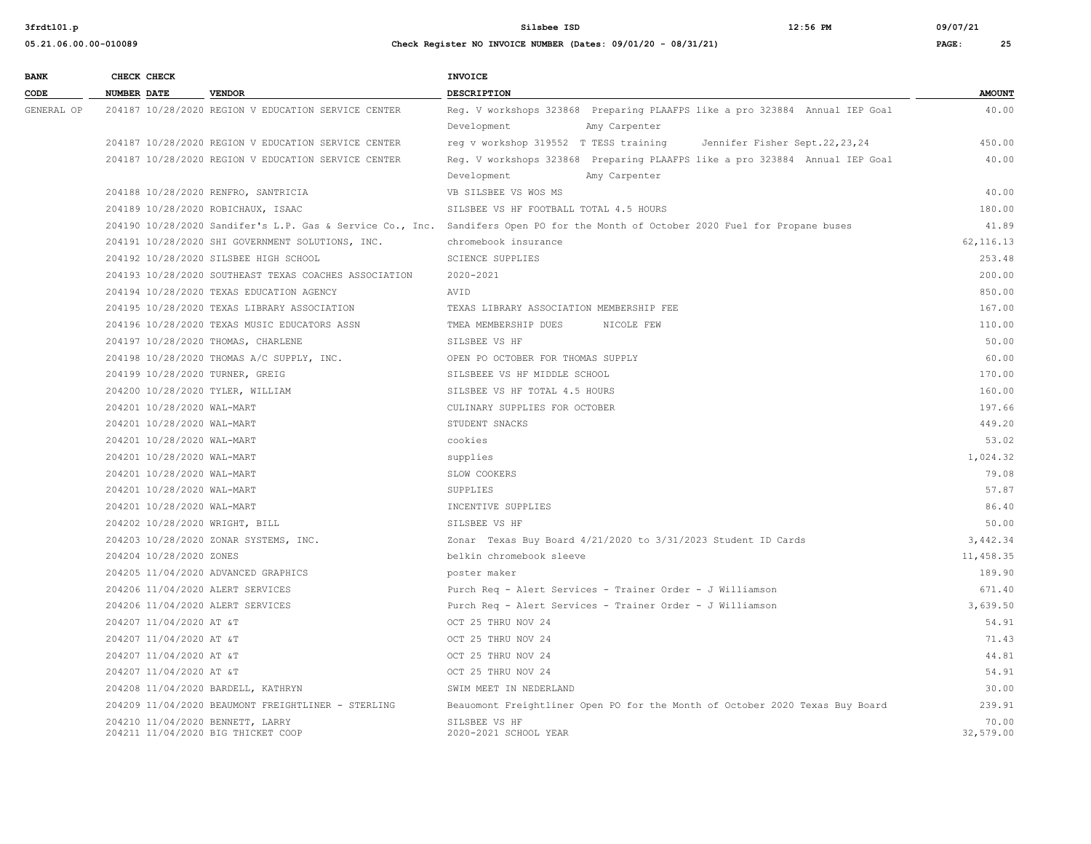**05.21.06.00.00-010089 Check Register NO INVOICE NUMBER (Dates: 09/01/20 - 08/31/21) PAGE: 25**

**3frdtl01.p Silsbee ISD 12:56 PM 09/07/21**

| <b>BANK</b> |             | CHECK CHECK                |                                                                        | <b>INVOICE</b>                                                                                                                   |                    |
|-------------|-------------|----------------------------|------------------------------------------------------------------------|----------------------------------------------------------------------------------------------------------------------------------|--------------------|
| CODE        | NUMBER DATE |                            | <b>VENDOR</b>                                                          | <b>DESCRIPTION</b>                                                                                                               | <b>AMOUNT</b>      |
| GENERAL OP  |             |                            | 204187 10/28/2020 REGION V EDUCATION SERVICE CENTER                    | Reg. V workshops 323868 Preparing PLAAFPS like a pro 323884 Annual IEP Goal                                                      | 40.00              |
|             |             |                            |                                                                        | Development<br>Amy Carpenter                                                                                                     |                    |
|             |             |                            | 204187 10/28/2020 REGION V EDUCATION SERVICE CENTER                    | reg v workshop 319552 T TESS training<br>Jennifer Fisher Sept.22,23,24                                                           | 450.00             |
|             |             |                            | 204187 10/28/2020 REGION V EDUCATION SERVICE CENTER                    | Reg. V workshops 323868 Preparing PLAAFPS like a pro 323884 Annual IEP Goal                                                      | 40.00              |
|             |             |                            |                                                                        | Amy Carpenter<br>Development                                                                                                     |                    |
|             |             |                            | 204188 10/28/2020 RENFRO, SANTRICIA                                    | VB SILSBEE VS WOS MS                                                                                                             | 40.00              |
|             |             |                            | 204189 10/28/2020 ROBICHAUX, ISAAC                                     | SILSBEE VS HF FOOTBALL TOTAL 4.5 HOURS                                                                                           | 180.00             |
|             |             |                            |                                                                        | 204190 10/28/2020 Sandifer's L.P. Gas & Service Co., Inc. Sandifers Open PO for the Month of October 2020 Fuel for Propane buses | 41.89              |
|             |             |                            | 204191 10/28/2020 SHI GOVERNMENT SOLUTIONS, INC.                       | chromebook insurance                                                                                                             | 62, 116.13         |
|             |             |                            | 204192 10/28/2020 SILSBEE HIGH SCHOOL                                  | <b>SCIENCE SUPPLIES</b>                                                                                                          | 253.48             |
|             |             |                            | 204193 10/28/2020 SOUTHEAST TEXAS COACHES ASSOCIATION                  | 2020-2021                                                                                                                        | 200.00             |
|             |             |                            | 204194 10/28/2020 TEXAS EDUCATION AGENCY                               | AVID                                                                                                                             | 850.00             |
|             |             |                            | 204195 10/28/2020 TEXAS LIBRARY ASSOCIATION                            | TEXAS LIBRARY ASSOCIATION MEMBERSHIP FEE                                                                                         | 167.00             |
|             |             |                            | 204196 10/28/2020 TEXAS MUSIC EDUCATORS ASSN                           | TMEA MEMBERSHIP DUES<br>NICOLE FEW                                                                                               | 110.00             |
|             |             |                            | 204197 10/28/2020 THOMAS, CHARLENE                                     | SILSBEE VS HF                                                                                                                    | 50.00              |
|             |             |                            | 204198 10/28/2020 THOMAS A/C SUPPLY, INC.                              | OPEN PO OCTOBER FOR THOMAS SUPPLY                                                                                                | 60.00              |
|             |             |                            | 204199 10/28/2020 TURNER, GREIG                                        | SILSBEEE VS HF MIDDLE SCHOOL                                                                                                     | 170.00             |
|             |             |                            | 204200 10/28/2020 TYLER, WILLIAM                                       | SILSBEE VS HF TOTAL 4.5 HOURS                                                                                                    | 160.00             |
|             |             | 204201 10/28/2020 WAL-MART |                                                                        | CULINARY SUPPLIES FOR OCTOBER                                                                                                    | 197.66             |
|             |             | 204201 10/28/2020 WAL-MART |                                                                        | STUDENT SNACKS                                                                                                                   | 449.20             |
|             |             | 204201 10/28/2020 WAL-MART |                                                                        | cookies                                                                                                                          | 53.02              |
|             |             | 204201 10/28/2020 WAL-MART |                                                                        | supplies                                                                                                                         | 1,024.32           |
|             |             | 204201 10/28/2020 WAL-MART |                                                                        | SLOW COOKERS                                                                                                                     | 79.08              |
|             |             | 204201 10/28/2020 WAL-MART |                                                                        | SUPPLIES                                                                                                                         | 57.87              |
|             |             | 204201 10/28/2020 WAL-MART |                                                                        | INCENTIVE SUPPLIES                                                                                                               | 86.40              |
|             |             |                            | 204202 10/28/2020 WRIGHT, BILL                                         | SILSBEE VS HF                                                                                                                    | 50.00              |
|             |             |                            | 204203 10/28/2020 ZONAR SYSTEMS, INC.                                  | Zonar Texas Buy Board 4/21/2020 to 3/31/2023 Student ID Cards                                                                    | 3,442.34           |
|             |             | 204204 10/28/2020 ZONES    |                                                                        | belkin chromebook sleeve                                                                                                         | 11,458.35          |
|             |             |                            | 204205 11/04/2020 ADVANCED GRAPHICS                                    | poster maker                                                                                                                     | 189.90             |
|             |             |                            | 204206 11/04/2020 ALERT SERVICES                                       | Purch Req - Alert Services - Trainer Order - J Williamson                                                                        | 671.40             |
|             |             |                            | 204206 11/04/2020 ALERT SERVICES                                       | Purch Req - Alert Services - Trainer Order - J Williamson                                                                        | 3.639.50           |
|             |             | 204207 11/04/2020 AT &T    |                                                                        | OCT 25 THRU NOV 24                                                                                                               | 54.91              |
|             |             | 204207 11/04/2020 AT &T    |                                                                        | OCT 25 THRU NOV 24                                                                                                               | 71.43              |
|             |             | 204207 11/04/2020 AT &T    |                                                                        | OCT 25 THRU NOV 24                                                                                                               | 44.81              |
|             |             | 204207 11/04/2020 AT &T    |                                                                        | OCT 25 THRU NOV 24                                                                                                               | 54.91              |
|             |             |                            | 204208 11/04/2020 BARDELL, KATHRYN                                     | SWIM MEET IN NEDERLAND                                                                                                           | 30.00              |
|             |             |                            | 204209 11/04/2020 BEAUMONT FREIGHTLINER - STERLING                     | Beauomont Freightliner Open PO for the Month of October 2020 Texas Buy Board                                                     | 239.91             |
|             |             |                            | 204210 11/04/2020 BENNETT, LARRY<br>204211 11/04/2020 BIG THICKET COOP | SILSBEE VS HF<br>2020-2021 SCHOOL YEAR                                                                                           | 70.00<br>32,579.00 |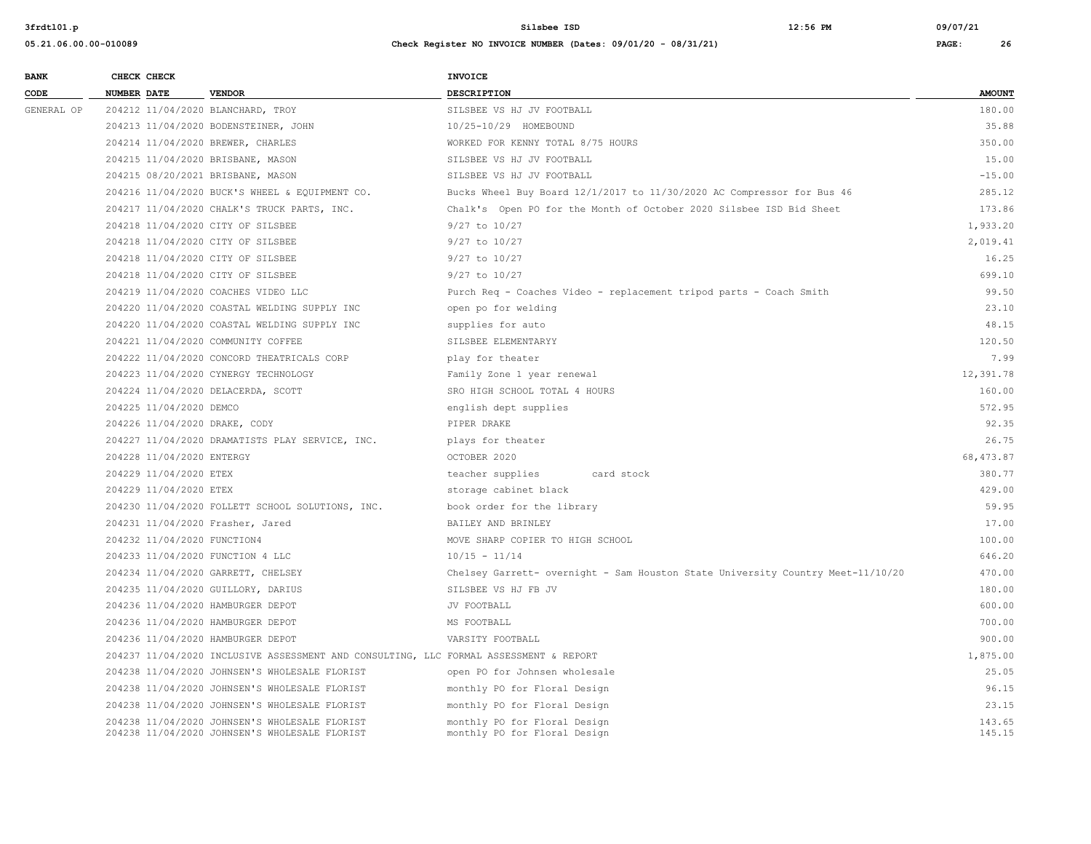| <b>BANK</b> | CHECK CHECK                       |                                                                                       | INVOICE                                                                         |               |
|-------------|-----------------------------------|---------------------------------------------------------------------------------------|---------------------------------------------------------------------------------|---------------|
| CODE        | NUMBER DATE                       | <b>VENDOR</b>                                                                         | <b>DESCRIPTION</b>                                                              | <b>AMOUNT</b> |
| GENERAL OP  | 204212 11/04/2020 BLANCHARD, TROY |                                                                                       | SILSBEE VS HJ JV FOOTBALL                                                       | 180.00        |
|             |                                   | 204213 11/04/2020 BODENSTEINER, JOHN                                                  | 10/25-10/29 HOMEBOUND                                                           | 35.88         |
|             | 204214 11/04/2020 BREWER, CHARLES |                                                                                       | WORKED FOR KENNY TOTAL 8/75 HOURS                                               | 350.00        |
|             | 204215 11/04/2020 BRISBANE, MASON |                                                                                       | SILSBEE VS HJ JV FOOTBALL                                                       | 15.00         |
|             | 204215 08/20/2021 BRISBANE, MASON |                                                                                       | SILSBEE VS HJ JV FOOTBALL                                                       | $-15.00$      |
|             |                                   | 204216 11/04/2020 BUCK'S WHEEL & EQUIPMENT CO.                                        | Bucks Wheel Buy Board 12/1/2017 to 11/30/2020 AC Compressor for Bus 46          | 285.12        |
|             |                                   | 204217 11/04/2020 CHALK'S TRUCK PARTS, INC.                                           | Chalk's Open PO for the Month of October 2020 Silsbee ISD Bid Sheet             | 173.86        |
|             | 204218 11/04/2020 CITY OF SILSBEE |                                                                                       | $9/27$ to $10/27$                                                               | 1,933.20      |
|             | 204218 11/04/2020 CITY OF SILSBEE |                                                                                       | 9/27 to 10/27                                                                   | 2,019.41      |
|             | 204218 11/04/2020 CITY OF SILSBEE |                                                                                       | 9/27 to 10/27                                                                   | 16.25         |
|             | 204218 11/04/2020 CITY OF SILSBEE |                                                                                       | $9/27$ to $10/27$                                                               | 699.10        |
|             |                                   | 204219 11/04/2020 COACHES VIDEO LLC                                                   | Purch Req - Coaches Video - replacement tripod parts - Coach Smith              | 99.50         |
|             |                                   | 204220 11/04/2020 COASTAL WELDING SUPPLY INC                                          | open po for welding                                                             | 23.10         |
|             |                                   | 204220 11/04/2020 COASTAL WELDING SUPPLY INC                                          | supplies for auto                                                               | 48.15         |
|             |                                   | 204221 11/04/2020 COMMUNITY COFFEE                                                    | SILSBEE ELEMENTARYY                                                             | 120.50        |
|             |                                   | 204222 11/04/2020 CONCORD THEATRICALS CORP                                            | play for theater                                                                | 7.99          |
|             |                                   | 204223 11/04/2020 CYNERGY TECHNOLOGY                                                  | Family Zone 1 year renewal                                                      | 12,391.78     |
|             |                                   | 204224 11/04/2020 DELACERDA, SCOTT                                                    | SRO HIGH SCHOOL TOTAL 4 HOURS                                                   | 160.00        |
|             | 204225 11/04/2020 DEMCO           |                                                                                       | english dept supplies                                                           | 572.95        |
|             | 204226 11/04/2020 DRAKE, CODY     |                                                                                       | PIPER DRAKE                                                                     | 92.35         |
|             |                                   | 204227 11/04/2020 DRAMATISTS PLAY SERVICE, INC.                                       | plays for theater                                                               | 26.75         |
|             | 204228 11/04/2020 ENTERGY         |                                                                                       | OCTOBER 2020                                                                    | 68, 473.87    |
|             | 204229 11/04/2020 ETEX            |                                                                                       | teacher supplies<br>card stock                                                  | 380.77        |
|             | 204229 11/04/2020 ETEX            |                                                                                       | storage cabinet black                                                           | 429.00        |
|             |                                   | 204230 11/04/2020 FOLLETT SCHOOL SOLUTIONS, INC.                                      | book order for the library                                                      | 59.95         |
|             | 204231 11/04/2020 Frasher, Jared  |                                                                                       | BAILEY AND BRINLEY                                                              | 17.00         |
|             | 204232 11/04/2020 FUNCTION4       |                                                                                       | MOVE SHARP COPIER TO HIGH SCHOOL                                                | 100.00        |
|             | 204233 11/04/2020 FUNCTION 4 LLC  |                                                                                       | $10/15 - 11/14$                                                                 | 646.20        |
|             |                                   | 204234 11/04/2020 GARRETT, CHELSEY                                                    | Chelsey Garrett- overnight - Sam Houston State University Country Meet-11/10/20 | 470.00        |
|             |                                   | 204235 11/04/2020 GUILLORY, DARIUS                                                    | SILSBEE VS HJ FB JV                                                             | 180.00        |
|             | 204236 11/04/2020 HAMBURGER DEPOT |                                                                                       | JV FOOTBALL                                                                     | 600.00        |
|             | 204236 11/04/2020 HAMBURGER DEPOT |                                                                                       | MS FOOTBALL                                                                     | 700.00        |
|             | 204236 11/04/2020 HAMBURGER DEPOT |                                                                                       | VARSITY FOOTBALL                                                                | 900.00        |
|             |                                   | 204237 11/04/2020 INCLUSIVE ASSESSMENT AND CONSULTING, LLC FORMAL ASSESSMENT & REPORT |                                                                                 | 1,875.00      |
|             |                                   | 204238 11/04/2020 JOHNSEN'S WHOLESALE FLORIST                                         | open PO for Johnsen wholesale                                                   | 25.05         |
|             |                                   | 204238 11/04/2020 JOHNSEN'S WHOLESALE FLORIST                                         | monthly PO for Floral Design                                                    | 96.15         |
|             |                                   | 204238 11/04/2020 JOHNSEN'S WHOLESALE FLORIST                                         | monthly PO for Floral Design                                                    | 23.15         |
|             |                                   | 204238 11/04/2020 JOHNSEN'S WHOLESALE FLORIST                                         | monthly PO for Floral Design                                                    | 143.65        |
|             |                                   | 204238 11/04/2020 JOHNSEN'S WHOLESALE FLORIST                                         | monthly PO for Floral Design                                                    | 145.15        |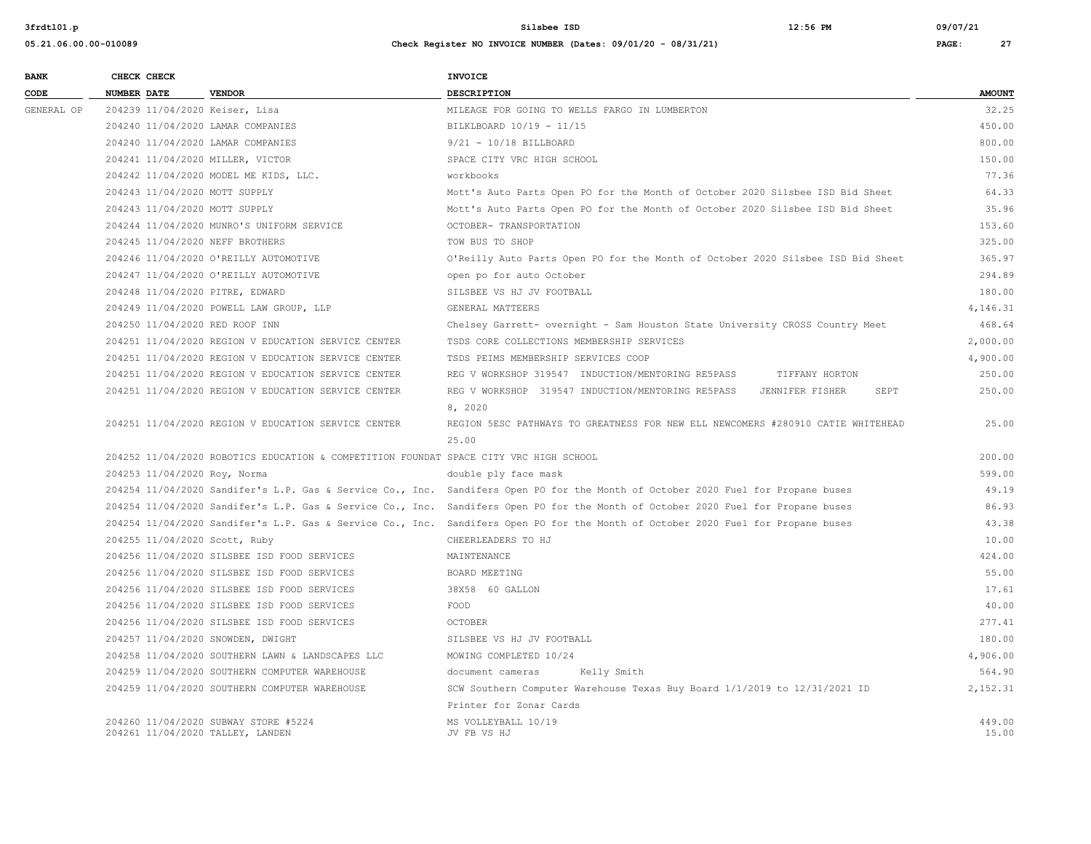| <b>BANK</b> | CHECK CHECK                       |                                                                                       | <b>INVOICE</b>                                                                                                                   |                 |
|-------------|-----------------------------------|---------------------------------------------------------------------------------------|----------------------------------------------------------------------------------------------------------------------------------|-----------------|
| CODE        | <b>NUMBER DATE</b>                | <b>VENDOR</b>                                                                         | DESCRIPTION                                                                                                                      | <b>AMOUNT</b>   |
| GENERAL OP  | 204239 11/04/2020 Keiser, Lisa    |                                                                                       | MILEAGE FOR GOING TO WELLS FARGO IN LUMBERTON                                                                                    | 32.25           |
|             | 204240 11/04/2020 LAMAR COMPANIES |                                                                                       | BILKLBOARD 10/19 - 11/15                                                                                                         | 450.00          |
|             | 204240 11/04/2020 LAMAR COMPANIES |                                                                                       | $9/21 - 10/18$ BILLBOARD                                                                                                         | 800.00          |
|             | 204241 11/04/2020 MILLER, VICTOR  |                                                                                       | SPACE CITY VRC HIGH SCHOOL                                                                                                       | 150.00          |
|             |                                   | 204242 11/04/2020 MODEL ME KIDS, LLC.                                                 | workbooks                                                                                                                        | 77.36           |
|             | 204243 11/04/2020 MOTT SUPPLY     |                                                                                       | Mott's Auto Parts Open PO for the Month of October 2020 Silsbee ISD Bid Sheet                                                    | 64.33           |
|             | 204243 11/04/2020 MOTT SUPPLY     |                                                                                       | Mott's Auto Parts Open PO for the Month of October 2020 Silsbee ISD Bid Sheet                                                    | 35.96           |
|             |                                   | 204244 11/04/2020 MUNRO'S UNIFORM SERVICE                                             | OCTOBER- TRANSPORTATION                                                                                                          | 153.60          |
|             | 204245 11/04/2020 NEFF BROTHERS   |                                                                                       | TOW BUS TO SHOP                                                                                                                  | 325.00          |
|             |                                   | 204246 11/04/2020 O'REILLY AUTOMOTIVE                                                 | O'Reilly Auto Parts Open PO for the Month of October 2020 Silsbee ISD Bid Sheet                                                  | 365.97          |
|             |                                   | 204247 11/04/2020 O'REILLY AUTOMOTIVE                                                 | open po for auto October                                                                                                         | 294.89          |
|             | 204248 11/04/2020 PITRE, EDWARD   |                                                                                       | SILSBEE VS HJ JV FOOTBALL                                                                                                        | 180.00          |
|             |                                   | 204249 11/04/2020 POWELL LAW GROUP, LLP                                               | GENERAL MATTEERS                                                                                                                 | 4,146.31        |
|             | 204250 11/04/2020 RED ROOF INN    |                                                                                       | Chelsey Garrett- overnight - Sam Houston State University CROSS Country Meet                                                     | 468.64          |
|             |                                   | 204251 11/04/2020 REGION V EDUCATION SERVICE CENTER                                   | TSDS CORE COLLECTIONS MEMBERSHIP SERVICES                                                                                        | 2,000.00        |
|             |                                   | 204251 11/04/2020 REGION V EDUCATION SERVICE CENTER                                   | TSDS PEIMS MEMBERSHIP SERVICES COOP                                                                                              | 4,900.00        |
|             |                                   | 204251 11/04/2020 REGION V EDUCATION SERVICE CENTER                                   | REG V WORKSHOP 319547 INDUCTION/MENTORING RE5PASS<br>TIFFANY HORTON                                                              | 250.00          |
|             |                                   | 204251 11/04/2020 REGION V EDUCATION SERVICE CENTER                                   | REG V WORKSHOP 319547 INDUCTION/MENTORING RE5PASS JENNIFER FISHER<br>SEPT                                                        | 250.00          |
|             |                                   |                                                                                       | 8, 2020                                                                                                                          |                 |
|             |                                   | 204251 11/04/2020 REGION V EDUCATION SERVICE CENTER                                   | REGION 5ESC PATHWAYS TO GREATNESS FOR NEW ELL NEWCOMERS #280910 CATIE WHITEHEAD                                                  | 25.00           |
|             |                                   |                                                                                       | 25.00                                                                                                                            |                 |
|             |                                   | 204252 11/04/2020 ROBOTICS EDUCATION & COMPETITION FOUNDAT SPACE CITY VRC HIGH SCHOOL |                                                                                                                                  | 200.00          |
|             | 204253 11/04/2020 Roy, Norma      |                                                                                       | double ply face mask                                                                                                             | 599.00          |
|             |                                   |                                                                                       | 204254 11/04/2020 Sandifer's L.P. Gas & Service Co., Inc. Sandifers Open PO for the Month of October 2020 Fuel for Propane buses | 49.19           |
|             |                                   |                                                                                       | 204254 11/04/2020 Sandifer's L.P. Gas & Service Co., Inc. Sandifers Open PO for the Month of October 2020 Fuel for Propane buses | 86.93           |
|             |                                   |                                                                                       | 204254 11/04/2020 Sandifer's L.P. Gas & Service Co., Inc. Sandifers Open PO for the Month of October 2020 Fuel for Propane buses | 43.38           |
|             | 204255 11/04/2020 Scott, Ruby     |                                                                                       | CHEERLEADERS TO HJ                                                                                                               | 10.00           |
|             |                                   | 204256 11/04/2020 SILSBEE ISD FOOD SERVICES                                           | MAINTENANCE                                                                                                                      | 424.00          |
|             |                                   | 204256 11/04/2020 SILSBEE ISD FOOD SERVICES                                           | BOARD MEETING                                                                                                                    | 55.00           |
|             |                                   | 204256 11/04/2020 SILSBEE ISD FOOD SERVICES                                           | 38X58 60 GALLON                                                                                                                  | 17.61           |
|             |                                   | 204256 11/04/2020 SILSBEE ISD FOOD SERVICES                                           | FOOD                                                                                                                             | 40.00           |
|             |                                   | 204256 11/04/2020 SILSBEE ISD FOOD SERVICES                                           | <b>OCTOBER</b>                                                                                                                   | 277.41          |
|             | 204257 11/04/2020 SNOWDEN, DWIGHT |                                                                                       | SILSBEE VS HJ JV FOOTBALL                                                                                                        | 180.00          |
|             |                                   | 204258 11/04/2020 SOUTHERN LAWN & LANDSCAPES LLC                                      | MOWING COMPLETED 10/24                                                                                                           | 4,906.00        |
|             |                                   | 204259 11/04/2020 SOUTHERN COMPUTER WAREHOUSE                                         | document cameras<br>Kelly Smith                                                                                                  | 564.90          |
|             |                                   | 204259 11/04/2020 SOUTHERN COMPUTER WAREHOUSE                                         | SCW Southern Computer Warehouse Texas Buy Board 1/1/2019 to 12/31/2021 ID                                                        | 2,152.31        |
|             |                                   |                                                                                       | Printer for Zonar Cards                                                                                                          |                 |
|             | 204261 11/04/2020 TALLEY, LANDEN  | 204260 11/04/2020 SUBWAY STORE #5224                                                  | MS VOLLEYBALL 10/19<br>JV FB VS HJ                                                                                               | 449.00<br>15.00 |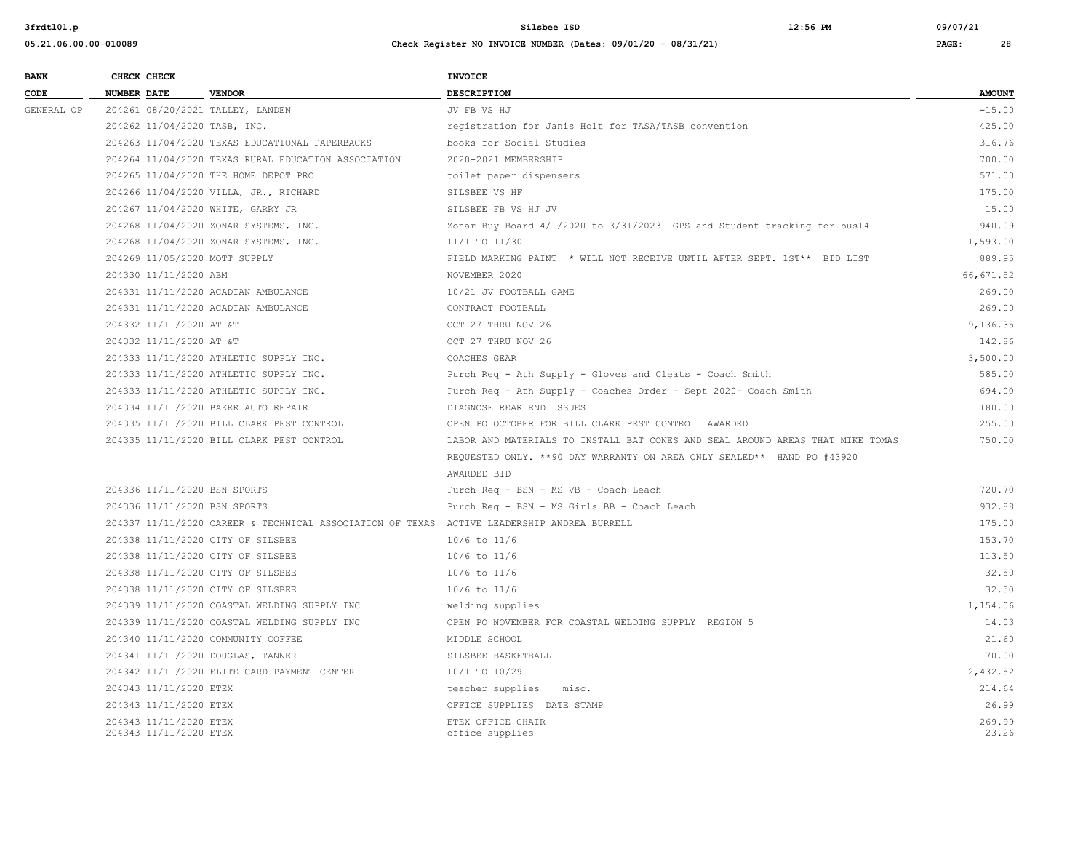| <b>BANK</b> | CHECK CHECK                                      |                                                                                            | <b>INVOICE</b>                                                                 |                 |
|-------------|--------------------------------------------------|--------------------------------------------------------------------------------------------|--------------------------------------------------------------------------------|-----------------|
| CODE        | <b>NUMBER DATE</b>                               | <b>VENDOR</b>                                                                              | <b>DESCRIPTION</b>                                                             | <b>AMOUNT</b>   |
| GENERAL OP  | 204261 08/20/2021 TALLEY, LANDEN                 |                                                                                            | JV FB VS HJ                                                                    | $-15.00$        |
|             | 204262 11/04/2020 TASB, INC.                     |                                                                                            | reqistration for Janis Holt for TASA/TASB convention                           | 425.00          |
|             |                                                  | 204263 11/04/2020 TEXAS EDUCATIONAL PAPERBACKS                                             | books for Social Studies                                                       | 316.76          |
|             |                                                  | 204264 11/04/2020 TEXAS RURAL EDUCATION ASSOCIATION                                        | 2020-2021 MEMBERSHIP                                                           | 700.00          |
|             |                                                  | 204265 11/04/2020 THE HOME DEPOT PRO                                                       | toilet paper dispensers                                                        | 571.00          |
|             |                                                  | 204266 11/04/2020 VILLA, JR., RICHARD                                                      | SILSBEE VS HF                                                                  | 175.00          |
|             | 204267 11/04/2020 WHITE, GARRY JR                |                                                                                            | SILSBEE FB VS HJ JV                                                            | 15.00           |
|             |                                                  | 204268 11/04/2020 ZONAR SYSTEMS, INC.                                                      | Zonar Buy Board 4/1/2020 to 3/31/2023 GPS and Student tracking for bus14       | 940.09          |
|             |                                                  | 204268 11/04/2020 ZONAR SYSTEMS, INC.                                                      | 11/1 TO 11/30                                                                  | 1,593.00        |
|             | 204269 11/05/2020 MOTT SUPPLY                    |                                                                                            | FIELD MARKING PAINT * WILL NOT RECEIVE UNTIL AFTER SEPT. 1ST** BID LIST        | 889.95          |
|             | 204330 11/11/2020 ABM                            |                                                                                            | NOVEMBER 2020                                                                  | 66,671.52       |
|             |                                                  | 204331 11/11/2020 ACADIAN AMBULANCE                                                        | 10/21 JV FOOTBALL GAME                                                         | 269.00          |
|             |                                                  | 204331 11/11/2020 ACADIAN AMBULANCE                                                        | CONTRACT FOOTBALL                                                              | 269.00          |
|             | 204332 11/11/2020 AT &T                          |                                                                                            | OCT 27 THRU NOV 26                                                             | 9,136.35        |
|             | 204332 11/11/2020 AT &T                          |                                                                                            | OCT 27 THRU NOV 26                                                             | 142.86          |
|             |                                                  | 204333 11/11/2020 ATHLETIC SUPPLY INC.                                                     | COACHES GEAR                                                                   | 3,500.00        |
|             |                                                  | 204333 11/11/2020 ATHLETIC SUPPLY INC.                                                     | Purch Req - Ath Supply - Gloves and Cleats - Coach Smith                       | 585.00          |
|             |                                                  | 204333 11/11/2020 ATHLETIC SUPPLY INC.                                                     | Purch Req - Ath Supply - Coaches Order - Sept 2020- Coach Smith                | 694.00          |
|             |                                                  | 204334 11/11/2020 BAKER AUTO REPAIR                                                        | DIAGNOSE REAR END ISSUES                                                       | 180.00          |
|             |                                                  | 204335 11/11/2020 BILL CLARK PEST CONTROL                                                  | OPEN PO OCTOBER FOR BILL CLARK PEST CONTROL AWARDED                            | 255.00          |
|             |                                                  | 204335 11/11/2020 BILL CLARK PEST CONTROL                                                  | LABOR AND MATERIALS TO INSTALL BAT CONES AND SEAL AROUND AREAS THAT MIKE TOMAS | 750.00          |
|             |                                                  |                                                                                            | REQUESTED ONLY. ** 90 DAY WARRANTY ON AREA ONLY SEALED** HAND PO #43920        |                 |
|             |                                                  |                                                                                            | AWARDED BID                                                                    |                 |
|             | 204336 11/11/2020 BSN SPORTS                     |                                                                                            | Purch Req - BSN - MS VB - Coach Leach                                          | 720.70          |
|             | 204336 11/11/2020 BSN SPORTS                     |                                                                                            | Purch Req - BSN - MS Girls BB - Coach Leach                                    | 932.88          |
|             |                                                  | 204337 11/11/2020 CAREER & TECHNICAL ASSOCIATION OF TEXAS ACTIVE LEADERSHIP ANDREA BURRELL |                                                                                | 175.00          |
|             | 204338 11/11/2020 CITY OF SILSBEE                |                                                                                            | $10/6$ to $11/6$                                                               | 153.70          |
|             | 204338 11/11/2020 CITY OF SILSBEE                |                                                                                            | $10/6$ to $11/6$                                                               | 113.50          |
|             | 204338 11/11/2020 CITY OF SILSBEE                |                                                                                            | $10/6$ to $11/6$                                                               | 32.50           |
|             | 204338 11/11/2020 CITY OF SILSBEE                |                                                                                            | $10/6$ to $11/6$                                                               | 32.50           |
|             |                                                  | 204339 11/11/2020 COASTAL WELDING SUPPLY INC                                               | welding supplies                                                               | 1,154.06        |
|             |                                                  | 204339 11/11/2020 COASTAL WELDING SUPPLY INC                                               | OPEN PO NOVEMBER FOR COASTAL WELDING SUPPLY REGION 5                           | 14.03           |
|             | 204340 11/11/2020 COMMUNITY COFFEE               |                                                                                            | MIDDLE SCHOOL                                                                  | 21.60           |
|             | 204341 11/11/2020 DOUGLAS, TANNER                |                                                                                            | SILSBEE BASKETBALL                                                             | 70.00           |
|             |                                                  | 204342 11/11/2020 ELITE CARD PAYMENT CENTER                                                | 10/1 TO 10/29                                                                  | 2,432.52        |
|             | 204343 11/11/2020 ETEX                           |                                                                                            | teacher supplies<br>misc.                                                      | 214.64          |
|             | 204343 11/11/2020 ETEX                           |                                                                                            | OFFICE SUPPLIES DATE STAMP                                                     | 26.99           |
|             | 204343 11/11/2020 ETEX<br>204343 11/11/2020 ETEX |                                                                                            | ETEX OFFICE CHAIR<br>office supplies                                           | 269.99<br>23.26 |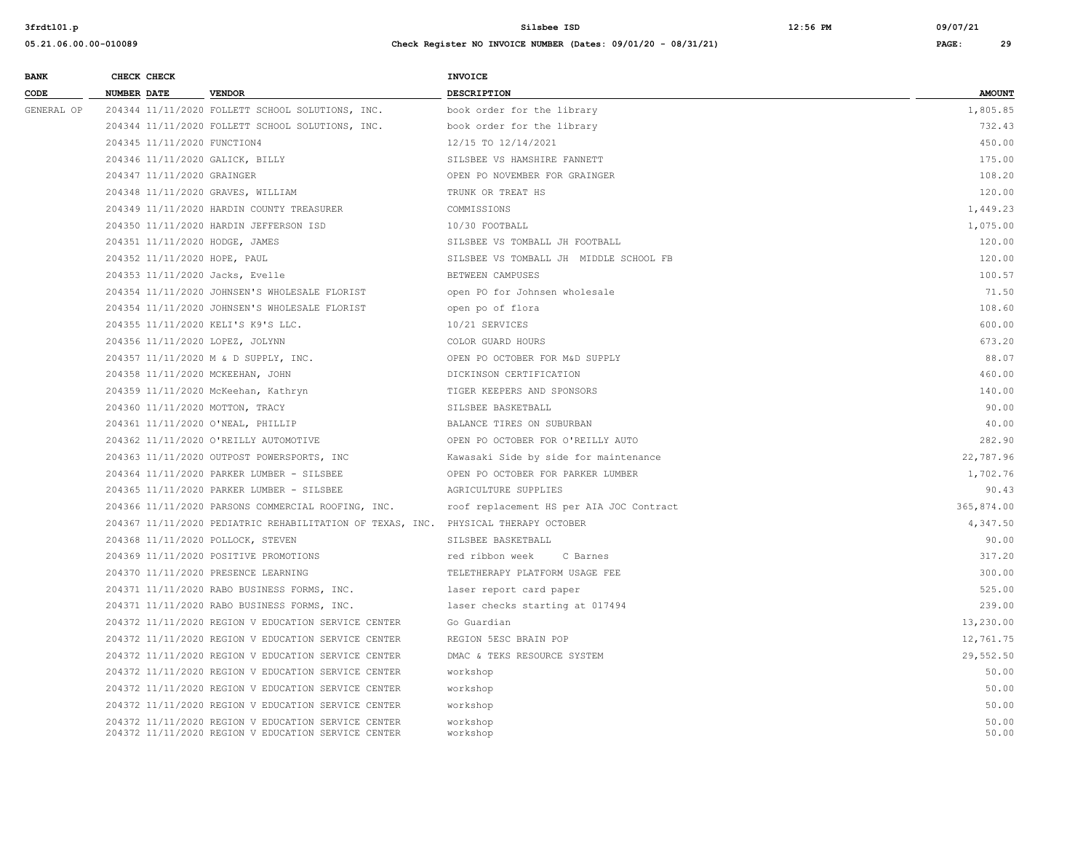**05.21.06.00.00-010089 Check Register NO INVOICE NUMBER (Dates: 09/01/20 - 08/31/21) PAGE: 29**

**3frdtl01.p Silsbee ISD 12:56 PM 09/07/21**

| <b>BANK</b> |                    | CHECK CHECK                 |                                                                                                            | <b>INVOICE</b>                           |                |
|-------------|--------------------|-----------------------------|------------------------------------------------------------------------------------------------------------|------------------------------------------|----------------|
| CODE        | <b>NUMBER DATE</b> |                             | <b>VENDOR</b>                                                                                              | <b>DESCRIPTION</b>                       | <b>AMOUNT</b>  |
| GENERAL OP  |                    |                             | 204344 11/11/2020 FOLLETT SCHOOL SOLUTIONS, INC.                                                           | book order for the library               | 1,805.85       |
|             |                    |                             | 204344 11/11/2020 FOLLETT SCHOOL SOLUTIONS, INC.                                                           | book order for the library               | 732.43         |
|             |                    | 204345 11/11/2020 FUNCTION4 |                                                                                                            | 12/15 TO 12/14/2021                      | 450.00         |
|             |                    |                             | 204346 11/11/2020 GALICK, BILLY                                                                            | SILSBEE VS HAMSHIRE FANNETT              | 175.00         |
|             |                    | 204347 11/11/2020 GRAINGER  |                                                                                                            | OPEN PO NOVEMBER FOR GRAINGER            | 108.20         |
|             |                    |                             | 204348 11/11/2020 GRAVES, WILLIAM                                                                          | TRUNK OR TREAT HS                        | 120.00         |
|             |                    |                             | 204349 11/11/2020 HARDIN COUNTY TREASURER                                                                  | COMMISSIONS                              | 1,449.23       |
|             |                    |                             | 204350 11/11/2020 HARDIN JEFFERSON ISD                                                                     | 10/30 FOOTBALL                           | 1,075.00       |
|             |                    |                             | 204351 11/11/2020 HODGE, JAMES                                                                             | SILSBEE VS TOMBALL JH FOOTBALL           | 120.00         |
|             |                    |                             | 204352 11/11/2020 HOPE, PAUL                                                                               | SILSBEE VS TOMBALL JH MIDDLE SCHOOL FB   | 120.00         |
|             |                    |                             | 204353 11/11/2020 Jacks, Evelle                                                                            | BETWEEN CAMPUSES                         | 100.57         |
|             |                    |                             | 204354 11/11/2020 JOHNSEN'S WHOLESALE FLORIST                                                              | open PO for Johnsen wholesale            | 71.50          |
|             |                    |                             | 204354 11/11/2020 JOHNSEN'S WHOLESALE FLORIST                                                              | open po of flora                         | 108.60         |
|             |                    |                             | 204355 11/11/2020 KELI'S K9'S LLC.                                                                         | 10/21 SERVICES                           | 600.00         |
|             |                    |                             | 204356 11/11/2020 LOPEZ, JOLYNN                                                                            | COLOR GUARD HOURS                        | 673.20         |
|             |                    |                             | 204357 11/11/2020 M & D SUPPLY, INC.                                                                       | OPEN PO OCTOBER FOR M&D SUPPLY           | 88.07          |
|             |                    |                             | 204358 11/11/2020 MCKEEHAN, JOHN                                                                           | DICKINSON CERTIFICATION                  | 460.00         |
|             |                    |                             | 204359 11/11/2020 McKeehan, Kathryn                                                                        | TIGER KEEPERS AND SPONSORS               | 140.00         |
|             |                    |                             | 204360 11/11/2020 MOTTON, TRACY                                                                            | SILSBEE BASKETBALL                       | 90.00          |
|             |                    |                             | 204361 11/11/2020 O'NEAL, PHILLIP                                                                          | BALANCE TIRES ON SUBURBAN                | 40.00          |
|             |                    |                             | 204362 11/11/2020 O'REILLY AUTOMOTIVE                                                                      | OPEN PO OCTOBER FOR O'REILLY AUTO        | 282.90         |
|             |                    |                             | 204363 11/11/2020 OUTPOST POWERSPORTS, INC                                                                 | Kawasaki Side by side for maintenance    | 22,787.96      |
|             |                    |                             | 204364 11/11/2020 PARKER LUMBER - SILSBEE                                                                  | OPEN PO OCTOBER FOR PARKER LUMBER        | 1,702.76       |
|             |                    |                             | 204365 11/11/2020 PARKER LUMBER - SILSBEE                                                                  | AGRICULTURE SUPPLIES                     | 90.43          |
|             |                    |                             | 204366 11/11/2020 PARSONS COMMERCIAL ROOFING, INC.                                                         | roof replacement HS per AIA JOC Contract | 365,874.00     |
|             |                    |                             | 204367 11/11/2020 PEDIATRIC REHABILITATION OF TEXAS, INC. PHYSICAL THERAPY OCTOBER                         |                                          | 4,347.50       |
|             |                    |                             | 204368 11/11/2020 POLLOCK, STEVEN                                                                          | SILSBEE BASKETBALL                       | 90.00          |
|             |                    |                             | 204369 11/11/2020 POSITIVE PROMOTIONS                                                                      | red ribbon week<br>C Barnes              | 317.20         |
|             |                    |                             | 204370 11/11/2020 PRESENCE LEARNING                                                                        | TELETHERAPY PLATFORM USAGE FEE           | 300.00         |
|             |                    |                             | 204371 11/11/2020 RABO BUSINESS FORMS, INC.                                                                | laser report card paper                  | 525.00         |
|             |                    |                             | 204371 11/11/2020 RABO BUSINESS FORMS, INC.                                                                | laser checks starting at 017494          | 239.00         |
|             |                    |                             | 204372 11/11/2020 REGION V EDUCATION SERVICE CENTER                                                        | Go Guardian                              | 13,230.00      |
|             |                    |                             | 204372 11/11/2020 REGION V EDUCATION SERVICE CENTER                                                        | REGION 5ESC BRAIN POP                    | 12,761.75      |
|             |                    |                             | 204372 11/11/2020 REGION V EDUCATION SERVICE CENTER                                                        | DMAC & TEKS RESOURCE SYSTEM              | 29,552.50      |
|             |                    |                             | 204372 11/11/2020 REGION V EDUCATION SERVICE CENTER                                                        | workshop                                 | 50.00          |
|             |                    |                             | 204372 11/11/2020 REGION V EDUCATION SERVICE CENTER                                                        | workshop                                 | 50.00          |
|             |                    |                             | 204372 11/11/2020 REGION V EDUCATION SERVICE CENTER                                                        | workshop                                 | 50.00          |
|             |                    |                             | 204372 11/11/2020 REGION V EDUCATION SERVICE CENTER<br>204372 11/11/2020 REGION V EDUCATION SERVICE CENTER | workshop<br>workshop                     | 50.00<br>50.00 |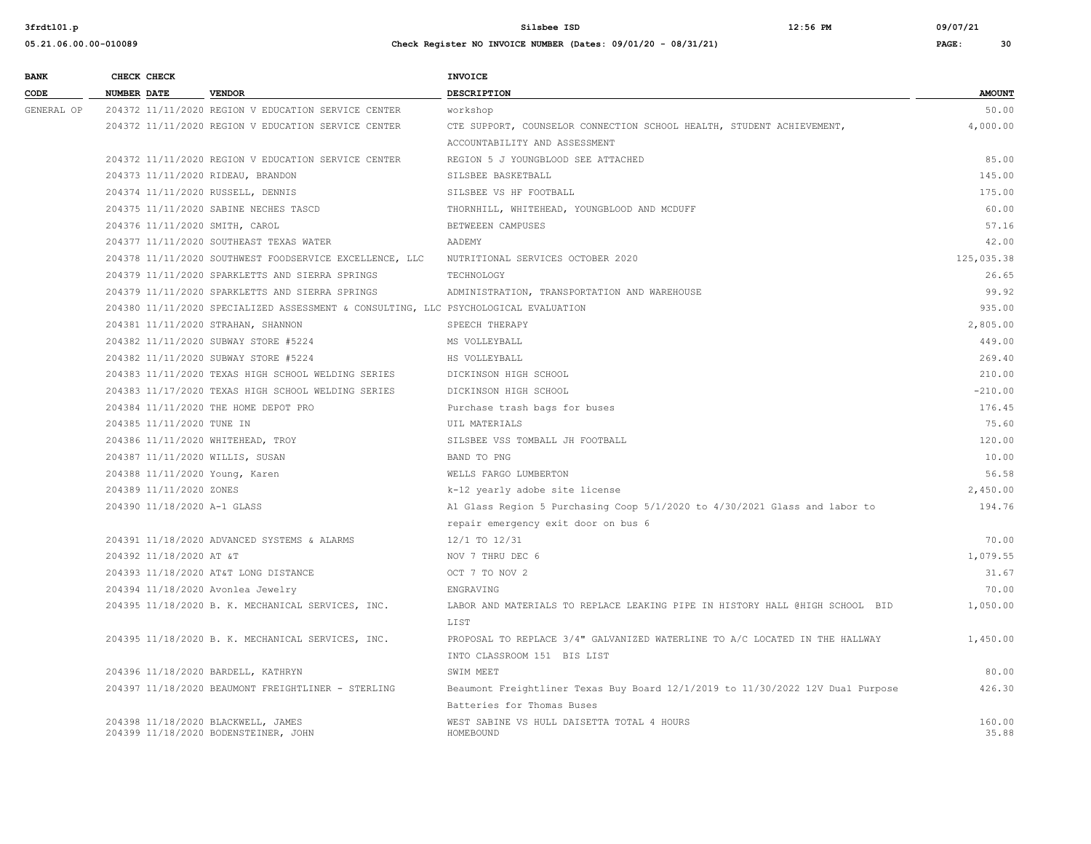| <b>BANK</b> | CHECK CHECK                        |                                                                                     | <b>INVOICE</b>                                                                 |               |
|-------------|------------------------------------|-------------------------------------------------------------------------------------|--------------------------------------------------------------------------------|---------------|
| CODE        | <b>NUMBER DATE</b>                 | <b>VENDOR</b>                                                                       | <b>DESCRIPTION</b>                                                             | <b>AMOUNT</b> |
| GENERAL OP  |                                    | 204372 11/11/2020 REGION V EDUCATION SERVICE CENTER                                 | workshop                                                                       | 50.00         |
|             |                                    | 204372 11/11/2020 REGION V EDUCATION SERVICE CENTER                                 | CTE SUPPORT, COUNSELOR CONNECTION SCHOOL HEALTH, STUDENT ACHIEVEMENT,          | 4,000.00      |
|             |                                    |                                                                                     | ACCOUNTABILITY AND ASSESSMENT                                                  |               |
|             |                                    | 204372 11/11/2020 REGION V EDUCATION SERVICE CENTER                                 | REGION 5 J YOUNGBLOOD SEE ATTACHED                                             | 85.00         |
|             | 204373 11/11/2020 RIDEAU, BRANDON  |                                                                                     | SILSBEE BASKETBALL                                                             | 145.00        |
|             | 204374 11/11/2020 RUSSELL, DENNIS  |                                                                                     | SILSBEE VS HF FOOTBALL                                                         | 175.00        |
|             |                                    | 204375 11/11/2020 SABINE NECHES TASCD                                               | THORNHILL, WHITEHEAD, YOUNGBLOOD AND MCDUFF                                    | 60.00         |
|             | 204376 11/11/2020 SMITH, CAROL     |                                                                                     | BETWEEEN CAMPUSES                                                              | 57.16         |
|             |                                    | 204377 11/11/2020 SOUTHEAST TEXAS WATER                                             | AADEMY                                                                         | 42.00         |
|             |                                    | 204378 11/11/2020 SOUTHWEST FOODSERVICE EXCELLENCE, LLC                             | NUTRITIONAL SERVICES OCTOBER 2020                                              | 125,035.38    |
|             |                                    | 204379 11/11/2020 SPARKLETTS AND SIERRA SPRINGS                                     | TECHNOLOGY                                                                     | 26.65         |
|             |                                    | 204379 11/11/2020 SPARKLETTS AND SIERRA SPRINGS                                     | ADMINISTRATION, TRANSPORTATION AND WAREHOUSE                                   | 99.92         |
|             |                                    | 204380 11/11/2020 SPECIALIZED ASSESSMENT & CONSULTING, LLC PSYCHOLOGICAL EVALUATION |                                                                                | 935.00        |
|             |                                    | 204381 11/11/2020 STRAHAN, SHANNON                                                  | SPEECH THERAPY                                                                 | 2,805.00      |
|             |                                    | 204382 11/11/2020 SUBWAY STORE #5224                                                | MS VOLLEYBALL                                                                  | 449.00        |
|             |                                    | 204382 11/11/2020 SUBWAY STORE #5224                                                | HS VOLLEYBALL                                                                  | 269.40        |
|             |                                    | 204383 11/11/2020 TEXAS HIGH SCHOOL WELDING SERIES                                  | DICKINSON HIGH SCHOOL                                                          | 210.00        |
|             |                                    | 204383 11/17/2020 TEXAS HIGH SCHOOL WELDING SERIES                                  | DICKINSON HIGH SCHOOL                                                          | $-210.00$     |
|             |                                    | 204384 11/11/2020 THE HOME DEPOT PRO                                                | Purchase trash bags for buses                                                  | 176.45        |
|             | 204385 11/11/2020 TUNE IN          |                                                                                     | UIL MATERIALS                                                                  | 75.60         |
|             | 204386 11/11/2020 WHITEHEAD, TROY  |                                                                                     | SILSBEE VSS TOMBALL JH FOOTBALL                                                | 120.00        |
|             | 204387 11/11/2020 WILLIS, SUSAN    |                                                                                     | BAND TO PNG                                                                    | 10.00         |
|             | 204388 11/11/2020 Young, Karen     |                                                                                     | WELLS FARGO LUMBERTON                                                          | 56.58         |
|             | 204389 11/11/2020 ZONES            |                                                                                     | k-12 yearly adobe site license                                                 | 2,450.00      |
|             | 204390 11/18/2020 A-1 GLASS        |                                                                                     | Al Glass Region 5 Purchasing Coop 5/1/2020 to 4/30/2021 Glass and labor to     | 194.76        |
|             |                                    |                                                                                     | repair emergency exit door on bus 6                                            |               |
|             |                                    | 204391 11/18/2020 ADVANCED SYSTEMS & ALARMS                                         | 12/1 TO 12/31                                                                  | 70.00         |
|             | 204392 11/18/2020 AT &T            |                                                                                     | NOV 7 THRU DEC 6                                                               | 1,079.55      |
|             |                                    | 204393 11/18/2020 AT&T LONG DISTANCE                                                | OCT 7 TO NOV 2                                                                 | 31.67         |
|             | 204394 11/18/2020 Avonlea Jewelry  |                                                                                     | ENGRAVING                                                                      | 70.00         |
|             |                                    | 204395 11/18/2020 B. K. MECHANICAL SERVICES, INC.                                   | LABOR AND MATERIALS TO REPLACE LEAKING PIPE IN HISTORY HALL @HIGH SCHOOL BID   | 1,050.00      |
|             |                                    |                                                                                     | LIST                                                                           |               |
|             |                                    | 204395 11/18/2020 B. K. MECHANICAL SERVICES, INC.                                   | PROPOSAL TO REPLACE 3/4" GALVANIZED WATERLINE TO A/C LOCATED IN THE HALLWAY    | 1,450.00      |
|             |                                    |                                                                                     | INTO CLASSROOM 151 BIS LIST                                                    |               |
|             |                                    | 204396 11/18/2020 BARDELL, KATHRYN                                                  | SWIM MEET                                                                      | 80.00         |
|             |                                    | 204397 11/18/2020 BEAUMONT FREIGHTLINER - STERLING                                  | Beaumont Freightliner Texas Buy Board 12/1/2019 to 11/30/2022 12V Dual Purpose | 426.30        |
|             |                                    |                                                                                     | Batteries for Thomas Buses                                                     |               |
|             | 204398 11/18/2020 BLACKWELL, JAMES |                                                                                     | WEST SABINE VS HULL DAISETTA TOTAL 4 HOURS                                     | 160.00        |
|             |                                    | 204399 11/18/2020 BODENSTEINER, JOHN                                                | HOMEBOUND                                                                      | 35.88         |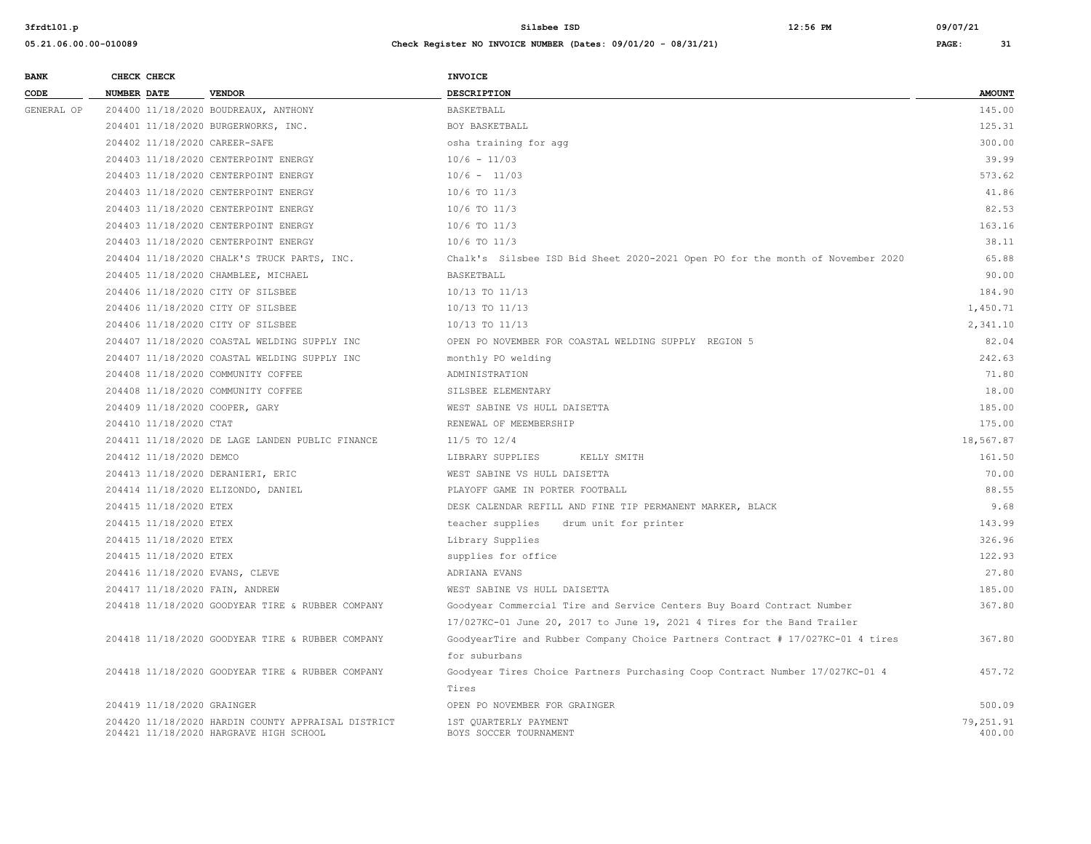| <b>BANK</b> | CHECK CHECK                    |                                                    | <b>INVOICE</b>                                                                 |               |
|-------------|--------------------------------|----------------------------------------------------|--------------------------------------------------------------------------------|---------------|
| CODE        | NUMBER DATE                    | <b>VENDOR</b>                                      | DESCRIPTION                                                                    | <b>AMOUNT</b> |
| GENERAL OP  |                                | 204400 11/18/2020 BOUDREAUX, ANTHONY               | <b>BASKETBALL</b>                                                              | 145.00        |
|             |                                | 204401 11/18/2020 BURGERWORKS, INC.                | BOY BASKETBALL                                                                 | 125.31        |
|             | 204402 11/18/2020 CAREER-SAFE  |                                                    | osha training for agg                                                          | 300.00        |
|             |                                | 204403 11/18/2020 CENTERPOINT ENERGY               | $10/6 - 11/03$                                                                 | 39.99         |
|             |                                | 204403 11/18/2020 CENTERPOINT ENERGY               | $10/6 - 11/03$                                                                 | 573.62        |
|             |                                | 204403 11/18/2020 CENTERPOINT ENERGY               | 10/6 TO 11/3                                                                   | 41.86         |
|             |                                | 204403 11/18/2020 CENTERPOINT ENERGY               | $10/6$ TO $11/3$                                                               | 82.53         |
|             |                                | 204403 11/18/2020 CENTERPOINT ENERGY               | $10/6$ TO $11/3$                                                               | 163.16        |
|             |                                | 204403 11/18/2020 CENTERPOINT ENERGY               | $10/6$ TO $11/3$                                                               | 38.11         |
|             |                                | 204404 11/18/2020 CHALK'S TRUCK PARTS, INC.        | Chalk's Silsbee ISD Bid Sheet 2020-2021 Open PO for the month of November 2020 | 65.88         |
|             |                                | 204405 11/18/2020 CHAMBLEE, MICHAEL                | BASKETBALL                                                                     | 90.00         |
|             |                                | 204406 11/18/2020 CITY OF SILSBEE                  | 10/13 TO 11/13                                                                 | 184.90        |
|             |                                | 204406 11/18/2020 CITY OF SILSBEE                  | 10/13 TO 11/13                                                                 | 1,450.71      |
|             |                                | 204406 11/18/2020 CITY OF SILSBEE                  | 10/13 TO 11/13                                                                 | 2,341.10      |
|             |                                | 204407 11/18/2020 COASTAL WELDING SUPPLY INC       | OPEN PO NOVEMBER FOR COASTAL WELDING SUPPLY REGION 5                           | 82.04         |
|             |                                | 204407 11/18/2020 COASTAL WELDING SUPPLY INC       | monthly PO welding                                                             | 242.63        |
|             |                                | 204408 11/18/2020 COMMUNITY COFFEE                 | ADMINISTRATION                                                                 | 71.80         |
|             |                                | 204408 11/18/2020 COMMUNITY COFFEE                 | SILSBEE ELEMENTARY                                                             | 18.00         |
|             | 204409 11/18/2020 COOPER, GARY |                                                    | WEST SABINE VS HULL DAISETTA                                                   | 185.00        |
|             | 204410 11/18/2020 CTAT         |                                                    | RENEWAL OF MEEMBERSHIP                                                         | 175.00        |
|             |                                | 204411 11/18/2020 DE LAGE LANDEN PUBLIC FINANCE    | $11/5$ TO $12/4$                                                               | 18,567.87     |
|             | 204412 11/18/2020 DEMCO        |                                                    | LIBRARY SUPPLIES<br>KELLY SMITH                                                | 161.50        |
|             |                                | 204413 11/18/2020 DERANIERI, ERIC                  | WEST SABINE VS HULL DAISETTA                                                   | 70.00         |
|             |                                | 204414 11/18/2020 ELIZONDO, DANIEL                 | PLAYOFF GAME IN PORTER FOOTBALL                                                | 88.55         |
|             | 204415 11/18/2020 ETEX         |                                                    | DESK CALENDAR REFILL AND FINE TIP PERMANENT MARKER, BLACK                      | 9.68          |
|             | 204415 11/18/2020 ETEX         |                                                    | teacher supplies<br>drum unit for printer                                      | 143.99        |
|             | 204415 11/18/2020 ETEX         |                                                    | Library Supplies                                                               | 326.96        |
|             | 204415 11/18/2020 ETEX         |                                                    | supplies for office                                                            | 122.93        |
|             | 204416 11/18/2020 EVANS, CLEVE |                                                    | ADRIANA EVANS                                                                  | 27.80         |
|             | 204417 11/18/2020 FAIN, ANDREW |                                                    | WEST SABINE VS HULL DAISETTA                                                   | 185.00        |
|             |                                | 204418 11/18/2020 GOODYEAR TIRE & RUBBER COMPANY   | Goodyear Commercial Tire and Service Centers Buy Board Contract Number         | 367.80        |
|             |                                |                                                    | 17/027KC-01 June 20, 2017 to June 19, 2021 4 Tires for the Band Trailer        |               |
|             |                                | 204418 11/18/2020 GOODYEAR TIRE & RUBBER COMPANY   | GoodyearTire and Rubber Company Choice Partners Contract # 17/027KC-01 4 tires | 367.80        |
|             |                                |                                                    | for suburbans                                                                  |               |
|             |                                | 204418 11/18/2020 GOODYEAR TIRE & RUBBER COMPANY   | Goodyear Tires Choice Partners Purchasing Coop Contract Number 17/027KC-01 4   | 457.72        |
|             |                                |                                                    | Tires                                                                          |               |
|             | 204419 11/18/2020 GRAINGER     |                                                    | OPEN PO NOVEMBER FOR GRAINGER                                                  | 500.09        |
|             |                                | 204420 11/18/2020 HARDIN COUNTY APPRAISAL DISTRICT | 1ST OUARTERLY PAYMENT                                                          | 79.251.91     |
|             |                                | 204421 11/18/2020 HARGRAVE HIGH SCHOOL             | BOYS SOCCER TOURNAMENT                                                         | 400.00        |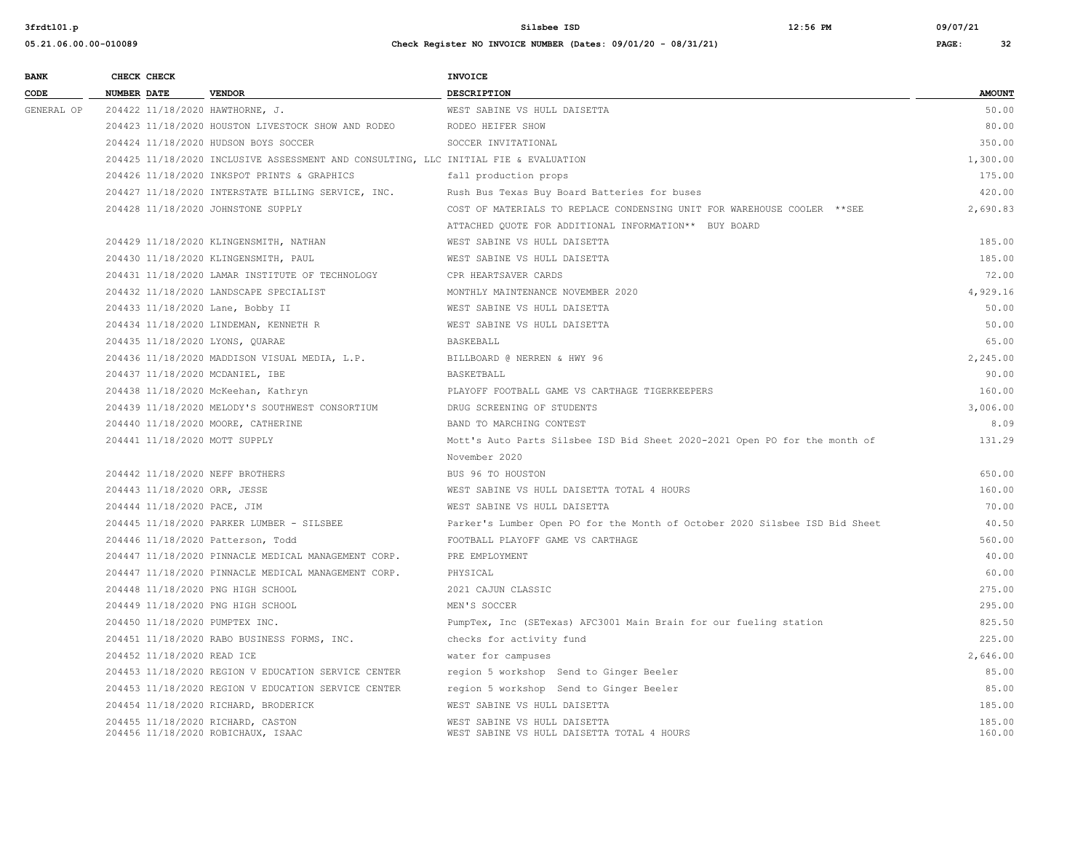| <b>BANK</b> |                    | CHECK CHECK                 |                                                                                     | INVOICE                                                                     |                  |
|-------------|--------------------|-----------------------------|-------------------------------------------------------------------------------------|-----------------------------------------------------------------------------|------------------|
| CODE        | <b>NUMBER DATE</b> |                             | <b>VENDOR</b>                                                                       | <b>DESCRIPTION</b>                                                          | <b>AMOUNT</b>    |
| GENERAL OP  |                    |                             | 204422 11/18/2020 HAWTHORNE, J.                                                     | WEST SABINE VS HULL DAISETTA                                                | 50.00            |
|             |                    |                             | 204423 11/18/2020 HOUSTON LIVESTOCK SHOW AND RODEO                                  | RODEO HEIFER SHOW                                                           | 80.00            |
|             |                    |                             | 204424 11/18/2020 HUDSON BOYS SOCCER                                                | SOCCER INVITATIONAL                                                         | 350.00           |
|             |                    |                             | 204425 11/18/2020 INCLUSIVE ASSESSMENT AND CONSULTING, LLC INITIAL FIE & EVALUATION |                                                                             | 1,300.00         |
|             |                    |                             | 204426 11/18/2020 INKSPOT PRINTS & GRAPHICS                                         | fall production props                                                       | 175.00           |
|             |                    |                             | 204427 11/18/2020 INTERSTATE BILLING SERVICE, INC.                                  | Rush Bus Texas Buy Board Batteries for buses                                | 420.00           |
|             |                    |                             | 204428 11/18/2020 JOHNSTONE SUPPLY                                                  | COST OF MATERIALS TO REPLACE CONDENSING UNIT FOR WAREHOUSE COOLER ** SEE    | 2,690.83         |
|             |                    |                             |                                                                                     | ATTACHED QUOTE FOR ADDITIONAL INFORMATION** BUY BOARD                       |                  |
|             |                    |                             | 204429 11/18/2020 KLINGENSMITH, NATHAN                                              | WEST SABINE VS HULL DAISETTA                                                | 185.00           |
|             |                    |                             | 204430 11/18/2020 KLINGENSMITH, PAUL                                                | WEST SABINE VS HULL DAISETTA                                                | 185.00           |
|             |                    |                             | 204431 11/18/2020 LAMAR INSTITUTE OF TECHNOLOGY                                     | CPR HEARTSAVER CARDS                                                        | 72.00            |
|             |                    |                             | 204432 11/18/2020 LANDSCAPE SPECIALIST                                              | MONTHLY MAINTENANCE NOVEMBER 2020                                           | 4.929.16         |
|             |                    |                             | 204433 11/18/2020 Lane, Bobby II                                                    | WEST SABINE VS HULL DAISETTA                                                | 50.00            |
|             |                    |                             | 204434 11/18/2020 LINDEMAN, KENNETH R                                               | WEST SABINE VS HULL DAISETTA                                                | 50.00            |
|             |                    |                             | 204435 11/18/2020 LYONS, QUARAE                                                     | BASKEBALL                                                                   | 65.00            |
|             |                    |                             | 204436 11/18/2020 MADDISON VISUAL MEDIA, L.P.                                       | BILLBOARD @ NERREN & HWY 96                                                 | 2,245.00         |
|             |                    |                             | 204437 11/18/2020 MCDANIEL, IBE                                                     | BASKETBALL                                                                  | 90.00            |
|             |                    |                             | 204438 11/18/2020 McKeehan, Kathryn                                                 | PLAYOFF FOOTBALL GAME VS CARTHAGE TIGERKEEPERS                              | 160.00           |
|             |                    |                             | 204439 11/18/2020 MELODY'S SOUTHWEST CONSORTIUM                                     | DRUG SCREENING OF STUDENTS                                                  | 3,006.00         |
|             |                    |                             | 204440 11/18/2020 MOORE, CATHERINE                                                  | BAND TO MARCHING CONTEST                                                    | 8.09             |
|             |                    |                             | 204441 11/18/2020 MOTT SUPPLY                                                       | Mott's Auto Parts Silsbee ISD Bid Sheet 2020-2021 Open PO for the month of  | 131.29           |
|             |                    |                             |                                                                                     | November 2020                                                               |                  |
|             |                    |                             | 204442 11/18/2020 NEFF BROTHERS                                                     | BUS 96 TO HOUSTON                                                           | 650.00           |
|             |                    |                             | 204443 11/18/2020 ORR, JESSE                                                        | WEST SABINE VS HULL DAISETTA TOTAL 4 HOURS                                  | 160.00           |
|             |                    | 204444 11/18/2020 PACE, JIM |                                                                                     | WEST SABINE VS HULL DAISETTA                                                | 70.00            |
|             |                    |                             | 204445 11/18/2020 PARKER LUMBER - SILSBEE                                           | Parker's Lumber Open PO for the Month of October 2020 Silsbee ISD Bid Sheet | 40.50            |
|             |                    |                             | 204446 11/18/2020 Patterson, Todd                                                   | FOOTBALL PLAYOFF GAME VS CARTHAGE                                           | 560.00           |
|             |                    |                             | 204447 11/18/2020 PINNACLE MEDICAL MANAGEMENT CORP.                                 | PRE EMPLOYMENT                                                              | 40.00            |
|             |                    |                             | 204447 11/18/2020 PINNACLE MEDICAL MANAGEMENT CORP.                                 | PHYSICAL                                                                    | 60.00            |
|             |                    |                             | 204448 11/18/2020 PNG HIGH SCHOOL                                                   | 2021 CAJUN CLASSIC                                                          | 275.00           |
|             |                    |                             | 204449 11/18/2020 PNG HIGH SCHOOL                                                   | MEN'S SOCCER                                                                | 295.00           |
|             |                    |                             | 204450 11/18/2020 PUMPTEX INC.                                                      | PumpTex, Inc (SETexas) AFC3001 Main Brain for our fueling station           | 825.50           |
|             |                    |                             | 204451 11/18/2020 RABO BUSINESS FORMS, INC.                                         | checks for activity fund                                                    | 225.00           |
|             |                    | 204452 11/18/2020 READ ICE  |                                                                                     | water for campuses                                                          | 2,646.00         |
|             |                    |                             | 204453 11/18/2020 REGION V EDUCATION SERVICE CENTER                                 | region 5 workshop Send to Ginger Beeler                                     | 85.00            |
|             |                    |                             | 204453 11/18/2020 REGION V EDUCATION SERVICE CENTER                                 | region 5 workshop Send to Ginger Beeler                                     | 85.00            |
|             |                    |                             | 204454 11/18/2020 RICHARD, BRODERICK                                                | WEST SABINE VS HULL DAISETTA                                                | 185.00           |
|             |                    |                             | 204455 11/18/2020 RICHARD, CASTON<br>204456 11/18/2020 ROBICHAUX, ISAAC             | WEST SABINE VS HULL DAISETTA<br>WEST SABINE VS HULL DAISETTA TOTAL 4 HOURS  | 185.00<br>160.00 |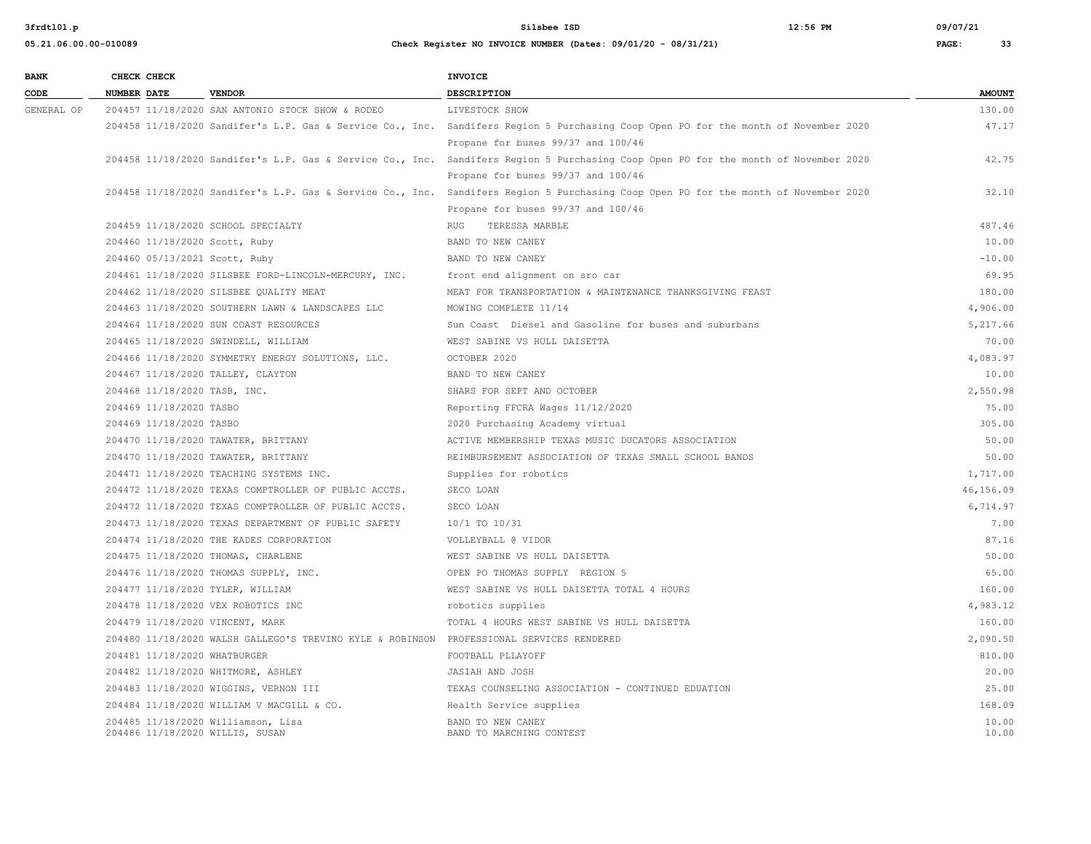| <b>BANK</b> |                    | CHECK CHECK             |                                                                                          | <b>INVOICE</b>                                                                                                                      |                |
|-------------|--------------------|-------------------------|------------------------------------------------------------------------------------------|-------------------------------------------------------------------------------------------------------------------------------------|----------------|
| CODE        | <b>NUMBER DATE</b> |                         | <b>VENDOR</b>                                                                            | <b>DESCRIPTION</b>                                                                                                                  | <b>AMOUNT</b>  |
| GENERAL OP  |                    |                         | 204457 11/18/2020 SAN ANTONIO STOCK SHOW & RODEO                                         | LIVESTOCK SHOW                                                                                                                      | 130.00         |
|             |                    |                         |                                                                                          | 204458 11/18/2020 Sandifer's L.P. Gas & Service Co., Inc. Sandifers Region 5 Purchasing Coop Open PO for the month of November 2020 | 47.17          |
|             |                    |                         |                                                                                          | Propane for buses 99/37 and 100/46                                                                                                  |                |
|             |                    |                         |                                                                                          | 204458 11/18/2020 Sandifer's L.P. Gas & Service Co., Inc. Sandifers Region 5 Purchasing Coop Open PO for the month of November 2020 | 42.75          |
|             |                    |                         |                                                                                          | Propane for buses 99/37 and 100/46                                                                                                  |                |
|             |                    |                         |                                                                                          | 204458 11/18/2020 Sandifer's L.P. Gas & Service Co., Inc. Sandifers Region 5 Purchasing Coop Open PO for the month of November 2020 | 32.10          |
|             |                    |                         |                                                                                          | Propane for buses 99/37 and 100/46                                                                                                  |                |
|             |                    |                         | 204459 11/18/2020 SCHOOL SPECIALTY                                                       | RUG TERESSA MARBLE                                                                                                                  | 487.46         |
|             |                    |                         | 204460 11/18/2020 Scott, Ruby                                                            | BAND TO NEW CANEY                                                                                                                   | 10.00          |
|             |                    |                         | 204460 05/13/2021 Scott, Ruby                                                            | BAND TO NEW CANEY                                                                                                                   | $-10.00$       |
|             |                    |                         | 204461 11/18/2020 SILSBEE FORD-LINCOLN-MERCURY, INC.                                     | front end alignment on sro car                                                                                                      | 69.95          |
|             |                    |                         | 204462 11/18/2020 SILSBEE OUALITY MEAT                                                   | MEAT FOR TRANSPORTATION & MAINTENANCE THANKSGIVING FEAST                                                                            | 180.00         |
|             |                    |                         | 204463 11/18/2020 SOUTHERN LAWN & LANDSCAPES LLC                                         | MOWING COMPLETE 11/14                                                                                                               | 4,906.00       |
|             |                    |                         | 204464 11/18/2020 SUN COAST RESOURCES                                                    | Sun Coast Diesel and Gasoline for buses and suburbans                                                                               | 5,217.66       |
|             |                    |                         | 204465 11/18/2020 SWINDELL, WILLIAM                                                      | WEST SABINE VS HULL DAISETTA                                                                                                        | 70.00          |
|             |                    |                         | 204466 11/18/2020 SYMMETRY ENERGY SOLUTIONS, LLC.                                        | OCTOBER 2020                                                                                                                        | 4,083.97       |
|             |                    |                         | 204467 11/18/2020 TALLEY, CLAYTON                                                        | BAND TO NEW CANEY                                                                                                                   | 10.00          |
|             |                    |                         | 204468 11/18/2020 TASB, INC.                                                             | SHARS FOR SEPT AND OCTOBER                                                                                                          | 2,550.98       |
|             |                    | 204469 11/18/2020 TASBO |                                                                                          | Reporting FFCRA Wages 11/12/2020                                                                                                    | 75.00          |
|             |                    | 204469 11/18/2020 TASBO |                                                                                          | 2020 Purchasing Academy virtual                                                                                                     | 305.00         |
|             |                    |                         | 204470 11/18/2020 TAWATER, BRITTANY                                                      | ACTIVE MEMBERSHIP TEXAS MUSIC DUCATORS ASSOCIATION                                                                                  | 50.00          |
|             |                    |                         | 204470 11/18/2020 TAWATER, BRITTANY                                                      | REIMBURSEMENT ASSOCIATION OF TEXAS SMALL SCHOOL BANDS                                                                               | 50.00          |
|             |                    |                         | 204471 11/18/2020 TEACHING SYSTEMS INC.                                                  | Supplies for robotics                                                                                                               | 1,717.00       |
|             |                    |                         | 204472 11/18/2020 TEXAS COMPTROLLER OF PUBLIC ACCTS.                                     | SECO LOAN                                                                                                                           | 46,156.09      |
|             |                    |                         | 204472 11/18/2020 TEXAS COMPTROLLER OF PUBLIC ACCTS.                                     | SECO LOAN                                                                                                                           | 6,714.97       |
|             |                    |                         | 204473 11/18/2020 TEXAS DEPARTMENT OF PUBLIC SAFETY                                      | 10/1 TO 10/31                                                                                                                       | 7.00           |
|             |                    |                         | 204474 11/18/2020 THE KADES CORPORATION                                                  | VOLLEYBALL @ VIDOR                                                                                                                  | 87.16          |
|             |                    |                         | 204475 11/18/2020 THOMAS, CHARLENE                                                       | WEST SABINE VS HULL DAISETTA                                                                                                        | 50.00          |
|             |                    |                         | 204476 11/18/2020 THOMAS SUPPLY, INC.                                                    | OPEN PO THOMAS SUPPLY REGION 5                                                                                                      | 65.00          |
|             |                    |                         | 204477 11/18/2020 TYLER, WILLIAM                                                         | WEST SABINE VS HULL DAISETTA TOTAL 4 HOURS                                                                                          | 160.00         |
|             |                    |                         | 204478 11/18/2020 VEX ROBOTICS INC                                                       | robotics supplies                                                                                                                   | 4,983.12       |
|             |                    |                         | 204479 11/18/2020 VINCENT, MARK                                                          | TOTAL 4 HOURS WEST SABINE VS HULL DAISETTA                                                                                          | 160.00         |
|             |                    |                         | 204480 11/18/2020 WALSH GALLEGO'S TREVINO KYLE & ROBINSON PROFESSIONAL SERVICES RENDERED |                                                                                                                                     | 2,090.50       |
|             |                    |                         | 204481 11/18/2020 WHATBURGER                                                             | FOOTBALL PLLAYOFF                                                                                                                   | 810.00         |
|             |                    |                         | 204482 11/18/2020 WHITMORE, ASHLEY                                                       | JASIAH AND JOSH                                                                                                                     | 20.00          |
|             |                    |                         | 204483 11/18/2020 WIGGINS, VERNON III                                                    | TEXAS COUNSELING ASSOCIATION - CONTINUED EDUATION                                                                                   | 25.00          |
|             |                    |                         | 204484 11/18/2020 WILLIAM V MACGILL & CO.                                                | Health Service supplies                                                                                                             | 168.09         |
|             |                    |                         | 204485 11/18/2020 Williamson, Lisa<br>204486 11/18/2020 WILLIS, SUSAN                    | BAND TO NEW CANEY<br>BAND TO MARCHING CONTEST                                                                                       | 10.00<br>10.00 |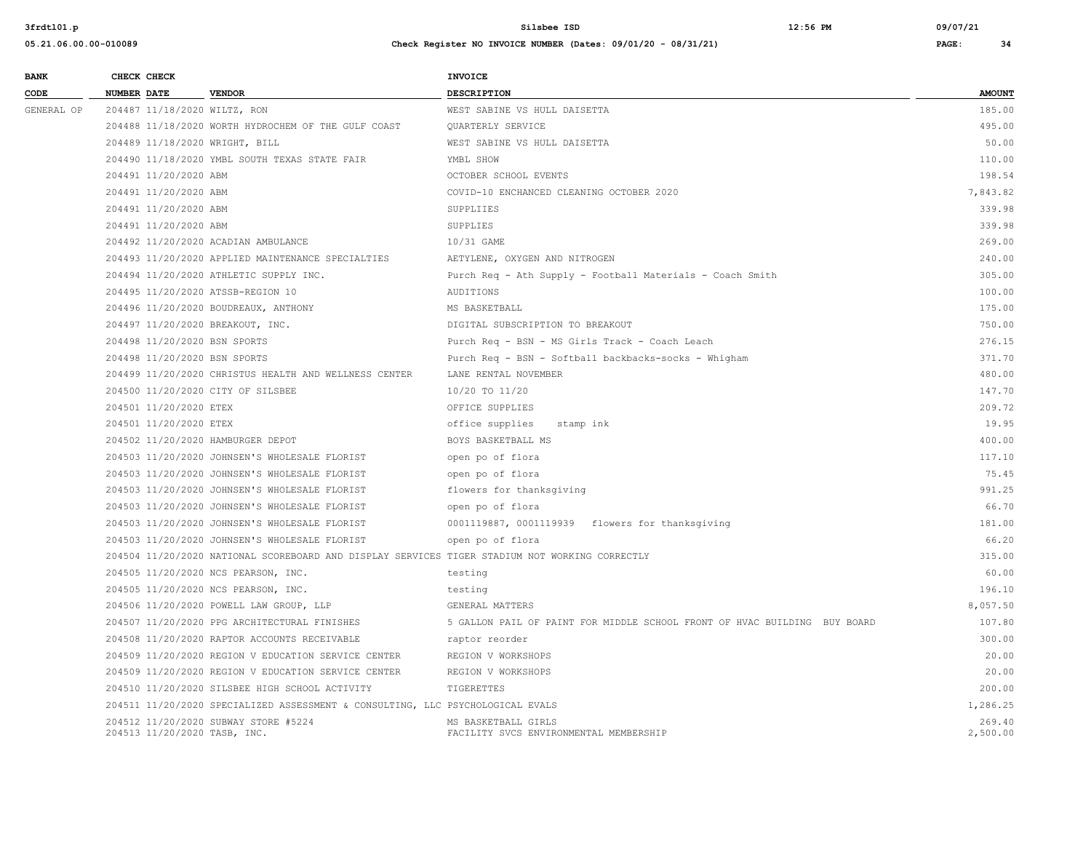| <b>BANK</b> | CHECK CHECK        |                              |                                                                                                | <b>INVOICE</b>                                                            |               |
|-------------|--------------------|------------------------------|------------------------------------------------------------------------------------------------|---------------------------------------------------------------------------|---------------|
| CODE        | <b>NUMBER DATE</b> |                              | <b>VENDOR</b>                                                                                  | DESCRIPTION                                                               | <b>AMOUNT</b> |
| GENERAL OP  |                    |                              | 204487 11/18/2020 WILTZ, RON                                                                   | WEST SABINE VS HULL DAISETTA                                              | 185.00        |
|             |                    |                              | 204488 11/18/2020 WORTH HYDROCHEM OF THE GULF COAST                                            | QUARTERLY SERVICE                                                         | 495.00        |
|             |                    |                              | 204489 11/18/2020 WRIGHT, BILL                                                                 | WEST SABINE VS HULL DAISETTA                                              | 50.00         |
|             |                    |                              | 204490 11/18/2020 YMBL SOUTH TEXAS STATE FAIR                                                  | YMBL SHOW                                                                 | 110.00        |
|             |                    | 204491 11/20/2020 ABM        |                                                                                                | OCTOBER SCHOOL EVENTS                                                     | 198.54        |
|             |                    | 204491 11/20/2020 ABM        |                                                                                                | COVID-10 ENCHANCED CLEANING OCTOBER 2020                                  | 7.843.82      |
|             |                    | 204491 11/20/2020 ABM        |                                                                                                | SUPPLIIES                                                                 | 339.98        |
|             |                    | 204491 11/20/2020 ABM        |                                                                                                | SUPPLIES                                                                  | 339.98        |
|             |                    |                              | 204492 11/20/2020 ACADIAN AMBULANCE                                                            | 10/31 GAME                                                                | 269.00        |
|             |                    |                              | 204493 11/20/2020 APPLIED MAINTENANCE SPECIALTIES                                              | AETYLENE, OXYGEN AND NITROGEN                                             | 240.00        |
|             |                    |                              | 204494 11/20/2020 ATHLETIC SUPPLY INC.                                                         | Purch Req - Ath Supply - Football Materials - Coach Smith                 | 305.00        |
|             |                    |                              | 204495 11/20/2020 ATSSB-REGION 10                                                              | AUDITIONS                                                                 | 100.00        |
|             |                    |                              | 204496 11/20/2020 BOUDREAUX, ANTHONY                                                           | MS BASKETBALL                                                             | 175.00        |
|             |                    |                              | 204497 11/20/2020 BREAKOUT, INC.                                                               | DIGITAL SUBSCRIPTION TO BREAKOUT                                          | 750.00        |
|             |                    |                              | 204498 11/20/2020 BSN SPORTS                                                                   | Purch Req - BSN - MS Girls Track - Coach Leach                            | 276.15        |
|             |                    |                              | 204498 11/20/2020 BSN SPORTS                                                                   | Purch Req - BSN - Softball backbacks-socks - Whigham                      | 371.70        |
|             |                    |                              | 204499 11/20/2020 CHRISTUS HEALTH AND WELLNESS CENTER                                          | LANE RENTAL NOVEMBER                                                      | 480.00        |
|             |                    |                              | 204500 11/20/2020 CITY OF SILSBEE                                                              | 10/20 TO 11/20                                                            | 147.70        |
|             |                    | 204501 11/20/2020 ETEX       |                                                                                                | OFFICE SUPPLIES                                                           | 209.72        |
|             |                    | 204501 11/20/2020 ETEX       |                                                                                                | office supplies<br>stamp ink                                              | 19.95         |
|             |                    |                              | 204502 11/20/2020 HAMBURGER DEPOT                                                              | BOYS BASKETBALL MS                                                        | 400.00        |
|             |                    |                              | 204503 11/20/2020 JOHNSEN'S WHOLESALE FLORIST                                                  | open po of flora                                                          | 117.10        |
|             |                    |                              | 204503 11/20/2020 JOHNSEN'S WHOLESALE FLORIST                                                  | open po of flora                                                          | 75.45         |
|             |                    |                              | 204503 11/20/2020 JOHNSEN'S WHOLESALE FLORIST                                                  | flowers for thanksgiving                                                  | 991.25        |
|             |                    |                              | 204503 11/20/2020 JOHNSEN'S WHOLESALE FLORIST                                                  | open po of flora                                                          | 66.70         |
|             |                    |                              | 204503 11/20/2020 JOHNSEN'S WHOLESALE FLORIST                                                  | 0001119887, 0001119939 flowers for thanksgiving                           | 181.00        |
|             |                    |                              | 204503 11/20/2020 JOHNSEN'S WHOLESALE FLORIST                                                  | open po of flora                                                          | 66.20         |
|             |                    |                              | 204504 11/20/2020 NATIONAL SCOREBOARD AND DISPLAY SERVICES TIGER STADIUM NOT WORKING CORRECTLY |                                                                           | 315.00        |
|             |                    |                              | 204505 11/20/2020 NCS PEARSON, INC.                                                            | testing                                                                   | 60.00         |
|             |                    |                              | 204505 11/20/2020 NCS PEARSON, INC.                                                            | testing                                                                   | 196.10        |
|             |                    |                              | 204506 11/20/2020 POWELL LAW GROUP, LLP                                                        | GENERAL MATTERS                                                           | 8,057.50      |
|             |                    |                              | 204507 11/20/2020 PPG ARCHITECTURAL FINISHES                                                   | 5 GALLON PAIL OF PAINT FOR MIDDLE SCHOOL FRONT OF HVAC BUILDING BUY BOARD | 107.80        |
|             |                    |                              | 204508 11/20/2020 RAPTOR ACCOUNTS RECEIVABLE                                                   | raptor reorder                                                            | 300.00        |
|             |                    |                              | 204509 11/20/2020 REGION V EDUCATION SERVICE CENTER                                            | REGION V WORKSHOPS                                                        | 20.00         |
|             |                    |                              | 204509 11/20/2020 REGION V EDUCATION SERVICE CENTER                                            | REGION V WORKSHOPS                                                        | 20.00         |
|             |                    |                              | 204510 11/20/2020 SILSBEE HIGH SCHOOL ACTIVITY                                                 | TIGERETTES                                                                | 200.00        |
|             |                    |                              | 204511 11/20/2020 SPECIALIZED ASSESSMENT & CONSULTING, LLC PSYCHOLOGICAL EVALS                 |                                                                           | 1,286.25      |
|             |                    |                              | 204512 11/20/2020 SUBWAY STORE #5224                                                           | MS BASKETBALL GIRLS                                                       | 269.40        |
|             |                    | 204513 11/20/2020 TASB, INC. |                                                                                                | FACILITY SVCS ENVIRONMENTAL MEMBERSHIP                                    | 2,500.00      |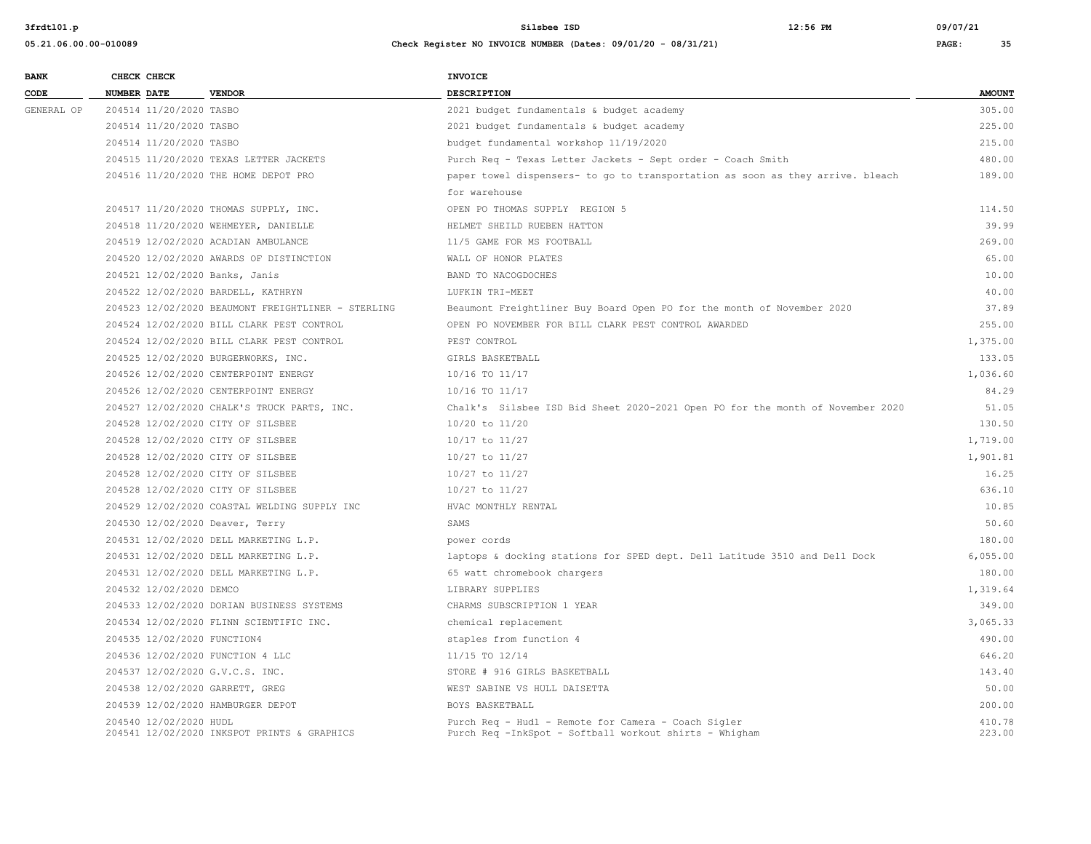| <b>BANK</b> |             | CHECK CHECK                 |                                                    | <b>INVOICE</b>                                                                                                |                  |
|-------------|-------------|-----------------------------|----------------------------------------------------|---------------------------------------------------------------------------------------------------------------|------------------|
| CODE        | NUMBER DATE |                             | <b>VENDOR</b>                                      | <b>DESCRIPTION</b>                                                                                            | <b>AMOUNT</b>    |
| GENERAL OP  |             | 204514 11/20/2020 TASBO     |                                                    | 2021 budget fundamentals & budget academy                                                                     | 305.00           |
|             |             | 204514 11/20/2020 TASBO     |                                                    | 2021 budget fundamentals & budget academy                                                                     | 225.00           |
|             |             | 204514 11/20/2020 TASBO     |                                                    | budget fundamental workshop 11/19/2020                                                                        | 215.00           |
|             |             |                             | 204515 11/20/2020 TEXAS LETTER JACKETS             | Purch Req - Texas Letter Jackets - Sept order - Coach Smith                                                   | 480.00           |
|             |             |                             | 204516 11/20/2020 THE HOME DEPOT PRO               | paper towel dispensers- to go to transportation as soon as they arrive. bleach                                | 189.00           |
|             |             |                             |                                                    | for warehouse                                                                                                 |                  |
|             |             |                             | 204517 11/20/2020 THOMAS SUPPLY, INC.              | OPEN PO THOMAS SUPPLY REGION 5                                                                                | 114.50           |
|             |             |                             | 204518 11/20/2020 WEHMEYER, DANIELLE               | HELMET SHEILD RUEBEN HATTON                                                                                   | 39.99            |
|             |             |                             | 204519 12/02/2020 ACADIAN AMBULANCE                | 11/5 GAME FOR MS FOOTBALL                                                                                     | 269.00           |
|             |             |                             | 204520 12/02/2020 AWARDS OF DISTINCTION            | WALL OF HONOR PLATES                                                                                          | 65.00            |
|             |             |                             | 204521 12/02/2020 Banks, Janis                     | BAND TO NACOGDOCHES                                                                                           | 10.00            |
|             |             |                             | 204522 12/02/2020 BARDELL, KATHRYN                 | LUFKIN TRI-MEET                                                                                               | 40.00            |
|             |             |                             | 204523 12/02/2020 BEAUMONT FREIGHTLINER - STERLING | Beaumont Freightliner Buy Board Open PO for the month of November 2020                                        | 37.89            |
|             |             |                             | 204524 12/02/2020 BILL CLARK PEST CONTROL          | OPEN PO NOVEMBER FOR BILL CLARK PEST CONTROL AWARDED                                                          | 255.00           |
|             |             |                             | 204524 12/02/2020 BILL CLARK PEST CONTROL          | PEST CONTROL                                                                                                  | 1,375.00         |
|             |             |                             | 204525 12/02/2020 BURGERWORKS, INC.                | GIRLS BASKETBALL                                                                                              | 133.05           |
|             |             |                             | 204526 12/02/2020 CENTERPOINT ENERGY               | 10/16 TO 11/17                                                                                                | 1,036.60         |
|             |             |                             | 204526 12/02/2020 CENTERPOINT ENERGY               | 10/16 TO 11/17                                                                                                | 84.29            |
|             |             |                             | 204527 12/02/2020 CHALK'S TRUCK PARTS, INC.        | Chalk's Silsbee ISD Bid Sheet 2020-2021 Open PO for the month of November 2020                                | 51.05            |
|             |             |                             | 204528 12/02/2020 CITY OF SILSBEE                  | 10/20 to 11/20                                                                                                | 130.50           |
|             |             |                             | 204528 12/02/2020 CITY OF SILSBEE                  | 10/17 to 11/27                                                                                                | 1,719.00         |
|             |             |                             | 204528 12/02/2020 CITY OF SILSBEE                  | 10/27 to 11/27                                                                                                | 1,901.81         |
|             |             |                             | 204528 12/02/2020 CITY OF SILSBEE                  | 10/27 to 11/27                                                                                                | 16.25            |
|             |             |                             | 204528 12/02/2020 CITY OF SILSBEE                  | 10/27 to 11/27                                                                                                | 636.10           |
|             |             |                             | 204529 12/02/2020 COASTAL WELDING SUPPLY INC       | HVAC MONTHLY RENTAL                                                                                           | 10.85            |
|             |             |                             | 204530 12/02/2020 Deaver, Terry                    | SAMS                                                                                                          | 50.60            |
|             |             |                             | 204531 12/02/2020 DELL MARKETING L.P.              | power cords                                                                                                   | 180.00           |
|             |             |                             | 204531 12/02/2020 DELL MARKETING L.P.              | laptops & docking stations for SPED dept. Dell Latitude 3510 and Dell Dock                                    | 6,055.00         |
|             |             |                             | 204531 12/02/2020 DELL MARKETING L.P.              | 65 watt chromebook chargers                                                                                   | 180.00           |
|             |             | 204532 12/02/2020 DEMCO     |                                                    | LIBRARY SUPPLIES                                                                                              | 1,319.64         |
|             |             |                             | 204533 12/02/2020 DORIAN BUSINESS SYSTEMS          | CHARMS SUBSCRIPTION 1 YEAR                                                                                    | 349.00           |
|             |             |                             | 204534 12/02/2020 FLINN SCIENTIFIC INC.            | chemical replacement                                                                                          | 3,065.33         |
|             |             | 204535 12/02/2020 FUNCTION4 |                                                    | staples from function 4                                                                                       | 490.00           |
|             |             |                             | 204536 12/02/2020 FUNCTION 4 LLC                   | 11/15 TO 12/14                                                                                                | 646.20           |
|             |             |                             | 204537 12/02/2020 G.V.C.S. INC.                    | STORE # 916 GIRLS BASKETBALL                                                                                  | 143.40           |
|             |             |                             | 204538 12/02/2020 GARRETT, GREG                    | WEST SABINE VS HULL DAISETTA                                                                                  | 50.00            |
|             |             |                             | 204539 12/02/2020 HAMBURGER DEPOT                  | BOYS BASKETBALL                                                                                               | 200.00           |
|             |             | 204540 12/02/2020 HUDL      | 204541 12/02/2020 INKSPOT PRINTS & GRAPHICS        | Purch Req - Hudl - Remote for Camera - Coach Sigler<br>Purch Req -InkSpot - Softball workout shirts - Whigham | 410.78<br>223.00 |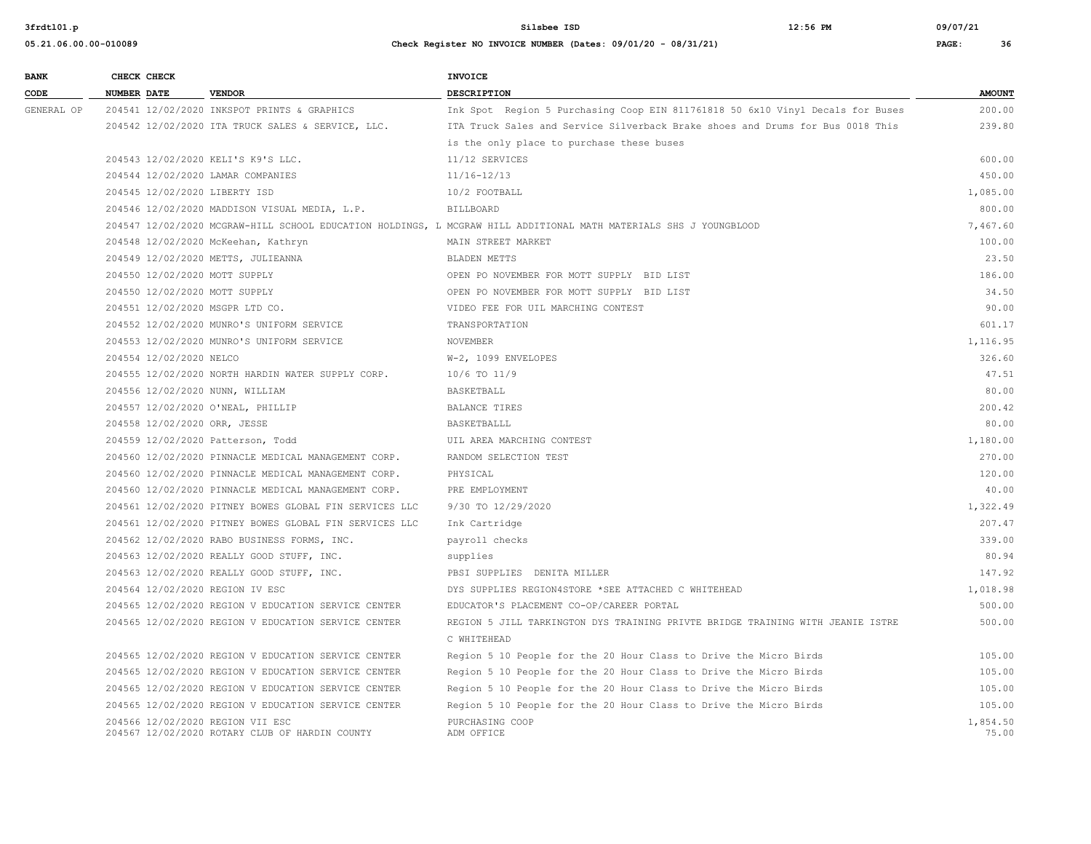| 05.21.06.00.00-010089 | Check Register NO INVOICE NUMBER (Dates: 09/01/20 - 08/31/21) | PAGE: |  |
|-----------------------|---------------------------------------------------------------|-------|--|
|                       |                                                               |       |  |

| <b>BANK</b> | CHECK CHECK        |                         |                                                                                    | <b>INVOICE</b>                                                                                                    |                   |
|-------------|--------------------|-------------------------|------------------------------------------------------------------------------------|-------------------------------------------------------------------------------------------------------------------|-------------------|
| CODE        | <b>NUMBER DATE</b> |                         | <b>VENDOR</b>                                                                      | <b>DESCRIPTION</b>                                                                                                | <b>AMOUNT</b>     |
| GENERAL OP  |                    |                         | 204541 12/02/2020 INKSPOT PRINTS & GRAPHICS                                        | Ink Spot Region 5 Purchasing Coop EIN 811761818 50 6x10 Vinyl Decals for Buses                                    | 200.00            |
|             |                    |                         | 204542 12/02/2020 ITA TRUCK SALES & SERVICE, LLC.                                  | ITA Truck Sales and Service Silverback Brake shoes and Drums for Bus 0018 This                                    | 239.80            |
|             |                    |                         |                                                                                    | is the only place to purchase these buses                                                                         |                   |
|             |                    |                         | 204543 12/02/2020 KELI'S K9'S LLC.                                                 | 11/12 SERVICES                                                                                                    | 600.00            |
|             |                    |                         | 204544 12/02/2020 LAMAR COMPANIES                                                  | $11/16 - 12/13$                                                                                                   | 450.00            |
|             |                    |                         | 204545 12/02/2020 LIBERTY ISD                                                      | 10/2 FOOTBALL                                                                                                     | 1,085.00          |
|             |                    |                         | 204546 12/02/2020 MADDISON VISUAL MEDIA, L.P.                                      | <b>BILLBOARD</b>                                                                                                  | 800.00            |
|             |                    |                         |                                                                                    | 204547 12/02/2020 MCGRAW-HILL SCHOOL EDUCATION HOLDINGS, L MCGRAW HILL ADDITIONAL MATH MATERIALS SHS J YOUNGBLOOD | 7,467.60          |
|             |                    |                         | 204548 12/02/2020 McKeehan, Kathryn                                                | MAIN STREET MARKET                                                                                                | 100.00            |
|             |                    |                         | 204549 12/02/2020 METTS, JULIEANNA                                                 | BLADEN METTS                                                                                                      | 23.50             |
|             |                    |                         | 204550 12/02/2020 MOTT SUPPLY                                                      | OPEN PO NOVEMBER FOR MOTT SUPPLY BID LIST                                                                         | 186.00            |
|             |                    |                         | 204550 12/02/2020 MOTT SUPPLY                                                      | OPEN PO NOVEMBER FOR MOTT SUPPLY BID LIST                                                                         | 34.50             |
|             |                    |                         | 204551 12/02/2020 MSGPR LTD CO.                                                    | VIDEO FEE FOR UIL MARCHING CONTEST                                                                                | 90.00             |
|             |                    |                         | 204552 12/02/2020 MUNRO'S UNIFORM SERVICE                                          | TRANSPORTATION                                                                                                    | 601.17            |
|             |                    |                         | 204553 12/02/2020 MUNRO'S UNIFORM SERVICE                                          | NOVEMBER                                                                                                          | 1,116.95          |
|             |                    | 204554 12/02/2020 NELCO |                                                                                    | W-2, 1099 ENVELOPES                                                                                               | 326.60            |
|             |                    |                         | 204555 12/02/2020 NORTH HARDIN WATER SUPPLY CORP.                                  | 10/6 TO 11/9                                                                                                      | 47.51             |
|             |                    |                         | 204556 12/02/2020 NUNN, WILLIAM                                                    | BASKETBALL                                                                                                        | 80.00             |
|             |                    |                         | 204557 12/02/2020 O'NEAL, PHILLIP                                                  | <b>BALANCE TIRES</b>                                                                                              | 200.42            |
|             |                    |                         | 204558 12/02/2020 ORR, JESSE                                                       | BASKETBALLL                                                                                                       | 80.00             |
|             |                    |                         | 204559 12/02/2020 Patterson, Todd                                                  | UIL AREA MARCHING CONTEST                                                                                         | 1,180.00          |
|             |                    |                         | 204560 12/02/2020 PINNACLE MEDICAL MANAGEMENT CORP.                                | RANDOM SELECTION TEST                                                                                             | 270.00            |
|             |                    |                         | 204560 12/02/2020 PINNACLE MEDICAL MANAGEMENT CORP.                                | PHYSICAL                                                                                                          | 120.00            |
|             |                    |                         | 204560 12/02/2020 PINNACLE MEDICAL MANAGEMENT CORP.                                | PRE EMPLOYMENT                                                                                                    | 40.00             |
|             |                    |                         | 204561 12/02/2020 PITNEY BOWES GLOBAL FIN SERVICES LLC                             | 9/30 TO 12/29/2020                                                                                                | 1,322.49          |
|             |                    |                         | 204561 12/02/2020 PITNEY BOWES GLOBAL FIN SERVICES LLC                             | Ink Cartridge                                                                                                     | 207.47            |
|             |                    |                         | 204562 12/02/2020 RABO BUSINESS FORMS, INC.                                        | payroll checks                                                                                                    | 339.00            |
|             |                    |                         | 204563 12/02/2020 REALLY GOOD STUFF, INC.                                          | supplies                                                                                                          | 80.94             |
|             |                    |                         | 204563 12/02/2020 REALLY GOOD STUFF, INC.                                          | PBSI SUPPLIES DENITA MILLER                                                                                       | 147.92            |
|             |                    |                         | 204564 12/02/2020 REGION IV ESC                                                    | DYS SUPPLIES REGION4STORE *SEE ATTACHED C WHITEHEAD                                                               | 1,018.98          |
|             |                    |                         | 204565 12/02/2020 REGION V EDUCATION SERVICE CENTER                                | EDUCATOR'S PLACEMENT CO-OP/CAREER PORTAL                                                                          | 500.00            |
|             |                    |                         | 204565 12/02/2020 REGION V EDUCATION SERVICE CENTER                                | REGION 5 JILL TARKINGTON DYS TRAINING PRIVTE BRIDGE TRAINING WITH JEANIE ISTRE                                    | 500.00            |
|             |                    |                         |                                                                                    | C WHITEHEAD                                                                                                       |                   |
|             |                    |                         | 204565 12/02/2020 REGION V EDUCATION SERVICE CENTER                                | Region 5 10 People for the 20 Hour Class to Drive the Micro Birds                                                 | 105.00            |
|             |                    |                         | 204565 12/02/2020 REGION V EDUCATION SERVICE CENTER                                | Region 5 10 People for the 20 Hour Class to Drive the Micro Birds                                                 | 105.00            |
|             |                    |                         | 204565 12/02/2020 REGION V EDUCATION SERVICE CENTER                                | Region 5 10 People for the 20 Hour Class to Drive the Micro Birds                                                 | 105.00            |
|             |                    |                         | 204565 12/02/2020 REGION V EDUCATION SERVICE CENTER                                | Region 5 10 People for the 20 Hour Class to Drive the Micro Birds                                                 | 105.00            |
|             |                    |                         | 204566 12/02/2020 REGION VII ESC<br>204567 12/02/2020 ROTARY CLUB OF HARDIN COUNTY | PURCHASING COOP<br>ADM OFFICE                                                                                     | 1,854.50<br>75.00 |
|             |                    |                         |                                                                                    |                                                                                                                   |                   |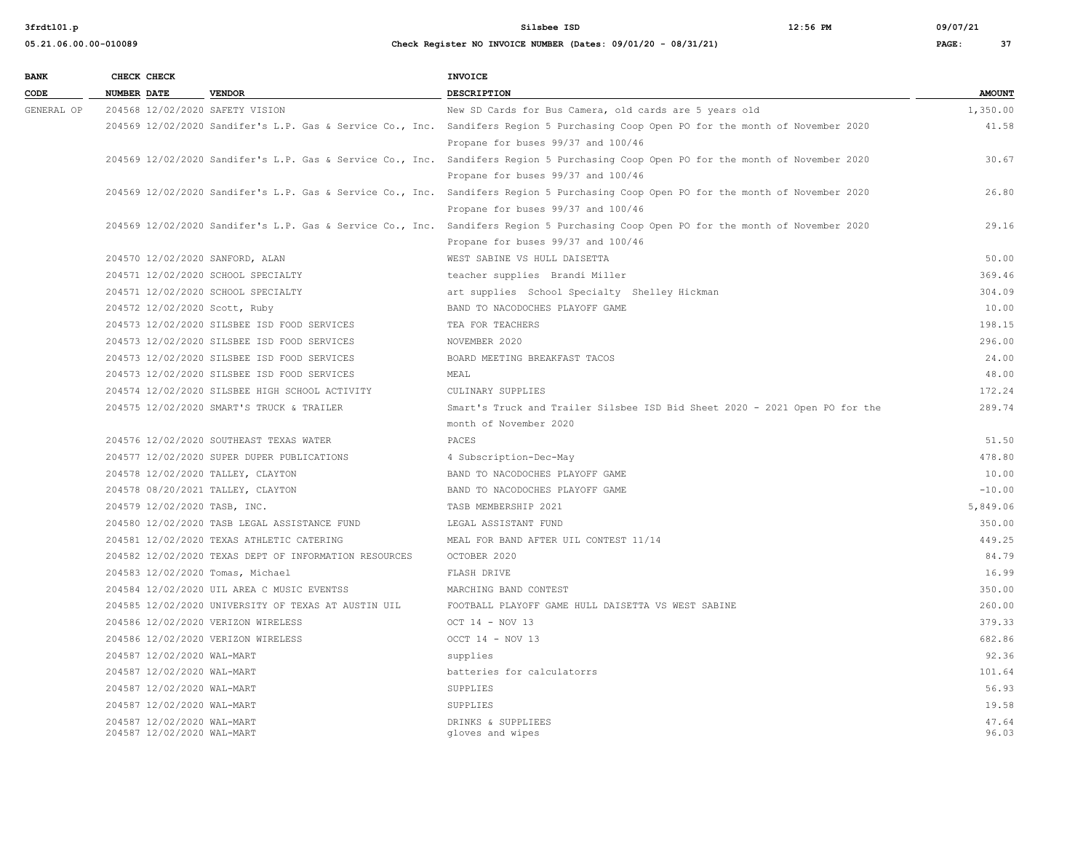| <b>BANK</b> | CHECK CHECK                |                                                       | INVOICE                                                                                                                             |               |
|-------------|----------------------------|-------------------------------------------------------|-------------------------------------------------------------------------------------------------------------------------------------|---------------|
| CODE        | <b>NUMBER DATE</b>         | <b>VENDOR</b>                                         | <b>DESCRIPTION</b>                                                                                                                  | <b>AMOUNT</b> |
| GENERAL OP  |                            | 204568 12/02/2020 SAFETY VISION                       | New SD Cards for Bus Camera, old cards are 5 years old                                                                              | 1,350.00      |
|             |                            |                                                       | 204569 12/02/2020 Sandifer's L.P. Gas & Service Co., Inc. Sandifers Region 5 Purchasing Coop Open PO for the month of November 2020 | 41.58         |
|             |                            |                                                       | Propane for buses 99/37 and 100/46                                                                                                  |               |
|             |                            |                                                       | 204569 12/02/2020 Sandifer's L.P. Gas & Service Co., Inc. Sandifers Region 5 Purchasing Coop Open PO for the month of November 2020 | 30.67         |
|             |                            |                                                       | Propane for buses 99/37 and 100/46                                                                                                  |               |
|             |                            |                                                       | 204569 12/02/2020 Sandifer's L.P. Gas & Service Co., Inc. Sandifers Region 5 Purchasing Coop Open PO for the month of November 2020 | 26.80         |
|             |                            |                                                       | Propane for buses 99/37 and 100/46                                                                                                  |               |
|             |                            |                                                       | 204569 12/02/2020 Sandifer's L.P. Gas & Service Co., Inc. Sandifers Region 5 Purchasing Coop Open PO for the month of November 2020 | 29.16         |
|             |                            |                                                       | Propane for buses 99/37 and 100/46                                                                                                  |               |
|             |                            | 204570 12/02/2020 SANFORD, ALAN                       | WEST SABINE VS HULL DAISETTA                                                                                                        | 50.00         |
|             |                            | 204571 12/02/2020 SCHOOL SPECIALTY                    | teacher supplies Brandi Miller                                                                                                      | 369.46        |
|             |                            | 204571 12/02/2020 SCHOOL SPECIALTY                    | art supplies School Specialty Shelley Hickman                                                                                       | 304.09        |
|             |                            | 204572 12/02/2020 Scott, Ruby                         | BAND TO NACODOCHES PLAYOFF GAME                                                                                                     | 10.00         |
|             |                            | 204573 12/02/2020 SILSBEE ISD FOOD SERVICES           | TEA FOR TEACHERS                                                                                                                    | 198.15        |
|             |                            | 204573 12/02/2020 SILSBEE ISD FOOD SERVICES           | NOVEMBER 2020                                                                                                                       | 296.00        |
|             |                            | 204573 12/02/2020 SILSBEE ISD FOOD SERVICES           | BOARD MEETING BREAKFAST TACOS                                                                                                       | 24.00         |
|             |                            | 204573 12/02/2020 SILSBEE ISD FOOD SERVICES           | MEAL                                                                                                                                | 48.00         |
|             |                            | 204574 12/02/2020 SILSBEE HIGH SCHOOL ACTIVITY        | CULINARY SUPPLIES                                                                                                                   | 172.24        |
|             |                            | 204575 12/02/2020 SMART'S TRUCK & TRAILER             | Smart's Truck and Trailer Silsbee ISD Bid Sheet 2020 - 2021 Open PO for the                                                         | 289.74        |
|             |                            |                                                       | month of November 2020                                                                                                              |               |
|             |                            | 204576 12/02/2020 SOUTHEAST TEXAS WATER               | PACES                                                                                                                               | 51.50         |
|             |                            | 204577 12/02/2020 SUPER DUPER PUBLICATIONS            | 4 Subscription-Dec-May                                                                                                              | 478.80        |
|             |                            | 204578 12/02/2020 TALLEY, CLAYTON                     | BAND TO NACODOCHES PLAYOFF GAME                                                                                                     | 10.00         |
|             |                            | 204578 08/20/2021 TALLEY, CLAYTON                     | BAND TO NACODOCHES PLAYOFF GAME                                                                                                     | $-10.00$      |
|             |                            | 204579 12/02/2020 TASB, INC.                          | TASB MEMBERSHIP 2021                                                                                                                | 5,849.06      |
|             |                            | 204580 12/02/2020 TASB LEGAL ASSISTANCE FUND          | LEGAL ASSISTANT FUND                                                                                                                | 350.00        |
|             |                            | 204581 12/02/2020 TEXAS ATHLETIC CATERING             | MEAL FOR BAND AFTER UIL CONTEST 11/14                                                                                               | 449.25        |
|             |                            | 204582 12/02/2020 TEXAS DEPT OF INFORMATION RESOURCES | OCTOBER 2020                                                                                                                        | 84.79         |
|             |                            | 204583 12/02/2020 Tomas, Michael                      | FLASH DRIVE                                                                                                                         | 16.99         |
|             |                            | 204584 12/02/2020 UIL AREA C MUSIC EVENTSS            | MARCHING BAND CONTEST                                                                                                               | 350.00        |
|             |                            | 204585 12/02/2020 UNIVERSITY OF TEXAS AT AUSTIN UIL   | FOOTBALL PLAYOFF GAME HULL DAISETTA VS WEST SABINE                                                                                  | 260.00        |
|             |                            | 204586 12/02/2020 VERIZON WIRELESS                    | OCT 14 - NOV 13                                                                                                                     | 379.33        |
|             |                            | 204586 12/02/2020 VERIZON WIRELESS                    | OCCT 14 - NOV 13                                                                                                                    | 682.86        |
|             | 204587 12/02/2020 WAL-MART |                                                       | supplies                                                                                                                            | 92.36         |
|             |                            | 204587 12/02/2020 WAL-MART                            | batteries for calculatorrs                                                                                                          | 101.64        |
|             |                            | 204587 12/02/2020 WAL-MART                            | SUPPLIES                                                                                                                            | 56.93         |
|             | 204587 12/02/2020 WAL-MART |                                                       | SUPPLIES                                                                                                                            | 19.58         |
|             |                            | 204587 12/02/2020 WAL-MART                            | DRINKS & SUPPLIEES                                                                                                                  | 47.64         |
|             | 204587 12/02/2020 WAL-MART |                                                       | gloves and wipes                                                                                                                    | 96.03         |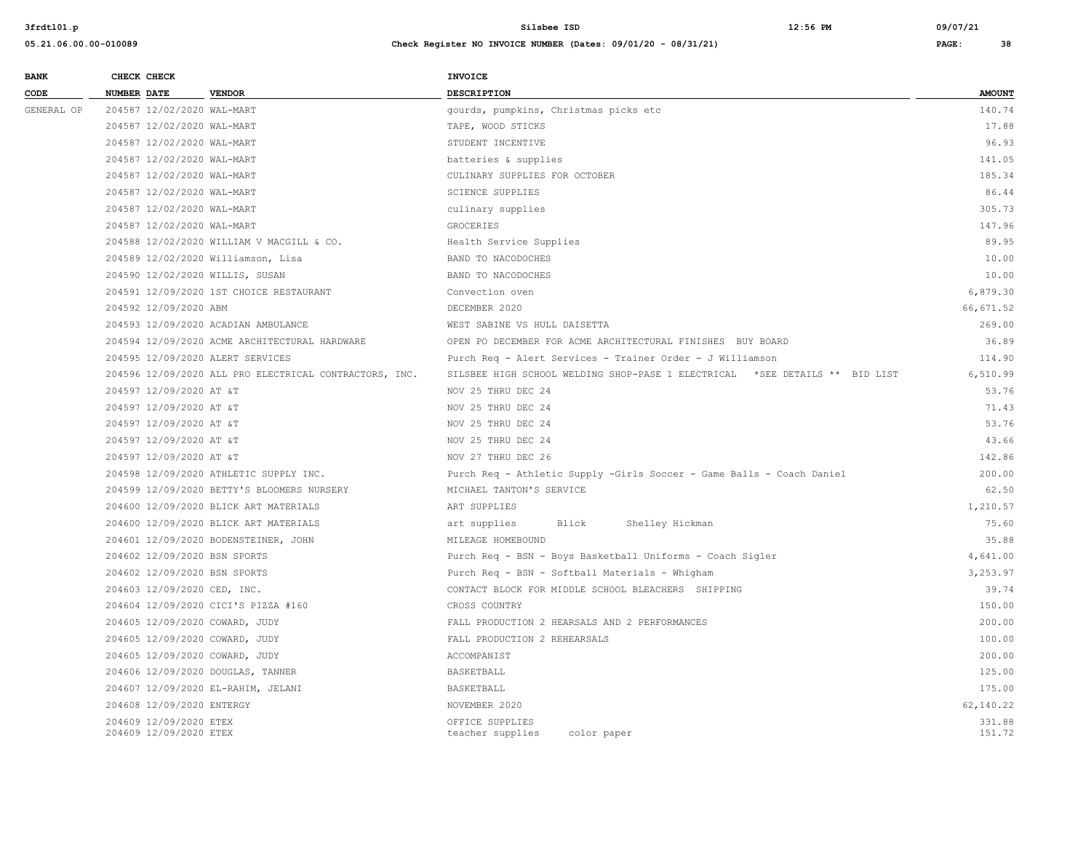| <b>BANK</b> | CHECK CHECK                                      |                                                        | INVOICE                                                                     |                  |
|-------------|--------------------------------------------------|--------------------------------------------------------|-----------------------------------------------------------------------------|------------------|
| CODE        | <b>NUMBER DATE</b>                               | <b>VENDOR</b>                                          | <b>DESCRIPTION</b>                                                          | <b>AMOUNT</b>    |
| GENERAL OP  | 204587 12/02/2020 WAL-MART                       |                                                        | gourds, pumpkins, Christmas picks etc                                       | 140.74           |
|             | 204587 12/02/2020 WAL-MART                       |                                                        | TAPE, WOOD STICKS                                                           | 17.88            |
|             | 204587 12/02/2020 WAL-MART                       |                                                        | STUDENT INCENTIVE                                                           | 96.93            |
|             | 204587 12/02/2020 WAL-MART                       |                                                        | batteries & supplies                                                        | 141.05           |
|             | 204587 12/02/2020 WAL-MART                       |                                                        | CULINARY SUPPLIES FOR OCTOBER                                               | 185.34           |
|             | 204587 12/02/2020 WAL-MART                       |                                                        | <b>SCIENCE SUPPLIES</b>                                                     | 86.44            |
|             | 204587 12/02/2020 WAL-MART                       |                                                        | culinary supplies                                                           | 305.73           |
|             | 204587 12/02/2020 WAL-MART                       |                                                        | GROCERIES                                                                   | 147.96           |
|             |                                                  | 204588 12/02/2020 WILLIAM V MACGILL & CO.              | Health Service Supplies                                                     | 89.95            |
|             |                                                  | 204589 12/02/2020 Williamson, Lisa                     | BAND TO NACODOCHES                                                          | 10.00            |
|             |                                                  | 204590 12/02/2020 WILLIS, SUSAN                        | BAND TO NACODOCHES                                                          | 10.00            |
|             |                                                  | 204591 12/09/2020 1ST CHOICE RESTAURANT                | Convection oven                                                             | 6,879.30         |
|             | 204592 12/09/2020 ABM                            |                                                        | DECEMBER 2020                                                               | 66,671.52        |
|             |                                                  | 204593 12/09/2020 ACADIAN AMBULANCE                    | WEST SABINE VS HULL DAISETTA                                                | 269.00           |
|             |                                                  | 204594 12/09/2020 ACME ARCHITECTURAL HARDWARE          | OPEN PO DECEMBER FOR ACME ARCHITECTURAL FINISHES BUY BOARD                  | 36.89            |
|             |                                                  | 204595 12/09/2020 ALERT SERVICES                       | Purch Req - Alert Services - Trainer Order - J Williamson                   | 114.90           |
|             |                                                  | 204596 12/09/2020 ALL PRO ELECTRICAL CONTRACTORS, INC. | SILSBEE HIGH SCHOOL WELDING SHOP-PASE 1 ELECTRICAL *SEE DETAILS ** BID LIST | 6,510.99         |
|             | 204597 12/09/2020 AT &T                          |                                                        | NOV 25 THRU DEC 24                                                          | 53.76            |
|             | 204597 12/09/2020 AT &T                          |                                                        | NOV 25 THRU DEC 24                                                          | 71.43            |
|             | 204597 12/09/2020 AT &T                          |                                                        | NOV 25 THRU DEC 24                                                          | 53.76            |
|             | 204597 12/09/2020 AT &T                          |                                                        | NOV 25 THRU DEC 24                                                          | 43.66            |
|             | 204597 12/09/2020 AT &T                          |                                                        | NOV 27 THRU DEC 26                                                          | 142.86           |
|             |                                                  | 204598 12/09/2020 ATHLETIC SUPPLY INC.                 | Purch Req - Athletic Supply -Girls Soccer - Game Balls - Coach Daniel       | 200.00           |
|             |                                                  | 204599 12/09/2020 BETTY'S BLOOMERS NURSERY             | MICHAEL TANTON'S SERVICE                                                    | 62.50            |
|             |                                                  | 204600 12/09/2020 BLICK ART MATERIALS                  | ART SUPPLIES                                                                | 1,210.57         |
|             |                                                  | 204600 12/09/2020 BLICK ART MATERIALS                  | Blick<br>art supplies<br>Shelley Hickman                                    | 75.60            |
|             |                                                  | 204601 12/09/2020 BODENSTEINER, JOHN                   | MILEAGE HOMEBOUND                                                           | 35.88            |
|             | 204602 12/09/2020 BSN SPORTS                     |                                                        | Purch Req - BSN - Boys Basketball Uniforms - Coach Sigler                   | 4,641.00         |
|             | 204602 12/09/2020 BSN SPORTS                     |                                                        | Purch Req - BSN - Softball Materials - Whigham                              | 3,253.97         |
|             | 204603 12/09/2020 CED, INC.                      |                                                        | CONTACT BLOCK FOR MIDDLE SCHOOL BLEACHERS SHIPPING                          | 39.74            |
|             |                                                  | 204604 12/09/2020 CICI'S PIZZA #160                    | CROSS COUNTRY                                                               | 150.00           |
|             | 204605 12/09/2020 COWARD, JUDY                   |                                                        | FALL PRODUCTION 2 HEARSALS AND 2 PERFORMANCES                               | 200.00           |
|             | 204605 12/09/2020 COWARD, JUDY                   |                                                        | FALL PRODUCTION 2 REHEARSALS                                                | 100.00           |
|             | 204605 12/09/2020 COWARD, JUDY                   |                                                        | ACCOMPANIST                                                                 | 200.00           |
|             |                                                  | 204606 12/09/2020 DOUGLAS, TANNER                      | BASKETBALL                                                                  | 125.00           |
|             |                                                  | 204607 12/09/2020 EL-RAHIM, JELANI                     | BASKETBALL                                                                  | 175.00           |
|             | 204608 12/09/2020 ENTERGY                        |                                                        | NOVEMBER 2020                                                               | 62,140.22        |
|             | 204609 12/09/2020 ETEX<br>204609 12/09/2020 ETEX |                                                        | OFFICE SUPPLIES<br>color paper<br>teacher supplies                          | 331.88<br>151.72 |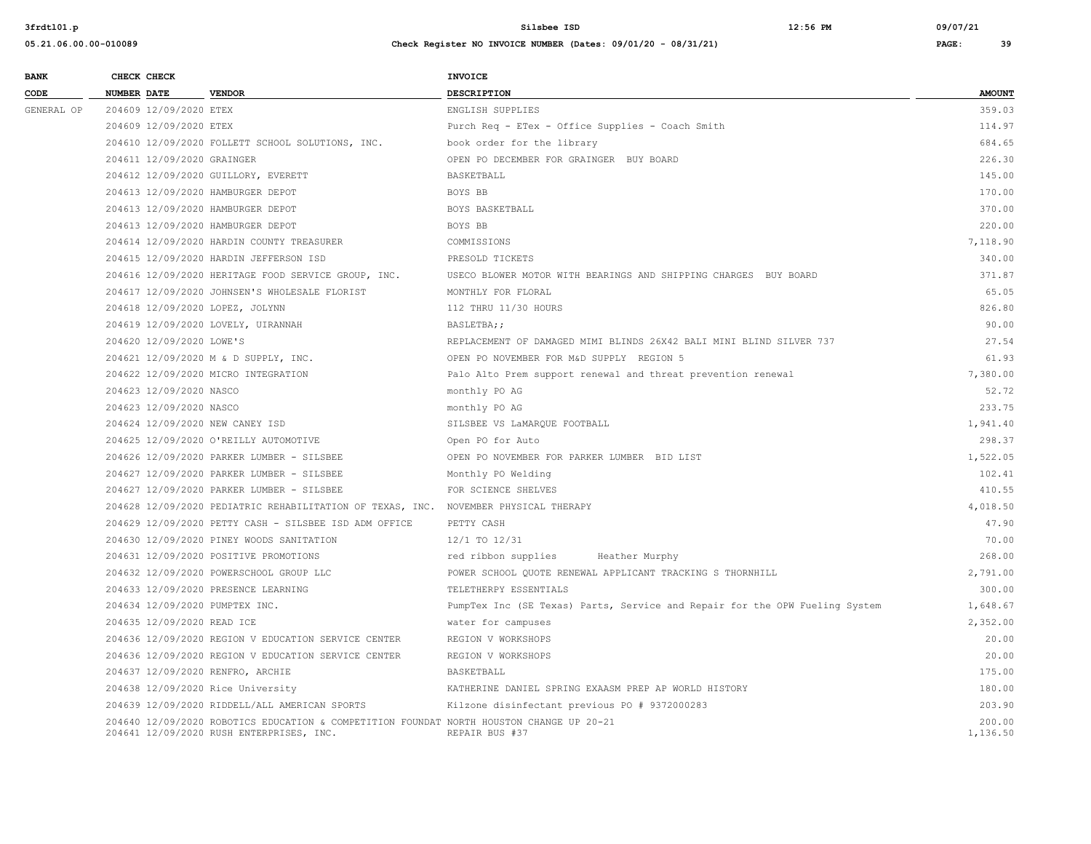| <b>BANK</b> |                    | CHECK CHECK                |                                                                                                                                      | INVOICE                                                                     |                    |
|-------------|--------------------|----------------------------|--------------------------------------------------------------------------------------------------------------------------------------|-----------------------------------------------------------------------------|--------------------|
| CODE        | <b>NUMBER DATE</b> |                            | <b>VENDOR</b>                                                                                                                        | <b>DESCRIPTION</b>                                                          | <b>AMOUNT</b>      |
| GENERAL OP  |                    | 204609 12/09/2020 ETEX     |                                                                                                                                      | ENGLISH SUPPLIES                                                            | 359.03             |
|             |                    | 204609 12/09/2020 ETEX     |                                                                                                                                      | Purch Req - ETex - Office Supplies - Coach Smith                            | 114.97             |
|             |                    |                            | 204610 12/09/2020 FOLLETT SCHOOL SOLUTIONS, INC.                                                                                     | book order for the library                                                  | 684.65             |
|             |                    | 204611 12/09/2020 GRAINGER |                                                                                                                                      | OPEN PO DECEMBER FOR GRAINGER BUY BOARD                                     | 226.30             |
|             |                    |                            | 204612 12/09/2020 GUILLORY, EVERETT                                                                                                  | BASKETBALL                                                                  | 145.00             |
|             |                    |                            | 204613 12/09/2020 HAMBURGER DEPOT                                                                                                    | BOYS BB                                                                     | 170.00             |
|             |                    |                            | 204613 12/09/2020 HAMBURGER DEPOT                                                                                                    | BOYS BASKETBALL                                                             | 370.00             |
|             |                    |                            | 204613 12/09/2020 HAMBURGER DEPOT                                                                                                    | BOYS BB                                                                     | 220.00             |
|             |                    |                            | 204614 12/09/2020 HARDIN COUNTY TREASURER                                                                                            | COMMISSIONS                                                                 | 7,118.90           |
|             |                    |                            | 204615 12/09/2020 HARDIN JEFFERSON ISD                                                                                               | PRESOLD TICKETS                                                             | 340.00             |
|             |                    |                            | 204616 12/09/2020 HERITAGE FOOD SERVICE GROUP, INC.                                                                                  | USECO BLOWER MOTOR WITH BEARINGS AND SHIPPING CHARGES BUY BOARD             | 371.87             |
|             |                    |                            | 204617 12/09/2020 JOHNSEN'S WHOLESALE FLORIST                                                                                        | MONTHLY FOR FLORAL                                                          | 65.05              |
|             |                    |                            | 204618 12/09/2020 LOPEZ, JOLYNN                                                                                                      | 112 THRU 11/30 HOURS                                                        | 826.80             |
|             |                    |                            | 204619 12/09/2020 LOVELY, UIRANNAH                                                                                                   | BASLETBA;;                                                                  | 90.00              |
|             |                    | 204620 12/09/2020 LOWE'S   |                                                                                                                                      | REPLACEMENT OF DAMAGED MIMI BLINDS 26X42 BALI MINI BLIND SILVER 737         | 27.54              |
|             |                    |                            | 204621 12/09/2020 M & D SUPPLY, INC.                                                                                                 | OPEN PO NOVEMBER FOR M&D SUPPLY REGION 5                                    | 61.93              |
|             |                    |                            | 204622 12/09/2020 MICRO INTEGRATION                                                                                                  | Palo Alto Prem support renewal and threat prevention renewal                | 7,380.00           |
|             |                    | 204623 12/09/2020 NASCO    |                                                                                                                                      | monthly PO AG                                                               | 52.72              |
|             |                    | 204623 12/09/2020 NASCO    |                                                                                                                                      | monthly PO AG                                                               | 233.75             |
|             |                    |                            | 204624 12/09/2020 NEW CANEY ISD                                                                                                      | SILSBEE VS LaMAROUE FOOTBALL                                                | 1,941.40           |
|             |                    |                            | 204625 12/09/2020 O'REILLY AUTOMOTIVE                                                                                                | Open PO for Auto                                                            | 298.37             |
|             |                    |                            | 204626 12/09/2020 PARKER LUMBER - SILSBEE                                                                                            | OPEN PO NOVEMBER FOR PARKER LUMBER BID LIST                                 | 1,522.05           |
|             |                    |                            | 204627 12/09/2020 PARKER LUMBER - SILSBEE                                                                                            | Monthly PO Welding                                                          | 102.41             |
|             |                    |                            | 204627 12/09/2020 PARKER LUMBER - SILSBEE                                                                                            | FOR SCIENCE SHELVES                                                         | 410.55             |
|             |                    |                            | 204628 12/09/2020 PEDIATRIC REHABILITATION OF TEXAS, INC. NOVEMBER PHYSICAL THERAPY                                                  |                                                                             | 4,018.50           |
|             |                    |                            | 204629 12/09/2020 PETTY CASH - SILSBEE ISD ADM OFFICE                                                                                | PETTY CASH                                                                  | 47.90              |
|             |                    |                            | 204630 12/09/2020 PINEY WOODS SANITATION                                                                                             | 12/1 TO 12/31                                                               | 70.00              |
|             |                    |                            | 204631 12/09/2020 POSITIVE PROMOTIONS                                                                                                | red ribbon supplies<br>Heather Murphy                                       | 268.00             |
|             |                    |                            | 204632 12/09/2020 POWERSCHOOL GROUP LLC                                                                                              | POWER SCHOOL QUOTE RENEWAL APPLICANT TRACKING S THORNHILL                   | 2,791.00           |
|             |                    |                            | 204633 12/09/2020 PRESENCE LEARNING                                                                                                  | TELETHERPY ESSENTIALS                                                       | 300.00             |
|             |                    |                            | 204634 12/09/2020 PUMPTEX INC.                                                                                                       | PumpTex Inc (SE Texas) Parts, Service and Repair for the OPW Fueling System | 1,648.67           |
|             |                    | 204635 12/09/2020 READ ICE |                                                                                                                                      | water for campuses                                                          | 2,352.00           |
|             |                    |                            | 204636 12/09/2020 REGION V EDUCATION SERVICE CENTER                                                                                  | REGION V WORKSHOPS                                                          | 20.00              |
|             |                    |                            | 204636 12/09/2020 REGION V EDUCATION SERVICE CENTER                                                                                  | REGION V WORKSHOPS                                                          | 20.00              |
|             |                    |                            | 204637 12/09/2020 RENFRO, ARCHIE                                                                                                     | BASKETBALL                                                                  | 175.00             |
|             |                    |                            | 204638 12/09/2020 Rice University                                                                                                    | KATHERINE DANIEL SPRING EXAASM PREP AP WORLD HISTORY                        | 180.00             |
|             |                    |                            | 204639 12/09/2020 RIDDELL/ALL AMERICAN SPORTS                                                                                        | Kilzone disinfectant previous PO # 9372000283                               | 203.90             |
|             |                    |                            | 204640 12/09/2020 ROBOTICS EDUCATION & COMPETITION FOUNDAT NORTH HOUSTON CHANGE UP 20-21<br>204641 12/09/2020 RUSH ENTERPRISES, INC. | REPAIR BUS #37                                                              | 200.00<br>1,136.50 |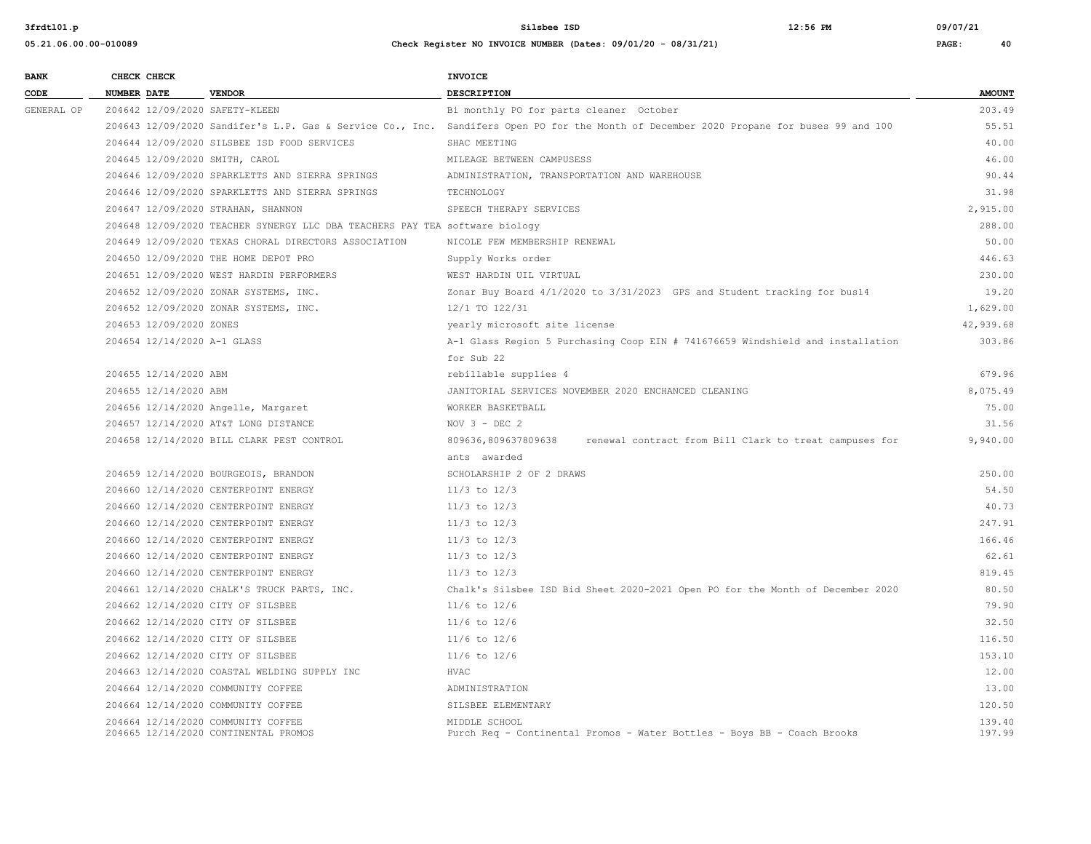| <b>BANK</b> | CHECK CHECK        |                             |                                                                             | <b>INVOICE</b>                                                                                                                          |               |
|-------------|--------------------|-----------------------------|-----------------------------------------------------------------------------|-----------------------------------------------------------------------------------------------------------------------------------------|---------------|
| CODE        | <b>NUMBER DATE</b> |                             | <b>VENDOR</b>                                                               | <b>DESCRIPTION</b>                                                                                                                      | <b>AMOUNT</b> |
| GENERAL OP  |                    |                             | 204642 12/09/2020 SAFETY-KLEEN                                              | Bi monthly PO for parts cleaner October                                                                                                 | 203.49        |
|             |                    |                             |                                                                             | 204643 12/09/2020 Sandifer's L.P. Gas & Service Co., Inc. Sandifers Open PO for the Month of December 2020 Propane for buses 99 and 100 | 55.51         |
|             |                    |                             | 204644 12/09/2020 SILSBEE ISD FOOD SERVICES                                 | SHAC MEETING                                                                                                                            | 40.00         |
|             |                    |                             | 204645 12/09/2020 SMITH, CAROL                                              | MILEAGE BETWEEN CAMPUSESS                                                                                                               | 46.00         |
|             |                    |                             | 204646 12/09/2020 SPARKLETTS AND SIERRA SPRINGS                             | ADMINISTRATION, TRANSPORTATION AND WAREHOUSE                                                                                            | 90.44         |
|             |                    |                             | 204646 12/09/2020 SPARKLETTS AND SIERRA SPRINGS                             | TECHNOLOGY                                                                                                                              | 31.98         |
|             |                    |                             | 204647 12/09/2020 STRAHAN, SHANNON                                          | SPEECH THERAPY SERVICES                                                                                                                 | 2,915.00      |
|             |                    |                             | 204648 12/09/2020 TEACHER SYNERGY LLC DBA TEACHERS PAY TEA software biology |                                                                                                                                         | 288.00        |
|             |                    |                             | 204649 12/09/2020 TEXAS CHORAL DIRECTORS ASSOCIATION                        | NICOLE FEW MEMBERSHIP RENEWAL                                                                                                           | 50.00         |
|             |                    |                             | 204650 12/09/2020 THE HOME DEPOT PRO                                        | Supply Works order                                                                                                                      | 446.63        |
|             |                    |                             | 204651 12/09/2020 WEST HARDIN PERFORMERS                                    | WEST HARDIN UIL VIRTUAL                                                                                                                 | 230.00        |
|             |                    |                             | 204652 12/09/2020 ZONAR SYSTEMS, INC.                                       | Zonar Buy Board 4/1/2020 to 3/31/2023 GPS and Student tracking for bus14                                                                | 19.20         |
|             |                    |                             | 204652 12/09/2020 ZONAR SYSTEMS, INC.                                       | 12/1 TO 122/31                                                                                                                          | 1,629.00      |
|             |                    | 204653 12/09/2020 ZONES     |                                                                             | yearly microsoft site license                                                                                                           | 42,939.68     |
|             |                    | 204654 12/14/2020 A-1 GLASS |                                                                             | A-1 Glass Region 5 Purchasing Coop EIN # 741676659 Windshield and installation                                                          | 303.86        |
|             |                    |                             |                                                                             | for Sub 22                                                                                                                              |               |
|             |                    | 204655 12/14/2020 ABM       |                                                                             | rebillable supplies 4                                                                                                                   | 679.96        |
|             |                    | 204655 12/14/2020 ABM       |                                                                             | JANITORIAL SERVICES NOVEMBER 2020 ENCHANCED CLEANING                                                                                    | 8,075.49      |
|             |                    |                             | 204656 12/14/2020 Angelle, Margaret                                         | WORKER BASKETBALL                                                                                                                       | 75.00         |
|             |                    |                             | 204657 12/14/2020 AT&T LONG DISTANCE                                        | NOV $3 - DEC$ 2                                                                                                                         | 31.56         |
|             |                    |                             | 204658 12/14/2020 BILL CLARK PEST CONTROL                                   | 809636,809637809638<br>renewal contract from Bill Clark to treat campuses for                                                           | 9,940.00      |
|             |                    |                             |                                                                             | ants awarded                                                                                                                            |               |
|             |                    |                             | 204659 12/14/2020 BOURGEOIS, BRANDON                                        | SCHOLARSHIP 2 OF 2 DRAWS                                                                                                                | 250.00        |
|             |                    |                             | 204660 12/14/2020 CENTERPOINT ENERGY                                        | $11/3$ to $12/3$                                                                                                                        | 54.50         |
|             |                    |                             | 204660 12/14/2020 CENTERPOINT ENERGY                                        | $11/3$ to $12/3$                                                                                                                        | 40.73         |
|             |                    |                             | 204660 12/14/2020 CENTERPOINT ENERGY                                        | $11/3$ to $12/3$                                                                                                                        | 247.91        |
|             |                    |                             | 204660 12/14/2020 CENTERPOINT ENERGY                                        | $11/3$ to $12/3$                                                                                                                        | 166.46        |
|             |                    |                             | 204660 12/14/2020 CENTERPOINT ENERGY                                        | $11/3$ to $12/3$                                                                                                                        | 62.61         |
|             |                    |                             | 204660 12/14/2020 CENTERPOINT ENERGY                                        | $11/3$ to $12/3$                                                                                                                        | 819.45        |
|             |                    |                             | 204661 12/14/2020 CHALK'S TRUCK PARTS, INC.                                 | Chalk's Silsbee ISD Bid Sheet 2020-2021 Open PO for the Month of December 2020                                                          | 80.50         |
|             |                    |                             | 204662 12/14/2020 CITY OF SILSBEE                                           | $11/6$ to $12/6$                                                                                                                        | 79.90         |
|             |                    |                             | 204662 12/14/2020 CITY OF SILSBEE                                           | $11/6$ to $12/6$                                                                                                                        | 32.50         |
|             |                    |                             | 204662 12/14/2020 CITY OF SILSBEE                                           | $11/6$ to $12/6$                                                                                                                        | 116.50        |
|             |                    |                             | 204662 12/14/2020 CITY OF SILSBEE                                           | $11/6$ to $12/6$                                                                                                                        | 153.10        |
|             |                    |                             | 204663 12/14/2020 COASTAL WELDING SUPPLY INC                                | HVAC                                                                                                                                    | 12.00         |
|             |                    |                             | 204664 12/14/2020 COMMUNITY COFFEE                                          | ADMINISTRATION                                                                                                                          | 13.00         |
|             |                    |                             | 204664 12/14/2020 COMMUNITY COFFEE                                          | SILSBEE ELEMENTARY                                                                                                                      | 120.50        |
|             |                    |                             | 204664 12/14/2020 COMMUNITY COFFEE                                          | MIDDLE SCHOOL                                                                                                                           | 139.40        |
|             |                    |                             | 204665 12/14/2020 CONTINENTAL PROMOS                                        | Purch Req - Continental Promos - Water Bottles - Boys BB - Coach Brooks                                                                 | 197.99        |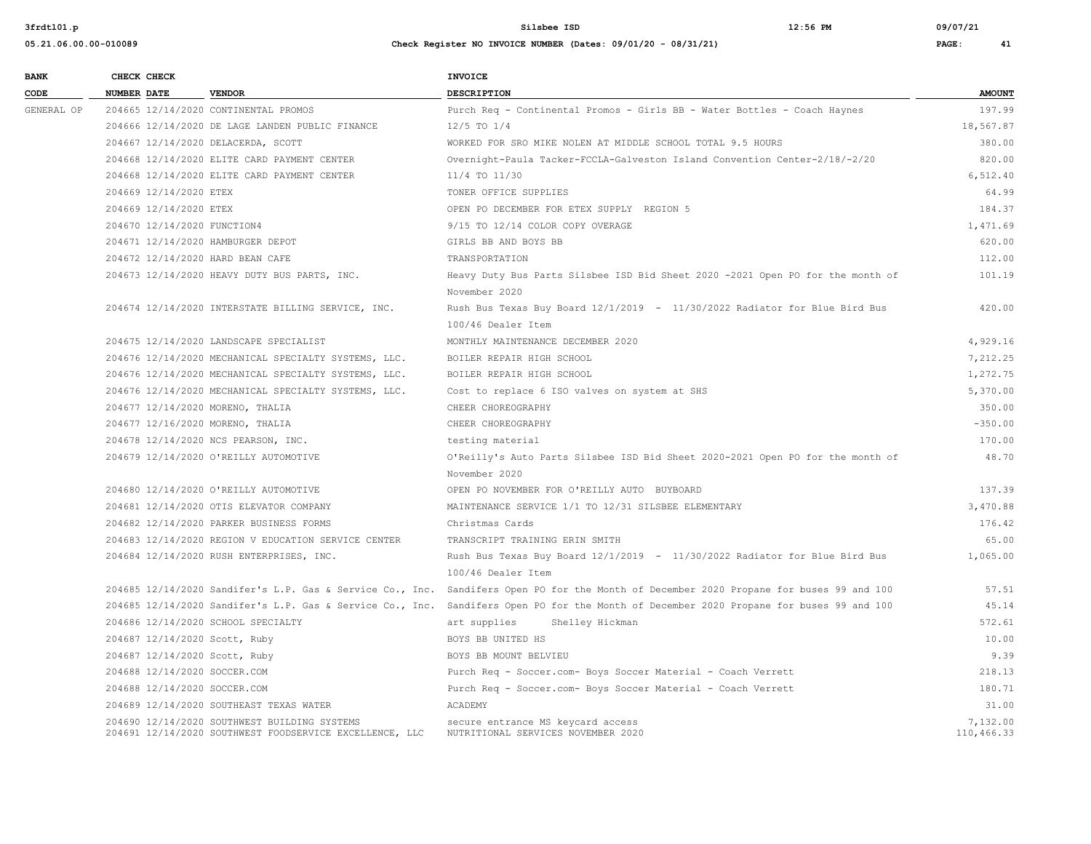**05.21.06.00.00-010089 Check Register NO INVOICE NUMBER (Dates: 09/01/20 - 08/31/21) PAGE: 41**

**BANK** CHECK CHECK **CHECK CODE NUMBER DATE VENDOR DESCRIPTION AMOUNT** GENERAL OP 204665 12/14/2020 CONTINENTAL PROMOS Purch Req - Continental Promos - Girls BB - Water Bottles - Coach Haynes 197.99 204666 12/14/2020 DE LAGE LANDEN PUBLIC FINANCE 12/5 TO 1/4 18,567.87 204667 12/14/2020 DELACERDA, SCOTT WORKED FOR SRO MIKE NOLEN AT MIDDLE SCHOOL TOTAL 9.5 HOURS 380.00 204668 12/14/2020 ELITE CARD PAYMENT CENTER Overnight-Paula Tacker-FCCLA-Galveston Island Convention Center-2/18/-2/20 820.00 204668 12/14/2020 ELITE CARD PAYMENT CENTER 11/4 TO 11/30 6,512.40 204669 12/14/2020 ETEX TONER OFFICE SUPPLIES 64.99 204669 12/14/2020 ETEX OPEN PO DECEMBER FOR ETEX SUPPLY REGION 5 184.37 204670 12/14/2020 FUNCTION4 9/15 TO 12/14 COLOR COPY OVERAGE 1,471.69 204671 12/14/2020 HAMBURGER DEPOT GIRLS BB AND BOYS BB 620.00 204672 12/14/2020 HARD BEAN CAFE TRANSPORTATION 112.00 204673 12/14/2020 HEAVY DUTY BUS PARTS, INC. Heavy Duty Bus Parts Silsbee ISD Bid Sheet 2020 -2021 Open PO for the month of 101.19 November 2020 204674 12/14/2020 INTERSTATE BILLING SERVICE, INC. Rush Bus Texas Buy Board 12/1/2019 - 11/30/2022 Radiator for Blue Bird Bus 420.00 100/46 Dealer Item 204675 12/14/2020 LANDSCAPE SPECIALIST MONTHLY MAINTENANCE DECEMBER 2020 4,929.16 204676 12/14/2020 MECHANICAL SPECIALTY SYSTEMS, LLC. BOILER REPAIR HIGH SCHOOL 7,212.25 204676 12/14/2020 MECHANICAL SPECIALTY SYSTEMS, LLC. BOILER REPAIR HIGH SCHOOL 1,272.75 204676 12/14/2020 MECHANICAL SPECIALTY SYSTEMS, LLC. Cost to replace 6 ISO valves on system at SHS 5,370.00 204677 12/14/2020 MORENO, THALIA CHEER CHOREOGRAPHY 350.00 204677 12/16/2020 MORENO, THALIA 
and the CHEER CHOREOGRAPHY CHEER CHOREOGRAPHY -350.00 204678 12/14/2020 NCS PEARSON, INC. testing material 170.00 204679 12/14/2020 O'REILLY AUTOMOTIVE O'Reilly's Auto Parts Silsbee ISD Bid Sheet 2020-2021 Open PO for the month of 48.70 November 2020 204680 12/14/2020 O'REILLY AUTOMOTIVE OPEN PO NOVEMBER FOR O'REILLY AUTO BUYBOARD 137.39 204681 12/14/2020 OTIS ELEVATOR COMPANY MAINTENANCE SERVICE 1/1 TO 12/31 SILSBEE ELEMENTARY 3,470.88 204682 12/14/2020 PARKER BUSINESS FORMS Christmas Cards 176.42 204683 12/14/2020 REGION V EDUCATION SERVICE CENTER TRANSCRIPT TRAINING ERIN SMITH 65.00 204684 12/14/2020 RUSH ENTERPRISES, INC. Rush Bus Texas Buy Board 12/1/2019 - 11/30/2022 Radiator for Blue Bird Bus 1,065.00 100/46 Dealer Item 204685 12/14/2020 Sandifer's L.P. Gas & Service Co., Inc. Sandifers Open PO for the Month of December 2020 Propane for buses 99 and 100 57.51 204685 12/14/2020 Sandifer's L.P. Gas & Service Co., Inc. Sandifers Open PO for the Month of December 2020 Propane for buses 99 and 100 45.14 204686 12/14/2020 SCHOOL SPECIALTY **art supplies** Shelley Hickman 572.61 204687 12/14/2020 Scott, Ruby BOYS BB UNITED HS 10.00 204687 12/14/2020 Scott, Ruby BOYS BB MOUNT BELVIEU 9.39 204688 12/14/2020 SOCCER.COM Purch Req - Soccer.com- Boys Soccer Material - Coach Verrett 218.13 204688 12/14/2020 SOCCER.COM Purch Req - Soccer.com- Boys Soccer Material - Coach Verrett 180.71 204689 12/14/2020 SOUTHEAST TEXAS WATER ACADEMY 31.00 204690 12/14/2020 SOUTHWEST BUILDING SYSTEMS secure entrance MS keycard access 7,132.00 204691 12/14/2020 SOUTHWEST FOODSERVICE EXCELLENCE, LLC NUTRITIONAL SERVICES NOVEMBER 2020 110,466.33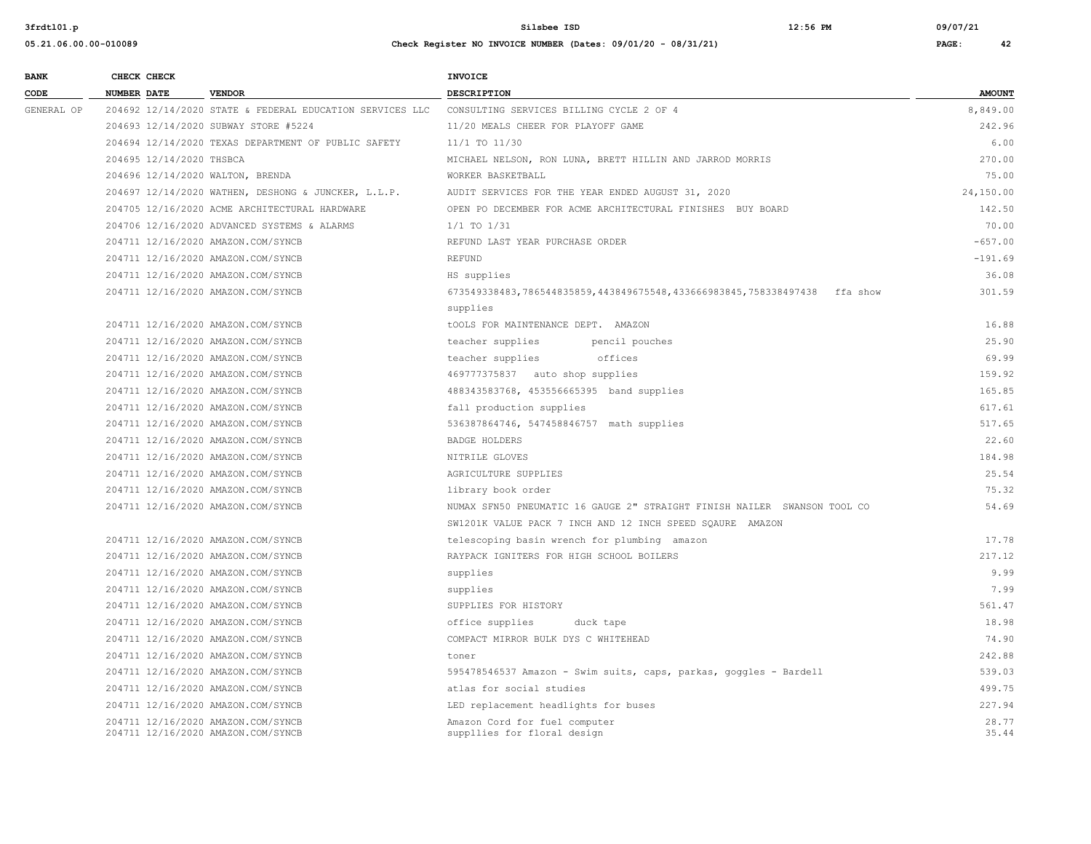**05.21.06.00.00-010089 Check Register NO INVOICE NUMBER (Dates: 09/01/20 - 08/31/21) PAGE: 42**

**3frdtl01.p Silsbee ISD 12:56 PM 09/07/21**

## **BANK CHECK CHECK CHECK CODE NUMBER DATE VENDOR DESCRIPTION AMOUNT** GENERAL OP 204692 12/14/2020 STATE & FEDERAL EDUCATION SERVICES LLC CONSULTING SERVICES BILLING CYCLE 2 OF 4 8 8 849.00 204693 12/14/2020 SUBWAY STORE #5224 11/20 MEALS CHEER FOR PLAYOFF GAME 242.96 204694 12/14/2020 TEXAS DEPARTMENT OF PUBLIC SAFETY 11/1 TO 11/30 6.00 204695 12/14/2020 THSBCA MICHAEL NELSON, RON LUNA, BRETT HILLIN AND JARROD MORRIS 270.00 204696 12/14/2020 WALTON, BRENDA WORKER BASKETBALL 75.00 204697 12/14/2020 WATHEN, DESHONG & JUNCKER, L.L.P. AUDIT SERVICES FOR THE YEAR ENDED AUGUST 31, 2020 24,150.00 204705 12/16/2020 ACME ARCHITECTURAL HARDWARE OPEN PO DECEMBER FOR ACME ARCHITECTURAL FINISHES BUY BOARD 142.50 204706 12/16/2020 ADVANCED SYSTEMS & ALARMS 1/1 TO 1/31 70.00 204711 12/16/2020 AMAZON.COM/SYNCB REFUND LAST YEAR PURCHASE ORDER -657.00 204711 12/16/2020 AMAZON.COM/SYNCB REFUND -191.69 204711 12/16/2020 AMAZON.COM/SYNCB HS supplies 36.08 204711 12/16/2020 AMAZON.COM/SYNCB 673549338483,786544835859,443849675548,433666983845,758338497438 ffa show 301.59 supplies 204711 12/16/2020 AMAZON.COM/SYNCB tOOLS FOR MAINTENANCE DEPT. AMAZON 16.88 204711 12/16/2020 AMAZON.COM/SYNCB teacher supplies pencil pouches 25.90 204711 12/16/2020 AMAZON.COM/SYNCB teacher supplies offices 69.99 204711 12/16/2020 AMAZON.COM/SYNCB 469777375837 auto shop supplies 159.92 204711 12/16/2020 AMAZON.COM/SYNCB 488343583768, 453556665395 band supplies 165.85 204711 12/16/2020 AMAZON.COM/SYNCB fall production supplies 617.61 204711 12/16/2020 AMAZON.COM/SYNCB 536387864746, 547458846757 math supplies 517.65 204711 12/16/2020 AMAZON.COM/SYNCB BADGE HOLDERS 22.60 204711 12/16/2020 AMAZON.COM/SYNCB NITRILE GLOVES 184.98 204711 12/16/2020 AMAZON.COM/SYNCB AGRICULTURE SUPPLIES 25.54 204711 12/16/2020 AMAZON.COM/SYNCB library book order 75.32 204711 12/16/2020 AMAZON.COM/SYNCB NUMAX SFN50 PNEUMATIC 16 GAUGE 2" STRAIGHT FINISH NAILER SWANSON TOOL CO 54.69 SW1201K VALUE PACK 7 INCH AND 12 INCH SPEED SQAURE AMAZON 204711 12/16/2020 AMAZON.COM/SYNCB telescoping basin wrench for plumbing amazon 17.78 204711 12/16/2020 AMAZON.COM/SYNCB RAYPACK IGNITERS FOR HIGH SCHOOL BOILERS 217.12 204711 12/16/2020 AMAZON.COM/SYNCB supplies 9.99 204711 12/16/2020 AMAZON.COM/SYNCB supplies 7.99 204711 12/16/2020 AMAZON.COM/SYNCB SUPPLIES FOR HISTORY 561.47 204711 12/16/2020 AMAZON.COM/SYNCB office supplies duck tape 18.98 204711 12/16/2020 AMAZON.COM/SYNCB COMPACT MIRROR BULK DYS C WHITEHEAD 74.90 204711 12/16/2020 AMAZON.COM/SYNCB toner 242.88 204711 12/16/2020 AMAZON.COM/SYNCB 595478546537 Amazon - Swim suits, caps, parkas, goggles - Bardell 539.03 204711 12/16/2020 AMAZON.COM/SYNCB atlas for social studies 499.75 204711 12/16/2020 AMAZON.COM/SYNCB LED replacement headlights for buses 227.94 204711 12/16/2020 AMAZON.COM/SYNCB Amazon Cord for fuel computer 28.77 204711 12/16/2020 AMAZON.COM/SYNCB suppllies for floral design 35.44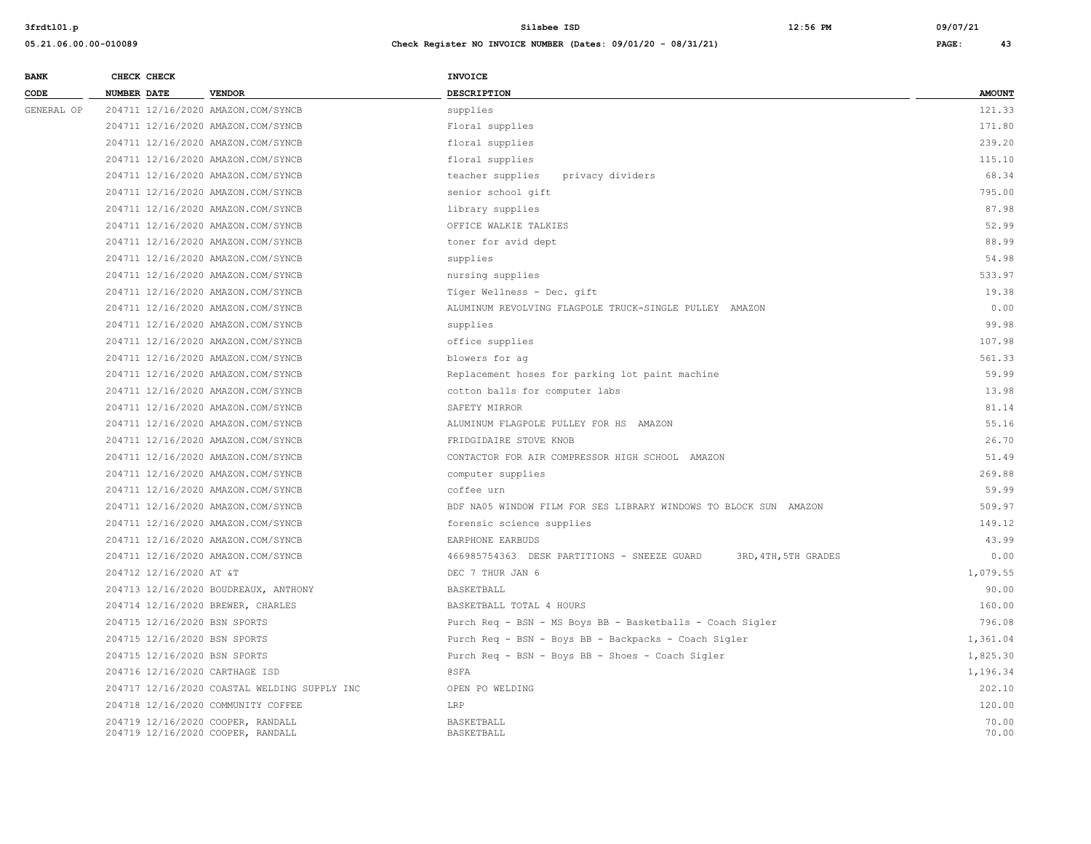| <b>BANK</b> |             | CHECK CHECK             |                                                                        | <b>INVOICE</b>                                                      |                |
|-------------|-------------|-------------------------|------------------------------------------------------------------------|---------------------------------------------------------------------|----------------|
| CODE        | NUMBER DATE |                         | <b>VENDOR</b>                                                          | <b>DESCRIPTION</b>                                                  | <b>AMOUNT</b>  |
| GENERAL OP  |             |                         | 204711 12/16/2020 AMAZON.COM/SYNCB                                     | supplies                                                            | 121.33         |
|             |             |                         | 204711 12/16/2020 AMAZON.COM/SYNCB                                     | Floral supplies                                                     | 171.80         |
|             |             |                         | 204711 12/16/2020 AMAZON.COM/SYNCB                                     | floral supplies                                                     | 239.20         |
|             |             |                         | 204711 12/16/2020 AMAZON.COM/SYNCB                                     | floral supplies                                                     | 115.10         |
|             |             |                         | 204711 12/16/2020 AMAZON.COM/SYNCB                                     | teacher supplies<br>privacy dividers                                | 68.34          |
|             |             |                         | 204711 12/16/2020 AMAZON.COM/SYNCB                                     | senior school gift                                                  | 795.00         |
|             |             |                         | 204711 12/16/2020 AMAZON.COM/SYNCB                                     | library supplies                                                    | 87.98          |
|             |             |                         | 204711 12/16/2020 AMAZON.COM/SYNCB                                     | OFFICE WALKIE TALKIES                                               | 52.99          |
|             |             |                         | 204711 12/16/2020 AMAZON.COM/SYNCB                                     | toner for avid dept                                                 | 88.99          |
|             |             |                         | 204711 12/16/2020 AMAZON.COM/SYNCB                                     | supplies                                                            | 54.98          |
|             |             |                         | 204711 12/16/2020 AMAZON.COM/SYNCB                                     | nursing supplies                                                    | 533.97         |
|             |             |                         | 204711 12/16/2020 AMAZON.COM/SYNCB                                     | Tiger Wellness - Dec. gift                                          | 19.38          |
|             |             |                         | 204711 12/16/2020 AMAZON.COM/SYNCB                                     | ALUMINUM REVOLVING FLAGPOLE TRUCK-SINGLE PULLEY AMAZON              | 0.00           |
|             |             |                         | 204711 12/16/2020 AMAZON.COM/SYNCB                                     | supplies                                                            | 99.98          |
|             |             |                         | 204711 12/16/2020 AMAZON.COM/SYNCB                                     | office supplies                                                     | 107.98         |
|             |             |                         | 204711 12/16/2020 AMAZON.COM/SYNCB                                     | blowers for ag                                                      | 561.33         |
|             |             |                         | 204711 12/16/2020 AMAZON.COM/SYNCB                                     | Replacement hoses for parking lot paint machine                     | 59.99          |
|             |             |                         | 204711 12/16/2020 AMAZON.COM/SYNCB                                     | cotton balls for computer labs                                      | 13.98          |
|             |             |                         | 204711 12/16/2020 AMAZON.COM/SYNCB                                     | SAFETY MIRROR                                                       | 81.14          |
|             |             |                         | 204711 12/16/2020 AMAZON.COM/SYNCB                                     | ALUMINUM FLAGPOLE PULLEY FOR HS AMAZON                              | 55.16          |
|             |             |                         | 204711 12/16/2020 AMAZON.COM/SYNCB                                     | FRIDGIDAIRE STOVE KNOB                                              | 26.70          |
|             |             |                         | 204711 12/16/2020 AMAZON.COM/SYNCB                                     | CONTACTOR FOR AIR COMPRESSOR HIGH SCHOOL AMAZON                     | 51.49          |
|             |             |                         | 204711 12/16/2020 AMAZON.COM/SYNCB                                     | computer supplies                                                   | 269.88         |
|             |             |                         | 204711 12/16/2020 AMAZON.COM/SYNCB                                     | coffee urn                                                          | 59.99          |
|             |             |                         | 204711 12/16/2020 AMAZON.COM/SYNCB                                     | BDF NA05 WINDOW FILM FOR SES LIBRARY WINDOWS TO BLOCK SUN AMAZON    | 509.97         |
|             |             |                         | 204711 12/16/2020 AMAZON.COM/SYNCB                                     | forensic science supplies                                           | 149.12         |
|             |             |                         | 204711 12/16/2020 AMAZON.COM/SYNCB                                     | EARPHONE EARBUDS                                                    | 43.99          |
|             |             |                         | 204711 12/16/2020 AMAZON.COM/SYNCB                                     | 466985754363 DESK PARTITIONS - SNEEZE GUARD<br>3RD, 4TH, 5TH GRADES | 0.00           |
|             |             | 204712 12/16/2020 AT &T |                                                                        | DEC 7 THUR JAN 6                                                    | 1,079.55       |
|             |             |                         | 204713 12/16/2020 BOUDREAUX, ANTHONY                                   | BASKETBALL                                                          | 90.00          |
|             |             |                         | 204714 12/16/2020 BREWER, CHARLES                                      | BASKETBALL TOTAL 4 HOURS                                            | 160.00         |
|             |             |                         | 204715 12/16/2020 BSN SPORTS                                           | Purch Req - BSN - MS Boys BB - Basketballs - Coach Sigler           | 796.08         |
|             |             |                         | 204715 12/16/2020 BSN SPORTS                                           | Purch Req - BSN - Boys BB - Backpacks - Coach Sigler                | 1,361.04       |
|             |             |                         | 204715 12/16/2020 BSN SPORTS                                           | Purch Req - BSN - Boys BB - Shoes - Coach Sigler                    | 1,825.30       |
|             |             |                         | 204716 12/16/2020 CARTHAGE ISD                                         | <b>@SFA</b>                                                         | 1,196.34       |
|             |             |                         | 204717 12/16/2020 COASTAL WELDING SUPPLY INC                           | OPEN PO WELDING                                                     | 202.10         |
|             |             |                         | 204718 12/16/2020 COMMUNITY COFFEE                                     | LRP                                                                 | 120.00         |
|             |             |                         | 204719 12/16/2020 COOPER, RANDALL<br>204719 12/16/2020 COOPER, RANDALL | <b>BASKETBALL</b><br>BASKETBALL                                     | 70.00<br>70.00 |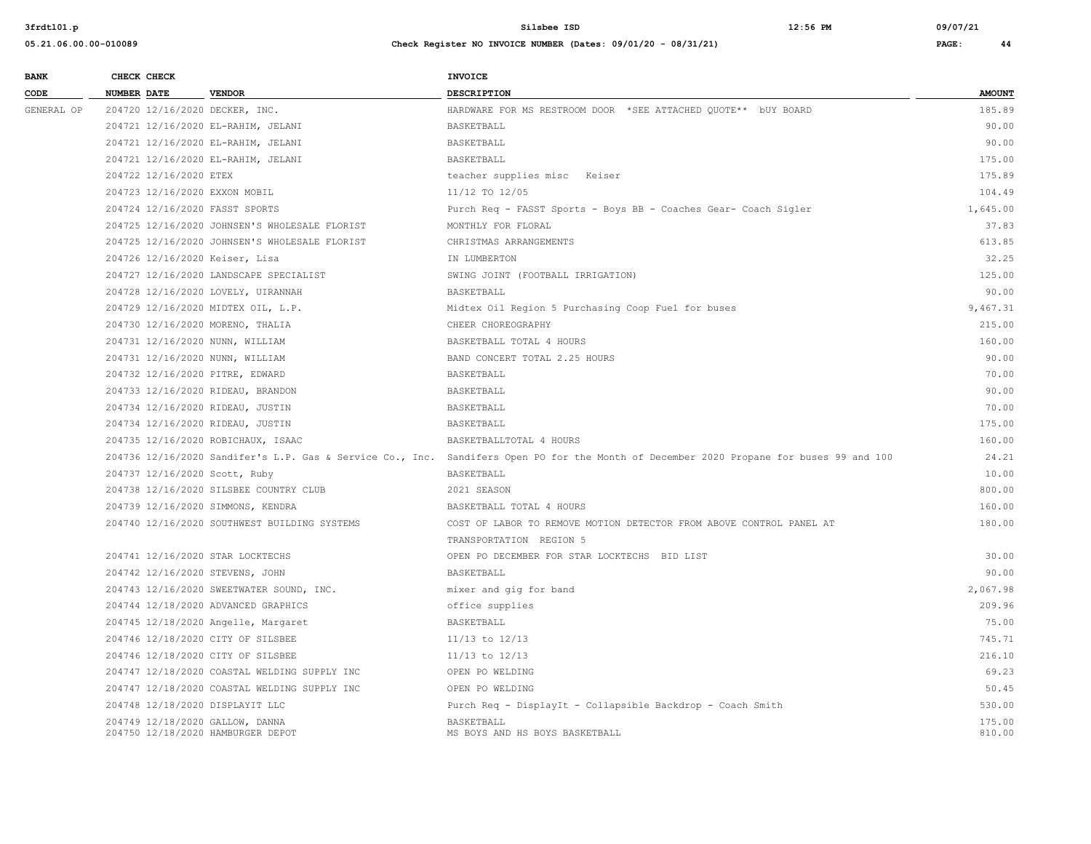| <b>BANK</b> |                    | CHECK CHECK            |                                                                      | <b>INVOICE</b>                                                                                                                          |                  |
|-------------|--------------------|------------------------|----------------------------------------------------------------------|-----------------------------------------------------------------------------------------------------------------------------------------|------------------|
| CODE        | <b>NUMBER DATE</b> |                        | <b>VENDOR</b>                                                        | DESCRIPTION                                                                                                                             | <b>AMOUNT</b>    |
| GENERAL OP  |                    |                        | 204720 12/16/2020 DECKER, INC.                                       | HARDWARE FOR MS RESTROOM DOOR *SEE ATTACHED QUOTE** bUY BOARD                                                                           | 185.89           |
|             |                    |                        | 204721 12/16/2020 EL-RAHIM, JELANI                                   | BASKETBALL                                                                                                                              | 90.00            |
|             |                    |                        | 204721 12/16/2020 EL-RAHIM, JELANI                                   | <b>BASKETBALL</b>                                                                                                                       | 90.00            |
|             |                    |                        | 204721 12/16/2020 EL-RAHIM, JELANI                                   | BASKETBALL                                                                                                                              | 175.00           |
|             |                    | 204722 12/16/2020 ETEX |                                                                      | teacher supplies misc Keiser                                                                                                            | 175.89           |
|             |                    |                        | 204723 12/16/2020 EXXON MOBIL                                        | 11/12 TO 12/05                                                                                                                          | 104.49           |
|             |                    |                        | 204724 12/16/2020 FASST SPORTS                                       | Purch Req - FASST Sports - Boys BB - Coaches Gear- Coach Sigler                                                                         | 1,645.00         |
|             |                    |                        | 204725 12/16/2020 JOHNSEN'S WHOLESALE FLORIST                        | MONTHLY FOR FLORAL                                                                                                                      | 37.83            |
|             |                    |                        | 204725 12/16/2020 JOHNSEN'S WHOLESALE FLORIST                        | CHRISTMAS ARRANGEMENTS                                                                                                                  | 613.85           |
|             |                    |                        | 204726 12/16/2020 Keiser, Lisa                                       | IN LUMBERTON                                                                                                                            | 32.25            |
|             |                    |                        | 204727 12/16/2020 LANDSCAPE SPECIALIST                               | SWING JOINT (FOOTBALL IRRIGATION)                                                                                                       | 125.00           |
|             |                    |                        | 204728 12/16/2020 LOVELY, UIRANNAH                                   | <b>BASKETBALL</b>                                                                                                                       | 90.00            |
|             |                    |                        | 204729 12/16/2020 MIDTEX OIL, L.P.                                   | Midtex Oil Region 5 Purchasing Coop Fuel for buses                                                                                      | 9,467.31         |
|             |                    |                        | 204730 12/16/2020 MORENO, THALIA                                     | CHEER CHOREOGRAPHY                                                                                                                      | 215.00           |
|             |                    |                        | 204731 12/16/2020 NUNN, WILLIAM                                      | BASKETBALL TOTAL 4 HOURS                                                                                                                | 160.00           |
|             |                    |                        | 204731 12/16/2020 NUNN, WILLIAM                                      | BAND CONCERT TOTAL 2.25 HOURS                                                                                                           | 90.00            |
|             |                    |                        | 204732 12/16/2020 PITRE, EDWARD                                      | <b>BASKETBALL</b>                                                                                                                       | 70.00            |
|             |                    |                        | 204733 12/16/2020 RIDEAU, BRANDON                                    | BASKETBALL                                                                                                                              | 90.00            |
|             |                    |                        | 204734 12/16/2020 RIDEAU, JUSTIN                                     | BASKETBALL                                                                                                                              | 70.00            |
|             |                    |                        | 204734 12/16/2020 RIDEAU, JUSTIN                                     | BASKETBALL                                                                                                                              | 175.00           |
|             |                    |                        | 204735 12/16/2020 ROBICHAUX, ISAAC                                   | BASKETBALLTOTAL 4 HOURS                                                                                                                 | 160.00           |
|             |                    |                        |                                                                      | 204736 12/16/2020 Sandifer's L.P. Gas & Service Co., Inc. Sandifers Open PO for the Month of December 2020 Propane for buses 99 and 100 | 24.21            |
|             |                    |                        | 204737 12/16/2020 Scott, Ruby                                        | BASKETBALL                                                                                                                              | 10.00            |
|             |                    |                        | 204738 12/16/2020 SILSBEE COUNTRY CLUB                               | 2021 SEASON                                                                                                                             | 800.00           |
|             |                    |                        | 204739 12/16/2020 SIMMONS, KENDRA                                    | BASKETBALL TOTAL 4 HOURS                                                                                                                | 160.00           |
|             |                    |                        | 204740 12/16/2020 SOUTHWEST BUILDING SYSTEMS                         | COST OF LABOR TO REMOVE MOTION DETECTOR FROM ABOVE CONTROL PANEL AT                                                                     | 180.00           |
|             |                    |                        |                                                                      | TRANSPORTATION REGION 5                                                                                                                 |                  |
|             |                    |                        | 204741 12/16/2020 STAR LOCKTECHS                                     | OPEN PO DECEMBER FOR STAR LOCKTECHS BID LIST                                                                                            | 30.00            |
|             |                    |                        | 204742 12/16/2020 STEVENS, JOHN                                      | BASKETBALL                                                                                                                              | 90.00            |
|             |                    |                        | 204743 12/16/2020 SWEETWATER SOUND, INC.                             | mixer and gig for band                                                                                                                  | 2,067.98         |
|             |                    |                        | 204744 12/18/2020 ADVANCED GRAPHICS                                  | office supplies                                                                                                                         | 209.96           |
|             |                    |                        | 204745 12/18/2020 Angelle, Margaret                                  | BASKETBALL                                                                                                                              | 75.00            |
|             |                    |                        | 204746 12/18/2020 CITY OF SILSBEE                                    | $11/13$ to $12/13$                                                                                                                      | 745.71           |
|             |                    |                        | 204746 12/18/2020 CITY OF SILSBEE                                    | $11/13$ to $12/13$                                                                                                                      | 216.10           |
|             |                    |                        | 204747 12/18/2020 COASTAL WELDING SUPPLY INC                         | OPEN PO WELDING                                                                                                                         | 69.23            |
|             |                    |                        | 204747 12/18/2020 COASTAL WELDING SUPPLY INC                         | OPEN PO WELDING                                                                                                                         | 50.45            |
|             |                    |                        | 204748 12/18/2020 DISPLAYIT LLC                                      | Purch Req - DisplayIt - Collapsible Backdrop - Coach Smith                                                                              | 530.00           |
|             |                    |                        | 204749 12/18/2020 GALLOW, DANNA<br>204750 12/18/2020 HAMBURGER DEPOT | BASKETBALL<br>MS BOYS AND HS BOYS BASKETBALL                                                                                            | 175.00<br>810.00 |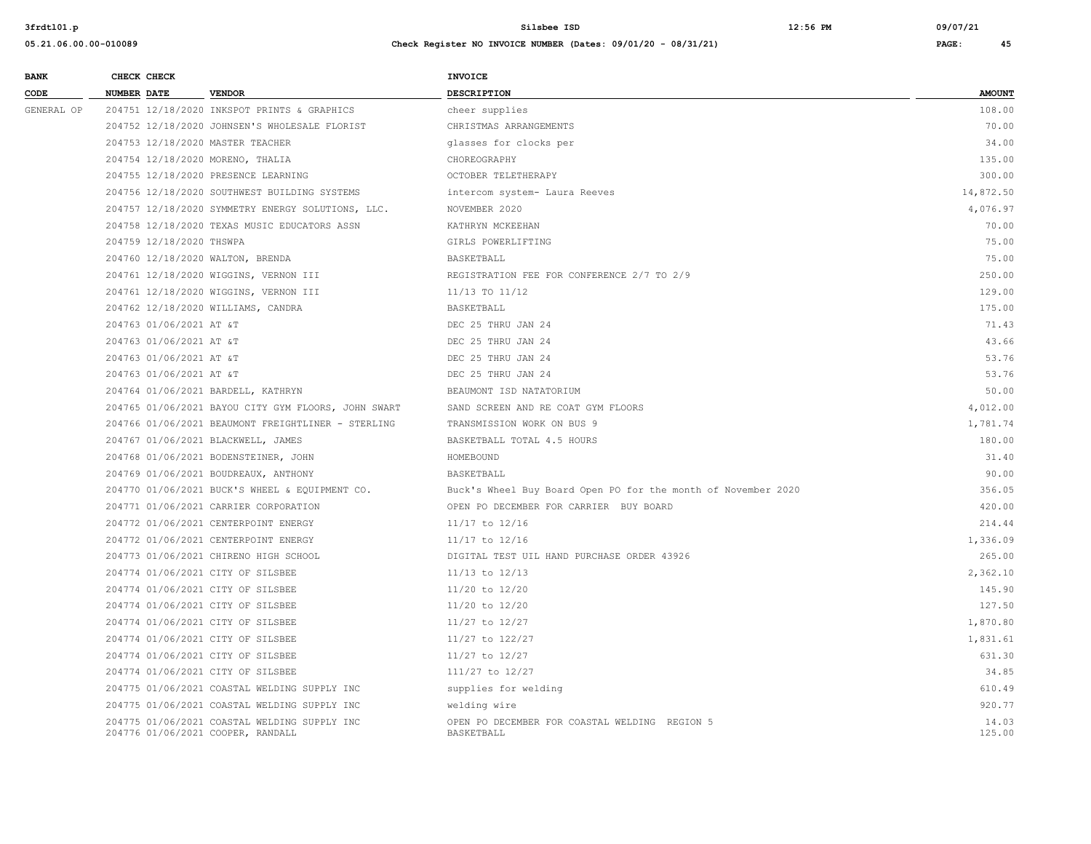| <b>BANK</b> | CHECK CHECK              |                                                                                   | <b>INVOICE</b>                                                |                 |
|-------------|--------------------------|-----------------------------------------------------------------------------------|---------------------------------------------------------------|-----------------|
| CODE        | <b>NUMBER DATE</b>       | <b>VENDOR</b>                                                                     | <b>DESCRIPTION</b>                                            | <b>AMOUNT</b>   |
| GENERAL OP  |                          | 204751 12/18/2020 INKSPOT PRINTS & GRAPHICS                                       | cheer supplies                                                | 108.00          |
|             |                          | 204752 12/18/2020 JOHNSEN'S WHOLESALE FLORIST                                     | CHRISTMAS ARRANGEMENTS                                        | 70.00           |
|             |                          | 204753 12/18/2020 MASTER TEACHER                                                  | glasses for clocks per                                        | 34.00           |
|             |                          | 204754 12/18/2020 MORENO, THALIA                                                  | CHOREOGRAPHY                                                  | 135.00          |
|             |                          | 204755 12/18/2020 PRESENCE LEARNING                                               | OCTOBER TELETHERAPY                                           | 300.00          |
|             |                          | 204756 12/18/2020 SOUTHWEST BUILDING SYSTEMS                                      | intercom system- Laura Reeves                                 | 14,872.50       |
|             |                          | 204757 12/18/2020 SYMMETRY ENERGY SOLUTIONS, LLC.                                 | NOVEMBER 2020                                                 | 4,076.97        |
|             |                          | 204758 12/18/2020 TEXAS MUSIC EDUCATORS ASSN                                      | KATHRYN MCKEEHAN                                              | 70.00           |
|             | 204759 12/18/2020 THSWPA |                                                                                   | GIRLS POWERLIFTING                                            | 75.00           |
|             |                          | 204760 12/18/2020 WALTON, BRENDA                                                  | BASKETBALL                                                    | 75.00           |
|             |                          | 204761 12/18/2020 WIGGINS, VERNON III                                             | REGISTRATION FEE FOR CONFERENCE 2/7 TO 2/9                    | 250.00          |
|             |                          | 204761 12/18/2020 WIGGINS, VERNON III                                             | 11/13 TO 11/12                                                | 129.00          |
|             |                          | 204762 12/18/2020 WILLIAMS, CANDRA                                                | BASKETBALL                                                    | 175.00          |
|             | 204763 01/06/2021 AT &T  |                                                                                   | DEC 25 THRU JAN 24                                            | 71.43           |
|             | 204763 01/06/2021 AT &T  |                                                                                   | DEC 25 THRU JAN 24                                            | 43.66           |
|             | 204763 01/06/2021 AT &T  |                                                                                   | DEC 25 THRU JAN 24                                            | 53.76           |
|             | 204763 01/06/2021 AT &T  |                                                                                   | DEC 25 THRU JAN 24                                            | 53.76           |
|             |                          | 204764 01/06/2021 BARDELL, KATHRYN                                                | BEAUMONT ISD NATATORIUM                                       | 50.00           |
|             |                          | 204765 01/06/2021 BAYOU CITY GYM FLOORS, JOHN SWART                               | SAND SCREEN AND RE COAT GYM FLOORS                            | 4,012.00        |
|             |                          | 204766 01/06/2021 BEAUMONT FREIGHTLINER - STERLING                                | TRANSMISSION WORK ON BUS 9                                    | 1,781.74        |
|             |                          | 204767 01/06/2021 BLACKWELL, JAMES                                                | BASKETBALL TOTAL 4.5 HOURS                                    | 180.00          |
|             |                          | 204768 01/06/2021 BODENSTEINER, JOHN                                              | HOMEBOUND                                                     | 31.40           |
|             |                          | 204769 01/06/2021 BOUDREAUX, ANTHONY                                              | BASKETBALL                                                    | 90.00           |
|             |                          | 204770 01/06/2021 BUCK'S WHEEL & EOUIPMENT CO.                                    | Buck's Wheel Buy Board Open PO for the month of November 2020 | 356.05          |
|             |                          | 204771 01/06/2021 CARRIER CORPORATION                                             | OPEN PO DECEMBER FOR CARRIER BUY BOARD                        | 420.00          |
|             |                          | 204772 01/06/2021 CENTERPOINT ENERGY                                              | 11/17 to 12/16                                                | 214.44          |
|             |                          | 204772 01/06/2021 CENTERPOINT ENERGY                                              | 11/17 to 12/16                                                | 1,336.09        |
|             |                          | 204773 01/06/2021 CHIRENO HIGH SCHOOL                                             | DIGITAL TEST UIL HAND PURCHASE ORDER 43926                    | 265.00          |
|             |                          | 204774 01/06/2021 CITY OF SILSBEE                                                 | $11/13$ to $12/13$                                            | 2,362.10        |
|             |                          | 204774 01/06/2021 CITY OF SILSBEE                                                 | 11/20 to 12/20                                                | 145.90          |
|             |                          | 204774 01/06/2021 CITY OF SILSBEE                                                 | 11/20 to 12/20                                                | 127.50          |
|             |                          | 204774 01/06/2021 CITY OF SILSBEE                                                 | 11/27 to 12/27                                                | 1,870.80        |
|             |                          | 204774 01/06/2021 CITY OF SILSBEE                                                 | 11/27 to 122/27                                               | 1,831.61        |
|             |                          | 204774 01/06/2021 CITY OF SILSBEE                                                 | 11/27 to 12/27                                                | 631.30          |
|             |                          | 204774 01/06/2021 CITY OF SILSBEE                                                 | 111/27 to 12/27                                               | 34.85           |
|             |                          | 204775 01/06/2021 COASTAL WELDING SUPPLY INC                                      | supplies for welding                                          | 610.49          |
|             |                          | 204775 01/06/2021 COASTAL WELDING SUPPLY INC                                      | welding wire                                                  | 920.77          |
|             |                          | 204775 01/06/2021 COASTAL WELDING SUPPLY INC<br>204776 01/06/2021 COOPER, RANDALL | OPEN PO DECEMBER FOR COASTAL WELDING REGION 5<br>BASKETBALL   | 14.03<br>125.00 |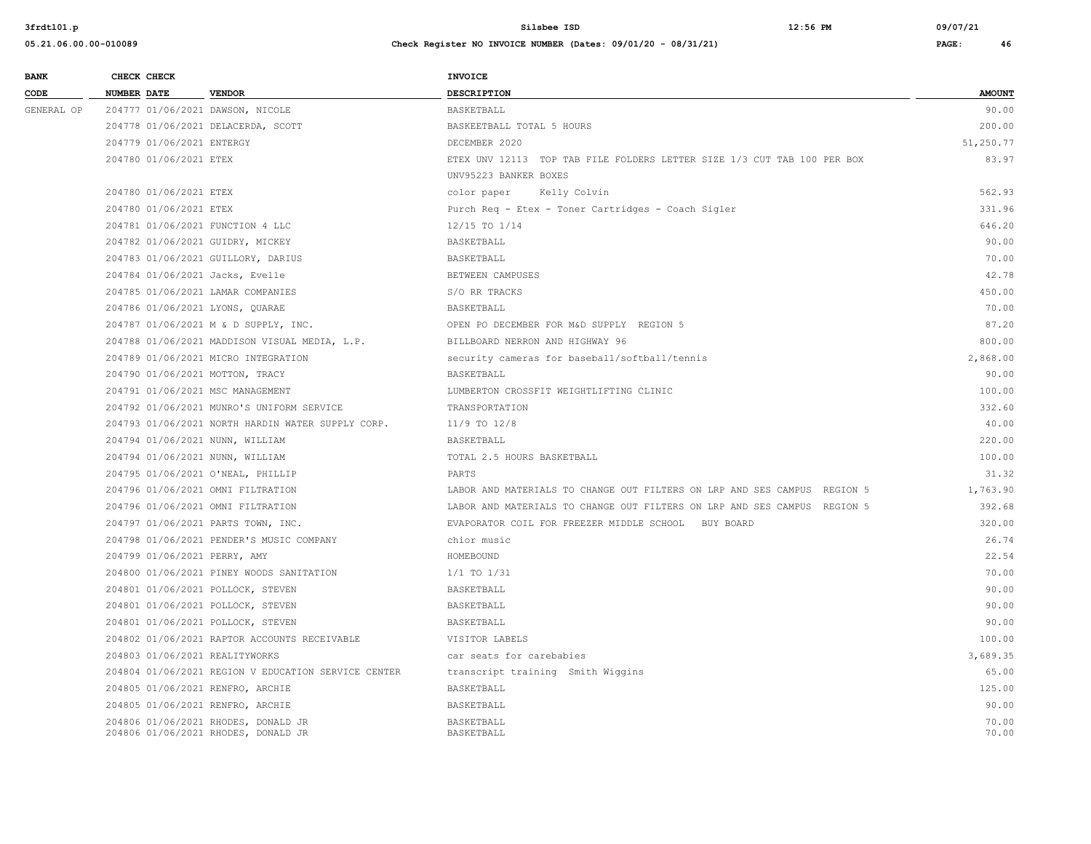| <b>BANK</b> | CHECK CHECK                       |                                                                            | <b>INVOICE</b>                                                           |                |
|-------------|-----------------------------------|----------------------------------------------------------------------------|--------------------------------------------------------------------------|----------------|
| CODE        | <b>NUMBER DATE</b>                | <b>VENDOR</b>                                                              | <b>DESCRIPTION</b>                                                       | <b>AMOUNT</b>  |
| GENERAL OP  | 204777 01/06/2021 DAWSON, NICOLE  |                                                                            | BASKETBALL                                                               | 90.00          |
|             |                                   | 204778 01/06/2021 DELACERDA, SCOTT                                         | BASKEETBALL TOTAL 5 HOURS                                                | 200.00         |
|             | 204779 01/06/2021 ENTERGY         |                                                                            | DECEMBER 2020                                                            | 51,250.77      |
|             | 204780 01/06/2021 ETEX            |                                                                            | ETEX UNV 12113 TOP TAB FILE FOLDERS LETTER SIZE 1/3 CUT TAB 100 PER BOX  | 83.97          |
|             |                                   |                                                                            | UNV95223 BANKER BOXES                                                    |                |
|             | 204780 01/06/2021 ETEX            |                                                                            | Kelly Colvin<br>color paper                                              | 562.93         |
|             | 204780 01/06/2021 ETEX            |                                                                            | Purch Req - Etex - Toner Cartridges - Coach Sigler                       | 331.96         |
|             | 204781 01/06/2021 FUNCTION 4 LLC  |                                                                            | 12/15 TO 1/14                                                            | 646.20         |
|             | 204782 01/06/2021 GUIDRY, MICKEY  |                                                                            | BASKETBALL                                                               | 90.00          |
|             |                                   | 204783 01/06/2021 GUILLORY, DARIUS                                         | BASKETBALL                                                               | 70.00          |
|             | 204784 01/06/2021 Jacks, Evelle   |                                                                            | BETWEEN CAMPUSES                                                         | 42.78          |
|             |                                   | 204785 01/06/2021 LAMAR COMPANIES                                          | S/O RR TRACKS                                                            | 450.00         |
|             | 204786 01/06/2021 LYONS, QUARAE   |                                                                            | BASKETBALL                                                               | 70.00          |
|             |                                   | 204787 01/06/2021 M & D SUPPLY, INC.                                       | OPEN PO DECEMBER FOR M&D SUPPLY REGION 5                                 | 87.20          |
|             |                                   | 204788 01/06/2021 MADDISON VISUAL MEDIA, L.P.                              | BILLBOARD NERRON AND HIGHWAY 96                                          | 800.00         |
|             |                                   | 204789 01/06/2021 MICRO INTEGRATION                                        | security cameras for baseball/softball/tennis                            | 2,868.00       |
|             | 204790 01/06/2021 MOTTON, TRACY   |                                                                            | BASKETBALL                                                               | 90.00          |
|             | 204791 01/06/2021 MSC MANAGEMENT  |                                                                            | LUMBERTON CROSSFIT WEIGHTLIFTING CLINIC                                  | 100.00         |
|             |                                   | 204792 01/06/2021 MUNRO'S UNIFORM SERVICE                                  | TRANSPORTATION                                                           | 332.60         |
|             |                                   | 204793 01/06/2021 NORTH HARDIN WATER SUPPLY CORP.                          | $11/9$ TO $12/8$                                                         | 40.00          |
|             | 204794 01/06/2021 NUNN, WILLIAM   |                                                                            | BASKETBALL                                                               | 220.00         |
|             | 204794 01/06/2021 NUNN, WILLIAM   |                                                                            | TOTAL 2.5 HOURS BASKETBALL                                               | 100.00         |
|             |                                   | 204795 01/06/2021 O'NEAL, PHILLIP                                          | PARTS                                                                    | 31.32          |
|             |                                   | 204796 01/06/2021 OMNI FILTRATION                                          | LABOR AND MATERIALS TO CHANGE OUT FILTERS ON LRP AND SES CAMPUS REGION 5 | 1,763.90       |
|             |                                   | 204796 01/06/2021 OMNI FILTRATION                                          | LABOR AND MATERIALS TO CHANGE OUT FILTERS ON LRP AND SES CAMPUS REGION 5 | 392.68         |
|             |                                   | 204797 01/06/2021 PARTS TOWN, INC.                                         | EVAPORATOR COIL FOR FREEZER MIDDLE SCHOOL BUY BOARD                      | 320.00         |
|             |                                   | 204798 01/06/2021 PENDER'S MUSIC COMPANY                                   | chior music                                                              | 26.74          |
|             | 204799 01/06/2021 PERRY, AMY      |                                                                            | HOMEBOUND                                                                | 22.54          |
|             |                                   | 204800 01/06/2021 PINEY WOODS SANITATION                                   | $1/1$ TO $1/31$                                                          | 70.00          |
|             | 204801 01/06/2021 POLLOCK, STEVEN |                                                                            | BASKETBALL                                                               | 90.00          |
|             | 204801 01/06/2021 POLLOCK, STEVEN |                                                                            | BASKETBALL                                                               | 90.00          |
|             |                                   | 204801 01/06/2021 POLLOCK, STEVEN                                          | BASKETBALL                                                               | 90.00          |
|             |                                   | 204802 01/06/2021 RAPTOR ACCOUNTS RECEIVABLE                               | VISITOR LABELS                                                           | 100.00         |
|             | 204803 01/06/2021 REALITYWORKS    |                                                                            | car seats for carebabies                                                 | 3,689.35       |
|             |                                   | 204804 01/06/2021 REGION V EDUCATION SERVICE CENTER                        | transcript training Smith Wiggins                                        | 65.00          |
|             | 204805 01/06/2021 RENFRO, ARCHIE  |                                                                            | BASKETBALL                                                               | 125.00         |
|             | 204805 01/06/2021 RENFRO, ARCHIE  |                                                                            | BASKETBALL                                                               | 90.00          |
|             |                                   | 204806 01/06/2021 RHODES, DONALD JR<br>204806 01/06/2021 RHODES, DONALD JR | BASKETBALL<br>BASKETBALL                                                 | 70.00<br>70.00 |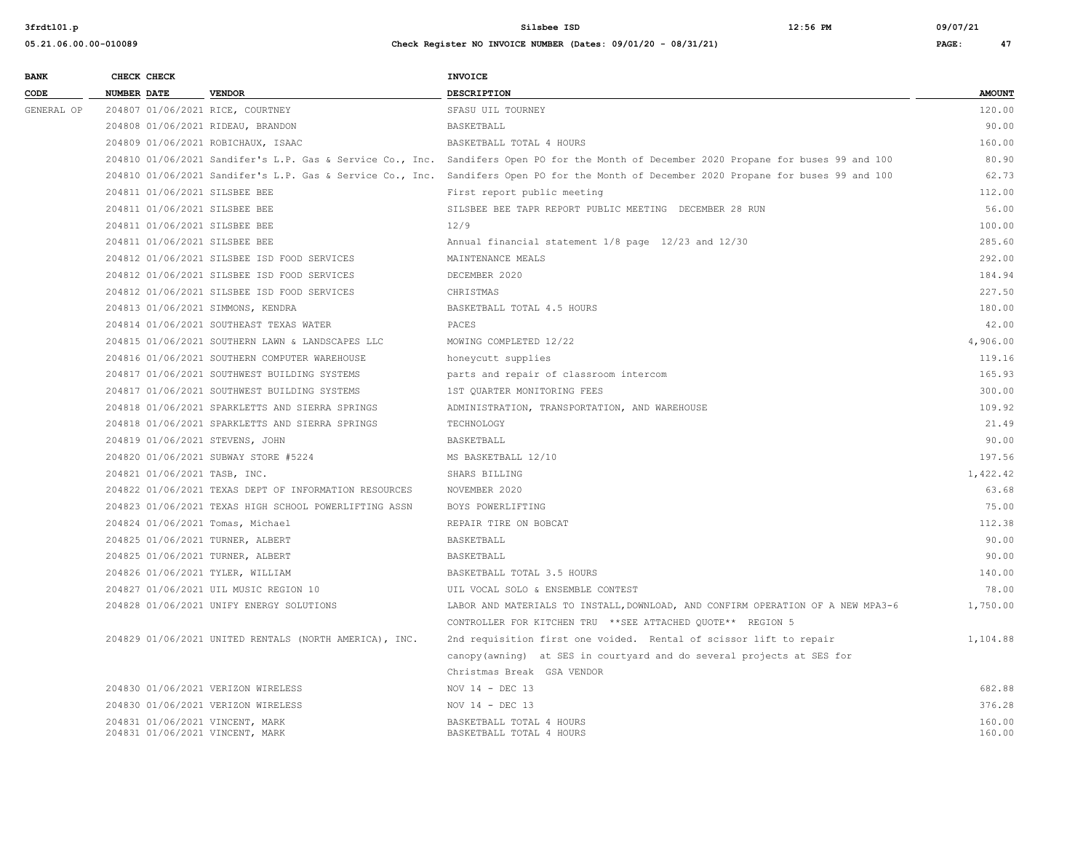| <b>BANK</b> |                    | CHECK CHECK |                                                                    | <b>INVOICE</b>                                                                                                                          |                  |
|-------------|--------------------|-------------|--------------------------------------------------------------------|-----------------------------------------------------------------------------------------------------------------------------------------|------------------|
| CODE        | <b>NUMBER DATE</b> |             | <b>VENDOR</b>                                                      | <b>DESCRIPTION</b>                                                                                                                      | <b>AMOUNT</b>    |
| GENERAL OP  |                    |             | 204807 01/06/2021 RICE, COURTNEY                                   | SFASU UIL TOURNEY                                                                                                                       | 120.00           |
|             |                    |             | 204808 01/06/2021 RIDEAU, BRANDON                                  | BASKETBALL                                                                                                                              | 90.00            |
|             |                    |             | 204809 01/06/2021 ROBICHAUX, ISAAC                                 | BASKETBALL TOTAL 4 HOURS                                                                                                                | 160.00           |
|             |                    |             |                                                                    | 204810 01/06/2021 Sandifer's L.P. Gas & Service Co., Inc. Sandifers Open PO for the Month of December 2020 Propane for buses 99 and 100 | 80.90            |
|             |                    |             | 204810 01/06/2021 Sandifer's L.P. Gas & Service Co., Inc.          | Sandifers Open PO for the Month of December 2020 Propane for buses 99 and 100                                                           | 62.73            |
|             |                    |             | 204811 01/06/2021 SILSBEE BEE                                      | First report public meeting                                                                                                             | 112.00           |
|             |                    |             | 204811 01/06/2021 SILSBEE BEE                                      | SILSBEE BEE TAPR REPORT PUBLIC MEETING DECEMBER 28 RUN                                                                                  | 56.00            |
|             |                    |             | 204811 01/06/2021 SILSBEE BEE                                      | 12/9                                                                                                                                    | 100.00           |
|             |                    |             | 204811 01/06/2021 SILSBEE BEE                                      | Annual financial statement 1/8 page 12/23 and 12/30                                                                                     | 285.60           |
|             |                    |             | 204812 01/06/2021 SILSBEE ISD FOOD SERVICES                        | MAINTENANCE MEALS                                                                                                                       | 292.00           |
|             |                    |             | 204812 01/06/2021 SILSBEE ISD FOOD SERVICES                        | DECEMBER 2020                                                                                                                           | 184.94           |
|             |                    |             | 204812 01/06/2021 SILSBEE ISD FOOD SERVICES                        | CHRISTMAS                                                                                                                               | 227.50           |
|             |                    |             | 204813 01/06/2021 SIMMONS, KENDRA                                  | BASKETBALL TOTAL 4.5 HOURS                                                                                                              | 180.00           |
|             |                    |             | 204814 01/06/2021 SOUTHEAST TEXAS WATER                            | PACES                                                                                                                                   | 42.00            |
|             |                    |             | 204815 01/06/2021 SOUTHERN LAWN & LANDSCAPES LLC                   | MOWING COMPLETED 12/22                                                                                                                  | 4,906.00         |
|             |                    |             | 204816 01/06/2021 SOUTHERN COMPUTER WAREHOUSE                      | honeycutt supplies                                                                                                                      | 119.16           |
|             |                    |             | 204817 01/06/2021 SOUTHWEST BUILDING SYSTEMS                       | parts and repair of classroom intercom                                                                                                  | 165.93           |
|             |                    |             | 204817 01/06/2021 SOUTHWEST BUILDING SYSTEMS                       | 1ST QUARTER MONITORING FEES                                                                                                             | 300.00           |
|             |                    |             | 204818 01/06/2021 SPARKLETTS AND SIERRA SPRINGS                    | ADMINISTRATION, TRANSPORTATION, AND WAREHOUSE                                                                                           | 109.92           |
|             |                    |             | 204818 01/06/2021 SPARKLETTS AND SIERRA SPRINGS                    | TECHNOLOGY                                                                                                                              | 21.49            |
|             |                    |             | 204819 01/06/2021 STEVENS, JOHN                                    | BASKETBALL                                                                                                                              | 90.00            |
|             |                    |             | 204820 01/06/2021 SUBWAY STORE #5224                               | MS BASKETBALL 12/10                                                                                                                     | 197.56           |
|             |                    |             | 204821 01/06/2021 TASB, INC.                                       | SHARS BILLING                                                                                                                           | 1,422.42         |
|             |                    |             | 204822 01/06/2021 TEXAS DEPT OF INFORMATION RESOURCES              | NOVEMBER 2020                                                                                                                           | 63.68            |
|             |                    |             | 204823 01/06/2021 TEXAS HIGH SCHOOL POWERLIFTING ASSN              | BOYS POWERLIFTING                                                                                                                       | 75.00            |
|             |                    |             | 204824 01/06/2021 Tomas, Michael                                   | REPAIR TIRE ON BOBCAT                                                                                                                   | 112.38           |
|             |                    |             | 204825 01/06/2021 TURNER, ALBERT                                   | BASKETBALL                                                                                                                              | 90.00            |
|             |                    |             | 204825 01/06/2021 TURNER, ALBERT                                   | BASKETBALL                                                                                                                              | 90.00            |
|             |                    |             | 204826 01/06/2021 TYLER, WILLIAM                                   | BASKETBALL TOTAL 3.5 HOURS                                                                                                              | 140.00           |
|             |                    |             | 204827 01/06/2021 UIL MUSIC REGION 10                              | UIL VOCAL SOLO & ENSEMBLE CONTEST                                                                                                       | 78.00            |
|             |                    |             | 204828 01/06/2021 UNIFY ENERGY SOLUTIONS                           | LABOR AND MATERIALS TO INSTALL, DOWNLOAD, AND CONFIRM OPERATION OF A NEW MPA3-6                                                         | 1,750.00         |
|             |                    |             |                                                                    | CONTROLLER FOR KITCHEN TRU ** SEE ATTACHED QUOTE** REGION 5                                                                             |                  |
|             |                    |             | 204829 01/06/2021 UNITED RENTALS (NORTH AMERICA), INC.             | 2nd requisition first one voided. Rental of scissor lift to repair                                                                      | 1,104.88         |
|             |                    |             |                                                                    | canopy (awning) at SES in courtyard and do several projects at SES for                                                                  |                  |
|             |                    |             |                                                                    | Christmas Break GSA VENDOR                                                                                                              |                  |
|             |                    |             | 204830 01/06/2021 VERIZON WIRELESS                                 | NOV $14$ - DEC 13                                                                                                                       | 682.88           |
|             |                    |             | 204830 01/06/2021 VERIZON WIRELESS                                 | NOV 14 - DEC 13                                                                                                                         | 376.28           |
|             |                    |             | 204831 01/06/2021 VINCENT, MARK<br>204831 01/06/2021 VINCENT, MARK | BASKETBALL TOTAL 4 HOURS<br>BASKETBALL TOTAL 4 HOURS                                                                                    | 160.00<br>160.00 |
|             |                    |             |                                                                    |                                                                                                                                         |                  |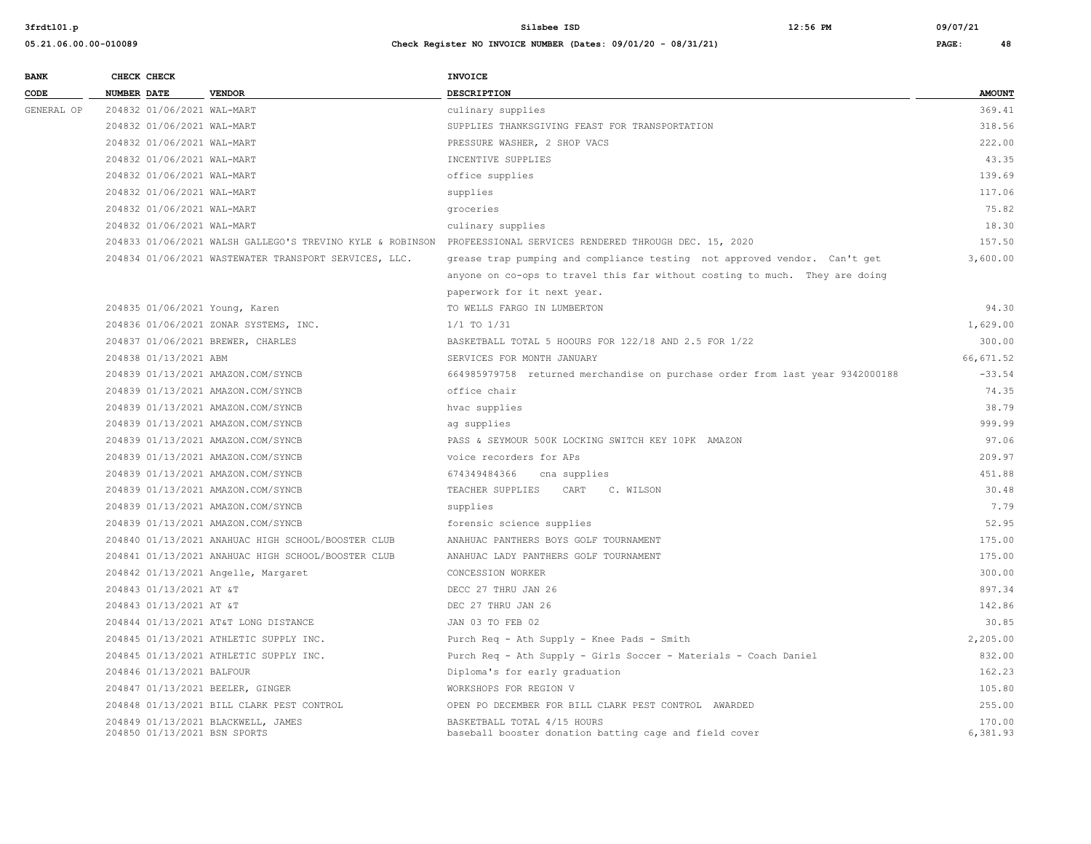| <b>BANK</b> |                    | CHECK CHECK                |                                                                    | INVOICE                                                                                                         |                    |
|-------------|--------------------|----------------------------|--------------------------------------------------------------------|-----------------------------------------------------------------------------------------------------------------|--------------------|
| CODE        | <b>NUMBER DATE</b> |                            | <b>VENDOR</b>                                                      | <b>DESCRIPTION</b>                                                                                              | <b>AMOUNT</b>      |
| GENERAL OP  |                    | 204832 01/06/2021 WAL-MART |                                                                    | culinary supplies                                                                                               | 369.41             |
|             |                    | 204832 01/06/2021 WAL-MART |                                                                    | SUPPLIES THANKSGIVING FEAST FOR TRANSPORTATION                                                                  | 318.56             |
|             |                    | 204832 01/06/2021 WAL-MART |                                                                    | PRESSURE WASHER, 2 SHOP VACS                                                                                    | 222.00             |
|             |                    | 204832 01/06/2021 WAL-MART |                                                                    | INCENTIVE SUPPLIES                                                                                              | 43.35              |
|             |                    | 204832 01/06/2021 WAL-MART |                                                                    | office supplies                                                                                                 | 139.69             |
|             |                    | 204832 01/06/2021 WAL-MART |                                                                    | supplies                                                                                                        | 117.06             |
|             |                    | 204832 01/06/2021 WAL-MART |                                                                    | groceries                                                                                                       | 75.82              |
|             |                    | 204832 01/06/2021 WAL-MART |                                                                    | culinary supplies                                                                                               | 18.30              |
|             |                    |                            |                                                                    | 204833 01/06/2021 WALSH GALLEGO'S TREVINO KYLE & ROBINSON PROFEESSIONAL SERVICES RENDERED THROUGH DEC. 15, 2020 | 157.50             |
|             |                    |                            | 204834 01/06/2021 WASTEWATER TRANSPORT SERVICES, LLC.              | grease trap pumping and compliance testing not approved vendor. Can't get                                       | 3,600.00           |
|             |                    |                            |                                                                    | anyone on co-ops to travel this far without costing to much. They are doing                                     |                    |
|             |                    |                            |                                                                    | paperwork for it next year.                                                                                     |                    |
|             |                    |                            | 204835 01/06/2021 Young, Karen                                     | TO WELLS FARGO IN LUMBERTON                                                                                     | 94.30              |
|             |                    |                            | 204836 01/06/2021 ZONAR SYSTEMS, INC.                              | $1/1$ TO $1/31$                                                                                                 | 1,629.00           |
|             |                    |                            | 204837 01/06/2021 BREWER, CHARLES                                  | BASKETBALL TOTAL 5 HOOURS FOR 122/18 AND 2.5 FOR 1/22                                                           | 300.00             |
|             |                    | 204838 01/13/2021 ABM      |                                                                    | SERVICES FOR MONTH JANUARY                                                                                      | 66, 671.52         |
|             |                    |                            | 204839 01/13/2021 AMAZON.COM/SYNCB                                 | 664985979758 returned merchandise on purchase order from last year 9342000188                                   | $-33.54$           |
|             |                    |                            | 204839 01/13/2021 AMAZON.COM/SYNCB                                 | office chair                                                                                                    | 74.35              |
|             |                    |                            | 204839 01/13/2021 AMAZON.COM/SYNCB                                 | hvac supplies                                                                                                   | 38.79              |
|             |                    |                            | 204839 01/13/2021 AMAZON.COM/SYNCB                                 | ag supplies                                                                                                     | 999.99             |
|             |                    |                            | 204839 01/13/2021 AMAZON.COM/SYNCB                                 | PASS & SEYMOUR 500K LOCKING SWITCH KEY 10PK AMAZON                                                              | 97.06              |
|             |                    |                            | 204839 01/13/2021 AMAZON.COM/SYNCB                                 | voice recorders for APs                                                                                         | 209.97             |
|             |                    |                            | 204839 01/13/2021 AMAZON.COM/SYNCB                                 | 674349484366<br>cna supplies                                                                                    | 451.88             |
|             |                    |                            | 204839 01/13/2021 AMAZON.COM/SYNCB                                 | TEACHER SUPPLIES<br>CART<br>C. WILSON                                                                           | 30.48              |
|             |                    |                            | 204839 01/13/2021 AMAZON.COM/SYNCB                                 | supplies                                                                                                        | 7.79               |
|             |                    |                            | 204839 01/13/2021 AMAZON.COM/SYNCB                                 | forensic science supplies                                                                                       | 52.95              |
|             |                    |                            | 204840 01/13/2021 ANAHUAC HIGH SCHOOL/BOOSTER CLUB                 | ANAHUAC PANTHERS BOYS GOLF TOURNAMENT                                                                           | 175.00             |
|             |                    |                            | 204841 01/13/2021 ANAHUAC HIGH SCHOOL/BOOSTER CLUB                 | ANAHUAC LADY PANTHERS GOLF TOURNAMENT                                                                           | 175.00             |
|             |                    |                            | 204842 01/13/2021 Angelle, Margaret                                | CONCESSION WORKER                                                                                               | 300.00             |
|             |                    | 204843 01/13/2021 AT &T    |                                                                    | DECC 27 THRU JAN 26                                                                                             | 897.34             |
|             |                    | 204843 01/13/2021 AT &T    |                                                                    | DEC 27 THRU JAN 26                                                                                              | 142.86             |
|             |                    |                            | 204844 01/13/2021 AT&T LONG DISTANCE                               | JAN 03 TO FEB 02                                                                                                | 30.85              |
|             |                    |                            | 204845 01/13/2021 ATHLETIC SUPPLY INC.                             | Purch Req - Ath Supply - Knee Pads - Smith                                                                      | 2,205.00           |
|             |                    |                            | 204845 01/13/2021 ATHLETIC SUPPLY INC.                             | Purch Req - Ath Supply - Girls Soccer - Materials - Coach Daniel                                                | 832.00             |
|             |                    | 204846 01/13/2021 BALFOUR  |                                                                    | Diploma's for early graduation                                                                                  | 162.23             |
|             |                    |                            | 204847 01/13/2021 BEELER, GINGER                                   | WORKSHOPS FOR REGION V                                                                                          | 105.80             |
|             |                    |                            | 204848 01/13/2021 BILL CLARK PEST CONTROL                          | OPEN PO DECEMBER FOR BILL CLARK PEST CONTROL AWARDED                                                            | 255.00             |
|             |                    |                            | 204849 01/13/2021 BLACKWELL, JAMES<br>204850 01/13/2021 BSN SPORTS | BASKETBALL TOTAL 4/15 HOURS<br>baseball booster donation batting cage and field cover                           | 170.00<br>6,381.93 |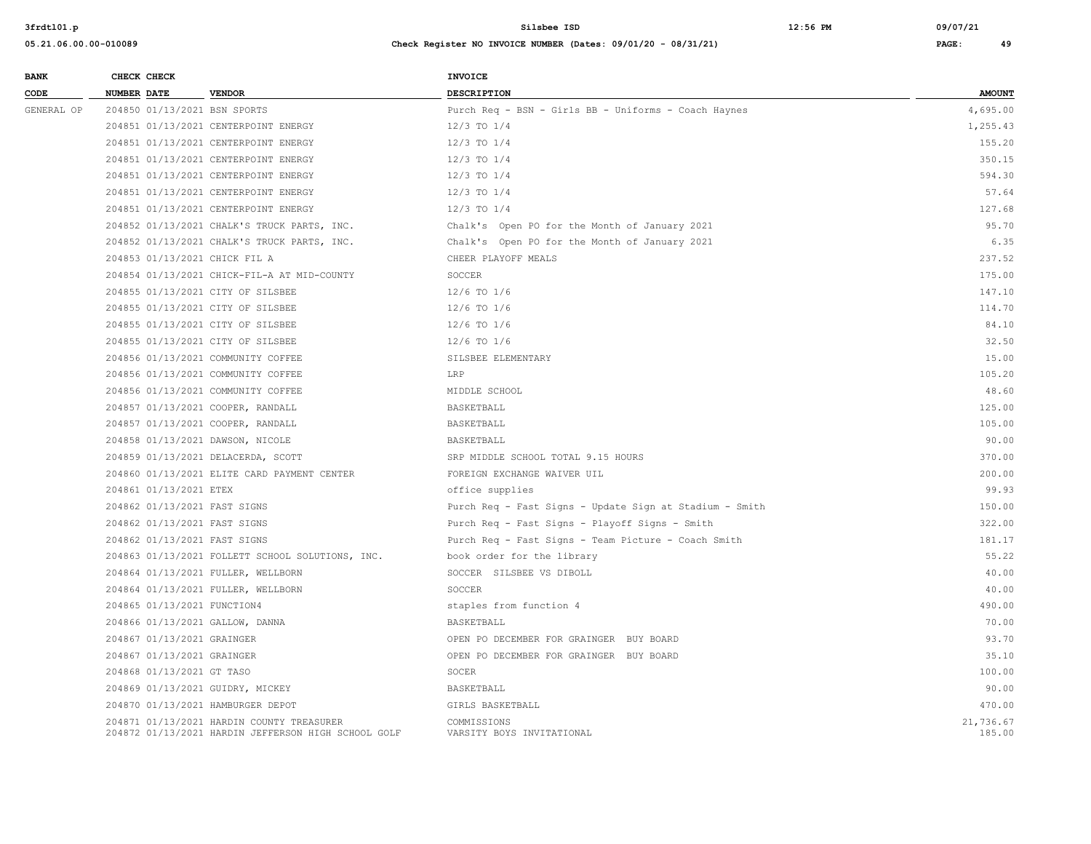| <b>BANK</b> | CHECK CHECK                      |                                                                                                  | <b>INVOICE</b>                                          |                     |
|-------------|----------------------------------|--------------------------------------------------------------------------------------------------|---------------------------------------------------------|---------------------|
| CODE        | NUMBER DATE                      | <b>VENDOR</b>                                                                                    | <b>DESCRIPTION</b>                                      | <b>AMOUNT</b>       |
| GENERAL OP  | 204850 01/13/2021 BSN SPORTS     |                                                                                                  | Purch Req - BSN - Girls BB - Uniforms - Coach Haynes    | 4,695.00            |
|             |                                  | 204851 01/13/2021 CENTERPOINT ENERGY                                                             | $12/3$ TO $1/4$                                         | 1,255.43            |
|             |                                  | 204851 01/13/2021 CENTERPOINT ENERGY                                                             | $12/3$ TO $1/4$                                         | 155.20              |
|             |                                  | 204851 01/13/2021 CENTERPOINT ENERGY                                                             | $12/3$ TO $1/4$                                         | 350.15              |
|             |                                  | 204851 01/13/2021 CENTERPOINT ENERGY                                                             | $12/3$ TO $1/4$                                         | 594.30              |
|             |                                  | 204851 01/13/2021 CENTERPOINT ENERGY                                                             | $12/3$ TO $1/4$                                         | 57.64               |
|             |                                  | 204851 01/13/2021 CENTERPOINT ENERGY                                                             | $12/3$ TO $1/4$                                         | 127.68              |
|             |                                  | 204852 01/13/2021 CHALK'S TRUCK PARTS, INC.                                                      | Chalk's Open PO for the Month of January 2021           | 95.70               |
|             |                                  | 204852 01/13/2021 CHALK'S TRUCK PARTS, INC.                                                      | Chalk's Open PO for the Month of January 2021           | 6.35                |
|             | 204853 01/13/2021 CHICK FIL A    |                                                                                                  | CHEER PLAYOFF MEALS                                     | 237.52              |
|             |                                  | 204854 01/13/2021 CHICK-FIL-A AT MID-COUNTY                                                      | SOCCER                                                  | 175.00              |
|             |                                  | 204855 01/13/2021 CITY OF SILSBEE                                                                | $12/6$ TO $1/6$                                         | 147.10              |
|             |                                  | 204855 01/13/2021 CITY OF SILSBEE                                                                | $12/6$ TO $1/6$                                         | 114.70              |
|             |                                  | 204855 01/13/2021 CITY OF SILSBEE                                                                | $12/6$ TO $1/6$                                         | 84.10               |
|             |                                  | 204855 01/13/2021 CITY OF SILSBEE                                                                | $12/6$ TO $1/6$                                         | 32.50               |
|             |                                  | 204856 01/13/2021 COMMUNITY COFFEE                                                               | SILSBEE ELEMENTARY                                      | 15.00               |
|             |                                  | 204856 01/13/2021 COMMUNITY COFFEE                                                               | LRP                                                     | 105.20              |
|             |                                  | 204856 01/13/2021 COMMUNITY COFFEE                                                               | MIDDLE SCHOOL                                           | 48.60               |
|             |                                  | 204857 01/13/2021 COOPER, RANDALL                                                                | BASKETBALL                                              | 125.00              |
|             |                                  | 204857 01/13/2021 COOPER, RANDALL                                                                | BASKETBALL                                              | 105.00              |
|             | 204858 01/13/2021 DAWSON, NICOLE |                                                                                                  | BASKETBALL                                              | 90.00               |
|             |                                  | 204859 01/13/2021 DELACERDA, SCOTT                                                               | SRP MIDDLE SCHOOL TOTAL 9.15 HOURS                      | 370.00              |
|             |                                  | 204860 01/13/2021 ELITE CARD PAYMENT CENTER                                                      | FOREIGN EXCHANGE WAIVER UIL                             | 200.00              |
|             | 204861 01/13/2021 ETEX           |                                                                                                  | office supplies                                         | 99.93               |
|             | 204862 01/13/2021 FAST SIGNS     |                                                                                                  | Purch Req - Fast Signs - Update Sign at Stadium - Smith | 150.00              |
|             | 204862 01/13/2021 FAST SIGNS     |                                                                                                  | Purch Req - Fast Signs - Playoff Signs - Smith          | 322.00              |
|             | 204862 01/13/2021 FAST SIGNS     |                                                                                                  | Purch Req - Fast Signs - Team Picture - Coach Smith     | 181.17              |
|             |                                  | 204863 01/13/2021 FOLLETT SCHOOL SOLUTIONS, INC.                                                 | book order for the library                              | 55.22               |
|             |                                  | 204864 01/13/2021 FULLER, WELLBORN                                                               | SOCCER SILSBEE VS DIBOLL                                | 40.00               |
|             |                                  | 204864 01/13/2021 FULLER, WELLBORN                                                               | SOCCER                                                  | 40.00               |
|             | 204865 01/13/2021 FUNCTION4      |                                                                                                  | staples from function 4                                 | 490.00              |
|             | 204866 01/13/2021 GALLOW, DANNA  |                                                                                                  | BASKETBALL                                              | 70.00               |
|             | 204867 01/13/2021 GRAINGER       |                                                                                                  | OPEN PO DECEMBER FOR GRAINGER BUY BOARD                 | 93.70               |
|             | 204867 01/13/2021 GRAINGER       |                                                                                                  | OPEN PO DECEMBER FOR GRAINGER BUY BOARD                 | 35.10               |
|             | 204868 01/13/2021 GT TASO        |                                                                                                  | SOCER                                                   | 100.00              |
|             | 204869 01/13/2021 GUIDRY, MICKEY |                                                                                                  | BASKETBALL                                              | 90.00               |
|             |                                  | 204870 01/13/2021 HAMBURGER DEPOT                                                                | GIRLS BASKETBALL                                        | 470.00              |
|             |                                  | 204871 01/13/2021 HARDIN COUNTY TREASURER<br>204872 01/13/2021 HARDIN JEFFERSON HIGH SCHOOL GOLF | COMMISSIONS<br>VARSITY BOYS INVITATIONAL                | 21,736.67<br>185.00 |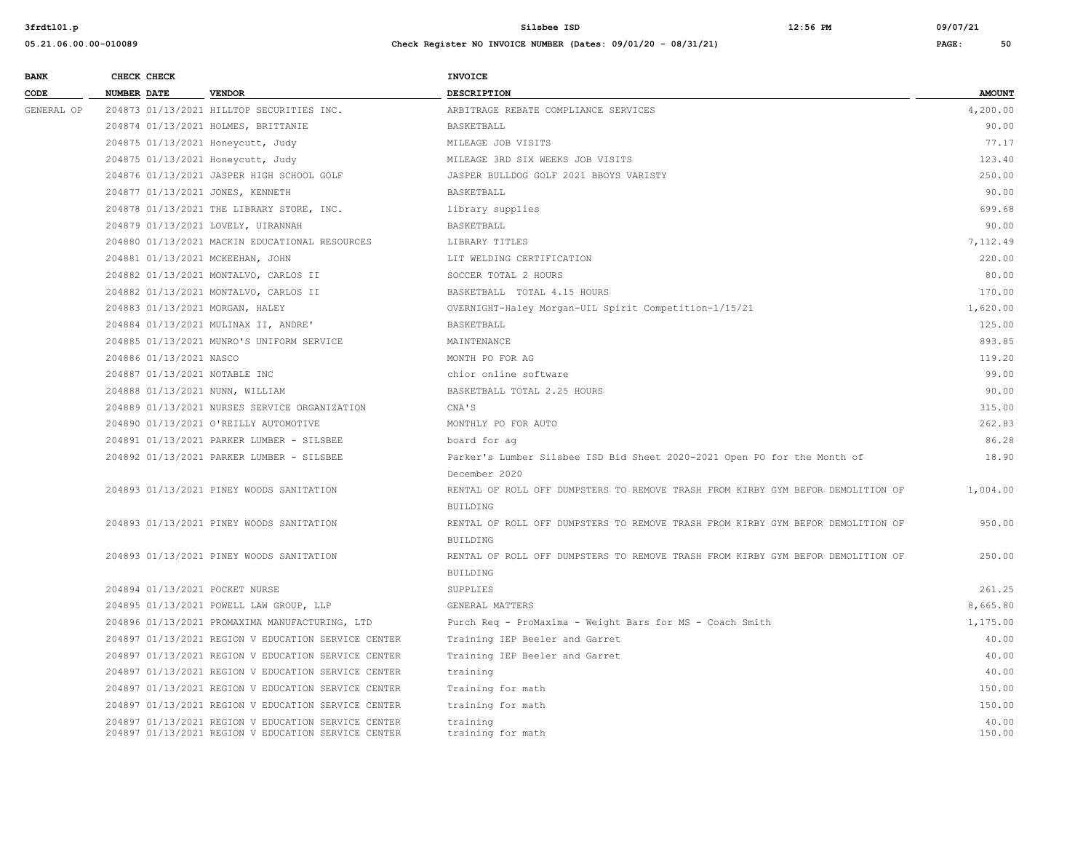| <b>BANK</b> | CHECK CHECK        |                         |                                                     | <b>INVOICE</b>                                                                  |               |
|-------------|--------------------|-------------------------|-----------------------------------------------------|---------------------------------------------------------------------------------|---------------|
| CODE        | <b>NUMBER DATE</b> |                         | <b>VENDOR</b>                                       | DESCRIPTION                                                                     | <b>AMOUNT</b> |
| GENERAL OP  |                    |                         | 204873 01/13/2021 HILLTOP SECURITIES INC.           | ARBITRAGE REBATE COMPLIANCE SERVICES                                            | 4,200.00      |
|             |                    |                         | 204874 01/13/2021 HOLMES, BRITTANIE                 | BASKETBALL                                                                      | 90.00         |
|             |                    |                         | 204875 01/13/2021 Honeycutt, Judy                   | MILEAGE JOB VISITS                                                              | 77.17         |
|             |                    |                         | 204875 01/13/2021 Honeycutt, Judy                   | MILEAGE 3RD SIX WEEKS JOB VISITS                                                | 123.40        |
|             |                    |                         | 204876 01/13/2021 JASPER HIGH SCHOOL GOLF           | JASPER BULLDOG GOLF 2021 BBOYS VARISTY                                          | 250.00        |
|             |                    |                         | 204877 01/13/2021 JONES, KENNETH                    | BASKETBALL                                                                      | 90.00         |
|             |                    |                         | 204878 01/13/2021 THE LIBRARY STORE, INC.           | library supplies                                                                | 699.68        |
|             |                    |                         | 204879 01/13/2021 LOVELY, UIRANNAH                  | BASKETBALL                                                                      | 90.00         |
|             |                    |                         | 204880 01/13/2021 MACKIN EDUCATIONAL RESOURCES      | LIBRARY TITLES                                                                  | 7.112.49      |
|             |                    |                         | 204881 01/13/2021 MCKEEHAN, JOHN                    | LIT WELDING CERTIFICATION                                                       | 220.00        |
|             |                    |                         | 204882 01/13/2021 MONTALVO, CARLOS II               | SOCCER TOTAL 2 HOURS                                                            | 80.00         |
|             |                    |                         | 204882 01/13/2021 MONTALVO, CARLOS II               | BASKETBALL TOTAL 4.15 HOURS                                                     | 170.00        |
|             |                    |                         | 204883 01/13/2021 MORGAN, HALEY                     | OVERNIGHT-Haley Morgan-UIL Spirit Competition-1/15/21                           | 1,620.00      |
|             |                    |                         | 204884 01/13/2021 MULINAX II, ANDRE'                | BASKETBALL                                                                      | 125.00        |
|             |                    |                         | 204885 01/13/2021 MUNRO'S UNIFORM SERVICE           | MAINTENANCE                                                                     | 893.85        |
|             |                    | 204886 01/13/2021 NASCO |                                                     | MONTH PO FOR AG                                                                 | 119.20        |
|             |                    |                         | 204887 01/13/2021 NOTABLE INC                       | chior online software                                                           | 99.00         |
|             |                    |                         | 204888 01/13/2021 NUNN, WILLIAM                     | BASKETBALL TOTAL 2.25 HOURS                                                     | 90.00         |
|             |                    |                         | 204889 01/13/2021 NURSES SERVICE ORGANIZATION       | CNA'S                                                                           | 315.00        |
|             |                    |                         | 204890 01/13/2021 O'REILLY AUTOMOTIVE               | MONTHLY PO FOR AUTO                                                             | 262.83        |
|             |                    |                         | 204891 01/13/2021 PARKER LUMBER - SILSBEE           | board for ag                                                                    | 86.28         |
|             |                    |                         | 204892 01/13/2021 PARKER LUMBER - SILSBEE           | Parker's Lumber Silsbee ISD Bid Sheet 2020-2021 Open PO for the Month of        | 18.90         |
|             |                    |                         |                                                     | December 2020                                                                   |               |
|             |                    |                         | 204893 01/13/2021 PINEY WOODS SANITATION            | RENTAL OF ROLL OFF DUMPSTERS TO REMOVE TRASH FROM KIRBY GYM BEFOR DEMOLITION OF | 1,004.00      |
|             |                    |                         |                                                     | <b>BUILDING</b>                                                                 |               |
|             |                    |                         | 204893 01/13/2021 PINEY WOODS SANITATION            | RENTAL OF ROLL OFF DUMPSTERS TO REMOVE TRASH FROM KIRBY GYM BEFOR DEMOLITION OF | 950.00        |
|             |                    |                         |                                                     | <b>BUILDING</b>                                                                 |               |
|             |                    |                         | 204893 01/13/2021 PINEY WOODS SANITATION            | RENTAL OF ROLL OFF DUMPSTERS TO REMOVE TRASH FROM KIRBY GYM BEFOR DEMOLITION OF | 250.00        |
|             |                    |                         |                                                     | <b>BUILDING</b>                                                                 |               |
|             |                    |                         | 204894 01/13/2021 POCKET NURSE                      | SUPPLIES                                                                        | 261.25        |
|             |                    |                         | 204895 01/13/2021 POWELL LAW GROUP, LLP             | GENERAL MATTERS                                                                 | 8,665.80      |
|             |                    |                         | 204896 01/13/2021 PROMAXIMA MANUFACTURING, LTD      | Purch Req - ProMaxima - Weight Bars for MS - Coach Smith                        | 1,175.00      |
|             |                    |                         | 204897 01/13/2021 REGION V EDUCATION SERVICE CENTER | Training IEP Beeler and Garret                                                  | 40.00         |
|             |                    |                         | 204897 01/13/2021 REGION V EDUCATION SERVICE CENTER | Training IEP Beeler and Garret                                                  | 40.00         |
|             |                    |                         | 204897 01/13/2021 REGION V EDUCATION SERVICE CENTER | training                                                                        | 40.00         |
|             |                    |                         | 204897 01/13/2021 REGION V EDUCATION SERVICE CENTER | Training for math                                                               | 150.00        |
|             |                    |                         | 204897 01/13/2021 REGION V EDUCATION SERVICE CENTER | training for math                                                               | 150.00        |
|             |                    |                         | 204897 01/13/2021 REGION V EDUCATION SERVICE CENTER | training                                                                        | 40.00         |
|             |                    |                         | 204897 01/13/2021 REGION V EDUCATION SERVICE CENTER | training for math                                                               | 150.00        |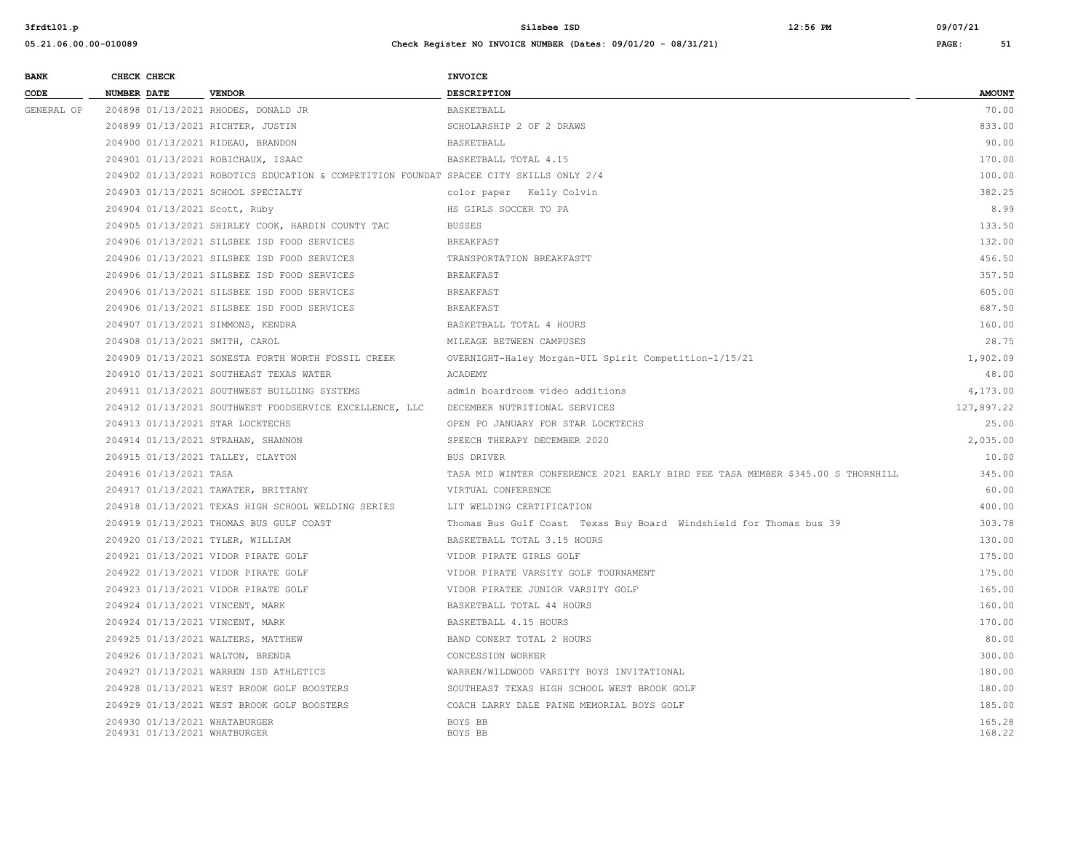| <b>BANK</b> |                    | CHECK CHECK                  |                                                                                        | INVOICE                                                                         |                  |
|-------------|--------------------|------------------------------|----------------------------------------------------------------------------------------|---------------------------------------------------------------------------------|------------------|
| CODE        | <b>NUMBER DATE</b> |                              | <b>VENDOR</b>                                                                          | <b>DESCRIPTION</b>                                                              | <b>AMOUNT</b>    |
| GENERAL OP  |                    |                              | 204898 01/13/2021 RHODES, DONALD JR                                                    | BASKETBALL                                                                      | 70.00            |
|             |                    |                              | 204899 01/13/2021 RICHTER, JUSTIN                                                      | SCHOLARSHIP 2 OF 2 DRAWS                                                        | 833.00           |
|             |                    |                              | 204900 01/13/2021 RIDEAU, BRANDON                                                      | BASKETBALL                                                                      | 90.00            |
|             |                    |                              | 204901 01/13/2021 ROBICHAUX, ISAAC                                                     | BASKETBALL TOTAL 4.15                                                           | 170.00           |
|             |                    |                              | 204902 01/13/2021 ROBOTICS EDUCATION & COMPETITION FOUNDAT SPACEE CITY SKILLS ONLY 2/4 |                                                                                 | 100.00           |
|             |                    |                              | 204903 01/13/2021 SCHOOL SPECIALTY                                                     | color paper Kelly Colvin                                                        | 382.25           |
|             |                    |                              | 204904 01/13/2021 Scott, Ruby                                                          | HS GIRLS SOCCER TO PA                                                           | 8.99             |
|             |                    |                              | 204905 01/13/2021 SHIRLEY COOK, HARDIN COUNTY TAC                                      | <b>BUSSES</b>                                                                   | 133.50           |
|             |                    |                              | 204906 01/13/2021 SILSBEE ISD FOOD SERVICES                                            | <b>BREAKFAST</b>                                                                | 132.00           |
|             |                    |                              | 204906 01/13/2021 SILSBEE ISD FOOD SERVICES                                            | TRANSPORTATION BREAKFASTT                                                       | 456.50           |
|             |                    |                              | 204906 01/13/2021 SILSBEE ISD FOOD SERVICES                                            | <b>BREAKFAST</b>                                                                | 357.50           |
|             |                    |                              | 204906 01/13/2021 SILSBEE ISD FOOD SERVICES                                            | <b>BREAKFAST</b>                                                                | 605.00           |
|             |                    |                              | 204906 01/13/2021 SILSBEE ISD FOOD SERVICES                                            | <b>BREAKFAST</b>                                                                | 687.50           |
|             |                    |                              | 204907 01/13/2021 SIMMONS, KENDRA                                                      | BASKETBALL TOTAL 4 HOURS                                                        | 160.00           |
|             |                    |                              | 204908 01/13/2021 SMITH, CAROL                                                         | MILEAGE BETWEEN CAMPUSES                                                        | 28.75            |
|             |                    |                              | 204909 01/13/2021 SONESTA FORTH WORTH FOSSIL CREEK                                     | OVERNIGHT-Haley Morgan-UIL Spirit Competition-1/15/21                           | 1,902.09         |
|             |                    |                              | 204910 01/13/2021 SOUTHEAST TEXAS WATER                                                | ACADEMY                                                                         | 48.00            |
|             |                    |                              | 204911 01/13/2021 SOUTHWEST BUILDING SYSTEMS                                           | admin boardroom video additions                                                 | 4,173.00         |
|             |                    |                              | 204912 01/13/2021 SOUTHWEST FOODSERVICE EXCELLENCE, LLC                                | DECEMBER NUTRITIONAL SERVICES                                                   | 127,897.22       |
|             |                    |                              | 204913 01/13/2021 STAR LOCKTECHS                                                       | OPEN PO JANUARY FOR STAR LOCKTECHS                                              | 25.00            |
|             |                    |                              | 204914 01/13/2021 STRAHAN, SHANNON                                                     | SPEECH THERAPY DECEMBER 2020                                                    | 2,035.00         |
|             |                    |                              | 204915 01/13/2021 TALLEY, CLAYTON                                                      | <b>BUS DRIVER</b>                                                               | 10.00            |
|             |                    | 204916 01/13/2021 TASA       |                                                                                        | TASA MID WINTER CONFERENCE 2021 EARLY BIRD FEE TASA MEMBER \$345.00 S THORNHILL | 345.00           |
|             |                    |                              | 204917 01/13/2021 TAWATER, BRITTANY                                                    | VIRTUAL CONFERENCE                                                              | 60.00            |
|             |                    |                              | 204918 01/13/2021 TEXAS HIGH SCHOOL WELDING SERIES                                     | LIT WELDING CERTIFICATION                                                       | 400.00           |
|             |                    |                              | 204919 01/13/2021 THOMAS BUS GULF COAST                                                | Thomas Bus Gulf Coast Texas Buy Board Windshield for Thomas bus 39              | 303.78           |
|             |                    |                              | 204920 01/13/2021 TYLER, WILLIAM                                                       | BASKETBALL TOTAL 3.15 HOURS                                                     | 130.00           |
|             |                    |                              | 204921 01/13/2021 VIDOR PIRATE GOLF                                                    | VIDOR PIRATE GIRLS GOLF                                                         | 175.00           |
|             |                    |                              | 204922 01/13/2021 VIDOR PIRATE GOLF                                                    | VIDOR PIRATE VARSITY GOLF TOURNAMENT                                            | 175.00           |
|             |                    |                              | 204923 01/13/2021 VIDOR PIRATE GOLF                                                    | VIDOR PIRATEE JUNIOR VARSITY GOLF                                               | 165.00           |
|             |                    |                              | 204924 01/13/2021 VINCENT, MARK                                                        | BASKETBALL TOTAL 44 HOURS                                                       | 160.00           |
|             |                    |                              | 204924 01/13/2021 VINCENT, MARK                                                        | BASKETBALL 4.15 HOURS                                                           | 170.00           |
|             |                    |                              | 204925 01/13/2021 WALTERS, MATTHEW                                                     | BAND CONERT TOTAL 2 HOURS                                                       | 80.00            |
|             |                    |                              | 204926 01/13/2021 WALTON, BRENDA                                                       | CONCESSION WORKER                                                               | 300.00           |
|             |                    |                              | 204927 01/13/2021 WARREN ISD ATHLETICS                                                 | WARREN/WILDWOOD VARSITY BOYS INVITATIONAL                                       | 180.00           |
|             |                    |                              | 204928 01/13/2021 WEST BROOK GOLF BOOSTERS                                             | SOUTHEAST TEXAS HIGH SCHOOL WEST BROOK GOLF                                     | 180.00           |
|             |                    |                              | 204929 01/13/2021 WEST BROOK GOLF BOOSTERS                                             | COACH LARRY DALE PAINE MEMORIAL BOYS GOLF                                       | 185.00           |
|             |                    | 204931 01/13/2021 WHATBURGER | 204930 01/13/2021 WHATABURGER                                                          | BOYS BB<br>BOYS BB                                                              | 165.28<br>168.22 |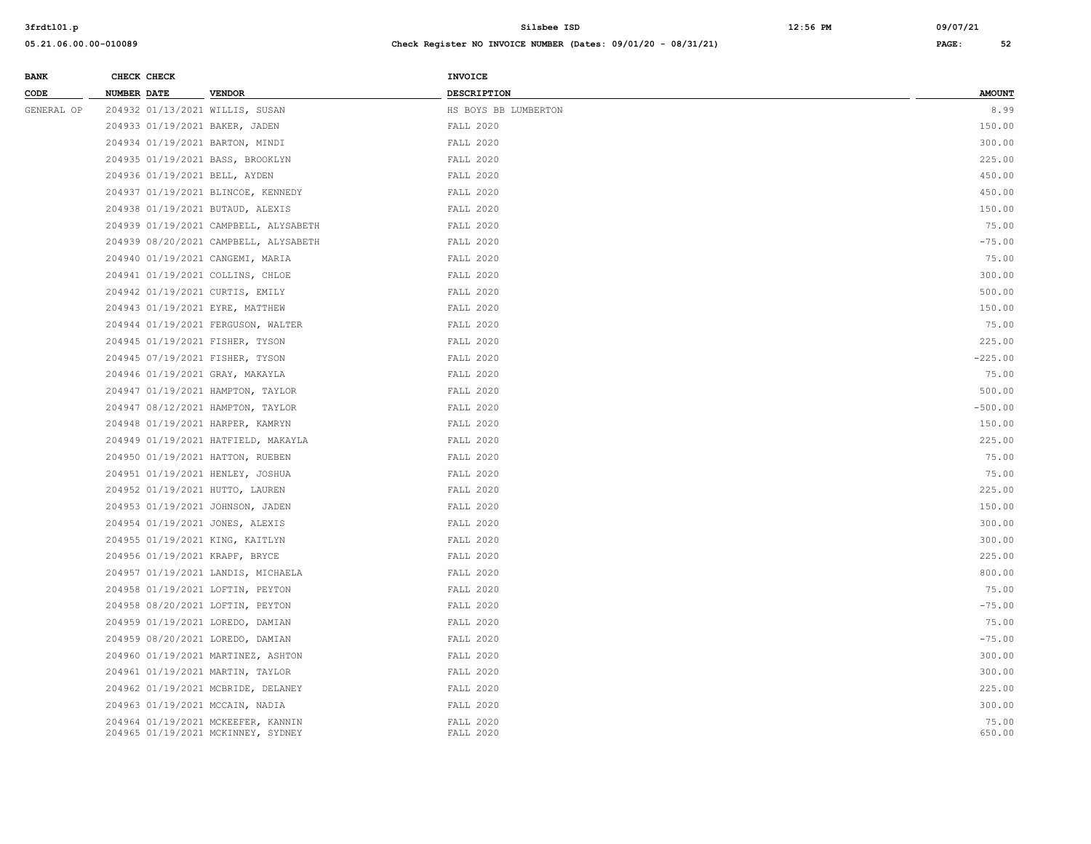| <b>BANK</b> | CHECK CHECK |                                                                          | INVOICE                |                 |
|-------------|-------------|--------------------------------------------------------------------------|------------------------|-----------------|
| CODE        | NUMBER DATE | <b>VENDOR</b>                                                            | DESCRIPTION            | <b>AMOUNT</b>   |
| GENERAL OP  |             | 204932 01/13/2021 WILLIS, SUSAN                                          | HS BOYS BB LUMBERTON   | 8.99            |
|             |             | 204933 01/19/2021 BAKER, JADEN                                           | FALL 2020              | 150.00          |
|             |             | 204934 01/19/2021 BARTON, MINDI                                          | FALL 2020              | 300.00          |
|             |             | 204935 01/19/2021 BASS, BROOKLYN                                         | FALL 2020              | 225.00          |
|             |             | 204936 01/19/2021 BELL, AYDEN                                            | FALL 2020              | 450.00          |
|             |             | 204937 01/19/2021 BLINCOE, KENNEDY                                       | <b>FALL 2020</b>       | 450.00          |
|             |             | 204938 01/19/2021 BUTAUD, ALEXIS                                         | FALL 2020              | 150.00          |
|             |             | 204939 01/19/2021 CAMPBELL, ALYSABETH                                    | FALL 2020              | 75.00           |
|             |             | 204939 08/20/2021 CAMPBELL, ALYSABETH                                    | <b>FALL 2020</b>       | $-75.00$        |
|             |             | 204940 01/19/2021 CANGEMI, MARIA                                         | FALL 2020              | 75.00           |
|             |             | 204941 01/19/2021 COLLINS, CHLOE                                         | FALL 2020              | 300.00          |
|             |             | 204942 01/19/2021 CURTIS, EMILY                                          | FALL 2020              | 500.00          |
|             |             | 204943 01/19/2021 EYRE, MATTHEW                                          | FALL 2020              | 150.00          |
|             |             | 204944 01/19/2021 FERGUSON, WALTER                                       | FALL 2020              | 75.00           |
|             |             | 204945 01/19/2021 FISHER, TYSON                                          | <b>FALL 2020</b>       | 225.00          |
|             |             | 204945 07/19/2021 FISHER, TYSON                                          | FALL 2020              | $-225.00$       |
|             |             | 204946 01/19/2021 GRAY, MAKAYLA                                          | FALL 2020              | 75.00           |
|             |             | 204947 01/19/2021 HAMPTON, TAYLOR                                        | <b>FALL 2020</b>       | 500.00          |
|             |             | 204947 08/12/2021 HAMPTON, TAYLOR                                        | FALL 2020              | $-500.00$       |
|             |             | 204948 01/19/2021 HARPER, KAMRYN                                         | FALL 2020              | 150.00          |
|             |             | 204949 01/19/2021 HATFIELD, MAKAYLA                                      | FALL 2020              | 225.00          |
|             |             | 204950 01/19/2021 HATTON, RUEBEN                                         | FALL 2020              | 75.00           |
|             |             | 204951 01/19/2021 HENLEY, JOSHUA                                         | FALL 2020              | 75.00           |
|             |             | 204952 01/19/2021 HUTTO, LAUREN                                          | FALL 2020              | 225.00          |
|             |             | 204953 01/19/2021 JOHNSON, JADEN                                         | FALL 2020              | 150.00          |
|             |             | 204954 01/19/2021 JONES, ALEXIS                                          | FALL 2020              | 300.00          |
|             |             | 204955 01/19/2021 KING, KAITLYN                                          | FALL 2020              | 300.00          |
|             |             | 204956 01/19/2021 KRAPF, BRYCE                                           | FALL 2020              | 225.00          |
|             |             | 204957 01/19/2021 LANDIS, MICHAELA                                       | FALL 2020              | 800.00          |
|             |             | 204958 01/19/2021 LOFTIN, PEYTON                                         | FALL 2020              | 75.00           |
|             |             | 204958 08/20/2021 LOFTIN, PEYTON                                         | FALL 2020              | $-75.00$        |
|             |             | 204959 01/19/2021 LOREDO, DAMIAN                                         | FALL 2020              | 75.00           |
|             |             | 204959 08/20/2021 LOREDO, DAMIAN                                         | FALL 2020              | $-75.00$        |
|             |             | 204960 01/19/2021 MARTINEZ, ASHTON                                       | <b>FALL 2020</b>       | 300.00          |
|             |             | 204961 01/19/2021 MARTIN, TAYLOR                                         | FALL 2020              | 300.00          |
|             |             | 204962 01/19/2021 MCBRIDE, DELANEY                                       | FALL 2020              | 225.00          |
|             |             | 204963 01/19/2021 MCCAIN, NADIA                                          | FALL 2020              | 300.00          |
|             |             | 204964 01/19/2021 MCKEEFER, KANNIN<br>204965 01/19/2021 MCKINNEY, SYDNEY | FALL 2020<br>FALL 2020 | 75.00<br>650.00 |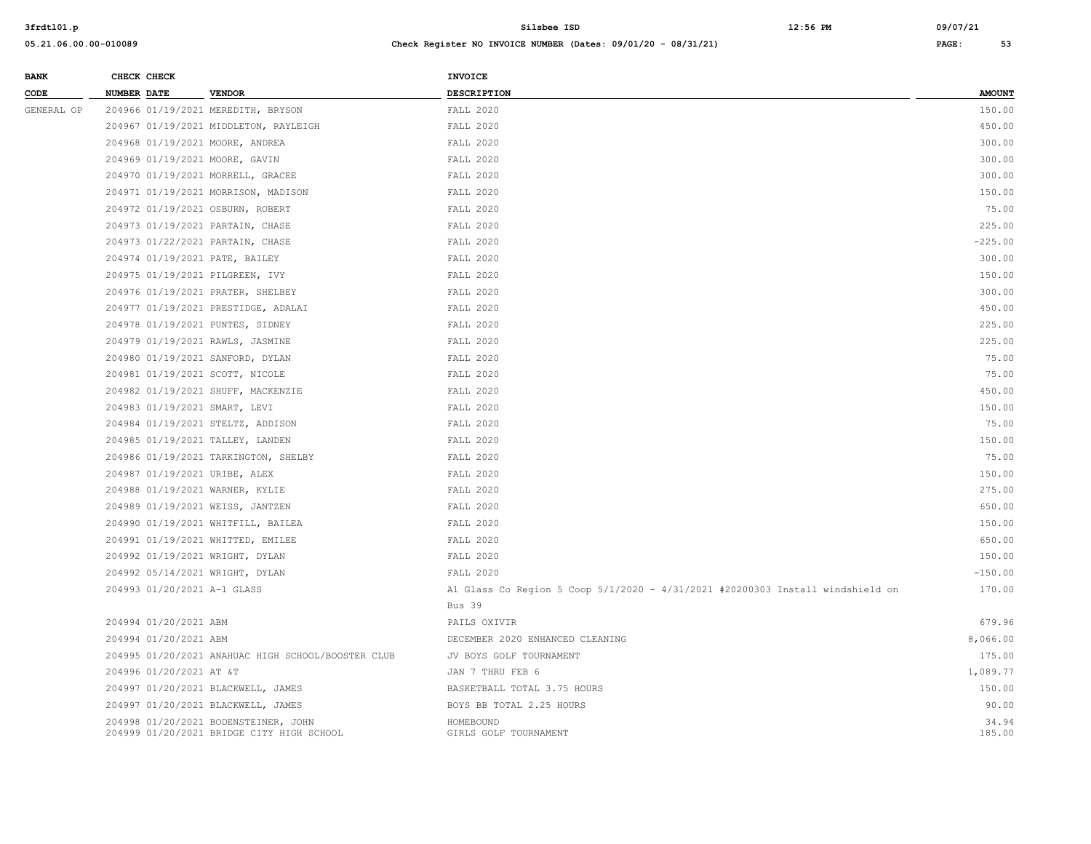**BANK CHECK CHECK CHECK** 

| CODE       | <b>NUMBER DATE</b>          | <b>VENDOR</b>                                                                     | DESCRIPTION                                                                    | <b>AMOUNT</b>   |
|------------|-----------------------------|-----------------------------------------------------------------------------------|--------------------------------------------------------------------------------|-----------------|
| GENERAL OP |                             | 204966 01/19/2021 MEREDITH, BRYSON                                                | FALL 2020                                                                      | 150.00          |
|            |                             | 204967 01/19/2021 MIDDLETON, RAYLEIGH                                             | <b>FALL 2020</b>                                                               | 450.00          |
|            |                             | 204968 01/19/2021 MOORE, ANDREA                                                   | FALL 2020                                                                      | 300.00          |
|            |                             | 204969 01/19/2021 MOORE, GAVIN                                                    | FALL 2020                                                                      | 300.00          |
|            |                             | 204970 01/19/2021 MORRELL, GRACEE                                                 | FALL 2020                                                                      | 300.00          |
|            |                             | 204971 01/19/2021 MORRISON, MADISON                                               | FALL 2020                                                                      | 150.00          |
|            |                             | 204972 01/19/2021 OSBURN, ROBERT                                                  | FALL 2020                                                                      | 75.00           |
|            |                             | 204973 01/19/2021 PARTAIN, CHASE                                                  | FALL 2020                                                                      | 225.00          |
|            |                             | 204973 01/22/2021 PARTAIN, CHASE                                                  | FALL 2020                                                                      | $-225.00$       |
|            |                             | 204974 01/19/2021 PATE, BAILEY                                                    | FALL 2020                                                                      | 300.00          |
|            |                             | 204975 01/19/2021 PILGREEN, IVY                                                   | <b>FALL 2020</b>                                                               | 150.00          |
|            |                             | 204976 01/19/2021 PRATER, SHELBEY                                                 | FALL 2020                                                                      | 300.00          |
|            |                             | 204977 01/19/2021 PRESTIDGE, ADALAI                                               | FALL 2020                                                                      | 450.00          |
|            |                             | 204978 01/19/2021 PUNTES, SIDNEY                                                  | FALL 2020                                                                      | 225.00          |
|            |                             | 204979 01/19/2021 RAWLS, JASMINE                                                  | <b>FALL 2020</b>                                                               | 225.00          |
|            |                             | 204980 01/19/2021 SANFORD, DYLAN                                                  | FALL 2020                                                                      | 75.00           |
|            |                             | 204981 01/19/2021 SCOTT, NICOLE                                                   | <b>FALL 2020</b>                                                               | 75.00           |
|            |                             | 204982 01/19/2021 SHUFF, MACKENZIE                                                | FALL 2020                                                                      | 450.00          |
|            |                             | 204983 01/19/2021 SMART, LEVI                                                     | FALL 2020                                                                      | 150.00          |
|            |                             | 204984 01/19/2021 STELTZ, ADDISON                                                 | <b>FALL 2020</b>                                                               | 75.00           |
|            |                             | 204985 01/19/2021 TALLEY, LANDEN                                                  | FALL 2020                                                                      | 150.00          |
|            |                             | 204986 01/19/2021 TARKINGTON, SHELBY                                              | <b>FALL 2020</b>                                                               | 75.00           |
|            |                             | 204987 01/19/2021 URIBE, ALEX                                                     | FALL 2020                                                                      | 150.00          |
|            |                             | 204988 01/19/2021 WARNER, KYLIE                                                   | FALL 2020                                                                      | 275.00          |
|            |                             | 204989 01/19/2021 WEISS, JANTZEN                                                  | FALL 2020                                                                      | 650.00          |
|            |                             | 204990 01/19/2021 WHITFILL, BAILEA                                                | <b>FALL 2020</b>                                                               | 150.00          |
|            |                             | 204991 01/19/2021 WHITTED, EMILEE                                                 | FALL 2020                                                                      | 650.00          |
|            |                             | 204992 01/19/2021 WRIGHT, DYLAN                                                   | FALL 2020                                                                      | 150.00          |
|            |                             | 204992 05/14/2021 WRIGHT, DYLAN                                                   | <b>FALL 2020</b>                                                               | $-150.00$       |
|            | 204993 01/20/2021 A-1 GLASS |                                                                                   | Al Glass Co Region 5 Coop 5/1/2020 - 4/31/2021 #20200303 Install windshield on | 170.00          |
|            |                             |                                                                                   | Bus 39                                                                         |                 |
|            | 204994 01/20/2021 ABM       |                                                                                   | PAILS OXIVIR                                                                   | 679.96          |
|            | 204994 01/20/2021 ABM       |                                                                                   | DECEMBER 2020 ENHANCED CLEANING                                                | 8,066.00        |
|            |                             | 204995 01/20/2021 ANAHUAC HIGH SCHOOL/BOOSTER CLUB                                | JV BOYS GOLF TOURNAMENT                                                        | 175.00          |
|            | 204996 01/20/2021 AT &T     |                                                                                   | JAN 7 THRU FEB 6                                                               | 1,089.77        |
|            |                             | 204997 01/20/2021 BLACKWELL, JAMES                                                | BASKETBALL TOTAL 3.75 HOURS                                                    | 150.00          |
|            |                             | 204997 01/20/2021 BLACKWELL, JAMES                                                | BOYS BB TOTAL 2.25 HOURS                                                       | 90.00           |
|            |                             | 204998 01/20/2021 BODENSTEINER, JOHN<br>204999 01/20/2021 BRIDGE CITY HIGH SCHOOL | HOMEBOUND<br>GIRLS GOLF TOURNAMENT                                             | 34.94<br>185.00 |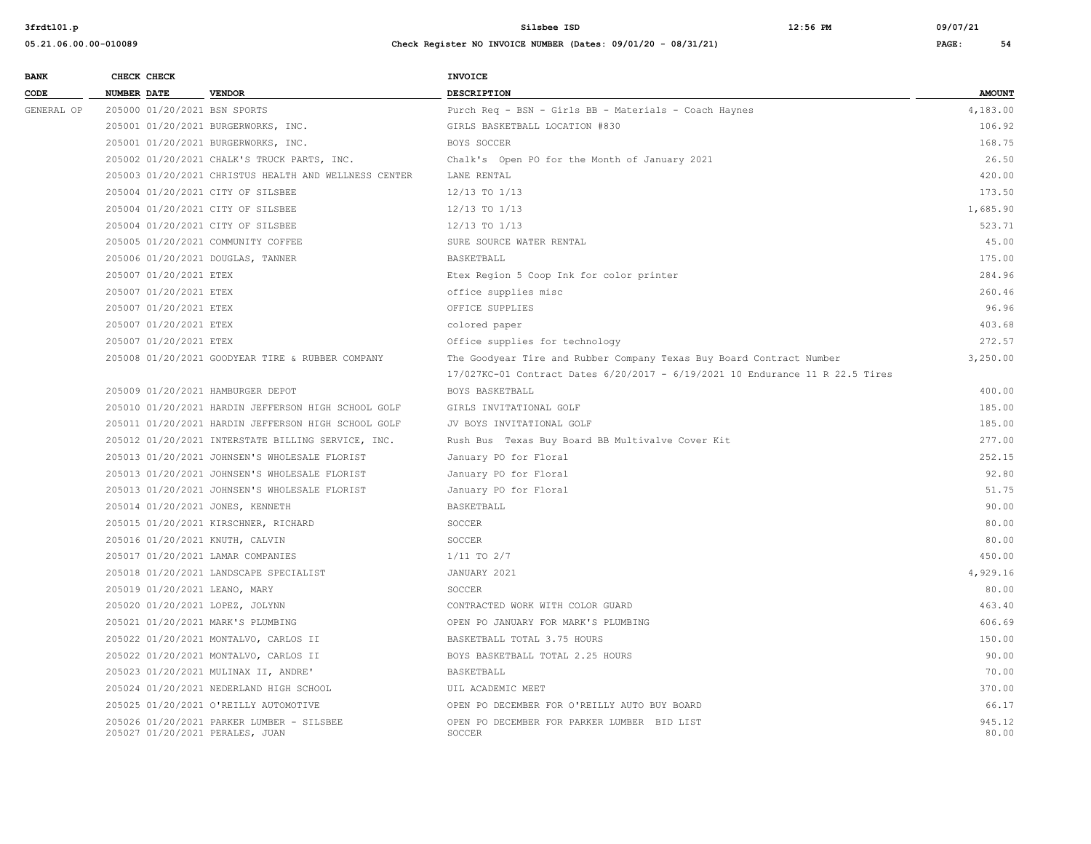| <b>BANK</b> |             | CHECK CHECK            |                                                                              | <b>INVOICE</b>                                                                |                 |
|-------------|-------------|------------------------|------------------------------------------------------------------------------|-------------------------------------------------------------------------------|-----------------|
| CODE        | NUMBER DATE |                        | <b>VENDOR</b>                                                                | <b>DESCRIPTION</b>                                                            | <b>AMOUNT</b>   |
| GENERAL OP  |             |                        | 205000 01/20/2021 BSN SPORTS                                                 | Purch Req - BSN - Girls BB - Materials - Coach Haynes                         | 4,183.00        |
|             |             |                        | 205001 01/20/2021 BURGERWORKS, INC.                                          | GIRLS BASKETBALL LOCATION #830                                                | 106.92          |
|             |             |                        | 205001 01/20/2021 BURGERWORKS, INC.                                          | BOYS SOCCER                                                                   | 168.75          |
|             |             |                        | 205002 01/20/2021 CHALK'S TRUCK PARTS, INC.                                  | Chalk's Open PO for the Month of January 2021                                 | 26.50           |
|             |             |                        | 205003 01/20/2021 CHRISTUS HEALTH AND WELLNESS CENTER                        | LANE RENTAL                                                                   | 420.00          |
|             |             |                        | 205004 01/20/2021 CITY OF SILSBEE                                            | 12/13 TO 1/13                                                                 | 173.50          |
|             |             |                        | 205004 01/20/2021 CITY OF SILSBEE                                            | 12/13 TO 1/13                                                                 | 1,685.90        |
|             |             |                        | 205004 01/20/2021 CITY OF SILSBEE                                            | $12/13$ TO $1/13$                                                             | 523.71          |
|             |             |                        | 205005 01/20/2021 COMMUNITY COFFEE                                           | SURE SOURCE WATER RENTAL                                                      | 45.00           |
|             |             |                        | 205006 01/20/2021 DOUGLAS, TANNER                                            | BASKETBALL                                                                    | 175.00          |
|             |             | 205007 01/20/2021 ETEX |                                                                              | Etex Region 5 Coop Ink for color printer                                      | 284.96          |
|             |             | 205007 01/20/2021 ETEX |                                                                              | office supplies misc                                                          | 260.46          |
|             |             | 205007 01/20/2021 ETEX |                                                                              | OFFICE SUPPLIES                                                               | 96.96           |
|             |             | 205007 01/20/2021 ETEX |                                                                              | colored paper                                                                 | 403.68          |
|             |             | 205007 01/20/2021 ETEX |                                                                              | Office supplies for technology                                                | 272.57          |
|             |             |                        | 205008 01/20/2021 GOODYEAR TIRE & RUBBER COMPANY                             | The Goodyear Tire and Rubber Company Texas Buy Board Contract Number          | 3,250.00        |
|             |             |                        |                                                                              | 17/027KC-01 Contract Dates 6/20/2017 - 6/19/2021 10 Endurance 11 R 22.5 Tires |                 |
|             |             |                        | 205009 01/20/2021 HAMBURGER DEPOT                                            | BOYS BASKETBALL                                                               | 400.00          |
|             |             |                        | 205010 01/20/2021 HARDIN JEFFERSON HIGH SCHOOL GOLF                          | GIRLS INVITATIONAL GOLF                                                       | 185.00          |
|             |             |                        | 205011 01/20/2021 HARDIN JEFFERSON HIGH SCHOOL GOLF                          | JV BOYS INVITATIONAL GOLF                                                     | 185.00          |
|             |             |                        | 205012 01/20/2021 INTERSTATE BILLING SERVICE, INC.                           | Rush Bus Texas Buy Board BB Multivalve Cover Kit                              | 277.00          |
|             |             |                        | 205013 01/20/2021 JOHNSEN'S WHOLESALE FLORIST                                | January PO for Floral                                                         | 252.15          |
|             |             |                        | 205013 01/20/2021 JOHNSEN'S WHOLESALE FLORIST                                | January PO for Floral                                                         | 92.80           |
|             |             |                        | 205013 01/20/2021 JOHNSEN'S WHOLESALE FLORIST                                | January PO for Floral                                                         | 51.75           |
|             |             |                        | 205014 01/20/2021 JONES, KENNETH                                             | BASKETBALL                                                                    | 90.00           |
|             |             |                        | 205015 01/20/2021 KIRSCHNER, RICHARD                                         | SOCCER                                                                        | 80.00           |
|             |             |                        | 205016 01/20/2021 KNUTH, CALVIN                                              | SOCCER                                                                        | 80.00           |
|             |             |                        | 205017 01/20/2021 LAMAR COMPANIES                                            | $1/11$ TO $2/7$                                                               | 450.00          |
|             |             |                        | 205018 01/20/2021 LANDSCAPE SPECIALIST                                       | JANUARY 2021                                                                  | 4,929.16        |
|             |             |                        | 205019 01/20/2021 LEANO, MARY                                                | SOCCER                                                                        | 80.00           |
|             |             |                        | 205020 01/20/2021 LOPEZ, JOLYNN                                              | CONTRACTED WORK WITH COLOR GUARD                                              | 463.40          |
|             |             |                        | 205021 01/20/2021 MARK'S PLUMBING                                            | OPEN PO JANUARY FOR MARK'S PLUMBING                                           | 606.69          |
|             |             |                        | 205022 01/20/2021 MONTALVO, CARLOS II                                        | BASKETBALL TOTAL 3.75 HOURS                                                   | 150.00          |
|             |             |                        | 205022 01/20/2021 MONTALVO, CARLOS II                                        | BOYS BASKETBALL TOTAL 2.25 HOURS                                              | 90.00           |
|             |             |                        | 205023 01/20/2021 MULINAX II, ANDRE'                                         | BASKETBALL                                                                    | 70.00           |
|             |             |                        | 205024 01/20/2021 NEDERLAND HIGH SCHOOL                                      | UIL ACADEMIC MEET                                                             | 370.00          |
|             |             |                        | 205025 01/20/2021 O'REILLY AUTOMOTIVE                                        | OPEN PO DECEMBER FOR O'REILLY AUTO BUY BOARD                                  | 66.17           |
|             |             |                        | 205026 01/20/2021 PARKER LUMBER - SILSBEE<br>205027 01/20/2021 PERALES, JUAN | OPEN PO DECEMBER FOR PARKER LUMBER BID LIST<br>SOCCER                         | 945.12<br>80.00 |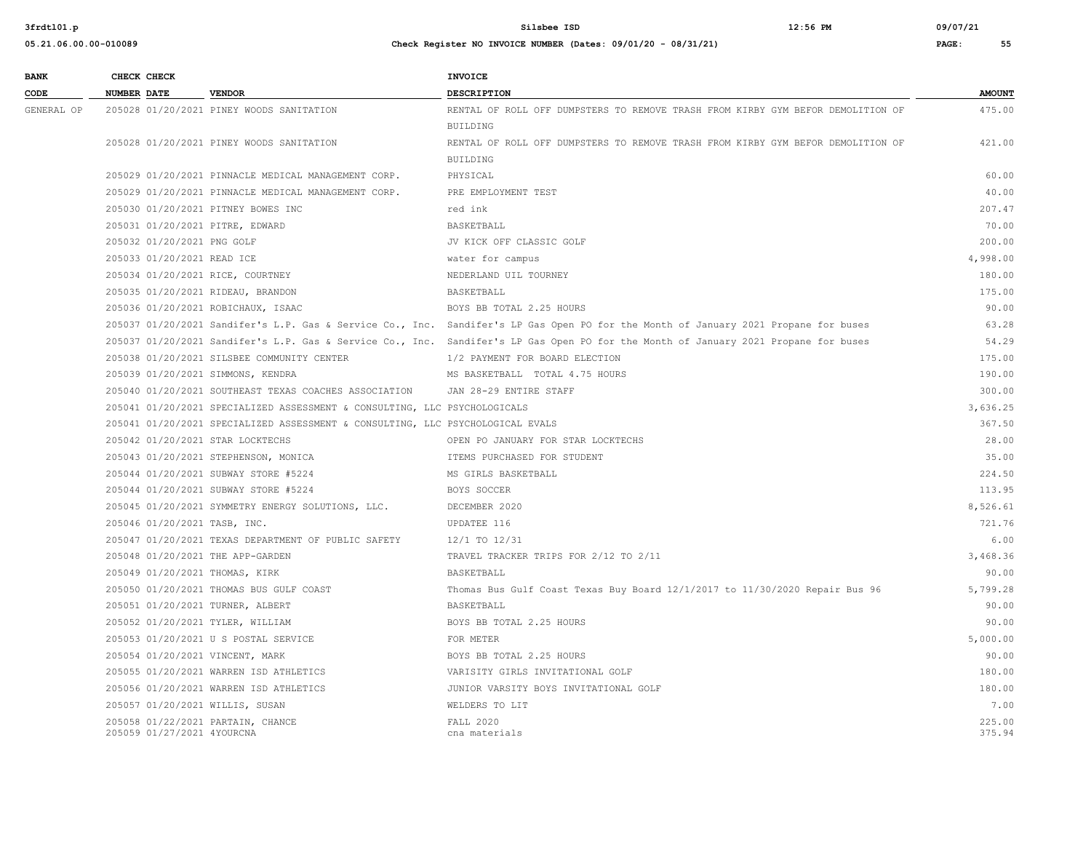**05.21.06.00.00-010089 Check Register NO INVOICE NUMBER (Dates: 09/01/20 - 08/31/21) PAGE: 55**

**3frdtl01.p Silsbee ISD 12:56 PM 09/07/21**

| <b>BANK</b> |                    | CHECK CHECK                |                                                                                | <b>INVOICE</b>                                                                                                                      |                  |
|-------------|--------------------|----------------------------|--------------------------------------------------------------------------------|-------------------------------------------------------------------------------------------------------------------------------------|------------------|
| CODE        | <b>NUMBER DATE</b> |                            | <b>VENDOR</b>                                                                  | <b>DESCRIPTION</b>                                                                                                                  | <b>AMOUNT</b>    |
| GENERAL OP  |                    |                            | 205028 01/20/2021 PINEY WOODS SANITATION                                       | RENTAL OF ROLL OFF DUMPSTERS TO REMOVE TRASH FROM KIRBY GYM BEFOR DEMOLITION OF                                                     | 475.00           |
|             |                    |                            |                                                                                | <b>BUILDING</b>                                                                                                                     |                  |
|             |                    |                            | 205028 01/20/2021 PINEY WOODS SANITATION                                       | RENTAL OF ROLL OFF DUMPSTERS TO REMOVE TRASH FROM KIRBY GYM BEFOR DEMOLITION OF                                                     | 421.00           |
|             |                    |                            |                                                                                | <b>BUILDING</b>                                                                                                                     |                  |
|             |                    |                            | 205029 01/20/2021 PINNACLE MEDICAL MANAGEMENT CORP.                            | PHYSICAL                                                                                                                            | 60.00            |
|             |                    |                            | 205029 01/20/2021 PINNACLE MEDICAL MANAGEMENT CORP.                            | PRE EMPLOYMENT TEST                                                                                                                 | 40.00            |
|             |                    |                            | 205030 01/20/2021 PITNEY BOWES INC                                             | red ink                                                                                                                             | 207.47           |
|             |                    |                            | 205031 01/20/2021 PITRE, EDWARD                                                | BASKETBALL                                                                                                                          | 70.00            |
|             |                    | 205032 01/20/2021 PNG GOLF |                                                                                | JV KICK OFF CLASSIC GOLF                                                                                                            | 200.00           |
|             |                    | 205033 01/20/2021 READ ICE |                                                                                | water for campus                                                                                                                    | 4,998.00         |
|             |                    |                            | 205034 01/20/2021 RICE, COURTNEY                                               | NEDERLAND UIL TOURNEY                                                                                                               | 180.00           |
|             |                    |                            | 205035 01/20/2021 RIDEAU, BRANDON                                              | BASKETBALL                                                                                                                          | 175.00           |
|             |                    |                            | 205036 01/20/2021 ROBICHAUX, ISAAC                                             | BOYS BB TOTAL 2.25 HOURS                                                                                                            | 90.00            |
|             |                    |                            |                                                                                | 205037 01/20/2021 Sandifer's L.P. Gas & Service Co., Inc. Sandifer's LP Gas Open PO for the Month of January 2021 Propane for buses | 63.28            |
|             |                    |                            |                                                                                | 205037 01/20/2021 Sandifer's L.P. Gas & Service Co., Inc. Sandifer's LP Gas Open PO for the Month of January 2021 Propane for buses | 54.29            |
|             |                    |                            | 205038 01/20/2021 SILSBEE COMMUNITY CENTER                                     | 1/2 PAYMENT FOR BOARD ELECTION                                                                                                      | 175.00           |
|             |                    |                            | 205039 01/20/2021 SIMMONS, KENDRA                                              | MS BASKETBALL TOTAL 4.75 HOURS                                                                                                      | 190.00           |
|             |                    |                            | 205040 01/20/2021 SOUTHEAST TEXAS COACHES ASSOCIATION                          | JAN 28-29 ENTIRE STAFF                                                                                                              | 300.00           |
|             |                    |                            | 205041 01/20/2021 SPECIALIZED ASSESSMENT & CONSULTING, LLC PSYCHOLOGICALS      |                                                                                                                                     | 3,636.25         |
|             |                    |                            | 205041 01/20/2021 SPECIALIZED ASSESSMENT & CONSULTING, LLC PSYCHOLOGICAL EVALS |                                                                                                                                     | 367.50           |
|             |                    |                            | 205042 01/20/2021 STAR LOCKTECHS                                               | OPEN PO JANUARY FOR STAR LOCKTECHS                                                                                                  | 28.00            |
|             |                    |                            | 205043 01/20/2021 STEPHENSON, MONICA                                           | ITEMS PURCHASED FOR STUDENT                                                                                                         | 35.00            |
|             |                    |                            | 205044 01/20/2021 SUBWAY STORE #5224                                           | MS GIRLS BASKETBALL                                                                                                                 | 224.50           |
|             |                    |                            | 205044 01/20/2021 SUBWAY STORE #5224                                           | BOYS SOCCER                                                                                                                         | 113.95           |
|             |                    |                            | 205045 01/20/2021 SYMMETRY ENERGY SOLUTIONS, LLC.                              | DECEMBER 2020                                                                                                                       | 8,526.61         |
|             |                    |                            | 205046 01/20/2021 TASB, INC.                                                   | UPDATEE 116                                                                                                                         | 721.76           |
|             |                    |                            | 205047 01/20/2021 TEXAS DEPARTMENT OF PUBLIC SAFETY                            | 12/1 TO 12/31                                                                                                                       | 6.00             |
|             |                    |                            | 205048 01/20/2021 THE APP-GARDEN                                               | TRAVEL TRACKER TRIPS FOR 2/12 TO 2/11                                                                                               | 3,468.36         |
|             |                    |                            | 205049 01/20/2021 THOMAS, KIRK                                                 | BASKETBALL                                                                                                                          | 90.00            |
|             |                    |                            | 205050 01/20/2021 THOMAS BUS GULF COAST                                        | Thomas Bus Gulf Coast Texas Buy Board 12/1/2017 to 11/30/2020 Repair Bus 96                                                         | 5,799.28         |
|             |                    |                            | 205051 01/20/2021 TURNER, ALBERT                                               | <b>BASKETBALL</b>                                                                                                                   | 90.00            |
|             |                    |                            | 205052 01/20/2021 TYLER, WILLIAM                                               | BOYS BB TOTAL 2.25 HOURS                                                                                                            | 90.00            |
|             |                    |                            | 205053 01/20/2021 U S POSTAL SERVICE                                           | FOR METER                                                                                                                           | 5,000.00         |
|             |                    |                            | 205054 01/20/2021 VINCENT, MARK                                                | BOYS BB TOTAL 2.25 HOURS                                                                                                            | 90.00            |
|             |                    |                            | 205055 01/20/2021 WARREN ISD ATHLETICS                                         | VARISITY GIRLS INVITATIONAL GOLF                                                                                                    | 180.00           |
|             |                    |                            | 205056 01/20/2021 WARREN ISD ATHLETICS                                         | JUNIOR VARSITY BOYS INVITATIONAL GOLF                                                                                               | 180.00           |
|             |                    |                            | 205057 01/20/2021 WILLIS, SUSAN                                                | WELDERS TO LIT                                                                                                                      | 7.00             |
|             |                    | 205059 01/27/2021 4YOURCNA | 205058 01/22/2021 PARTAIN, CHANCE                                              | <b>FALL 2020</b><br>cna materials                                                                                                   | 225.00<br>375.94 |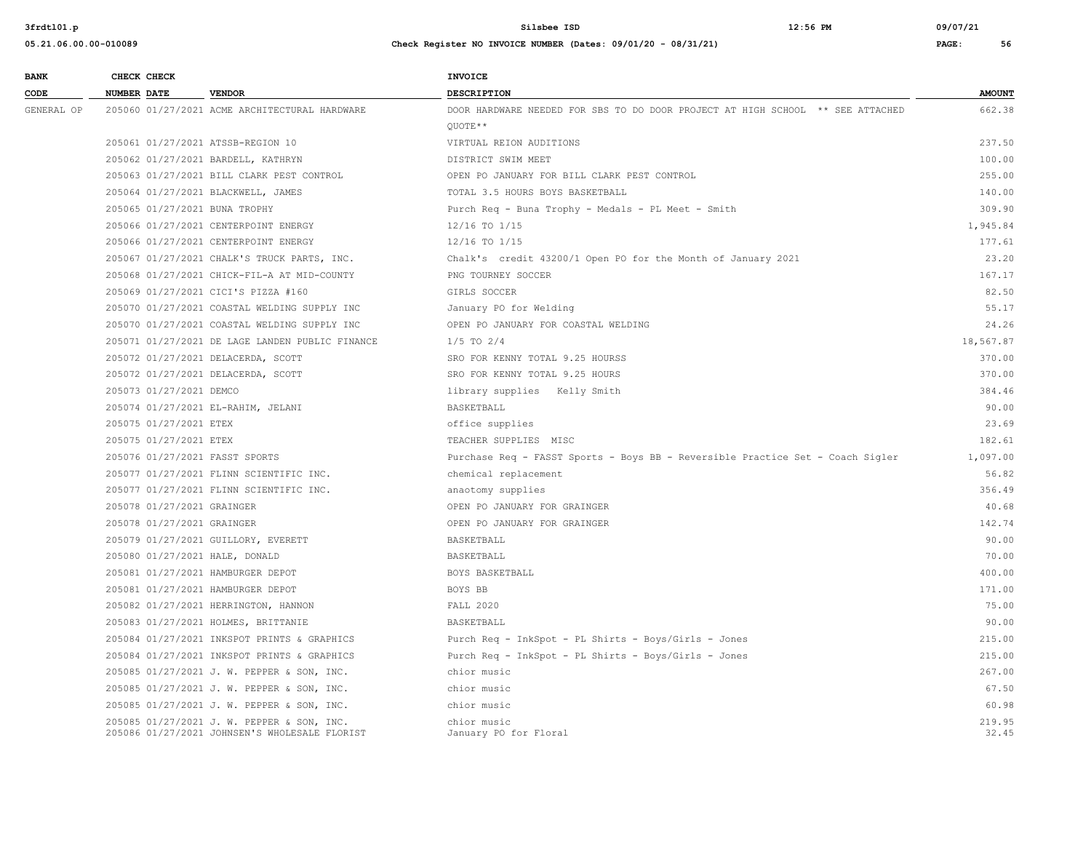| <b>BANK</b> | CHECK CHECK                       |                                                                                             | INVOICE                                                                        |                 |
|-------------|-----------------------------------|---------------------------------------------------------------------------------------------|--------------------------------------------------------------------------------|-----------------|
| CODE        | <b>NUMBER DATE</b>                | <b>VENDOR</b>                                                                               | <b>DESCRIPTION</b>                                                             | <b>AMOUNT</b>   |
| GENERAL OP  |                                   | 205060 01/27/2021 ACME ARCHITECTURAL HARDWARE                                               | DOOR HARDWARE NEEDED FOR SBS TO DO DOOR PROJECT AT HIGH SCHOOL ** SEE ATTACHED | 662.38          |
|             |                                   |                                                                                             | OUOTE**                                                                        |                 |
|             | 205061 01/27/2021 ATSSB-REGION 10 |                                                                                             | VIRTUAL REION AUDITIONS                                                        | 237.50          |
|             |                                   | 205062 01/27/2021 BARDELL, KATHRYN                                                          | DISTRICT SWIM MEET                                                             | 100.00          |
|             |                                   | 205063 01/27/2021 BILL CLARK PEST CONTROL                                                   | OPEN PO JANUARY FOR BILL CLARK PEST CONTROL                                    | 255.00          |
|             |                                   | 205064 01/27/2021 BLACKWELL, JAMES                                                          | TOTAL 3.5 HOURS BOYS BASKETBALL                                                | 140.00          |
|             | 205065 01/27/2021 BUNA TROPHY     |                                                                                             | Purch Req - Buna Trophy - Medals - PL Meet - Smith                             | 309.90          |
|             |                                   | 205066 01/27/2021 CENTERPOINT ENERGY                                                        | 12/16 TO 1/15                                                                  | 1,945.84        |
|             |                                   | 205066 01/27/2021 CENTERPOINT ENERGY                                                        | 12/16 TO 1/15                                                                  | 177.61          |
|             |                                   | 205067 01/27/2021 CHALK'S TRUCK PARTS, INC.                                                 | Chalk's credit 43200/1 Open PO for the Month of January 2021                   | 23.20           |
|             |                                   | 205068 01/27/2021 CHICK-FIL-A AT MID-COUNTY                                                 | PNG TOURNEY SOCCER                                                             | 167.17          |
|             |                                   | 205069 01/27/2021 CICI'S PIZZA #160                                                         | GIRLS SOCCER                                                                   | 82.50           |
|             |                                   | 205070 01/27/2021 COASTAL WELDING SUPPLY INC                                                | January PO for Welding                                                         | 55.17           |
|             |                                   | 205070 01/27/2021 COASTAL WELDING SUPPLY INC                                                | OPEN PO JANUARY FOR COASTAL WELDING                                            | 24.26           |
|             |                                   | 205071 01/27/2021 DE LAGE LANDEN PUBLIC FINANCE                                             | $1/5$ TO $2/4$                                                                 | 18,567.87       |
|             |                                   | 205072 01/27/2021 DELACERDA, SCOTT                                                          | SRO FOR KENNY TOTAL 9.25 HOURSS                                                | 370.00          |
|             |                                   | 205072 01/27/2021 DELACERDA, SCOTT                                                          | SRO FOR KENNY TOTAL 9.25 HOURS                                                 | 370.00          |
|             | 205073 01/27/2021 DEMCO           |                                                                                             | library supplies Kelly Smith                                                   | 384.46          |
|             |                                   | 205074 01/27/2021 EL-RAHIM, JELANI                                                          | BASKETBALL                                                                     | 90.00           |
|             | 205075 01/27/2021 ETEX            |                                                                                             | office supplies                                                                | 23.69           |
|             | 205075 01/27/2021 ETEX            |                                                                                             | TEACHER SUPPLIES MISC                                                          | 182.61          |
|             | 205076 01/27/2021 FASST SPORTS    |                                                                                             | Purchase Req - FASST Sports - Boys BB - Reversible Practice Set - Coach Sigler | 1,097.00        |
|             |                                   | 205077 01/27/2021 FLINN SCIENTIFIC INC.                                                     | chemical replacement                                                           | 56.82           |
|             |                                   | 205077 01/27/2021 FLINN SCIENTIFIC INC.                                                     | anaotomy supplies                                                              | 356.49          |
|             | 205078 01/27/2021 GRAINGER        |                                                                                             | OPEN PO JANUARY FOR GRAINGER                                                   | 40.68           |
|             | 205078 01/27/2021 GRAINGER        |                                                                                             | OPEN PO JANUARY FOR GRAINGER                                                   | 142.74          |
|             |                                   | 205079 01/27/2021 GUILLORY, EVERETT                                                         | BASKETBALL                                                                     | 90.00           |
|             | 205080 01/27/2021 HALE, DONALD    |                                                                                             | BASKETBALL                                                                     | 70.00           |
|             | 205081 01/27/2021 HAMBURGER DEPOT |                                                                                             | BOYS BASKETBALL                                                                | 400.00          |
|             | 205081 01/27/2021 HAMBURGER DEPOT |                                                                                             | BOYS BB                                                                        | 171.00          |
|             |                                   | 205082 01/27/2021 HERRINGTON, HANNON                                                        | <b>FALL 2020</b>                                                               | 75.00           |
|             |                                   | 205083 01/27/2021 HOLMES, BRITTANIE                                                         | BASKETBALL                                                                     | 90.00           |
|             |                                   | 205084 01/27/2021 INKSPOT PRINTS & GRAPHICS                                                 | Purch Req - InkSpot - PL Shirts - Boys/Girls - Jones                           | 215.00          |
|             |                                   | 205084 01/27/2021 INKSPOT PRINTS & GRAPHICS                                                 | Purch Req - InkSpot - PL Shirts - Boys/Girls - Jones                           | 215.00          |
|             |                                   | 205085 01/27/2021 J. W. PEPPER & SON, INC.                                                  | chior music                                                                    | 267.00          |
|             |                                   | 205085 01/27/2021 J. W. PEPPER & SON, INC.                                                  | chior music                                                                    | 67.50           |
|             |                                   | 205085 01/27/2021 J. W. PEPPER & SON, INC.                                                  | chior music                                                                    | 60.98           |
|             |                                   | 205085 01/27/2021 J. W. PEPPER & SON, INC.<br>205086 01/27/2021 JOHNSEN'S WHOLESALE FLORIST | chior music<br>January PO for Floral                                           | 219.95<br>32.45 |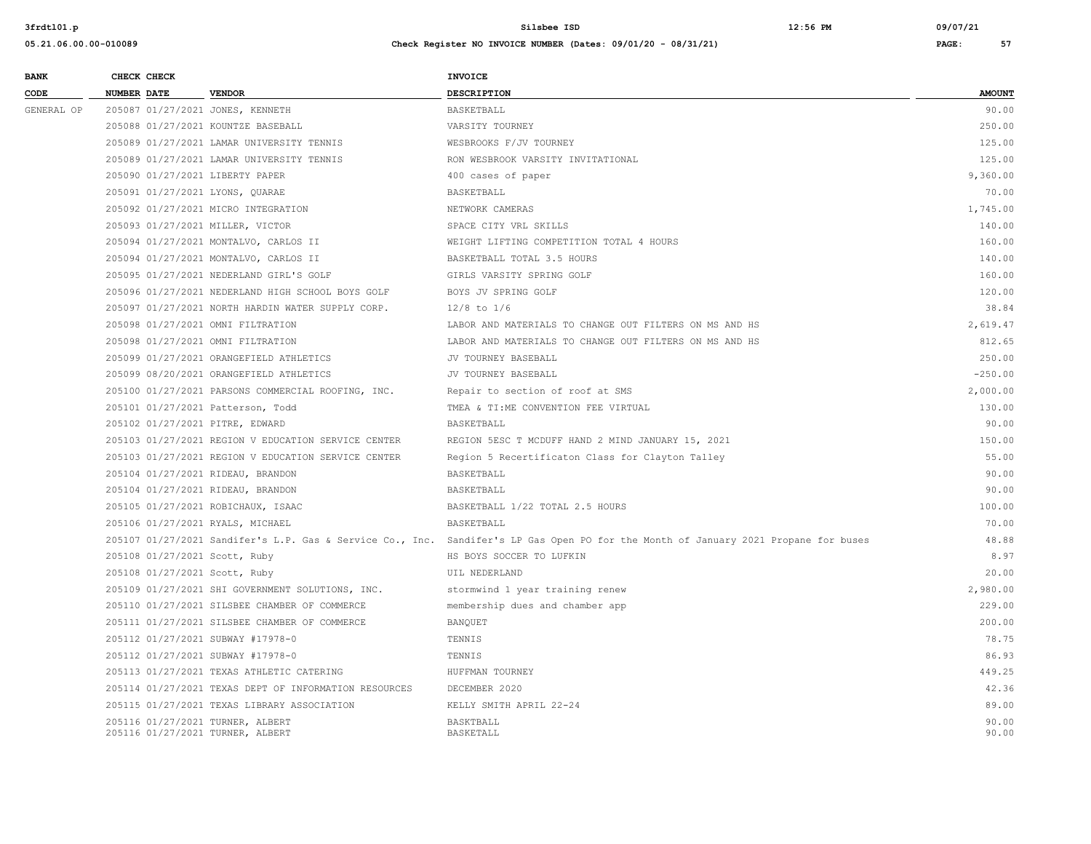| <b>BANK</b> |                    | CHECK CHECK |                                                                      | <b>INVOICE</b>                                                                                                                      |                |
|-------------|--------------------|-------------|----------------------------------------------------------------------|-------------------------------------------------------------------------------------------------------------------------------------|----------------|
| CODE        | <b>NUMBER DATE</b> |             | <b>VENDOR</b>                                                        | DESCRIPTION                                                                                                                         | <b>AMOUNT</b>  |
| GENERAL OP  |                    |             | 205087 01/27/2021 JONES, KENNETH                                     | BASKETBALL                                                                                                                          | 90.00          |
|             |                    |             | 205088 01/27/2021 KOUNTZE BASEBALL                                   | VARSITY TOURNEY                                                                                                                     | 250.00         |
|             |                    |             | 205089 01/27/2021 LAMAR UNIVERSITY TENNIS                            | WESBROOKS F/JV TOURNEY                                                                                                              | 125.00         |
|             |                    |             | 205089 01/27/2021 LAMAR UNIVERSITY TENNIS                            | RON WESBROOK VARSITY INVITATIONAL                                                                                                   | 125.00         |
|             |                    |             | 205090 01/27/2021 LIBERTY PAPER                                      | 400 cases of paper                                                                                                                  | 9,360.00       |
|             |                    |             | 205091 01/27/2021 LYONS, QUARAE                                      | BASKETBALL                                                                                                                          | 70.00          |
|             |                    |             | 205092 01/27/2021 MICRO INTEGRATION                                  | NETWORK CAMERAS                                                                                                                     | 1,745.00       |
|             |                    |             | 205093 01/27/2021 MILLER, VICTOR                                     | SPACE CITY VRL SKILLS                                                                                                               | 140.00         |
|             |                    |             | 205094 01/27/2021 MONTALVO, CARLOS II                                | WEIGHT LIFTING COMPETITION TOTAL 4 HOURS                                                                                            | 160.00         |
|             |                    |             | 205094 01/27/2021 MONTALVO, CARLOS II                                | BASKETBALL TOTAL 3.5 HOURS                                                                                                          | 140.00         |
|             |                    |             | 205095 01/27/2021 NEDERLAND GIRL'S GOLF                              | GIRLS VARSITY SPRING GOLF                                                                                                           | 160.00         |
|             |                    |             | 205096 01/27/2021 NEDERLAND HIGH SCHOOL BOYS GOLF                    | BOYS JV SPRING GOLF                                                                                                                 | 120.00         |
|             |                    |             | 205097 01/27/2021 NORTH HARDIN WATER SUPPLY CORP.                    | $12/8$ to $1/6$                                                                                                                     | 38.84          |
|             |                    |             | 205098 01/27/2021 OMNI FILTRATION                                    | LABOR AND MATERIALS TO CHANGE OUT FILTERS ON MS AND HS                                                                              | 2,619.47       |
|             |                    |             | 205098 01/27/2021 OMNI FILTRATION                                    | LABOR AND MATERIALS TO CHANGE OUT FILTERS ON MS AND HS                                                                              | 812.65         |
|             |                    |             | 205099 01/27/2021 ORANGEFIELD ATHLETICS                              | JV TOURNEY BASEBALL                                                                                                                 | 250.00         |
|             |                    |             | 205099 08/20/2021 ORANGEFIELD ATHLETICS                              | JV TOURNEY BASEBALL                                                                                                                 | $-250.00$      |
|             |                    |             | 205100 01/27/2021 PARSONS COMMERCIAL ROOFING, INC.                   | Repair to section of roof at SMS                                                                                                    | 2,000.00       |
|             |                    |             | 205101 01/27/2021 Patterson, Todd                                    | TMEA & TI:ME CONVENTION FEE VIRTUAL                                                                                                 | 130.00         |
|             |                    |             | 205102 01/27/2021 PITRE, EDWARD                                      | BASKETBALL                                                                                                                          | 90.00          |
|             |                    |             | 205103 01/27/2021 REGION V EDUCATION SERVICE CENTER                  | REGION 5ESC T MCDUFF HAND 2 MIND JANUARY 15, 2021                                                                                   | 150.00         |
|             |                    |             | 205103 01/27/2021 REGION V EDUCATION SERVICE CENTER                  | Region 5 Recertificaton Class for Clayton Talley                                                                                    | 55.00          |
|             |                    |             | 205104 01/27/2021 RIDEAU, BRANDON                                    | BASKETBALL                                                                                                                          | 90.00          |
|             |                    |             | 205104 01/27/2021 RIDEAU, BRANDON                                    | BASKETBALL                                                                                                                          | 90.00          |
|             |                    |             | 205105 01/27/2021 ROBICHAUX, ISAAC                                   | BASKETBALL 1/22 TOTAL 2.5 HOURS                                                                                                     | 100.00         |
|             |                    |             | 205106 01/27/2021 RYALS, MICHAEL                                     | BASKETBALL                                                                                                                          | 70.00          |
|             |                    |             |                                                                      | 205107 01/27/2021 Sandifer's L.P. Gas & Service Co., Inc. Sandifer's LP Gas Open PO for the Month of January 2021 Propane for buses | 48.88          |
|             |                    |             | 205108 01/27/2021 Scott, Ruby                                        | HS BOYS SOCCER TO LUFKIN                                                                                                            | 8.97           |
|             |                    |             | 205108 01/27/2021 Scott, Ruby                                        | UIL NEDERLAND                                                                                                                       | 20.00          |
|             |                    |             | 205109 01/27/2021 SHI GOVERNMENT SOLUTIONS, INC.                     | stormwind 1 year training renew                                                                                                     | 2,980.00       |
|             |                    |             | 205110 01/27/2021 SILSBEE CHAMBER OF COMMERCE                        | membership dues and chamber app                                                                                                     | 229.00         |
|             |                    |             | 205111 01/27/2021 SILSBEE CHAMBER OF COMMERCE                        | BANQUET                                                                                                                             | 200.00         |
|             |                    |             | 205112 01/27/2021 SUBWAY #17978-0                                    | TENNIS                                                                                                                              | 78.75          |
|             |                    |             | 205112 01/27/2021 SUBWAY #17978-0                                    | TENNIS                                                                                                                              | 86.93          |
|             |                    |             | 205113 01/27/2021 TEXAS ATHLETIC CATERING                            | HUFFMAN TOURNEY                                                                                                                     | 449.25         |
|             |                    |             | 205114 01/27/2021 TEXAS DEPT OF INFORMATION RESOURCES                | DECEMBER 2020                                                                                                                       | 42.36          |
|             |                    |             | 205115 01/27/2021 TEXAS LIBRARY ASSOCIATION                          | KELLY SMITH APRIL 22-24                                                                                                             | 89.00          |
|             |                    |             | 205116 01/27/2021 TURNER, ALBERT<br>205116 01/27/2021 TURNER, ALBERT | BASKTBALL<br><b>BASKETALL</b>                                                                                                       | 90.00<br>90.00 |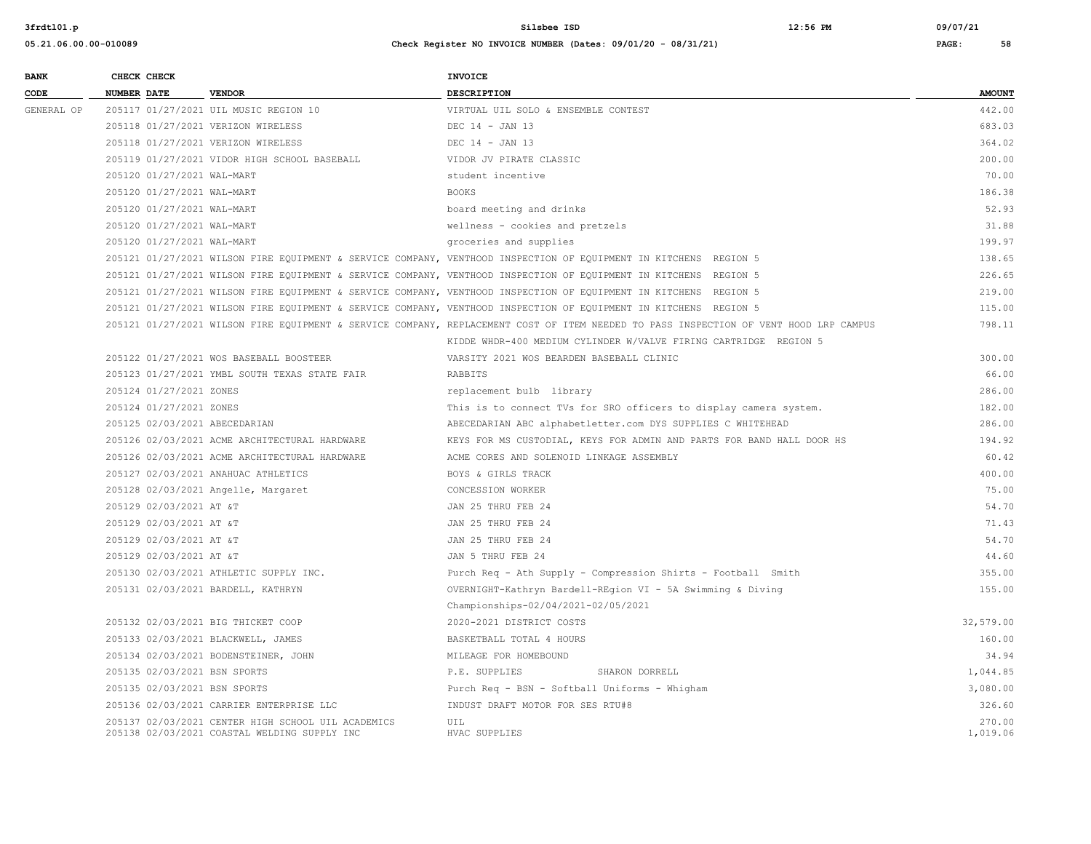| <b>BANK</b> |                    | CHECK CHECK                |                                                                                                    | <b>INVOICE</b>                                                                                                                        |                    |
|-------------|--------------------|----------------------------|----------------------------------------------------------------------------------------------------|---------------------------------------------------------------------------------------------------------------------------------------|--------------------|
| CODE        | <b>NUMBER DATE</b> |                            | <b>VENDOR</b>                                                                                      | <b>DESCRIPTION</b>                                                                                                                    | <b>AMOUNT</b>      |
| GENERAL OP  |                    |                            | 205117 01/27/2021 UIL MUSIC REGION 10                                                              | VIRTUAL UIL SOLO & ENSEMBLE CONTEST                                                                                                   | 442.00             |
|             |                    |                            | 205118 01/27/2021 VERIZON WIRELESS                                                                 | DEC 14 - JAN 13                                                                                                                       | 683.03             |
|             |                    |                            | 205118 01/27/2021 VERIZON WIRELESS                                                                 | DEC 14 - JAN 13                                                                                                                       | 364.02             |
|             |                    |                            | 205119 01/27/2021 VIDOR HIGH SCHOOL BASEBALL                                                       | VIDOR JV PIRATE CLASSIC                                                                                                               | 200.00             |
|             |                    | 205120 01/27/2021 WAL-MART |                                                                                                    | student incentive                                                                                                                     | 70.00              |
|             |                    | 205120 01/27/2021 WAL-MART |                                                                                                    | <b>BOOKS</b>                                                                                                                          | 186.38             |
|             |                    | 205120 01/27/2021 WAL-MART |                                                                                                    | board meeting and drinks                                                                                                              | 52.93              |
|             |                    | 205120 01/27/2021 WAL-MART |                                                                                                    | wellness - cookies and pretzels                                                                                                       | 31.88              |
|             |                    | 205120 01/27/2021 WAL-MART |                                                                                                    | groceries and supplies                                                                                                                | 199.97             |
|             |                    |                            |                                                                                                    | 205121 01/27/2021 WILSON FIRE EQUIPMENT & SERVICE COMPANY, VENTHOOD INSPECTION OF EQUIPMENT IN KITCHENS REGION 5                      | 138.65             |
|             |                    |                            |                                                                                                    | 205121 01/27/2021 WILSON FIRE EQUIPMENT & SERVICE COMPANY, VENTHOOD INSPECTION OF EQUIPMENT IN KITCHENS REGION 5                      | 226.65             |
|             |                    |                            |                                                                                                    | 205121 01/27/2021 WILSON FIRE EQUIPMENT & SERVICE COMPANY, VENTHOOD INSPECTION OF EQUIPMENT IN KITCHENS REGION 5                      | 219.00             |
|             |                    |                            |                                                                                                    | 205121 01/27/2021 WILSON FIRE EQUIPMENT & SERVICE COMPANY, VENTHOOD INSPECTION OF EQUIPMENT IN KITCHENS REGION 5                      | 115.00             |
|             |                    |                            |                                                                                                    | 205121 01/27/2021 WILSON FIRE EQUIPMENT & SERVICE COMPANY, REPLACEMENT COST OF ITEM NEEDED TO PASS INSPECTION OF VENT HOOD LRP CAMPUS | 798.11             |
|             |                    |                            |                                                                                                    | KIDDE WHDR-400 MEDIUM CYLINDER W/VALVE FIRING CARTRIDGE REGION 5                                                                      |                    |
|             |                    |                            | 205122 01/27/2021 WOS BASEBALL BOOSTEER                                                            | VARSITY 2021 WOS BEARDEN BASEBALL CLINIC                                                                                              | 300.00             |
|             |                    |                            | 205123 01/27/2021 YMBL SOUTH TEXAS STATE FAIR                                                      | RABBITS                                                                                                                               | 66.00              |
|             |                    | 205124 01/27/2021 ZONES    |                                                                                                    | replacement bulb library                                                                                                              | 286.00             |
|             |                    | 205124 01/27/2021 ZONES    |                                                                                                    | This is to connect TVs for SRO officers to display camera system.                                                                     | 182.00             |
|             |                    |                            | 205125 02/03/2021 ABECEDARIAN                                                                      | ABECEDARIAN ABC alphabetletter.com DYS SUPPLIES C WHITEHEAD                                                                           | 286.00             |
|             |                    |                            | 205126 02/03/2021 ACME ARCHITECTURAL HARDWARE                                                      | KEYS FOR MS CUSTODIAL, KEYS FOR ADMIN AND PARTS FOR BAND HALL DOOR HS                                                                 | 194.92             |
|             |                    |                            | 205126 02/03/2021 ACME ARCHITECTURAL HARDWARE                                                      | ACME CORES AND SOLENOID LINKAGE ASSEMBLY                                                                                              | 60.42              |
|             |                    |                            | 205127 02/03/2021 ANAHUAC ATHLETICS                                                                | BOYS & GIRLS TRACK                                                                                                                    | 400.00             |
|             |                    |                            | 205128 02/03/2021 Angelle, Margaret                                                                | CONCESSION WORKER                                                                                                                     | 75.00              |
|             |                    | 205129 02/03/2021 AT &T    |                                                                                                    | JAN 25 THRU FEB 24                                                                                                                    | 54.70              |
|             |                    | 205129 02/03/2021 AT &T    |                                                                                                    | JAN 25 THRU FEB 24                                                                                                                    | 71.43              |
|             |                    | 205129 02/03/2021 AT &T    |                                                                                                    | JAN 25 THRU FEB 24                                                                                                                    | 54.70              |
|             |                    | 205129 02/03/2021 AT &T    |                                                                                                    | JAN 5 THRU FEB 24                                                                                                                     | 44.60              |
|             |                    |                            | 205130 02/03/2021 ATHLETIC SUPPLY INC.                                                             | Purch Req - Ath Supply - Compression Shirts - Football Smith                                                                          | 355.00             |
|             |                    |                            | 205131 02/03/2021 BARDELL, KATHRYN                                                                 | OVERNIGHT-Kathryn Bardell-REgion VI - 5A Swimming & Diving                                                                            | 155.00             |
|             |                    |                            |                                                                                                    | Championships-02/04/2021-02/05/2021                                                                                                   |                    |
|             |                    |                            | 205132 02/03/2021 BIG THICKET COOP                                                                 | 2020-2021 DISTRICT COSTS                                                                                                              | 32,579.00          |
|             |                    |                            | 205133 02/03/2021 BLACKWELL, JAMES                                                                 | BASKETBALL TOTAL 4 HOURS                                                                                                              | 160.00             |
|             |                    |                            | 205134 02/03/2021 BODENSTEINER, JOHN                                                               | MILEAGE FOR HOMEBOUND                                                                                                                 | 34.94              |
|             |                    |                            | 205135 02/03/2021 BSN SPORTS                                                                       | P.E. SUPPLIES<br>SHARON DORRELL                                                                                                       | 1,044.85           |
|             |                    |                            | 205135 02/03/2021 BSN SPORTS                                                                       | Purch Req - BSN - Softball Uniforms - Whigham                                                                                         | 3,080.00           |
|             |                    |                            | 205136 02/03/2021 CARRIER ENTERPRISE LLC                                                           | INDUST DRAFT MOTOR FOR SES RTU#8                                                                                                      | 326.60             |
|             |                    |                            | 205137 02/03/2021 CENTER HIGH SCHOOL UIL ACADEMICS<br>205138 02/03/2021 COASTAL WELDING SUPPLY INC | UIL<br>HVAC SUPPLIES                                                                                                                  | 270.00<br>1,019.06 |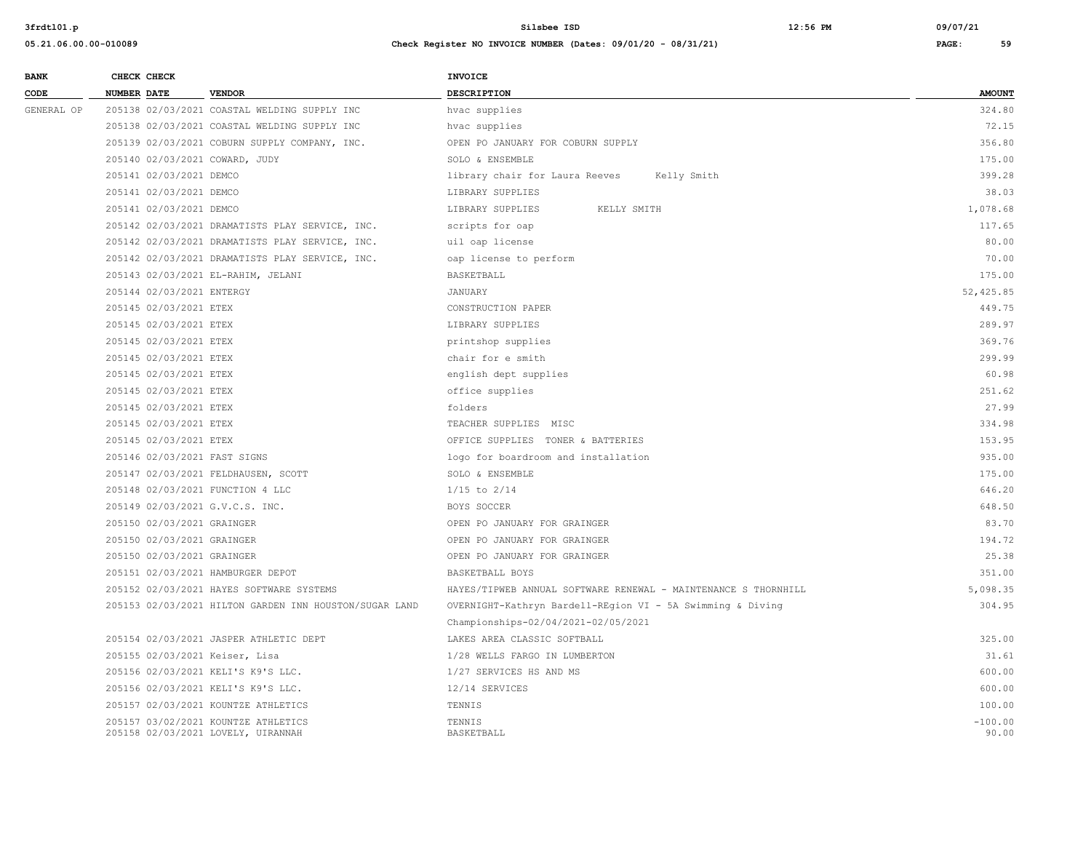| . . | -- | . | ـ |  |
|-----|----|---|---|--|

| <b>BANK</b> | CHECK CHECK |                            |                                                                           | <b>INVOICE</b>                                                 |                    |
|-------------|-------------|----------------------------|---------------------------------------------------------------------------|----------------------------------------------------------------|--------------------|
| CODE        | NUMBER DATE |                            | <b>VENDOR</b>                                                             | DESCRIPTION                                                    | <b>AMOUNT</b>      |
| GENERAL OP  |             |                            | 205138 02/03/2021 COASTAL WELDING SUPPLY INC                              | hvac supplies                                                  | 324.80             |
|             |             |                            | 205138 02/03/2021 COASTAL WELDING SUPPLY INC                              | hvac supplies                                                  | 72.15              |
|             |             |                            | 205139 02/03/2021 COBURN SUPPLY COMPANY, INC.                             | OPEN PO JANUARY FOR COBURN SUPPLY                              | 356.80             |
|             |             |                            | 205140 02/03/2021 COWARD, JUDY                                            | SOLO & ENSEMBLE                                                | 175.00             |
|             |             | 205141 02/03/2021 DEMCO    |                                                                           | library chair for Laura Reeves<br>Kelly Smith                  | 399.28             |
|             |             | 205141 02/03/2021 DEMCO    |                                                                           | LIBRARY SUPPLIES                                               | 38.03              |
|             |             | 205141 02/03/2021 DEMCO    |                                                                           | LIBRARY SUPPLIES<br>KELLY SMITH                                | 1,078.68           |
|             |             |                            | 205142 02/03/2021 DRAMATISTS PLAY SERVICE, INC.                           | scripts for oap                                                | 117.65             |
|             |             |                            | 205142 02/03/2021 DRAMATISTS PLAY SERVICE, INC.                           | uil oap license                                                | 80.00              |
|             |             |                            | 205142 02/03/2021 DRAMATISTS PLAY SERVICE, INC.                           | oap license to perform                                         | 70.00              |
|             |             |                            | 205143 02/03/2021 EL-RAHIM, JELANI                                        | BASKETBALL                                                     | 175.00             |
|             |             | 205144 02/03/2021 ENTERGY  |                                                                           | <b>JANUARY</b>                                                 | 52,425.85          |
|             |             | 205145 02/03/2021 ETEX     |                                                                           | CONSTRUCTION PAPER                                             | 449.75             |
|             |             | 205145 02/03/2021 ETEX     |                                                                           | LIBRARY SUPPLIES                                               | 289.97             |
|             |             | 205145 02/03/2021 ETEX     |                                                                           | printshop supplies                                             | 369.76             |
|             |             | 205145 02/03/2021 ETEX     |                                                                           | chair for e smith                                              | 299.99             |
|             |             | 205145 02/03/2021 ETEX     |                                                                           | english dept supplies                                          | 60.98              |
|             |             | 205145 02/03/2021 ETEX     |                                                                           | office supplies                                                | 251.62             |
|             |             | 205145 02/03/2021 ETEX     |                                                                           | folders                                                        | 27.99              |
|             |             | 205145 02/03/2021 ETEX     |                                                                           | TEACHER SUPPLIES MISC                                          | 334.98             |
|             |             | 205145 02/03/2021 ETEX     |                                                                           | OFFICE SUPPLIES TONER & BATTERIES                              | 153.95             |
|             |             |                            | 205146 02/03/2021 FAST SIGNS                                              | logo for boardroom and installation                            | 935.00             |
|             |             |                            | 205147 02/03/2021 FELDHAUSEN, SCOTT                                       | SOLO & ENSEMBLE                                                | 175.00             |
|             |             |                            | 205148 02/03/2021 FUNCTION 4 LLC                                          | $1/15$ to $2/14$                                               | 646.20             |
|             |             |                            | 205149 02/03/2021 G.V.C.S. INC.                                           | BOYS SOCCER                                                    | 648.50             |
|             |             | 205150 02/03/2021 GRAINGER |                                                                           | OPEN PO JANUARY FOR GRAINGER                                   | 83.70              |
|             |             | 205150 02/03/2021 GRAINGER |                                                                           | OPEN PO JANUARY FOR GRAINGER                                   | 194.72             |
|             |             | 205150 02/03/2021 GRAINGER |                                                                           | OPEN PO JANUARY FOR GRAINGER                                   | 25.38              |
|             |             |                            | 205151 02/03/2021 HAMBURGER DEPOT                                         | BASKETBALL BOYS                                                | 351.00             |
|             |             |                            | 205152 02/03/2021 HAYES SOFTWARE SYSTEMS                                  | HAYES/TIPWEB ANNUAL SOFTWARE RENEWAL - MAINTENANCE S THORNHILL | 5,098.35           |
|             |             |                            | 205153 02/03/2021 HILTON GARDEN INN HOUSTON/SUGAR LAND                    | OVERNIGHT-Kathryn Bardell-REgion VI - 5A Swimming & Diving     | 304.95             |
|             |             |                            |                                                                           | Championships-02/04/2021-02/05/2021                            |                    |
|             |             |                            | 205154 02/03/2021 JASPER ATHLETIC DEPT                                    | LAKES AREA CLASSIC SOFTBALL                                    | 325.00             |
|             |             |                            | 205155 02/03/2021 Keiser, Lisa                                            | 1/28 WELLS FARGO IN LUMBERTON                                  | 31.61              |
|             |             |                            | 205156 02/03/2021 KELI'S K9'S LLC.                                        | 1/27 SERVICES HS AND MS                                        | 600.00             |
|             |             |                            | 205156 02/03/2021 KELI'S K9'S LLC.                                        | 12/14 SERVICES                                                 | 600.00             |
|             |             |                            | 205157 02/03/2021 KOUNTZE ATHLETICS                                       | TENNIS                                                         | 100.00             |
|             |             |                            | 205157 03/02/2021 KOUNTZE ATHLETICS<br>205158 02/03/2021 LOVELY, UIRANNAH | TENNIS<br>BASKETBALL                                           | $-100.00$<br>90.00 |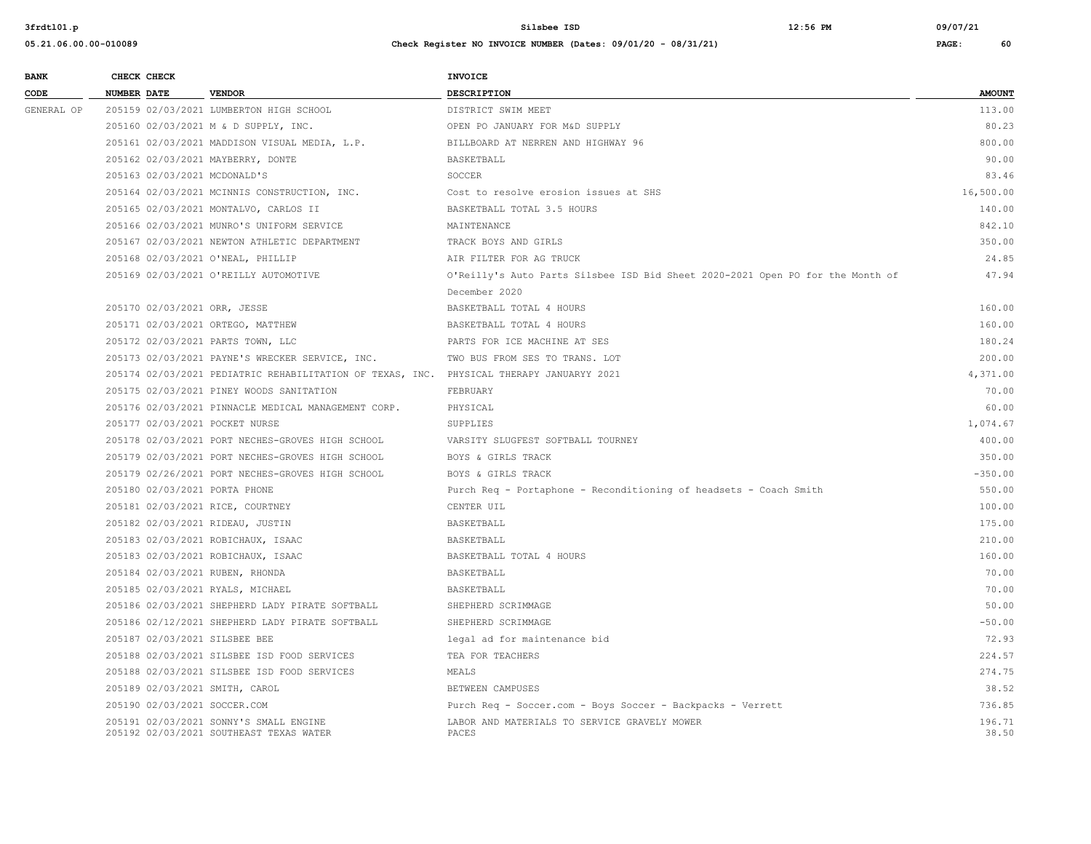| <b>BANK</b> |             | CHECK CHECK |                                                                                          | <b>INVOICE</b>                                                                 |                 |
|-------------|-------------|-------------|------------------------------------------------------------------------------------------|--------------------------------------------------------------------------------|-----------------|
| CODE        | NUMBER DATE |             | <b>VENDOR</b>                                                                            | DESCRIPTION                                                                    | <b>AMOUNT</b>   |
| GENERAL OP  |             |             | 205159 02/03/2021 LUMBERTON HIGH SCHOOL                                                  | DISTRICT SWIM MEET                                                             | 113.00          |
|             |             |             | 205160 02/03/2021 M & D SUPPLY, INC.                                                     | OPEN PO JANUARY FOR M&D SUPPLY                                                 | 80.23           |
|             |             |             | 205161 02/03/2021 MADDISON VISUAL MEDIA, L.P.                                            | BILLBOARD AT NERREN AND HIGHWAY 96                                             | 800.00          |
|             |             |             | 205162 02/03/2021 MAYBERRY, DONTE                                                        | BASKETBALL                                                                     | 90.00           |
|             |             |             | 205163 02/03/2021 MCDONALD'S                                                             | SOCCER                                                                         | 83.46           |
|             |             |             | 205164 02/03/2021 MCINNIS CONSTRUCTION, INC.                                             | Cost to resolve erosion issues at SHS                                          | 16,500.00       |
|             |             |             | 205165 02/03/2021 MONTALVO, CARLOS II                                                    | BASKETBALL TOTAL 3.5 HOURS                                                     | 140.00          |
|             |             |             | 205166 02/03/2021 MUNRO'S UNIFORM SERVICE                                                | MAINTENANCE                                                                    | 842.10          |
|             |             |             | 205167 02/03/2021 NEWTON ATHLETIC DEPARTMENT                                             | TRACK BOYS AND GIRLS                                                           | 350.00          |
|             |             |             | 205168 02/03/2021 O'NEAL, PHILLIP                                                        | AIR FILTER FOR AG TRUCK                                                        | 24.85           |
|             |             |             | 205169 02/03/2021 O'REILLY AUTOMOTIVE                                                    | O'Reilly's Auto Parts Silsbee ISD Bid Sheet 2020-2021 Open PO for the Month of | 47.94           |
|             |             |             |                                                                                          | December 2020                                                                  |                 |
|             |             |             | 205170 02/03/2021 ORR, JESSE                                                             | BASKETBALL TOTAL 4 HOURS                                                       | 160.00          |
|             |             |             | 205171 02/03/2021 ORTEGO, MATTHEW                                                        | BASKETBALL TOTAL 4 HOURS                                                       | 160.00          |
|             |             |             | 205172 02/03/2021 PARTS TOWN, LLC                                                        | PARTS FOR ICE MACHINE AT SES                                                   | 180.24          |
|             |             |             | 205173 02/03/2021 PAYNE'S WRECKER SERVICE, INC.                                          | TWO BUS FROM SES TO TRANS. LOT                                                 | 200.00          |
|             |             |             | 205174 02/03/2021 PEDIATRIC REHABILITATION OF TEXAS, INC. PHYSICAL THERAPY JANUARYY 2021 |                                                                                | 4,371.00        |
|             |             |             | 205175 02/03/2021 PINEY WOODS SANITATION                                                 | FEBRUARY                                                                       | 70.00           |
|             |             |             | 205176 02/03/2021 PINNACLE MEDICAL MANAGEMENT CORP.                                      | PHYSICAL                                                                       | 60.00           |
|             |             |             | 205177 02/03/2021 POCKET NURSE                                                           | SUPPLIES                                                                       | 1,074.67        |
|             |             |             | 205178 02/03/2021 PORT NECHES-GROVES HIGH SCHOOL                                         | VARSITY SLUGFEST SOFTBALL TOURNEY                                              | 400.00          |
|             |             |             | 205179 02/03/2021 PORT NECHES-GROVES HIGH SCHOOL                                         | BOYS & GIRLS TRACK                                                             | 350.00          |
|             |             |             | 205179 02/26/2021 PORT NECHES-GROVES HIGH SCHOOL                                         | BOYS & GIRLS TRACK                                                             | $-350.00$       |
|             |             |             | 205180 02/03/2021 PORTA PHONE                                                            | Purch Req - Portaphone - Reconditioning of headsets - Coach Smith              | 550.00          |
|             |             |             | 205181 02/03/2021 RICE, COURTNEY                                                         | CENTER UIL                                                                     | 100.00          |
|             |             |             | 205182 02/03/2021 RIDEAU, JUSTIN                                                         | BASKETBALL                                                                     | 175.00          |
|             |             |             | 205183 02/03/2021 ROBICHAUX, ISAAC                                                       | BASKETBALL                                                                     | 210.00          |
|             |             |             | 205183 02/03/2021 ROBICHAUX, ISAAC                                                       | BASKETBALL TOTAL 4 HOURS                                                       | 160.00          |
|             |             |             | 205184 02/03/2021 RUBEN, RHONDA                                                          | BASKETBALL                                                                     | 70.00           |
|             |             |             | 205185 02/03/2021 RYALS, MICHAEL                                                         | BASKETBALL                                                                     | 70.00           |
|             |             |             | 205186 02/03/2021 SHEPHERD LADY PIRATE SOFTBALL                                          | SHEPHERD SCRIMMAGE                                                             | 50.00           |
|             |             |             | 205186 02/12/2021 SHEPHERD LADY PIRATE SOFTBALL                                          | SHEPHERD SCRIMMAGE                                                             | $-50.00$        |
|             |             |             | 205187 02/03/2021 SILSBEE BEE                                                            | legal ad for maintenance bid                                                   | 72.93           |
|             |             |             | 205188 02/03/2021 SILSBEE ISD FOOD SERVICES                                              | TEA FOR TEACHERS                                                               | 224.57          |
|             |             |             | 205188 02/03/2021 SILSBEE ISD FOOD SERVICES                                              | MEALS                                                                          | 274.75          |
|             |             |             | 205189 02/03/2021 SMITH, CAROL                                                           | BETWEEN CAMPUSES                                                               | 38.52           |
|             |             |             | 205190 02/03/2021 SOCCER.COM                                                             | Purch Req - Soccer.com - Boys Soccer - Backpacks - Verrett                     | 736.85          |
|             |             |             | 205191 02/03/2021 SONNY'S SMALL ENGINE<br>205192 02/03/2021 SOUTHEAST TEXAS WATER        | LABOR AND MATERIALS TO SERVICE GRAVELY MOWER<br>PACES                          | 196.71<br>38.50 |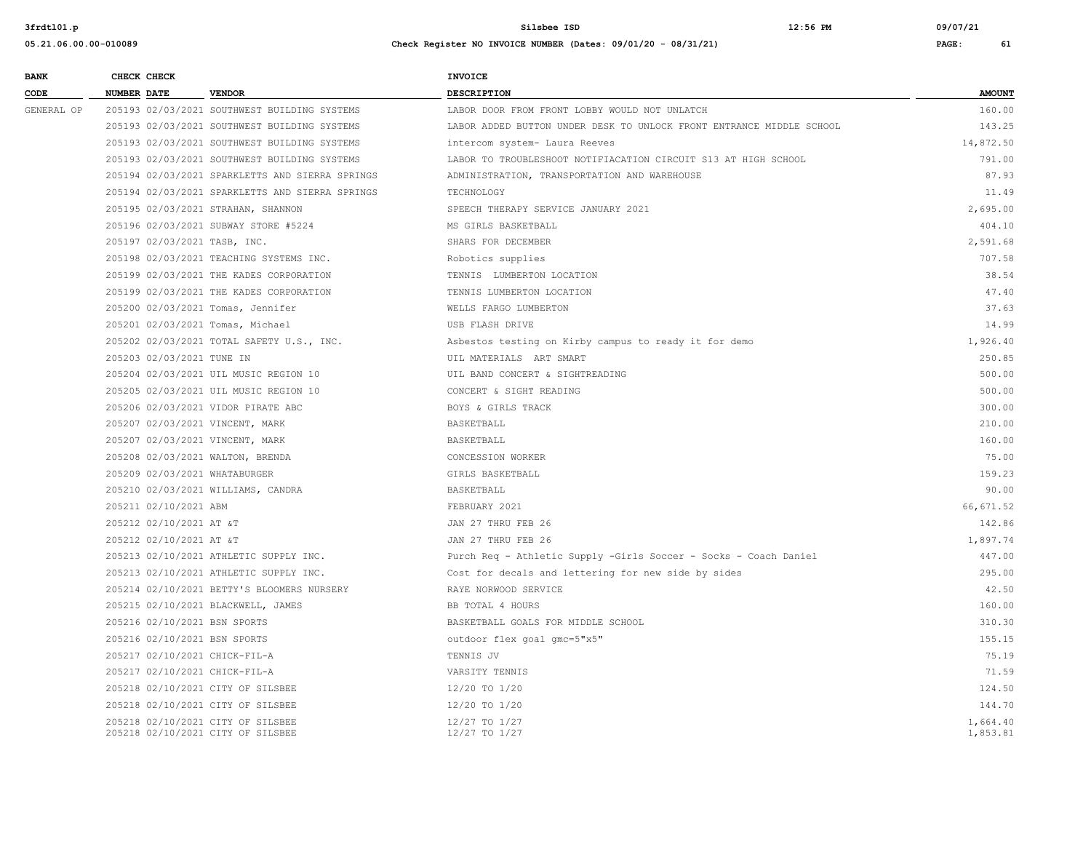**05.21.06.00.00-010089 Check Register NO INVOICE NUMBER (Dates: 09/01/20 - 08/31/21) PAGE: 61 BANK CHECK CHECK CHECK CODE NUMBER DATE VENDOR DESCRIPTION AMOUNT** GENERAL OP 205193 02/03/2021 SOUTHWEST BUILDING SYSTEMS LABOR DOOR FROM FRONT LOBBY WOULD NOT UNLATCH 160.00

| 205193 02/03/2021 SOUTHWEST BUILDING SYSTEMS                           | LABOR ADDED BUTTON UNDER DESK TO UNLOCK FRONT ENTRANCE MIDDLE SCHOOL | 143.25               |
|------------------------------------------------------------------------|----------------------------------------------------------------------|----------------------|
| 205193 02/03/2021 SOUTHWEST BUILDING SYSTEMS                           | intercom system- Laura Reeves                                        | 14,872.50            |
| 205193 02/03/2021 SOUTHWEST BUILDING SYSTEMS                           | LABOR TO TROUBLESHOOT NOTIFIACATION CIRCUIT S13 AT HIGH SCHOOL       | 791.00               |
| 205194 02/03/2021 SPARKLETTS AND SIERRA SPRINGS                        | ADMINISTRATION, TRANSPORTATION AND WAREHOUSE                         | 87.93                |
| 205194 02/03/2021 SPARKLETTS AND SIERRA SPRINGS                        | TECHNOLOGY                                                           | 11.49                |
| 205195 02/03/2021 STRAHAN, SHANNON                                     | SPEECH THERAPY SERVICE JANUARY 2021                                  | 2,695.00             |
| 205196 02/03/2021 SUBWAY STORE #5224                                   | MS GIRLS BASKETBALL                                                  | 404.10               |
| 205197 02/03/2021 TASB, INC.                                           | SHARS FOR DECEMBER                                                   | 2,591.68             |
| 205198 02/03/2021 TEACHING SYSTEMS INC.                                | Robotics supplies                                                    | 707.58               |
| 205199 02/03/2021 THE KADES CORPORATION                                | TENNIS LUMBERTON LOCATION                                            | 38.54                |
| 205199 02/03/2021 THE KADES CORPORATION                                | TENNIS LUMBERTON LOCATION                                            | 47.40                |
| 205200 02/03/2021 Tomas, Jennifer                                      | WELLS FARGO LUMBERTON                                                | 37.63                |
| 205201 02/03/2021 Tomas, Michael                                       | USB FLASH DRIVE                                                      | 14.99                |
| 205202 02/03/2021 TOTAL SAFETY U.S., INC.                              | Asbestos testing on Kirby campus to ready it for demo                | 1,926.40             |
| 205203 02/03/2021 TUNE IN                                              | UIL MATERIALS ART SMART                                              | 250.85               |
| 205204 02/03/2021 UIL MUSIC REGION 10                                  | UIL BAND CONCERT & SIGHTREADING                                      | 500.00               |
| 205205 02/03/2021 UIL MUSIC REGION 10                                  | CONCERT & SIGHT READING                                              | 500.00               |
| 205206 02/03/2021 VIDOR PIRATE ABC                                     | BOYS & GIRLS TRACK                                                   | 300.00               |
| 205207 02/03/2021 VINCENT, MARK                                        | BASKETBALL                                                           | 210.00               |
| 205207 02/03/2021 VINCENT, MARK                                        | BASKETBALL                                                           | 160.00               |
| 205208 02/03/2021 WALTON, BRENDA                                       | CONCESSION WORKER                                                    | 75.00                |
| 205209 02/03/2021 WHATABURGER                                          | GIRLS BASKETBALL                                                     | 159.23               |
| 205210 02/03/2021 WILLIAMS, CANDRA                                     | BASKETBALL                                                           | 90.00                |
| 205211 02/10/2021 ABM                                                  | FEBRUARY 2021                                                        | 66,671.52            |
| 205212 02/10/2021 AT &T                                                | JAN 27 THRU FEB 26                                                   | 142.86               |
| 205212 02/10/2021 AT &T                                                | JAN 27 THRU FEB 26                                                   | 1,897.74             |
| 205213 02/10/2021 ATHLETIC SUPPLY INC.                                 | Purch Req - Athletic Supply -Girls Soccer - Socks - Coach Daniel     | 447.00               |
| 205213 02/10/2021 ATHLETIC SUPPLY INC.                                 | Cost for decals and lettering for new side by sides                  | 295.00               |
| 205214 02/10/2021 BETTY'S BLOOMERS NURSERY                             | RAYE NORWOOD SERVICE                                                 | 42.50                |
| 205215 02/10/2021 BLACKWELL, JAMES                                     | BB TOTAL 4 HOURS                                                     | 160.00               |
| 205216 02/10/2021 BSN SPORTS                                           | BASKETBALL GOALS FOR MIDDLE SCHOOL                                   | 310.30               |
| 205216 02/10/2021 BSN SPORTS                                           | outdoor flex goal gmc=5"x5"                                          | 155.15               |
| 205217 02/10/2021 CHICK-FIL-A                                          | TENNIS JV                                                            | 75.19                |
| 205217 02/10/2021 CHICK-FIL-A                                          | VARSITY TENNIS                                                       | 71.59                |
| 205218 02/10/2021 CITY OF SILSBEE                                      | $12/20$ TO $1/20$                                                    | 124.50               |
| 205218 02/10/2021 CITY OF SILSBEE                                      | 12/20 TO 1/20                                                        | 144.70               |
| 205218 02/10/2021 CITY OF SILSBEE<br>205218 02/10/2021 CITY OF SILSBEE | 12/27 TO 1/27<br>12/27 TO 1/27                                       | 1,664.40<br>1,853.81 |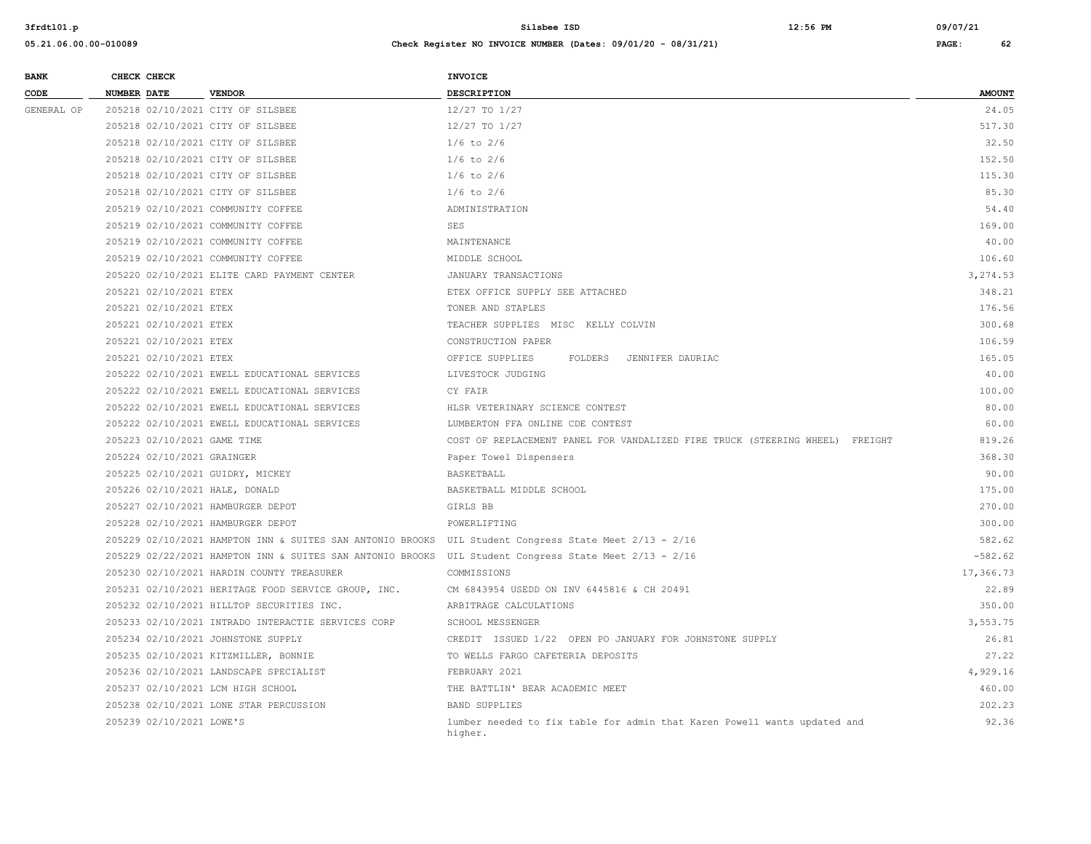| <b>BANK</b> |                    | CHECK CHECK                 |                                                           | <b>INVOICE</b>                                                                      |               |
|-------------|--------------------|-----------------------------|-----------------------------------------------------------|-------------------------------------------------------------------------------------|---------------|
| CODE        | <b>NUMBER DATE</b> |                             | <b>VENDOR</b>                                             | DESCRIPTION                                                                         | <b>AMOUNT</b> |
| GENERAL OP  |                    |                             | 205218 02/10/2021 CITY OF SILSBEE                         | 12/27 TO 1/27                                                                       | 24.05         |
|             |                    |                             | 205218 02/10/2021 CITY OF SILSBEE                         | 12/27 TO 1/27                                                                       | 517.30        |
|             |                    |                             | 205218 02/10/2021 CITY OF SILSBEE                         | $1/6$ to $2/6$                                                                      | 32.50         |
|             |                    |                             | 205218 02/10/2021 CITY OF SILSBEE                         | $1/6$ to $2/6$                                                                      | 152.50        |
|             |                    |                             | 205218 02/10/2021 CITY OF SILSBEE                         | $1/6$ to $2/6$                                                                      | 115.30        |
|             |                    |                             | 205218 02/10/2021 CITY OF SILSBEE                         | $1/6$ to $2/6$                                                                      | 85.30         |
|             |                    |                             | 205219 02/10/2021 COMMUNITY COFFEE                        | ADMINISTRATION                                                                      | 54.40         |
|             |                    |                             | 205219 02/10/2021 COMMUNITY COFFEE                        | SES                                                                                 | 169.00        |
|             |                    |                             | 205219 02/10/2021 COMMUNITY COFFEE                        | MAINTENANCE                                                                         | 40.00         |
|             |                    |                             | 205219 02/10/2021 COMMUNITY COFFEE                        | MIDDLE SCHOOL                                                                       | 106.60        |
|             |                    |                             | 205220 02/10/2021 ELITE CARD PAYMENT CENTER               | JANUARY TRANSACTIONS                                                                | 3,274.53      |
|             |                    | 205221 02/10/2021 ETEX      |                                                           | ETEX OFFICE SUPPLY SEE ATTACHED                                                     | 348.21        |
|             |                    | 205221 02/10/2021 ETEX      |                                                           | TONER AND STAPLES                                                                   | 176.56        |
|             |                    | 205221 02/10/2021 ETEX      |                                                           | TEACHER SUPPLIES MISC KELLY COLVIN                                                  | 300.68        |
|             |                    | 205221 02/10/2021 ETEX      |                                                           | CONSTRUCTION PAPER                                                                  | 106.59        |
|             |                    | 205221 02/10/2021 ETEX      |                                                           | OFFICE SUPPLIES<br>FOLDERS<br>JENNIFER DAURIAC                                      | 165.05        |
|             |                    |                             | 205222 02/10/2021 EWELL EDUCATIONAL SERVICES              | LIVESTOCK JUDGING                                                                   | 40.00         |
|             |                    |                             | 205222 02/10/2021 EWELL EDUCATIONAL SERVICES              | CY FAIR                                                                             | 100.00        |
|             |                    |                             | 205222 02/10/2021 EWELL EDUCATIONAL SERVICES              | HLSR VETERINARY SCIENCE CONTEST                                                     | 80.00         |
|             |                    |                             | 205222 02/10/2021 EWELL EDUCATIONAL SERVICES              | LUMBERTON FFA ONLINE CDE CONTEST                                                    | 60.00         |
|             |                    | 205223 02/10/2021 GAME TIME |                                                           | COST OF REPLACEMENT PANEL FOR VANDALIZED FIRE TRUCK (STEERING WHEEL) FREIGHT        | 819.26        |
|             |                    | 205224 02/10/2021 GRAINGER  |                                                           | Paper Towel Dispensers                                                              | 368.30        |
|             |                    |                             | 205225 02/10/2021 GUIDRY, MICKEY                          | BASKETBALL                                                                          | 90.00         |
|             |                    |                             | 205226 02/10/2021 HALE, DONALD                            | BASKETBALL MIDDLE SCHOOL                                                            | 175.00        |
|             |                    |                             | 205227 02/10/2021 HAMBURGER DEPOT                         | GIRLS BB                                                                            | 270.00        |
|             |                    |                             | 205228 02/10/2021 HAMBURGER DEPOT                         | POWERLIFTING                                                                        | 300.00        |
|             |                    |                             | 205229 02/10/2021 HAMPTON INN & SUITES SAN ANTONIO BROOKS | UIL Student Congress State Meet 2/13 - 2/16                                         | 582.62        |
|             |                    |                             | 205229 02/22/2021 HAMPTON INN & SUITES SAN ANTONIO BROOKS | UIL Student Congress State Meet 2/13 - 2/16                                         | $-582.62$     |
|             |                    |                             | 205230 02/10/2021 HARDIN COUNTY TREASURER                 | COMMISSIONS                                                                         | 17,366.73     |
|             |                    |                             | 205231 02/10/2021 HERITAGE FOOD SERVICE GROUP, INC.       | CM 6843954 USEDD ON INV 6445816 & CH 20491                                          | 22.89         |
|             |                    |                             | 205232 02/10/2021 HILLTOP SECURITIES INC.                 | ARBITRAGE CALCULATIONS                                                              | 350.00        |
|             |                    |                             | 205233 02/10/2021 INTRADO INTERACTIE SERVICES CORP        | SCHOOL MESSENGER                                                                    | 3,553.75      |
|             |                    |                             | 205234 02/10/2021 JOHNSTONE SUPPLY                        | CREDIT ISSUED 1/22 OPEN PO JANUARY FOR JOHNSTONE SUPPLY                             | 26.81         |
|             |                    |                             | 205235 02/10/2021 KITZMILLER, BONNIE                      | TO WELLS FARGO CAFETERIA DEPOSITS                                                   | 27.22         |
|             |                    |                             | 205236 02/10/2021 LANDSCAPE SPECIALIST                    | FEBRUARY 2021                                                                       | 4,929.16      |
|             |                    |                             | 205237 02/10/2021 LCM HIGH SCHOOL                         | THE BATTLIN' BEAR ACADEMIC MEET                                                     | 460.00        |
|             |                    |                             | 205238 02/10/2021 LONE STAR PERCUSSION                    | <b>BAND SUPPLIES</b>                                                                | 202.23        |
|             |                    | 205239 02/10/2021 LOWE'S    |                                                           | lumber needed to fix table for admin that Karen Powell wants updated and<br>higher. | 92.36         |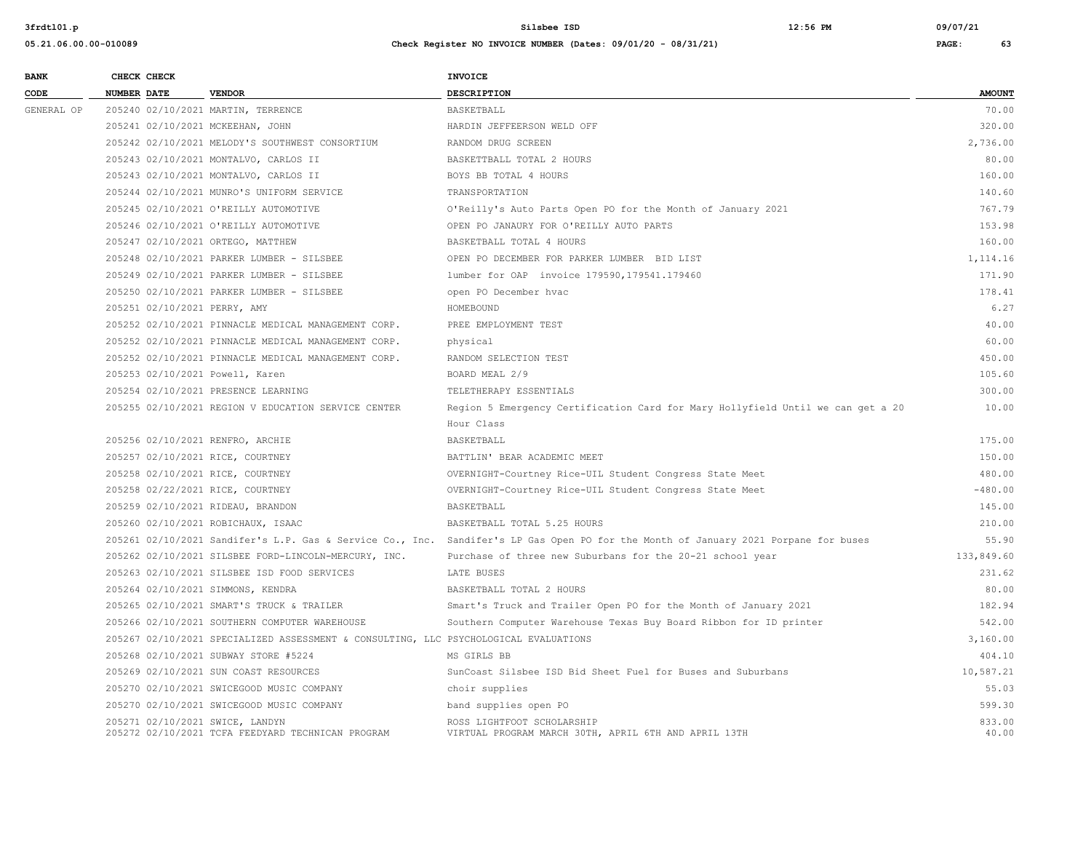| <b>BANK</b> | CHECK CHECK        |  |                                                                                                                                            | <b>INVOICE</b>                                                                                                                      |                 |
|-------------|--------------------|--|--------------------------------------------------------------------------------------------------------------------------------------------|-------------------------------------------------------------------------------------------------------------------------------------|-----------------|
| CODE        | <b>NUMBER DATE</b> |  | <b>VENDOR</b>                                                                                                                              | <b>DESCRIPTION</b>                                                                                                                  | <b>AMOUNT</b>   |
| GENERAL OP  |                    |  | 205240 02/10/2021 MARTIN, TERRENCE                                                                                                         | BASKETBALL                                                                                                                          | 70.00           |
|             |                    |  | 205241 02/10/2021 MCKEEHAN, JOHN                                                                                                           | HARDIN JEFFEERSON WELD OFF                                                                                                          | 320.00          |
|             |                    |  | 205242 02/10/2021 MELODY'S SOUTHWEST CONSORTIUM                                                                                            | RANDOM DRUG SCREEN                                                                                                                  | 2,736.00        |
|             |                    |  | 205243 02/10/2021 MONTALVO, CARLOS II                                                                                                      | BASKETTBALL TOTAL 2 HOURS                                                                                                           | 80.00           |
|             |                    |  | 205243 02/10/2021 MONTALVO, CARLOS II                                                                                                      | BOYS BB TOTAL 4 HOURS                                                                                                               | 160.00          |
|             |                    |  | 205244 02/10/2021 MUNRO'S UNIFORM SERVICE                                                                                                  | TRANSPORTATION                                                                                                                      | 140.60          |
|             |                    |  | 205245 02/10/2021 O'REILLY AUTOMOTIVE                                                                                                      | O'Reilly's Auto Parts Open PO for the Month of January 2021                                                                         | 767.79          |
|             |                    |  | 205246 02/10/2021 O'REILLY AUTOMOTIVE                                                                                                      | OPEN PO JANAURY FOR O'REILLY AUTO PARTS                                                                                             | 153.98          |
|             |                    |  | 205247 02/10/2021 ORTEGO, MATTHEW                                                                                                          | BASKETBALL TOTAL 4 HOURS                                                                                                            | 160.00          |
|             |                    |  | 205248 02/10/2021 PARKER LUMBER - SILSBEE                                                                                                  | OPEN PO DECEMBER FOR PARKER LUMBER BID LIST                                                                                         | 1,114.16        |
|             |                    |  | 205249 02/10/2021 PARKER LUMBER - SILSBEE                                                                                                  | lumber for OAP invoice 179590, 179541.179460                                                                                        | 171.90          |
|             |                    |  | 205250 02/10/2021 PARKER LUMBER - SILSBEE                                                                                                  | open PO December hvac                                                                                                               | 178.41          |
|             |                    |  | 205251 02/10/2021 PERRY, AMY<br>205252 02/10/2021 PINNACLE MEDICAL MANAGEMENT CORP.<br>205252 02/10/2021 PINNACLE MEDICAL MANAGEMENT CORP. | HOMEBOUND                                                                                                                           | 6.27            |
|             |                    |  |                                                                                                                                            | PREE EMPLOYMENT TEST                                                                                                                | 40.00           |
|             |                    |  |                                                                                                                                            | physical                                                                                                                            | 60.00           |
|             |                    |  | 205252 02/10/2021 PINNACLE MEDICAL MANAGEMENT CORP.                                                                                        | RANDOM SELECTION TEST                                                                                                               | 450.00          |
|             |                    |  | 205253 02/10/2021 Powell, Karen                                                                                                            | BOARD MEAL 2/9                                                                                                                      | 105.60          |
|             |                    |  | 205254 02/10/2021 PRESENCE LEARNING                                                                                                        | TELETHERAPY ESSENTIALS                                                                                                              | 300.00          |
|             |                    |  | 205255 02/10/2021 REGION V EDUCATION SERVICE CENTER                                                                                        | Region 5 Emergency Certification Card for Mary Hollyfield Until we can get a 20                                                     | 10.00           |
|             |                    |  |                                                                                                                                            | Hour Class                                                                                                                          |                 |
|             |                    |  | 205256 02/10/2021 RENFRO, ARCHIE                                                                                                           | <b>BASKETBALL</b>                                                                                                                   | 175.00          |
|             |                    |  | 205257 02/10/2021 RICE, COURTNEY                                                                                                           | BATTLIN' BEAR ACADEMIC MEET                                                                                                         | 150.00          |
|             |                    |  | 205258 02/10/2021 RICE, COURTNEY                                                                                                           | OVERNIGHT-Courtney Rice-UIL Student Congress State Meet                                                                             | 480.00          |
|             |                    |  | 205258 02/22/2021 RICE, COURTNEY                                                                                                           | OVERNIGHT-Courtney Rice-UIL Student Congress State Meet                                                                             | $-480.00$       |
|             |                    |  | 205259 02/10/2021 RIDEAU, BRANDON                                                                                                          | BASKETBALL                                                                                                                          | 145.00          |
|             |                    |  | 205260 02/10/2021 ROBICHAUX, ISAAC                                                                                                         | BASKETBALL TOTAL 5.25 HOURS                                                                                                         | 210.00          |
|             |                    |  |                                                                                                                                            | 205261 02/10/2021 Sandifer's L.P. Gas & Service Co., Inc. Sandifer's LP Gas Open PO for the Month of January 2021 Porpane for buses | 55.90           |
|             |                    |  | 205262 02/10/2021 SILSBEE FORD-LINCOLN-MERCURY, INC.                                                                                       | Purchase of three new Suburbans for the 20-21 school year                                                                           | 133,849.60      |
|             |                    |  | 205263 02/10/2021 SILSBEE ISD FOOD SERVICES                                                                                                | LATE BUSES                                                                                                                          | 231.62          |
|             |                    |  | 205264 02/10/2021 SIMMONS, KENDRA                                                                                                          | BASKETBALL TOTAL 2 HOURS                                                                                                            | 80.00           |
|             |                    |  | 205265 02/10/2021 SMART'S TRUCK & TRAILER                                                                                                  | Smart's Truck and Trailer Open PO for the Month of January 2021                                                                     | 182.94          |
|             |                    |  | 205266 02/10/2021 SOUTHERN COMPUTER WAREHOUSE                                                                                              | Southern Computer Warehouse Texas Buy Board Ribbon for ID printer                                                                   | 542.00          |
|             |                    |  | 205267 02/10/2021 SPECIALIZED ASSESSMENT & CONSULTING, LLC PSYCHOLOGICAL EVALUATIONS                                                       |                                                                                                                                     | 3,160.00        |
|             |                    |  | 205268 02/10/2021 SUBWAY STORE #5224                                                                                                       | MS GIRLS BB                                                                                                                         | 404.10          |
|             |                    |  | 205269 02/10/2021 SUN COAST RESOURCES                                                                                                      | SunCoast Silsbee ISD Bid Sheet Fuel for Buses and Suburbans                                                                         | 10,587.21       |
|             |                    |  | 205270 02/10/2021 SWICEGOOD MUSIC COMPANY                                                                                                  | choir supplies                                                                                                                      | 55.03           |
|             |                    |  | 205270 02/10/2021 SWICEGOOD MUSIC COMPANY                                                                                                  | band supplies open PO                                                                                                               | 599.30          |
|             |                    |  | 205271 02/10/2021 SWICE, LANDYN<br>205272 02/10/2021 TCFA FEEDYARD TECHNICAN PROGRAM                                                       | ROSS LIGHTFOOT SCHOLARSHIP<br>VIRTUAL PROGRAM MARCH 30TH, APRIL 6TH AND APRIL 13TH                                                  | 833.00<br>40.00 |
|             |                    |  |                                                                                                                                            |                                                                                                                                     |                 |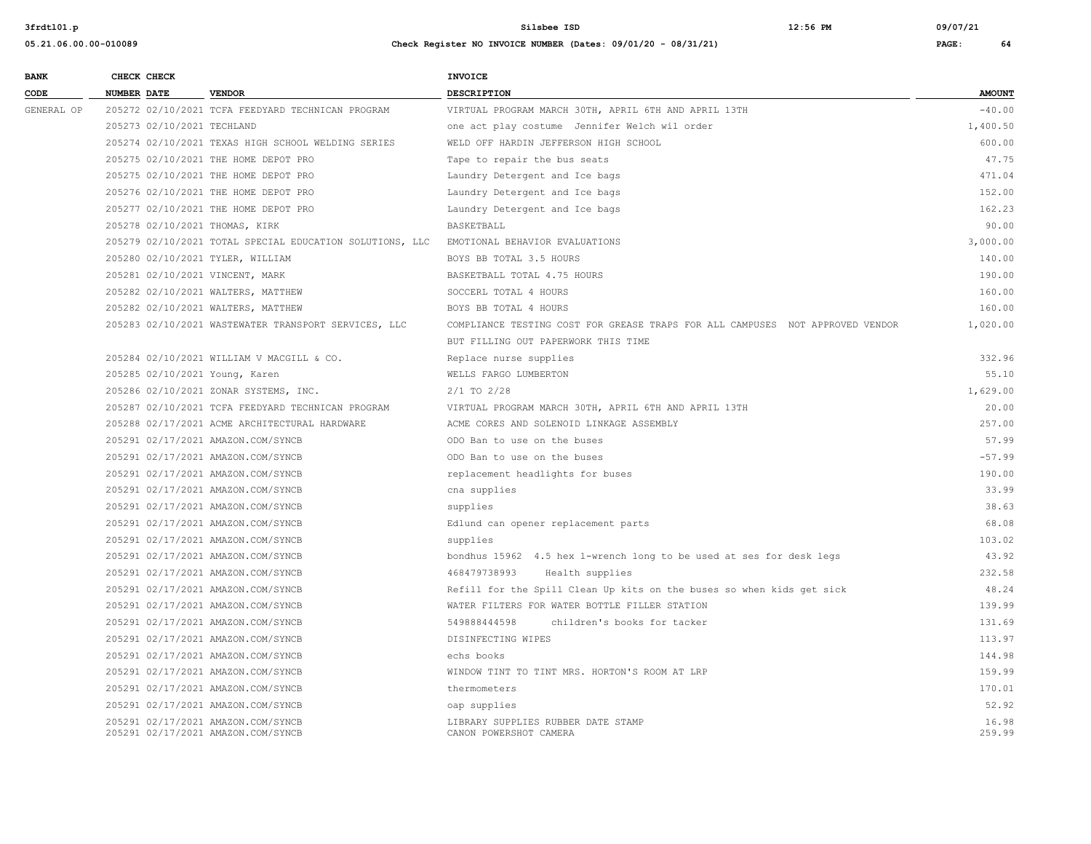| <b>BANK</b> | CHECK CHECK                        |                                                          | INVOICE                                                                       |               |
|-------------|------------------------------------|----------------------------------------------------------|-------------------------------------------------------------------------------|---------------|
| CODE        | NUMBER DATE                        | <b>VENDOR</b>                                            | <b>DESCRIPTION</b>                                                            | <b>AMOUNT</b> |
| GENERAL OP  |                                    | 205272 02/10/2021 TCFA FEEDYARD TECHNICAN PROGRAM        | VIRTUAL PROGRAM MARCH 30TH, APRIL 6TH AND APRIL 13TH                          | $-40.00$      |
|             | 205273 02/10/2021 TECHLAND         |                                                          | one act play costume Jennifer Welch wil order                                 | 1,400.50      |
|             |                                    | 205274 02/10/2021 TEXAS HIGH SCHOOL WELDING SERIES       | WELD OFF HARDIN JEFFERSON HIGH SCHOOL                                         | 600.00        |
|             |                                    | 205275 02/10/2021 THE HOME DEPOT PRO                     | Tape to repair the bus seats                                                  | 47.75         |
|             |                                    | 205275 02/10/2021 THE HOME DEPOT PRO                     | Laundry Detergent and Ice bags                                                | 471.04        |
|             |                                    | 205276 02/10/2021 THE HOME DEPOT PRO                     | Laundry Detergent and Ice bags                                                | 152.00        |
|             |                                    | 205277 02/10/2021 THE HOME DEPOT PRO                     | Laundry Detergent and Ice bags                                                | 162.23        |
|             | 205278 02/10/2021 THOMAS, KIRK     |                                                          | <b>BASKETBALL</b>                                                             | 90.00         |
|             |                                    | 205279 02/10/2021 TOTAL SPECIAL EDUCATION SOLUTIONS, LLC | EMOTIONAL BEHAVIOR EVALUATIONS                                                | 3,000.00      |
|             | 205280 02/10/2021 TYLER, WILLIAM   |                                                          | BOYS BB TOTAL 3.5 HOURS                                                       | 140.00        |
|             | 205281 02/10/2021 VINCENT, MARK    |                                                          | BASKETBALL TOTAL 4.75 HOURS                                                   | 190.00        |
|             |                                    | 205282 02/10/2021 WALTERS, MATTHEW                       | SOCCERL TOTAL 4 HOURS                                                         | 160.00        |
|             |                                    | 205282 02/10/2021 WALTERS, MATTHEW                       | BOYS BB TOTAL 4 HOURS                                                         | 160.00        |
|             |                                    | 205283 02/10/2021 WASTEWATER TRANSPORT SERVICES, LLC     | COMPLIANCE TESTING COST FOR GREASE TRAPS FOR ALL CAMPUSES NOT APPROVED VENDOR | 1,020.00      |
|             |                                    |                                                          | BUT FILLING OUT PAPERWORK THIS TIME                                           |               |
|             |                                    | 205284 02/10/2021 WILLIAM V MACGILL & CO.                | Replace nurse supplies                                                        | 332.96        |
|             | 205285 02/10/2021 Young, Karen     |                                                          | WELLS FARGO LUMBERTON                                                         | 55.10         |
|             |                                    | 205286 02/10/2021 ZONAR SYSTEMS, INC.                    | 2/1 TO 2/28                                                                   | 1,629.00      |
|             |                                    | 205287 02/10/2021 TCFA FEEDYARD TECHNICAN PROGRAM        | VIRTUAL PROGRAM MARCH 30TH, APRIL 6TH AND APRIL 13TH                          | 20.00         |
|             |                                    | 205288 02/17/2021 ACME ARCHITECTURAL HARDWARE            | ACME CORES AND SOLENOID LINKAGE ASSEMBLY                                      | 257.00        |
|             |                                    | 205291 02/17/2021 AMAZON.COM/SYNCB                       | ODO Ban to use on the buses                                                   | 57.99         |
|             |                                    | 205291 02/17/2021 AMAZON.COM/SYNCB                       | ODO Ban to use on the buses                                                   | $-57.99$      |
|             |                                    | 205291 02/17/2021 AMAZON.COM/SYNCB                       | replacement headlights for buses                                              | 190.00        |
|             |                                    | 205291 02/17/2021 AMAZON.COM/SYNCB                       | cna supplies                                                                  | 33.99         |
|             |                                    | 205291 02/17/2021 AMAZON.COM/SYNCB                       | supplies                                                                      | 38.63         |
|             | 205291 02/17/2021 AMAZON.COM/SYNCB |                                                          | Edlund can opener replacement parts                                           | 68.08         |
|             | 205291 02/17/2021 AMAZON.COM/SYNCB |                                                          | supplies                                                                      | 103.02        |
|             |                                    | 205291 02/17/2021 AMAZON.COM/SYNCB                       | bondhus 15962 4.5 hex 1-wrench long to be used at ses for desk legs           | 43.92         |
|             |                                    | 205291 02/17/2021 AMAZON.COM/SYNCB                       | 468479738993<br>Health supplies                                               | 232.58        |
|             |                                    | 205291 02/17/2021 AMAZON.COM/SYNCB                       | Refill for the Spill Clean Up kits on the buses so when kids get sick         | 48.24         |
|             |                                    | 205291 02/17/2021 AMAZON.COM/SYNCB                       | WATER FILTERS FOR WATER BOTTLE FILLER STATION                                 | 139.99        |
|             |                                    | 205291 02/17/2021 AMAZON.COM/SYNCB                       | 549888444598<br>children's books for tacker                                   | 131.69        |
|             |                                    | 205291 02/17/2021 AMAZON.COM/SYNCB                       | DISINFECTING WIPES                                                            | 113.97        |
|             | 205291 02/17/2021 AMAZON.COM/SYNCB |                                                          | echs books                                                                    | 144.98        |
|             |                                    | 205291 02/17/2021 AMAZON.COM/SYNCB                       | WINDOW TINT TO TINT MRS. HORTON'S ROOM AT LRP                                 | 159.99        |
|             |                                    | 205291 02/17/2021 AMAZON.COM/SYNCB                       | thermometers                                                                  | 170.01        |
|             |                                    | 205291 02/17/2021 AMAZON.COM/SYNCB                       | oap supplies                                                                  | 52.92         |
|             |                                    | 205291 02/17/2021 AMAZON.COM/SYNCB                       | LIBRARY SUPPLIES RUBBER DATE STAMP                                            | 16.98         |
|             |                                    | 205291 02/17/2021 AMAZON.COM/SYNCB                       | CANON POWERSHOT CAMERA                                                        | 259.99        |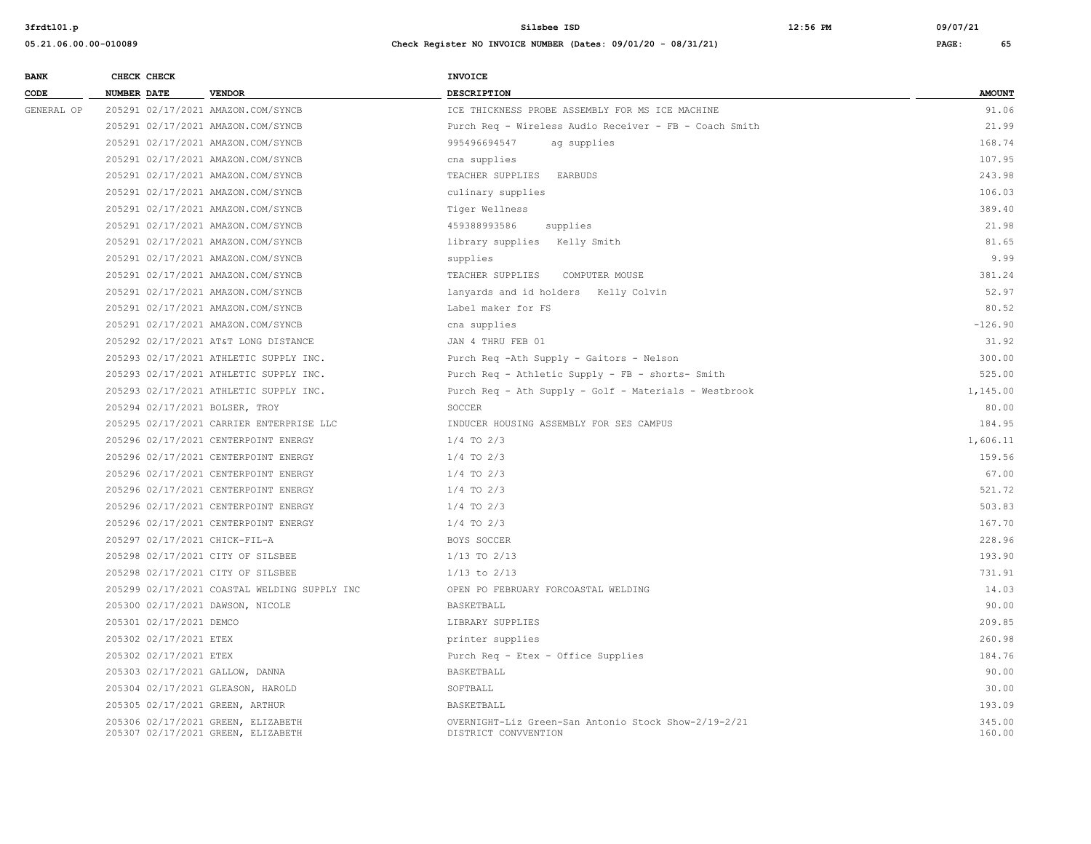| <b>BANK</b> |                    | CHECK CHECK             |                                                                          | <b>INVOICE</b>                                                               |                  |
|-------------|--------------------|-------------------------|--------------------------------------------------------------------------|------------------------------------------------------------------------------|------------------|
| CODE        | <b>NUMBER DATE</b> |                         | <b>VENDOR</b>                                                            | <b>DESCRIPTION</b>                                                           | <b>AMOUNT</b>    |
| GENERAL OP  |                    |                         | 205291 02/17/2021 AMAZON.COM/SYNCB                                       | ICE THICKNESS PROBE ASSEMBLY FOR MS ICE MACHINE                              | 91.06            |
|             |                    |                         | 205291 02/17/2021 AMAZON.COM/SYNCB                                       | Purch Req - Wireless Audio Receiver - FB - Coach Smith                       | 21.99            |
|             |                    |                         | 205291 02/17/2021 AMAZON.COM/SYNCB                                       | 995496694547<br>ag supplies                                                  | 168.74           |
|             |                    |                         | 205291 02/17/2021 AMAZON.COM/SYNCB                                       | cna supplies                                                                 | 107.95           |
|             |                    |                         | 205291 02/17/2021 AMAZON.COM/SYNCB                                       | TEACHER SUPPLIES<br>EARBUDS                                                  | 243.98           |
|             |                    |                         | 205291 02/17/2021 AMAZON.COM/SYNCB                                       | culinary supplies                                                            | 106.03           |
|             |                    |                         | 205291 02/17/2021 AMAZON.COM/SYNCB                                       | Tiger Wellness                                                               | 389.40           |
|             |                    |                         | 205291 02/17/2021 AMAZON.COM/SYNCB                                       | 459388993586<br>supplies                                                     | 21.98            |
|             |                    |                         | 205291 02/17/2021 AMAZON.COM/SYNCB                                       | library supplies Kelly Smith                                                 | 81.65            |
|             |                    |                         | 205291 02/17/2021 AMAZON.COM/SYNCB                                       | supplies                                                                     | 9.99             |
|             |                    |                         | 205291 02/17/2021 AMAZON.COM/SYNCB                                       | TEACHER SUPPLIES<br>COMPUTER MOUSE                                           | 381.24           |
|             |                    |                         | 205291 02/17/2021 AMAZON.COM/SYNCB                                       | lanyards and id holders Kelly Colvin                                         | 52.97            |
|             |                    |                         | 205291 02/17/2021 AMAZON.COM/SYNCB                                       | Label maker for FS                                                           | 80.52            |
|             |                    |                         | 205291 02/17/2021 AMAZON.COM/SYNCB                                       | cna supplies                                                                 | $-126.90$        |
|             |                    |                         | 205292 02/17/2021 AT&T LONG DISTANCE                                     | JAN 4 THRU FEB 01                                                            | 31.92            |
|             |                    |                         | 205293 02/17/2021 ATHLETIC SUPPLY INC.                                   | Purch Req -Ath Supply - Gaitors - Nelson                                     | 300.00           |
|             |                    |                         | 205293 02/17/2021 ATHLETIC SUPPLY INC.                                   | Purch Req - Athletic Supply - FB - shorts- Smith                             | 525.00           |
|             |                    |                         | 205293 02/17/2021 ATHLETIC SUPPLY INC.                                   | Purch Req - Ath Supply - Golf - Materials - Westbrook                        | 1,145.00         |
|             |                    |                         | 205294 02/17/2021 BOLSER, TROY                                           | SOCCER                                                                       | 80.00            |
|             |                    |                         | 205295 02/17/2021 CARRIER ENTERPRISE LLC                                 | INDUCER HOUSING ASSEMBLY FOR SES CAMPUS                                      | 184.95           |
|             |                    |                         | 205296 02/17/2021 CENTERPOINT ENERGY                                     | $1/4$ TO $2/3$                                                               | 1,606.11         |
|             |                    |                         | 205296 02/17/2021 CENTERPOINT ENERGY                                     | $1/4$ TO $2/3$                                                               | 159.56           |
|             |                    |                         | 205296 02/17/2021 CENTERPOINT ENERGY                                     | $1/4$ TO $2/3$                                                               | 67.00            |
|             |                    |                         | 205296 02/17/2021 CENTERPOINT ENERGY                                     | $1/4$ TO $2/3$                                                               | 521.72           |
|             |                    |                         | 205296 02/17/2021 CENTERPOINT ENERGY                                     | $1/4$ TO $2/3$                                                               | 503.83           |
|             |                    |                         | 205296 02/17/2021 CENTERPOINT ENERGY                                     | $1/4$ TO $2/3$                                                               | 167.70           |
|             |                    |                         | 205297 02/17/2021 CHICK-FIL-A                                            | BOYS SOCCER                                                                  | 228.96           |
|             |                    |                         | 205298 02/17/2021 CITY OF SILSBEE                                        | $1/13$ TO $2/13$                                                             | 193.90           |
|             |                    |                         | 205298 02/17/2021 CITY OF SILSBEE                                        | $1/13$ to $2/13$                                                             | 731.91           |
|             |                    |                         | 205299 02/17/2021 COASTAL WELDING SUPPLY INC                             | OPEN PO FEBRUARY FORCOASTAL WELDING                                          | 14.03            |
|             |                    |                         | 205300 02/17/2021 DAWSON, NICOLE                                         | BASKETBALL                                                                   | 90.00            |
|             |                    | 205301 02/17/2021 DEMCO |                                                                          | LIBRARY SUPPLIES                                                             | 209.85           |
|             |                    | 205302 02/17/2021 ETEX  |                                                                          | printer supplies                                                             | 260.98           |
|             |                    | 205302 02/17/2021 ETEX  |                                                                          | Purch Req - Etex - Office Supplies                                           | 184.76           |
|             |                    |                         | 205303 02/17/2021 GALLOW, DANNA                                          | BASKETBALL                                                                   | 90.00            |
|             |                    |                         | 205304 02/17/2021 GLEASON, HAROLD                                        | SOFTBALL                                                                     | 30.00            |
|             |                    |                         | 205305 02/17/2021 GREEN, ARTHUR                                          | BASKETBALL                                                                   | 193.09           |
|             |                    |                         | 205306 02/17/2021 GREEN, ELIZABETH<br>205307 02/17/2021 GREEN, ELIZABETH | OVERNIGHT-Liz Green-San Antonio Stock Show-2/19-2/21<br>DISTRICT CONVVENTION | 345.00<br>160.00 |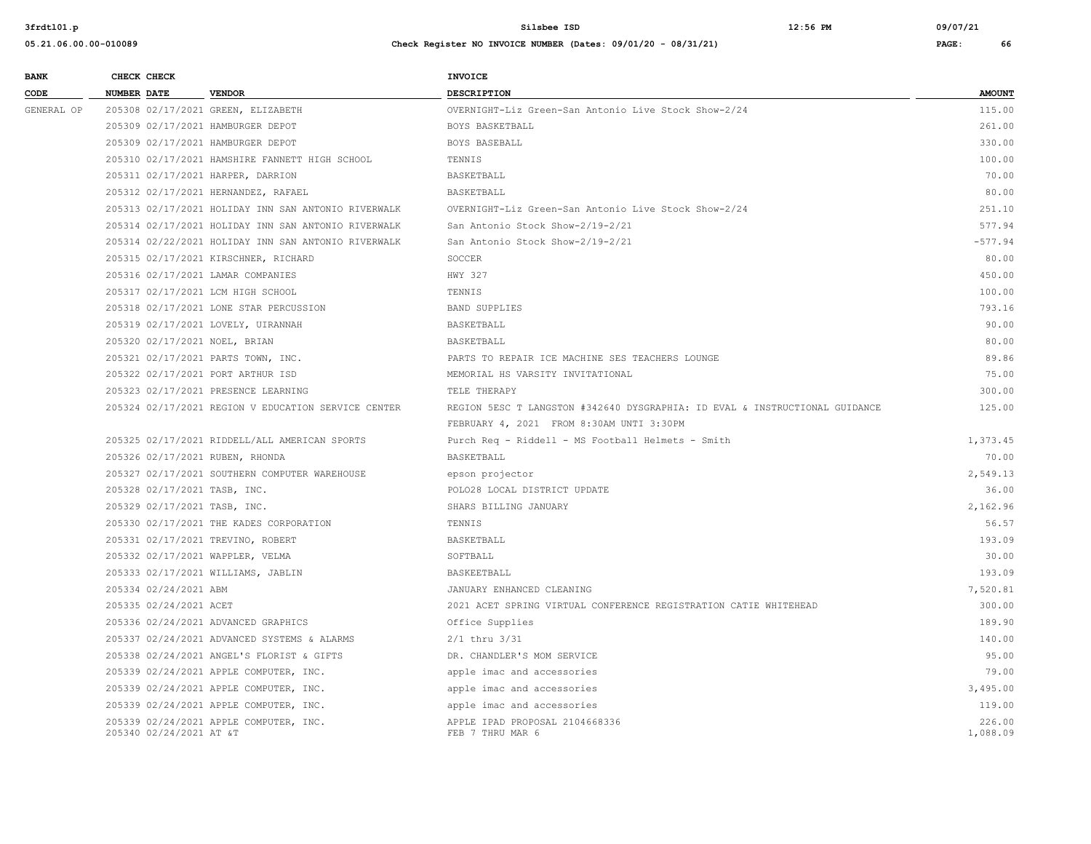| <b>BANK</b> | CHECK CHECK                     |                                                     | <b>INVOICE</b>                                                              |                    |
|-------------|---------------------------------|-----------------------------------------------------|-----------------------------------------------------------------------------|--------------------|
| CODE        | <b>NUMBER DATE</b>              | <b>VENDOR</b>                                       | <b>DESCRIPTION</b>                                                          | <b>AMOUNT</b>      |
| GENERAL OP  |                                 | 205308 02/17/2021 GREEN, ELIZABETH                  | OVERNIGHT-Liz Green-San Antonio Live Stock Show-2/24                        | 115.00             |
|             |                                 | 205309 02/17/2021 HAMBURGER DEPOT                   | BOYS BASKETBALL                                                             | 261.00             |
|             |                                 | 205309 02/17/2021 HAMBURGER DEPOT                   | BOYS BASEBALL                                                               | 330.00             |
|             |                                 | 205310 02/17/2021 HAMSHIRE FANNETT HIGH SCHOOL      | TENNIS                                                                      | 100.00             |
|             |                                 | 205311 02/17/2021 HARPER, DARRION                   | BASKETBALL                                                                  | 70.00              |
|             |                                 | 205312 02/17/2021 HERNANDEZ, RAFAEL                 | BASKETBALL                                                                  | 80.00              |
|             |                                 | 205313 02/17/2021 HOLIDAY INN SAN ANTONIO RIVERWALK | OVERNIGHT-Liz Green-San Antonio Live Stock Show-2/24                        | 251.10             |
|             |                                 | 205314 02/17/2021 HOLIDAY INN SAN ANTONIO RIVERWALK | San Antonio Stock Show-2/19-2/21                                            | 577.94             |
|             |                                 | 205314 02/22/2021 HOLIDAY INN SAN ANTONIO RIVERWALK | San Antonio Stock Show-2/19-2/21                                            | $-577.94$          |
|             |                                 | 205315 02/17/2021 KIRSCHNER, RICHARD                | SOCCER                                                                      | 80.00              |
|             |                                 | 205316 02/17/2021 LAMAR COMPANIES                   | HWY 327                                                                     | 450.00             |
|             |                                 | 205317 02/17/2021 LCM HIGH SCHOOL                   | TENNIS                                                                      | 100.00             |
|             |                                 | 205318 02/17/2021 LONE STAR PERCUSSION              | <b>BAND SUPPLIES</b>                                                        | 793.16             |
|             |                                 | 205319 02/17/2021 LOVELY, UIRANNAH                  | BASKETBALL                                                                  | 90.00              |
|             | 205320 02/17/2021 NOEL, BRIAN   |                                                     | BASKETBALL                                                                  | 80.00              |
|             |                                 | 205321 02/17/2021 PARTS TOWN, INC.                  | PARTS TO REPAIR ICE MACHINE SES TEACHERS LOUNGE                             | 89.86              |
|             |                                 | 205322 02/17/2021 PORT ARTHUR ISD                   | MEMORIAL HS VARSITY INVITATIONAL                                            | 75.00              |
|             |                                 | 205323 02/17/2021 PRESENCE LEARNING                 | TELE THERAPY                                                                | 300.00             |
|             |                                 | 205324 02/17/2021 REGION V EDUCATION SERVICE CENTER | REGION 5ESC T LANGSTON #342640 DYSGRAPHIA: ID EVAL & INSTRUCTIONAL GUIDANCE | 125.00             |
|             |                                 |                                                     | FEBRUARY 4, 2021 FROM 8:30AM UNTI 3:30PM                                    |                    |
|             |                                 | 205325 02/17/2021 RIDDELL/ALL AMERICAN SPORTS       | Purch Req - Riddell - MS Football Helmets - Smith                           | 1,373.45           |
|             | 205326 02/17/2021 RUBEN, RHONDA |                                                     | BASKETBALL                                                                  | 70.00              |
|             |                                 | 205327 02/17/2021 SOUTHERN COMPUTER WAREHOUSE       | epson projector                                                             | 2,549.13           |
|             | 205328 02/17/2021 TASB, INC.    |                                                     | POLO28 LOCAL DISTRICT UPDATE                                                | 36.00              |
|             | 205329 02/17/2021 TASB, INC.    |                                                     | SHARS BILLING JANUARY                                                       | 2,162.96           |
|             |                                 | 205330 02/17/2021 THE KADES CORPORATION             | TENNIS                                                                      | 56.57              |
|             |                                 | 205331 02/17/2021 TREVINO, ROBERT                   | BASKETBALL                                                                  | 193.09             |
|             |                                 | 205332 02/17/2021 WAPPLER, VELMA                    | SOFTBALL                                                                    | 30.00              |
|             |                                 | 205333 02/17/2021 WILLIAMS, JABLIN                  | BASKEETBALL                                                                 | 193.09             |
|             | 205334 02/24/2021 ABM           |                                                     | JANUARY ENHANCED CLEANING                                                   | 7,520.81           |
|             | 205335 02/24/2021 ACET          |                                                     | 2021 ACET SPRING VIRTUAL CONFERENCE REGISTRATION CATIE WHITEHEAD            | 300.00             |
|             |                                 | 205336 02/24/2021 ADVANCED GRAPHICS                 | Office Supplies                                                             | 189.90             |
|             |                                 | 205337 02/24/2021 ADVANCED SYSTEMS & ALARMS         | $2/1$ thru $3/31$                                                           | 140.00             |
|             |                                 | 205338 02/24/2021 ANGEL'S FLORIST & GIFTS           | DR. CHANDLER'S MOM SERVICE                                                  | 95.00              |
|             |                                 | 205339 02/24/2021 APPLE COMPUTER, INC.              | apple imac and accessories                                                  | 79.00              |
|             |                                 | 205339 02/24/2021 APPLE COMPUTER, INC.              | apple imac and accessories                                                  | 3,495.00           |
|             |                                 | 205339 02/24/2021 APPLE COMPUTER, INC.              | apple imac and accessories                                                  | 119.00             |
|             | 205340 02/24/2021 AT &T         | 205339 02/24/2021 APPLE COMPUTER, INC.              | APPLE IPAD PROPOSAL 2104668336<br>FEB 7 THRU MAR 6                          | 226.00<br>1,088.09 |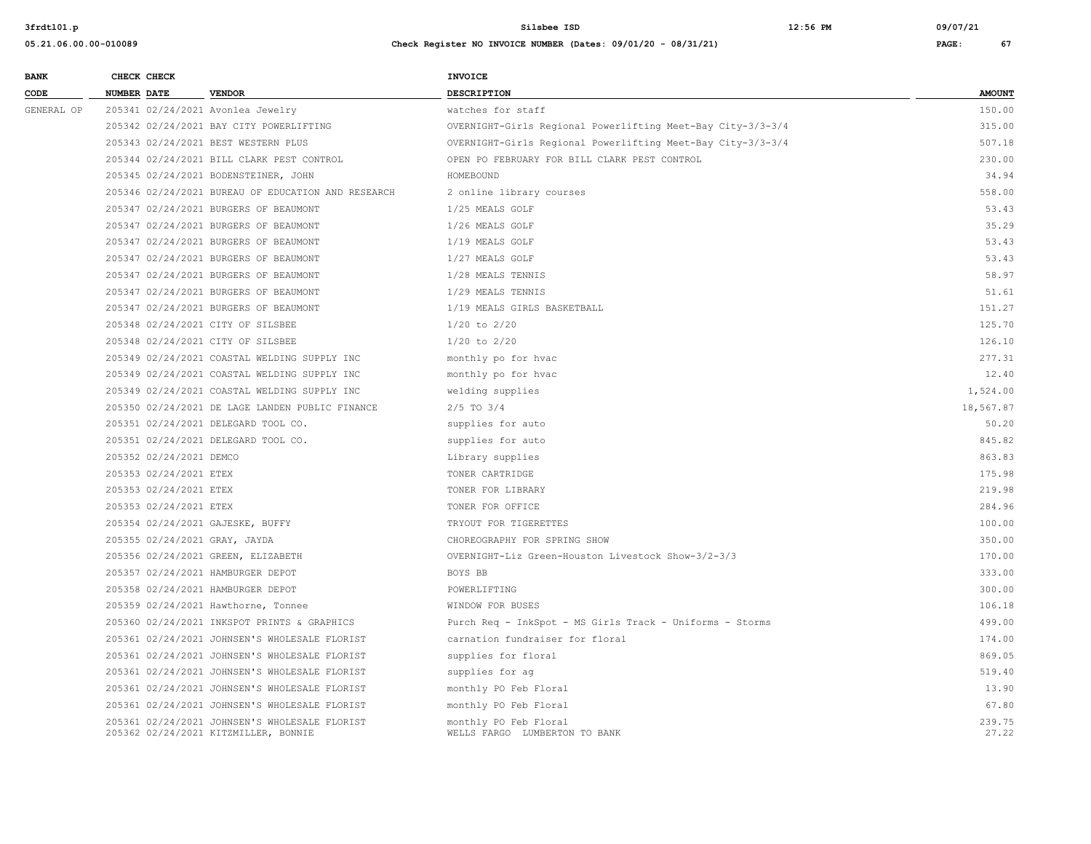| <b>BANK</b> | CHECK CHECK |                         |                                                                                       | <b>INVOICE</b>                                              |                 |
|-------------|-------------|-------------------------|---------------------------------------------------------------------------------------|-------------------------------------------------------------|-----------------|
| CODE        | NUMBER DATE |                         | <b>VENDOR</b>                                                                         | <b>DESCRIPTION</b>                                          | <b>AMOUNT</b>   |
| GENERAL OP  |             |                         | 205341 02/24/2021 Avonlea Jewelry                                                     | watches for staff                                           | 150.00          |
|             |             |                         | 205342 02/24/2021 BAY CITY POWERLIFTING                                               | OVERNIGHT-Girls Regional Powerlifting Meet-Bay City-3/3-3/4 | 315.00          |
|             |             |                         | 205343 02/24/2021 BEST WESTERN PLUS                                                   | OVERNIGHT-Girls Regional Powerlifting Meet-Bay City-3/3-3/4 | 507.18          |
|             |             |                         | 205344 02/24/2021 BILL CLARK PEST CONTROL                                             | OPEN PO FEBRUARY FOR BILL CLARK PEST CONTROL                | 230.00          |
|             |             |                         | 205345 02/24/2021 BODENSTEINER, JOHN                                                  | HOMEBOUND                                                   | 34.94           |
|             |             |                         | 205346 02/24/2021 BUREAU OF EDUCATION AND RESEARCH                                    | 2 online library courses                                    | 558.00          |
|             |             |                         | 205347 02/24/2021 BURGERS OF BEAUMONT                                                 | 1/25 MEALS GOLF                                             | 53.43           |
|             |             |                         | 205347 02/24/2021 BURGERS OF BEAUMONT                                                 | 1/26 MEALS GOLF                                             | 35.29           |
|             |             |                         | 205347 02/24/2021 BURGERS OF BEAUMONT                                                 | 1/19 MEALS GOLF                                             | 53.43           |
|             |             |                         | 205347 02/24/2021 BURGERS OF BEAUMONT                                                 | 1/27 MEALS GOLF                                             | 53.43           |
|             |             |                         | 205347 02/24/2021 BURGERS OF BEAUMONT                                                 | 1/28 MEALS TENNIS                                           | 58.97           |
|             |             |                         | 205347 02/24/2021 BURGERS OF BEAUMONT                                                 | 1/29 MEALS TENNIS                                           | 51.61           |
|             |             |                         | 205347 02/24/2021 BURGERS OF BEAUMONT                                                 | 1/19 MEALS GIRLS BASKETBALL                                 | 151.27          |
|             |             |                         | 205348 02/24/2021 CITY OF SILSBEE                                                     | $1/20$ to $2/20$                                            | 125.70          |
|             |             |                         | 205348 02/24/2021 CITY OF SILSBEE                                                     | $1/20$ to $2/20$                                            | 126.10          |
|             |             |                         | 205349 02/24/2021 COASTAL WELDING SUPPLY INC                                          | monthly po for hvac                                         | 277.31          |
|             |             |                         | 205349 02/24/2021 COASTAL WELDING SUPPLY INC                                          | monthly po for hvac                                         | 12.40           |
|             |             |                         | 205349 02/24/2021 COASTAL WELDING SUPPLY INC                                          | welding supplies                                            | 1,524.00        |
|             |             |                         | 205350 02/24/2021 DE LAGE LANDEN PUBLIC FINANCE                                       | $2/5$ TO $3/4$                                              | 18,567.87       |
|             |             |                         | 205351 02/24/2021 DELEGARD TOOL CO.                                                   | supplies for auto                                           | 50.20           |
|             |             |                         | 205351 02/24/2021 DELEGARD TOOL CO.                                                   | supplies for auto                                           | 845.82          |
|             |             | 205352 02/24/2021 DEMCO |                                                                                       | Library supplies                                            | 863.83          |
|             |             | 205353 02/24/2021 ETEX  |                                                                                       | TONER CARTRIDGE                                             | 175.98          |
|             |             | 205353 02/24/2021 ETEX  |                                                                                       | TONER FOR LIBRARY                                           | 219.98          |
|             |             | 205353 02/24/2021 ETEX  |                                                                                       | TONER FOR OFFICE                                            | 284.96          |
|             |             |                         | 205354 02/24/2021 GAJESKE, BUFFY                                                      | TRYOUT FOR TIGERETTES                                       | 100.00          |
|             |             |                         | 205355 02/24/2021 GRAY, JAYDA                                                         | CHOREOGRAPHY FOR SPRING SHOW                                | 350.00          |
|             |             |                         | 205356 02/24/2021 GREEN, ELIZABETH                                                    | OVERNIGHT-Liz Green-Houston Livestock Show-3/2-3/3          | 170.00          |
|             |             |                         | 205357 02/24/2021 HAMBURGER DEPOT                                                     | BOYS BB                                                     | 333.00          |
|             |             |                         | 205358 02/24/2021 HAMBURGER DEPOT                                                     | POWERLIFTING                                                | 300.00          |
|             |             |                         | 205359 02/24/2021 Hawthorne, Tonnee                                                   | WINDOW FOR BUSES                                            | 106.18          |
|             |             |                         | 205360 02/24/2021 INKSPOT PRINTS & GRAPHICS                                           | Purch Req - InkSpot - MS Girls Track - Uniforms - Storms    | 499.00          |
|             |             |                         | 205361 02/24/2021 JOHNSEN'S WHOLESALE FLORIST                                         | carnation fundraiser for floral                             | 174.00          |
|             |             |                         | 205361 02/24/2021 JOHNSEN'S WHOLESALE FLORIST                                         | supplies for floral                                         | 869.05          |
|             |             |                         | 205361 02/24/2021 JOHNSEN'S WHOLESALE FLORIST                                         | supplies for ag                                             | 519.40          |
|             |             |                         | 205361 02/24/2021 JOHNSEN'S WHOLESALE FLORIST                                         | monthly PO Feb Floral                                       | 13.90           |
|             |             |                         | 205361 02/24/2021 JOHNSEN'S WHOLESALE FLORIST                                         | monthly PO Feb Floral                                       | 67.80           |
|             |             |                         | 205361 02/24/2021 JOHNSEN'S WHOLESALE FLORIST<br>205362 02/24/2021 KITZMILLER, BONNIE | monthly PO Feb Floral<br>WELLS FARGO LUMBERTON TO BANK      | 239.75<br>27.22 |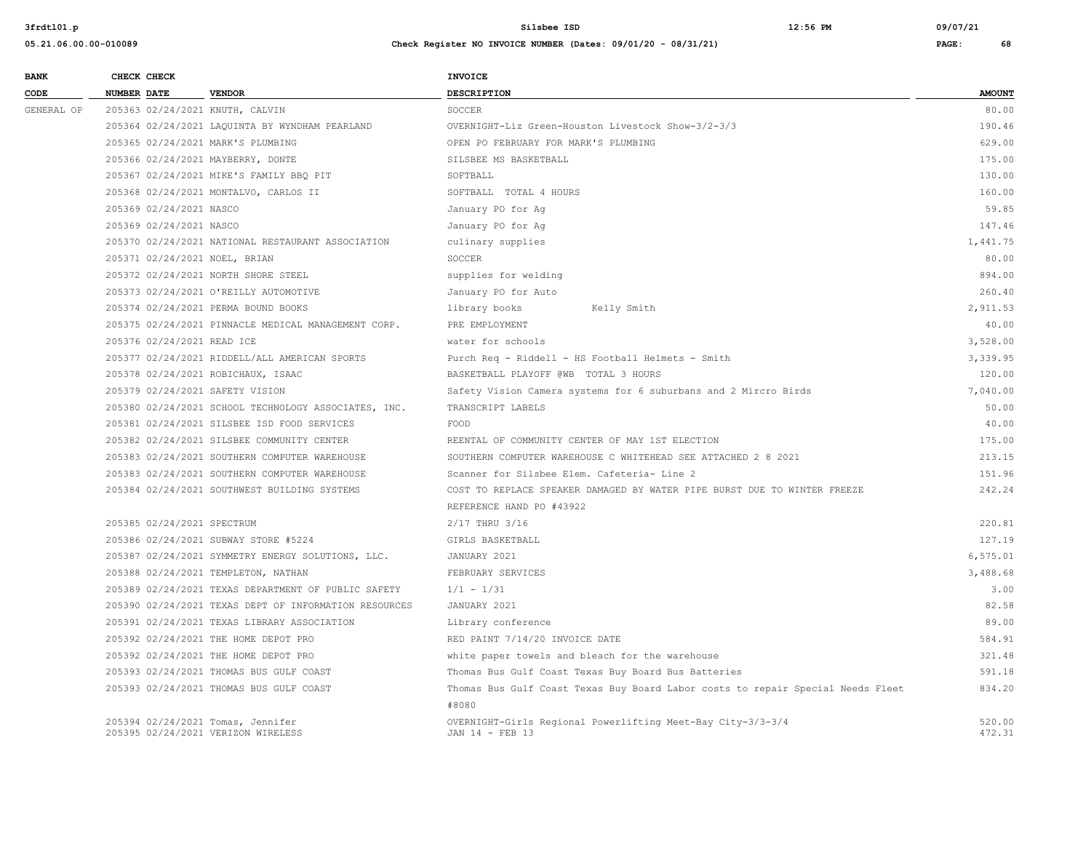| <b>BANK</b> | CHECK CHECK                     |                                                                         | <b>INVOICE</b>                                                                           |                  |
|-------------|---------------------------------|-------------------------------------------------------------------------|------------------------------------------------------------------------------------------|------------------|
| CODE        | <b>NUMBER DATE</b>              | <b>VENDOR</b>                                                           | <b>DESCRIPTION</b>                                                                       | <b>AMOUNT</b>    |
| GENERAL OP  | 205363 02/24/2021 KNUTH, CALVIN |                                                                         | SOCCER                                                                                   | 80.00            |
|             |                                 | 205364 02/24/2021 LAQUINTA BY WYNDHAM PEARLAND                          | OVERNIGHT-Liz Green-Houston Livestock Show-3/2-3/3                                       | 190.46           |
|             |                                 | 205365 02/24/2021 MARK'S PLUMBING                                       | OPEN PO FEBRUARY FOR MARK'S PLUMBING                                                     | 629.00           |
|             |                                 | 205366 02/24/2021 MAYBERRY, DONTE                                       | SILSBEE MS BASKETBALL                                                                    | 175.00           |
|             |                                 | 205367 02/24/2021 MIKE'S FAMILY BBQ PIT                                 | SOFTBALL                                                                                 | 130.00           |
|             |                                 | 205368 02/24/2021 MONTALVO, CARLOS II                                   | SOFTBALL TOTAL 4 HOURS                                                                   | 160.00           |
|             | 205369 02/24/2021 NASCO         |                                                                         | January PO for Aq                                                                        | 59.85            |
|             | 205369 02/24/2021 NASCO         |                                                                         | January PO for Ag                                                                        | 147.46           |
|             |                                 | 205370 02/24/2021 NATIONAL RESTAURANT ASSOCIATION                       | culinary supplies                                                                        | 1,441.75         |
|             | 205371 02/24/2021 NOEL, BRIAN   |                                                                         | SOCCER                                                                                   | 80.00            |
|             |                                 | 205372 02/24/2021 NORTH SHORE STEEL                                     | supplies for welding                                                                     | 894.00           |
|             |                                 | 205373 02/24/2021 O'REILLY AUTOMOTIVE                                   | January PO for Auto                                                                      | 260.40           |
|             |                                 | 205374 02/24/2021 PERMA BOUND BOOKS                                     | Kelly Smith<br>library books                                                             | 2,911.53         |
|             |                                 | 205375 02/24/2021 PINNACLE MEDICAL MANAGEMENT CORP.                     | PRE EMPLOYMENT                                                                           | 40.00            |
|             | 205376 02/24/2021 READ ICE      |                                                                         | water for schools                                                                        | 3,528.00         |
|             |                                 | 205377 02/24/2021 RIDDELL/ALL AMERICAN SPORTS                           | Purch Req - Riddell - HS Football Helmets - Smith                                        | 3,339.95         |
|             |                                 | 205378 02/24/2021 ROBICHAUX, ISAAC                                      | BASKETBALL PLAYOFF @WB TOTAL 3 HOURS                                                     | 120.00           |
|             | 205379 02/24/2021 SAFETY VISION |                                                                         | Safety Vision Camera systems for 6 suburbans and 2 Mircro Birds                          | 7,040.00         |
|             |                                 | 205380 02/24/2021 SCHOOL TECHNOLOGY ASSOCIATES, INC.                    | TRANSCRIPT LABELS                                                                        | 50.00            |
|             |                                 | 205381 02/24/2021 SILSBEE ISD FOOD SERVICES                             | FOOD                                                                                     | 40.00            |
|             |                                 | 205382 02/24/2021 SILSBEE COMMUNITY CENTER                              | REENTAL OF COMMUNITY CENTER OF MAY 1ST ELECTION                                          | 175.00           |
|             |                                 | 205383 02/24/2021 SOUTHERN COMPUTER WAREHOUSE                           | SOUTHERN COMPUTER WAREHOUSE C WHITEHEAD SEE ATTACHED 2 8 2021                            | 213.15           |
|             |                                 | 205383 02/24/2021 SOUTHERN COMPUTER WAREHOUSE                           | Scanner for Silsbee Elem. Cafeteria- Line 2                                              | 151.96           |
|             |                                 | 205384 02/24/2021 SOUTHWEST BUILDING SYSTEMS                            | COST TO REPLACE SPEAKER DAMAGED BY WATER PIPE BURST DUE TO WINTER FREEZE                 | 242.24           |
|             |                                 |                                                                         | REFERENCE HAND PO #43922                                                                 |                  |
|             | 205385 02/24/2021 SPECTRUM      |                                                                         | 2/17 THRU 3/16                                                                           | 220.81           |
|             |                                 | 205386 02/24/2021 SUBWAY STORE #5224                                    | GIRLS BASKETBALL                                                                         | 127.19           |
|             |                                 | 205387 02/24/2021 SYMMETRY ENERGY SOLUTIONS, LLC.                       | JANUARY 2021                                                                             | 6,575.01         |
|             |                                 | 205388 02/24/2021 TEMPLETON, NATHAN                                     | FEBRUARY SERVICES                                                                        | 3,488.68         |
|             |                                 | 205389 02/24/2021 TEXAS DEPARTMENT OF PUBLIC SAFETY                     | $1/1 - 1/31$                                                                             | 3.00             |
|             |                                 | 205390 02/24/2021 TEXAS DEPT OF INFORMATION RESOURCES                   | JANUARY 2021                                                                             | 82.58            |
|             |                                 | 205391 02/24/2021 TEXAS LIBRARY ASSOCIATION                             | Library conference                                                                       | 89.00            |
|             |                                 | 205392 02/24/2021 THE HOME DEPOT PRO                                    | RED PAINT 7/14/20 INVOICE DATE                                                           | 584.91           |
|             |                                 | 205392 02/24/2021 THE HOME DEPOT PRO                                    | white paper towels and bleach for the warehouse                                          | 321.48           |
|             |                                 | 205393 02/24/2021 THOMAS BUS GULF COAST                                 | Thomas Bus Gulf Coast Texas Buy Board Bus Batteries                                      | 591.18           |
|             |                                 | 205393 02/24/2021 THOMAS BUS GULF COAST                                 | Thomas Bus Gulf Coast Texas Buy Board Labor costs to repair Special Needs Fleet<br>#8080 | 834.20           |
|             |                                 | 205394 02/24/2021 Tomas, Jennifer<br>205395 02/24/2021 VERIZON WIRELESS | OVERNIGHT-Girls Regional Powerlifting Meet-Bay City-3/3-3/4<br>JAN 14 - FEB 13           | 520.00<br>472.31 |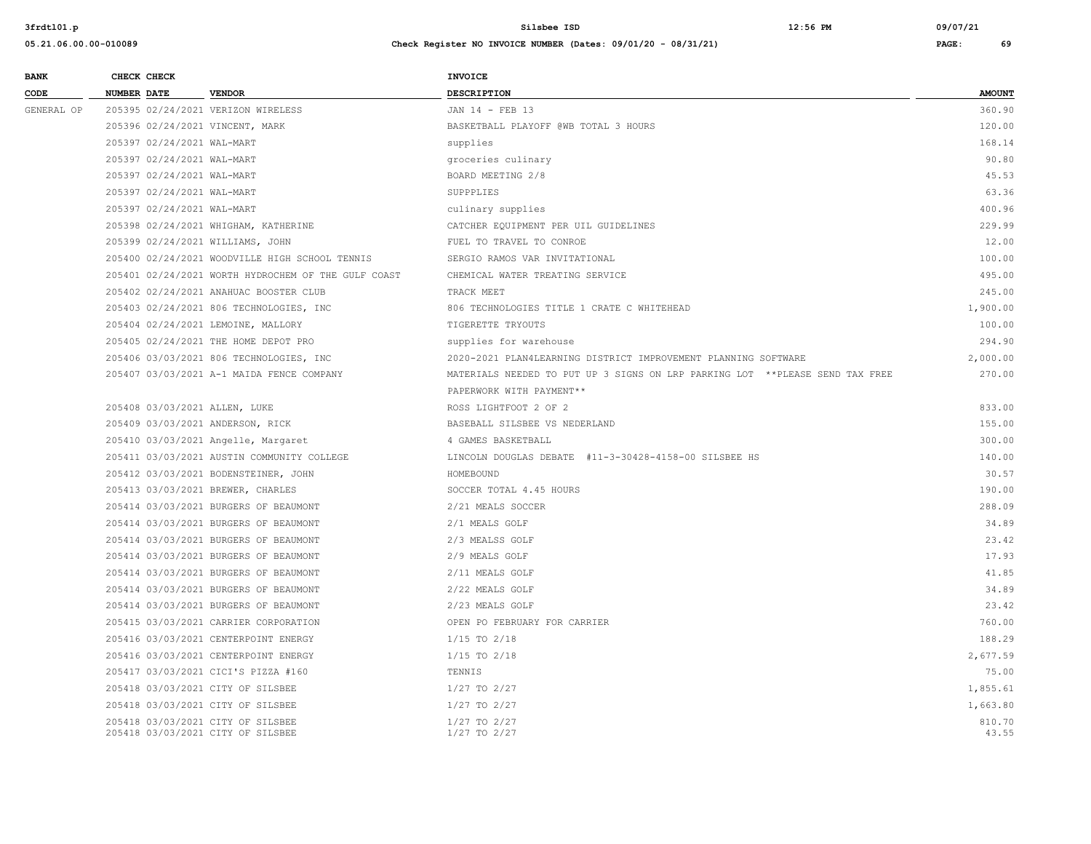| <b>BANK</b> | CHECK CHECK                |                                                                        | INVOICE                                                                      |                 |
|-------------|----------------------------|------------------------------------------------------------------------|------------------------------------------------------------------------------|-----------------|
| CODE        | <b>NUMBER DATE</b>         | <b>VENDOR</b>                                                          | <b>DESCRIPTION</b>                                                           | <b>AMOUNT</b>   |
| GENERAL OP  |                            | 205395 02/24/2021 VERIZON WIRELESS                                     | JAN 14 - FEB 13                                                              | 360.90          |
|             |                            | 205396 02/24/2021 VINCENT, MARK                                        | BASKETBALL PLAYOFF @WB TOTAL 3 HOURS                                         | 120.00          |
|             | 205397 02/24/2021 WAL-MART |                                                                        | supplies                                                                     | 168.14          |
|             | 205397 02/24/2021 WAL-MART |                                                                        | groceries culinary                                                           | 90.80           |
|             | 205397 02/24/2021 WAL-MART |                                                                        | BOARD MEETING 2/8                                                            | 45.53           |
|             | 205397 02/24/2021 WAL-MART |                                                                        | SUPPPLIES                                                                    | 63.36           |
|             | 205397 02/24/2021 WAL-MART |                                                                        | culinary supplies                                                            | 400.96          |
|             |                            | 205398 02/24/2021 WHIGHAM, KATHERINE                                   | CATCHER EQUIPMENT PER UIL GUIDELINES                                         | 229.99          |
|             |                            | 205399 02/24/2021 WILLIAMS, JOHN                                       | FUEL TO TRAVEL TO CONROE                                                     | 12.00           |
|             |                            | 205400 02/24/2021 WOODVILLE HIGH SCHOOL TENNIS                         | SERGIO RAMOS VAR INVITATIONAL                                                | 100.00          |
|             |                            | 205401 02/24/2021 WORTH HYDROCHEM OF THE GULF COAST                    | CHEMICAL WATER TREATING SERVICE                                              | 495.00          |
|             |                            | 205402 02/24/2021 ANAHUAC BOOSTER CLUB                                 | TRACK MEET                                                                   | 245.00          |
|             |                            | 205403 02/24/2021 806 TECHNOLOGIES, INC                                | 806 TECHNOLOGIES TITLE 1 CRATE C WHITEHEAD                                   | 1,900.00        |
|             |                            | 205404 02/24/2021 LEMOINE, MALLORY                                     | TIGERETTE TRYOUTS                                                            | 100.00          |
|             |                            | 205405 02/24/2021 THE HOME DEPOT PRO                                   | supplies for warehouse                                                       | 294.90          |
|             |                            | 205406 03/03/2021 806 TECHNOLOGIES, INC                                | 2020-2021 PLAN4LEARNING DISTRICT IMPROVEMENT PLANNING SOFTWARE               | 2,000.00        |
|             |                            | 205407 03/03/2021 A-1 MAIDA FENCE COMPANY                              | MATERIALS NEEDED TO PUT UP 3 SIGNS ON LRP PARKING LOT **PLEASE SEND TAX FREE | 270.00          |
|             |                            |                                                                        | PAPERWORK WITH PAYMENT **                                                    |                 |
|             |                            | 205408 03/03/2021 ALLEN, LUKE                                          | ROSS LIGHTFOOT 2 OF 2                                                        | 833.00          |
|             |                            | 205409 03/03/2021 ANDERSON, RICK                                       | BASEBALL SILSBEE VS NEDERLAND                                                | 155.00          |
|             |                            | 205410 03/03/2021 Angelle, Margaret                                    | 4 GAMES BASKETBALL                                                           | 300.00          |
|             |                            | 205411 03/03/2021 AUSTIN COMMUNITY COLLEGE                             | LINCOLN DOUGLAS DEBATE #11-3-30428-4158-00 SILSBEE HS                        | 140.00          |
|             |                            | 205412 03/03/2021 BODENSTEINER, JOHN                                   | HOMEBOUND                                                                    | 30.57           |
|             |                            | 205413 03/03/2021 BREWER, CHARLES                                      | SOCCER TOTAL 4.45 HOURS                                                      | 190.00          |
|             |                            | 205414 03/03/2021 BURGERS OF BEAUMONT                                  | 2/21 MEALS SOCCER                                                            | 288.09          |
|             |                            | 205414 03/03/2021 BURGERS OF BEAUMONT                                  | 2/1 MEALS GOLF                                                               | 34.89           |
|             |                            | 205414 03/03/2021 BURGERS OF BEAUMONT                                  | 2/3 MEALSS GOLF                                                              | 23.42           |
|             |                            | 205414 03/03/2021 BURGERS OF BEAUMONT                                  | 2/9 MEALS GOLF                                                               | 17.93           |
|             |                            | 205414 03/03/2021 BURGERS OF BEAUMONT                                  | 2/11 MEALS GOLF                                                              | 41.85           |
|             |                            | 205414 03/03/2021 BURGERS OF BEAUMONT                                  | 2/22 MEALS GOLF                                                              | 34.89           |
|             |                            | 205414 03/03/2021 BURGERS OF BEAUMONT                                  | 2/23 MEALS GOLF                                                              | 23.42           |
|             |                            | 205415 03/03/2021 CARRIER CORPORATION                                  | OPEN PO FEBRUARY FOR CARRIER                                                 | 760.00          |
|             |                            | 205416 03/03/2021 CENTERPOINT ENERGY                                   | $1/15$ TO $2/18$                                                             | 188.29          |
|             |                            | 205416 03/03/2021 CENTERPOINT ENERGY                                   | $1/15$ TO $2/18$                                                             | 2,677.59        |
|             |                            | 205417 03/03/2021 CICI'S PIZZA #160                                    | TENNIS                                                                       | 75.00           |
|             |                            | 205418 03/03/2021 CITY OF SILSBEE                                      | $1/27$ TO $2/27$                                                             | 1,855.61        |
|             |                            | 205418 03/03/2021 CITY OF SILSBEE                                      | $1/27$ TO $2/27$                                                             | 1,663.80        |
|             |                            | 205418 03/03/2021 CITY OF SILSBEE<br>205418 03/03/2021 CITY OF SILSBEE | $1/27$ TO $2/27$<br>1/27 TO 2/27                                             | 810.70<br>43.55 |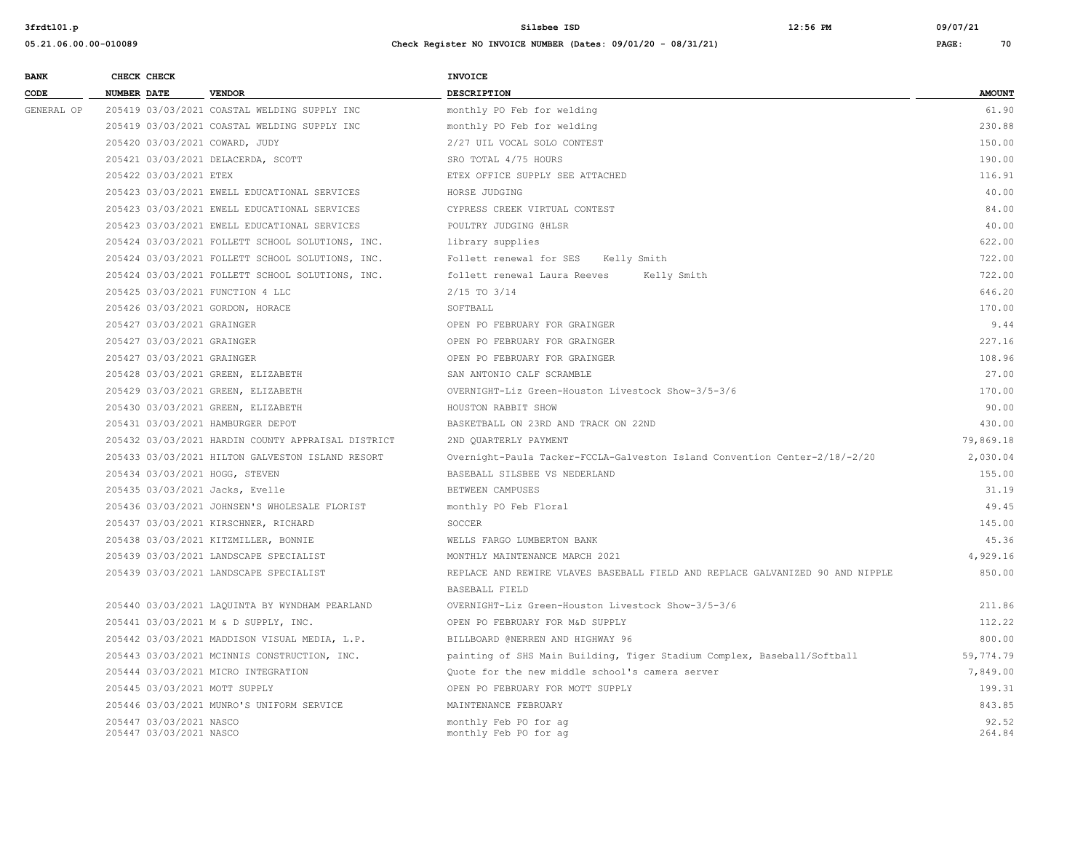| <b>BANK</b> |                                                                                              | CHECK CHECK                                        |                                                          | <b>INVOICE</b>                                                                |                 |
|-------------|----------------------------------------------------------------------------------------------|----------------------------------------------------|----------------------------------------------------------|-------------------------------------------------------------------------------|-----------------|
| CODE        | <b>NUMBER DATE</b>                                                                           |                                                    | <b>VENDOR</b>                                            | <b>DESCRIPTION</b>                                                            | <b>AMOUNT</b>   |
| GENERAL OP  |                                                                                              |                                                    | 205419 03/03/2021 COASTAL WELDING SUPPLY INC             | monthly PO Feb for welding                                                    | 61.90           |
|             |                                                                                              |                                                    | 205419 03/03/2021 COASTAL WELDING SUPPLY INC             | monthly PO Feb for welding                                                    | 230.88          |
|             |                                                                                              |                                                    | 205420 03/03/2021 COWARD, JUDY                           | 2/27 UIL VOCAL SOLO CONTEST                                                   | 150.00          |
|             |                                                                                              |                                                    | 205421 03/03/2021 DELACERDA, SCOTT                       | SRO TOTAL 4/75 HOURS                                                          | 190.00          |
|             |                                                                                              | 205422 03/03/2021 ETEX                             |                                                          | ETEX OFFICE SUPPLY SEE ATTACHED                                               | 116.91          |
|             |                                                                                              |                                                    | 205423 03/03/2021 EWELL EDUCATIONAL SERVICES             | HORSE JUDGING                                                                 | 40.00           |
|             | 205423 03/03/2021 EWELL EDUCATIONAL SERVICES<br>205423 03/03/2021 EWELL EDUCATIONAL SERVICES |                                                    | CYPRESS CREEK VIRTUAL CONTEST                            | 84.00                                                                         |                 |
|             |                                                                                              |                                                    | POULTRY JUDGING @HLSR                                    | 40.00                                                                         |                 |
|             |                                                                                              |                                                    | 205424 03/03/2021 FOLLETT SCHOOL SOLUTIONS, INC.         | library supplies                                                              | 622.00          |
|             |                                                                                              |                                                    | 205424 03/03/2021 FOLLETT SCHOOL SOLUTIONS, INC.         | Follett renewal for SES<br>Kelly Smith                                        | 722.00          |
|             |                                                                                              |                                                    | 205424 03/03/2021 FOLLETT SCHOOL SOLUTIONS, INC.         | follett renewal Laura Reeves<br>Kelly Smith                                   | 722.00          |
|             |                                                                                              |                                                    | 205425 03/03/2021 FUNCTION 4 LLC                         | $2/15$ TO $3/14$                                                              | 646.20          |
|             |                                                                                              |                                                    | 205426 03/03/2021 GORDON, HORACE                         | SOFTBALL                                                                      | 170.00          |
|             |                                                                                              |                                                    | 205427 03/03/2021 GRAINGER<br>205427 03/03/2021 GRAINGER | OPEN PO FEBRUARY FOR GRAINGER                                                 | 9.44            |
|             |                                                                                              |                                                    |                                                          | OPEN PO FEBRUARY FOR GRAINGER                                                 | 227.16          |
|             |                                                                                              | 205427 03/03/2021 GRAINGER                         |                                                          | OPEN PO FEBRUARY FOR GRAINGER                                                 | 108.96          |
|             |                                                                                              |                                                    | 205428 03/03/2021 GREEN, ELIZABETH                       | SAN ANTONIO CALF SCRAMBLE                                                     | 27.00           |
|             |                                                                                              |                                                    | 205429 03/03/2021 GREEN, ELIZABETH                       | OVERNIGHT-Liz Green-Houston Livestock Show-3/5-3/6                            | 170.00          |
|             |                                                                                              |                                                    | 205430 03/03/2021 GREEN, ELIZABETH                       | HOUSTON RABBIT SHOW                                                           | 90.00           |
|             |                                                                                              |                                                    | 205431 03/03/2021 HAMBURGER DEPOT                        | BASKETBALL ON 23RD AND TRACK ON 22ND                                          | 430.00          |
|             |                                                                                              |                                                    | 205432 03/03/2021 HARDIN COUNTY APPRAISAL DISTRICT       | 2ND OUARTERLY PAYMENT                                                         | 79,869.18       |
|             |                                                                                              |                                                    | 205433 03/03/2021 HILTON GALVESTON ISLAND RESORT         | Overnight-Paula Tacker-FCCLA-Galveston Island Convention Center-2/18/-2/20    | 2,030.04        |
|             |                                                                                              |                                                    | 205434 03/03/2021 HOGG, STEVEN                           | BASEBALL SILSBEE VS NEDERLAND                                                 | 155.00          |
|             |                                                                                              |                                                    | 205435 03/03/2021 Jacks, Evelle                          | BETWEEN CAMPUSES                                                              | 31.19           |
|             |                                                                                              |                                                    | 205436 03/03/2021 JOHNSEN'S WHOLESALE FLORIST            | monthly PO Feb Floral                                                         | 49.45           |
|             |                                                                                              |                                                    | 205437 03/03/2021 KIRSCHNER, RICHARD                     | SOCCER                                                                        | 145.00          |
|             |                                                                                              |                                                    | 205438 03/03/2021 KITZMILLER, BONNIE                     | WELLS FARGO LUMBERTON BANK                                                    | 45.36           |
|             |                                                                                              |                                                    | 205439 03/03/2021 LANDSCAPE SPECIALIST                   | MONTHLY MAINTENANCE MARCH 2021                                                | 4,929.16        |
|             |                                                                                              |                                                    | 205439 03/03/2021 LANDSCAPE SPECIALIST                   | REPLACE AND REWIRE VLAVES BASEBALL FIELD AND REPLACE GALVANIZED 90 AND NIPPLE | 850.00          |
|             |                                                                                              |                                                    |                                                          | BASEBALL FIELD                                                                |                 |
|             |                                                                                              |                                                    | 205440 03/03/2021 LAQUINTA BY WYNDHAM PEARLAND           | OVERNIGHT-Liz Green-Houston Livestock Show-3/5-3/6                            | 211.86          |
|             |                                                                                              |                                                    | 205441 03/03/2021 M & D SUPPLY, INC.                     | OPEN PO FEBRUARY FOR M&D SUPPLY                                               | 112.22          |
|             |                                                                                              |                                                    | 205442 03/03/2021 MADDISON VISUAL MEDIA, L.P.            | BILLBOARD @NERREN AND HIGHWAY 96                                              | 800.00          |
|             |                                                                                              |                                                    | 205443 03/03/2021 MCINNIS CONSTRUCTION, INC.             | painting of SHS Main Building, Tiger Stadium Complex, Baseball/Softball       | 59,774.79       |
|             |                                                                                              |                                                    | 205444 03/03/2021 MICRO INTEGRATION                      | Ouote for the new middle school's camera server                               | 7,849.00        |
|             |                                                                                              |                                                    | 205445 03/03/2021 MOTT SUPPLY                            | OPEN PO FEBRUARY FOR MOTT SUPPLY                                              | 199.31          |
|             |                                                                                              |                                                    | 205446 03/03/2021 MUNRO'S UNIFORM SERVICE                | MAINTENANCE FEBRUARY                                                          | 843.85          |
|             |                                                                                              | 205447 03/03/2021 NASCO<br>205447 03/03/2021 NASCO |                                                          | monthly Feb PO for ag<br>monthly Feb PO for ag                                | 92.52<br>264.84 |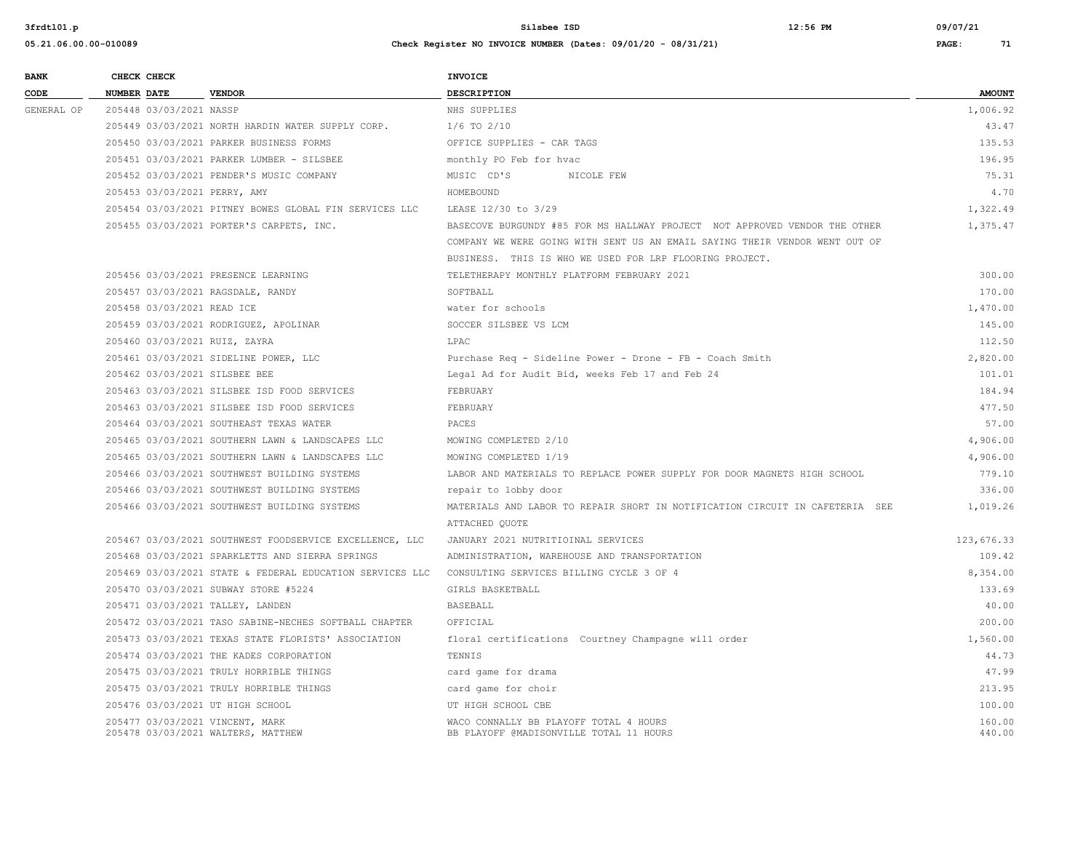| 05.21.06.00.00-010089 | Check Register NO INVOICE NUMBER (Dates: 09/01/20 - 08/31/21) | PAGE: | 71 |
|-----------------------|---------------------------------------------------------------|-------|----|
|                       |                                                               |       |    |

| <b>BANK</b> | CHECK CHECK                                                           |                                                          | <b>INVOICE</b>                                                                    |                  |
|-------------|-----------------------------------------------------------------------|----------------------------------------------------------|-----------------------------------------------------------------------------------|------------------|
| CODE        | <b>NUMBER DATE</b>                                                    | <b>VENDOR</b>                                            | <b>DESCRIPTION</b>                                                                | <b>AMOUNT</b>    |
| GENERAL OP  | 205448 03/03/2021 NASSP                                               |                                                          | NHS SUPPLIES                                                                      | 1,006.92         |
|             |                                                                       | 205449 03/03/2021 NORTH HARDIN WATER SUPPLY CORP.        | $1/6$ TO $2/10$                                                                   | 43.47            |
|             |                                                                       | 205450 03/03/2021 PARKER BUSINESS FORMS                  | OFFICE SUPPLIES - CAR TAGS                                                        | 135.53           |
|             |                                                                       | 205451 03/03/2021 PARKER LUMBER - SILSBEE                | monthly PO Feb for hvac                                                           | 196.95           |
|             |                                                                       | 205452 03/03/2021 PENDER'S MUSIC COMPANY                 | MUSIC CD'S<br>NICOLE FEW                                                          | 75.31            |
|             | 205453 03/03/2021 PERRY, AMY                                          |                                                          | HOMEBOUND                                                                         | 4.70             |
|             |                                                                       | 205454 03/03/2021 PITNEY BOWES GLOBAL FIN SERVICES LLC   | LEASE 12/30 to 3/29                                                               | 1,322.49         |
|             |                                                                       | 205455 03/03/2021 PORTER'S CARPETS, INC.                 | BASECOVE BURGUNDY #85 FOR MS HALLWAY PROJECT NOT APPROVED VENDOR THE OTHER        | 1,375.47         |
|             |                                                                       |                                                          | COMPANY WE WERE GOING WITH SENT US AN EMAIL SAYING THEIR VENDOR WENT OUT OF       |                  |
|             |                                                                       |                                                          | BUSINESS. THIS IS WHO WE USED FOR LRP FLOORING PROJECT.                           |                  |
|             |                                                                       | 205456 03/03/2021 PRESENCE LEARNING                      | TELETHERAPY MONTHLY PLATFORM FEBRUARY 2021                                        | 300.00           |
|             | 205457 03/03/2021 RAGSDALE, RANDY                                     |                                                          | SOFTBALL                                                                          | 170.00           |
|             | 205458 03/03/2021 READ ICE                                            |                                                          | water for schools                                                                 | 1,470.00         |
|             |                                                                       | 205459 03/03/2021 RODRIGUEZ, APOLINAR                    | SOCCER SILSBEE VS LCM                                                             | 145.00           |
|             | 205460 03/03/2021 RUIZ, ZAYRA                                         |                                                          | LPAC                                                                              | 112.50           |
|             |                                                                       | 205461 03/03/2021 SIDELINE POWER, LLC                    | Purchase Req - Sideline Power - Drone - FB - Coach Smith                          | 2,820.00         |
|             | 205462 03/03/2021 SILSBEE BEE                                         |                                                          | Legal Ad for Audit Bid, weeks Feb 17 and Feb 24                                   | 101.01           |
|             |                                                                       | 205463 03/03/2021 SILSBEE ISD FOOD SERVICES              | FEBRUARY                                                                          | 184.94           |
|             |                                                                       | 205463 03/03/2021 SILSBEE ISD FOOD SERVICES              | FEBRUARY                                                                          | 477.50           |
|             |                                                                       | 205464 03/03/2021 SOUTHEAST TEXAS WATER                  | PACES                                                                             | 57.00            |
|             |                                                                       | 205465 03/03/2021 SOUTHERN LAWN & LANDSCAPES LLC         | MOWING COMPLETED 2/10                                                             | 4,906.00         |
|             |                                                                       | 205465 03/03/2021 SOUTHERN LAWN & LANDSCAPES LLC         | MOWING COMPLETED 1/19                                                             | 4,906.00         |
|             |                                                                       | 205466 03/03/2021 SOUTHWEST BUILDING SYSTEMS             | LABOR AND MATERIALS TO REPLACE POWER SUPPLY FOR DOOR MAGNETS HIGH SCHOOL          | 779.10           |
|             |                                                                       | 205466 03/03/2021 SOUTHWEST BUILDING SYSTEMS             | repair to lobby door                                                              | 336.00           |
|             |                                                                       | 205466 03/03/2021 SOUTHWEST BUILDING SYSTEMS             | MATERIALS AND LABOR TO REPAIR SHORT IN NOTIFICATION CIRCUIT IN CAFETERIA SEE      | 1,019.26         |
|             |                                                                       |                                                          | ATTACHED OUOTE                                                                    |                  |
|             |                                                                       | 205467 03/03/2021 SOUTHWEST FOODSERVICE EXCELLENCE, LLC  | JANUARY 2021 NUTRITIOINAL SERVICES                                                | 123,676.33       |
|             |                                                                       | 205468 03/03/2021 SPARKLETTS AND SIERRA SPRINGS          | ADMINISTRATION, WAREHOUSE AND TRANSPORTATION                                      | 109.42           |
|             |                                                                       | 205469 03/03/2021 STATE & FEDERAL EDUCATION SERVICES LLC | CONSULTING SERVICES BILLING CYCLE 3 OF 4                                          | 8,354.00         |
|             |                                                                       | 205470 03/03/2021 SUBWAY STORE #5224                     | GIRLS BASKETBALL                                                                  | 133.69           |
|             | 205471 03/03/2021 TALLEY, LANDEN                                      |                                                          | BASEBALL                                                                          | 40.00            |
|             |                                                                       | 205472 03/03/2021 TASO SABINE-NECHES SOFTBALL CHAPTER    | OFFICIAL                                                                          | 200.00           |
|             |                                                                       | 205473 03/03/2021 TEXAS STATE FLORISTS' ASSOCIATION      | floral certifications Courtney Champagne will order                               | 1,560.00         |
|             |                                                                       | 205474 03/03/2021 THE KADES CORPORATION                  | TENNIS                                                                            | 44.73            |
|             |                                                                       | 205475 03/03/2021 TRULY HORRIBLE THINGS                  | card game for drama                                                               | 47.99            |
|             |                                                                       | 205475 03/03/2021 TRULY HORRIBLE THINGS                  | card game for choir                                                               | 213.95           |
|             | 205476 03/03/2021 UT HIGH SCHOOL                                      |                                                          | UT HIGH SCHOOL CBE                                                                | 100.00           |
|             | 205477 03/03/2021 VINCENT, MARK<br>205478 03/03/2021 WALTERS, MATTHEW |                                                          | WACO CONNALLY BB PLAYOFF TOTAL 4 HOURS<br>BB PLAYOFF @MADISONVILLE TOTAL 11 HOURS | 160.00<br>440.00 |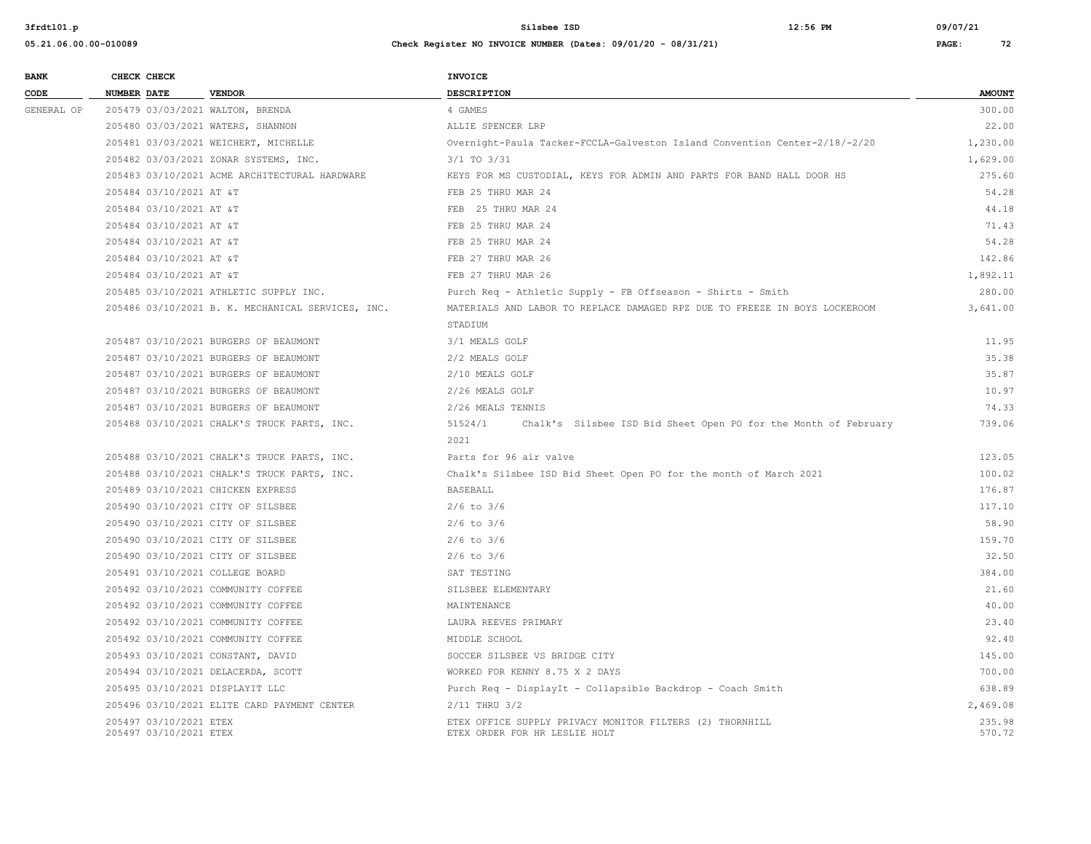| <b>BANK</b><br>CODE | CHECK CHECK        |                                                  | <b>VENDOR</b>                                     | INVOICE                                                                                   |                  |
|---------------------|--------------------|--------------------------------------------------|---------------------------------------------------|-------------------------------------------------------------------------------------------|------------------|
|                     | <b>NUMBER DATE</b> |                                                  |                                                   | <b>DESCRIPTION</b>                                                                        | <b>AMOUNT</b>    |
| GENERAL OP          |                    |                                                  | 205479 03/03/2021 WALTON, BRENDA                  | 4 GAMES                                                                                   | 300.00           |
|                     |                    |                                                  | 205480 03/03/2021 WATERS, SHANNON                 | ALLIE SPENCER LRP                                                                         | 22.00            |
|                     |                    |                                                  | 205481 03/03/2021 WEICHERT, MICHELLE              | Overnight-Paula Tacker-FCCLA-Galveston Island Convention Center-2/18/-2/20                | 1,230.00         |
|                     |                    |                                                  | 205482 03/03/2021 ZONAR SYSTEMS, INC.             | $3/1$ TO $3/31$                                                                           | 1,629.00         |
|                     |                    |                                                  | 205483 03/10/2021 ACME ARCHITECTURAL HARDWARE     | KEYS FOR MS CUSTODIAL, KEYS FOR ADMIN AND PARTS FOR BAND HALL DOOR HS                     | 275.60           |
|                     |                    | 205484 03/10/2021 AT &T                          |                                                   | FEB 25 THRU MAR 24                                                                        | 54.28            |
|                     |                    | 205484 03/10/2021 AT &T                          |                                                   | FEB 25 THRU MAR 24                                                                        | 44.18            |
|                     |                    | 205484 03/10/2021 AT &T                          |                                                   | FEB 25 THRU MAR 24                                                                        | 71.43            |
|                     |                    | 205484 03/10/2021 AT &T                          |                                                   | FEB 25 THRU MAR 24                                                                        | 54.28            |
|                     |                    | 205484 03/10/2021 AT &T                          |                                                   | FEB 27 THRU MAR 26                                                                        | 142.86           |
|                     |                    | 205484 03/10/2021 AT &T                          |                                                   | FEB 27 THRU MAR 26                                                                        | 1,892.11         |
|                     |                    |                                                  | 205485 03/10/2021 ATHLETIC SUPPLY INC.            | Purch Req - Athletic Supply - FB Offseason - Shirts - Smith                               | 280.00           |
|                     |                    |                                                  | 205486 03/10/2021 B. K. MECHANICAL SERVICES, INC. | MATERIALS AND LABOR TO REPLACE DAMAGED RPZ DUE TO FREEZE IN BOYS LOCKEROOM                | 3,641.00         |
|                     |                    |                                                  |                                                   | STADIUM                                                                                   |                  |
|                     |                    |                                                  | 205487 03/10/2021 BURGERS OF BEAUMONT             | 3/1 MEALS GOLF                                                                            | 11.95            |
|                     |                    |                                                  | 205487 03/10/2021 BURGERS OF BEAUMONT             | 2/2 MEALS GOLF                                                                            | 35.38            |
|                     |                    |                                                  | 205487 03/10/2021 BURGERS OF BEAUMONT             | 2/10 MEALS GOLF                                                                           | 35.87            |
|                     |                    |                                                  | 205487 03/10/2021 BURGERS OF BEAUMONT             | 2/26 MEALS GOLF                                                                           | 10.97            |
|                     |                    |                                                  | 205487 03/10/2021 BURGERS OF BEAUMONT             | 2/26 MEALS TENNIS                                                                         | 74.33            |
|                     |                    |                                                  | 205488 03/10/2021 CHALK'S TRUCK PARTS, INC.       | 51524/1<br>Chalk's Silsbee ISD Bid Sheet Open PO for the Month of February                | 739.06           |
|                     |                    |                                                  |                                                   | 2021                                                                                      |                  |
|                     |                    |                                                  | 205488 03/10/2021 CHALK'S TRUCK PARTS, INC.       | Parts for 96 air valve                                                                    | 123.05           |
|                     |                    |                                                  | 205488 03/10/2021 CHALK'S TRUCK PARTS, INC.       | Chalk's Silsbee ISD Bid Sheet Open PO for the month of March 2021                         | 100.02           |
|                     |                    |                                                  | 205489 03/10/2021 CHICKEN EXPRESS                 | <b>BASEBALL</b>                                                                           | 176.87           |
|                     |                    |                                                  | 205490 03/10/2021 CITY OF SILSBEE                 | $2/6$ to $3/6$                                                                            | 117.10           |
|                     |                    |                                                  | 205490 03/10/2021 CITY OF SILSBEE                 | $2/6$ to $3/6$                                                                            | 58.90            |
|                     |                    |                                                  | 205490 03/10/2021 CITY OF SILSBEE                 | $2/6$ to $3/6$                                                                            | 159.70           |
|                     |                    |                                                  | 205490 03/10/2021 CITY OF SILSBEE                 | $2/6$ to $3/6$                                                                            | 32.50            |
|                     |                    |                                                  | 205491 03/10/2021 COLLEGE BOARD                   | SAT TESTING                                                                               | 384.00           |
|                     |                    |                                                  | 205492 03/10/2021 COMMUNITY COFFEE                | SILSBEE ELEMENTARY                                                                        | 21.60            |
|                     |                    |                                                  | 205492 03/10/2021 COMMUNITY COFFEE                | MAINTENANCE                                                                               | 40.00            |
|                     |                    |                                                  | 205492 03/10/2021 COMMUNITY COFFEE                | LAURA REEVES PRIMARY                                                                      | 23.40            |
|                     |                    |                                                  | 205492 03/10/2021 COMMUNITY COFFEE                | MIDDLE SCHOOL                                                                             | 92.40            |
|                     |                    |                                                  | 205493 03/10/2021 CONSTANT, DAVID                 | SOCCER SILSBEE VS BRIDGE CITY                                                             | 145.00           |
|                     |                    |                                                  | 205494 03/10/2021 DELACERDA, SCOTT                | WORKED FOR KENNY 8.75 X 2 DAYS                                                            | 700.00           |
|                     |                    |                                                  | 205495 03/10/2021 DISPLAYIT LLC                   | Purch Req - DisplayIt - Collapsible Backdrop - Coach Smith                                | 638.89           |
|                     |                    |                                                  | 205496 03/10/2021 ELITE CARD PAYMENT CENTER       | $2/11$ THRU $3/2$                                                                         | 2,469.08         |
|                     |                    | 205497 03/10/2021 ETEX<br>205497 03/10/2021 ETEX |                                                   | ETEX OFFICE SUPPLY PRIVACY MONITOR FILTERS (2) THORNHILL<br>ETEX ORDER FOR HR LESLIE HOLT | 235.98<br>570.72 |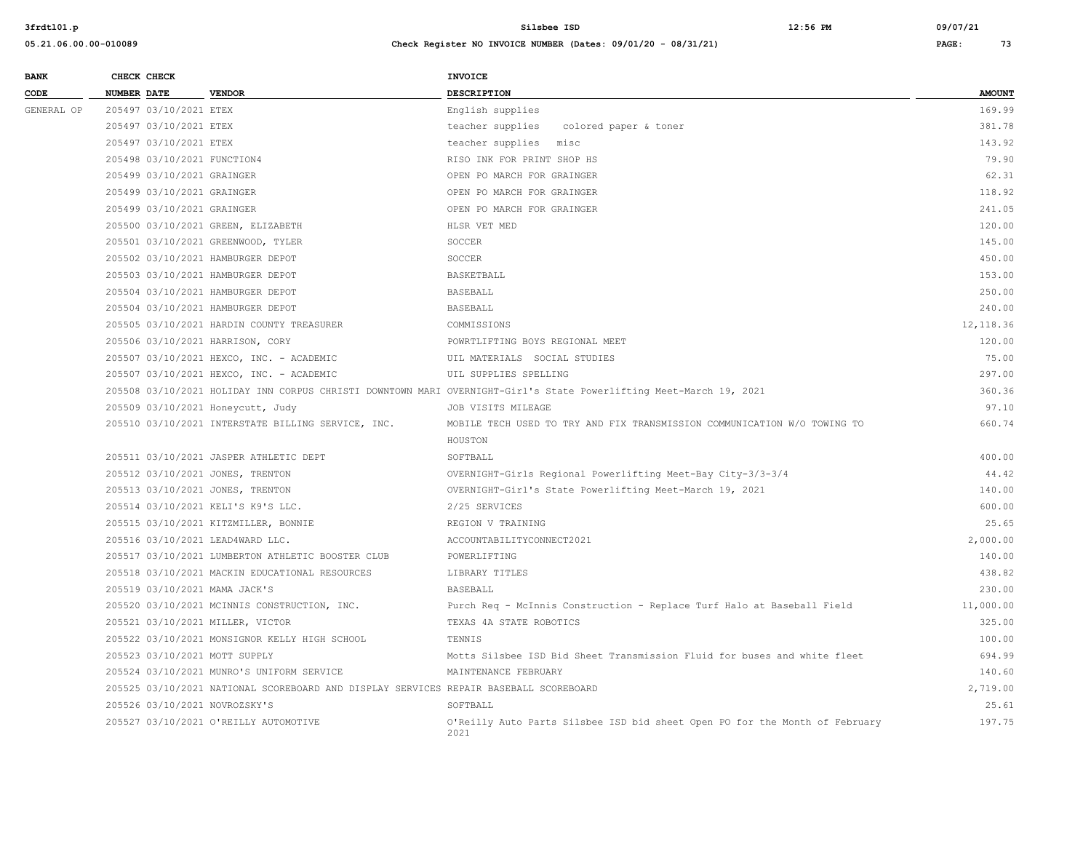| <b>BANK</b> | CHECK CHECK                       |                                                                                       | <b>INVOICE</b>                                                                                                     |               |
|-------------|-----------------------------------|---------------------------------------------------------------------------------------|--------------------------------------------------------------------------------------------------------------------|---------------|
| CODE        | NUMBER DATE                       | <b>VENDOR</b>                                                                         | <b>DESCRIPTION</b>                                                                                                 | <b>AMOUNT</b> |
| GENERAL OP  | 205497 03/10/2021 ETEX            |                                                                                       | English supplies                                                                                                   | 169.99        |
|             | 205497 03/10/2021 ETEX            |                                                                                       | colored paper & toner<br>teacher supplies                                                                          | 381.78        |
|             | 205497 03/10/2021 ETEX            |                                                                                       | teacher supplies misc                                                                                              | 143.92        |
|             | 205498 03/10/2021 FUNCTION4       |                                                                                       | RISO INK FOR PRINT SHOP HS                                                                                         | 79.90         |
|             | 205499 03/10/2021 GRAINGER        |                                                                                       | OPEN PO MARCH FOR GRAINGER                                                                                         | 62.31         |
|             | 205499 03/10/2021 GRAINGER        |                                                                                       | OPEN PO MARCH FOR GRAINGER                                                                                         | 118.92        |
|             | 205499 03/10/2021 GRAINGER        |                                                                                       | OPEN PO MARCH FOR GRAINGER                                                                                         | 241.05        |
|             |                                   | 205500 03/10/2021 GREEN, ELIZABETH                                                    | HLSR VET MED                                                                                                       | 120.00        |
|             |                                   | 205501 03/10/2021 GREENWOOD, TYLER                                                    | SOCCER                                                                                                             | 145.00        |
|             | 205502 03/10/2021 HAMBURGER DEPOT |                                                                                       | SOCCER                                                                                                             | 450.00        |
|             | 205503 03/10/2021 HAMBURGER DEPOT |                                                                                       | <b>BASKETBALL</b>                                                                                                  | 153.00        |
|             | 205504 03/10/2021 HAMBURGER DEPOT |                                                                                       | <b>BASEBALL</b>                                                                                                    | 250.00        |
|             | 205504 03/10/2021 HAMBURGER DEPOT |                                                                                       | <b>BASEBALL</b>                                                                                                    | 240.00        |
|             |                                   | 205505 03/10/2021 HARDIN COUNTY TREASURER                                             | COMMISSIONS                                                                                                        | 12, 118.36    |
|             | 205506 03/10/2021 HARRISON, CORY  |                                                                                       | POWRTLIFTING BOYS REGIONAL MEET                                                                                    | 120.00        |
|             |                                   | 205507 03/10/2021 HEXCO, INC. - ACADEMIC                                              | UIL MATERIALS SOCIAL STUDIES                                                                                       | 75.00         |
|             |                                   | 205507 03/10/2021 HEXCO, INC. - ACADEMIC                                              | UIL SUPPLIES SPELLING                                                                                              | 297.00        |
|             |                                   |                                                                                       | 205508 03/10/2021 HOLIDAY INN CORPUS CHRISTI DOWNTOWN MARI OVERNIGHT-Girl's State Powerlifting Meet-March 19, 2021 | 360.36        |
|             | 205509 03/10/2021 Honeycutt, Judy |                                                                                       | JOB VISITS MILEAGE                                                                                                 | 97.10         |
|             |                                   | 205510 03/10/2021 INTERSTATE BILLING SERVICE, INC.                                    | MOBILE TECH USED TO TRY AND FIX TRANSMISSION COMMUNICATION W/O TOWING TO                                           | 660.74        |
|             |                                   |                                                                                       | HOUSTON                                                                                                            |               |
|             |                                   | 205511 03/10/2021 JASPER ATHLETIC DEPT                                                | SOFTBALL                                                                                                           | 400.00        |
|             | 205512 03/10/2021 JONES, TRENTON  |                                                                                       | OVERNIGHT-Girls Regional Powerlifting Meet-Bay City-3/3-3/4                                                        | 44.42         |
|             | 205513 03/10/2021 JONES, TRENTON  |                                                                                       | OVERNIGHT-Girl's State Powerlifting Meet-March 19, 2021                                                            | 140.00        |
|             |                                   | 205514 03/10/2021 KELI'S K9'S LLC.                                                    | 2/25 SERVICES                                                                                                      | 600.00        |
|             |                                   | 205515 03/10/2021 KITZMILLER, BONNIE                                                  | REGION V TRAINING                                                                                                  | 25.65         |
|             | 205516 03/10/2021 LEAD4WARD LLC.  |                                                                                       | ACCOUNTABILITYCONNECT2021                                                                                          | 2,000.00      |
|             |                                   | 205517 03/10/2021 LUMBERTON ATHLETIC BOOSTER CLUB                                     | POWERLIFTING                                                                                                       | 140.00        |
|             |                                   | 205518 03/10/2021 MACKIN EDUCATIONAL RESOURCES                                        | LIBRARY TITLES                                                                                                     | 438.82        |
|             | 205519 03/10/2021 MAMA JACK'S     |                                                                                       | BASEBALL                                                                                                           | 230.00        |
|             |                                   | 205520 03/10/2021 MCINNIS CONSTRUCTION, INC.                                          | Purch Req - McInnis Construction - Replace Turf Halo at Baseball Field                                             | 11,000.00     |
|             | 205521 03/10/2021 MILLER, VICTOR  |                                                                                       | TEXAS 4A STATE ROBOTICS                                                                                            | 325.00        |
|             |                                   | 205522 03/10/2021 MONSIGNOR KELLY HIGH SCHOOL                                         | TENNIS                                                                                                             | 100.00        |
|             | 205523 03/10/2021 MOTT SUPPLY     |                                                                                       | Motts Silsbee ISD Bid Sheet Transmission Fluid for buses and white fleet                                           | 694.99        |
|             |                                   | 205524 03/10/2021 MUNRO'S UNIFORM SERVICE                                             | MAINTENANCE FEBRUARY                                                                                               | 140.60        |
|             |                                   | 205525 03/10/2021 NATIONAL SCOREBOARD AND DISPLAY SERVICES REPAIR BASEBALL SCOREBOARD |                                                                                                                    | 2,719.00      |
|             | 205526 03/10/2021 NOVROZSKY'S     |                                                                                       | SOFTBALL                                                                                                           | 25.61         |
|             |                                   | 205527 03/10/2021 O'REILLY AUTOMOTIVE                                                 | O'Reilly Auto Parts Silsbee ISD bid sheet Open PO for the Month of February<br>2021                                | 197.75        |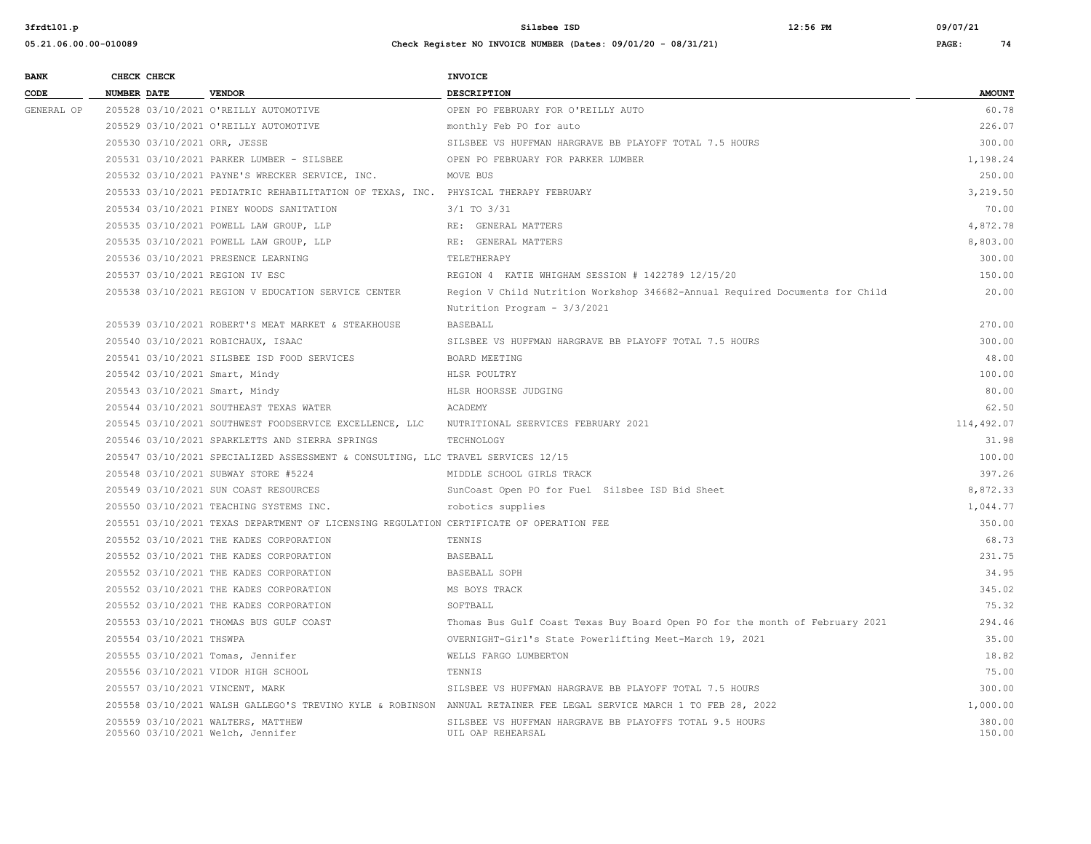| <b>BANK</b> |                    | CHECK CHECK                  |                                                                                         | <b>INVOICE</b>                                                                                                      |                  |
|-------------|--------------------|------------------------------|-----------------------------------------------------------------------------------------|---------------------------------------------------------------------------------------------------------------------|------------------|
| CODE        | <b>NUMBER DATE</b> |                              | <b>VENDOR</b>                                                                           | <b>DESCRIPTION</b>                                                                                                  | <b>AMOUNT</b>    |
| GENERAL OP  |                    |                              | 205528 03/10/2021 O'REILLY AUTOMOTIVE                                                   | OPEN PO FEBRUARY FOR O'REILLY AUTO                                                                                  | 60.78            |
|             |                    |                              | 205529 03/10/2021 O'REILLY AUTOMOTIVE                                                   | monthly Feb PO for auto                                                                                             | 226.07           |
|             |                    | 205530 03/10/2021 ORR, JESSE |                                                                                         | SILSBEE VS HUFFMAN HARGRAVE BB PLAYOFF TOTAL 7.5 HOURS                                                              | 300.00           |
|             |                    |                              | 205531 03/10/2021 PARKER LUMBER - SILSBEE                                               | OPEN PO FEBRUARY FOR PARKER LUMBER                                                                                  | 1,198.24         |
|             |                    |                              | 205532 03/10/2021 PAYNE'S WRECKER SERVICE, INC.                                         | MOVE BUS                                                                                                            | 250.00           |
|             |                    |                              | 205533 03/10/2021 PEDIATRIC REHABILITATION OF TEXAS, INC. PHYSICAL THERAPY FEBRUARY     |                                                                                                                     | 3,219.50         |
|             |                    |                              | 205534 03/10/2021 PINEY WOODS SANITATION                                                | $3/1$ TO $3/31$                                                                                                     | 70.00            |
|             |                    |                              | 205535 03/10/2021 POWELL LAW GROUP, LLP                                                 | RE: GENERAL MATTERS                                                                                                 | 4,872.78         |
|             |                    |                              | 205535 03/10/2021 POWELL LAW GROUP, LLP                                                 | RE: GENERAL MATTERS                                                                                                 | 8,803.00         |
|             |                    |                              | 205536 03/10/2021 PRESENCE LEARNING                                                     | TELETHERAPY                                                                                                         | 300.00           |
|             |                    |                              | 205537 03/10/2021 REGION IV ESC                                                         | REGION 4 KATIE WHIGHAM SESSION # 1422789 12/15/20                                                                   | 150.00           |
|             |                    |                              | 205538 03/10/2021 REGION V EDUCATION SERVICE CENTER                                     | Region V Child Nutrition Workshop 346682-Annual Required Documents for Child                                        | 20.00            |
|             |                    |                              |                                                                                         | Nutrition Program - 3/3/2021                                                                                        |                  |
|             |                    |                              | 205539 03/10/2021 ROBERT'S MEAT MARKET & STEAKHOUSE                                     | BASEBALL                                                                                                            | 270.00           |
|             |                    |                              | 205540 03/10/2021 ROBICHAUX, ISAAC                                                      | SILSBEE VS HUFFMAN HARGRAVE BB PLAYOFF TOTAL 7.5 HOURS                                                              | 300.00           |
|             |                    |                              | 205541 03/10/2021 SILSBEE ISD FOOD SERVICES                                             | BOARD MEETING                                                                                                       | 48.00            |
|             |                    |                              | 205542 03/10/2021 Smart, Mindy                                                          | HLSR POULTRY                                                                                                        | 100.00           |
|             |                    |                              | 205543 03/10/2021 Smart, Mindy                                                          | HLSR HOORSSE JUDGING                                                                                                | 80.00            |
|             |                    |                              | 205544 03/10/2021 SOUTHEAST TEXAS WATER                                                 | ACADEMY                                                                                                             | 62.50            |
|             |                    |                              | 205545 03/10/2021 SOUTHWEST FOODSERVICE EXCELLENCE, LLC                                 | NUTRITIONAL SEERVICES FEBRUARY 2021                                                                                 | 114,492.07       |
|             |                    |                              | 205546 03/10/2021 SPARKLETTS AND SIERRA SPRINGS                                         | TECHNOLOGY                                                                                                          | 31.98            |
|             |                    |                              | 205547 03/10/2021 SPECIALIZED ASSESSMENT & CONSULTING, LLC TRAVEL SERVICES 12/15        |                                                                                                                     | 100.00           |
|             |                    |                              | 205548 03/10/2021 SUBWAY STORE #5224                                                    | MIDDLE SCHOOL GIRLS TRACK                                                                                           | 397.26           |
|             |                    |                              | 205549 03/10/2021 SUN COAST RESOURCES                                                   | SunCoast Open PO for Fuel Silsbee ISD Bid Sheet                                                                     | 8,872.33         |
|             |                    |                              | 205550 03/10/2021 TEACHING SYSTEMS INC.                                                 | robotics supplies                                                                                                   | 1,044.77         |
|             |                    |                              | 205551 03/10/2021 TEXAS DEPARTMENT OF LICENSING REGULATION CERTIFICATE OF OPERATION FEE |                                                                                                                     | 350.00           |
|             |                    |                              | 205552 03/10/2021 THE KADES CORPORATION                                                 | TENNIS                                                                                                              | 68.73            |
|             |                    |                              | 205552 03/10/2021 THE KADES CORPORATION                                                 | <b>BASEBALL</b>                                                                                                     | 231.75           |
|             |                    |                              | 205552 03/10/2021 THE KADES CORPORATION                                                 | BASEBALL SOPH                                                                                                       | 34.95            |
|             |                    |                              | 205552 03/10/2021 THE KADES CORPORATION                                                 | MS BOYS TRACK                                                                                                       | 345.02           |
|             |                    |                              | 205552 03/10/2021 THE KADES CORPORATION                                                 | SOFTBALL                                                                                                            | 75.32            |
|             |                    |                              | 205553 03/10/2021 THOMAS BUS GULF COAST                                                 | Thomas Bus Gulf Coast Texas Buy Board Open PO for the month of February 2021                                        | 294.46           |
|             |                    | 205554 03/10/2021 THSWPA     |                                                                                         | OVERNIGHT-Girl's State Powerlifting Meet-March 19, 2021                                                             | 35.00            |
|             |                    |                              | 205555 03/10/2021 Tomas, Jennifer                                                       | WELLS FARGO LUMBERTON                                                                                               | 18.82            |
|             |                    |                              | 205556 03/10/2021 VIDOR HIGH SCHOOL                                                     | TENNIS                                                                                                              | 75.00            |
|             |                    |                              | 205557 03/10/2021 VINCENT, MARK                                                         | SILSBEE VS HUFFMAN HARGRAVE BB PLAYOFF TOTAL 7.5 HOURS                                                              | 300.00           |
|             |                    |                              |                                                                                         | 205558 03/10/2021 WALSH GALLEGO'S TREVINO KYLE & ROBINSON ANNUAL RETAINER FEE LEGAL SERVICE MARCH 1 TO FEB 28, 2022 | 1,000.00         |
|             |                    |                              | 205559 03/10/2021 WALTERS, MATTHEW<br>205560 03/10/2021 Welch, Jennifer                 | SILSBEE VS HUFFMAN HARGRAVE BB PLAYOFFS TOTAL 9.5 HOURS<br>UIL OAP REHEARSAL                                        | 380.00<br>150.00 |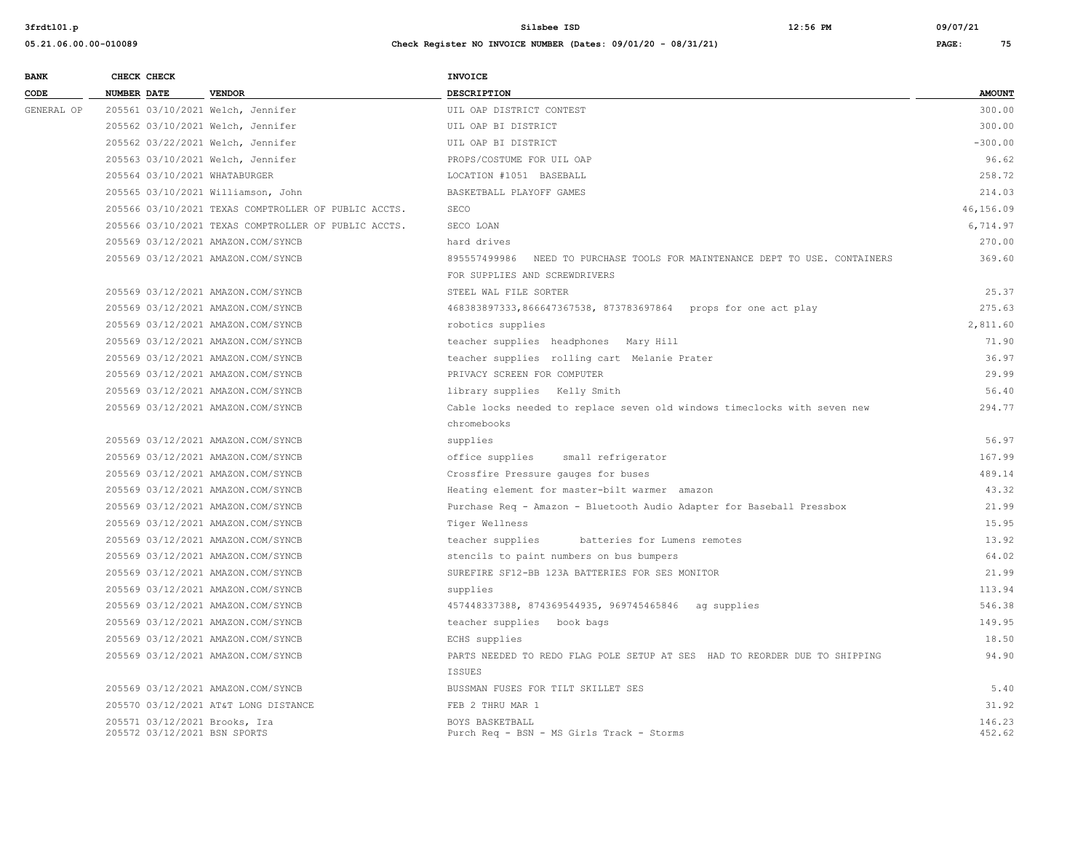| <b>BANK</b> |             | CHECK CHECK |                                                      | INVOICE                                                                     |               |
|-------------|-------------|-------------|------------------------------------------------------|-----------------------------------------------------------------------------|---------------|
| CODE        | NUMBER DATE |             | <b>VENDOR</b>                                        | <b>DESCRIPTION</b>                                                          | <b>AMOUNT</b> |
| GENERAL OP  |             |             | 205561 03/10/2021 Welch, Jennifer                    | UIL OAP DISTRICT CONTEST                                                    | 300.00        |
|             |             |             | 205562 03/10/2021 Welch, Jennifer                    | UIL OAP BI DISTRICT                                                         | 300.00        |
|             |             |             | 205562 03/22/2021 Welch, Jennifer                    | UIL OAP BI DISTRICT                                                         | $-300.00$     |
|             |             |             | 205563 03/10/2021 Welch, Jennifer                    | PROPS/COSTUME FOR UIL OAP                                                   | 96.62         |
|             |             |             | 205564 03/10/2021 WHATABURGER                        | LOCATION #1051 BASEBALL                                                     | 258.72        |
|             |             |             | 205565 03/10/2021 Williamson, John                   | BASKETBALL PLAYOFF GAMES                                                    | 214.03        |
|             |             |             | 205566 03/10/2021 TEXAS COMPTROLLER OF PUBLIC ACCTS. | SECO                                                                        | 46,156.09     |
|             |             |             | 205566 03/10/2021 TEXAS COMPTROLLER OF PUBLIC ACCTS. | SECO LOAN                                                                   | 6,714.97      |
|             |             |             | 205569 03/12/2021 AMAZON.COM/SYNCB                   | hard drives                                                                 | 270.00        |
|             |             |             | 205569 03/12/2021 AMAZON.COM/SYNCB                   | 895557499986 NEED TO PURCHASE TOOLS FOR MAINTENANCE DEPT TO USE. CONTAINERS | 369.60        |
|             |             |             |                                                      | FOR SUPPLIES AND SCREWDRIVERS                                               |               |
|             |             |             | 205569 03/12/2021 AMAZON.COM/SYNCB                   | STEEL WAL FILE SORTER                                                       | 25.37         |
|             |             |             | 205569 03/12/2021 AMAZON.COM/SYNCB                   | 468383897333,866647367538, 873783697864 props for one act play              | 275.63        |
|             |             |             | 205569 03/12/2021 AMAZON.COM/SYNCB                   | robotics supplies                                                           | 2,811.60      |
|             |             |             | 205569 03/12/2021 AMAZON.COM/SYNCB                   | teacher supplies headphones Mary Hill                                       | 71.90         |
|             |             |             | 205569 03/12/2021 AMAZON.COM/SYNCB                   | teacher supplies rolling cart Melanie Prater                                | 36.97         |
|             |             |             | 205569 03/12/2021 AMAZON.COM/SYNCB                   | PRIVACY SCREEN FOR COMPUTER                                                 | 29.99         |
|             |             |             | 205569 03/12/2021 AMAZON.COM/SYNCB                   | library supplies Kelly Smith                                                | 56.40         |
|             |             |             | 205569 03/12/2021 AMAZON.COM/SYNCB                   | Cable locks needed to replace seven old windows timeclocks with seven new   | 294.77        |
|             |             |             |                                                      | chromebooks                                                                 |               |
|             |             |             | 205569 03/12/2021 AMAZON.COM/SYNCB                   | supplies                                                                    | 56.97         |
|             |             |             | 205569 03/12/2021 AMAZON.COM/SYNCB                   | office supplies<br>small refrigerator                                       | 167.99        |
|             |             |             | 205569 03/12/2021 AMAZON.COM/SYNCB                   | Crossfire Pressure gauges for buses                                         | 489.14        |
|             |             |             | 205569 03/12/2021 AMAZON.COM/SYNCB                   | Heating element for master-bilt warmer amazon                               | 43.32         |
|             |             |             | 205569 03/12/2021 AMAZON.COM/SYNCB                   | Purchase Req - Amazon - Bluetooth Audio Adapter for Baseball Pressbox       | 21.99         |
|             |             |             | 205569 03/12/2021 AMAZON.COM/SYNCB                   | Tiger Wellness                                                              | 15.95         |
|             |             |             | 205569 03/12/2021 AMAZON.COM/SYNCB                   | teacher supplies<br>batteries for Lumens remotes                            | 13.92         |
|             |             |             | 205569 03/12/2021 AMAZON.COM/SYNCB                   | stencils to paint numbers on bus bumpers                                    | 64.02         |
|             |             |             | 205569 03/12/2021 AMAZON.COM/SYNCB                   | SUREFIRE SF12-BB 123A BATTERIES FOR SES MONITOR                             | 21.99         |
|             |             |             | 205569 03/12/2021 AMAZON.COM/SYNCB                   | supplies                                                                    | 113.94        |
|             |             |             | 205569 03/12/2021 AMAZON.COM/SYNCB                   | 457448337388, 874369544935, 969745465846 ag supplies                        | 546.38        |
|             |             |             | 205569 03/12/2021 AMAZON.COM/SYNCB                   | teacher supplies book bags                                                  | 149.95        |
|             |             |             | 205569 03/12/2021 AMAZON.COM/SYNCB                   | ECHS supplies                                                               | 18.50         |
|             |             |             | 205569 03/12/2021 AMAZON.COM/SYNCB                   | PARTS NEEDED TO REDO FLAG POLE SETUP AT SES HAD TO REORDER DUE TO SHIPPING  | 94.90         |
|             |             |             |                                                      | <b>ISSUES</b>                                                               |               |
|             |             |             | 205569 03/12/2021 AMAZON.COM/SYNCB                   | BUSSMAN FUSES FOR TILT SKILLET SES                                          | 5.40          |
|             |             |             | 205570 03/12/2021 AT&T LONG DISTANCE                 | FEB 2 THRU MAR 1                                                            | 31.92         |
|             |             |             | 205571 03/12/2021 Brooks, Ira                        | BOYS BASKETBALL                                                             | 146.23        |
|             |             |             | 205572 03/12/2021 BSN SPORTS                         | Purch Req - BSN - MS Girls Track - Storms                                   | 452.62        |
|             |             |             |                                                      |                                                                             |               |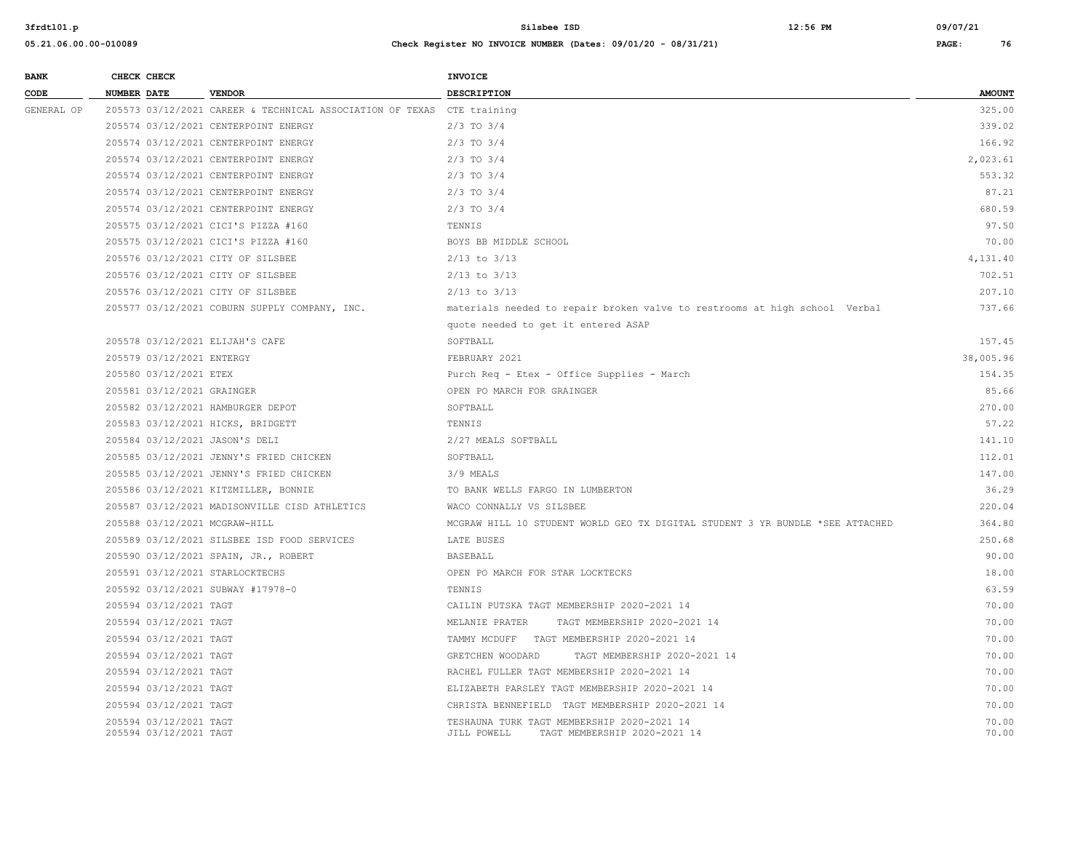| <b>BANK</b> | CHECK CHECK        |                                                  |                                                                        | <b>INVOICE</b>                                                                            |                |
|-------------|--------------------|--------------------------------------------------|------------------------------------------------------------------------|-------------------------------------------------------------------------------------------|----------------|
| CODE        | <b>NUMBER DATE</b> |                                                  | <b>VENDOR</b>                                                          | DESCRIPTION                                                                               | <b>AMOUNT</b>  |
| GENERAL OP  |                    |                                                  | 205573 03/12/2021 CAREER & TECHNICAL ASSOCIATION OF TEXAS CTE training |                                                                                           | 325.00         |
|             |                    |                                                  | 205574 03/12/2021 CENTERPOINT ENERGY                                   | $2/3$ TO $3/4$                                                                            | 339.02         |
|             |                    |                                                  | 205574 03/12/2021 CENTERPOINT ENERGY                                   | $2/3$ TO $3/4$                                                                            | 166.92         |
|             |                    |                                                  | 205574 03/12/2021 CENTERPOINT ENERGY                                   | $2/3$ TO $3/4$                                                                            | 2,023.61       |
|             |                    |                                                  | 205574 03/12/2021 CENTERPOINT ENERGY                                   | $2/3$ TO $3/4$                                                                            | 553.32         |
|             |                    |                                                  | 205574 03/12/2021 CENTERPOINT ENERGY                                   | $2/3$ TO $3/4$                                                                            | 87.21          |
|             |                    |                                                  | 205574 03/12/2021 CENTERPOINT ENERGY                                   | $2/3$ TO $3/4$                                                                            | 680.59         |
|             |                    |                                                  | 205575 03/12/2021 CICI'S PIZZA #160                                    | TENNIS                                                                                    | 97.50          |
|             |                    |                                                  | 205575 03/12/2021 CICI'S PIZZA #160                                    | BOYS BB MIDDLE SCHOOL                                                                     | 70.00          |
|             |                    |                                                  | 205576 03/12/2021 CITY OF SILSBEE                                      | $2/13$ to $3/13$                                                                          | 4,131.40       |
|             |                    |                                                  | 205576 03/12/2021 CITY OF SILSBEE                                      | $2/13$ to $3/13$                                                                          | 702.51         |
|             |                    |                                                  | 205576 03/12/2021 CITY OF SILSBEE                                      | $2/13$ to $3/13$                                                                          | 207.10         |
|             |                    |                                                  | 205577 03/12/2021 COBURN SUPPLY COMPANY, INC.                          | materials needed to repair broken valve to restrooms at high school Verbal                | 737.66         |
|             |                    |                                                  |                                                                        | quote needed to get it entered ASAP                                                       |                |
|             |                    |                                                  | 205578 03/12/2021 ELIJAH'S CAFE                                        | SOFTBALL                                                                                  | 157.45         |
|             |                    | 205579 03/12/2021 ENTERGY                        |                                                                        | FEBRUARY 2021                                                                             | 38,005.96      |
|             |                    | 205580 03/12/2021 ETEX                           |                                                                        | Purch Req - Etex - Office Supplies - March                                                | 154.35         |
|             |                    | 205581 03/12/2021 GRAINGER                       |                                                                        | OPEN PO MARCH FOR GRAINGER                                                                | 85.66          |
|             |                    |                                                  | 205582 03/12/2021 HAMBURGER DEPOT                                      | SOFTBALL                                                                                  | 270.00         |
|             |                    |                                                  | 205583 03/12/2021 HICKS, BRIDGETT                                      | TENNIS                                                                                    | 57.22          |
|             |                    |                                                  | 205584 03/12/2021 JASON'S DELI                                         | 2/27 MEALS SOFTBALL                                                                       | 141.10         |
|             |                    |                                                  | 205585 03/12/2021 JENNY'S FRIED CHICKEN                                | SOFTBALL                                                                                  | 112.01         |
|             |                    |                                                  | 205585 03/12/2021 JENNY'S FRIED CHICKEN                                | 3/9 MEALS                                                                                 | 147.00         |
|             |                    |                                                  | 205586 03/12/2021 KITZMILLER, BONNIE                                   | TO BANK WELLS FARGO IN LUMBERTON                                                          | 36.29          |
|             |                    |                                                  | 205587 03/12/2021 MADISONVILLE CISD ATHLETICS                          | WACO CONNALLY VS SILSBEE                                                                  | 220.04         |
|             |                    |                                                  | 205588 03/12/2021 MCGRAW-HILL                                          | MCGRAW HILL 10 STUDENT WORLD GEO TX DIGITAL STUDENT 3 YR BUNDLE *SEE ATTACHED             | 364.80         |
|             |                    |                                                  | 205589 03/12/2021 SILSBEE ISD FOOD SERVICES                            | LATE BUSES                                                                                | 250.68         |
|             |                    |                                                  | 205590 03/12/2021 SPAIN, JR., ROBERT                                   | <b>BASEBALL</b>                                                                           | 90.00          |
|             |                    |                                                  | 205591 03/12/2021 STARLOCKTECHS                                        | OPEN PO MARCH FOR STAR LOCKTECKS                                                          | 18.00          |
|             |                    |                                                  | 205592 03/12/2021 SUBWAY #17978-0                                      | TENNIS                                                                                    | 63.59          |
|             |                    | 205594 03/12/2021 TAGT                           |                                                                        | CAILIN PUTSKA TAGT MEMBERSHIP 2020-2021 14                                                | 70.00          |
|             |                    | 205594 03/12/2021 TAGT                           |                                                                        | MELANIE PRATER<br>TAGT MEMBERSHIP 2020-2021 14                                            | 70.00          |
|             |                    | 205594 03/12/2021 TAGT                           |                                                                        | TAMMY MCDUFF TAGT MEMBERSHIP 2020-2021 14                                                 | 70.00          |
|             |                    | 205594 03/12/2021 TAGT                           |                                                                        | GRETCHEN WOODARD<br>TAGT MEMBERSHIP 2020-2021 14                                          | 70.00          |
|             |                    | 205594 03/12/2021 TAGT                           |                                                                        | RACHEL FULLER TAGT MEMBERSHIP 2020-2021 14                                                | 70.00          |
|             |                    | 205594 03/12/2021 TAGT                           |                                                                        | ELIZABETH PARSLEY TAGT MEMBERSHIP 2020-2021 14                                            | 70.00          |
|             |                    | 205594 03/12/2021 TAGT                           |                                                                        | CHRISTA BENNEFIELD TAGT MEMBERSHIP 2020-2021 14                                           | 70.00          |
|             |                    | 205594 03/12/2021 TAGT<br>205594 03/12/2021 TAGT |                                                                        | TESHAUNA TURK TAGT MEMBERSHIP 2020-2021 14<br>JILL POWELL<br>TAGT MEMBERSHIP 2020-2021 14 | 70.00<br>70.00 |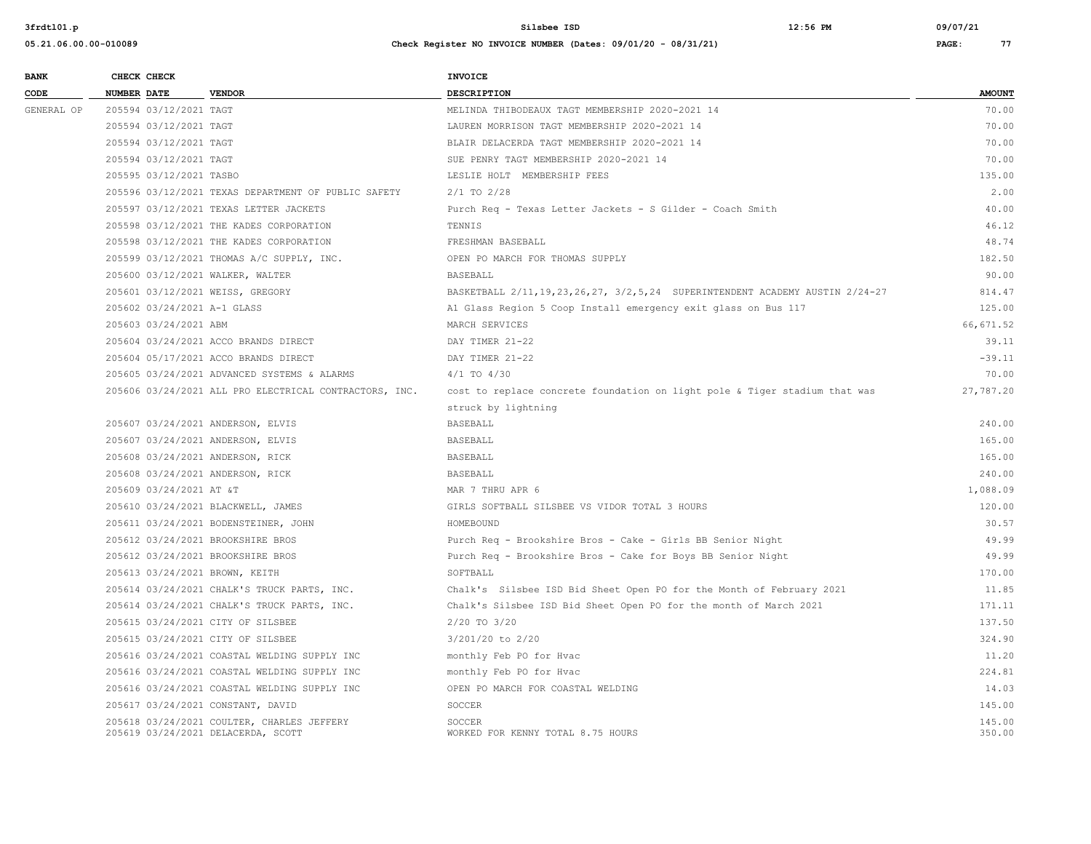| <b>BANK</b> |             | CHECK CHECK                 |                                                        | <b>INVOICE</b>                                                                    |               |
|-------------|-------------|-----------------------------|--------------------------------------------------------|-----------------------------------------------------------------------------------|---------------|
| CODE        | NUMBER DATE |                             | <b>VENDOR</b>                                          | <b>DESCRIPTION</b>                                                                | <b>AMOUNT</b> |
| GENERAL OP  |             | 205594 03/12/2021 TAGT      |                                                        | MELINDA THIBODEAUX TAGT MEMBERSHIP 2020-2021 14                                   | 70.00         |
|             |             | 205594 03/12/2021 TAGT      |                                                        | LAUREN MORRISON TAGT MEMBERSHIP 2020-2021 14                                      | 70.00         |
|             |             | 205594 03/12/2021 TAGT      |                                                        | BLAIR DELACERDA TAGT MEMBERSHIP 2020-2021 14                                      | 70.00         |
|             |             | 205594 03/12/2021 TAGT      |                                                        | SUE PENRY TAGT MEMBERSHIP 2020-2021 14                                            | 70.00         |
|             |             | 205595 03/12/2021 TASBO     |                                                        | LESLIE HOLT MEMBERSHIP FEES                                                       | 135.00        |
|             |             |                             | 205596 03/12/2021 TEXAS DEPARTMENT OF PUBLIC SAFETY    | $2/1$ TO $2/28$                                                                   | 2.00          |
|             |             |                             | 205597 03/12/2021 TEXAS LETTER JACKETS                 | Purch Req - Texas Letter Jackets - S Gilder - Coach Smith                         | 40.00         |
|             |             |                             | 205598 03/12/2021 THE KADES CORPORATION                | TENNIS                                                                            | 46.12         |
|             |             |                             | 205598 03/12/2021 THE KADES CORPORATION                | FRESHMAN BASEBALL                                                                 | 48.74         |
|             |             |                             | 205599 03/12/2021 THOMAS A/C SUPPLY, INC.              | OPEN PO MARCH FOR THOMAS SUPPLY                                                   | 182.50        |
|             |             |                             | 205600 03/12/2021 WALKER, WALTER                       | <b>BASEBALL</b>                                                                   | 90.00         |
|             |             |                             | 205601 03/12/2021 WEISS, GREGORY                       | BASKETBALL 2/11, 19, 23, 26, 27, 3/2, 5, 24 SUPERINTENDENT ACADEMY AUSTIN 2/24-27 | 814.47        |
|             |             | 205602 03/24/2021 A-1 GLASS |                                                        | Al Glass Region 5 Coop Install emergency exit glass on Bus 117                    | 125.00        |
|             |             | 205603 03/24/2021 ABM       |                                                        | MARCH SERVICES                                                                    | 66, 671.52    |
|             |             |                             | 205604 03/24/2021 ACCO BRANDS DIRECT                   | DAY TIMER 21-22                                                                   | 39.11         |
|             |             |                             | 205604 05/17/2021 ACCO BRANDS DIRECT                   | DAY TIMER 21-22                                                                   | $-39.11$      |
|             |             |                             | 205605 03/24/2021 ADVANCED SYSTEMS & ALARMS            | $4/1$ TO $4/30$                                                                   | 70.00         |
|             |             |                             | 205606 03/24/2021 ALL PRO ELECTRICAL CONTRACTORS, INC. | cost to replace concrete foundation on light pole & Tiger stadium that was        | 27,787.20     |
|             |             |                             |                                                        | struck by lightning                                                               |               |
|             |             |                             | 205607 03/24/2021 ANDERSON, ELVIS                      | <b>BASEBALL</b>                                                                   | 240.00        |
|             |             |                             | 205607 03/24/2021 ANDERSON, ELVIS                      | <b>BASEBALL</b>                                                                   | 165.00        |
|             |             |                             | 205608 03/24/2021 ANDERSON, RICK                       | <b>BASEBALL</b>                                                                   | 165.00        |
|             |             |                             | 205608 03/24/2021 ANDERSON, RICK                       | <b>BASEBALL</b>                                                                   | 240.00        |
|             |             | 205609 03/24/2021 AT &T     |                                                        | MAR 7 THRU APR 6                                                                  | 1,088.09      |
|             |             |                             | 205610 03/24/2021 BLACKWELL, JAMES                     | GIRLS SOFTBALL SILSBEE VS VIDOR TOTAL 3 HOURS                                     | 120.00        |
|             |             |                             | 205611 03/24/2021 BODENSTEINER, JOHN                   | HOMEBOUND                                                                         | 30.57         |
|             |             |                             | 205612 03/24/2021 BROOKSHIRE BROS                      | Purch Req - Brookshire Bros - Cake - Girls BB Senior Night                        | 49.99         |
|             |             |                             | 205612 03/24/2021 BROOKSHIRE BROS                      | Purch Req - Brookshire Bros - Cake for Boys BB Senior Night                       | 49.99         |
|             |             |                             | 205613 03/24/2021 BROWN, KEITH                         | SOFTBALL                                                                          | 170.00        |
|             |             |                             | 205614 03/24/2021 CHALK'S TRUCK PARTS, INC.            | Chalk's Silsbee ISD Bid Sheet Open PO for the Month of February 2021              | 11.85         |
|             |             |                             | 205614 03/24/2021 CHALK'S TRUCK PARTS, INC.            | Chalk's Silsbee ISD Bid Sheet Open PO for the month of March 2021                 | 171.11        |
|             |             |                             | 205615 03/24/2021 CITY OF SILSBEE                      | 2/20 TO 3/20                                                                      | 137.50        |
|             |             |                             | 205615 03/24/2021 CITY OF SILSBEE                      | 3/201/20 to 2/20                                                                  | 324.90        |
|             |             |                             | 205616 03/24/2021 COASTAL WELDING SUPPLY INC           | monthly Feb PO for Hvac                                                           | 11.20         |
|             |             |                             | 205616 03/24/2021 COASTAL WELDING SUPPLY INC           | monthly Feb PO for Hvac                                                           | 224.81        |
|             |             |                             | 205616 03/24/2021 COASTAL WELDING SUPPLY INC           | OPEN PO MARCH FOR COASTAL WELDING                                                 | 14.03         |
|             |             |                             | 205617 03/24/2021 CONSTANT, DAVID                      | SOCCER                                                                            | 145.00        |
|             |             |                             | 205618 03/24/2021 COULTER, CHARLES JEFFERY             | SOCCER                                                                            | 145.00        |
|             |             |                             | 205619 03/24/2021 DELACERDA, SCOTT                     | WORKED FOR KENNY TOTAL 8.75 HOURS                                                 | 350.00        |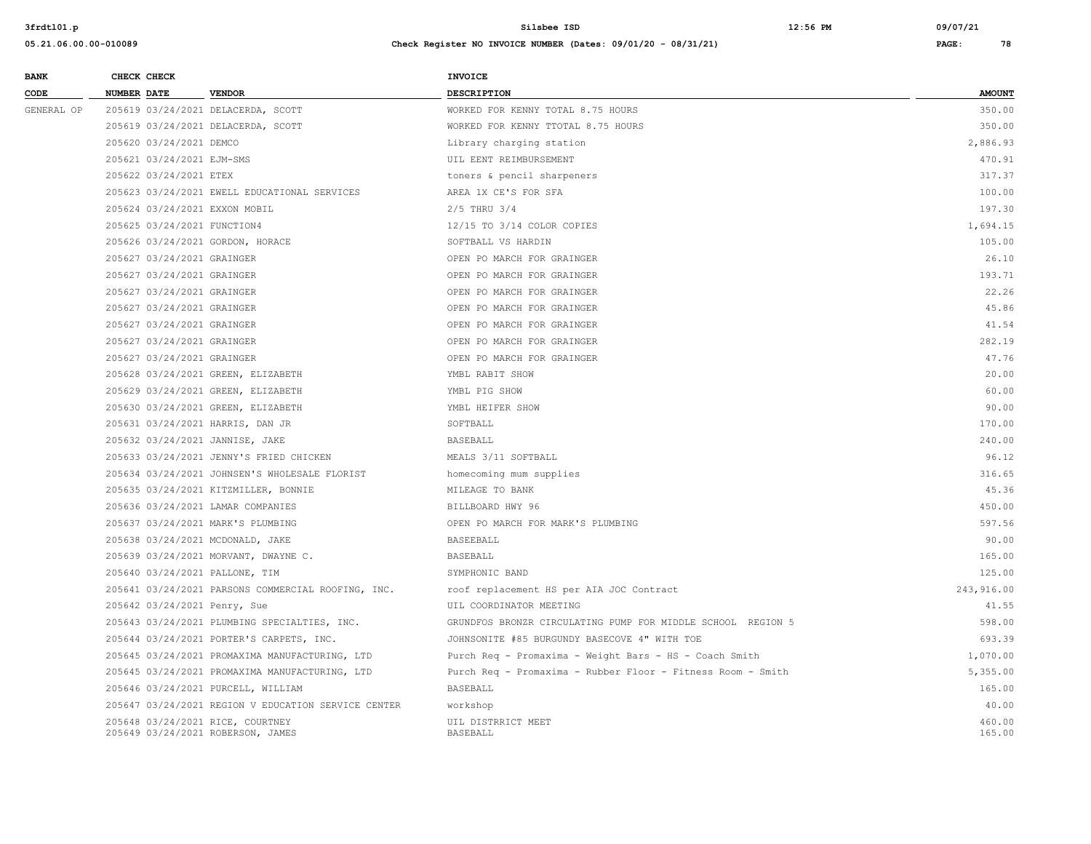| CODE<br><b>NUMBER DATE</b><br><b>VENDOR</b><br><b>DESCRIPTION</b><br>GENERAL OP<br>205619 03/24/2021 DELACERDA, SCOTT<br>WORKED FOR KENNY TOTAL 8.75 HOURS<br>205619 03/24/2021 DELACERDA, SCOTT<br>WORKED FOR KENNY TTOTAL 8.75 HOURS | <b>AMOUNT</b><br>350.00<br>350.00<br>2,886.93 |
|----------------------------------------------------------------------------------------------------------------------------------------------------------------------------------------------------------------------------------------|-----------------------------------------------|
|                                                                                                                                                                                                                                        |                                               |
|                                                                                                                                                                                                                                        |                                               |
|                                                                                                                                                                                                                                        |                                               |
| 205620 03/24/2021 DEMCO<br>Library charging station                                                                                                                                                                                    |                                               |
| 205621 03/24/2021 EJM-SMS<br>UIL EENT REIMBURSEMENT                                                                                                                                                                                    | 470.91                                        |
| 205622 03/24/2021 ETEX<br>toners & pencil sharpeners                                                                                                                                                                                   | 317.37                                        |
| 205623 03/24/2021 EWELL EDUCATIONAL SERVICES<br>AREA 1X CE'S FOR SFA                                                                                                                                                                   | 100.00                                        |
| 205624 03/24/2021 EXXON MOBIL<br>$2/5$ THRU $3/4$                                                                                                                                                                                      | 197.30                                        |
| 205625 03/24/2021 FUNCTION4<br>12/15 TO 3/14 COLOR COPIES                                                                                                                                                                              | 1,694.15                                      |
| 205626 03/24/2021 GORDON, HORACE<br>SOFTBALL VS HARDIN                                                                                                                                                                                 | 105.00                                        |
| 205627 03/24/2021 GRAINGER<br>OPEN PO MARCH FOR GRAINGER                                                                                                                                                                               | 26.10                                         |
| 205627 03/24/2021 GRAINGER<br>OPEN PO MARCH FOR GRAINGER                                                                                                                                                                               | 193.71                                        |
| 205627 03/24/2021 GRAINGER<br>OPEN PO MARCH FOR GRAINGER                                                                                                                                                                               | 22.26                                         |
| 205627 03/24/2021 GRAINGER<br>OPEN PO MARCH FOR GRAINGER                                                                                                                                                                               | 45.86                                         |
| 205627 03/24/2021 GRAINGER<br>OPEN PO MARCH FOR GRAINGER                                                                                                                                                                               | 41.54                                         |
| 205627 03/24/2021 GRAINGER<br>OPEN PO MARCH FOR GRAINGER                                                                                                                                                                               | 282.19                                        |
| 205627 03/24/2021 GRAINGER<br>OPEN PO MARCH FOR GRAINGER                                                                                                                                                                               | 47.76                                         |
| 205628 03/24/2021 GREEN, ELIZABETH<br>YMBL RABIT SHOW                                                                                                                                                                                  | 20.00                                         |
| 205629 03/24/2021 GREEN, ELIZABETH<br>YMBL PIG SHOW                                                                                                                                                                                    | 60.00                                         |
| 205630 03/24/2021 GREEN, ELIZABETH<br>YMBL HEIFER SHOW                                                                                                                                                                                 | 90.00                                         |
| 205631 03/24/2021 HARRIS, DAN JR<br>SOFTBALL                                                                                                                                                                                           | 170.00                                        |
| 205632 03/24/2021 JANNISE, JAKE<br>BASEBALL                                                                                                                                                                                            | 240.00                                        |
| 205633 03/24/2021 JENNY'S FRIED CHICKEN<br>MEALS 3/11 SOFTBALL                                                                                                                                                                         | 96.12                                         |
| 205634 03/24/2021 JOHNSEN'S WHOLESALE FLORIST<br>homecoming mum supplies                                                                                                                                                               | 316.65                                        |
| 205635 03/24/2021 KITZMILLER, BONNIE<br>MILEAGE TO BANK                                                                                                                                                                                | 45.36                                         |
| 205636 03/24/2021 LAMAR COMPANIES<br>BILLBOARD HWY 96                                                                                                                                                                                  | 450.00                                        |
| 205637 03/24/2021 MARK'S PLUMBING<br>OPEN PO MARCH FOR MARK'S PLUMBING                                                                                                                                                                 | 597.56                                        |
| 205638 03/24/2021 MCDONALD, JAKE<br><b>BASEEBALL</b>                                                                                                                                                                                   | 90.00                                         |
| 205639 03/24/2021 MORVANT, DWAYNE C.<br>BASEBALL                                                                                                                                                                                       | 165.00                                        |
| 205640 03/24/2021 PALLONE, TIM<br>SYMPHONIC BAND                                                                                                                                                                                       | 125.00                                        |
| 205641 03/24/2021 PARSONS COMMERCIAL ROOFING, INC.<br>roof replacement HS per AIA JOC Contract                                                                                                                                         | 243,916.00                                    |
| 205642 03/24/2021 Penry, Sue<br>UIL COORDINATOR MEETING                                                                                                                                                                                | 41.55                                         |
| 205643 03/24/2021 PLUMBING SPECIALTIES, INC.<br>GRUNDFOS BRONZR CIRCULATING PUMP FOR MIDDLE SCHOOL REGION 5                                                                                                                            | 598.00                                        |
| 205644 03/24/2021 PORTER'S CARPETS, INC.<br>JOHNSONITE #85 BURGUNDY BASECOVE 4" WITH TOE                                                                                                                                               | 693.39                                        |
| 205645 03/24/2021 PROMAXIMA MANUFACTURING, LTD<br>Purch Req - Promaxima - Weight Bars - HS - Coach Smith                                                                                                                               | 1,070.00                                      |
| 205645 03/24/2021 PROMAXIMA MANUFACTURING, LTD<br>Purch Req - Promaxima - Rubber Floor - Fitness Room - Smith                                                                                                                          | 5,355.00                                      |
| 205646 03/24/2021 PURCELL, WILLIAM<br><b>BASEBALL</b>                                                                                                                                                                                  | 165.00                                        |
| 205647 03/24/2021 REGION V EDUCATION SERVICE CENTER<br>workshop                                                                                                                                                                        | 40.00                                         |
| 205648 03/24/2021 RICE, COURTNEY<br>UIL DISTRRICT MEET<br>205649 03/24/2021 ROBERSON, JAMES<br>BASEBALL                                                                                                                                | 460.00<br>165.00                              |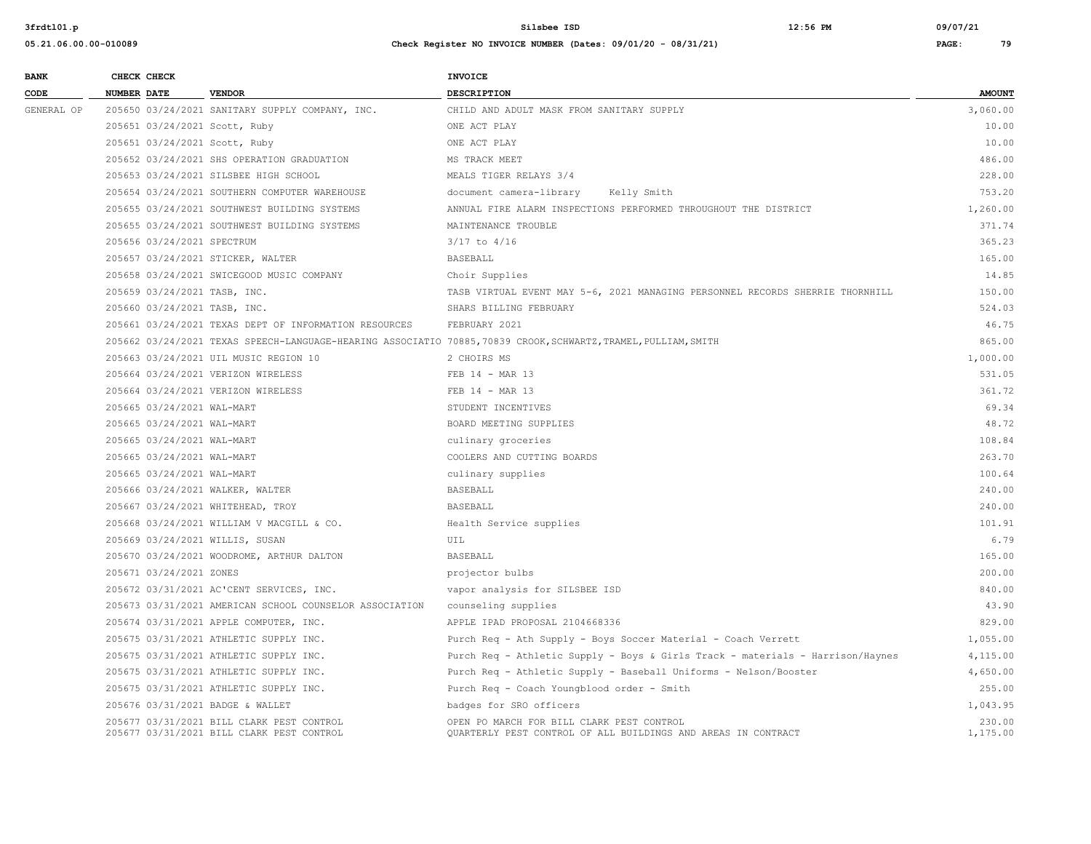| <b>BANK</b>     |             | CHECK CHECK                  |                                                                                        | INVOICE                                                                                                         |                    |
|-----------------|-------------|------------------------------|----------------------------------------------------------------------------------------|-----------------------------------------------------------------------------------------------------------------|--------------------|
| $\texttt{CODE}$ | NUMBER DATE |                              | <b>VENDOR</b>                                                                          | <b>DESCRIPTION</b>                                                                                              | <b>AMOUNT</b>      |
| GENERAL OP      |             |                              | 205650 03/24/2021 SANITARY SUPPLY COMPANY, INC.                                        | CHILD AND ADULT MASK FROM SANITARY SUPPLY                                                                       | 3,060.00           |
|                 |             |                              | 205651 03/24/2021 Scott, Ruby                                                          | ONE ACT PLAY                                                                                                    | 10.00              |
|                 |             |                              | 205651 03/24/2021 Scott, Ruby                                                          | ONE ACT PLAY                                                                                                    | 10.00              |
|                 |             |                              | 205652 03/24/2021 SHS OPERATION GRADUATION                                             | MS TRACK MEET                                                                                                   | 486.00             |
|                 |             |                              | 205653 03/24/2021 SILSBEE HIGH SCHOOL                                                  | MEALS TIGER RELAYS 3/4                                                                                          | 228.00             |
|                 |             |                              | 205654 03/24/2021 SOUTHERN COMPUTER WAREHOUSE                                          | document camera-library<br>Kelly Smith                                                                          | 753.20             |
|                 |             |                              | 205655 03/24/2021 SOUTHWEST BUILDING SYSTEMS                                           | ANNUAL FIRE ALARM INSPECTIONS PERFORMED THROUGHOUT THE DISTRICT                                                 | 1,260.00           |
|                 |             |                              | 205655 03/24/2021 SOUTHWEST BUILDING SYSTEMS                                           | MAINTENANCE TROUBLE                                                                                             | 371.74             |
|                 |             | 205656 03/24/2021 SPECTRUM   |                                                                                        | $3/17$ to $4/16$                                                                                                | 365.23             |
|                 |             |                              | 205657 03/24/2021 STICKER, WALTER                                                      | <b>BASEBALL</b>                                                                                                 | 165.00             |
|                 |             |                              | 205658 03/24/2021 SWICEGOOD MUSIC COMPANY                                              | Choir Supplies                                                                                                  | 14.85              |
|                 |             | 205659 03/24/2021 TASB, INC. |                                                                                        | TASB VIRTUAL EVENT MAY 5-6, 2021 MANAGING PERSONNEL RECORDS SHERRIE THORNHILL                                   | 150.00             |
|                 |             | 205660 03/24/2021 TASB, INC. |                                                                                        | SHARS BILLING FEBRUARY                                                                                          | 524.03             |
|                 |             |                              | 205661 03/24/2021 TEXAS DEPT OF INFORMATION RESOURCES                                  | FEBRUARY 2021                                                                                                   | 46.75              |
|                 |             |                              |                                                                                        | 205662 03/24/2021 TEXAS SPEECH-LANGUAGE-HEARING ASSOCIATIO 70885, 70839 CROOK, SCHWARTZ, TRAMEL, PULLIAM, SMITH | 865.00             |
|                 |             |                              | 205663 03/24/2021 UIL MUSIC REGION 10                                                  | 2 CHOIRS MS                                                                                                     | 1,000.00           |
|                 |             |                              | 205664 03/24/2021 VERIZON WIRELESS                                                     | FEB 14 - MAR 13                                                                                                 | 531.05             |
|                 |             |                              | 205664 03/24/2021 VERIZON WIRELESS                                                     | FEB 14 - MAR 13                                                                                                 | 361.72             |
|                 |             | 205665 03/24/2021 WAL-MART   |                                                                                        | STUDENT INCENTIVES                                                                                              | 69.34              |
|                 |             | 205665 03/24/2021 WAL-MART   |                                                                                        | BOARD MEETING SUPPLIES                                                                                          | 48.72              |
|                 |             | 205665 03/24/2021 WAL-MART   |                                                                                        | culinary groceries                                                                                              | 108.84             |
|                 |             | 205665 03/24/2021 WAL-MART   |                                                                                        | COOLERS AND CUTTING BOARDS                                                                                      | 263.70             |
|                 |             | 205665 03/24/2021 WAL-MART   |                                                                                        | culinary supplies                                                                                               | 100.64             |
|                 |             |                              | 205666 03/24/2021 WALKER, WALTER                                                       | <b>BASEBALL</b>                                                                                                 | 240.00             |
|                 |             |                              | 205667 03/24/2021 WHITEHEAD, TROY                                                      | <b>BASEBALL</b>                                                                                                 | 240.00             |
|                 |             |                              | 205668 03/24/2021 WILLIAM V MACGILL & CO.                                              | Health Service supplies                                                                                         | 101.91             |
|                 |             |                              | 205669 03/24/2021 WILLIS, SUSAN                                                        | UIL                                                                                                             | 6.79               |
|                 |             |                              | 205670 03/24/2021 WOODROME, ARTHUR DALTON                                              | <b>BASEBALL</b>                                                                                                 | 165.00             |
|                 |             | 205671 03/24/2021 ZONES      |                                                                                        | projector bulbs                                                                                                 | 200.00             |
|                 |             |                              | 205672 03/31/2021 AC'CENT SERVICES, INC.                                               | vapor analysis for SILSBEE ISD                                                                                  | 840.00             |
|                 |             |                              | 205673 03/31/2021 AMERICAN SCHOOL COUNSELOR ASSOCIATION                                | counseling supplies                                                                                             | 43.90              |
|                 |             |                              | 205674 03/31/2021 APPLE COMPUTER, INC.                                                 | APPLE IPAD PROPOSAL 2104668336                                                                                  | 829.00             |
|                 |             |                              | 205675 03/31/2021 ATHLETIC SUPPLY INC.                                                 | Purch Req - Ath Supply - Boys Soccer Material - Coach Verrett                                                   | 1,055.00           |
|                 |             |                              | 205675 03/31/2021 ATHLETIC SUPPLY INC.                                                 | Purch Req - Athletic Supply - Boys & Girls Track - materials - Harrison/Haynes                                  | 4,115.00           |
|                 |             |                              | 205675 03/31/2021 ATHLETIC SUPPLY INC.                                                 | Purch Req - Athletic Supply - Baseball Uniforms - Nelson/Booster                                                | 4,650.00           |
|                 |             |                              | 205675 03/31/2021 ATHLETIC SUPPLY INC.                                                 | Purch Req - Coach Youngblood order - Smith                                                                      | 255.00             |
|                 |             |                              | 205676 03/31/2021 BADGE & WALLET                                                       | badges for SRO officers                                                                                         | 1,043.95           |
|                 |             |                              | 205677 03/31/2021 BILL CLARK PEST CONTROL<br>205677 03/31/2021 BILL CLARK PEST CONTROL | OPEN PO MARCH FOR BILL CLARK PEST CONTROL<br>QUARTERLY PEST CONTROL OF ALL BUILDINGS AND AREAS IN CONTRACT      | 230.00<br>1,175.00 |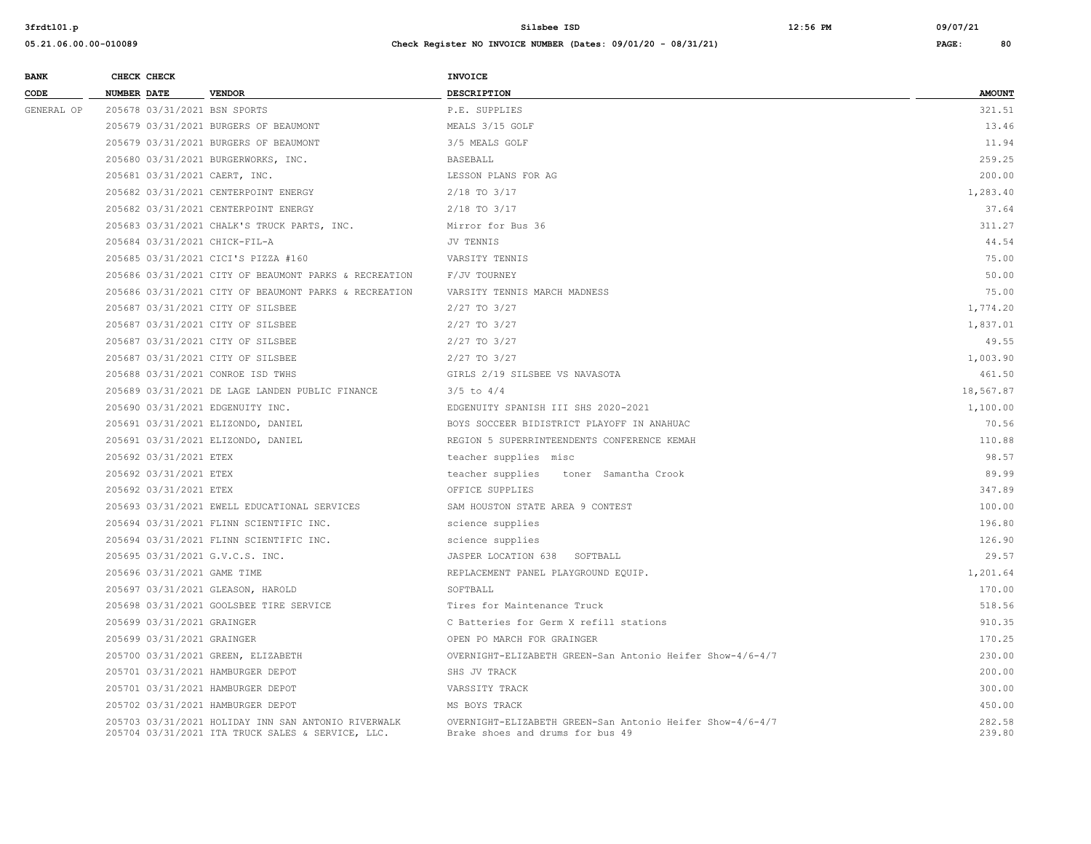| <b>BANK</b> | CHECK CHECK                      |                                                                                                          | <b>INVOICE</b>                                                                                |                  |
|-------------|----------------------------------|----------------------------------------------------------------------------------------------------------|-----------------------------------------------------------------------------------------------|------------------|
| CODE        | NUMBER DATE                      | <b>VENDOR</b>                                                                                            | DESCRIPTION                                                                                   | <b>AMOUNT</b>    |
| GENERAL OP  | 205678 03/31/2021 BSN SPORTS     |                                                                                                          | P.E. SUPPLIES                                                                                 | 321.51           |
|             |                                  | 205679 03/31/2021 BURGERS OF BEAUMONT                                                                    | MEALS 3/15 GOLF                                                                               | 13.46            |
|             |                                  | 205679 03/31/2021 BURGERS OF BEAUMONT                                                                    | 3/5 MEALS GOLF                                                                                | 11.94            |
|             |                                  | 205680 03/31/2021 BURGERWORKS, INC.                                                                      | <b>BASEBALL</b>                                                                               | 259.25           |
|             | 205681 03/31/2021 CAERT, INC.    |                                                                                                          | LESSON PLANS FOR AG                                                                           | 200.00           |
|             |                                  | 205682 03/31/2021 CENTERPOINT ENERGY                                                                     | $2/18$ TO $3/17$                                                                              | 1,283.40         |
|             |                                  | 205682 03/31/2021 CENTERPOINT ENERGY                                                                     | $2/18$ TO $3/17$                                                                              | 37.64            |
|             |                                  | 205683 03/31/2021 CHALK'S TRUCK PARTS, INC.                                                              | Mirror for Bus 36                                                                             | 311.27           |
|             | 205684 03/31/2021 CHICK-FIL-A    |                                                                                                          | JV TENNIS                                                                                     | 44.54            |
|             |                                  | 205685 03/31/2021 CICI'S PIZZA #160                                                                      | VARSITY TENNIS                                                                                | 75.00            |
|             |                                  | 205686 03/31/2021 CITY OF BEAUMONT PARKS & RECREATION                                                    | F/JV TOURNEY                                                                                  | 50.00            |
|             |                                  | 205686 03/31/2021 CITY OF BEAUMONT PARKS & RECREATION                                                    | VARSITY TENNIS MARCH MADNESS                                                                  | 75.00            |
|             |                                  | 205687 03/31/2021 CITY OF SILSBEE                                                                        | $2/27$ TO $3/27$                                                                              | 1,774.20         |
|             |                                  | 205687 03/31/2021 CITY OF SILSBEE                                                                        | 2/27 TO 3/27                                                                                  | 1,837.01         |
|             |                                  | 205687 03/31/2021 CITY OF SILSBEE                                                                        | 2/27 TO 3/27                                                                                  | 49.55            |
|             |                                  | 205687 03/31/2021 CITY OF SILSBEE                                                                        | 2/27 TO 3/27                                                                                  | 1,003.90         |
|             |                                  | 205688 03/31/2021 CONROE ISD TWHS                                                                        | GIRLS 2/19 SILSBEE VS NAVASOTA                                                                | 461.50           |
|             |                                  | 205689 03/31/2021 DE LAGE LANDEN PUBLIC FINANCE                                                          | $3/5$ to $4/4$                                                                                | 18,567.87        |
|             | 205690 03/31/2021 EDGENUITY INC. |                                                                                                          | EDGENUITY SPANISH III SHS 2020-2021                                                           | 1,100.00         |
|             |                                  | 205691 03/31/2021 ELIZONDO, DANIEL                                                                       | BOYS SOCCEER BIDISTRICT PLAYOFF IN ANAHUAC                                                    | 70.56            |
|             |                                  | 205691 03/31/2021 ELIZONDO, DANIEL                                                                       | REGION 5 SUPERRINTEENDENTS CONFERENCE KEMAH                                                   | 110.88           |
|             | 205692 03/31/2021 ETEX           |                                                                                                          | teacher supplies misc                                                                         | 98.57            |
|             | 205692 03/31/2021 ETEX           |                                                                                                          | teacher supplies<br>toner Samantha Crook                                                      | 89.99            |
|             | 205692 03/31/2021 ETEX           |                                                                                                          | OFFICE SUPPLIES                                                                               | 347.89           |
|             |                                  | 205693 03/31/2021 EWELL EDUCATIONAL SERVICES                                                             | SAM HOUSTON STATE AREA 9 CONTEST                                                              | 100.00           |
|             |                                  | 205694 03/31/2021 FLINN SCIENTIFIC INC.                                                                  | science supplies                                                                              | 196.80           |
|             |                                  | 205694 03/31/2021 FLINN SCIENTIFIC INC.                                                                  | science supplies                                                                              | 126.90           |
|             | 205695 03/31/2021 G.V.C.S. INC.  |                                                                                                          | JASPER LOCATION 638 SOFTBALL                                                                  | 29.57            |
|             | 205696 03/31/2021 GAME TIME      |                                                                                                          | REPLACEMENT PANEL PLAYGROUND EQUIP.                                                           | 1,201.64         |
|             |                                  | 205697 03/31/2021 GLEASON, HAROLD                                                                        | SOFTBALL                                                                                      | 170.00           |
|             |                                  | 205698 03/31/2021 GOOLSBEE TIRE SERVICE                                                                  | Tires for Maintenance Truck                                                                   | 518.56           |
|             | 205699 03/31/2021 GRAINGER       |                                                                                                          | C Batteries for Germ X refill stations                                                        | 910.35           |
|             | 205699 03/31/2021 GRAINGER       |                                                                                                          | OPEN PO MARCH FOR GRAINGER                                                                    | 170.25           |
|             |                                  | 205700 03/31/2021 GREEN, ELIZABETH                                                                       | OVERNIGHT-ELIZABETH GREEN-San Antonio Heifer Show-4/6-4/7                                     | 230.00           |
|             |                                  | 205701 03/31/2021 HAMBURGER DEPOT                                                                        | SHS JV TRACK                                                                                  | 200.00           |
|             |                                  | 205701 03/31/2021 HAMBURGER DEPOT                                                                        | VARSSITY TRACK                                                                                | 300.00           |
|             |                                  | 205702 03/31/2021 HAMBURGER DEPOT                                                                        | MS BOYS TRACK                                                                                 | 450.00           |
|             |                                  | 205703 03/31/2021 HOLIDAY INN SAN ANTONIO RIVERWALK<br>205704 03/31/2021 ITA TRUCK SALES & SERVICE, LLC. | OVERNIGHT-ELIZABETH GREEN-San Antonio Heifer Show-4/6-4/7<br>Brake shoes and drums for bus 49 | 282.58<br>239.80 |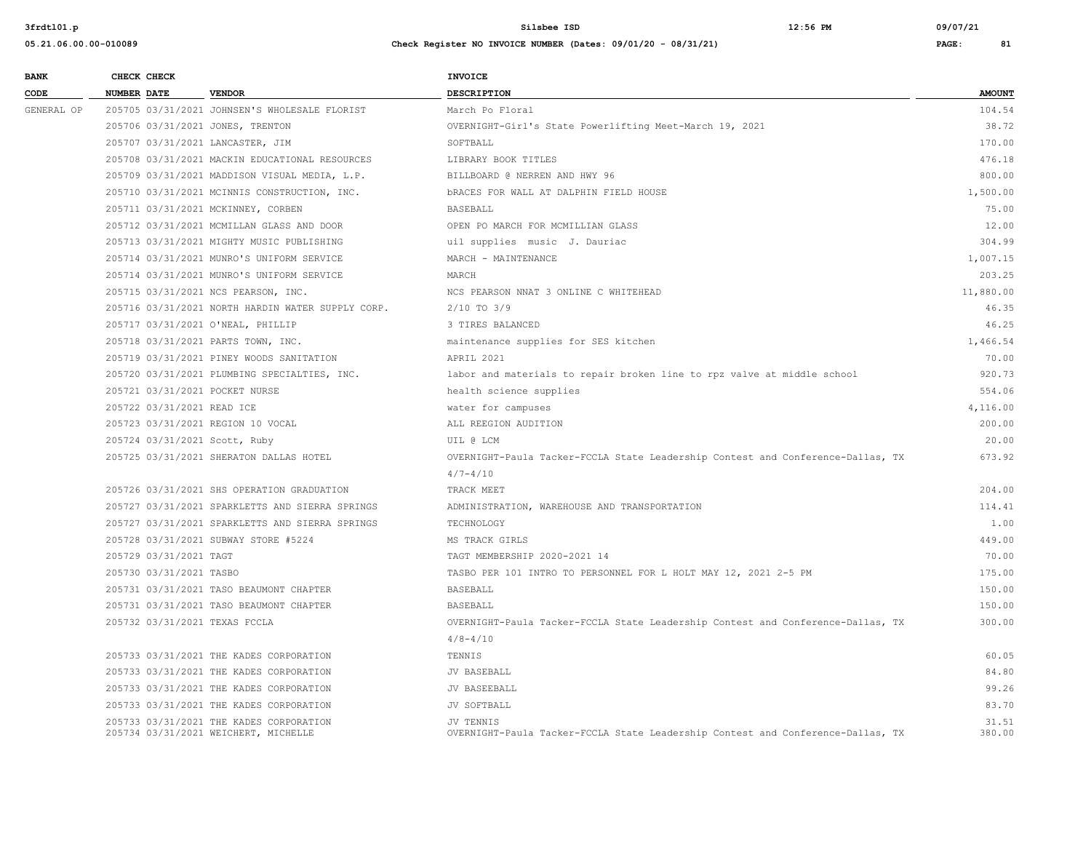| <b>BANK</b> |                    | CHECK CHECK                |                                                                                 | <b>INVOICE</b>                                                                               |                 |
|-------------|--------------------|----------------------------|---------------------------------------------------------------------------------|----------------------------------------------------------------------------------------------|-----------------|
| CODE        | <b>NUMBER DATE</b> |                            | <b>VENDOR</b>                                                                   | <b>DESCRIPTION</b>                                                                           | <b>AMOUNT</b>   |
| GENERAL OP  |                    |                            | 205705 03/31/2021 JOHNSEN'S WHOLESALE FLORIST                                   | March Po Floral                                                                              | 104.54          |
|             |                    |                            | 205706 03/31/2021 JONES, TRENTON                                                | OVERNIGHT-Girl's State Powerlifting Meet-March 19, 2021                                      | 38.72           |
|             |                    |                            | 205707 03/31/2021 LANCASTER, JIM                                                | SOFTBALL                                                                                     | 170.00          |
|             |                    |                            | 205708 03/31/2021 MACKIN EDUCATIONAL RESOURCES                                  | LIBRARY BOOK TITLES                                                                          | 476.18          |
|             |                    |                            | 205709 03/31/2021 MADDISON VISUAL MEDIA, L.P.                                   | BILLBOARD @ NERREN AND HWY 96                                                                | 800.00          |
|             |                    |                            | 205710 03/31/2021 MCINNIS CONSTRUCTION, INC.                                    | <b>bRACES FOR WALL AT DALPHIN FIELD HOUSE</b>                                                | 1,500.00        |
|             |                    |                            | 205711 03/31/2021 MCKINNEY, CORBEN                                              | <b>BASEBALL</b>                                                                              | 75.00           |
|             |                    |                            | 205712 03/31/2021 MCMILLAN GLASS AND DOOR                                       | OPEN PO MARCH FOR MCMILLIAN GLASS                                                            | 12.00           |
|             |                    |                            | 205713 03/31/2021 MIGHTY MUSIC PUBLISHING                                       | uil supplies music J. Dauriac                                                                | 304.99          |
|             |                    |                            | 205714 03/31/2021 MUNRO'S UNIFORM SERVICE                                       | MARCH - MAINTENANCE                                                                          | 1,007.15        |
|             |                    |                            | 205714 03/31/2021 MUNRO'S UNIFORM SERVICE                                       | MARCH                                                                                        | 203.25          |
|             |                    |                            | 205715 03/31/2021 NCS PEARSON, INC.                                             | NCS PEARSON NNAT 3 ONLINE C WHITEHEAD                                                        | 11,880.00       |
|             |                    |                            | 205716 03/31/2021 NORTH HARDIN WATER SUPPLY CORP.                               | $2/10$ TO $3/9$                                                                              | 46.35           |
|             |                    |                            | 205717 03/31/2021 O'NEAL, PHILLIP                                               | 3 TIRES BALANCED                                                                             | 46.25           |
|             |                    |                            | 205718 03/31/2021 PARTS TOWN, INC.                                              | maintenance supplies for SES kitchen                                                         | 1,466.54        |
|             |                    |                            | 205719 03/31/2021 PINEY WOODS SANITATION                                        | APRIL 2021                                                                                   | 70.00           |
|             |                    |                            | 205720 03/31/2021 PLUMBING SPECIALTIES, INC.                                    | labor and materials to repair broken line to rpz valve at middle school                      | 920.73          |
|             |                    |                            | 205721 03/31/2021 POCKET NURSE                                                  | health science supplies                                                                      | 554.06          |
|             |                    | 205722 03/31/2021 READ ICE |                                                                                 | water for campuses                                                                           | 4,116.00        |
|             |                    |                            | 205723 03/31/2021 REGION 10 VOCAL                                               | ALL REEGION AUDITION                                                                         | 200.00          |
|             |                    |                            | 205724 03/31/2021 Scott, Ruby                                                   | UIL @ LCM                                                                                    | 20.00           |
|             |                    |                            | 205725 03/31/2021 SHERATON DALLAS HOTEL                                         | OVERNIGHT-Paula Tacker-FCCLA State Leadership Contest and Conference-Dallas, TX              | 673.92          |
|             |                    |                            |                                                                                 | $4/7 - 4/10$                                                                                 |                 |
|             |                    |                            | 205726 03/31/2021 SHS OPERATION GRADUATION                                      | TRACK MEET                                                                                   | 204.00          |
|             |                    |                            | 205727 03/31/2021 SPARKLETTS AND SIERRA SPRINGS                                 | ADMINISTRATION, WAREHOUSE AND TRANSPORTATION                                                 | 114.41          |
|             |                    |                            | 205727 03/31/2021 SPARKLETTS AND SIERRA SPRINGS                                 | TECHNOLOGY                                                                                   | 1.00            |
|             |                    |                            | 205728 03/31/2021 SUBWAY STORE #5224                                            | MS TRACK GIRLS                                                                               | 449.00          |
|             |                    | 205729 03/31/2021 TAGT     |                                                                                 | TAGT MEMBERSHIP 2020-2021 14                                                                 | 70.00           |
|             |                    | 205730 03/31/2021 TASBO    |                                                                                 | TASBO PER 101 INTRO TO PERSONNEL FOR L HOLT MAY 12, 2021 2-5 PM                              | 175.00          |
|             |                    |                            | 205731 03/31/2021 TASO BEAUMONT CHAPTER                                         | <b>BASEBALL</b>                                                                              | 150.00          |
|             |                    |                            | 205731 03/31/2021 TASO BEAUMONT CHAPTER                                         | BASEBALL                                                                                     | 150.00          |
|             |                    |                            | 205732 03/31/2021 TEXAS FCCLA                                                   | OVERNIGHT-Paula Tacker-FCCLA State Leadership Contest and Conference-Dallas, TX              | 300.00          |
|             |                    |                            |                                                                                 | $4/8 - 4/10$                                                                                 |                 |
|             |                    |                            | 205733 03/31/2021 THE KADES CORPORATION                                         | TENNIS                                                                                       | 60.05           |
|             |                    |                            | 205733 03/31/2021 THE KADES CORPORATION                                         | JV BASEBALL                                                                                  | 84.80           |
|             |                    |                            | 205733 03/31/2021 THE KADES CORPORATION                                         | JV BASEEBALL                                                                                 | 99.26           |
|             |                    |                            | 205733 03/31/2021 THE KADES CORPORATION                                         | JV SOFTBALL                                                                                  | 83.70           |
|             |                    |                            | 205733 03/31/2021 THE KADES CORPORATION<br>205734 03/31/2021 WEICHERT, MICHELLE | JV TENNIS<br>OVERNIGHT-Paula Tacker-FCCLA State Leadership Contest and Conference-Dallas, TX | 31.51<br>380.00 |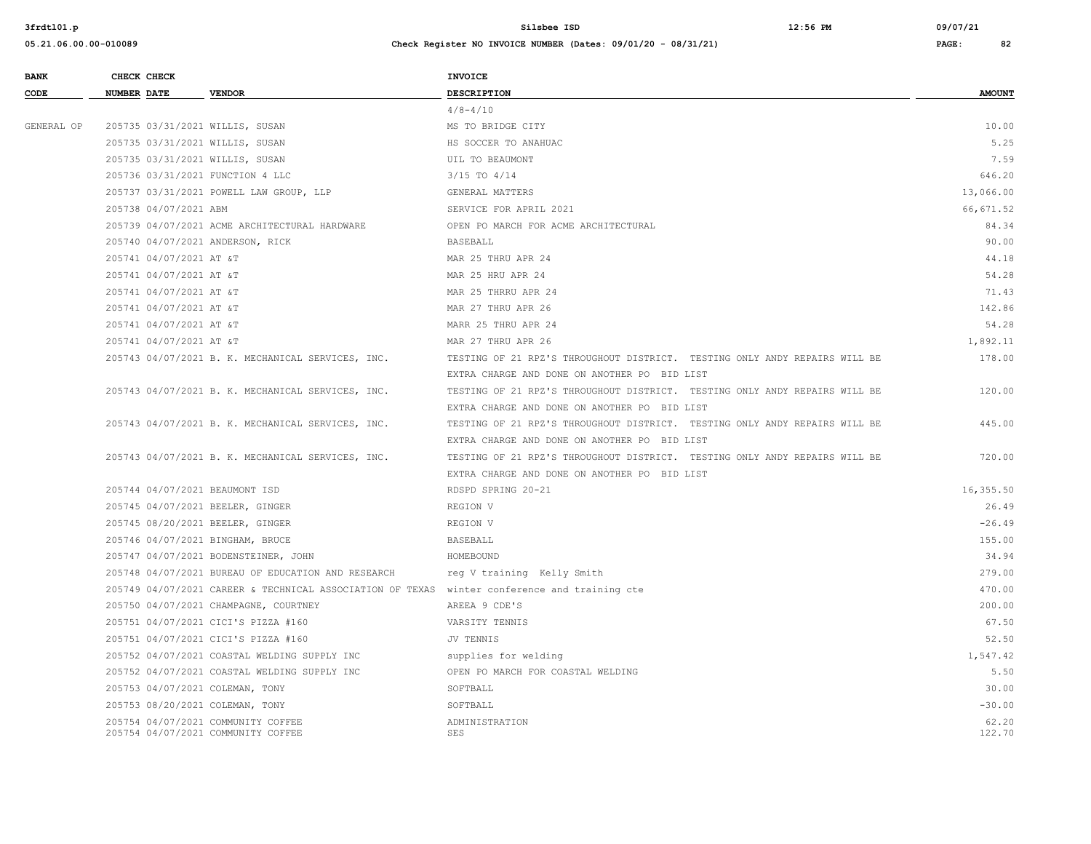| <b>BANK</b> | CHECK CHECK        |                         |                                                                                              | <b>INVOICE</b>                                                             |                 |
|-------------|--------------------|-------------------------|----------------------------------------------------------------------------------------------|----------------------------------------------------------------------------|-----------------|
| CODE        | <b>NUMBER DATE</b> |                         | <b>VENDOR</b>                                                                                | DESCRIPTION                                                                | <b>AMOUNT</b>   |
|             |                    |                         |                                                                                              | $4/8 - 4/10$                                                               |                 |
| GENERAL OP  |                    |                         | 205735 03/31/2021 WILLIS, SUSAN                                                              | MS TO BRIDGE CITY                                                          | 10.00           |
|             |                    |                         | 205735 03/31/2021 WILLIS, SUSAN                                                              | HS SOCCER TO ANAHUAC                                                       | 5.25            |
|             |                    |                         | 205735 03/31/2021 WILLIS, SUSAN                                                              | UIL TO BEAUMONT                                                            | 7.59            |
|             |                    |                         | 205736 03/31/2021 FUNCTION 4 LLC                                                             | $3/15$ TO $4/14$                                                           | 646.20          |
|             |                    |                         | 205737 03/31/2021 POWELL LAW GROUP, LLP                                                      | GENERAL MATTERS                                                            | 13,066.00       |
|             |                    | 205738 04/07/2021 ABM   |                                                                                              | SERVICE FOR APRIL 2021                                                     | 66,671.52       |
|             |                    |                         | 205739 04/07/2021 ACME ARCHITECTURAL HARDWARE                                                | OPEN PO MARCH FOR ACME ARCHITECTURAL                                       | 84.34           |
|             |                    |                         | 205740 04/07/2021 ANDERSON, RICK                                                             | <b>BASEBALL</b>                                                            | 90.00           |
|             |                    | 205741 04/07/2021 AT &T |                                                                                              | MAR 25 THRU APR 24                                                         | 44.18           |
|             |                    | 205741 04/07/2021 AT &T |                                                                                              | MAR 25 HRU APR 24                                                          | 54.28           |
|             |                    | 205741 04/07/2021 AT &T |                                                                                              | MAR 25 THRRU APR 24                                                        | 71.43           |
|             |                    | 205741 04/07/2021 AT &T |                                                                                              | MAR 27 THRU APR 26                                                         | 142.86          |
|             |                    | 205741 04/07/2021 AT &T |                                                                                              | MARR 25 THRU APR 24                                                        | 54.28           |
|             |                    | 205741 04/07/2021 AT &T |                                                                                              | MAR 27 THRU APR 26                                                         | 1,892.11        |
|             |                    |                         | 205743 04/07/2021 B. K. MECHANICAL SERVICES, INC.                                            | TESTING OF 21 RPZ'S THROUGHOUT DISTRICT. TESTING ONLY ANDY REPAIRS WILL BE | 178.00          |
|             |                    |                         |                                                                                              | EXTRA CHARGE AND DONE ON ANOTHER PO BID LIST                               |                 |
|             |                    |                         | 205743 04/07/2021 B. K. MECHANICAL SERVICES, INC.                                            | TESTING OF 21 RPZ'S THROUGHOUT DISTRICT. TESTING ONLY ANDY REPAIRS WILL BE | 120.00          |
|             |                    |                         |                                                                                              | EXTRA CHARGE AND DONE ON ANOTHER PO BID LIST                               |                 |
|             |                    |                         | 205743 04/07/2021 B. K. MECHANICAL SERVICES, INC.                                            | TESTING OF 21 RPZ'S THROUGHOUT DISTRICT. TESTING ONLY ANDY REPAIRS WILL BE | 445.00          |
|             |                    |                         |                                                                                              | EXTRA CHARGE AND DONE ON ANOTHER PO BID LIST                               |                 |
|             |                    |                         | 205743 04/07/2021 B. K. MECHANICAL SERVICES, INC.                                            | TESTING OF 21 RPZ'S THROUGHOUT DISTRICT. TESTING ONLY ANDY REPAIRS WILL BE | 720.00          |
|             |                    |                         |                                                                                              | EXTRA CHARGE AND DONE ON ANOTHER PO BID LIST                               |                 |
|             |                    |                         | 205744 04/07/2021 BEAUMONT ISD                                                               | RDSPD SPRING 20-21                                                         | 16,355.50       |
|             |                    |                         | 205745 04/07/2021 BEELER, GINGER                                                             | REGION V                                                                   | 26.49           |
|             |                    |                         | 205745 08/20/2021 BEELER, GINGER                                                             | REGION V                                                                   | $-26.49$        |
|             |                    |                         | 205746 04/07/2021 BINGHAM, BRUCE                                                             | BASEBALL                                                                   | 155.00          |
|             |                    |                         | 205747 04/07/2021 BODENSTEINER, JOHN                                                         | HOMEBOUND                                                                  | 34.94           |
|             |                    |                         | 205748 04/07/2021 BUREAU OF EDUCATION AND RESEARCH                                           | reg V training Kelly Smith                                                 | 279.00          |
|             |                    |                         | 205749 04/07/2021 CAREER & TECHNICAL ASSOCIATION OF TEXAS winter conference and training cte |                                                                            | 470.00          |
|             |                    |                         | 205750 04/07/2021 CHAMPAGNE, COURTNEY                                                        | AREEA 9 CDE'S                                                              | 200.00          |
|             |                    |                         | 205751 04/07/2021 CICI'S PIZZA #160                                                          | VARSITY TENNIS                                                             | 67.50           |
|             |                    |                         | 205751 04/07/2021 CICI'S PIZZA #160                                                          | JV TENNIS                                                                  | 52.50           |
|             |                    |                         | 205752 04/07/2021 COASTAL WELDING SUPPLY INC                                                 | supplies for welding                                                       | 1,547.42        |
|             |                    |                         | 205752 04/07/2021 COASTAL WELDING SUPPLY INC                                                 | OPEN PO MARCH FOR COASTAL WELDING                                          | 5.50            |
|             |                    |                         | 205753 04/07/2021 COLEMAN, TONY                                                              | SOFTBALL                                                                   | 30.00           |
|             |                    |                         | 205753 08/20/2021 COLEMAN, TONY                                                              | SOFTBALL                                                                   | $-30.00$        |
|             |                    |                         | 205754 04/07/2021 COMMUNITY COFFEE<br>205754 04/07/2021 COMMUNITY COFFEE                     | ADMINISTRATION<br><b>SES</b>                                               | 62.20<br>122.70 |
|             |                    |                         |                                                                                              |                                                                            |                 |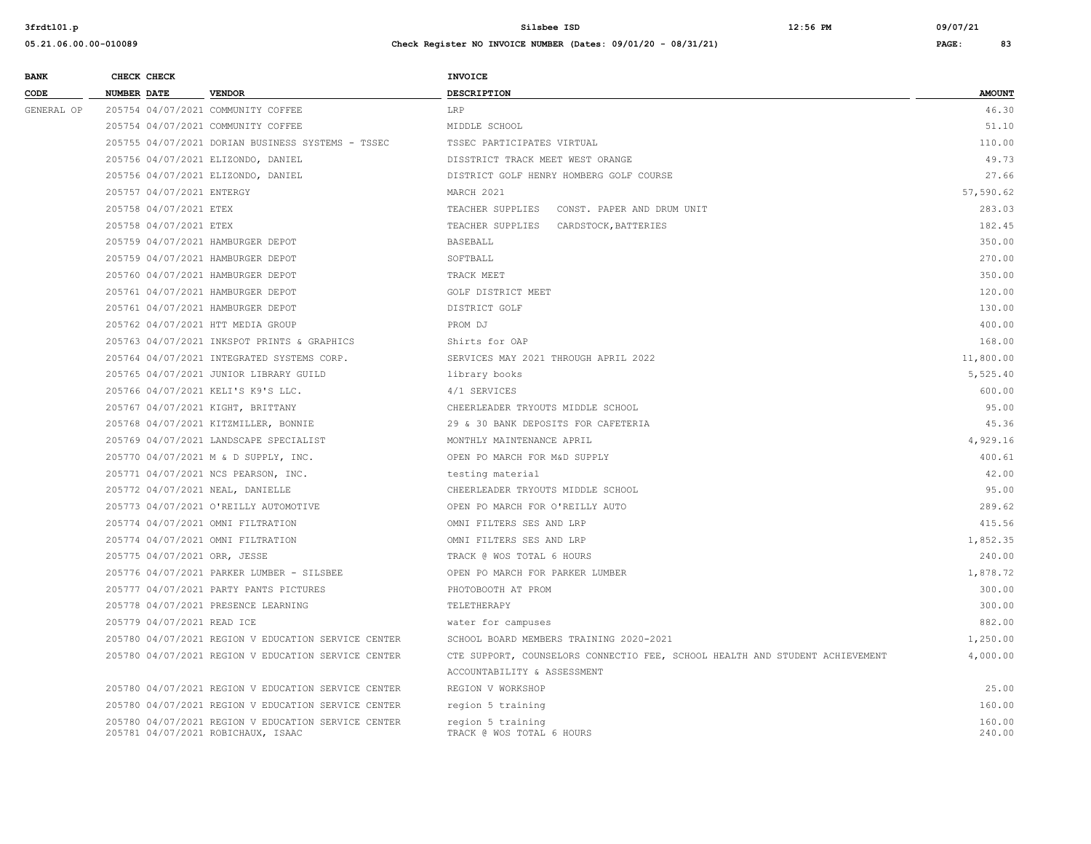| <b>BANK</b> | CHECK CHECK                  |                                                                                           | <b>INVOICE</b>                                                               |                  |
|-------------|------------------------------|-------------------------------------------------------------------------------------------|------------------------------------------------------------------------------|------------------|
| CODE        | <b>NUMBER DATE</b>           | <b>VENDOR</b>                                                                             | <b>DESCRIPTION</b>                                                           | <b>AMOUNT</b>    |
| GENERAL OP  |                              | 205754 04/07/2021 COMMUNITY COFFEE                                                        | LRP                                                                          | 46.30            |
|             |                              | 205754 04/07/2021 COMMUNITY COFFEE                                                        | MIDDLE SCHOOL                                                                | 51.10            |
|             |                              | 205755 04/07/2021 DORIAN BUSINESS SYSTEMS - TSSEC                                         | TSSEC PARTICIPATES VIRTUAL                                                   | 110.00           |
|             |                              | 205756 04/07/2021 ELIZONDO, DANIEL                                                        | DISSTRICT TRACK MEET WEST ORANGE                                             | 49.73            |
|             |                              | 205756 04/07/2021 ELIZONDO, DANIEL                                                        | DISTRICT GOLF HENRY HOMBERG GOLF COURSE                                      | 27.66            |
|             | 205757 04/07/2021 ENTERGY    |                                                                                           | MARCH 2021                                                                   | 57,590.62        |
|             | 205758 04/07/2021 ETEX       |                                                                                           | TEACHER SUPPLIES CONST. PAPER AND DRUM UNIT                                  | 283.03           |
|             | 205758 04/07/2021 ETEX       |                                                                                           | TEACHER SUPPLIES CARDSTOCK, BATTERIES                                        | 182.45           |
|             |                              | 205759 04/07/2021 HAMBURGER DEPOT                                                         | <b>BASEBALL</b>                                                              | 350.00           |
|             |                              | 205759 04/07/2021 HAMBURGER DEPOT                                                         | SOFTBALL                                                                     | 270.00           |
|             |                              | 205760 04/07/2021 HAMBURGER DEPOT                                                         | TRACK MEET                                                                   | 350.00           |
|             |                              | 205761 04/07/2021 HAMBURGER DEPOT                                                         | GOLF DISTRICT MEET                                                           | 120.00           |
|             |                              | 205761 04/07/2021 HAMBURGER DEPOT                                                         | DISTRICT GOLF                                                                | 130.00           |
|             |                              | 205762 04/07/2021 HTT MEDIA GROUP                                                         | PROM DJ                                                                      | 400.00           |
|             |                              | 205763 04/07/2021 INKSPOT PRINTS & GRAPHICS                                               | Shirts for OAP                                                               | 168.00           |
|             |                              | 205764 04/07/2021 INTEGRATED SYSTEMS CORP.                                                | SERVICES MAY 2021 THROUGH APRIL 2022                                         | 11,800.00        |
|             |                              | 205765 04/07/2021 JUNIOR LIBRARY GUILD                                                    | library books                                                                | 5,525.40         |
|             |                              | 205766 04/07/2021 KELI'S K9'S LLC.                                                        | 4/1 SERVICES                                                                 | 600.00           |
|             |                              | 205767 04/07/2021 KIGHT, BRITTANY                                                         | CHEERLEADER TRYOUTS MIDDLE SCHOOL                                            | 95.00            |
|             |                              | 205768 04/07/2021 KITZMILLER, BONNIE                                                      | 29 & 30 BANK DEPOSITS FOR CAFETERIA                                          | 45.36            |
|             |                              | 205769 04/07/2021 LANDSCAPE SPECIALIST                                                    | MONTHLY MAINTENANCE APRIL                                                    | 4,929.16         |
|             |                              | 205770 04/07/2021 M & D SUPPLY, INC.                                                      | OPEN PO MARCH FOR M&D SUPPLY                                                 | 400.61           |
|             |                              | 205771 04/07/2021 NCS PEARSON, INC.                                                       | testing material                                                             | 42.00            |
|             |                              | 205772 04/07/2021 NEAL, DANIELLE                                                          | CHEERLEADER TRYOUTS MIDDLE SCHOOL                                            | 95.00            |
|             |                              | 205773 04/07/2021 O'REILLY AUTOMOTIVE                                                     | OPEN PO MARCH FOR O'REILLY AUTO                                              | 289.62           |
|             |                              | 205774 04/07/2021 OMNI FILTRATION                                                         | OMNI FILTERS SES AND LRP                                                     | 415.56           |
|             |                              | 205774 04/07/2021 OMNI FILTRATION                                                         | OMNI FILTERS SES AND LRP                                                     | 1,852.35         |
|             | 205775 04/07/2021 ORR, JESSE |                                                                                           | TRACK @ WOS TOTAL 6 HOURS                                                    | 240.00           |
|             |                              | 205776 04/07/2021 PARKER LUMBER - SILSBEE                                                 | OPEN PO MARCH FOR PARKER LUMBER                                              | 1,878.72         |
|             |                              | 205777 04/07/2021 PARTY PANTS PICTURES                                                    | PHOTOBOOTH AT PROM                                                           | 300.00           |
|             |                              | 205778 04/07/2021 PRESENCE LEARNING                                                       | TELETHERAPY                                                                  | 300.00           |
|             | 205779 04/07/2021 READ ICE   |                                                                                           | water for campuses                                                           | 882.00           |
|             |                              | 205780 04/07/2021 REGION V EDUCATION SERVICE CENTER                                       | SCHOOL BOARD MEMBERS TRAINING 2020-2021                                      | 1,250.00         |
|             |                              | 205780 04/07/2021 REGION V EDUCATION SERVICE CENTER                                       | CTE SUPPORT, COUNSELORS CONNECTIO FEE, SCHOOL HEALTH AND STUDENT ACHIEVEMENT | 4,000.00         |
|             |                              |                                                                                           | ACCOUNTABILITY & ASSESSMENT                                                  |                  |
|             |                              | 205780 04/07/2021 REGION V EDUCATION SERVICE CENTER                                       | REGION V WORKSHOP                                                            | 25.00            |
|             |                              | 205780 04/07/2021 REGION V EDUCATION SERVICE CENTER                                       | region 5 training                                                            | 160.00           |
|             |                              | 205780 04/07/2021 REGION V EDUCATION SERVICE CENTER<br>205781 04/07/2021 ROBICHAUX, ISAAC | region 5 training<br>TRACK @ WOS TOTAL 6 HOURS                               | 160.00<br>240.00 |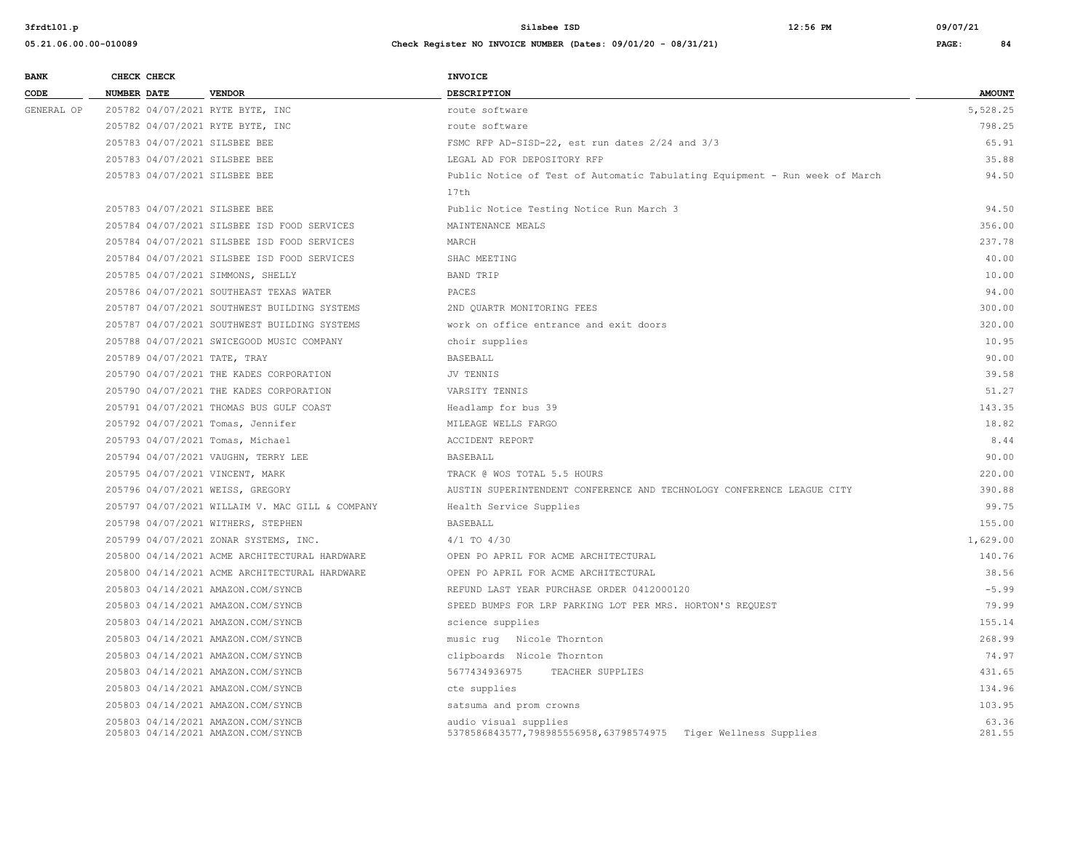| <b>BANK</b> | CHECK CHECK                      |                                                                          | <b>INVOICE</b>                                                                           |                 |
|-------------|----------------------------------|--------------------------------------------------------------------------|------------------------------------------------------------------------------------------|-----------------|
| CODE        | <b>NUMBER DATE</b>               | <b>VENDOR</b>                                                            | <b>DESCRIPTION</b>                                                                       | <b>AMOUNT</b>   |
| GENERAL OP  | 205782 04/07/2021 RYTE BYTE, INC |                                                                          | route software                                                                           | 5,528.25        |
|             | 205782 04/07/2021 RYTE BYTE, INC |                                                                          | route software                                                                           | 798.25          |
|             | 205783 04/07/2021 SILSBEE BEE    |                                                                          | FSMC RFP AD-SISD-22, est run dates 2/24 and 3/3                                          | 65.91           |
|             | 205783 04/07/2021 SILSBEE BEE    |                                                                          | LEGAL AD FOR DEPOSITORY RFP                                                              | 35.88           |
|             | 205783 04/07/2021 SILSBEE BEE    |                                                                          | Public Notice of Test of Automatic Tabulating Equipment - Run week of March              | 94.50           |
|             |                                  |                                                                          | 17th                                                                                     |                 |
|             | 205783 04/07/2021 SILSBEE BEE    |                                                                          | Public Notice Testing Notice Run March 3                                                 | 94.50           |
|             |                                  | 205784 04/07/2021 SILSBEE ISD FOOD SERVICES                              | MAINTENANCE MEALS                                                                        | 356.00          |
|             |                                  | 205784 04/07/2021 SILSBEE ISD FOOD SERVICES                              | MARCH                                                                                    | 237.78          |
|             |                                  | 205784 04/07/2021 SILSBEE ISD FOOD SERVICES                              | SHAC MEETING                                                                             | 40.00           |
|             |                                  | 205785 04/07/2021 SIMMONS, SHELLY                                        | <b>BAND TRIP</b>                                                                         | 10.00           |
|             |                                  | 205786 04/07/2021 SOUTHEAST TEXAS WATER                                  | PACES                                                                                    | 94.00           |
|             |                                  | 205787 04/07/2021 SOUTHWEST BUILDING SYSTEMS                             | 2ND OUARTR MONITORING FEES                                                               | 300.00          |
|             |                                  | 205787 04/07/2021 SOUTHWEST BUILDING SYSTEMS                             | work on office entrance and exit doors                                                   | 320.00          |
|             |                                  | 205788 04/07/2021 SWICEGOOD MUSIC COMPANY                                | choir supplies                                                                           | 10.95           |
|             | 205789 04/07/2021 TATE, TRAY     |                                                                          | <b>BASEBALL</b>                                                                          | 90.00           |
|             |                                  | 205790 04/07/2021 THE KADES CORPORATION                                  | JV TENNIS                                                                                | 39.58           |
|             |                                  | 205790 04/07/2021 THE KADES CORPORATION                                  | VARSITY TENNIS                                                                           | 51.27           |
|             |                                  | 205791 04/07/2021 THOMAS BUS GULF COAST                                  | Headlamp for bus 39                                                                      | 143.35          |
|             |                                  | 205792 04/07/2021 Tomas, Jennifer                                        | MILEAGE WELLS FARGO                                                                      | 18.82           |
|             | 205793 04/07/2021 Tomas, Michael |                                                                          | <b>ACCIDENT REPORT</b>                                                                   | 8.44            |
|             |                                  | 205794 04/07/2021 VAUGHN, TERRY LEE                                      | <b>BASEBALL</b>                                                                          | 90.00           |
|             | 205795 04/07/2021 VINCENT, MARK  |                                                                          | TRACK @ WOS TOTAL 5.5 HOURS                                                              | 220.00          |
|             | 205796 04/07/2021 WEISS, GREGORY |                                                                          | AUSTIN SUPERINTENDENT CONFERENCE AND TECHNOLOGY CONFERENCE LEAGUE CITY                   | 390.88          |
|             |                                  | 205797 04/07/2021 WILLAIM V. MAC GILL & COMPANY                          | Health Service Supplies                                                                  | 99.75           |
|             |                                  | 205798 04/07/2021 WITHERS, STEPHEN                                       | <b>BASEBALL</b>                                                                          | 155.00          |
|             |                                  | 205799 04/07/2021 ZONAR SYSTEMS, INC.                                    | $4/1$ TO $4/30$                                                                          | 1,629.00        |
|             |                                  | 205800 04/14/2021 ACME ARCHITECTURAL HARDWARE                            | OPEN PO APRIL FOR ACME ARCHITECTURAL                                                     | 140.76          |
|             |                                  | 205800 04/14/2021 ACME ARCHITECTURAL HARDWARE                            | OPEN PO APRIL FOR ACME ARCHITECTURAL                                                     | 38.56           |
|             |                                  | 205803 04/14/2021 AMAZON.COM/SYNCB                                       | REFUND LAST YEAR PURCHASE ORDER 0412000120                                               | $-5.99$         |
|             |                                  | 205803 04/14/2021 AMAZON.COM/SYNCB                                       | SPEED BUMPS FOR LRP PARKING LOT PER MRS. HORTON'S REQUEST                                | 79.99           |
|             |                                  | 205803 04/14/2021 AMAZON.COM/SYNCB                                       | science supplies                                                                         | 155.14          |
|             |                                  | 205803 04/14/2021 AMAZON.COM/SYNCB                                       | music rug Nicole Thornton                                                                | 268.99          |
|             |                                  | 205803 04/14/2021 AMAZON.COM/SYNCB                                       | clipboards Nicole Thornton                                                               | 74.97           |
|             |                                  | 205803 04/14/2021 AMAZON.COM/SYNCB                                       | 5677434936975<br>TEACHER SUPPLIES                                                        | 431.65          |
|             |                                  | 205803 04/14/2021 AMAZON.COM/SYNCB                                       | cte supplies                                                                             | 134.96          |
|             |                                  | 205803 04/14/2021 AMAZON.COM/SYNCB                                       | satsuma and prom crowns                                                                  | 103.95          |
|             |                                  | 205803 04/14/2021 AMAZON.COM/SYNCB<br>205803 04/14/2021 AMAZON.COM/SYNCB | audio visual supplies<br>5378586843577,798985556958,63798574975  Tiger Wellness Supplies | 63.36<br>281.55 |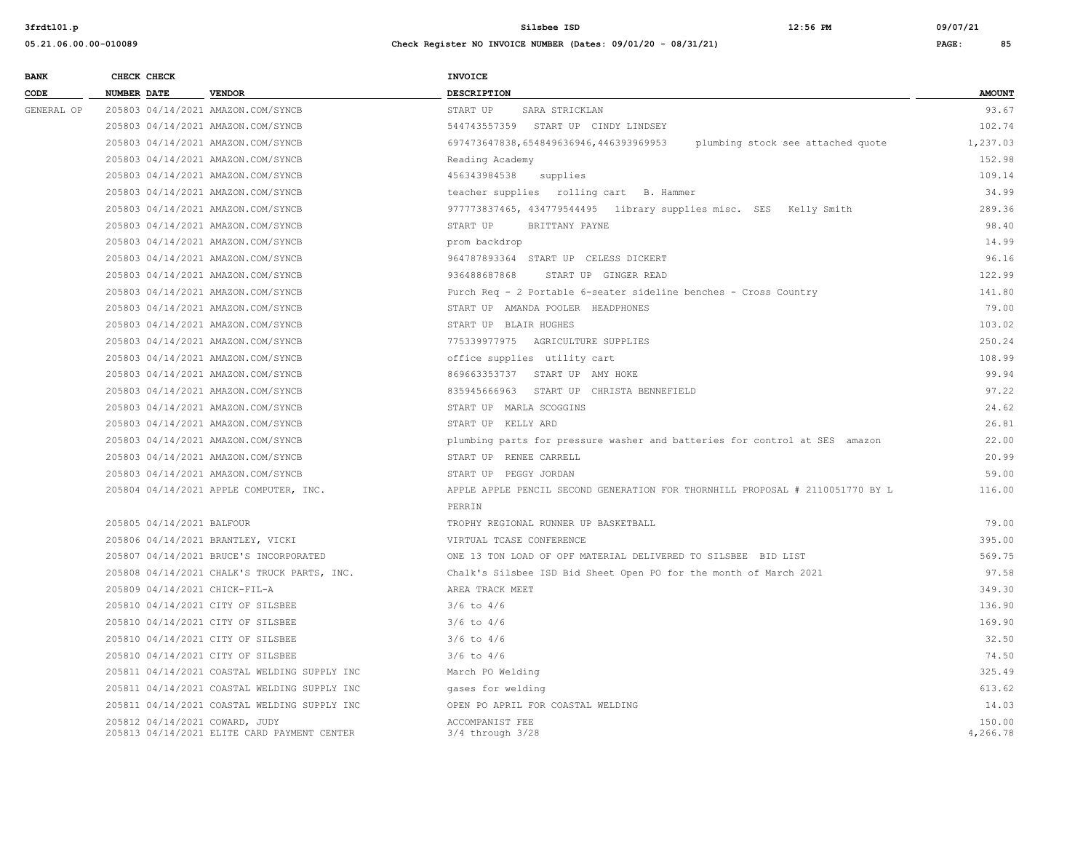**05.21.06.00.00-010089 Check Register NO INVOICE NUMBER (Dates: 09/01/20 - 08/31/21) PAGE: 85**

**BANK CHECK CHECK CHECK CODE NUMBER DATE VENDOR DESCRIPTION AMOUNT** GENERAL OP 205803 04/14/2021 AMAZON.COM/SYNCB START UP SARA STRICKLAN START OF SARA STRICKLAN 205803 04/14/2021 AMAZON.COM/SYNCB 544743557359 START UP CINDY LINDSEY 102.74 205803 04/14/2021 AMAZON.COM/SYNCB 697473647838,654849636946,446393969953 plumbing stock see attached quote 1,237.03 205803 04/14/2021 AMAZON.COM/SYNCB Reading Academy 152.98 205803 04/14/2021 AMAZON.COM/SYNCB 456343984538 supplies 109.14 205803 04/14/2021 AMAZON.COM/SYNCB teacher supplies rolling cart B. Hammer 34.99 205803 04/14/2021 AMAZON.COM/SYNCB 977773837465, 434779544495 library supplies misc. SES Kelly Smith 289.36 205803 04/14/2021 AMAZON.COM/SYNCB START UP BRITTANY PAYNE 98.40 205803 04/14/2021 AMAZON.COM/SYNCB prom backdrop 14.99 205803 04/14/2021 AMAZON.COM/SYNCB 964787893364 START UP CELESS DICKERT 96.16 205803 04/14/2021 AMAZON.COM/SYNCB 936488687868 START UP GINGER READ 122.99 205803 04/14/2021 AMAZON.COM/SYNCB Purch Req - 2 Portable 6-seater sideline benches - Cross Country 141.80 205803 04/14/2021 AMAZON.COM/SYNCB START UP AMANDA POOLER HEADPHONES 79.00 205803 04/14/2021 AMAZON.COM/SYNCB START UP BLAIR HUGHES 103.02 205803 04/14/2021 AMAZON.COM/SYNCB 775339977975 AGRICULTURE SUPPLIES 250.24 205803 04/14/2021 AMAZON.COM/SYNCB office supplies utility cart 108.99 205803 04/14/2021 AMAZON.COM/SYNCB 869663353737 START UP AMY HOKE 99.94 205803 04/14/2021 AMAZON.COM/SYNCB 835945666963 START UP CHRISTA BENNEFIELD 97.22 205803 04/14/2021 AMAZON.COM/SYNCB START UP MARLA SCOGGINS 24.62 205803 04/14/2021 AMAZON.COM/SYNCB START UP KELLY ARD 26.81 205803 04/14/2021 AMAZON.COM/SYNCB plumbing parts for pressure washer and batteries for control at SES amazon 22.00 205803 04/14/2021 AMAZON.COM/SYNCB START UP RENEE CARRELL 20.99 205803 04/14/2021 AMAZON.COM/SYNCB START UP PEGGY JORDAN 59.00 205804 04/14/2021 APPLE COMPUTER, INC. APPLE APPLE PENCIL SECOND GENERATION FOR THORNHILL PROPOSAL # 2110051770 BY L 116.00 **PERRIN**  205805 04/14/2021 BALFOUR TROPHY REGIONAL RUNNER UP BASKETBALL 79.00 205806 04/14/2021 BRANTLEY, VICKI VIRTUAL TCASE CONFERENCE 395.00 205807 04/14/2021 BRUCE'S INCORPORATED ONE 13 TON LOAD OF OPF MATERIAL DELIVERED TO SILSBEE BID LIST 569.75 205808 04/14/2021 CHALK'S TRUCK PARTS, INC. Chalk's Silsbee ISD Bid Sheet Open PO for the month of March 2021 97.58 205809 04/14/2021 CHICK-FIL-A AREA TRACK MEET 349.30 205810 04/14/2021 CITY OF SILSBEE 3/6 to 4/6 136.90 205810 04/14/2021 CITY OF SILSBEE 3/6 to 4/6 169.90 3/6 to 4/6 205810 04/14/2021 CITY OF SILSBEE 3/6 to 4/6 32.50 205810 04/14/2021 CITY OF SILSBEE 3/6 to 4/6 74.50 205811 04/14/2021 COASTAL WELDING SUPPLY INC March PO Welding 325.49 205811 04/14/2021 COASTAL WELDING SUPPLY INC asses for welding and the state of the state of the state of the state of the state of the state of the state of the state of the state of the state of the state of the state of 205811 04/14/2021 COASTAL WELDING SUPPLY INC OPEN PO APRIL FOR COASTAL WELDING 14.03 205812 04/14/2021 COWARD, JUDY ACCOMPANIST FEE 150.00 205813 04/14/2021 ELITE CARD PAYMENT CENTER 3/4 through 3/28 4,266.78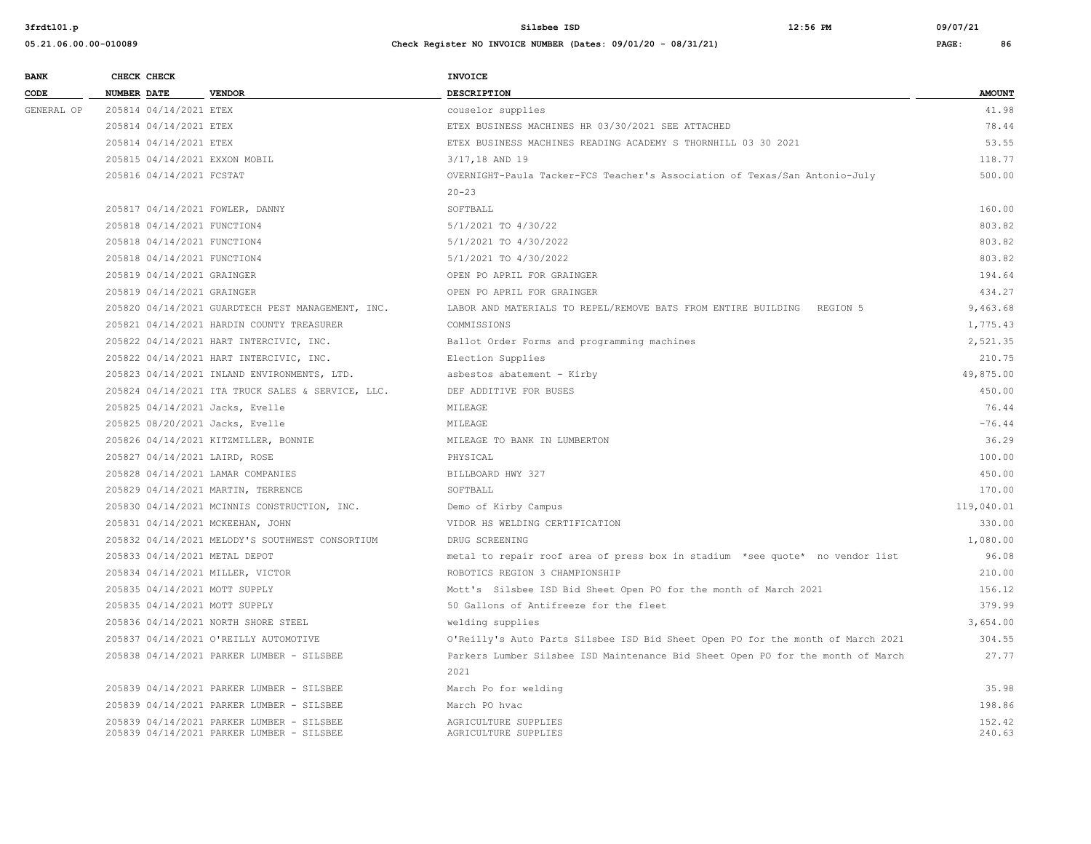| <b>BANK</b> |                    | CHECK CHECK                 |                                                                                        | <b>INVOICE</b>                                                                  |                  |
|-------------|--------------------|-----------------------------|----------------------------------------------------------------------------------------|---------------------------------------------------------------------------------|------------------|
| CODE        | <b>NUMBER DATE</b> |                             | <b>VENDOR</b>                                                                          | <b>DESCRIPTION</b>                                                              | <b>AMOUNT</b>    |
| GENERAL OP  |                    | 205814 04/14/2021 ETEX      |                                                                                        | couselor supplies                                                               | 41.98            |
|             |                    | 205814 04/14/2021 ETEX      |                                                                                        | ETEX BUSINESS MACHINES HR 03/30/2021 SEE ATTACHED                               | 78.44            |
|             |                    | 205814 04/14/2021 ETEX      |                                                                                        | ETEX BUSINESS MACHINES READING ACADEMY S THORNHILL 03 30 2021                   | 53.55            |
|             |                    |                             | 205815 04/14/2021 EXXON MOBIL                                                          | 3/17,18 AND 19                                                                  | 118.77           |
|             |                    | 205816 04/14/2021 FCSTAT    |                                                                                        | OVERNIGHT-Paula Tacker-FCS Teacher's Association of Texas/San Antonio-July      | 500.00           |
|             |                    |                             |                                                                                        | $20 - 23$                                                                       |                  |
|             |                    |                             | 205817 04/14/2021 FOWLER, DANNY                                                        | SOFTBALL                                                                        | 160.00           |
|             |                    | 205818 04/14/2021 FUNCTION4 |                                                                                        | 5/1/2021 TO 4/30/22                                                             | 803.82           |
|             |                    | 205818 04/14/2021 FUNCTION4 |                                                                                        | 5/1/2021 TO 4/30/2022                                                           | 803.82           |
|             |                    | 205818 04/14/2021 FUNCTION4 |                                                                                        | 5/1/2021 TO 4/30/2022                                                           | 803.82           |
|             |                    | 205819 04/14/2021 GRAINGER  |                                                                                        | OPEN PO APRIL FOR GRAINGER                                                      | 194.64           |
|             |                    | 205819 04/14/2021 GRAINGER  |                                                                                        | OPEN PO APRIL FOR GRAINGER                                                      | 434.27           |
|             |                    |                             | 205820 04/14/2021 GUARDTECH PEST MANAGEMENT, INC.                                      | LABOR AND MATERIALS TO REPEL/REMOVE BATS FROM ENTIRE BUILDING<br>REGION 5       | 9,463.68         |
|             |                    |                             | 205821 04/14/2021 HARDIN COUNTY TREASURER                                              | COMMISSIONS                                                                     | 1,775.43         |
|             |                    |                             | 205822 04/14/2021 HART INTERCIVIC, INC.                                                | Ballot Order Forms and programming machines                                     | 2,521.35         |
|             |                    |                             | 205822 04/14/2021 HART INTERCIVIC, INC.                                                | Election Supplies                                                               | 210.75           |
|             |                    |                             | 205823 04/14/2021 INLAND ENVIRONMENTS, LTD.                                            | asbestos abatement - Kirby                                                      | 49,875.00        |
|             |                    |                             | 205824 04/14/2021 ITA TRUCK SALES & SERVICE, LLC.                                      | DEF ADDITIVE FOR BUSES                                                          | 450.00           |
|             |                    |                             | 205825 04/14/2021 Jacks, Evelle                                                        | MILEAGE                                                                         | 76.44            |
|             |                    |                             | 205825 08/20/2021 Jacks, Evelle                                                        | MILEAGE                                                                         | $-76.44$         |
|             |                    |                             | 205826 04/14/2021 KITZMILLER, BONNIE                                                   | MILEAGE TO BANK IN LUMBERTON                                                    | 36.29            |
|             |                    |                             | 205827 04/14/2021 LAIRD, ROSE                                                          | PHYSICAL                                                                        | 100.00           |
|             |                    |                             | 205828 04/14/2021 LAMAR COMPANIES                                                      | BILLBOARD HWY 327                                                               | 450.00           |
|             |                    |                             | 205829 04/14/2021 MARTIN, TERRENCE                                                     | SOFTBALL                                                                        | 170.00           |
|             |                    |                             | 205830 04/14/2021 MCINNIS CONSTRUCTION, INC.                                           | Demo of Kirby Campus                                                            | 119,040.01       |
|             |                    |                             | 205831 04/14/2021 MCKEEHAN, JOHN                                                       | VIDOR HS WELDING CERTIFICATION                                                  | 330.00           |
|             |                    |                             | 205832 04/14/2021 MELODY'S SOUTHWEST CONSORTIUM                                        | DRUG SCREENING                                                                  | 1,080.00         |
|             |                    |                             | 205833 04/14/2021 METAL DEPOT                                                          | metal to repair roof area of press box in stadium *see quote* no vendor list    | 96.08            |
|             |                    |                             | 205834 04/14/2021 MILLER, VICTOR                                                       | ROBOTICS REGION 3 CHAMPIONSHIP                                                  | 210.00           |
|             |                    |                             | 205835 04/14/2021 MOTT SUPPLY                                                          | Mott's Silsbee ISD Bid Sheet Open PO for the month of March 2021                | 156.12           |
|             |                    |                             | 205835 04/14/2021 MOTT SUPPLY                                                          | 50 Gallons of Antifreeze for the fleet                                          | 379.99           |
|             |                    |                             | 205836 04/14/2021 NORTH SHORE STEEL                                                    | welding supplies                                                                | 3,654.00         |
|             |                    |                             | 205837 04/14/2021 O'REILLY AUTOMOTIVE                                                  | O'Reilly's Auto Parts Silsbee ISD Bid Sheet Open PO for the month of March 2021 | 304.55           |
|             |                    |                             | 205838 04/14/2021 PARKER LUMBER - SILSBEE                                              | Parkers Lumber Silsbee ISD Maintenance Bid Sheet Open PO for the month of March | 27.77            |
|             |                    |                             |                                                                                        | 2021                                                                            |                  |
|             |                    |                             | 205839 04/14/2021 PARKER LUMBER - SILSBEE                                              | March Po for welding                                                            | 35.98            |
|             |                    |                             | 205839 04/14/2021 PARKER LUMBER - SILSBEE                                              | March PO hvac                                                                   | 198.86           |
|             |                    |                             | 205839 04/14/2021 PARKER LUMBER - SILSBEE<br>205839 04/14/2021 PARKER LUMBER - SILSBEE | AGRICULTURE SUPPLIES<br>AGRICULTURE SUPPLIES                                    | 152.42<br>240.63 |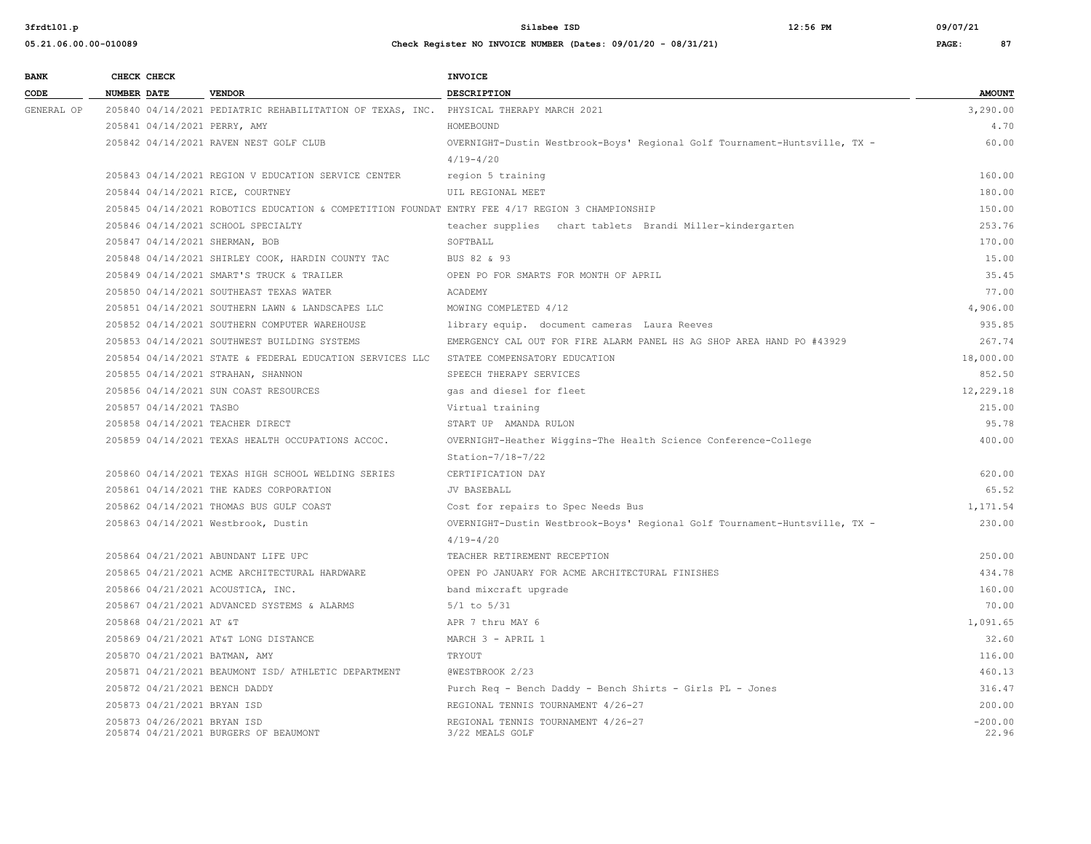| 05.21.06.00.00-010089 | Check Register NO INVOICE NUMBER (Dates: 09/01/20 - 08/31/21) | PAGE: | 87 |
|-----------------------|---------------------------------------------------------------|-------|----|

| <b>BANK</b> | CHECK CHECK        |                             |                                                                                                 | INVOICE                                                                    |                    |
|-------------|--------------------|-----------------------------|-------------------------------------------------------------------------------------------------|----------------------------------------------------------------------------|--------------------|
| CODE        | <b>NUMBER DATE</b> |                             | <b>VENDOR</b>                                                                                   | <b>DESCRIPTION</b>                                                         | <b>AMOUNT</b>      |
| GENERAL OP  |                    |                             | 205840 04/14/2021 PEDIATRIC REHABILITATION OF TEXAS, INC. PHYSICAL THERAPY MARCH 2021           |                                                                            | 3,290.00           |
|             |                    |                             | 205841 04/14/2021 PERRY, AMY                                                                    | HOMEBOUND                                                                  | 4.70               |
|             |                    |                             | 205842 04/14/2021 RAVEN NEST GOLF CLUB                                                          | OVERNIGHT-Dustin Westbrook-Boys' Regional Golf Tournament-Huntsville, TX - | 60.00              |
|             |                    |                             |                                                                                                 | $4/19 - 4/20$                                                              |                    |
|             |                    |                             | 205843 04/14/2021 REGION V EDUCATION SERVICE CENTER                                             | region 5 training                                                          | 160.00             |
|             |                    |                             | 205844 04/14/2021 RICE, COURTNEY                                                                | UIL REGIONAL MEET                                                          | 180.00             |
|             |                    |                             | 205845 04/14/2021 ROBOTICS EDUCATION & COMPETITION FOUNDAT ENTRY FEE 4/17 REGION 3 CHAMPIONSHIP |                                                                            | 150.00             |
|             |                    |                             | 205846 04/14/2021 SCHOOL SPECIALTY                                                              | teacher supplies chart tablets Brandi Miller-kindergarten                  | 253.76             |
|             |                    |                             | 205847 04/14/2021 SHERMAN, BOB                                                                  | SOFTBALL                                                                   | 170.00             |
|             |                    |                             | 205848 04/14/2021 SHIRLEY COOK, HARDIN COUNTY TAC                                               | BUS 82 & 93                                                                | 15.00              |
|             |                    |                             | 205849 04/14/2021 SMART'S TRUCK & TRAILER                                                       | OPEN PO FOR SMARTS FOR MONTH OF APRIL                                      | 35.45              |
|             |                    |                             | 205850 04/14/2021 SOUTHEAST TEXAS WATER                                                         | ACADEMY                                                                    | 77.00              |
|             |                    |                             | 205851 04/14/2021 SOUTHERN LAWN & LANDSCAPES LLC                                                | MOWING COMPLETED 4/12                                                      | 4,906.00           |
|             |                    |                             | 205852 04/14/2021 SOUTHERN COMPUTER WAREHOUSE                                                   | library equip. document cameras Laura Reeves                               | 935.85             |
|             |                    |                             | 205853 04/14/2021 SOUTHWEST BUILDING SYSTEMS                                                    | EMERGENCY CAL OUT FOR FIRE ALARM PANEL HS AG SHOP AREA HAND PO #43929      | 267.74             |
|             |                    |                             | 205854 04/14/2021 STATE & FEDERAL EDUCATION SERVICES LLC STATEE COMPENSATORY EDUCATION          |                                                                            | 18,000.00          |
|             |                    |                             | 205855 04/14/2021 STRAHAN, SHANNON                                                              | SPEECH THERAPY SERVICES                                                    | 852.50             |
|             |                    |                             | 205856 04/14/2021 SUN COAST RESOURCES                                                           | gas and diesel for fleet                                                   | 12,229.18          |
|             |                    | 205857 04/14/2021 TASBO     |                                                                                                 | Virtual training                                                           | 215.00             |
|             |                    |                             | 205858 04/14/2021 TEACHER DIRECT                                                                | START UP AMANDA RULON                                                      | 95.78              |
|             |                    |                             | 205859 04/14/2021 TEXAS HEALTH OCCUPATIONS ACCOC.                                               | OVERNIGHT-Heather Wiggins-The Health Science Conference-College            | 400.00             |
|             |                    |                             |                                                                                                 | Station-7/18-7/22                                                          |                    |
|             |                    |                             | 205860 04/14/2021 TEXAS HIGH SCHOOL WELDING SERIES                                              | CERTIFICATION DAY                                                          | 620.00             |
|             |                    |                             | 205861 04/14/2021 THE KADES CORPORATION                                                         | <b>JV BASEBALL</b>                                                         | 65.52              |
|             |                    |                             | 205862 04/14/2021 THOMAS BUS GULF COAST                                                         | Cost for repairs to Spec Needs Bus                                         | 1,171.54           |
|             |                    |                             | 205863 04/14/2021 Westbrook, Dustin                                                             | OVERNIGHT-Dustin Westbrook-Boys' Regional Golf Tournament-Huntsville, TX - | 230.00             |
|             |                    |                             |                                                                                                 | $4/19 - 4/20$                                                              |                    |
|             |                    |                             | 205864 04/21/2021 ABUNDANT LIFE UPC                                                             | TEACHER RETIREMENT RECEPTION                                               | 250.00             |
|             |                    |                             | 205865 04/21/2021 ACME ARCHITECTURAL HARDWARE                                                   | OPEN PO JANUARY FOR ACME ARCHITECTURAL FINISHES                            | 434.78             |
|             |                    |                             | 205866 04/21/2021 ACOUSTICA, INC.                                                               | band mixcraft upgrade                                                      | 160.00             |
|             |                    |                             | 205867 04/21/2021 ADVANCED SYSTEMS & ALARMS                                                     | $5/1$ to $5/31$                                                            | 70.00              |
|             |                    | 205868 04/21/2021 AT &T     |                                                                                                 | APR 7 thru MAY 6                                                           | 1,091.65           |
|             |                    |                             | 205869 04/21/2021 AT&T LONG DISTANCE                                                            | MARCH 3 - APRIL 1                                                          | 32.60              |
|             |                    |                             | 205870 04/21/2021 BATMAN, AMY                                                                   | TRYOUT                                                                     | 116.00             |
|             |                    |                             | 205871 04/21/2021 BEAUMONT ISD/ ATHLETIC DEPARTMENT                                             | @WESTBROOK 2/23                                                            | 460.13             |
|             |                    |                             | 205872 04/21/2021 BENCH DADDY                                                                   | Purch Req - Bench Daddy - Bench Shirts - Girls PL - Jones                  | 316.47             |
|             |                    | 205873 04/21/2021 BRYAN ISD |                                                                                                 | REGIONAL TENNIS TOURNAMENT 4/26-27                                         | 200.00             |
|             |                    | 205873 04/26/2021 BRYAN ISD | 205874 04/21/2021 BURGERS OF BEAUMONT                                                           | REGIONAL TENNIS TOURNAMENT 4/26-27<br>3/22 MEALS GOLF                      | $-200.00$<br>22.96 |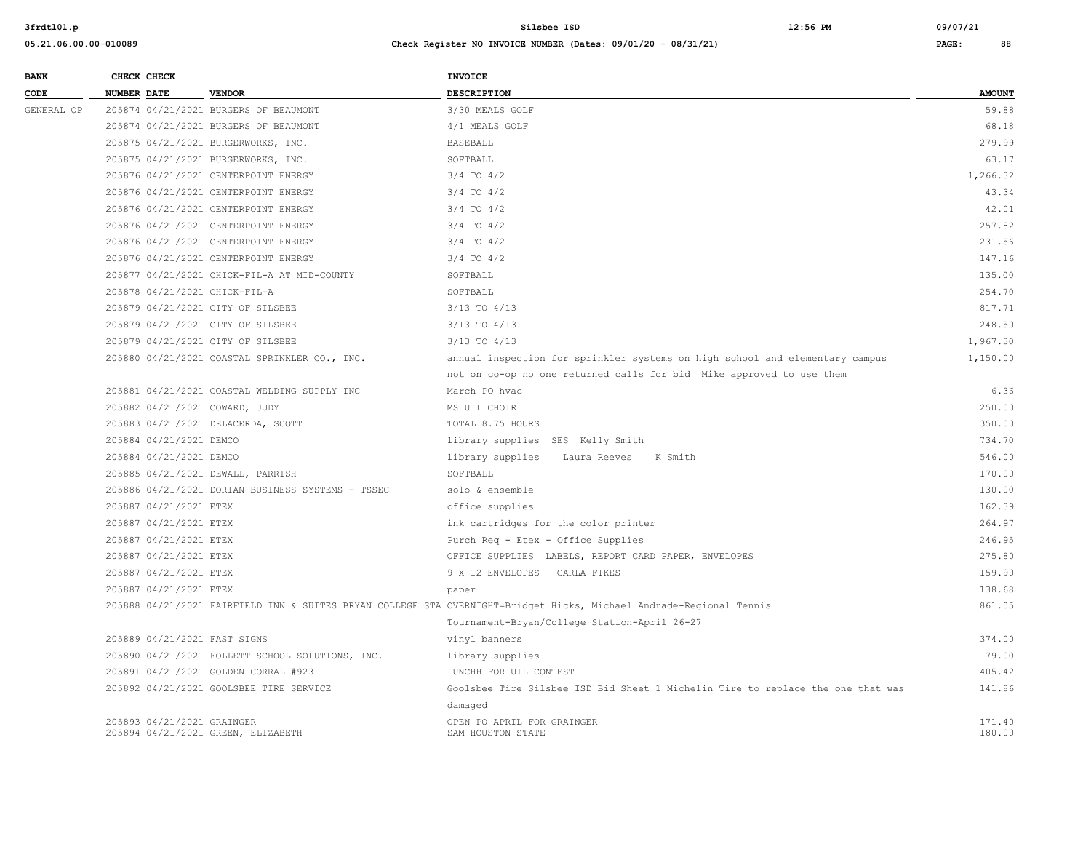| <b>BANK</b> |             | CHECK CHECK                |                                                   | <b>INVOICE</b>                                                                                                      |                  |
|-------------|-------------|----------------------------|---------------------------------------------------|---------------------------------------------------------------------------------------------------------------------|------------------|
| CODE        | NUMBER DATE |                            | <b>VENDOR</b>                                     | DESCRIPTION                                                                                                         | <b>AMOUNT</b>    |
| GENERAL OP  |             |                            | 205874 04/21/2021 BURGERS OF BEAUMONT             | 3/30 MEALS GOLF                                                                                                     | 59.88            |
|             |             |                            | 205874 04/21/2021 BURGERS OF BEAUMONT             | 4/1 MEALS GOLF                                                                                                      | 68.18            |
|             |             |                            | 205875 04/21/2021 BURGERWORKS, INC.               | <b>BASEBALL</b>                                                                                                     | 279.99           |
|             |             |                            | 205875 04/21/2021 BURGERWORKS, INC.               | SOFTBALL                                                                                                            | 63.17            |
|             |             |                            | 205876 04/21/2021 CENTERPOINT ENERGY              | $3/4$ TO $4/2$                                                                                                      | 1,266.32         |
|             |             |                            | 205876 04/21/2021 CENTERPOINT ENERGY              | $3/4$ TO $4/2$                                                                                                      | 43.34            |
|             |             |                            | 205876 04/21/2021 CENTERPOINT ENERGY              | $3/4$ TO $4/2$                                                                                                      | 42.01            |
|             |             |                            | 205876 04/21/2021 CENTERPOINT ENERGY              | $3/4$ TO $4/2$                                                                                                      | 257.82           |
|             |             |                            | 205876 04/21/2021 CENTERPOINT ENERGY              | $3/4$ TO $4/2$                                                                                                      | 231.56           |
|             |             |                            | 205876 04/21/2021 CENTERPOINT ENERGY              | $3/4$ TO $4/2$                                                                                                      | 147.16           |
|             |             |                            | 205877 04/21/2021 CHICK-FIL-A AT MID-COUNTY       | SOFTBALL                                                                                                            | 135.00           |
|             |             |                            | 205878 04/21/2021 CHICK-FIL-A                     | SOFTBALL                                                                                                            | 254.70           |
|             |             |                            | 205879 04/21/2021 CITY OF SILSBEE                 | $3/13$ TO $4/13$                                                                                                    | 817.71           |
|             |             |                            | 205879 04/21/2021 CITY OF SILSBEE                 | $3/13$ TO $4/13$                                                                                                    | 248.50           |
|             |             |                            | 205879 04/21/2021 CITY OF SILSBEE                 | $3/13$ TO $4/13$                                                                                                    | 1,967.30         |
|             |             |                            | 205880 04/21/2021 COASTAL SPRINKLER CO., INC.     | annual inspection for sprinkler systems on high school and elementary campus                                        | 1,150.00         |
|             |             |                            |                                                   | not on co-op no one returned calls for bid Mike approved to use them                                                |                  |
|             |             |                            | 205881 04/21/2021 COASTAL WELDING SUPPLY INC      | March PO hvac                                                                                                       | 6.36             |
|             |             |                            | 205882 04/21/2021 COWARD, JUDY                    | MS UIL CHOIR                                                                                                        | 250.00           |
|             |             |                            | 205883 04/21/2021 DELACERDA, SCOTT                | TOTAL 8.75 HOURS                                                                                                    | 350.00           |
|             |             | 205884 04/21/2021 DEMCO    |                                                   | library supplies SES Kelly Smith                                                                                    | 734.70           |
|             |             | 205884 04/21/2021 DEMCO    |                                                   | library supplies<br>Laura Reeves<br>K Smith                                                                         | 546.00           |
|             |             |                            | 205885 04/21/2021 DEWALL, PARRISH                 | SOFTBALL                                                                                                            | 170.00           |
|             |             |                            | 205886 04/21/2021 DORIAN BUSINESS SYSTEMS - TSSEC | solo & ensemble                                                                                                     | 130.00           |
|             |             | 205887 04/21/2021 ETEX     |                                                   | office supplies                                                                                                     | 162.39           |
|             |             | 205887 04/21/2021 ETEX     |                                                   | ink cartridges for the color printer                                                                                | 264.97           |
|             |             | 205887 04/21/2021 ETEX     |                                                   | Purch Req - Etex - Office Supplies                                                                                  | 246.95           |
|             |             | 205887 04/21/2021 ETEX     |                                                   | OFFICE SUPPLIES LABELS, REPORT CARD PAPER, ENVELOPES                                                                | 275.80           |
|             |             | 205887 04/21/2021 ETEX     |                                                   | 9 X 12 ENVELOPES CARLA FIKES                                                                                        | 159.90           |
|             |             | 205887 04/21/2021 ETEX     |                                                   | paper                                                                                                               | 138.68           |
|             |             |                            |                                                   | 205888 04/21/2021 FAIRFIELD INN & SUITES BRYAN COLLEGE STA OVERNIGHT=Bridget Hicks, Michael Andrade-Regional Tennis | 861.05           |
|             |             |                            |                                                   | Tournament-Bryan/College Station-April 26-27                                                                        |                  |
|             |             |                            | 205889 04/21/2021 FAST SIGNS                      | vinyl banners                                                                                                       | 374.00           |
|             |             |                            | 205890 04/21/2021 FOLLETT SCHOOL SOLUTIONS, INC.  | library supplies                                                                                                    | 79.00            |
|             |             |                            | 205891 04/21/2021 GOLDEN CORRAL #923              | LUNCHH FOR UIL CONTEST                                                                                              | 405.42           |
|             |             |                            | 205892 04/21/2021 GOOLSBEE TIRE SERVICE           | Goolsbee Tire Silsbee ISD Bid Sheet 1 Michelin Tire to replace the one that was                                     | 141.86           |
|             |             |                            |                                                   | damaged                                                                                                             |                  |
|             |             | 205893 04/21/2021 GRAINGER | 205894 04/21/2021 GREEN, ELIZABETH                | OPEN PO APRIL FOR GRAINGER<br>SAM HOUSTON STATE                                                                     | 171.40<br>180.00 |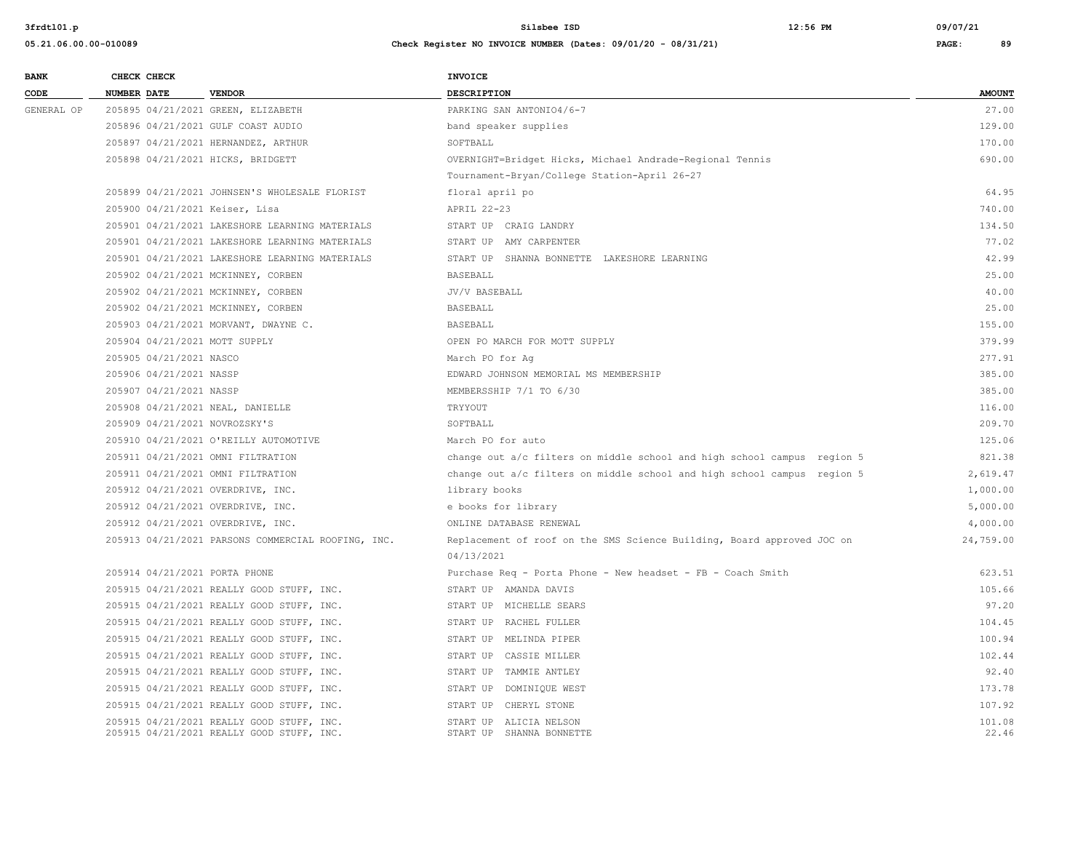| 05.21.06.00.00-010089 | Check Register NO INVOICE NUMBER (Dates: 09/01/20 - 08/31/21) | PAGE: | 89 |
|-----------------------|---------------------------------------------------------------|-------|----|

| <b>BANK</b> |             | CHECK CHECK             |                                                                                        | <b>INVOICE</b>                                                            |                 |
|-------------|-------------|-------------------------|----------------------------------------------------------------------------------------|---------------------------------------------------------------------------|-----------------|
| CODE        | NUMBER DATE |                         | <b>VENDOR</b>                                                                          | <b>DESCRIPTION</b>                                                        | <b>AMOUNT</b>   |
| GENERAL OP  |             |                         | 205895 04/21/2021 GREEN, ELIZABETH                                                     | PARKING SAN ANTONIO4/6-7                                                  | 27.00           |
|             |             |                         | 205896 04/21/2021 GULF COAST AUDIO                                                     | band speaker supplies                                                     | 129.00          |
|             |             |                         | 205897 04/21/2021 HERNANDEZ, ARTHUR                                                    | SOFTBALL                                                                  | 170.00          |
|             |             |                         | 205898 04/21/2021 HICKS, BRIDGETT                                                      | OVERNIGHT=Bridget Hicks, Michael Andrade-Regional Tennis                  | 690.00          |
|             |             |                         |                                                                                        | Tournament-Bryan/College Station-April 26-27                              |                 |
|             |             |                         | 205899 04/21/2021 JOHNSEN'S WHOLESALE FLORIST                                          | floral april po                                                           | 64.95           |
|             |             |                         | 205900 04/21/2021 Keiser, Lisa                                                         | APRIL 22-23                                                               | 740.00          |
|             |             |                         | 205901 04/21/2021 LAKESHORE LEARNING MATERIALS                                         | START UP CRAIG LANDRY                                                     | 134.50          |
|             |             |                         | 205901 04/21/2021 LAKESHORE LEARNING MATERIALS                                         | START UP AMY CARPENTER                                                    | 77.02           |
|             |             |                         | 205901 04/21/2021 LAKESHORE LEARNING MATERIALS                                         | START UP SHANNA BONNETTE LAKESHORE LEARNING                               | 42.99           |
|             |             |                         | 205902 04/21/2021 MCKINNEY, CORBEN                                                     | <b>BASEBALL</b>                                                           | 25.00           |
|             |             |                         | 205902 04/21/2021 MCKINNEY, CORBEN                                                     | JV/V BASEBALL                                                             | 40.00           |
|             |             |                         | 205902 04/21/2021 MCKINNEY, CORBEN                                                     | BASEBALL                                                                  | 25.00           |
|             |             |                         | 205903 04/21/2021 MORVANT, DWAYNE C.                                                   | BASEBALL                                                                  | 155.00          |
|             |             |                         | 205904 04/21/2021 MOTT SUPPLY                                                          | OPEN PO MARCH FOR MOTT SUPPLY                                             | 379.99          |
|             |             | 205905 04/21/2021 NASCO |                                                                                        | March PO for Aq                                                           | 277.91          |
|             |             | 205906 04/21/2021 NASSP |                                                                                        | EDWARD JOHNSON MEMORIAL MS MEMBERSHIP                                     | 385.00          |
|             |             | 205907 04/21/2021 NASSP |                                                                                        | MEMBERSSHIP 7/1 TO 6/30                                                   | 385.00          |
|             |             |                         | 205908 04/21/2021 NEAL, DANIELLE                                                       | TRYYOUT                                                                   | 116.00          |
|             |             |                         | 205909 04/21/2021 NOVROZSKY'S                                                          | SOFTBALL                                                                  | 209.70          |
|             |             |                         | 205910 04/21/2021 O'REILLY AUTOMOTIVE                                                  | March PO for auto                                                         | 125.06          |
|             |             |                         | 205911 04/21/2021 OMNI FILTRATION                                                      | change out $a/c$ filters on middle school and high school campus region 5 | 821.38          |
|             |             |                         | 205911 04/21/2021 OMNI FILTRATION                                                      | change out a/c filters on middle school and high school campus region 5   | 2,619.47        |
|             |             |                         | 205912 04/21/2021 OVERDRIVE, INC.                                                      | library books                                                             | 1,000.00        |
|             |             |                         | 205912 04/21/2021 OVERDRIVE, INC.                                                      | e books for library                                                       | 5,000.00        |
|             |             |                         | 205912 04/21/2021 OVERDRIVE, INC.                                                      | ONLINE DATABASE RENEWAL                                                   | 4,000.00        |
|             |             |                         | 205913 04/21/2021 PARSONS COMMERCIAL ROOFING, INC.                                     | Replacement of roof on the SMS Science Building, Board approved JOC on    | 24,759.00       |
|             |             |                         |                                                                                        | 04/13/2021                                                                |                 |
|             |             |                         | 205914 04/21/2021 PORTA PHONE                                                          | Purchase Req - Porta Phone - New headset - FB - Coach Smith               | 623.51          |
|             |             |                         | 205915 04/21/2021 REALLY GOOD STUFF, INC.                                              | START UP AMANDA DAVIS                                                     | 105.66          |
|             |             |                         | 205915 04/21/2021 REALLY GOOD STUFF, INC.                                              | START UP MICHELLE SEARS                                                   | 97.20           |
|             |             |                         | 205915 04/21/2021 REALLY GOOD STUFF, INC.                                              | START UP RACHEL FULLER                                                    | 104.45          |
|             |             |                         | 205915 04/21/2021 REALLY GOOD STUFF, INC.                                              | START UP MELINDA PIPER                                                    | 100.94          |
|             |             |                         | 205915 04/21/2021 REALLY GOOD STUFF, INC.                                              | START UP CASSIE MILLER                                                    | 102.44          |
|             |             |                         | 205915 04/21/2021 REALLY GOOD STUFF, INC.                                              | START UP TAMMIE ANTLEY                                                    | 92.40           |
|             |             |                         | 205915 04/21/2021 REALLY GOOD STUFF, INC.                                              | START UP DOMINIQUE WEST                                                   | 173.78          |
|             |             |                         | 205915 04/21/2021 REALLY GOOD STUFF, INC.                                              | START UP CHERYL STONE                                                     | 107.92          |
|             |             |                         | 205915 04/21/2021 REALLY GOOD STUFF, INC.<br>205915 04/21/2021 REALLY GOOD STUFF, INC. | START UP ALICIA NELSON<br>START UP SHANNA BONNETTE                        | 101.08<br>22.46 |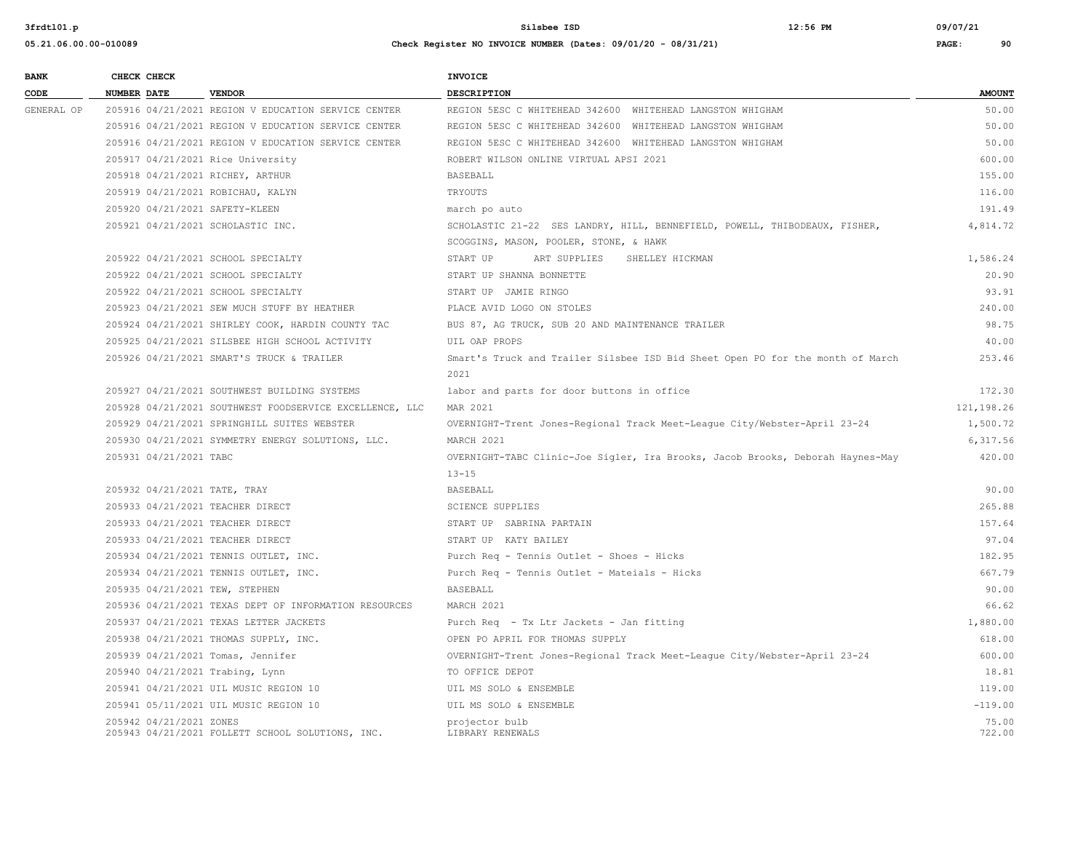**05.21.06.00.00-010089 Check Register NO INVOICE NUMBER (Dates: 09/01/20 - 08/31/21) PAGE: 90**

**3frdtl01.p Silsbee ISD 12:56 PM 09/07/21**

| <b>BANK</b> |                    | CHECK CHECK             |                                                         | <b>INVOICE</b>                                                                         |                 |
|-------------|--------------------|-------------------------|---------------------------------------------------------|----------------------------------------------------------------------------------------|-----------------|
| CODE        | <b>NUMBER DATE</b> |                         | <b>VENDOR</b>                                           | DESCRIPTION                                                                            | <b>AMOUNT</b>   |
| GENERAL OP  |                    |                         | 205916 04/21/2021 REGION V EDUCATION SERVICE CENTER     | REGION 5ESC C WHITEHEAD 342600 WHITEHEAD LANGSTON WHIGHAM                              | 50.00           |
|             |                    |                         | 205916 04/21/2021 REGION V EDUCATION SERVICE CENTER     | REGION 5ESC C WHITEHEAD 342600 WHITEHEAD LANGSTON WHIGHAM                              | 50.00           |
|             |                    |                         | 205916 04/21/2021 REGION V EDUCATION SERVICE CENTER     | REGION 5ESC C WHITEHEAD 342600 WHITEHEAD LANGSTON WHIGHAM                              | 50.00           |
|             |                    |                         | 205917 04/21/2021 Rice University                       | ROBERT WILSON ONLINE VIRTUAL APSI 2021                                                 | 600.00          |
|             |                    |                         | 205918 04/21/2021 RICHEY, ARTHUR                        | BASEBALL                                                                               | 155.00          |
|             |                    |                         | 205919 04/21/2021 ROBICHAU, KALYN                       | TRYOUTS                                                                                | 116.00          |
|             |                    |                         | 205920 04/21/2021 SAFETY-KLEEN                          | march po auto                                                                          | 191.49          |
|             |                    |                         | 205921 04/21/2021 SCHOLASTIC INC.                       | SCHOLASTIC 21-22 SES LANDRY, HILL, BENNEFIELD, POWELL, THIBODEAUX, FISHER,             | 4,814.72        |
|             |                    |                         |                                                         | SCOGGINS, MASON, POOLER, STONE, & HAWK                                                 |                 |
|             |                    |                         | 205922 04/21/2021 SCHOOL SPECIALTY                      | START UP<br>ART SUPPLIES<br>SHELLEY HICKMAN                                            | 1,586.24        |
|             |                    |                         | 205922 04/21/2021 SCHOOL SPECIALTY                      | START UP SHANNA BONNETTE                                                               | 20.90           |
|             |                    |                         | 205922 04/21/2021 SCHOOL SPECIALTY                      | START UP JAMIE RINGO                                                                   | 93.91           |
|             |                    |                         | 205923 04/21/2021 SEW MUCH STUFF BY HEATHER             | PLACE AVID LOGO ON STOLES                                                              | 240.00          |
|             |                    |                         | 205924 04/21/2021 SHIRLEY COOK, HARDIN COUNTY TAC       | BUS 87, AG TRUCK, SUB 20 AND MAINTENANCE TRAILER                                       | 98.75           |
|             |                    |                         | 205925 04/21/2021 SILSBEE HIGH SCHOOL ACTIVITY          | UIL OAP PROPS                                                                          | 40.00           |
|             |                    |                         | 205926 04/21/2021 SMART'S TRUCK & TRAILER               | Smart's Truck and Trailer Silsbee ISD Bid Sheet Open PO for the month of March<br>2021 | 253.46          |
|             |                    |                         | 205927 04/21/2021 SOUTHWEST BUILDING SYSTEMS            | labor and parts for door buttons in office                                             | 172.30          |
|             |                    |                         | 205928 04/21/2021 SOUTHWEST FOODSERVICE EXCELLENCE, LLC | MAR 2021                                                                               | 121, 198.26     |
|             |                    |                         | 205929 04/21/2021 SPRINGHILL SUITES WEBSTER             | OVERNIGHT-Trent Jones-Regional Track Meet-League City/Webster-April 23-24              | 1,500.72        |
|             |                    |                         | 205930 04/21/2021 SYMMETRY ENERGY SOLUTIONS, LLC.       | MARCH 2021                                                                             | 6,317.56        |
|             |                    | 205931 04/21/2021 TABC  |                                                         | OVERNIGHT-TABC Clinic-Joe Sigler, Ira Brooks, Jacob Brooks, Deborah Haynes-May         | 420.00          |
|             |                    |                         |                                                         | $13 - 15$                                                                              |                 |
|             |                    |                         | 205932 04/21/2021 TATE, TRAY                            | <b>BASEBALL</b>                                                                        | 90.00           |
|             |                    |                         | 205933 04/21/2021 TEACHER DIRECT                        | <b>SCIENCE SUPPLIES</b>                                                                | 265.88          |
|             |                    |                         | 205933 04/21/2021 TEACHER DIRECT                        | START UP SABRINA PARTAIN                                                               | 157.64          |
|             |                    |                         | 205933 04/21/2021 TEACHER DIRECT                        | START UP KATY BAILEY                                                                   | 97.04           |
|             |                    |                         | 205934 04/21/2021 TENNIS OUTLET, INC.                   | Purch Req - Tennis Outlet - Shoes - Hicks                                              | 182.95          |
|             |                    |                         | 205934 04/21/2021 TENNIS OUTLET, INC.                   | Purch Req - Tennis Outlet - Mateials - Hicks                                           | 667.79          |
|             |                    |                         | 205935 04/21/2021 TEW, STEPHEN                          | BASEBALL                                                                               | 90.00           |
|             |                    |                         | 205936 04/21/2021 TEXAS DEPT OF INFORMATION RESOURCES   | MARCH 2021                                                                             | 66.62           |
|             |                    |                         | 205937 04/21/2021 TEXAS LETTER JACKETS                  | Purch Req - Tx Ltr Jackets - Jan fitting                                               | 1,880.00        |
|             |                    |                         | 205938 04/21/2021 THOMAS SUPPLY, INC.                   | OPEN PO APRIL FOR THOMAS SUPPLY                                                        | 618.00          |
|             |                    |                         | 205939 04/21/2021 Tomas, Jennifer                       | OVERNIGHT-Trent Jones-Regional Track Meet-League City/Webster-April 23-24              | 600.00          |
|             |                    |                         | 205940 04/21/2021 Trabing, Lynn                         | TO OFFICE DEPOT                                                                        | 18.81           |
|             |                    |                         | 205941 04/21/2021 UIL MUSIC REGION 10                   | UIL MS SOLO & ENSEMBLE                                                                 | 119.00          |
|             |                    |                         | 205941 05/11/2021 UIL MUSIC REGION 10                   | UIL MS SOLO & ENSEMBLE                                                                 | $-119.00$       |
|             |                    | 205942 04/21/2021 ZONES | 205943 04/21/2021 FOLLETT SCHOOL SOLUTIONS, INC.        | projector bulb<br>LIBRARY RENEWALS                                                     | 75.00<br>722.00 |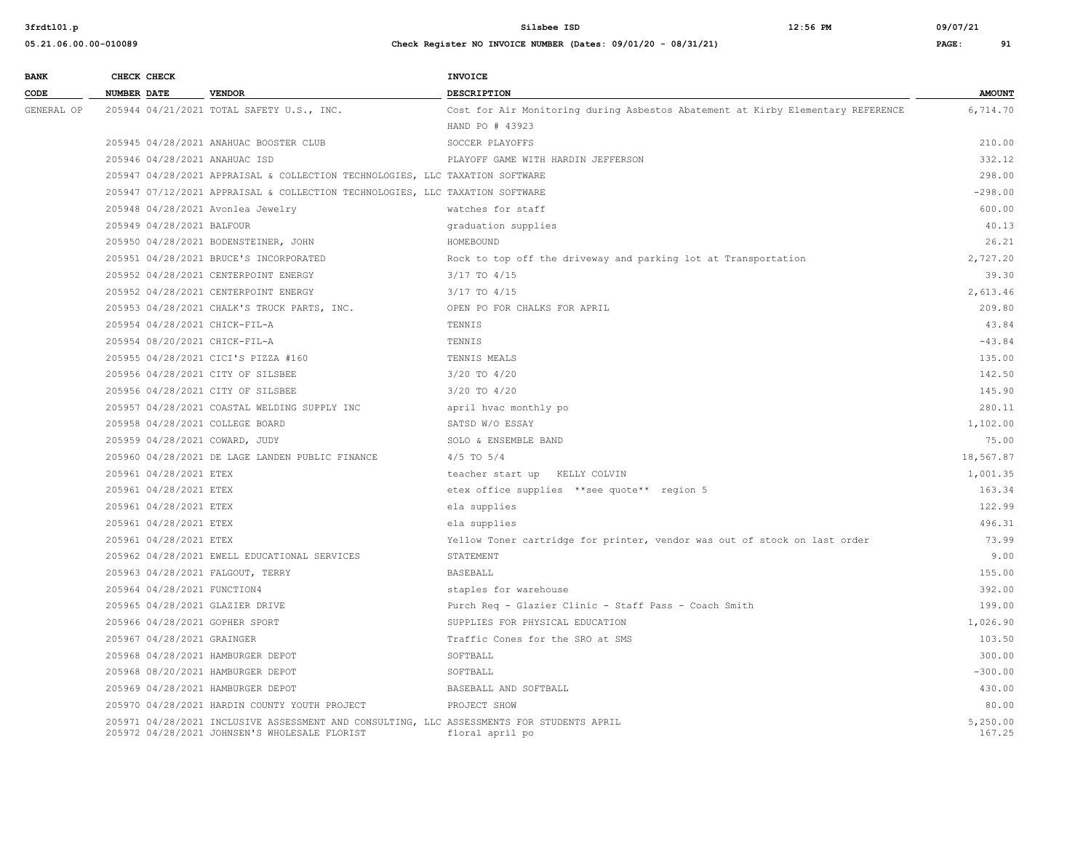| <b>BANK</b> | CHECK CHECK        |                             |                                                                                                                                            | INVOICE                                                                         |                    |
|-------------|--------------------|-----------------------------|--------------------------------------------------------------------------------------------------------------------------------------------|---------------------------------------------------------------------------------|--------------------|
| CODE        | <b>NUMBER DATE</b> |                             | <b>VENDOR</b>                                                                                                                              | DESCRIPTION                                                                     | <b>AMOUNT</b>      |
| GENERAL OP  |                    |                             | 205944 04/21/2021 TOTAL SAFETY U.S., INC.                                                                                                  | Cost for Air Monitoring during Asbestos Abatement at Kirby Elementary REFERENCE | 6,714.70           |
|             |                    |                             |                                                                                                                                            | HAND PO # 43923                                                                 |                    |
|             |                    |                             | 205945 04/28/2021 ANAHUAC BOOSTER CLUB                                                                                                     | SOCCER PLAYOFFS                                                                 | 210.00             |
|             |                    |                             | 205946 04/28/2021 ANAHUAC ISD                                                                                                              | PLAYOFF GAME WITH HARDIN JEFFERSON                                              | 332.12             |
|             |                    |                             | 205947 04/28/2021 APPRAISAL & COLLECTION TECHNOLOGIES, LLC TAXATION SOFTWARE                                                               |                                                                                 | 298.00             |
|             |                    |                             | 205947 07/12/2021 APPRAISAL & COLLECTION TECHNOLOGIES, LLC TAXATION SOFTWARE                                                               |                                                                                 | $-298.00$          |
|             |                    |                             | 205948 04/28/2021 Avonlea Jewelry                                                                                                          | watches for staff                                                               | 600.00             |
|             |                    | 205949 04/28/2021 BALFOUR   |                                                                                                                                            | graduation supplies                                                             | 40.13              |
|             |                    |                             | 205950 04/28/2021 BODENSTEINER, JOHN                                                                                                       | HOMEBOUND                                                                       | 26.21              |
|             |                    |                             | 205951 04/28/2021 BRUCE'S INCORPORATED                                                                                                     | Rock to top off the driveway and parking lot at Transportation                  | 2,727.20           |
|             |                    |                             | 205952 04/28/2021 CENTERPOINT ENERGY                                                                                                       | 3/17 TO 4/15                                                                    | 39.30              |
|             |                    |                             | 205952 04/28/2021 CENTERPOINT ENERGY                                                                                                       | 3/17 TO 4/15                                                                    | 2,613.46           |
|             |                    |                             | 205953 04/28/2021 CHALK'S TRUCK PARTS, INC.                                                                                                | OPEN PO FOR CHALKS FOR APRIL                                                    | 209.80             |
|             |                    |                             | 205954 04/28/2021 CHICK-FIL-A                                                                                                              | TENNIS                                                                          | 43.84              |
|             |                    |                             | 205954 08/20/2021 CHICK-FIL-A                                                                                                              | TENNIS                                                                          | $-43.84$           |
|             |                    |                             | 205955 04/28/2021 CICI'S PIZZA #160                                                                                                        | TENNIS MEALS                                                                    | 135.00             |
|             |                    |                             | 205956 04/28/2021 CITY OF SILSBEE                                                                                                          | 3/20 TO 4/20                                                                    | 142.50             |
|             |                    |                             | 205956 04/28/2021 CITY OF SILSBEE                                                                                                          | 3/20 TO 4/20                                                                    | 145.90             |
|             |                    |                             | 205957 04/28/2021 COASTAL WELDING SUPPLY INC                                                                                               | april hvac monthly po                                                           | 280.11             |
|             |                    |                             | 205958 04/28/2021 COLLEGE BOARD                                                                                                            | SATSD W/O ESSAY                                                                 | 1,102.00           |
|             |                    |                             | 205959 04/28/2021 COWARD, JUDY                                                                                                             | SOLO & ENSEMBLE BAND                                                            | 75.00              |
|             |                    |                             | 205960 04/28/2021 DE LAGE LANDEN PUBLIC FINANCE                                                                                            | $4/5$ TO $5/4$                                                                  | 18,567.87          |
|             |                    | 205961 04/28/2021 ETEX      |                                                                                                                                            | teacher start up KELLY COLVIN                                                   | 1,001.35           |
|             |                    | 205961 04/28/2021 ETEX      |                                                                                                                                            | etex office supplies ** see quote** region 5                                    | 163.34             |
|             |                    | 205961 04/28/2021 ETEX      |                                                                                                                                            | ela supplies                                                                    | 122.99             |
|             |                    | 205961 04/28/2021 ETEX      |                                                                                                                                            | ela supplies                                                                    | 496.31             |
|             |                    | 205961 04/28/2021 ETEX      |                                                                                                                                            | Yellow Toner cartridge for printer, vendor was out of stock on last order       | 73.99              |
|             |                    |                             | 205962 04/28/2021 EWELL EDUCATIONAL SERVICES                                                                                               | STATEMENT                                                                       | 9.00               |
|             |                    |                             | 205963 04/28/2021 FALGOUT, TERRY                                                                                                           | <b>BASEBALL</b>                                                                 | 155.00             |
|             |                    | 205964 04/28/2021 FUNCTION4 |                                                                                                                                            | staples for warehouse                                                           | 392.00             |
|             |                    |                             | 205965 04/28/2021 GLAZIER DRIVE                                                                                                            | Purch Req - Glazier Clinic - Staff Pass - Coach Smith                           | 199.00             |
|             |                    |                             | 205966 04/28/2021 GOPHER SPORT                                                                                                             | SUPPLIES FOR PHYSICAL EDUCATION                                                 | 1,026.90           |
|             |                    | 205967 04/28/2021 GRAINGER  |                                                                                                                                            | Traffic Cones for the SRO at SMS                                                | 103.50             |
|             |                    |                             | 205968 04/28/2021 HAMBURGER DEPOT                                                                                                          | SOFTBALL                                                                        | 300.00             |
|             |                    |                             | 205968 08/20/2021 HAMBURGER DEPOT                                                                                                          | SOFTBALL                                                                        | $-300.00$          |
|             |                    |                             | 205969 04/28/2021 HAMBURGER DEPOT                                                                                                          | BASEBALL AND SOFTBALL                                                           | 430.00             |
|             |                    |                             | 205970 04/28/2021 HARDIN COUNTY YOUTH PROJECT                                                                                              | PROJECT SHOW                                                                    | 80.00              |
|             |                    |                             | 205971 04/28/2021 INCLUSIVE ASSESSMENT AND CONSULTING, LLC ASSESSMENTS FOR STUDENTS APRIL<br>205972 04/28/2021 JOHNSEN'S WHOLESALE FLORIST | floral april po                                                                 | 5,250.00<br>167.25 |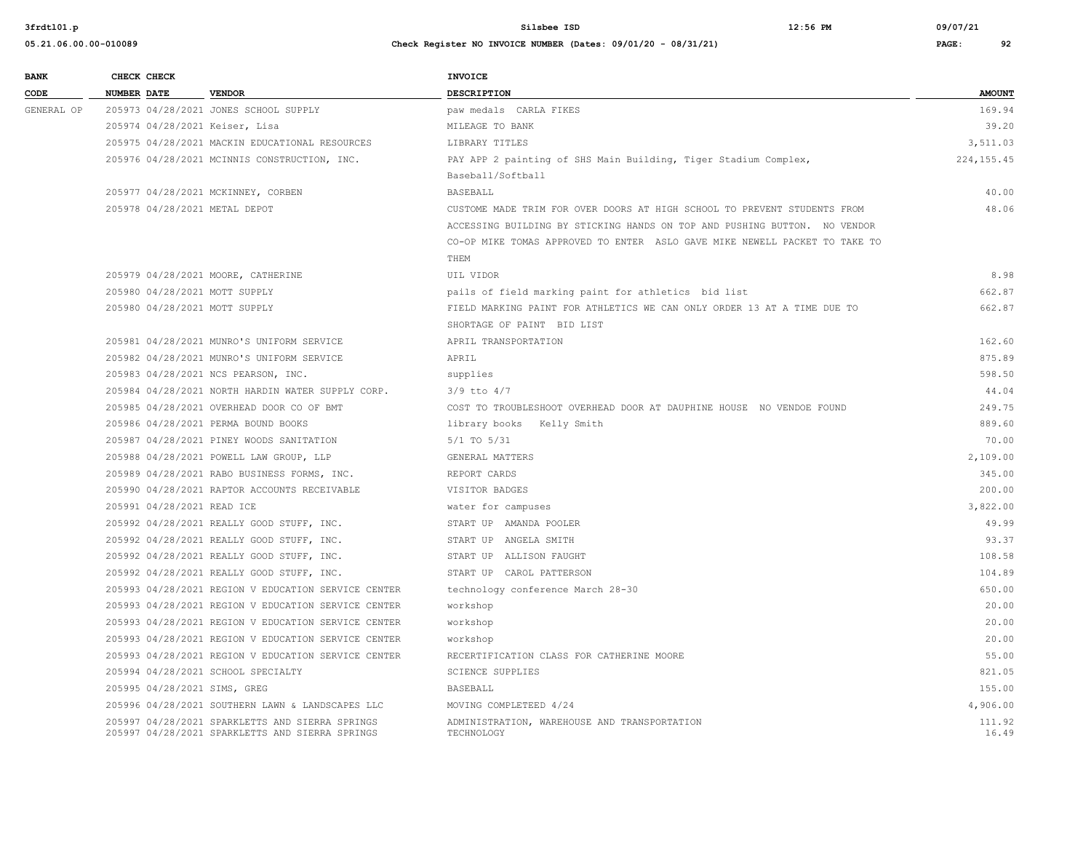| <b>BANK</b> |                    | CHECK CHECK                |                                                                                                    | <b>INVOICE</b>                                                             |                 |
|-------------|--------------------|----------------------------|----------------------------------------------------------------------------------------------------|----------------------------------------------------------------------------|-----------------|
| CODE        | <b>NUMBER DATE</b> |                            | <b>VENDOR</b>                                                                                      | <b>DESCRIPTION</b>                                                         | <b>AMOUNT</b>   |
| GENERAL OP  |                    |                            | 205973 04/28/2021 JONES SCHOOL SUPPLY                                                              | paw medals CARLA FIKES                                                     | 169.94          |
|             |                    |                            | 205974 04/28/2021 Keiser, Lisa                                                                     | MILEAGE TO BANK                                                            | 39.20           |
|             |                    |                            | 205975 04/28/2021 MACKIN EDUCATIONAL RESOURCES                                                     | LIBRARY TITLES                                                             | 3,511.03        |
|             |                    |                            | 205976 04/28/2021 MCINNIS CONSTRUCTION, INC.                                                       | PAY APP 2 painting of SHS Main Building, Tiger Stadium Complex,            | 224, 155.45     |
|             |                    |                            |                                                                                                    | Baseball/Softball                                                          |                 |
|             |                    |                            | 205977 04/28/2021 MCKINNEY, CORBEN                                                                 | <b>BASEBALL</b>                                                            | 40.00           |
|             |                    |                            | 205978 04/28/2021 METAL DEPOT                                                                      | CUSTOME MADE TRIM FOR OVER DOORS AT HIGH SCHOOL TO PREVENT STUDENTS FROM   | 48.06           |
|             |                    |                            |                                                                                                    | ACCESSING BUILDING BY STICKING HANDS ON TOP AND PUSHING BUTTON. NO VENDOR  |                 |
|             |                    |                            |                                                                                                    | CO-OP MIKE TOMAS APPROVED TO ENTER ASLO GAVE MIKE NEWELL PACKET TO TAKE TO |                 |
|             |                    |                            |                                                                                                    | THEM                                                                       |                 |
|             |                    |                            | 205979 04/28/2021 MOORE, CATHERINE                                                                 | UIL VIDOR                                                                  | 8.98            |
|             |                    |                            | 205980 04/28/2021 MOTT SUPPLY                                                                      | pails of field marking paint for athletics bid list                        | 662.87          |
|             |                    |                            | 205980 04/28/2021 MOTT SUPPLY                                                                      | FIELD MARKING PAINT FOR ATHLETICS WE CAN ONLY ORDER 13 AT A TIME DUE TO    | 662.87          |
|             |                    |                            |                                                                                                    | SHORTAGE OF PAINT BID LIST                                                 |                 |
|             |                    |                            | 205981 04/28/2021 MUNRO'S UNIFORM SERVICE                                                          | APRIL TRANSPORTATION                                                       | 162.60          |
|             |                    |                            | 205982 04/28/2021 MUNRO'S UNIFORM SERVICE                                                          | APRIL                                                                      | 875.89          |
|             |                    |                            | 205983 04/28/2021 NCS PEARSON, INC.                                                                | supplies                                                                   | 598.50          |
|             |                    |                            | 205984 04/28/2021 NORTH HARDIN WATER SUPPLY CORP.                                                  | $3/9$ tto $4/7$                                                            | 44.04           |
|             |                    |                            | 205985 04/28/2021 OVERHEAD DOOR CO OF BMT                                                          | COST TO TROUBLESHOOT OVERHEAD DOOR AT DAUPHINE HOUSE NO VENDOE FOUND       | 249.75          |
|             |                    |                            | 205986 04/28/2021 PERMA BOUND BOOKS                                                                | library books Kelly Smith                                                  | 889.60          |
|             |                    |                            | 205987 04/28/2021 PINEY WOODS SANITATION                                                           | $5/1$ TO $5/31$                                                            | 70.00           |
|             |                    |                            | 205988 04/28/2021 POWELL LAW GROUP, LLP                                                            | GENERAL MATTERS                                                            | 2,109.00        |
|             |                    |                            | 205989 04/28/2021 RABO BUSINESS FORMS, INC.                                                        | REPORT CARDS                                                               | 345.00          |
|             |                    |                            | 205990 04/28/2021 RAPTOR ACCOUNTS RECEIVABLE                                                       | VISITOR BADGES                                                             | 200.00          |
|             |                    | 205991 04/28/2021 READ ICE |                                                                                                    | water for campuses                                                         | 3,822.00        |
|             |                    |                            | 205992 04/28/2021 REALLY GOOD STUFF, INC.                                                          | START UP AMANDA POOLER                                                     | 49.99           |
|             |                    |                            | 205992 04/28/2021 REALLY GOOD STUFF, INC.                                                          | START UP ANGELA SMITH                                                      | 93.37           |
|             |                    |                            | 205992 04/28/2021 REALLY GOOD STUFF, INC.                                                          | START UP ALLISON FAUGHT                                                    | 108.58          |
|             |                    |                            | 205992 04/28/2021 REALLY GOOD STUFF, INC.                                                          | START UP CAROL PATTERSON                                                   | 104.89          |
|             |                    |                            | 205993 04/28/2021 REGION V EDUCATION SERVICE CENTER                                                | technology conference March 28-30                                          | 650.00          |
|             |                    |                            | 205993 04/28/2021 REGION V EDUCATION SERVICE CENTER                                                | workshop                                                                   | 20.00           |
|             |                    |                            | 205993 04/28/2021 REGION V EDUCATION SERVICE CENTER                                                | workshop                                                                   | 20.00           |
|             |                    |                            | 205993 04/28/2021 REGION V EDUCATION SERVICE CENTER                                                | workshop                                                                   | 20.00           |
|             |                    |                            | 205993 04/28/2021 REGION V EDUCATION SERVICE CENTER                                                | RECERTIFICATION CLASS FOR CATHERINE MOORE                                  | 55.00           |
|             |                    |                            | 205994 04/28/2021 SCHOOL SPECIALTY                                                                 | SCIENCE SUPPLIES                                                           | 821.05          |
|             |                    |                            | 205995 04/28/2021 SIMS, GREG                                                                       | <b>BASEBALL</b>                                                            | 155.00          |
|             |                    |                            | 205996 04/28/2021 SOUTHERN LAWN & LANDSCAPES LLC                                                   | MOVING COMPLETEED 4/24                                                     | 4,906.00        |
|             |                    |                            | 205997 04/28/2021 SPARKLETTS AND SIERRA SPRINGS<br>205997 04/28/2021 SPARKLETTS AND SIERRA SPRINGS | ADMINISTRATION, WAREHOUSE AND TRANSPORTATION<br>TECHNOLOGY                 | 111.92<br>16.49 |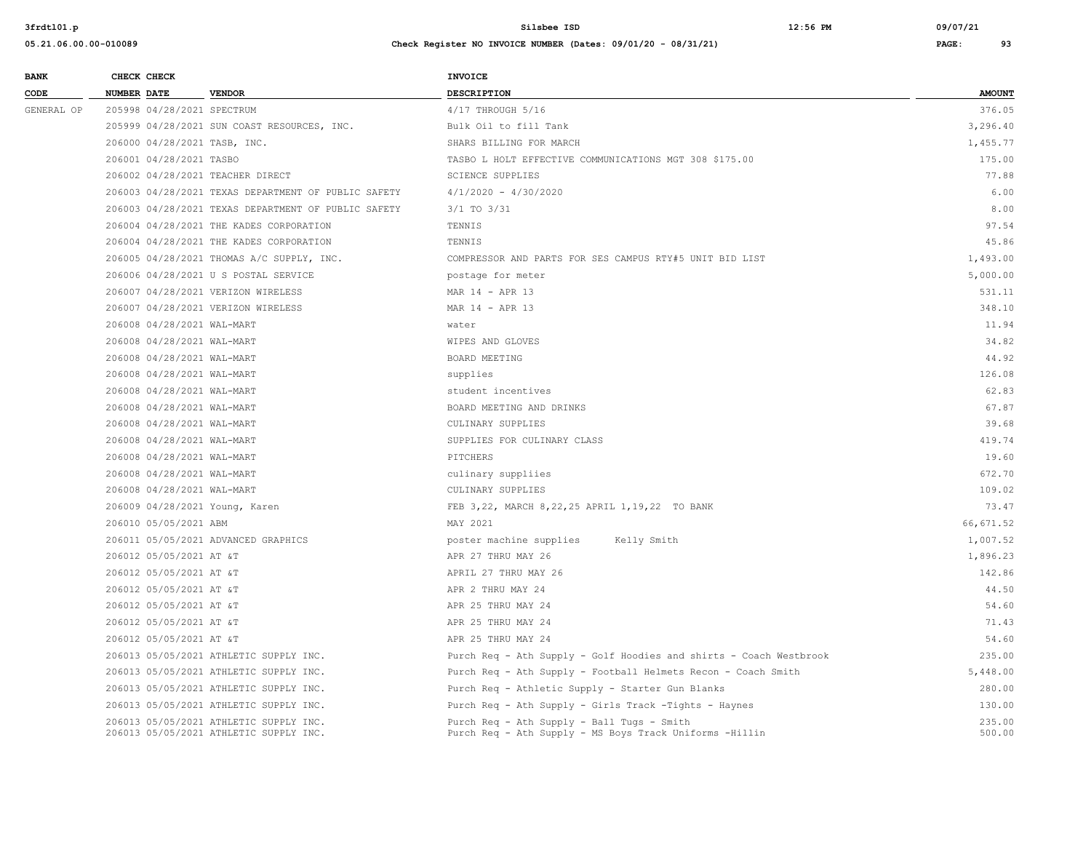| <b>BANK</b> | CHECK CHECK                        |                                                                                  | <b>INVOICE</b>                                                                                        |                  |
|-------------|------------------------------------|----------------------------------------------------------------------------------|-------------------------------------------------------------------------------------------------------|------------------|
| CODE        | NUMBER DATE                        | <b>VENDOR</b>                                                                    | DESCRIPTION                                                                                           | <b>AMOUNT</b>    |
| GENERAL OP  | 205998 04/28/2021 SPECTRUM         |                                                                                  | 4/17 THROUGH 5/16                                                                                     | 376.05           |
|             |                                    | 205999 04/28/2021 SUN COAST RESOURCES, INC.                                      | Bulk Oil to fill Tank                                                                                 | 3,296.40         |
|             | 206000 04/28/2021 TASB, INC.       |                                                                                  | SHARS BILLING FOR MARCH                                                                               | 1,455.77         |
|             | 206001 04/28/2021 TASBO            |                                                                                  | TASBO L HOLT EFFECTIVE COMMUNICATIONS MGT 308 \$175.00                                                | 175.00           |
|             | 206002 04/28/2021 TEACHER DIRECT   |                                                                                  | <b>SCIENCE SUPPLIES</b>                                                                               | 77.88            |
|             |                                    | 206003 04/28/2021 TEXAS DEPARTMENT OF PUBLIC SAFETY                              | $4/1/2020 - 4/30/2020$                                                                                | 6.00             |
|             |                                    | 206003 04/28/2021 TEXAS DEPARTMENT OF PUBLIC SAFETY                              | 3/1 TO 3/31                                                                                           | 8.00             |
|             |                                    | 206004 04/28/2021 THE KADES CORPORATION                                          | TENNIS                                                                                                | 97.54            |
|             |                                    | 206004 04/28/2021 THE KADES CORPORATION                                          | TENNIS                                                                                                | 45.86            |
|             |                                    | 206005 04/28/2021 THOMAS A/C SUPPLY, INC.                                        | COMPRESSOR AND PARTS FOR SES CAMPUS RTY#5 UNIT BID LIST                                               | 1,493.00         |
|             |                                    | 206006 04/28/2021 U S POSTAL SERVICE                                             | postage for meter                                                                                     | 5,000.00         |
|             | 206007 04/28/2021 VERIZON WIRELESS |                                                                                  | MAR 14 - APR 13                                                                                       | 531.11           |
|             | 206007 04/28/2021 VERIZON WIRELESS |                                                                                  | MAR 14 - APR 13                                                                                       | 348.10           |
|             | 206008 04/28/2021 WAL-MART         |                                                                                  | water                                                                                                 | 11.94            |
|             | 206008 04/28/2021 WAL-MART         |                                                                                  | WIPES AND GLOVES                                                                                      | 34.82            |
|             | 206008 04/28/2021 WAL-MART         |                                                                                  | BOARD MEETING                                                                                         | 44.92            |
|             | 206008 04/28/2021 WAL-MART         |                                                                                  | supplies                                                                                              | 126.08           |
|             | 206008 04/28/2021 WAL-MART         |                                                                                  | student incentives                                                                                    | 62.83            |
|             | 206008 04/28/2021 WAL-MART         |                                                                                  | BOARD MEETING AND DRINKS                                                                              | 67.87            |
|             | 206008 04/28/2021 WAL-MART         |                                                                                  | CULINARY SUPPLIES                                                                                     | 39.68            |
|             | 206008 04/28/2021 WAL-MART         |                                                                                  | SUPPLIES FOR CULINARY CLASS                                                                           | 419.74           |
|             | 206008 04/28/2021 WAL-MART         |                                                                                  | PITCHERS                                                                                              | 19.60            |
|             | 206008 04/28/2021 WAL-MART         |                                                                                  | culinary suppliies                                                                                    | 672.70           |
|             | 206008 04/28/2021 WAL-MART         |                                                                                  | CULINARY SUPPLIES                                                                                     | 109.02           |
|             | 206009 04/28/2021 Young, Karen     |                                                                                  | FEB 3,22, MARCH 8,22,25 APRIL 1,19,22 TO BANK                                                         | 73.47            |
|             | 206010 05/05/2021 ABM              |                                                                                  | MAY 2021                                                                                              | 66, 671.52       |
|             |                                    | 206011 05/05/2021 ADVANCED GRAPHICS                                              | poster machine supplies<br>Kelly Smith                                                                | 1,007.52         |
|             | 206012 05/05/2021 AT &T            |                                                                                  | APR 27 THRU MAY 26                                                                                    | 1,896.23         |
|             | 206012 05/05/2021 AT &T            |                                                                                  | APRIL 27 THRU MAY 26                                                                                  | 142.86           |
|             | 206012 05/05/2021 AT &T            |                                                                                  | APR 2 THRU MAY 24                                                                                     | 44.50            |
|             | 206012 05/05/2021 AT &T            |                                                                                  | APR 25 THRU MAY 24                                                                                    | 54.60            |
|             | 206012 05/05/2021 AT &T            |                                                                                  | APR 25 THRU MAY 24                                                                                    | 71.43            |
|             | 206012 05/05/2021 AT &T            |                                                                                  | APR 25 THRU MAY 24                                                                                    | 54.60            |
|             |                                    | 206013 05/05/2021 ATHLETIC SUPPLY INC.                                           | Purch Req - Ath Supply - Golf Hoodies and shirts - Coach Westbrook                                    | 235.00           |
|             |                                    | 206013 05/05/2021 ATHLETIC SUPPLY INC.                                           | Purch Req - Ath Supply - Football Helmets Recon - Coach Smith                                         | 5,448.00         |
|             |                                    | 206013 05/05/2021 ATHLETIC SUPPLY INC.                                           | Purch Req - Athletic Supply - Starter Gun Blanks                                                      | 280.00           |
|             |                                    | 206013 05/05/2021 ATHLETIC SUPPLY INC.                                           | Purch Req - Ath Supply - Girls Track -Tights - Haynes                                                 | 130.00           |
|             |                                    | 206013 05/05/2021 ATHLETIC SUPPLY INC.<br>206013 05/05/2021 ATHLETIC SUPPLY INC. | Purch Req - Ath Supply - Ball Tugs - Smith<br>Purch Req - Ath Supply - MS Boys Track Uniforms -Hillin | 235.00<br>500.00 |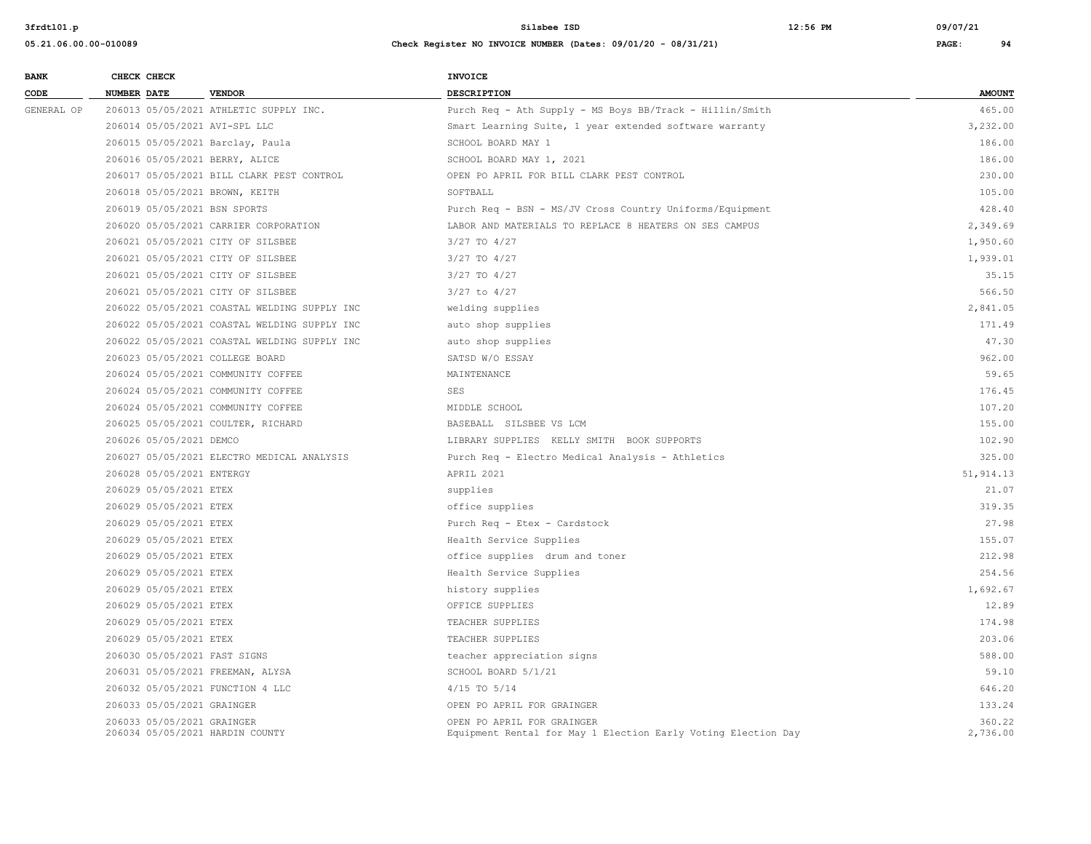| <b>BANK</b> | CHECK CHECK        |                            |                                              | <b>INVOICE</b>                                                                              |                    |
|-------------|--------------------|----------------------------|----------------------------------------------|---------------------------------------------------------------------------------------------|--------------------|
| CODE        | <b>NUMBER DATE</b> |                            | <b>VENDOR</b>                                | <b>DESCRIPTION</b>                                                                          | <b>AMOUNT</b>      |
| GENERAL OP  |                    |                            | 206013 05/05/2021 ATHLETIC SUPPLY INC.       | Purch Req - Ath Supply - MS Boys BB/Track - Hillin/Smith                                    | 465.00             |
|             |                    |                            | 206014 05/05/2021 AVI-SPL LLC                | Smart Learning Suite, 1 year extended software warranty                                     | 3,232.00           |
|             |                    |                            | 206015 05/05/2021 Barclay, Paula             | SCHOOL BOARD MAY 1                                                                          | 186.00             |
|             |                    |                            | 206016 05/05/2021 BERRY, ALICE               | SCHOOL BOARD MAY 1, 2021                                                                    | 186.00             |
|             |                    |                            | 206017 05/05/2021 BILL CLARK PEST CONTROL    | OPEN PO APRIL FOR BILL CLARK PEST CONTROL                                                   | 230.00             |
|             |                    |                            | 206018 05/05/2021 BROWN, KEITH               | SOFTBALL                                                                                    | 105.00             |
|             |                    |                            | 206019 05/05/2021 BSN SPORTS                 | Purch Req - BSN - MS/JV Cross Country Uniforms/Equipment                                    | 428.40             |
|             |                    |                            | 206020 05/05/2021 CARRIER CORPORATION        | LABOR AND MATERIALS TO REPLACE 8 HEATERS ON SES CAMPUS                                      | 2,349.69           |
|             |                    |                            | 206021 05/05/2021 CITY OF SILSBEE            | 3/27 TO 4/27                                                                                | 1,950.60           |
|             |                    |                            | 206021 05/05/2021 CITY OF SILSBEE            | 3/27 TO 4/27                                                                                | 1,939.01           |
|             |                    |                            | 206021 05/05/2021 CITY OF SILSBEE            | 3/27 TO 4/27                                                                                | 35.15              |
|             |                    |                            | 206021 05/05/2021 CITY OF SILSBEE            | $3/27$ to $4/27$                                                                            | 566.50             |
|             |                    |                            | 206022 05/05/2021 COASTAL WELDING SUPPLY INC | welding supplies                                                                            | 2,841.05           |
|             |                    |                            | 206022 05/05/2021 COASTAL WELDING SUPPLY INC | auto shop supplies                                                                          | 171.49             |
|             |                    |                            | 206022 05/05/2021 COASTAL WELDING SUPPLY INC | auto shop supplies                                                                          | 47.30              |
|             |                    |                            | 206023 05/05/2021 COLLEGE BOARD              | SATSD W/O ESSAY                                                                             | 962.00             |
|             |                    |                            | 206024 05/05/2021 COMMUNITY COFFEE           | MAINTENANCE                                                                                 | 59.65              |
|             |                    |                            | 206024 05/05/2021 COMMUNITY COFFEE           | SES                                                                                         | 176.45             |
|             |                    |                            | 206024 05/05/2021 COMMUNITY COFFEE           | MIDDLE SCHOOL                                                                               | 107.20             |
|             |                    |                            | 206025 05/05/2021 COULTER, RICHARD           | BASEBALL SILSBEE VS LCM                                                                     | 155.00             |
|             |                    | 206026 05/05/2021 DEMCO    |                                              | LIBRARY SUPPLIES KELLY SMITH BOOK SUPPORTS                                                  | 102.90             |
|             |                    |                            | 206027 05/05/2021 ELECTRO MEDICAL ANALYSIS   | Purch Req - Electro Medical Analysis - Athletics                                            | 325.00             |
|             |                    | 206028 05/05/2021 ENTERGY  |                                              | APRIL 2021                                                                                  | 51, 914.13         |
|             |                    | 206029 05/05/2021 ETEX     |                                              | supplies                                                                                    | 21.07              |
|             |                    | 206029 05/05/2021 ETEX     |                                              | office supplies                                                                             | 319.35             |
|             |                    | 206029 05/05/2021 ETEX     |                                              | Purch Req - Etex - Cardstock                                                                | 27.98              |
|             |                    | 206029 05/05/2021 ETEX     |                                              | Health Service Supplies                                                                     | 155.07             |
|             |                    | 206029 05/05/2021 ETEX     |                                              | office supplies drum and toner                                                              | 212.98             |
|             |                    | 206029 05/05/2021 ETEX     |                                              | Health Service Supplies                                                                     | 254.56             |
|             |                    | 206029 05/05/2021 ETEX     |                                              | history supplies                                                                            | 1,692.67           |
|             |                    | 206029 05/05/2021 ETEX     |                                              | OFFICE SUPPLIES                                                                             | 12.89              |
|             |                    | 206029 05/05/2021 ETEX     |                                              | TEACHER SUPPLIES                                                                            | 174.98             |
|             |                    | 206029 05/05/2021 ETEX     |                                              | TEACHER SUPPLIES                                                                            | 203.06             |
|             |                    |                            | 206030 05/05/2021 FAST SIGNS                 | teacher appreciation signs                                                                  | 588.00             |
|             |                    |                            | 206031 05/05/2021 FREEMAN, ALYSA             | SCHOOL BOARD 5/1/21                                                                         | 59.10              |
|             |                    |                            | 206032 05/05/2021 FUNCTION 4 LLC             | $4/15$ TO $5/14$                                                                            | 646.20             |
|             |                    | 206033 05/05/2021 GRAINGER |                                              | OPEN PO APRIL FOR GRAINGER                                                                  | 133.24             |
|             |                    | 206033 05/05/2021 GRAINGER | 206034 05/05/2021 HARDIN COUNTY              | OPEN PO APRIL FOR GRAINGER<br>Equipment Rental for May 1 Election Early Voting Election Day | 360.22<br>2,736.00 |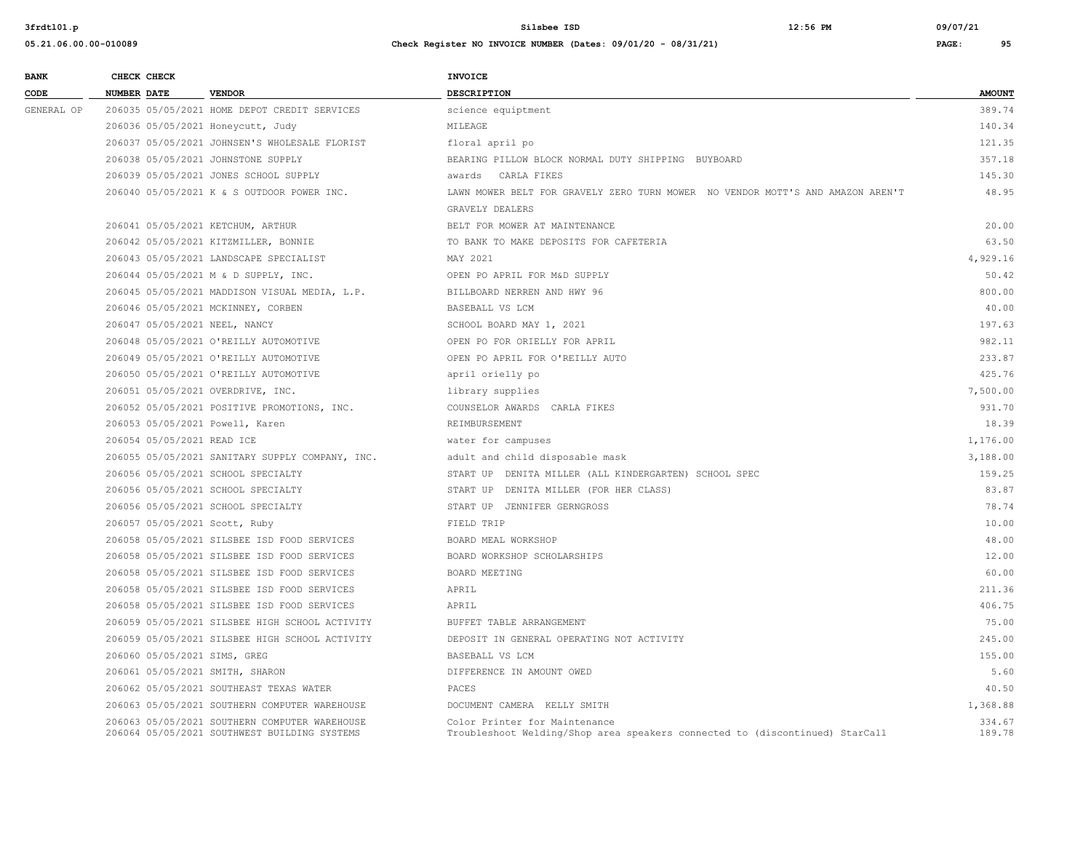| <b>BANK</b> | CHECK CHECK                       |                                                                                               | <b>INVOICE</b>                                                                                                |                  |
|-------------|-----------------------------------|-----------------------------------------------------------------------------------------------|---------------------------------------------------------------------------------------------------------------|------------------|
| CODE        | <b>NUMBER DATE</b>                | <b>VENDOR</b>                                                                                 | DESCRIPTION                                                                                                   | <b>AMOUNT</b>    |
| GENERAL OP  |                                   | 206035 05/05/2021 HOME DEPOT CREDIT SERVICES                                                  | science equiptment                                                                                            | 389.74           |
|             | 206036 05/05/2021 Honeycutt, Judy |                                                                                               | MILEAGE                                                                                                       | 140.34           |
|             |                                   | 206037 05/05/2021 JOHNSEN'S WHOLESALE FLORIST                                                 | floral april po                                                                                               | 121.35           |
|             |                                   | 206038 05/05/2021 JOHNSTONE SUPPLY                                                            | BEARING PILLOW BLOCK NORMAL DUTY SHIPPING BUYBOARD                                                            | 357.18           |
|             |                                   | 206039 05/05/2021 JONES SCHOOL SUPPLY                                                         | awards CARLA FIKES                                                                                            | 145.30           |
|             |                                   | 206040 05/05/2021 K & S OUTDOOR POWER INC.                                                    | LAWN MOWER BELT FOR GRAVELY ZERO TURN MOWER NO VENDOR MOTT'S AND AMAZON AREN'T<br>GRAVELY DEALERS             | 48.95            |
|             | 206041 05/05/2021 KETCHUM, ARTHUR |                                                                                               | BELT FOR MOWER AT MAINTENANCE                                                                                 | 20.00            |
|             |                                   | 206042 05/05/2021 KITZMILLER, BONNIE                                                          | TO BANK TO MAKE DEPOSITS FOR CAFETERIA                                                                        | 63.50            |
|             |                                   | 206043 05/05/2021 LANDSCAPE SPECIALIST                                                        | MAY 2021                                                                                                      | 4,929.16         |
|             |                                   | 206044 05/05/2021 M & D SUPPLY, INC.                                                          | OPEN PO APRIL FOR M&D SUPPLY                                                                                  | 50.42            |
|             |                                   | 206045 05/05/2021 MADDISON VISUAL MEDIA, L.P.                                                 | BILLBOARD NERREN AND HWY 96                                                                                   | 800.00           |
|             |                                   | 206046 05/05/2021 MCKINNEY, CORBEN                                                            | BASEBALL VS LCM                                                                                               | 40.00            |
|             | 206047 05/05/2021 NEEL, NANCY     |                                                                                               | SCHOOL BOARD MAY 1, 2021                                                                                      | 197.63           |
|             |                                   | 206048 05/05/2021 O'REILLY AUTOMOTIVE                                                         | OPEN PO FOR ORIELLY FOR APRIL                                                                                 | 982.11           |
|             |                                   | 206049 05/05/2021 O'REILLY AUTOMOTIVE                                                         | OPEN PO APRIL FOR O'REILLY AUTO                                                                               | 233.87           |
|             |                                   | 206050 05/05/2021 O'REILLY AUTOMOTIVE                                                         | april orielly po                                                                                              | 425.76           |
|             | 206051 05/05/2021 OVERDRIVE, INC. |                                                                                               | library supplies                                                                                              | 7,500.00         |
|             |                                   | 206052 05/05/2021 POSITIVE PROMOTIONS, INC.                                                   | COUNSELOR AWARDS CARLA FIKES                                                                                  | 931.70           |
|             | 206053 05/05/2021 Powell, Karen   |                                                                                               | REIMBURSEMENT                                                                                                 | 18.39            |
|             | 206054 05/05/2021 READ ICE        |                                                                                               | water for campuses                                                                                            | 1,176.00         |
|             |                                   | 206055 05/05/2021 SANITARY SUPPLY COMPANY, INC.                                               | adult and child disposable mask                                                                               | 3,188.00         |
|             |                                   | 206056 05/05/2021 SCHOOL SPECIALTY                                                            | START UP DENITA MILLER (ALL KINDERGARTEN) SCHOOL SPEC                                                         | 159.25           |
|             |                                   | 206056 05/05/2021 SCHOOL SPECIALTY                                                            | START UP DENITA MILLER (FOR HER CLASS)                                                                        | 83.87            |
|             |                                   | 206056 05/05/2021 SCHOOL SPECIALTY                                                            | START UP JENNIFER GERNGROSS                                                                                   | 78.74            |
|             | 206057 05/05/2021 Scott, Ruby     |                                                                                               | FIELD TRIP                                                                                                    | 10.00            |
|             |                                   | 206058 05/05/2021 SILSBEE ISD FOOD SERVICES                                                   | BOARD MEAL WORKSHOP                                                                                           | 48.00            |
|             |                                   | 206058 05/05/2021 SILSBEE ISD FOOD SERVICES                                                   | BOARD WORKSHOP SCHOLARSHIPS                                                                                   | 12.00            |
|             |                                   | 206058 05/05/2021 SILSBEE ISD FOOD SERVICES                                                   | BOARD MEETING                                                                                                 | 60.00            |
|             |                                   | 206058 05/05/2021 SILSBEE ISD FOOD SERVICES                                                   | APRIL                                                                                                         | 211.36           |
|             |                                   | 206058 05/05/2021 SILSBEE ISD FOOD SERVICES                                                   | APRIL                                                                                                         | 406.75           |
|             |                                   | 206059 05/05/2021 SILSBEE HIGH SCHOOL ACTIVITY                                                | BUFFET TABLE ARRANGEMENT                                                                                      | 75.00            |
|             |                                   | 206059 05/05/2021 SILSBEE HIGH SCHOOL ACTIVITY                                                | DEPOSIT IN GENERAL OPERATING NOT ACTIVITY                                                                     | 245.00           |
|             | 206060 05/05/2021 SIMS, GREG      |                                                                                               | BASEBALL VS LCM                                                                                               | 155.00           |
|             | 206061 05/05/2021 SMITH, SHARON   |                                                                                               | DIFFERENCE IN AMOUNT OWED                                                                                     | 5.60             |
|             |                                   | 206062 05/05/2021 SOUTHEAST TEXAS WATER                                                       | PACES                                                                                                         | 40.50            |
|             |                                   | 206063 05/05/2021 SOUTHERN COMPUTER WAREHOUSE                                                 | DOCUMENT CAMERA KELLY SMITH                                                                                   | 1,368.88         |
|             |                                   | 206063 05/05/2021 SOUTHERN COMPUTER WAREHOUSE<br>206064 05/05/2021 SOUTHWEST BUILDING SYSTEMS | Color Printer for Maintenance<br>Troubleshoot Welding/Shop area speakers connected to (discontinued) StarCall | 334.67<br>189.78 |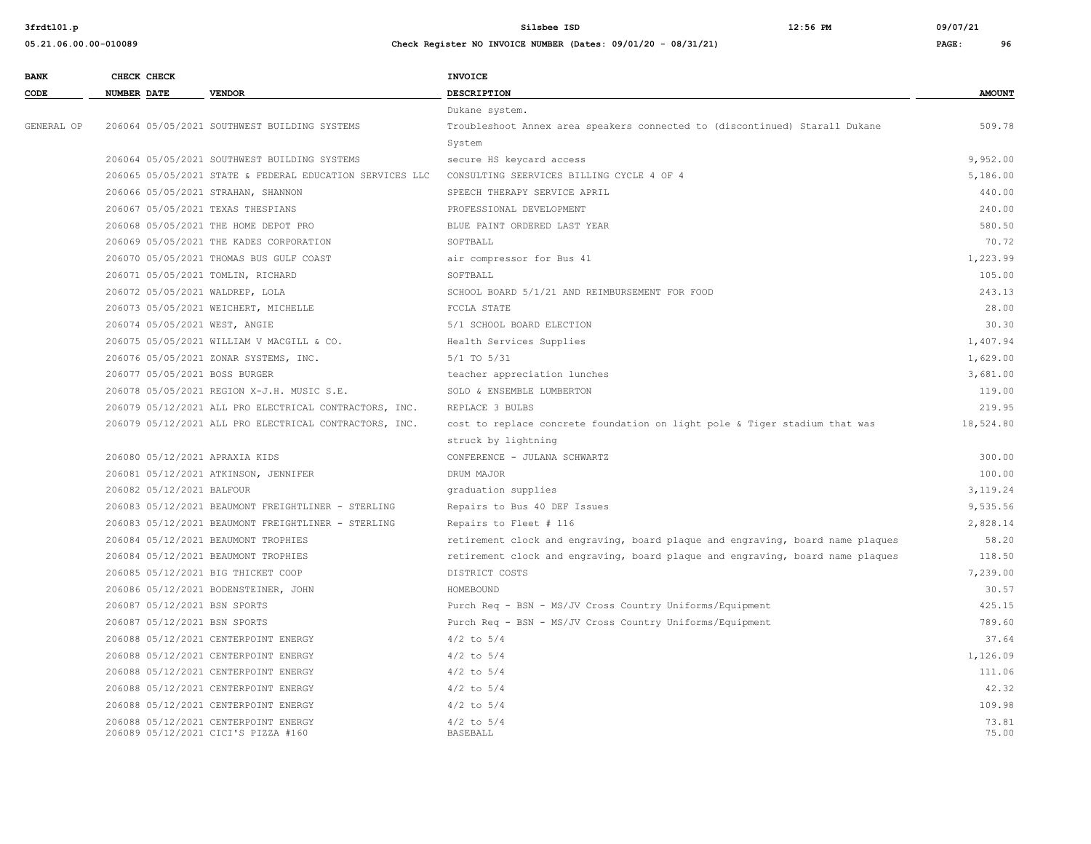| <b>BANK</b> |                    | CHECK CHECK               |                                                                             | INVOICE                                                                        |                |
|-------------|--------------------|---------------------------|-----------------------------------------------------------------------------|--------------------------------------------------------------------------------|----------------|
| CODE        | <b>NUMBER DATE</b> |                           | <b>VENDOR</b>                                                               | <b>DESCRIPTION</b>                                                             | <b>AMOUNT</b>  |
|             |                    |                           |                                                                             | Dukane system.                                                                 |                |
| GENERAL OP  |                    |                           | 206064 05/05/2021 SOUTHWEST BUILDING SYSTEMS                                | Troubleshoot Annex area speakers connected to (discontinued) Starall Dukane    | 509.78         |
|             |                    |                           |                                                                             | System                                                                         |                |
|             |                    |                           | 206064 05/05/2021 SOUTHWEST BUILDING SYSTEMS                                | secure HS keycard access                                                       | 9,952.00       |
|             |                    |                           | 206065 05/05/2021 STATE & FEDERAL EDUCATION SERVICES LLC                    | CONSULTING SEERVICES BILLING CYCLE 4 OF 4                                      | 5,186.00       |
|             |                    |                           | 206066 05/05/2021 STRAHAN, SHANNON                                          | SPEECH THERAPY SERVICE APRIL                                                   | 440.00         |
|             |                    |                           | 206067 05/05/2021 TEXAS THESPIANS                                           | PROFESSIONAL DEVELOPMENT                                                       | 240.00         |
|             |                    |                           | 206068 05/05/2021 THE HOME DEPOT PRO                                        | BLUE PAINT ORDERED LAST YEAR                                                   | 580.50         |
|             |                    |                           | 206069 05/05/2021 THE KADES CORPORATION                                     | SOFTBALL                                                                       | 70.72          |
|             |                    |                           | 206070 05/05/2021 THOMAS BUS GULF COAST                                     | air compressor for Bus 41                                                      | 1,223.99       |
|             |                    |                           | 206071 05/05/2021 TOMLIN, RICHARD                                           | SOFTBALL                                                                       | 105.00         |
|             |                    |                           | 206072 05/05/2021 WALDREP, LOLA                                             | SCHOOL BOARD 5/1/21 AND REIMBURSEMENT FOR FOOD                                 | 243.13         |
|             |                    |                           | 206073 05/05/2021 WEICHERT, MICHELLE                                        | FCCLA STATE                                                                    | 28.00          |
|             |                    |                           | 206074 05/05/2021 WEST, ANGIE                                               | 5/1 SCHOOL BOARD ELECTION                                                      | 30.30          |
|             |                    |                           | 206075 05/05/2021 WILLIAM V MACGILL & CO.                                   | Health Services Supplies                                                       | 1,407.94       |
|             |                    |                           | 206076 05/05/2021 ZONAR SYSTEMS, INC.                                       | $5/1$ TO $5/31$                                                                | 1,629.00       |
|             |                    |                           | 206077 05/05/2021 BOSS BURGER                                               | teacher appreciation lunches                                                   | 3,681.00       |
|             |                    |                           | 206078 05/05/2021 REGION X-J.H. MUSIC S.E.                                  | SOLO & ENSEMBLE LUMBERTON                                                      | 119.00         |
|             |                    |                           | 206079 05/12/2021 ALL PRO ELECTRICAL CONTRACTORS, INC.                      | REPLACE 3 BULBS                                                                | 219.95         |
|             |                    |                           | 206079 05/12/2021 ALL PRO ELECTRICAL CONTRACTORS, INC.                      | cost to replace concrete foundation on light pole & Tiger stadium that was     | 18,524.80      |
|             |                    |                           |                                                                             | struck by lightning                                                            |                |
|             |                    |                           | 206080 05/12/2021 APRAXIA KIDS                                              | CONFERENCE - JULANA SCHWARTZ                                                   | 300.00         |
|             |                    |                           | 206081 05/12/2021 ATKINSON, JENNIFER                                        | DRUM MAJOR                                                                     | 100.00         |
|             |                    | 206082 05/12/2021 BALFOUR |                                                                             | graduation supplies                                                            | 3,119.24       |
|             |                    |                           | 206083 05/12/2021 BEAUMONT FREIGHTLINER - STERLING                          | Repairs to Bus 40 DEF Issues                                                   | 9,535.56       |
|             |                    |                           | 206083 05/12/2021 BEAUMONT FREIGHTLINER - STERLING                          | Repairs to Fleet # 116                                                         | 2,828.14       |
|             |                    |                           | 206084 05/12/2021 BEAUMONT TROPHIES                                         | retirement clock and engraving, board plaque and engraving, board name plaques | 58.20          |
|             |                    |                           | 206084 05/12/2021 BEAUMONT TROPHIES                                         | retirement clock and engraving, board plaque and engraving, board name plaques | 118.50         |
|             |                    |                           | 206085 05/12/2021 BIG THICKET COOP                                          | DISTRICT COSTS                                                                 | 7,239.00       |
|             |                    |                           | 206086 05/12/2021 BODENSTEINER, JOHN                                        | HOMEBOUND                                                                      | 30.57          |
|             |                    |                           | 206087 05/12/2021 BSN SPORTS                                                | Purch Req - BSN - MS/JV Cross Country Uniforms/Equipment                       | 425.15         |
|             |                    |                           | 206087 05/12/2021 BSN SPORTS                                                | Purch Req - BSN - MS/JV Cross Country Uniforms/Equipment                       | 789.60         |
|             |                    |                           | 206088 05/12/2021 CENTERPOINT ENERGY                                        | $4/2$ to $5/4$                                                                 | 37.64          |
|             |                    |                           | 206088 05/12/2021 CENTERPOINT ENERGY                                        | $4/2$ to $5/4$                                                                 | 1,126.09       |
|             |                    |                           | 206088 05/12/2021 CENTERPOINT ENERGY                                        | $4/2$ to $5/4$                                                                 | 111.06         |
|             |                    |                           | 206088 05/12/2021 CENTERPOINT ENERGY                                        | $4/2$ to $5/4$                                                                 | 42.32          |
|             |                    |                           | 206088 05/12/2021 CENTERPOINT ENERGY                                        | $4/2$ to $5/4$                                                                 | 109.98         |
|             |                    |                           | 206088 05/12/2021 CENTERPOINT ENERGY<br>206089 05/12/2021 CICI'S PIZZA #160 | $4/2$ to $5/4$<br><b>BASEBALL</b>                                              | 73.81<br>75.00 |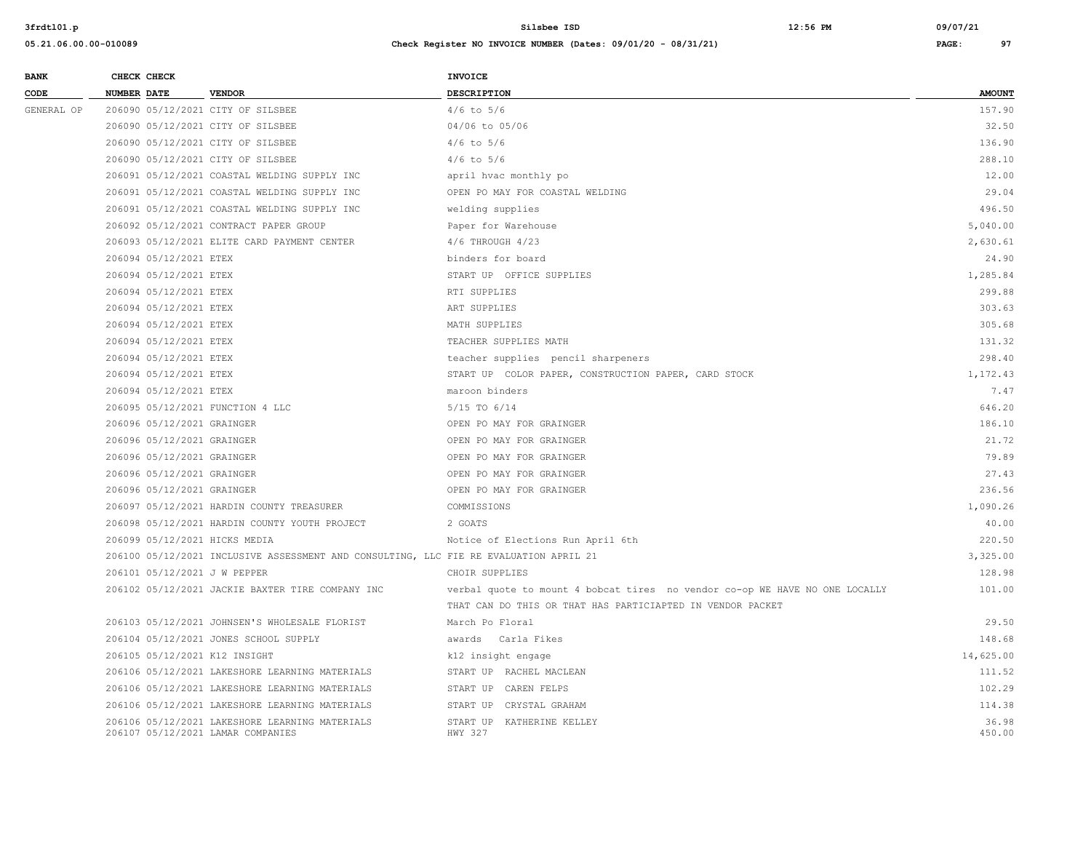| <b>BANK</b> | CHECK CHECK |                            |                                                                                       | <b>INVOICE</b>                                                              |               |
|-------------|-------------|----------------------------|---------------------------------------------------------------------------------------|-----------------------------------------------------------------------------|---------------|
| CODE        | NUMBER DATE |                            | <b>VENDOR</b>                                                                         | DESCRIPTION                                                                 | <b>AMOUNT</b> |
| GENERAL OP  |             |                            | 206090 05/12/2021 CITY OF SILSBEE                                                     | $4/6$ to $5/6$                                                              | 157.90        |
|             |             |                            | 206090 05/12/2021 CITY OF SILSBEE                                                     | 04/06 to 05/06                                                              | 32.50         |
|             |             |                            | 206090 05/12/2021 CITY OF SILSBEE                                                     | $4/6$ to $5/6$                                                              | 136.90        |
|             |             |                            | 206090 05/12/2021 CITY OF SILSBEE                                                     | $4/6$ to $5/6$                                                              | 288.10        |
|             |             |                            | 206091 05/12/2021 COASTAL WELDING SUPPLY INC                                          | april hvac monthly po                                                       | 12.00         |
|             |             |                            | 206091 05/12/2021 COASTAL WELDING SUPPLY INC                                          | OPEN PO MAY FOR COASTAL WELDING                                             | 29.04         |
|             |             |                            | 206091 05/12/2021 COASTAL WELDING SUPPLY INC                                          | welding supplies                                                            | 496.50        |
|             |             |                            | 206092 05/12/2021 CONTRACT PAPER GROUP                                                | Paper for Warehouse                                                         | 5,040.00      |
|             |             |                            | 206093 05/12/2021 ELITE CARD PAYMENT CENTER                                           | 4/6 THROUGH 4/23                                                            | 2,630.61      |
|             |             | 206094 05/12/2021 ETEX     |                                                                                       | binders for board                                                           | 24.90         |
|             |             | 206094 05/12/2021 ETEX     |                                                                                       | START UP OFFICE SUPPLIES                                                    | 1,285.84      |
|             |             | 206094 05/12/2021 ETEX     |                                                                                       | RTI SUPPLIES                                                                | 299.88        |
|             |             | 206094 05/12/2021 ETEX     |                                                                                       | ART SUPPLIES                                                                | 303.63        |
|             |             | 206094 05/12/2021 ETEX     |                                                                                       | MATH SUPPLIES                                                               | 305.68        |
|             |             | 206094 05/12/2021 ETEX     |                                                                                       | TEACHER SUPPLIES MATH                                                       | 131.32        |
|             |             | 206094 05/12/2021 ETEX     |                                                                                       | teacher supplies pencil sharpeners                                          | 298.40        |
|             |             | 206094 05/12/2021 ETEX     |                                                                                       | START UP COLOR PAPER, CONSTRUCTION PAPER, CARD STOCK                        | 1,172.43      |
|             |             | 206094 05/12/2021 ETEX     |                                                                                       | maroon binders                                                              | 7.47          |
|             |             |                            | 206095 05/12/2021 FUNCTION 4 LLC                                                      | 5/15 TO 6/14                                                                | 646.20        |
|             |             | 206096 05/12/2021 GRAINGER |                                                                                       | OPEN PO MAY FOR GRAINGER                                                    | 186.10        |
|             |             | 206096 05/12/2021 GRAINGER |                                                                                       | OPEN PO MAY FOR GRAINGER                                                    | 21.72         |
|             |             | 206096 05/12/2021 GRAINGER |                                                                                       | OPEN PO MAY FOR GRAINGER                                                    | 79.89         |
|             |             | 206096 05/12/2021 GRAINGER |                                                                                       | OPEN PO MAY FOR GRAINGER                                                    | 27.43         |
|             |             | 206096 05/12/2021 GRAINGER |                                                                                       | OPEN PO MAY FOR GRAINGER                                                    | 236.56        |
|             |             |                            | 206097 05/12/2021 HARDIN COUNTY TREASURER                                             | COMMISSIONS                                                                 | 1,090.26      |
|             |             |                            | 206098 05/12/2021 HARDIN COUNTY YOUTH PROJECT                                         | 2 GOATS                                                                     | 40.00         |
|             |             |                            | 206099 05/12/2021 HICKS MEDIA                                                         | Notice of Elections Run April 6th                                           | 220.50        |
|             |             |                            | 206100 05/12/2021 INCLUSIVE ASSESSMENT AND CONSULTING, LLC FIE RE EVALUATION APRIL 21 |                                                                             | 3,325.00      |
|             |             |                            | 206101 05/12/2021 J W PEPPER                                                          | CHOIR SUPPLIES                                                              | 128.98        |
|             |             |                            | 206102 05/12/2021 JACKIE BAXTER TIRE COMPANY INC                                      | verbal quote to mount 4 bobcat tires no vendor co-op WE HAVE NO ONE LOCALLY | 101.00        |
|             |             |                            |                                                                                       | THAT CAN DO THIS OR THAT HAS PARTICIAPTED IN VENDOR PACKET                  |               |
|             |             |                            | 206103 05/12/2021 JOHNSEN'S WHOLESALE FLORIST                                         | March Po Floral                                                             | 29.50         |
|             |             |                            | 206104 05/12/2021 JONES SCHOOL SUPPLY                                                 | awards Carla Fikes                                                          | 148.68        |
|             |             |                            | 206105 05/12/2021 K12 INSIGHT                                                         | k12 insight engage                                                          | 14,625.00     |
|             |             |                            | 206106 05/12/2021 LAKESHORE LEARNING MATERIALS                                        | START UP RACHEL MACLEAN                                                     | 111.52        |
|             |             |                            | 206106 05/12/2021 LAKESHORE LEARNING MATERIALS                                        | START UP CAREN FELPS                                                        | 102.29        |
|             |             |                            | 206106 05/12/2021 LAKESHORE LEARNING MATERIALS                                        | START UP CRYSTAL GRAHAM                                                     | 114.38        |
|             |             |                            | 206106 05/12/2021 LAKESHORE LEARNING MATERIALS                                        | START UP KATHERINE KELLEY                                                   | 36.98         |
|             |             |                            | 206107 05/12/2021 LAMAR COMPANIES                                                     | HWY 327                                                                     | 450.00        |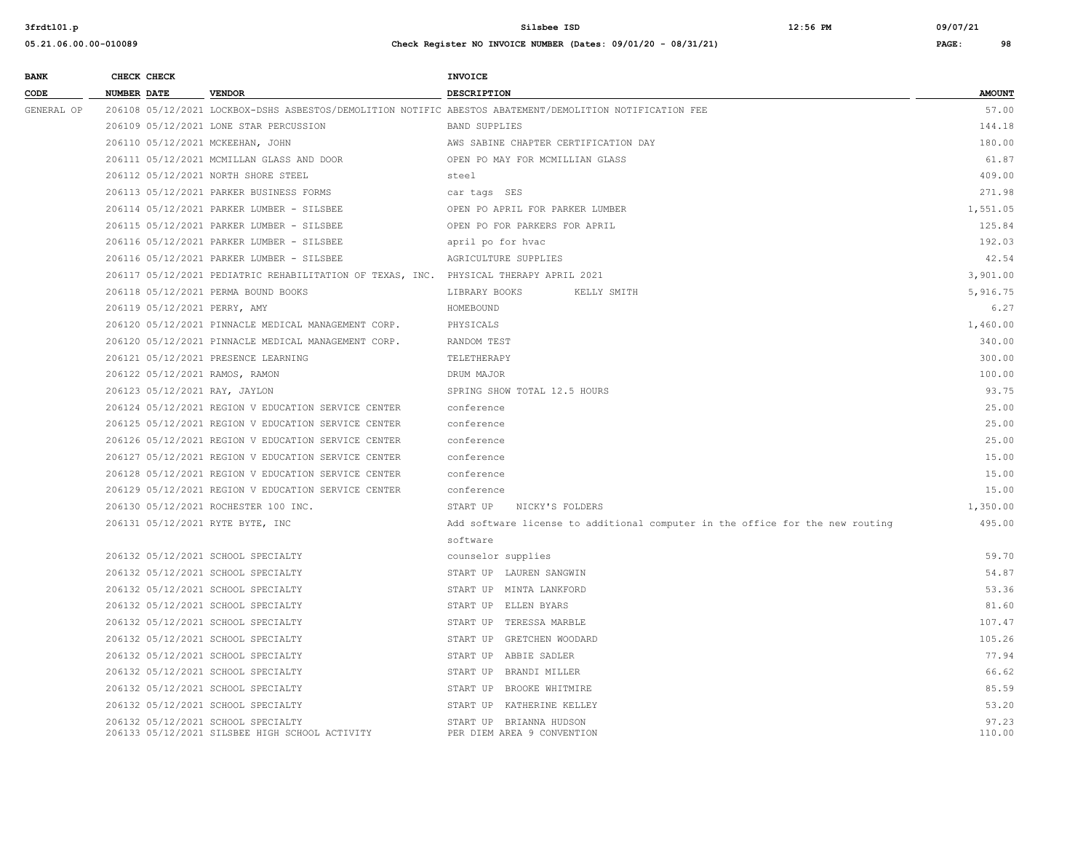| <b>BANK</b> | CHECK CHECK                      |                                                                                       | <b>INVOICE</b>                                                                                           |                 |
|-------------|----------------------------------|---------------------------------------------------------------------------------------|----------------------------------------------------------------------------------------------------------|-----------------|
| CODE        | <b>NUMBER DATE</b>               | <b>VENDOR</b>                                                                         | <b>DESCRIPTION</b>                                                                                       | <b>AMOUNT</b>   |
| GENERAL OP  |                                  |                                                                                       | 206108 05/12/2021 LOCKBOX-DSHS ASBESTOS/DEMOLITION NOTIFIC ABESTOS ABATEMENT/DEMOLITION NOTIFICATION FEE | 57.00           |
|             |                                  | 206109 05/12/2021 LONE STAR PERCUSSION                                                | <b>BAND SUPPLIES</b>                                                                                     | 144.18          |
|             | 206110 05/12/2021 MCKEEHAN, JOHN |                                                                                       | AWS SABINE CHAPTER CERTIFICATION DAY                                                                     | 180.00          |
|             |                                  | 206111 05/12/2021 MCMILLAN GLASS AND DOOR                                             | OPEN PO MAY FOR MCMILLIAN GLASS                                                                          | 61.87           |
|             |                                  | 206112 05/12/2021 NORTH SHORE STEEL                                                   | steel                                                                                                    | 409.00          |
|             |                                  | 206113 05/12/2021 PARKER BUSINESS FORMS                                               | car tags SES                                                                                             | 271.98          |
|             |                                  | 206114 05/12/2021 PARKER LUMBER - SILSBEE                                             | OPEN PO APRIL FOR PARKER LUMBER                                                                          | 1,551.05        |
|             |                                  | 206115 05/12/2021 PARKER LUMBER - SILSBEE                                             | OPEN PO FOR PARKERS FOR APRIL                                                                            | 125.84          |
|             |                                  | 206116 05/12/2021 PARKER LUMBER - SILSBEE                                             | april po for hvac                                                                                        | 192.03          |
|             |                                  | 206116 05/12/2021 PARKER LUMBER - SILSBEE                                             | AGRICULTURE SUPPLIES                                                                                     | 42.54           |
|             |                                  | 206117 05/12/2021 PEDIATRIC REHABILITATION OF TEXAS, INC. PHYSICAL THERAPY APRIL 2021 |                                                                                                          | 3,901.00        |
|             |                                  | 206118 05/12/2021 PERMA BOUND BOOKS                                                   | LIBRARY BOOKS<br>KELLY SMITH                                                                             | 5,916.75        |
|             | 206119 05/12/2021 PERRY, AMY     |                                                                                       | HOMEBOUND                                                                                                | 6.27            |
|             |                                  | 206120 05/12/2021 PINNACLE MEDICAL MANAGEMENT CORP.                                   | PHYSICALS                                                                                                | 1,460.00        |
|             |                                  | 206120 05/12/2021 PINNACLE MEDICAL MANAGEMENT CORP.                                   | RANDOM TEST                                                                                              | 340.00          |
|             |                                  | 206121 05/12/2021 PRESENCE LEARNING                                                   | TELETHERAPY                                                                                              | 300.00          |
|             | 206122 05/12/2021 RAMOS, RAMON   |                                                                                       | DRUM MAJOR                                                                                               | 100.00          |
|             | 206123 05/12/2021 RAY, JAYLON    |                                                                                       | SPRING SHOW TOTAL 12.5 HOURS                                                                             | 93.75           |
|             |                                  | 206124 05/12/2021 REGION V EDUCATION SERVICE CENTER                                   | conference                                                                                               | 25.00           |
|             |                                  | 206125 05/12/2021 REGION V EDUCATION SERVICE CENTER                                   | conference                                                                                               | 25.00           |
|             |                                  | 206126 05/12/2021 REGION V EDUCATION SERVICE CENTER                                   | conference                                                                                               | 25.00           |
|             |                                  | 206127 05/12/2021 REGION V EDUCATION SERVICE CENTER                                   | conference                                                                                               | 15.00           |
|             |                                  | 206128 05/12/2021 REGION V EDUCATION SERVICE CENTER                                   | conference                                                                                               | 15.00           |
|             |                                  | 206129 05/12/2021 REGION V EDUCATION SERVICE CENTER                                   | conference                                                                                               | 15.00           |
|             |                                  | 206130 05/12/2021 ROCHESTER 100 INC.                                                  | START UP<br>NICKY'S FOLDERS                                                                              | 1,350.00        |
|             | 206131 05/12/2021 RYTE BYTE, INC |                                                                                       | Add software license to additional computer in the office for the new routing                            | 495.00          |
|             |                                  |                                                                                       | software                                                                                                 |                 |
|             |                                  | 206132 05/12/2021 SCHOOL SPECIALTY                                                    | counselor supplies                                                                                       | 59.70           |
|             |                                  | 206132 05/12/2021 SCHOOL SPECIALTY                                                    | START UP LAUREN SANGWIN                                                                                  | 54.87           |
|             |                                  | 206132 05/12/2021 SCHOOL SPECIALTY                                                    | START UP MINTA LANKFORD                                                                                  | 53.36           |
|             |                                  | 206132 05/12/2021 SCHOOL SPECIALTY                                                    | START UP ELLEN BYARS                                                                                     | 81.60           |
|             |                                  | 206132 05/12/2021 SCHOOL SPECIALTY                                                    | START UP TERESSA MARBLE                                                                                  | 107.47          |
|             |                                  | 206132 05/12/2021 SCHOOL SPECIALTY                                                    | START UP GRETCHEN WOODARD                                                                                | 105.26          |
|             |                                  | 206132 05/12/2021 SCHOOL SPECIALTY                                                    | START UP ABBIE SADLER                                                                                    | 77.94           |
|             |                                  | 206132 05/12/2021 SCHOOL SPECIALTY                                                    | START UP BRANDI MILLER                                                                                   | 66.62           |
|             |                                  | 206132 05/12/2021 SCHOOL SPECIALTY                                                    | START UP BROOKE WHITMIRE                                                                                 | 85.59           |
|             |                                  | 206132 05/12/2021 SCHOOL SPECIALTY                                                    | START UP KATHERINE KELLEY                                                                                | 53.20           |
|             |                                  | 206132 05/12/2021 SCHOOL SPECIALTY<br>206133 05/12/2021 SILSBEE HIGH SCHOOL ACTIVITY  | START UP BRIANNA HUDSON<br>PER DIEM AREA 9 CONVENTION                                                    | 97.23<br>110.00 |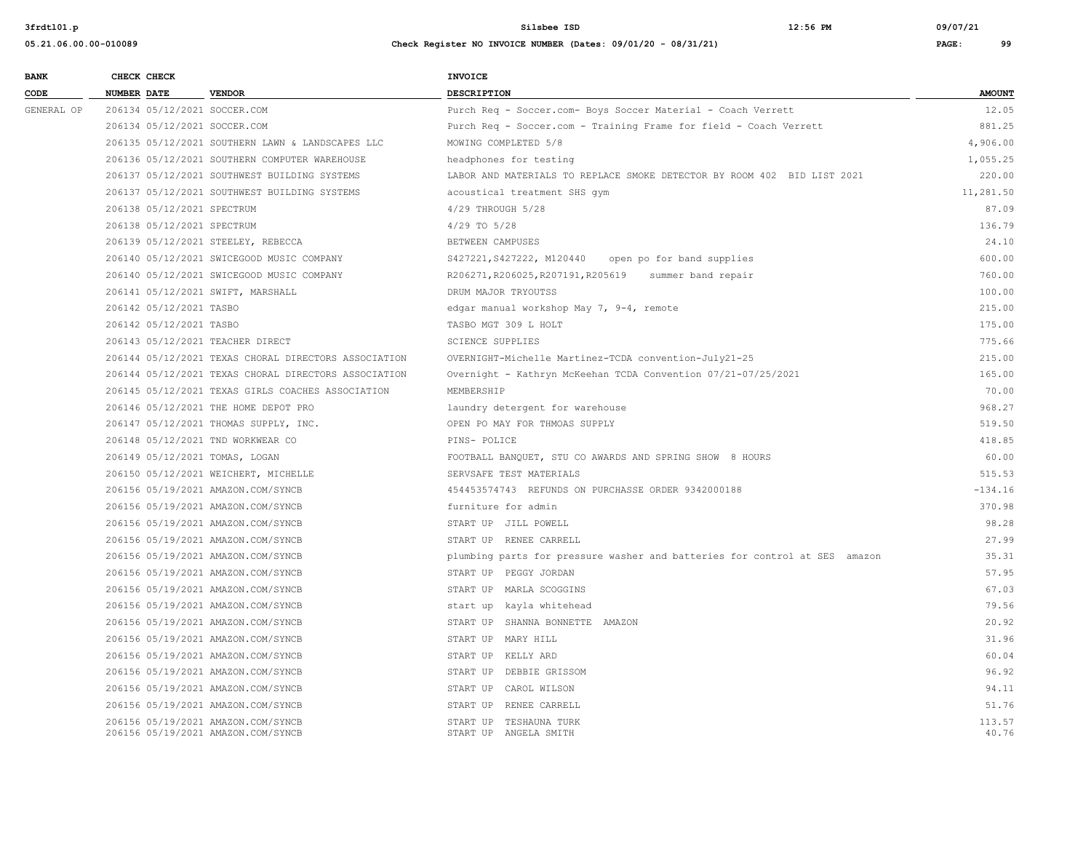| <b>BANK</b> |                    | CHECK CHECK                |                                                      | <b>INVOICE</b>                                                             |               |
|-------------|--------------------|----------------------------|------------------------------------------------------|----------------------------------------------------------------------------|---------------|
| CODE        | <b>NUMBER DATE</b> |                            | <b>VENDOR</b>                                        | <b>DESCRIPTION</b>                                                         | <b>AMOUNT</b> |
| GENERAL OP  |                    |                            | 206134 05/12/2021 SOCCER.COM                         | Purch Req - Soccer.com- Boys Soccer Material - Coach Verrett               | 12.05         |
|             |                    |                            | 206134 05/12/2021 SOCCER.COM                         | Purch Req - Soccer.com - Training Frame for field - Coach Verrett          | 881.25        |
|             |                    |                            | 206135 05/12/2021 SOUTHERN LAWN & LANDSCAPES LLC     | MOWING COMPLETED 5/8                                                       | 4,906.00      |
|             |                    |                            | 206136 05/12/2021 SOUTHERN COMPUTER WAREHOUSE        | headphones for testing                                                     | 1,055.25      |
|             |                    |                            | 206137 05/12/2021 SOUTHWEST BUILDING SYSTEMS         | LABOR AND MATERIALS TO REPLACE SMOKE DETECTOR BY ROOM 402 BID LIST 2021    | 220.00        |
|             |                    |                            | 206137 05/12/2021 SOUTHWEST BUILDING SYSTEMS         | acoustical treatment SHS qym                                               | 11,281.50     |
|             |                    | 206138 05/12/2021 SPECTRUM |                                                      | 4/29 THROUGH 5/28                                                          | 87.09         |
|             |                    | 206138 05/12/2021 SPECTRUM |                                                      | 4/29 TO 5/28                                                               | 136.79        |
|             |                    |                            | 206139 05/12/2021 STEELEY, REBECCA                   | BETWEEN CAMPUSES                                                           | 24.10         |
|             |                    |                            | 206140 05/12/2021 SWICEGOOD MUSIC COMPANY            | S427221, S427222, M120440<br>open po for band supplies                     | 600.00        |
|             |                    |                            | 206140 05/12/2021 SWICEGOOD MUSIC COMPANY            | R206271, R206025, R207191, R205619 summer band repair                      | 760.00        |
|             |                    |                            | 206141 05/12/2021 SWIFT, MARSHALL                    | DRUM MAJOR TRYOUTSS                                                        | 100.00        |
|             |                    | 206142 05/12/2021 TASBO    |                                                      | edgar manual workshop May 7, 9-4, remote                                   | 215.00        |
|             |                    | 206142 05/12/2021 TASBO    |                                                      | TASBO MGT 309 L HOLT                                                       | 175.00        |
|             |                    |                            | 206143 05/12/2021 TEACHER DIRECT                     | <b>SCIENCE SUPPLIES</b>                                                    | 775.66        |
|             |                    |                            | 206144 05/12/2021 TEXAS CHORAL DIRECTORS ASSOCIATION | OVERNIGHT-Michelle Martinez-TCDA convention-July21-25                      | 215.00        |
|             |                    |                            | 206144 05/12/2021 TEXAS CHORAL DIRECTORS ASSOCIATION | Overnight - Kathryn McKeehan TCDA Convention 07/21-07/25/2021              | 165.00        |
|             |                    |                            | 206145 05/12/2021 TEXAS GIRLS COACHES ASSOCIATION    | MEMBERSHIP                                                                 | 70.00         |
|             |                    |                            | 206146 05/12/2021 THE HOME DEPOT PRO                 | laundry detergent for warehouse                                            | 968.27        |
|             |                    |                            | 206147 05/12/2021 THOMAS SUPPLY, INC.                | OPEN PO MAY FOR THMOAS SUPPLY                                              | 519.50        |
|             |                    |                            | 206148 05/12/2021 TND WORKWEAR CO                    | PINS- POLICE                                                               | 418.85        |
|             |                    |                            | 206149 05/12/2021 TOMAS, LOGAN                       | FOOTBALL BANQUET, STU CO AWARDS AND SPRING SHOW 8 HOURS                    | 60.00         |
|             |                    |                            | 206150 05/12/2021 WEICHERT, MICHELLE                 | SERVSAFE TEST MATERIALS                                                    | 515.53        |
|             |                    |                            | 206156 05/19/2021 AMAZON.COM/SYNCB                   | 454453574743 REFUNDS ON PURCHASSE ORDER 9342000188                         | $-134.16$     |
|             |                    |                            | 206156 05/19/2021 AMAZON.COM/SYNCB                   | furniture for admin                                                        | 370.98        |
|             |                    |                            | 206156 05/19/2021 AMAZON.COM/SYNCB                   | START UP JILL POWELL                                                       | 98.28         |
|             |                    |                            | 206156 05/19/2021 AMAZON.COM/SYNCB                   | START UP RENEE CARRELL                                                     | 27.99         |
|             |                    |                            | 206156 05/19/2021 AMAZON.COM/SYNCB                   | plumbing parts for pressure washer and batteries for control at SES amazon | 35.31         |
|             |                    |                            | 206156 05/19/2021 AMAZON.COM/SYNCB                   | START UP PEGGY JORDAN                                                      | 57.95         |
|             |                    |                            | 206156 05/19/2021 AMAZON.COM/SYNCB                   | START UP MARLA SCOGGINS                                                    | 67.03         |
|             |                    |                            | 206156 05/19/2021 AMAZON.COM/SYNCB                   | start up kayla whitehead                                                   | 79.56         |
|             |                    |                            | 206156 05/19/2021 AMAZON.COM/SYNCB                   | START UP SHANNA BONNETTE AMAZON                                            | 20.92         |
|             |                    |                            | 206156 05/19/2021 AMAZON.COM/SYNCB                   | START UP MARY HILL                                                         | 31.96         |
|             |                    |                            | 206156 05/19/2021 AMAZON.COM/SYNCB                   | START UP KELLY ARD                                                         | 60.04         |
|             |                    |                            | 206156 05/19/2021 AMAZON.COM/SYNCB                   | START UP DEBBIE GRISSOM                                                    | 96.92         |
|             |                    |                            | 206156 05/19/2021 AMAZON.COM/SYNCB                   | START UP CAROL WILSON                                                      | 94.11         |
|             |                    |                            | 206156 05/19/2021 AMAZON.COM/SYNCB                   | START UP RENEE CARRELL                                                     | 51.76         |
|             |                    |                            | 206156 05/19/2021 AMAZON.COM/SYNCB                   | START UP TESHAUNA TURK                                                     | 113.57        |
|             |                    |                            | 206156 05/19/2021 AMAZON.COM/SYNCB                   | START UP ANGELA SMITH                                                      | 40.76         |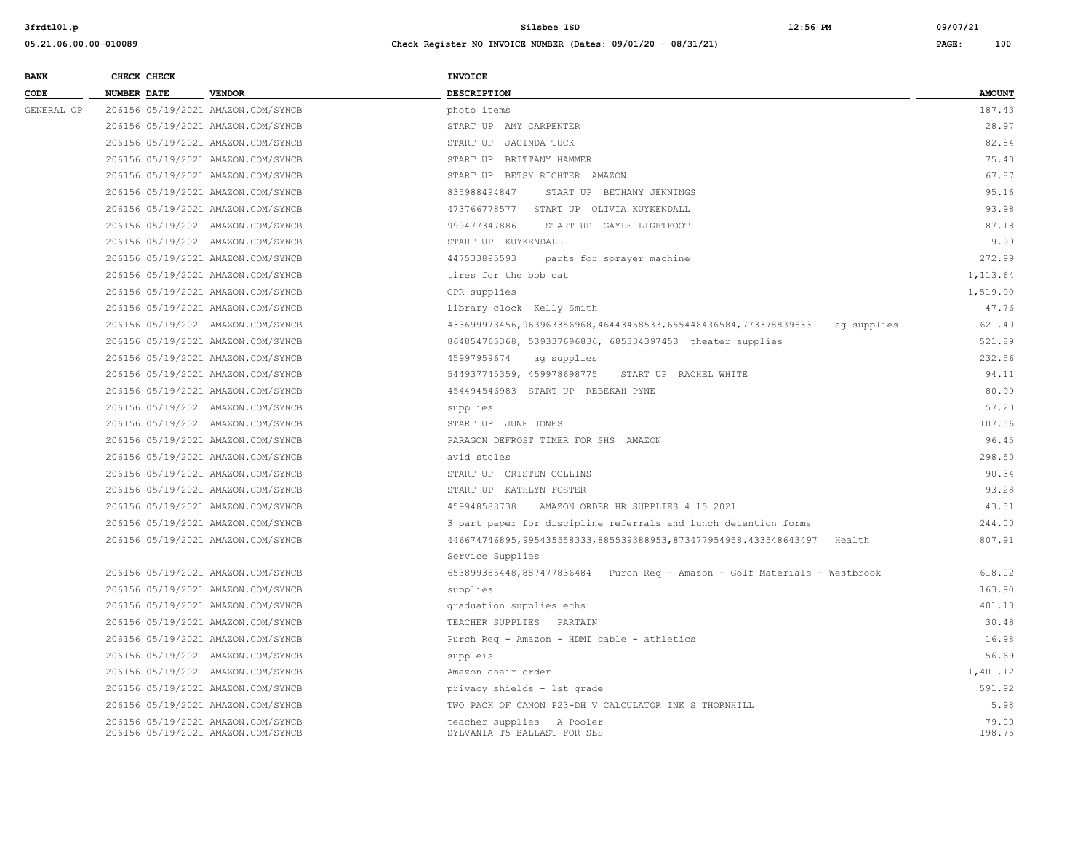| <b>BANK</b> | CHECK CHECK |                                    | <b>INVOICE</b>                                                                 |               |
|-------------|-------------|------------------------------------|--------------------------------------------------------------------------------|---------------|
| CODE        | NUMBER DATE | <b>VENDOR</b>                      | DESCRIPTION                                                                    | <b>AMOUNT</b> |
| GENERAL OP  |             | 206156 05/19/2021 AMAZON.COM/SYNCB | photo items                                                                    | 187.43        |
|             |             | 206156 05/19/2021 AMAZON.COM/SYNCB | START UP AMY CARPENTER                                                         | 28.97         |
|             |             | 206156 05/19/2021 AMAZON.COM/SYNCB | START UP JACINDA TUCK                                                          | 82.84         |
|             |             | 206156 05/19/2021 AMAZON.COM/SYNCB | START UP BRITTANY HAMMER                                                       | 75.40         |
|             |             | 206156 05/19/2021 AMAZON.COM/SYNCB | START UP BETSY RICHTER AMAZON                                                  | 67.87         |
|             |             | 206156 05/19/2021 AMAZON.COM/SYNCB | 835988494847<br>START UP BETHANY JENNINGS                                      | 95.16         |
|             |             | 206156 05/19/2021 AMAZON.COM/SYNCB | 473766778577 START UP OLIVIA KUYKENDALL                                        | 93.98         |
|             |             | 206156 05/19/2021 AMAZON.COM/SYNCB | 999477347886<br>START UP GAYLE LIGHTFOOT                                       | 87.18         |
|             |             | 206156 05/19/2021 AMAZON.COM/SYNCB | START UP KUYKENDALL                                                            | 9.99          |
|             |             | 206156 05/19/2021 AMAZON.COM/SYNCB | 447533895593<br>parts for sprayer machine                                      | 272.99        |
|             |             | 206156 05/19/2021 AMAZON.COM/SYNCB | tires for the bob cat                                                          | 1,113.64      |
|             |             | 206156 05/19/2021 AMAZON.COM/SYNCB | CPR supplies                                                                   | 1,519.90      |
|             |             | 206156 05/19/2021 AMAZON.COM/SYNCB | library clock Kelly Smith                                                      | 47.76         |
|             |             | 206156 05/19/2021 AMAZON.COM/SYNCB | 433699973456,963963356968,46443458533,655448436584,773378839633<br>ag supplies | 621.40        |
|             |             | 206156 05/19/2021 AMAZON.COM/SYNCB | 864854765368, 539337696836, 685334397453 theater supplies                      | 521.89        |
|             |             | 206156 05/19/2021 AMAZON.COM/SYNCB | 45997959674<br>ag supplies                                                     | 232.56        |
|             |             | 206156 05/19/2021 AMAZON.COM/SYNCB | 544937745359, 459978698775<br>START UP RACHEL WHITE                            | 94.11         |
|             |             | 206156 05/19/2021 AMAZON.COM/SYNCB | 454494546983 START UP REBEKAH PYNE                                             | 80.99         |
|             |             | 206156 05/19/2021 AMAZON.COM/SYNCB | supplies                                                                       | 57.20         |
|             |             | 206156 05/19/2021 AMAZON.COM/SYNCB | START UP JUNE JONES                                                            | 107.56        |
|             |             | 206156 05/19/2021 AMAZON.COM/SYNCB | PARAGON DEFROST TIMER FOR SHS AMAZON                                           | 96.45         |
|             |             | 206156 05/19/2021 AMAZON.COM/SYNCB | avid stoles                                                                    | 298.50        |
|             |             | 206156 05/19/2021 AMAZON.COM/SYNCB | START UP CRISTEN COLLINS                                                       | 90.34         |
|             |             | 206156 05/19/2021 AMAZON.COM/SYNCB | START UP KATHLYN FOSTER                                                        | 93.28         |
|             |             | 206156 05/19/2021 AMAZON.COM/SYNCB | 459948588738<br>AMAZON ORDER HR SUPPLIES 4 15 2021                             | 43.51         |
|             |             | 206156 05/19/2021 AMAZON.COM/SYNCB | 3 part paper for discipline referrals and lunch detention forms                | 244.00        |
|             |             | 206156 05/19/2021 AMAZON.COM/SYNCB | 446674746895, 995435558333, 885539388953, 873477954958.433548643497<br>Health  | 807.91        |
|             |             |                                    | Service Supplies                                                               |               |
|             |             | 206156 05/19/2021 AMAZON.COM/SYNCB | 653899385448,887477836484 Purch Req - Amazon - Golf Materials - Westbrook      | 618.02        |
|             |             | 206156 05/19/2021 AMAZON.COM/SYNCB | supplies                                                                       | 163.90        |
|             |             | 206156 05/19/2021 AMAZON.COM/SYNCB | graduation supplies echs                                                       | 401.10        |
|             |             | 206156 05/19/2021 AMAZON.COM/SYNCB | TEACHER SUPPLIES PARTAIN                                                       | 30.48         |
|             |             | 206156 05/19/2021 AMAZON.COM/SYNCB | Purch Req - Amazon - HDMI cable - athletics                                    | 16.98         |
|             |             | 206156 05/19/2021 AMAZON.COM/SYNCB | suppleis                                                                       | 56.69         |
|             |             | 206156 05/19/2021 AMAZON.COM/SYNCB | Amazon chair order                                                             | 1,401.12      |
|             |             | 206156 05/19/2021 AMAZON.COM/SYNCB | privacy shields - 1st grade                                                    | 591.92        |
|             |             | 206156 05/19/2021 AMAZON.COM/SYNCB | TWO PACK OF CANON P23-DH V CALCULATOR INK S THORNHILL                          | 5.98          |
|             |             | 206156 05/19/2021 AMAZON.COM/SYNCB | teacher supplies A Pooler                                                      | 79.00         |
|             |             | 206156 05/19/2021 AMAZON.COM/SYNCB | SYLVANIA T5 BALLAST FOR SES                                                    | 198.75        |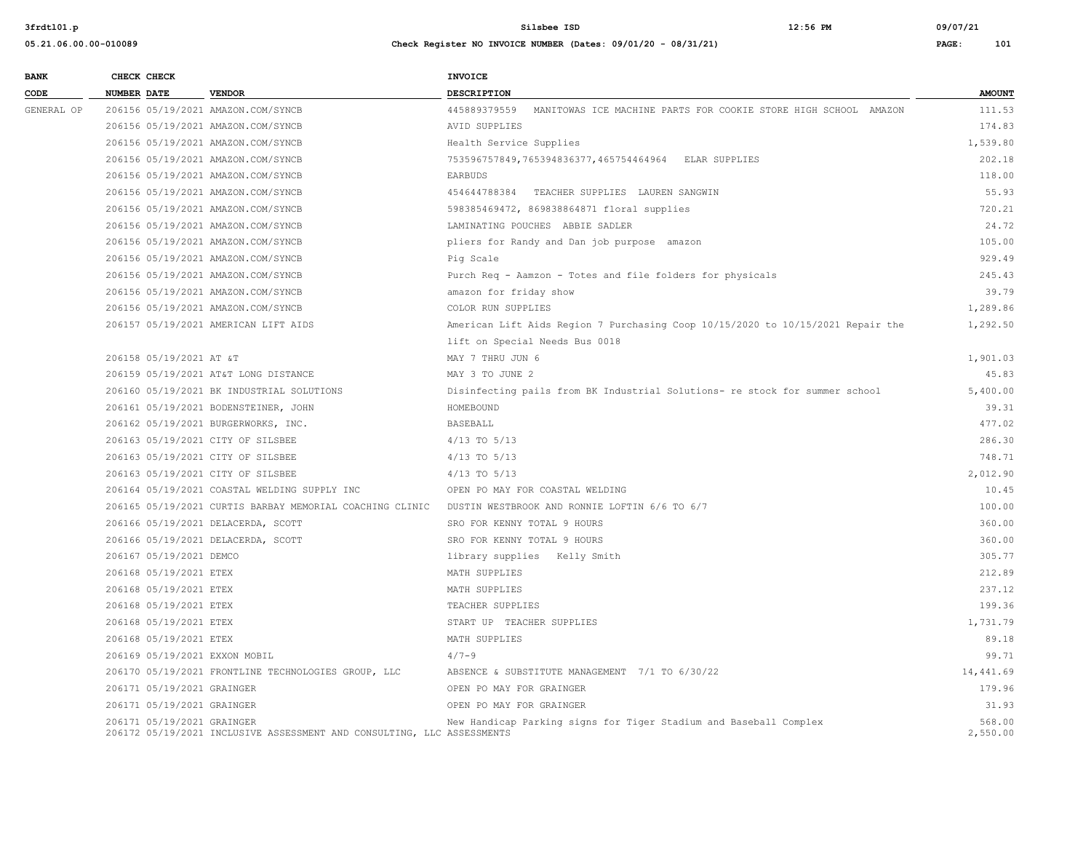| <b>BANK</b> | CHECK CHECK        |                            |                                                                        | <b>INVOICE</b>                                                                  |                    |
|-------------|--------------------|----------------------------|------------------------------------------------------------------------|---------------------------------------------------------------------------------|--------------------|
| CODE        | <b>NUMBER DATE</b> |                            | <b>VENDOR</b>                                                          | <b>DESCRIPTION</b>                                                              | <b>AMOUNT</b>      |
| GENERAL OP  |                    |                            | 206156 05/19/2021 AMAZON.COM/SYNCB                                     | 445889379559 MANITOWAS ICE MACHINE PARTS FOR COOKIE STORE HIGH SCHOOL AMAZON    | 111.53             |
|             |                    |                            | 206156 05/19/2021 AMAZON.COM/SYNCB                                     | AVID SUPPLIES                                                                   | 174.83             |
|             |                    |                            | 206156 05/19/2021 AMAZON.COM/SYNCB                                     | Health Service Supplies                                                         | 1,539.80           |
|             |                    |                            | 206156 05/19/2021 AMAZON.COM/SYNCB                                     | 753596757849,765394836377,465754464964 ELAR SUPPLIES                            | 202.18             |
|             |                    |                            | 206156 05/19/2021 AMAZON.COM/SYNCB                                     | EARBUDS                                                                         | 118.00             |
|             |                    |                            | 206156 05/19/2021 AMAZON.COM/SYNCB                                     | 454644788384 TEACHER SUPPLIES LAUREN SANGWIN                                    | 55.93              |
|             |                    |                            | 206156 05/19/2021 AMAZON.COM/SYNCB                                     | 598385469472, 869838864871 floral supplies                                      | 720.21             |
|             |                    |                            | 206156 05/19/2021 AMAZON.COM/SYNCB                                     | LAMINATING POUCHES ABBIE SADLER                                                 | 24.72              |
|             |                    |                            | 206156 05/19/2021 AMAZON.COM/SYNCB                                     | pliers for Randy and Dan job purpose amazon                                     | 105.00             |
|             |                    |                            | 206156 05/19/2021 AMAZON.COM/SYNCB                                     | Pig Scale                                                                       | 929.49             |
|             |                    |                            | 206156 05/19/2021 AMAZON.COM/SYNCB                                     | Purch Req - Aamzon - Totes and file folders for physicals                       | 245.43             |
|             |                    |                            | 206156 05/19/2021 AMAZON.COM/SYNCB                                     | amazon for friday show                                                          | 39.79              |
|             |                    |                            | 206156 05/19/2021 AMAZON.COM/SYNCB                                     | COLOR RUN SUPPLIES                                                              | 1,289.86           |
|             |                    |                            | 206157 05/19/2021 AMERICAN LIFT AIDS                                   | American Lift Aids Region 7 Purchasing Coop 10/15/2020 to 10/15/2021 Repair the | 1,292.50           |
|             |                    |                            |                                                                        | lift on Special Needs Bus 0018                                                  |                    |
|             |                    | 206158 05/19/2021 AT &T    |                                                                        | MAY 7 THRU JUN 6                                                                | 1,901.03           |
|             |                    |                            | 206159 05/19/2021 AT&T LONG DISTANCE                                   | MAY 3 TO JUNE 2                                                                 | 45.83              |
|             |                    |                            | 206160 05/19/2021 BK INDUSTRIAL SOLUTIONS                              | Disinfecting pails from BK Industrial Solutions- re stock for summer school     | 5,400.00           |
|             |                    |                            | 206161 05/19/2021 BODENSTEINER, JOHN                                   | HOMEBOUND                                                                       | 39.31              |
|             |                    |                            | 206162 05/19/2021 BURGERWORKS, INC.                                    | BASEBALL                                                                        | 477.02             |
|             |                    |                            | 206163 05/19/2021 CITY OF SILSBEE                                      | $4/13$ TO $5/13$                                                                | 286.30             |
|             |                    |                            | 206163 05/19/2021 CITY OF SILSBEE                                      | $4/13$ TO $5/13$                                                                | 748.71             |
|             |                    |                            | 206163 05/19/2021 CITY OF SILSBEE                                      | $4/13$ TO $5/13$                                                                | 2,012.90           |
|             |                    |                            | 206164 05/19/2021 COASTAL WELDING SUPPLY INC                           | OPEN PO MAY FOR COASTAL WELDING                                                 | 10.45              |
|             |                    |                            | 206165 05/19/2021 CURTIS BARBAY MEMORIAL COACHING CLINIC               | DUSTIN WESTBROOK AND RONNIE LOFTIN 6/6 TO 6/7                                   | 100.00             |
|             |                    |                            | 206166 05/19/2021 DELACERDA, SCOTT                                     | SRO FOR KENNY TOTAL 9 HOURS                                                     | 360.00             |
|             |                    |                            | 206166 05/19/2021 DELACERDA, SCOTT                                     | SRO FOR KENNY TOTAL 9 HOURS                                                     | 360.00             |
|             |                    | 206167 05/19/2021 DEMCO    |                                                                        | library supplies Kelly Smith                                                    | 305.77             |
|             |                    | 206168 05/19/2021 ETEX     |                                                                        | MATH SUPPLIES                                                                   | 212.89             |
|             |                    | 206168 05/19/2021 ETEX     |                                                                        | MATH SUPPLIES                                                                   | 237.12             |
|             |                    | 206168 05/19/2021 ETEX     |                                                                        | TEACHER SUPPLIES                                                                | 199.36             |
|             |                    | 206168 05/19/2021 ETEX     |                                                                        | START UP TEACHER SUPPLIES                                                       | 1,731.79           |
|             |                    | 206168 05/19/2021 ETEX     |                                                                        | MATH SUPPLIES                                                                   | 89.18              |
|             |                    |                            | 206169 05/19/2021 EXXON MOBIL                                          | $4/7 - 9$                                                                       | 99.71              |
|             |                    |                            | 206170 05/19/2021 FRONTLINE TECHNOLOGIES GROUP, LLC                    | ABSENCE & SUBSTITUTE MANAGEMENT 7/1 TO 6/30/22                                  | 14,441.69          |
|             |                    | 206171 05/19/2021 GRAINGER |                                                                        | OPEN PO MAY FOR GRAINGER                                                        | 179.96             |
|             |                    | 206171 05/19/2021 GRAINGER |                                                                        | OPEN PO MAY FOR GRAINGER                                                        | 31.93              |
|             |                    | 206171 05/19/2021 GRAINGER | 206172 05/19/2021 INCLUSIVE ASSESSMENT AND CONSULTING, LLC ASSESSMENTS | New Handicap Parking signs for Tiger Stadium and Baseball Complex               | 568.00<br>2,550.00 |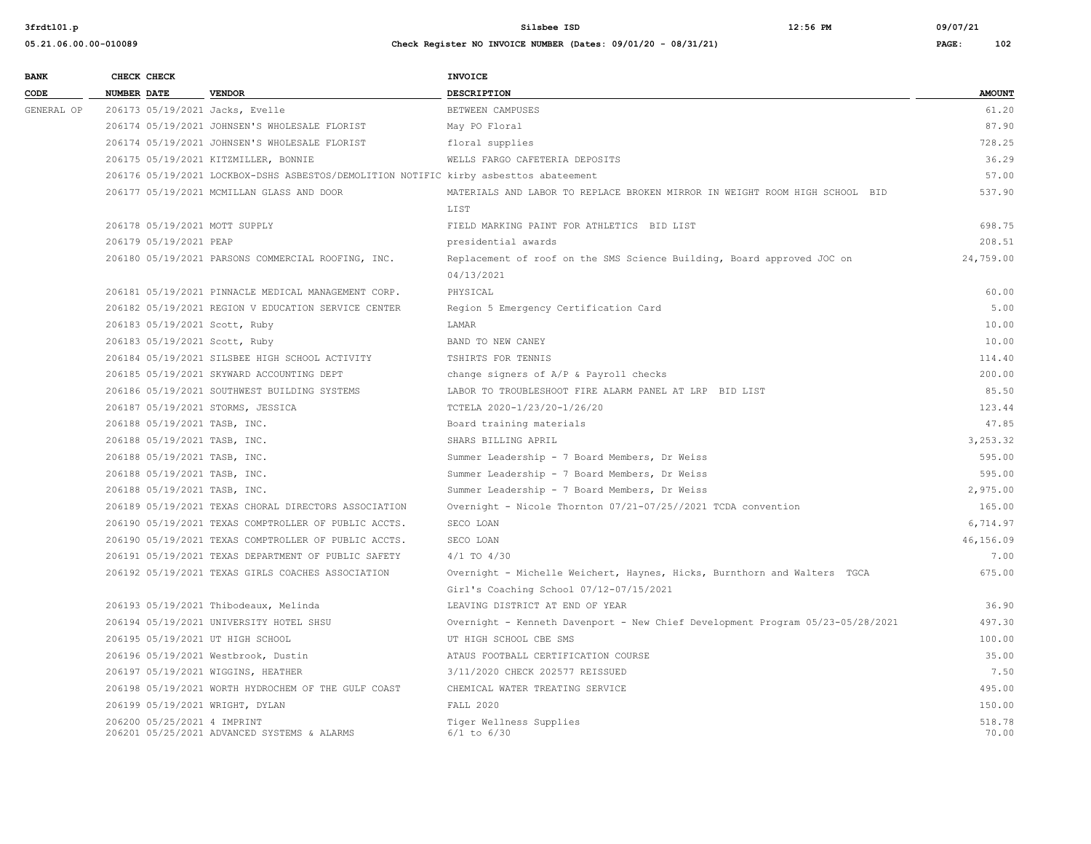| 05.21.06.00.00-010089 |                    |                             | Check Register NO INVOICE NUMBER (Dates: 09/01/20 - 08/31/21)                         |                                                                                |                 |
|-----------------------|--------------------|-----------------------------|---------------------------------------------------------------------------------------|--------------------------------------------------------------------------------|-----------------|
| <b>BANK</b>           |                    | CHECK CHECK                 |                                                                                       | <b>INVOICE</b>                                                                 |                 |
| CODE                  | <b>NUMBER DATE</b> |                             | <b>VENDOR</b>                                                                         | DESCRIPTION                                                                    | <b>AMOUNT</b>   |
| GENERAL OP            |                    |                             | 206173 05/19/2021 Jacks, Evelle                                                       | BETWEEN CAMPUSES                                                               | 61.20           |
|                       |                    |                             | 206174 05/19/2021 JOHNSEN'S WHOLESALE FLORIST                                         | May PO Floral                                                                  | 87.90           |
|                       |                    |                             | 206174 05/19/2021 JOHNSEN'S WHOLESALE FLORIST                                         | floral supplies                                                                | 728.25          |
|                       |                    |                             | 206175 05/19/2021 KITZMILLER, BONNIE                                                  | WELLS FARGO CAFETERIA DEPOSITS                                                 | 36.29           |
|                       |                    |                             | 206176 05/19/2021 LOCKBOX-DSHS ASBESTOS/DEMOLITION NOTIFIC kirby asbesttos abateement |                                                                                | 57.00           |
|                       |                    |                             | 206177 05/19/2021 MCMILLAN GLASS AND DOOR                                             | MATERIALS AND LABOR TO REPLACE BROKEN MIRROR IN WEIGHT ROOM HIGH SCHOOL BID    | 537.90          |
|                       |                    |                             |                                                                                       | LIST                                                                           |                 |
|                       |                    |                             | 206178 05/19/2021 MOTT SUPPLY                                                         | FIELD MARKING PAINT FOR ATHLETICS BID LIST                                     | 698.75          |
|                       |                    | 206179 05/19/2021 PEAP      |                                                                                       | presidential awards                                                            | 208.51          |
|                       |                    |                             | 206180 05/19/2021 PARSONS COMMERCIAL ROOFING, INC.                                    | Replacement of roof on the SMS Science Building, Board approved JOC on         | 24,759.00       |
|                       |                    |                             |                                                                                       | 04/13/2021                                                                     |                 |
|                       |                    |                             | 206181 05/19/2021 PINNACLE MEDICAL MANAGEMENT CORP.                                   | PHYSICAL                                                                       | 60.00           |
|                       |                    |                             | 206182 05/19/2021 REGION V EDUCATION SERVICE CENTER                                   | Region 5 Emergency Certification Card                                          | 5.00            |
|                       |                    |                             | 206183 05/19/2021 Scott, Ruby                                                         | LAMAR                                                                          | 10.00           |
|                       |                    |                             | 206183 05/19/2021 Scott, Ruby                                                         | BAND TO NEW CANEY                                                              | 10.00           |
|                       |                    |                             | 206184 05/19/2021 SILSBEE HIGH SCHOOL ACTIVITY                                        | TSHIRTS FOR TENNIS                                                             | 114.40          |
|                       |                    |                             | 206185 05/19/2021 SKYWARD ACCOUNTING DEPT                                             | change signers of A/P & Payroll checks                                         | 200.00          |
|                       |                    |                             | 206186 05/19/2021 SOUTHWEST BUILDING SYSTEMS                                          | LABOR TO TROUBLESHOOT FIRE ALARM PANEL AT LRP BID LIST                         | 85.50           |
|                       |                    |                             | 206187 05/19/2021 STORMS, JESSICA                                                     | TCTELA 2020-1/23/20-1/26/20                                                    | 123.44          |
|                       |                    |                             | 206188 05/19/2021 TASB, INC.                                                          | Board training materials                                                       | 47.85           |
|                       |                    |                             | 206188 05/19/2021 TASB, INC.                                                          | SHARS BILLING APRIL                                                            | 3,253.32        |
|                       |                    |                             | 206188 05/19/2021 TASB, INC.                                                          | Summer Leadership - 7 Board Members, Dr Weiss                                  | 595.00          |
|                       |                    |                             | 206188 05/19/2021 TASB, INC.                                                          | Summer Leadership - 7 Board Members, Dr Weiss                                  | 595.00          |
|                       |                    |                             | 206188 05/19/2021 TASB, INC.                                                          | Summer Leadership - 7 Board Members, Dr Weiss                                  | 2,975.00        |
|                       |                    |                             | 206189 05/19/2021 TEXAS CHORAL DIRECTORS ASSOCIATION                                  | Overnight - Nicole Thornton 07/21-07/25//2021 TCDA convention                  | 165.00          |
|                       |                    |                             | 206190 05/19/2021 TEXAS COMPTROLLER OF PUBLIC ACCTS.                                  | SECO LOAN                                                                      | 6,714.97        |
|                       |                    |                             | 206190 05/19/2021 TEXAS COMPTROLLER OF PUBLIC ACCTS.                                  | SECO LOAN                                                                      | 46,156.09       |
|                       |                    |                             | 206191 05/19/2021 TEXAS DEPARTMENT OF PUBLIC SAFETY                                   | $4/1$ TO $4/30$                                                                | 7.00            |
|                       |                    |                             | 206192 05/19/2021 TEXAS GIRLS COACHES ASSOCIATION                                     | Overnight - Michelle Weichert, Haynes, Hicks, Burnthorn and Walters TGCA       | 675.00          |
|                       |                    |                             |                                                                                       | Girl's Coaching School 07/12-07/15/2021                                        |                 |
|                       |                    |                             | 206193 05/19/2021 Thibodeaux, Melinda                                                 | LEAVING DISTRICT AT END OF YEAR                                                | 36.90           |
|                       |                    |                             | 206194 05/19/2021 UNIVERSITY HOTEL SHSU                                               | Overnight - Kenneth Davenport - New Chief Development Program 05/23-05/28/2021 | 497.30          |
|                       |                    |                             | 206195 05/19/2021 UT HIGH SCHOOL                                                      | UT HIGH SCHOOL CBE SMS                                                         | 100.00          |
|                       |                    |                             | 206196 05/19/2021 Westbrook, Dustin                                                   | ATAUS FOOTBALL CERTIFICATION COURSE                                            | 35.00           |
|                       |                    |                             | 206197 05/19/2021 WIGGINS, HEATHER                                                    | 3/11/2020 CHECK 202577 REISSUED                                                | 7.50            |
|                       |                    |                             | 206198 05/19/2021 WORTH HYDROCHEM OF THE GULF COAST                                   | CHEMICAL WATER TREATING SERVICE                                                | 495.00          |
|                       |                    |                             | 206199 05/19/2021 WRIGHT, DYLAN                                                       | FALL 2020                                                                      | 150.00          |
|                       |                    | 206200 05/25/2021 4 IMPRINT | 206201 05/25/2021 ADVANCED SYSTEMS & ALARMS                                           | Tiger Wellness Supplies<br>$6/1$ to $6/30$                                     | 518.78<br>70.00 |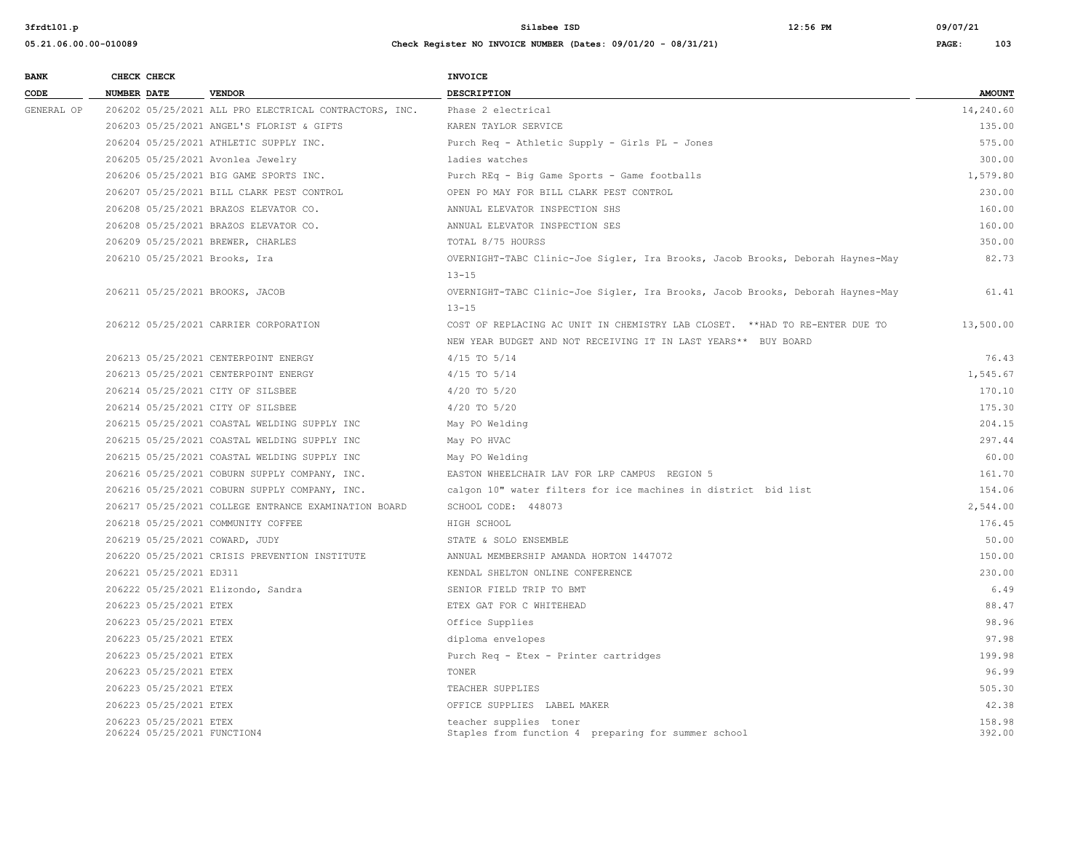| <b>BANK</b> |                    | CHECK CHECK                                           |                                                        | <b>INVOICE</b>                                                                 |                  |
|-------------|--------------------|-------------------------------------------------------|--------------------------------------------------------|--------------------------------------------------------------------------------|------------------|
| CODE        | <b>NUMBER DATE</b> |                                                       | <b>VENDOR</b>                                          | DESCRIPTION                                                                    | <b>AMOUNT</b>    |
| GENERAL OP  |                    |                                                       | 206202 05/25/2021 ALL PRO ELECTRICAL CONTRACTORS, INC. | Phase 2 electrical                                                             | 14,240.60        |
|             |                    |                                                       | 206203 05/25/2021 ANGEL'S FLORIST & GIFTS              | KAREN TAYLOR SERVICE                                                           | 135.00           |
|             |                    |                                                       | 206204 05/25/2021 ATHLETIC SUPPLY INC.                 | Purch Req - Athletic Supply - Girls PL - Jones                                 | 575.00           |
|             |                    |                                                       | 206205 05/25/2021 Avonlea Jewelry                      | ladies watches                                                                 | 300.00           |
|             |                    |                                                       | 206206 05/25/2021 BIG GAME SPORTS INC.                 | Purch REq - Big Game Sports - Game footballs                                   | 1,579.80         |
|             |                    |                                                       | 206207 05/25/2021 BILL CLARK PEST CONTROL              | OPEN PO MAY FOR BILL CLARK PEST CONTROL                                        | 230.00           |
|             |                    |                                                       | 206208 05/25/2021 BRAZOS ELEVATOR CO.                  | ANNUAL ELEVATOR INSPECTION SHS                                                 | 160.00           |
|             |                    |                                                       | 206208 05/25/2021 BRAZOS ELEVATOR CO.                  | ANNUAL ELEVATOR INSPECTION SES                                                 | 160.00           |
|             |                    |                                                       | 206209 05/25/2021 BREWER, CHARLES                      | TOTAL 8/75 HOURSS                                                              | 350.00           |
|             |                    |                                                       | 206210 05/25/2021 Brooks, Ira                          | OVERNIGHT-TABC Clinic-Joe Sigler, Ira Brooks, Jacob Brooks, Deborah Haynes-May | 82.73            |
|             |                    |                                                       |                                                        | $13 - 15$                                                                      |                  |
|             |                    |                                                       | 206211 05/25/2021 BROOKS, JACOB                        | OVERNIGHT-TABC Clinic-Joe Sigler, Ira Brooks, Jacob Brooks, Deborah Haynes-May | 61.41            |
|             |                    |                                                       |                                                        | $13 - 15$                                                                      |                  |
|             |                    |                                                       | 206212 05/25/2021 CARRIER CORPORATION                  | COST OF REPLACING AC UNIT IN CHEMISTRY LAB CLOSET. ** HAD TO RE-ENTER DUE TO   | 13,500.00        |
|             |                    |                                                       |                                                        | NEW YEAR BUDGET AND NOT RECEIVING IT IN LAST YEARS** BUY BOARD                 |                  |
|             |                    |                                                       | 206213 05/25/2021 CENTERPOINT ENERGY                   | $4/15$ TO $5/14$                                                               | 76.43            |
|             |                    |                                                       | 206213 05/25/2021 CENTERPOINT ENERGY                   | $4/15$ TO $5/14$                                                               | 1,545.67         |
|             |                    |                                                       | 206214 05/25/2021 CITY OF SILSBEE                      | 4/20 TO 5/20                                                                   | 170.10           |
|             |                    |                                                       | 206214 05/25/2021 CITY OF SILSBEE                      | $4/20$ TO $5/20$                                                               | 175.30           |
|             |                    |                                                       | 206215 05/25/2021 COASTAL WELDING SUPPLY INC           | May PO Welding                                                                 | 204.15           |
|             |                    |                                                       | 206215 05/25/2021 COASTAL WELDING SUPPLY INC           | May PO HVAC                                                                    | 297.44           |
|             |                    |                                                       | 206215 05/25/2021 COASTAL WELDING SUPPLY INC           | May PO Welding                                                                 | 60.00            |
|             |                    |                                                       | 206216 05/25/2021 COBURN SUPPLY COMPANY, INC.          | EASTON WHEELCHAIR LAV FOR LRP CAMPUS REGION 5                                  | 161.70           |
|             |                    |                                                       | 206216 05/25/2021 COBURN SUPPLY COMPANY, INC.          | calgon 10" water filters for ice machines in district bid list                 | 154.06           |
|             |                    |                                                       | 206217 05/25/2021 COLLEGE ENTRANCE EXAMINATION BOARD   | SCHOOL CODE: 448073                                                            | 2,544.00         |
|             |                    |                                                       | 206218 05/25/2021 COMMUNITY COFFEE                     | HIGH SCHOOL                                                                    | 176.45           |
|             |                    |                                                       | 206219 05/25/2021 COWARD, JUDY                         | STATE & SOLO ENSEMBLE                                                          | 50.00            |
|             |                    |                                                       | 206220 05/25/2021 CRISIS PREVENTION INSTITUTE          | ANNUAL MEMBERSHIP AMANDA HORTON 1447072                                        | 150.00           |
|             |                    | 206221 05/25/2021 ED311                               |                                                        | KENDAL SHELTON ONLINE CONFERENCE                                               | 230.00           |
|             |                    |                                                       | 206222 05/25/2021 Elizondo, Sandra                     | SENIOR FIELD TRIP TO BMT                                                       | 6.49             |
|             |                    | 206223 05/25/2021 ETEX                                |                                                        | ETEX GAT FOR C WHITEHEAD                                                       | 88.47            |
|             |                    | 206223 05/25/2021 ETEX                                |                                                        | Office Supplies                                                                | 98.96            |
|             |                    | 206223 05/25/2021 ETEX                                |                                                        | diploma envelopes                                                              | 97.98            |
|             |                    | 206223 05/25/2021 ETEX                                |                                                        | Purch Req - Etex - Printer cartridges                                          | 199.98           |
|             |                    | 206223 05/25/2021 ETEX                                |                                                        | TONER                                                                          | 96.99            |
|             |                    | 206223 05/25/2021 ETEX                                |                                                        | TEACHER SUPPLIES                                                               | 505.30           |
|             |                    | 206223 05/25/2021 ETEX                                |                                                        | OFFICE SUPPLIES LABEL MAKER                                                    | 42.38            |
|             |                    | 206223 05/25/2021 ETEX<br>206224 05/25/2021 FUNCTION4 |                                                        | teacher supplies toner<br>Staples from function 4 preparing for summer school  | 158.98<br>392.00 |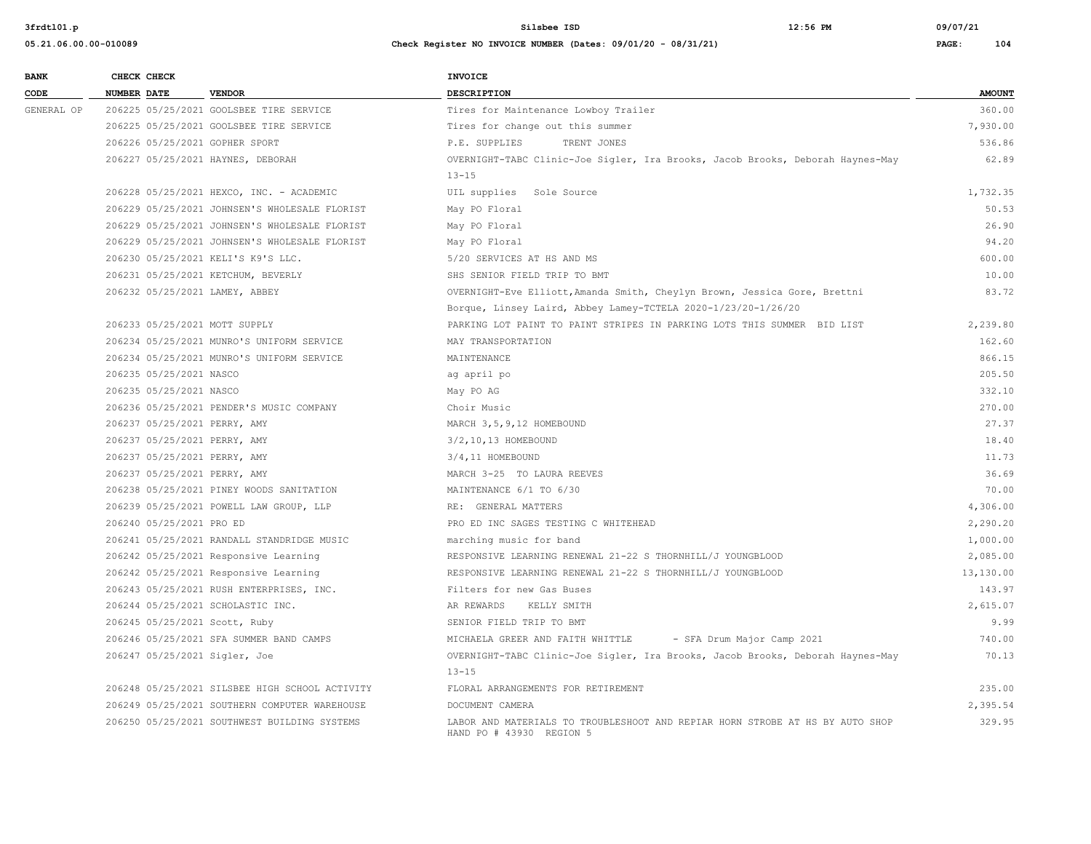| <b>BANK</b> | CHECK CHECK |                          |                                                | <b>INVOICE</b>                                                                                            |               |
|-------------|-------------|--------------------------|------------------------------------------------|-----------------------------------------------------------------------------------------------------------|---------------|
| CODE        | NUMBER DATE |                          | <b>VENDOR</b>                                  | <b>DESCRIPTION</b>                                                                                        | <b>AMOUNT</b> |
| GENERAL OP  |             |                          | 206225 05/25/2021 GOOLSBEE TIRE SERVICE        | Tires for Maintenance Lowboy Trailer                                                                      | 360.00        |
|             |             |                          | 206225 05/25/2021 GOOLSBEE TIRE SERVICE        | Tires for change out this summer                                                                          | 7,930.00      |
|             |             |                          | 206226 05/25/2021 GOPHER SPORT                 | P.E. SUPPLIES<br>TRENT JONES                                                                              | 536.86        |
|             |             |                          | 206227 05/25/2021 HAYNES, DEBORAH              | OVERNIGHT-TABC Clinic-Joe Sigler, Ira Brooks, Jacob Brooks, Deborah Haynes-May                            | 62.89         |
|             |             |                          |                                                | $13 - 15$                                                                                                 |               |
|             |             |                          | 206228 05/25/2021 HEXCO, INC. - ACADEMIC       | UIL supplies Sole Source                                                                                  | 1,732.35      |
|             |             |                          | 206229 05/25/2021 JOHNSEN'S WHOLESALE FLORIST  | May PO Floral                                                                                             | 50.53         |
|             |             |                          | 206229 05/25/2021 JOHNSEN'S WHOLESALE FLORIST  | May PO Floral                                                                                             | 26.90         |
|             |             |                          | 206229 05/25/2021 JOHNSEN'S WHOLESALE FLORIST  | May PO Floral                                                                                             | 94.20         |
|             |             |                          | 206230 05/25/2021 KELI'S K9'S LLC.             | 5/20 SERVICES AT HS AND MS                                                                                | 600.00        |
|             |             |                          | 206231 05/25/2021 KETCHUM, BEVERLY             | SHS SENIOR FIELD TRIP TO BMT                                                                              | 10.00         |
|             |             |                          | 206232 05/25/2021 LAMEY, ABBEY                 | OVERNIGHT-Eve Elliott, Amanda Smith, Cheylyn Brown, Jessica Gore, Brettni                                 | 83.72         |
|             |             |                          |                                                | Borque, Linsey Laird, Abbey Lamey-TCTELA 2020-1/23/20-1/26/20                                             |               |
|             |             |                          | 206233 05/25/2021 MOTT SUPPLY                  | PARKING LOT PAINT TO PAINT STRIPES IN PARKING LOTS THIS SUMMER BID LIST                                   | 2,239.80      |
|             |             |                          | 206234 05/25/2021 MUNRO'S UNIFORM SERVICE      | MAY TRANSPORTATION                                                                                        | 162.60        |
|             |             |                          | 206234 05/25/2021 MUNRO'S UNIFORM SERVICE      | MAINTENANCE                                                                                               | 866.15        |
|             |             | 206235 05/25/2021 NASCO  |                                                | ag april po                                                                                               | 205.50        |
|             |             | 206235 05/25/2021 NASCO  |                                                | May PO AG                                                                                                 | 332.10        |
|             |             |                          | 206236 05/25/2021 PENDER'S MUSIC COMPANY       | Choir Music                                                                                               | 270.00        |
|             |             |                          | 206237 05/25/2021 PERRY, AMY                   | MARCH 3, 5, 9, 12 HOMEBOUND                                                                               | 27.37         |
|             |             |                          | 206237 05/25/2021 PERRY, AMY                   | 3/2,10,13 HOMEBOUND                                                                                       | 18.40         |
|             |             |                          | 206237 05/25/2021 PERRY, AMY                   | 3/4,11 HOMEBOUND                                                                                          | 11.73         |
|             |             |                          | 206237 05/25/2021 PERRY, AMY                   | MARCH 3-25 TO LAURA REEVES                                                                                | 36.69         |
|             |             |                          | 206238 05/25/2021 PINEY WOODS SANITATION       | MAINTENANCE 6/1 TO 6/30                                                                                   | 70.00         |
|             |             |                          | 206239 05/25/2021 POWELL LAW GROUP, LLP        | RE: GENERAL MATTERS                                                                                       | 4,306.00      |
|             |             | 206240 05/25/2021 PRO ED |                                                | PRO ED INC SAGES TESTING C WHITEHEAD                                                                      | 2,290.20      |
|             |             |                          | 206241 05/25/2021 RANDALL STANDRIDGE MUSIC     | marching music for band                                                                                   | 1,000.00      |
|             |             |                          | 206242 05/25/2021 Responsive Learning          | RESPONSIVE LEARNING RENEWAL 21-22 S THORNHILL/J YOUNGBLOOD                                                | 2,085.00      |
|             |             |                          | 206242 05/25/2021 Responsive Learning          | RESPONSIVE LEARNING RENEWAL 21-22 S THORNHILL/J YOUNGBLOOD                                                | 13,130.00     |
|             |             |                          | 206243 05/25/2021 RUSH ENTERPRISES, INC.       | Filters for new Gas Buses                                                                                 | 143.97        |
|             |             |                          | 206244 05/25/2021 SCHOLASTIC INC.              | AR REWARDS KELLY SMITH                                                                                    | 2,615.07      |
|             |             |                          | 206245 05/25/2021 Scott, Ruby                  | SENIOR FIELD TRIP TO BMT                                                                                  | 9.99          |
|             |             |                          | 206246 05/25/2021 SFA SUMMER BAND CAMPS        | MICHAELA GREER AND FAITH WHITTLE<br>- SFA Drum Major Camp 2021                                            | 740.00        |
|             |             |                          | 206247 05/25/2021 Sigler, Joe                  | OVERNIGHT-TABC Clinic-Joe Sigler, Ira Brooks, Jacob Brooks, Deborah Haynes-May                            | 70.13         |
|             |             |                          |                                                | $13 - 15$                                                                                                 |               |
|             |             |                          | 206248 05/25/2021 SILSBEE HIGH SCHOOL ACTIVITY | FLORAL ARRANGEMENTS FOR RETIREMENT                                                                        | 235.00        |
|             |             |                          | 206249 05/25/2021 SOUTHERN COMPUTER WAREHOUSE  | DOCUMENT CAMERA                                                                                           | 2,395.54      |
|             |             |                          | 206250 05/25/2021 SOUTHWEST BUILDING SYSTEMS   | LABOR AND MATERIALS TO TROUBLESHOOT AND REPIAR HORN STROBE AT HS BY AUTO SHOP<br>HAND PO # 43930 REGION 5 | 329.95        |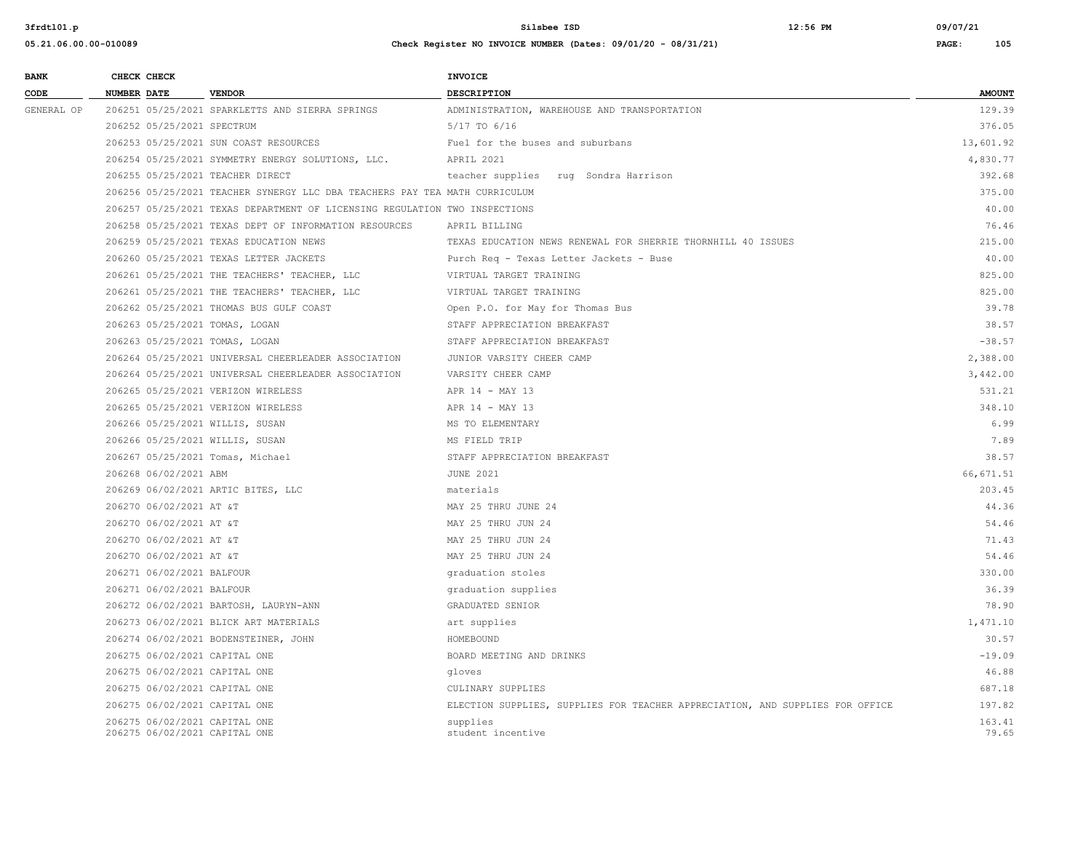| <b>BANK</b> |                    | CHECK CHECK                |                                                                            | INVOICE                                                                       |                 |
|-------------|--------------------|----------------------------|----------------------------------------------------------------------------|-------------------------------------------------------------------------------|-----------------|
| CODE        | <b>NUMBER DATE</b> |                            | <b>VENDOR</b>                                                              | <b>DESCRIPTION</b>                                                            | <b>AMOUNT</b>   |
| GENERAL OP  |                    |                            | 206251 05/25/2021 SPARKLETTS AND SIERRA SPRINGS                            | ADMINISTRATION, WAREHOUSE AND TRANSPORTATION                                  | 129.39          |
|             |                    | 206252 05/25/2021 SPECTRUM |                                                                            | 5/17 TO 6/16                                                                  | 376.05          |
|             |                    |                            | 206253 05/25/2021 SUN COAST RESOURCES                                      | Fuel for the buses and suburbans                                              | 13,601.92       |
|             |                    |                            | 206254 05/25/2021 SYMMETRY ENERGY SOLUTIONS, LLC.                          | APRIL 2021                                                                    | 4,830.77        |
|             |                    |                            | 206255 05/25/2021 TEACHER DIRECT                                           | teacher supplies<br>rug Sondra Harrison                                       | 392.68          |
|             |                    |                            | 206256 05/25/2021 TEACHER SYNERGY LLC DBA TEACHERS PAY TEA MATH CURRICULUM |                                                                               | 375.00          |
|             |                    |                            | 206257 05/25/2021 TEXAS DEPARTMENT OF LICENSING REGULATION TWO INSPECTIONS |                                                                               | 40.00           |
|             |                    |                            | 206258 05/25/2021 TEXAS DEPT OF INFORMATION RESOURCES                      | APRIL BILLING                                                                 | 76.46           |
|             |                    |                            | 206259 05/25/2021 TEXAS EDUCATION NEWS                                     | TEXAS EDUCATION NEWS RENEWAL FOR SHERRIE THORNHILL 40 ISSUES                  | 215.00          |
|             |                    |                            | 206260 05/25/2021 TEXAS LETTER JACKETS                                     | Purch Req - Texas Letter Jackets - Buse                                       | 40.00           |
|             |                    |                            | 206261 05/25/2021 THE TEACHERS' TEACHER, LLC                               | VIRTUAL TARGET TRAINING                                                       | 825.00          |
|             |                    |                            | 206261 05/25/2021 THE TEACHERS' TEACHER, LLC                               | VIRTUAL TARGET TRAINING                                                       | 825.00          |
|             |                    |                            | 206262 05/25/2021 THOMAS BUS GULF COAST                                    | Open P.O. for May for Thomas Bus                                              | 39.78           |
|             |                    |                            | 206263 05/25/2021 TOMAS, LOGAN                                             | STAFF APPRECIATION BREAKFAST                                                  | 38.57           |
|             |                    |                            | 206263 05/25/2021 TOMAS, LOGAN                                             | STAFF APPRECIATION BREAKFAST                                                  | $-38.57$        |
|             |                    |                            | 206264 05/25/2021 UNIVERSAL CHEERLEADER ASSOCIATION                        | JUNIOR VARSITY CHEER CAMP                                                     | 2,388.00        |
|             |                    |                            | 206264 05/25/2021 UNIVERSAL CHEERLEADER ASSOCIATION                        | VARSITY CHEER CAMP                                                            | 3,442.00        |
|             |                    |                            | 206265 05/25/2021 VERIZON WIRELESS                                         | APR 14 - MAY 13                                                               | 531.21          |
|             |                    |                            | 206265 05/25/2021 VERIZON WIRELESS                                         | APR 14 - MAY 13                                                               | 348.10          |
|             |                    |                            | 206266 05/25/2021 WILLIS, SUSAN                                            | MS TO ELEMENTARY                                                              | 6.99            |
|             |                    |                            | 206266 05/25/2021 WILLIS, SUSAN                                            | MS FIELD TRIP                                                                 | 7.89            |
|             |                    |                            | 206267 05/25/2021 Tomas, Michael                                           | STAFF APPRECIATION BREAKFAST                                                  | 38.57           |
|             |                    | 206268 06/02/2021 ABM      |                                                                            | <b>JUNE 2021</b>                                                              | 66, 671.51      |
|             |                    |                            | 206269 06/02/2021 ARTIC BITES, LLC                                         | materials                                                                     | 203.45          |
|             |                    | 206270 06/02/2021 AT &T    |                                                                            | MAY 25 THRU JUNE 24                                                           | 44.36           |
|             |                    | 206270 06/02/2021 AT &T    |                                                                            | MAY 25 THRU JUN 24                                                            | 54.46           |
|             |                    | 206270 06/02/2021 AT &T    |                                                                            | MAY 25 THRU JUN 24                                                            | 71.43           |
|             |                    | 206270 06/02/2021 AT &T    |                                                                            | MAY 25 THRU JUN 24                                                            | 54.46           |
|             |                    | 206271 06/02/2021 BALFOUR  |                                                                            | graduation stoles                                                             | 330.00          |
|             |                    | 206271 06/02/2021 BALFOUR  |                                                                            | graduation supplies                                                           | 36.39           |
|             |                    |                            | 206272 06/02/2021 BARTOSH, LAURYN-ANN                                      | GRADUATED SENIOR                                                              | 78.90           |
|             |                    |                            | 206273 06/02/2021 BLICK ART MATERIALS                                      | art supplies                                                                  | 1,471.10        |
|             |                    |                            | 206274 06/02/2021 BODENSTEINER, JOHN                                       | HOMEBOUND                                                                     | 30.57           |
|             |                    |                            | 206275 06/02/2021 CAPITAL ONE                                              | BOARD MEETING AND DRINKS                                                      | $-19.09$        |
|             |                    |                            | 206275 06/02/2021 CAPITAL ONE                                              | gloves                                                                        | 46.88           |
|             |                    |                            | 206275 06/02/2021 CAPITAL ONE                                              | CULINARY SUPPLIES                                                             | 687.18          |
|             |                    |                            | 206275 06/02/2021 CAPITAL ONE                                              | ELECTION SUPPLIES, SUPPLIES FOR TEACHER APPRECIATION, AND SUPPLIES FOR OFFICE | 197.82          |
|             |                    |                            | 206275 06/02/2021 CAPITAL ONE<br>206275 06/02/2021 CAPITAL ONE             | supplies<br>student incentive                                                 | 163.41<br>79.65 |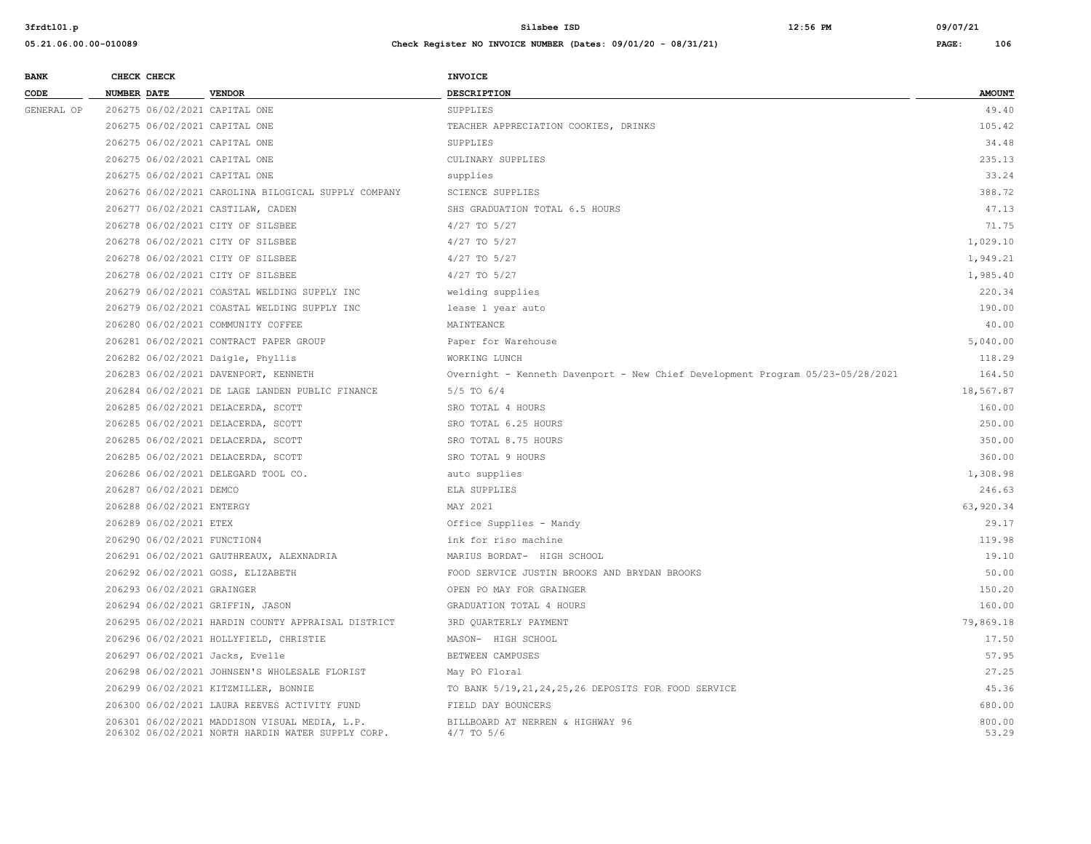| <b>BANK</b> | CHECK CHECK                        |                                                                                                    | <b>INVOICE</b>                                                                 |                 |
|-------------|------------------------------------|----------------------------------------------------------------------------------------------------|--------------------------------------------------------------------------------|-----------------|
| CODE        | <b>NUMBER DATE</b>                 | <b>VENDOR</b>                                                                                      | DESCRIPTION                                                                    | <b>AMOUNT</b>   |
| GENERAL OP  | 206275 06/02/2021 CAPITAL ONE      |                                                                                                    | SUPPLIES                                                                       | 49.40           |
|             | 206275 06/02/2021 CAPITAL ONE      |                                                                                                    | TEACHER APPRECIATION COOKIES, DRINKS                                           | 105.42          |
|             | 206275 06/02/2021 CAPITAL ONE      |                                                                                                    | SUPPLIES                                                                       | 34.48           |
|             | 206275 06/02/2021 CAPITAL ONE      |                                                                                                    | CULINARY SUPPLIES                                                              | 235.13          |
|             | 206275 06/02/2021 CAPITAL ONE      |                                                                                                    | supplies                                                                       | 33.24           |
|             |                                    | 206276 06/02/2021 CAROLINA BILOGICAL SUPPLY COMPANY                                                | <b>SCIENCE SUPPLIES</b>                                                        | 388.72          |
|             | 206277 06/02/2021 CASTILAW, CADEN  |                                                                                                    | SHS GRADUATION TOTAL 6.5 HOURS                                                 | 47.13           |
|             | 206278 06/02/2021 CITY OF SILSBEE  |                                                                                                    | 4/27 TO 5/27                                                                   | 71.75           |
|             | 206278 06/02/2021 CITY OF SILSBEE  |                                                                                                    | $4/27$ TO 5/27                                                                 | 1,029.10        |
|             | 206278 06/02/2021 CITY OF SILSBEE  |                                                                                                    | 4/27 TO 5/27                                                                   | 1,949.21        |
|             | 206278 06/02/2021 CITY OF SILSBEE  |                                                                                                    | $4/27$ TO $5/27$                                                               | 1,985.40        |
|             |                                    | 206279 06/02/2021 COASTAL WELDING SUPPLY INC                                                       | welding supplies                                                               | 220.34          |
|             |                                    | 206279 06/02/2021 COASTAL WELDING SUPPLY INC                                                       | lease 1 year auto                                                              | 190.00          |
|             | 206280 06/02/2021 COMMUNITY COFFEE |                                                                                                    | MAINTEANCE                                                                     | 40.00           |
|             |                                    | 206281 06/02/2021 CONTRACT PAPER GROUP                                                             | Paper for Warehouse                                                            | 5,040.00        |
|             | 206282 06/02/2021 Daigle, Phyllis  |                                                                                                    | WORKING LUNCH                                                                  | 118.29          |
|             |                                    | 206283 06/02/2021 DAVENPORT, KENNETH                                                               | Overnight - Kenneth Davenport - New Chief Development Program 05/23-05/28/2021 | 164.50          |
|             |                                    | 206284 06/02/2021 DE LAGE LANDEN PUBLIC FINANCE                                                    | $5/5$ TO $6/4$                                                                 | 18,567.87       |
|             | 206285 06/02/2021 DELACERDA, SCOTT |                                                                                                    | SRO TOTAL 4 HOURS                                                              | 160.00          |
|             | 206285 06/02/2021 DELACERDA, SCOTT |                                                                                                    | SRO TOTAL 6.25 HOURS                                                           | 250.00          |
|             | 206285 06/02/2021 DELACERDA, SCOTT |                                                                                                    | SRO TOTAL 8.75 HOURS                                                           | 350.00          |
|             | 206285 06/02/2021 DELACERDA, SCOTT |                                                                                                    | SRO TOTAL 9 HOURS                                                              | 360.00          |
|             |                                    | 206286 06/02/2021 DELEGARD TOOL CO.                                                                | auto supplies                                                                  | 1,308.98        |
|             | 206287 06/02/2021 DEMCO            |                                                                                                    | ELA SUPPLIES                                                                   | 246.63          |
|             | 206288 06/02/2021 ENTERGY          |                                                                                                    | MAY 2021                                                                       | 63,920.34       |
|             | 206289 06/02/2021 ETEX             |                                                                                                    | Office Supplies - Mandy                                                        | 29.17           |
|             | 206290 06/02/2021 FUNCTION4        |                                                                                                    | ink for riso machine                                                           | 119.98          |
|             |                                    | 206291 06/02/2021 GAUTHREAUX, ALEXNADRIA                                                           | MARIUS BORDAT- HIGH SCHOOL                                                     | 19.10           |
|             | 206292 06/02/2021 GOSS, ELIZABETH  |                                                                                                    | FOOD SERVICE JUSTIN BROOKS AND BRYDAN BROOKS                                   | 50.00           |
|             | 206293 06/02/2021 GRAINGER         |                                                                                                    | OPEN PO MAY FOR GRAINGER                                                       | 150.20          |
|             | 206294 06/02/2021 GRIFFIN, JASON   |                                                                                                    | GRADUATION TOTAL 4 HOURS                                                       | 160.00          |
|             |                                    | 206295 06/02/2021 HARDIN COUNTY APPRAISAL DISTRICT                                                 | 3RD QUARTERLY PAYMENT                                                          | 79,869.18       |
|             |                                    | 206296 06/02/2021 HOLLYFIELD, CHRISTIE                                                             | MASON- HIGH SCHOOL                                                             | 17.50           |
|             | 206297 06/02/2021 Jacks, Evelle    |                                                                                                    | BETWEEN CAMPUSES                                                               | 57.95           |
|             |                                    | 206298 06/02/2021 JOHNSEN'S WHOLESALE FLORIST                                                      | May PO Floral                                                                  | 27.25           |
|             |                                    | 206299 06/02/2021 KITZMILLER, BONNIE                                                               | TO BANK 5/19, 21, 24, 25, 26 DEPOSITS FOR FOOD SERVICE                         | 45.36           |
|             |                                    | 206300 06/02/2021 LAURA REEVES ACTIVITY FUND                                                       | FIELD DAY BOUNCERS                                                             | 680.00          |
|             |                                    | 206301 06/02/2021 MADDISON VISUAL MEDIA, L.P.<br>206302 06/02/2021 NORTH HARDIN WATER SUPPLY CORP. | BILLBOARD AT NERREN & HIGHWAY 96<br>$4/7$ TO $5/6$                             | 800.00<br>53.29 |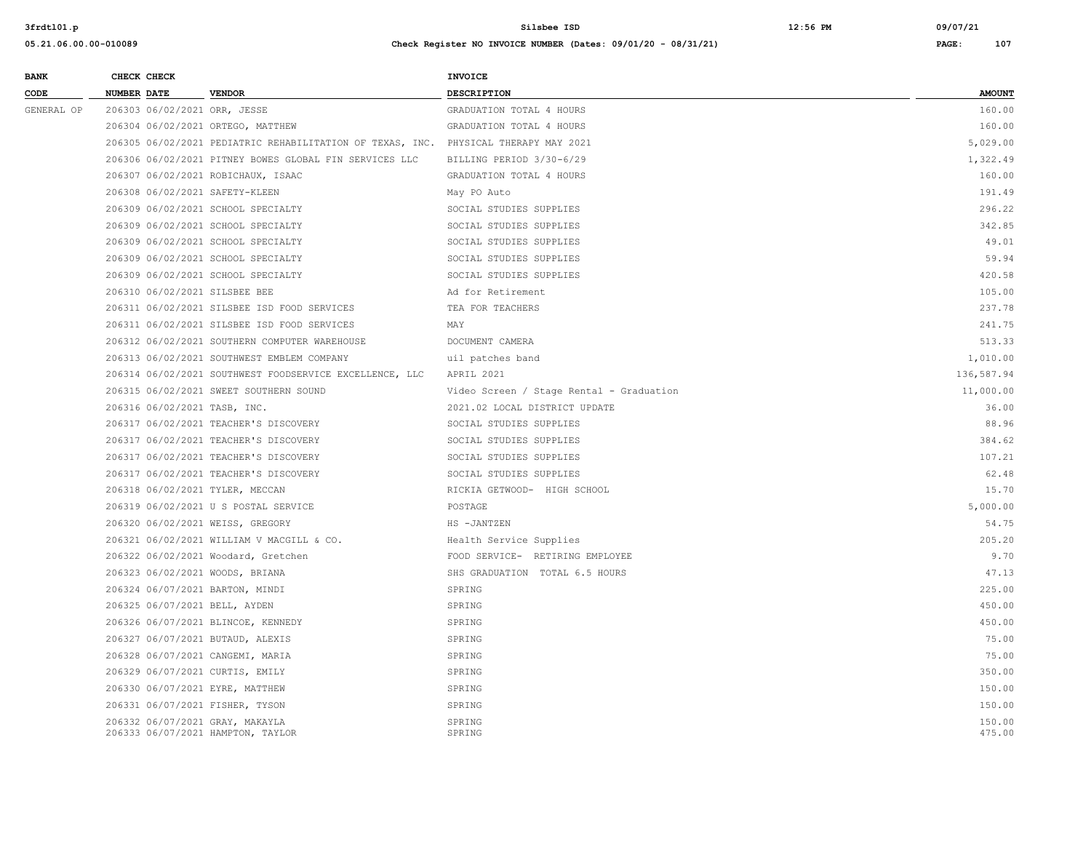| <b>BANK</b>     |                    | CHECK CHECK                  |                                                                                     | <b>INVOICE</b>                           |               |
|-----------------|--------------------|------------------------------|-------------------------------------------------------------------------------------|------------------------------------------|---------------|
| $\texttt{CODE}$ | <b>NUMBER DATE</b> |                              | <b>VENDOR</b>                                                                       | DESCRIPTION                              | <b>AMOUNT</b> |
| GENERAL OP      |                    |                              | 206303 06/02/2021 ORR, JESSE                                                        | GRADUATION TOTAL 4 HOURS                 | 160.00        |
|                 |                    |                              | 206304 06/02/2021 ORTEGO, MATTHEW                                                   | GRADUATION TOTAL 4 HOURS                 | 160.00        |
|                 |                    |                              | 206305 06/02/2021 PEDIATRIC REHABILITATION OF TEXAS, INC. PHYSICAL THERAPY MAY 2021 |                                          | 5,029.00      |
|                 |                    |                              | 206306 06/02/2021 PITNEY BOWES GLOBAL FIN SERVICES LLC                              | BILLING PERIOD 3/30-6/29                 | 1,322.49      |
|                 |                    |                              | 206307 06/02/2021 ROBICHAUX, ISAAC                                                  | GRADUATION TOTAL 4 HOURS                 | 160.00        |
|                 |                    |                              | 206308 06/02/2021 SAFETY-KLEEN                                                      | May PO Auto                              | 191.49        |
|                 |                    |                              | 206309 06/02/2021 SCHOOL SPECIALTY                                                  | SOCIAL STUDIES SUPPLIES                  | 296.22        |
|                 |                    |                              | 206309 06/02/2021 SCHOOL SPECIALTY                                                  | SOCIAL STUDIES SUPPLIES                  | 342.85        |
|                 |                    |                              | 206309 06/02/2021 SCHOOL SPECIALTY                                                  | SOCIAL STUDIES SUPPLIES                  | 49.01         |
|                 |                    |                              | 206309 06/02/2021 SCHOOL SPECIALTY                                                  | SOCIAL STUDIES SUPPLIES                  | 59.94         |
|                 |                    |                              | 206309 06/02/2021 SCHOOL SPECIALTY                                                  | SOCIAL STUDIES SUPPLIES                  | 420.58        |
|                 |                    |                              | 206310 06/02/2021 SILSBEE BEE                                                       | Ad for Retirement                        | 105.00        |
|                 |                    |                              | 206311 06/02/2021 SILSBEE ISD FOOD SERVICES                                         | TEA FOR TEACHERS                         | 237.78        |
|                 |                    |                              | 206311 06/02/2021 SILSBEE ISD FOOD SERVICES                                         | MAY                                      | 241.75        |
|                 |                    |                              | 206312 06/02/2021 SOUTHERN COMPUTER WAREHOUSE                                       | DOCUMENT CAMERA                          | 513.33        |
|                 |                    |                              | 206313 06/02/2021 SOUTHWEST EMBLEM COMPANY                                          | uil patches band                         | 1,010.00      |
|                 |                    |                              | 206314 06/02/2021 SOUTHWEST FOODSERVICE EXCELLENCE, LLC                             | APRIL 2021                               | 136,587.94    |
|                 |                    |                              | 206315 06/02/2021 SWEET SOUTHERN SOUND                                              | Video Screen / Stage Rental - Graduation | 11,000.00     |
|                 |                    | 206316 06/02/2021 TASB, INC. |                                                                                     | 2021.02 LOCAL DISTRICT UPDATE            | 36.00         |
|                 |                    |                              | 206317 06/02/2021 TEACHER'S DISCOVERY                                               | SOCIAL STUDIES SUPPLIES                  | 88.96         |
|                 |                    |                              | 206317 06/02/2021 TEACHER'S DISCOVERY                                               | SOCIAL STUDIES SUPPLIES                  | 384.62        |
|                 |                    |                              | 206317 06/02/2021 TEACHER'S DISCOVERY                                               | SOCIAL STUDIES SUPPLIES                  | 107.21        |
|                 |                    |                              | 206317 06/02/2021 TEACHER'S DISCOVERY                                               | SOCIAL STUDIES SUPPLIES                  | 62.48         |
|                 |                    |                              | 206318 06/02/2021 TYLER, MECCAN                                                     | RICKIA GETWOOD- HIGH SCHOOL              | 15.70         |
|                 |                    |                              | 206319 06/02/2021 U S POSTAL SERVICE                                                | POSTAGE                                  | 5,000.00      |
|                 |                    |                              | 206320 06/02/2021 WEISS, GREGORY                                                    | HS -JANTZEN                              | 54.75         |
|                 |                    |                              | 206321 06/02/2021 WILLIAM V MACGILL & CO.                                           | Health Service Supplies                  | 205.20        |
|                 |                    |                              | 206322 06/02/2021 Woodard, Gretchen                                                 | FOOD SERVICE- RETIRING EMPLOYEE          | 9.70          |
|                 |                    |                              | 206323 06/02/2021 WOODS, BRIANA                                                     | SHS GRADUATION TOTAL 6.5 HOURS           | 47.13         |
|                 |                    |                              | 206324 06/07/2021 BARTON, MINDI                                                     | SPRING                                   | 225.00        |
|                 |                    |                              | 206325 06/07/2021 BELL, AYDEN                                                       | SPRING                                   | 450.00        |
|                 |                    |                              | 206326 06/07/2021 BLINCOE, KENNEDY                                                  | SPRING                                   | 450.00        |
|                 |                    |                              | 206327 06/07/2021 BUTAUD, ALEXIS                                                    | SPRING                                   | 75.00         |
|                 |                    |                              | 206328 06/07/2021 CANGEMI, MARIA                                                    | SPRING                                   | 75.00         |
|                 |                    |                              | 206329 06/07/2021 CURTIS, EMILY                                                     | SPRING                                   | 350.00        |
|                 |                    |                              | 206330 06/07/2021 EYRE, MATTHEW                                                     | SPRING                                   | 150.00        |
|                 |                    |                              | 206331 06/07/2021 FISHER, TYSON                                                     | SPRING                                   | 150.00        |
|                 |                    |                              | 206332 06/07/2021 GRAY, MAKAYLA                                                     | SPRING                                   | 150.00        |
|                 |                    |                              | 206333 06/07/2021 HAMPTON, TAYLOR                                                   | SPRING                                   | 475.00        |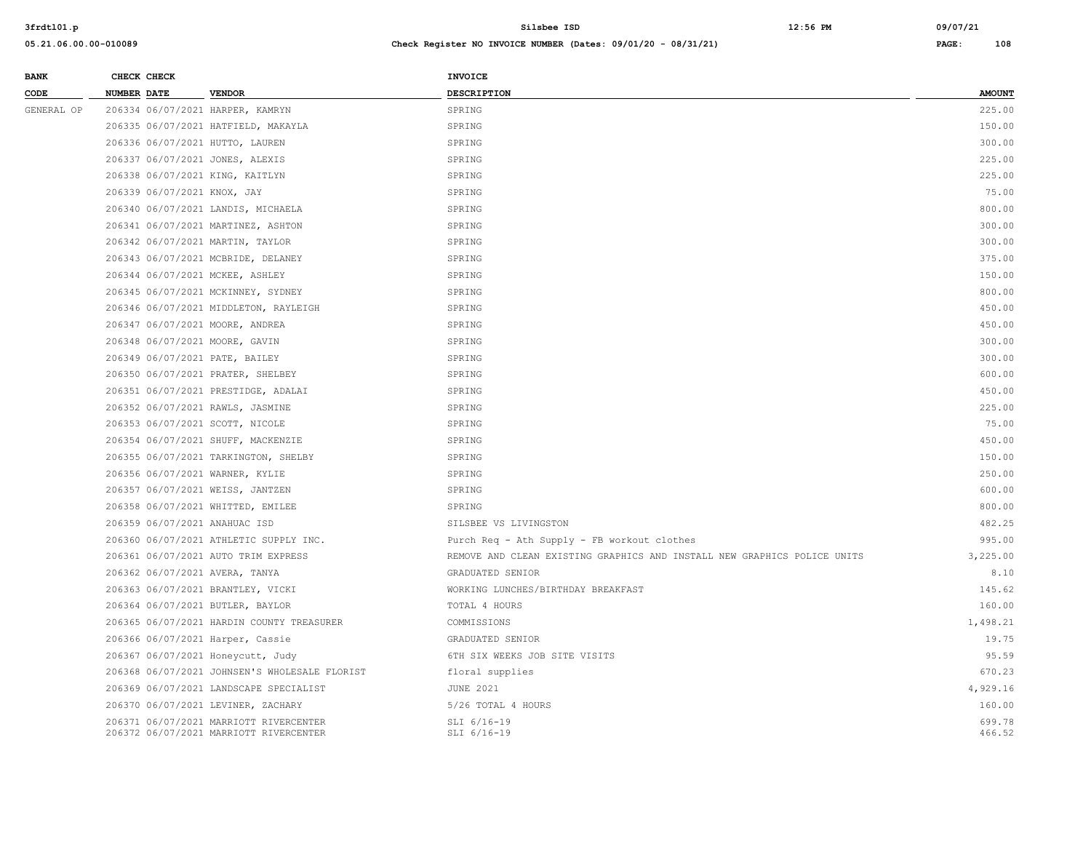| <b>BANK</b> | CHECK CHECK                         |               | <b>INVOICE</b>     |               |
|-------------|-------------------------------------|---------------|--------------------|---------------|
| CODE        | <b>NUMBER DATE</b>                  | <b>VENDOR</b> | <b>DESCRIPTION</b> | <b>AMOUNT</b> |
| GENERAL OP  | 206334 06/07/2021 HARPER, KAMRYN    |               | SPRING             | 225.00        |
|             | 206335 06/07/2021 HATFIELD, MAKAYLA |               | SPRING             | 150.00        |
|             | 206336 06/07/2021 HUTTO, LAUREN     |               | SPRING             | 300.00        |
|             | 206337 06/07/2021 JONES, ALEXIS     |               | SPRING             | 225.00        |

| 206338 06/07/2021 KING, KAITLYN               | SPRING                                                                   | 225.00   |
|-----------------------------------------------|--------------------------------------------------------------------------|----------|
| 206339 06/07/2021 KNOX, JAY                   | SPRING                                                                   | 75.00    |
| 206340 06/07/2021 LANDIS, MICHAELA            | SPRING                                                                   | 800.00   |
| 206341 06/07/2021 MARTINEZ, ASHTON            | SPRING                                                                   | 300.00   |
| 206342 06/07/2021 MARTIN, TAYLOR              | SPRING                                                                   | 300.00   |
| 206343 06/07/2021 MCBRIDE, DELANEY            | SPRING                                                                   | 375.00   |
| 206344 06/07/2021 MCKEE, ASHLEY               | SPRING                                                                   | 150.00   |
| 206345 06/07/2021 MCKINNEY, SYDNEY            | SPRING                                                                   | 800.00   |
| 206346 06/07/2021 MIDDLETON, RAYLEIGH         | SPRING                                                                   | 450.00   |
| 206347 06/07/2021 MOORE, ANDREA               | SPRING                                                                   | 450.00   |
| 206348 06/07/2021 MOORE, GAVIN                | SPRING                                                                   | 300.00   |
| 206349 06/07/2021 PATE, BAILEY                | SPRING                                                                   | 300.00   |
| 206350 06/07/2021 PRATER, SHELBEY             | SPRING                                                                   | 600.00   |
| 206351 06/07/2021 PRESTIDGE, ADALAI           | SPRING                                                                   | 450.00   |
| 206352 06/07/2021 RAWLS, JASMINE              | SPRING                                                                   | 225.00   |
| 206353 06/07/2021 SCOTT, NICOLE               | SPRING                                                                   | 75.00    |
| 206354 06/07/2021 SHUFF, MACKENZIE            | SPRING                                                                   | 450.00   |
| 206355 06/07/2021 TARKINGTON, SHELBY          | SPRING                                                                   | 150.00   |
| 206356 06/07/2021 WARNER, KYLIE               | SPRING                                                                   | 250.00   |
| 206357 06/07/2021 WEISS, JANTZEN              | SPRING                                                                   | 600.00   |
| 206358 06/07/2021 WHITTED, EMILEE             | SPRING                                                                   | 800.00   |
| 206359 06/07/2021 ANAHUAC ISD                 | SILSBEE VS LIVINGSTON                                                    | 482.25   |
| 206360 06/07/2021 ATHLETIC SUPPLY INC.        | Purch Req - Ath Supply - FB workout clothes                              | 995.00   |
| 206361 06/07/2021 AUTO TRIM EXPRESS           | REMOVE AND CLEAN EXISTING GRAPHICS AND INSTALL NEW GRAPHICS POLICE UNITS | 3,225.00 |
| 206362 06/07/2021 AVERA, TANYA                | GRADUATED SENIOR                                                         | 8.10     |
| 206363 06/07/2021 BRANTLEY, VICKI             | WORKING LUNCHES/BIRTHDAY BREAKFAST                                       | 145.62   |
| 206364 06/07/2021 BUTLER, BAYLOR              | TOTAL 4 HOURS                                                            | 160.00   |
| 206365 06/07/2021 HARDIN COUNTY TREASURER     | COMMISSIONS                                                              | 1,498.21 |
| 206366 06/07/2021 Harper, Cassie              | GRADUATED SENIOR                                                         | 19.75    |
| 206367 06/07/2021 Honeycutt, Judy             | 6TH SIX WEEKS JOB SITE VISITS                                            | 95.59    |
| 206368 06/07/2021 JOHNSEN'S WHOLESALE FLORIST | floral supplies                                                          | 670.23   |
| 206369 06/07/2021 LANDSCAPE SPECIALIST        | <b>JUNE 2021</b>                                                         | 4,929.16 |
| 206370 06/07/2021 LEVINER, ZACHARY            | 5/26 TOTAL 4 HOURS                                                       | 160.00   |
| 206371 06/07/2021 MARRIOTT RIVERCENTER        | SLI 6/16-19                                                              | 699.78   |
| 206372 06/07/2021 MARRIOTT RIVERCENTER        | SLI 6/16-19                                                              | 466.52   |
|                                               |                                                                          |          |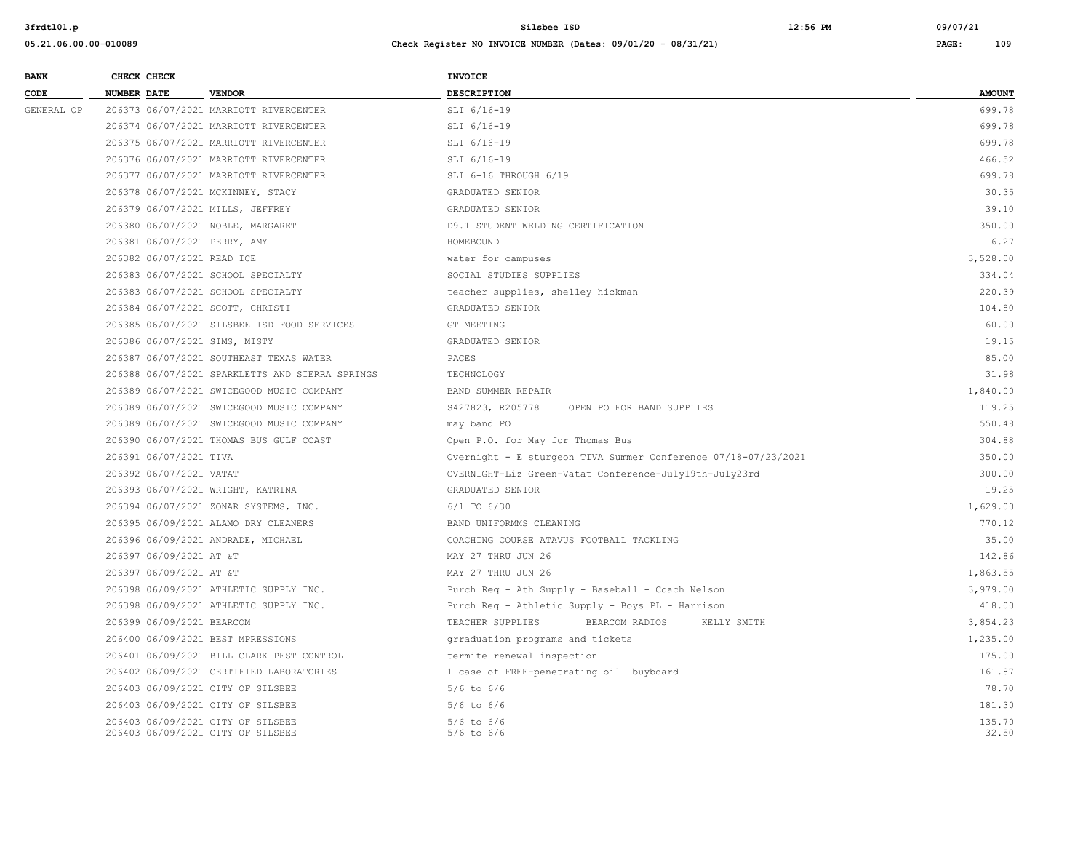| <b>BANK</b> | CHECK CHECK |                            |                                                                        | <b>INVOICE</b>                                                 |                 |
|-------------|-------------|----------------------------|------------------------------------------------------------------------|----------------------------------------------------------------|-----------------|
| CODE        | NUMBER DATE |                            | <b>VENDOR</b>                                                          | DESCRIPTION                                                    | <b>AMOUNT</b>   |
| GENERAL OP  |             |                            | 206373 06/07/2021 MARRIOTT RIVERCENTER                                 | SLI 6/16-19                                                    | 699.78          |
|             |             |                            | 206374 06/07/2021 MARRIOTT RIVERCENTER                                 | SLI 6/16-19                                                    | 699.78          |
|             |             |                            | 206375 06/07/2021 MARRIOTT RIVERCENTER                                 | SLI 6/16-19                                                    | 699.78          |
|             |             |                            | 206376 06/07/2021 MARRIOTT RIVERCENTER                                 | SLI 6/16-19                                                    | 466.52          |
|             |             |                            | 206377 06/07/2021 MARRIOTT RIVERCENTER                                 | SLI 6-16 THROUGH 6/19                                          | 699.78          |
|             |             |                            | 206378 06/07/2021 MCKINNEY, STACY                                      | GRADUATED SENIOR                                               | 30.35           |
|             |             |                            | 206379 06/07/2021 MILLS, JEFFREY                                       | GRADUATED SENIOR                                               | 39.10           |
|             |             |                            | 206380 06/07/2021 NOBLE, MARGARET                                      | D9.1 STUDENT WELDING CERTIFICATION                             | 350.00          |
|             |             |                            | 206381 06/07/2021 PERRY, AMY                                           | HOMEBOUND                                                      | 6.27            |
|             |             | 206382 06/07/2021 READ ICE |                                                                        | water for campuses                                             | 3,528.00        |
|             |             |                            | 206383 06/07/2021 SCHOOL SPECIALTY                                     | SOCIAL STUDIES SUPPLIES                                        | 334.04          |
|             |             |                            | 206383 06/07/2021 SCHOOL SPECIALTY                                     | teacher supplies, shelley hickman                              | 220.39          |
|             |             |                            | 206384 06/07/2021 SCOTT, CHRISTI                                       | GRADUATED SENIOR                                               | 104.80          |
|             |             |                            | 206385 06/07/2021 SILSBEE ISD FOOD SERVICES                            | GT MEETING                                                     | 60.00           |
|             |             |                            | 206386 06/07/2021 SIMS, MISTY                                          | GRADUATED SENIOR                                               | 19.15           |
|             |             |                            | 206387 06/07/2021 SOUTHEAST TEXAS WATER                                | PACES                                                          | 85.00           |
|             |             |                            | 206388 06/07/2021 SPARKLETTS AND SIERRA SPRINGS                        | TECHNOLOGY                                                     | 31.98           |
|             |             |                            | 206389 06/07/2021 SWICEGOOD MUSIC COMPANY                              | BAND SUMMER REPAIR                                             | 1,840.00        |
|             |             |                            | 206389 06/07/2021 SWICEGOOD MUSIC COMPANY                              | S427823, R205778<br>OPEN PO FOR BAND SUPPLIES                  | 119.25          |
|             |             |                            | 206389 06/07/2021 SWICEGOOD MUSIC COMPANY                              | may band PO                                                    | 550.48          |
|             |             |                            | 206390 06/07/2021 THOMAS BUS GULF COAST                                | Open P.O. for May for Thomas Bus                               | 304.88          |
|             |             | 206391 06/07/2021 TIVA     |                                                                        | Overnight - E sturgeon TIVA Summer Conference 07/18-07/23/2021 | 350.00          |
|             |             | 206392 06/07/2021 VATAT    |                                                                        | OVERNIGHT-Liz Green-Vatat Conference-July19th-July23rd         | 300.00          |
|             |             |                            | 206393 06/07/2021 WRIGHT, KATRINA                                      | GRADUATED SENIOR                                               | 19.25           |
|             |             |                            | 206394 06/07/2021 ZONAR SYSTEMS, INC.                                  | $6/1$ TO $6/30$                                                | 1,629.00        |
|             |             |                            | 206395 06/09/2021 ALAMO DRY CLEANERS                                   | BAND UNIFORMMS CLEANING                                        | 770.12          |
|             |             |                            | 206396 06/09/2021 ANDRADE, MICHAEL                                     | COACHING COURSE ATAVUS FOOTBALL TACKLING                       | 35.00           |
|             |             | 206397 06/09/2021 AT &T    |                                                                        | MAY 27 THRU JUN 26                                             | 142.86          |
|             |             | 206397 06/09/2021 AT &T    |                                                                        | MAY 27 THRU JUN 26                                             | 1,863.55        |
|             |             |                            | 206398 06/09/2021 ATHLETIC SUPPLY INC.                                 | Purch Req - Ath Supply - Baseball - Coach Nelson               | 3,979.00        |
|             |             |                            | 206398 06/09/2021 ATHLETIC SUPPLY INC.                                 | Purch Req - Athletic Supply - Boys PL - Harrison               | 418.00          |
|             |             | 206399 06/09/2021 BEARCOM  |                                                                        | TEACHER SUPPLIES<br>BEARCOM RADIOS<br>KELLY SMITH              | 3,854.23        |
|             |             |                            | 206400 06/09/2021 BEST MPRESSIONS                                      | grraduation programs and tickets                               | 1,235.00        |
|             |             |                            | 206401 06/09/2021 BILL CLARK PEST CONTROL                              | termite renewal inspection                                     | 175.00          |
|             |             |                            | 206402 06/09/2021 CERTIFIED LABORATORIES                               | 1 case of FREE-penetrating oil buyboard                        | 161.87          |
|             |             |                            | 206403 06/09/2021 CITY OF SILSBEE                                      | $5/6$ to $6/6$                                                 | 78.70           |
|             |             |                            | 206403 06/09/2021 CITY OF SILSBEE                                      | $5/6$ to $6/6$                                                 | 181.30          |
|             |             |                            | 206403 06/09/2021 CITY OF SILSBEE<br>206403 06/09/2021 CITY OF SILSBEE | $5/6$ to $6/6$<br>$5/6$ to $6/6$                               | 135.70<br>32.50 |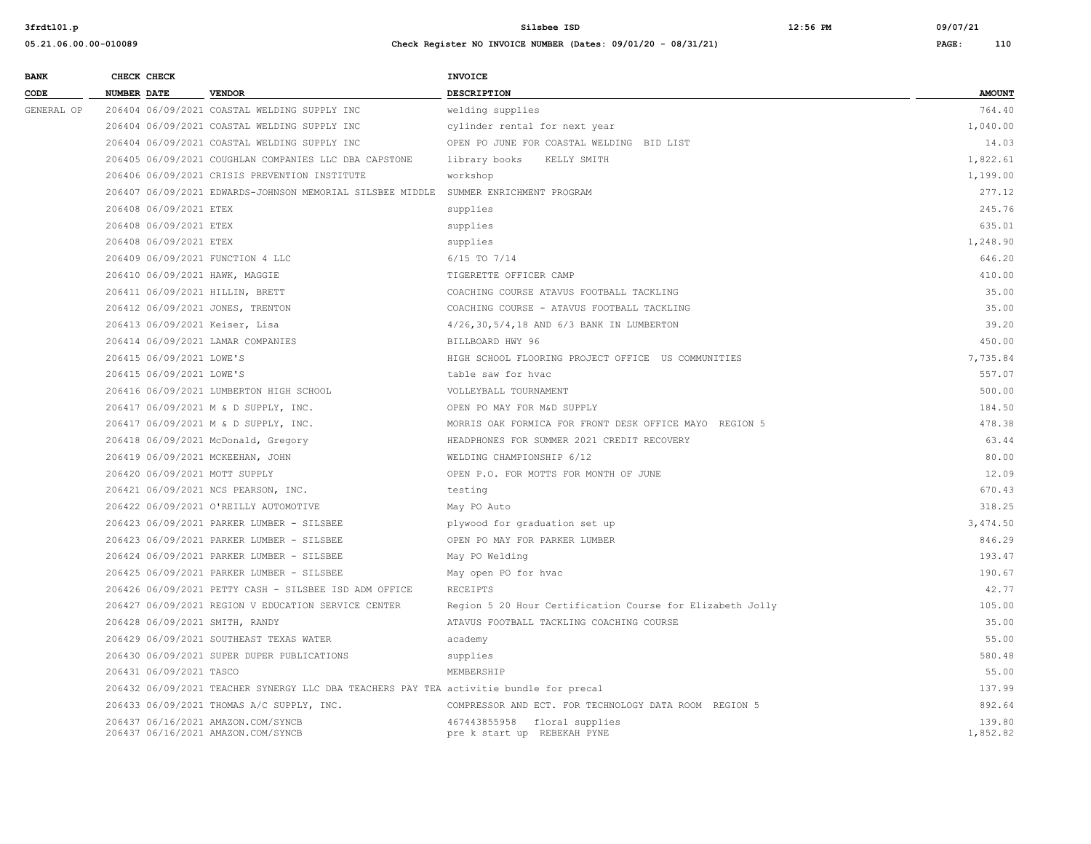| <b>BANK</b> | CHECK CHECK        |                          |                                                                                        | INVOICE                                                     |                    |
|-------------|--------------------|--------------------------|----------------------------------------------------------------------------------------|-------------------------------------------------------------|--------------------|
| CODE        | <b>NUMBER DATE</b> |                          | <b>VENDOR</b>                                                                          | DESCRIPTION                                                 | <b>AMOUNT</b>      |
| GENERAL OP  |                    |                          | 206404 06/09/2021 COASTAL WELDING SUPPLY INC                                           | welding supplies                                            | 764.40             |
|             |                    |                          | 206404 06/09/2021 COASTAL WELDING SUPPLY INC                                           | cylinder rental for next year                               | 1,040.00           |
|             |                    |                          | 206404 06/09/2021 COASTAL WELDING SUPPLY INC                                           | OPEN PO JUNE FOR COASTAL WELDING BID LIST                   | 14.03              |
|             |                    |                          | 206405 06/09/2021 COUGHLAN COMPANIES LLC DBA CAPSTONE                                  | library books KELLY SMITH                                   | 1,822.61           |
|             |                    |                          | 206406 06/09/2021 CRISIS PREVENTION INSTITUTE                                          | workshop                                                    | 1,199.00           |
|             |                    |                          | 206407 06/09/2021 EDWARDS-JOHNSON MEMORIAL SILSBEE MIDDLE SUMMER ENRICHMENT PROGRAM    |                                                             | 277.12             |
|             |                    | 206408 06/09/2021 ETEX   |                                                                                        | supplies                                                    | 245.76             |
|             |                    | 206408 06/09/2021 ETEX   |                                                                                        | supplies                                                    | 635.01             |
|             |                    | 206408 06/09/2021 ETEX   |                                                                                        | supplies                                                    | 1,248.90           |
|             |                    |                          | 206409 06/09/2021 FUNCTION 4 LLC                                                       | $6/15$ TO $7/14$                                            | 646.20             |
|             |                    |                          | 206410 06/09/2021 HAWK, MAGGIE                                                         | TIGERETTE OFFICER CAMP                                      | 410.00             |
|             |                    |                          | 206411 06/09/2021 HILLIN, BRETT                                                        | COACHING COURSE ATAVUS FOOTBALL TACKLING                    | 35.00              |
|             |                    |                          | 206412 06/09/2021 JONES, TRENTON                                                       | COACHING COURSE - ATAVUS FOOTBALL TACKLING                  | 35.00              |
|             |                    |                          | 206413 06/09/2021 Keiser, Lisa                                                         | 4/26,30,5/4,18 AND 6/3 BANK IN LUMBERTON                    | 39.20              |
|             |                    |                          | 206414 06/09/2021 LAMAR COMPANIES                                                      | BILLBOARD HWY 96                                            | 450.00             |
|             |                    | 206415 06/09/2021 LOWE'S |                                                                                        | HIGH SCHOOL FLOORING PROJECT OFFICE US COMMUNITIES          | 7,735.84           |
|             |                    | 206415 06/09/2021 LOWE'S |                                                                                        | table saw for hyac                                          | 557.07             |
|             |                    |                          | 206416 06/09/2021 LUMBERTON HIGH SCHOOL                                                | VOLLEYBALL TOURNAMENT                                       | 500.00             |
|             |                    |                          | 206417 06/09/2021 M & D SUPPLY, INC.                                                   | OPEN PO MAY FOR M&D SUPPLY                                  | 184.50             |
|             |                    |                          | 206417 06/09/2021 M & D SUPPLY, INC.                                                   | MORRIS OAK FORMICA FOR FRONT DESK OFFICE MAYO REGION 5      | 478.38             |
|             |                    |                          | 206418 06/09/2021 McDonald, Gregory                                                    | HEADPHONES FOR SUMMER 2021 CREDIT RECOVERY                  | 63.44              |
|             |                    |                          | 206419 06/09/2021 MCKEEHAN, JOHN                                                       | WELDING CHAMPIONSHIP 6/12                                   | 80.00              |
|             |                    |                          | 206420 06/09/2021 MOTT SUPPLY                                                          | OPEN P.O. FOR MOTTS FOR MONTH OF JUNE                       | 12.09              |
|             |                    |                          | 206421 06/09/2021 NCS PEARSON, INC.                                                    | testing                                                     | 670.43             |
|             |                    |                          | 206422 06/09/2021 O'REILLY AUTOMOTIVE                                                  | May PO Auto                                                 | 318.25             |
|             |                    |                          | 206423 06/09/2021 PARKER LUMBER - SILSBEE                                              | plywood for graduation set up                               | 3,474.50           |
|             |                    |                          | 206423 06/09/2021 PARKER LUMBER - SILSBEE                                              | OPEN PO MAY FOR PARKER LUMBER                               | 846.29             |
|             |                    |                          | 206424 06/09/2021 PARKER LUMBER - SILSBEE                                              | May PO Welding                                              | 193.47             |
|             |                    |                          | 206425 06/09/2021 PARKER LUMBER - SILSBEE                                              | May open PO for hvac                                        | 190.67             |
|             |                    |                          | 206426 06/09/2021 PETTY CASH - SILSBEE ISD ADM OFFICE                                  | RECEIPTS                                                    | 42.77              |
|             |                    |                          | 206427 06/09/2021 REGION V EDUCATION SERVICE CENTER                                    | Region 5 20 Hour Certification Course for Elizabeth Jolly   | 105.00             |
|             |                    |                          | 206428 06/09/2021 SMITH, RANDY                                                         | ATAVUS FOOTBALL TACKLING COACHING COURSE                    | 35.00              |
|             |                    |                          | 206429 06/09/2021 SOUTHEAST TEXAS WATER                                                | academy                                                     | 55.00              |
|             |                    |                          | 206430 06/09/2021 SUPER DUPER PUBLICATIONS                                             | supplies                                                    | 580.48             |
|             |                    | 206431 06/09/2021 TASCO  |                                                                                        | MEMBERSHIP                                                  | 55.00              |
|             |                    |                          | 206432 06/09/2021 TEACHER SYNERGY LLC DBA TEACHERS PAY TEA activitie bundle for precal |                                                             | 137.99             |
|             |                    |                          | 206433 06/09/2021 THOMAS A/C SUPPLY, INC.                                              | COMPRESSOR AND ECT. FOR TECHNOLOGY DATA ROOM REGION 5       | 892.64             |
|             |                    |                          | 206437 06/16/2021 AMAZON.COM/SYNCB<br>206437 06/16/2021 AMAZON.COM/SYNCB               | 467443855958 floral supplies<br>pre k start up REBEKAH PYNE | 139.80<br>1,852.82 |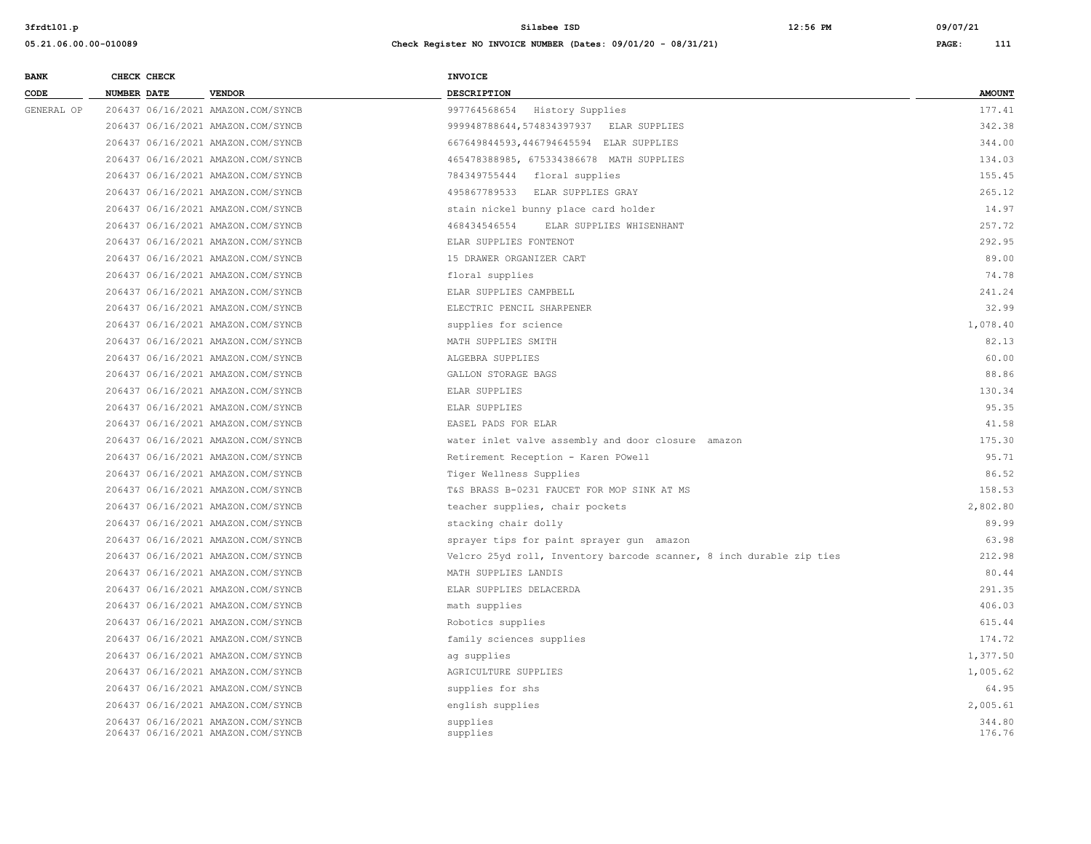| <b>BANK</b> | CHECK CHECK |                                    | <b>INVOICE</b>                                                       |               |
|-------------|-------------|------------------------------------|----------------------------------------------------------------------|---------------|
| CODE        | NUMBER DATE | <b>VENDOR</b>                      | <b>DESCRIPTION</b>                                                   | <b>AMOUNT</b> |
| GENERAL OP  |             | 206437 06/16/2021 AMAZON.COM/SYNCB | 997764568654 History Supplies                                        | 177.41        |
|             |             | 206437 06/16/2021 AMAZON.COM/SYNCB | 999948788644,574834397937 ELAR SUPPLIES                              | 342.38        |
|             |             | 206437 06/16/2021 AMAZON.COM/SYNCB | 667649844593,446794645594 ELAR SUPPLIES                              | 344.00        |
|             |             | 206437 06/16/2021 AMAZON.COM/SYNCB | 465478388985, 675334386678 MATH SUPPLIES                             | 134.03        |
|             |             | 206437 06/16/2021 AMAZON.COM/SYNCB | 784349755444 floral supplies                                         | 155.45        |
|             |             | 206437 06/16/2021 AMAZON.COM/SYNCB | 495867789533 ELAR SUPPLIES GRAY                                      | 265.12        |
|             |             | 206437 06/16/2021 AMAZON.COM/SYNCB | stain nickel bunny place card holder                                 | 14.97         |
|             |             | 206437 06/16/2021 AMAZON.COM/SYNCB | 468434546554<br>ELAR SUPPLIES WHISENHANT                             | 257.72        |
|             |             | 206437 06/16/2021 AMAZON.COM/SYNCB | ELAR SUPPLIES FONTENOT                                               | 292.95        |
|             |             | 206437 06/16/2021 AMAZON.COM/SYNCB | 15 DRAWER ORGANIZER CART                                             | 89.00         |
|             |             | 206437 06/16/2021 AMAZON.COM/SYNCB | floral supplies                                                      | 74.78         |
|             |             | 206437 06/16/2021 AMAZON.COM/SYNCB | ELAR SUPPLIES CAMPBELL                                               | 241.24        |
|             |             | 206437 06/16/2021 AMAZON.COM/SYNCB | ELECTRIC PENCIL SHARPENER                                            | 32.99         |
|             |             | 206437 06/16/2021 AMAZON.COM/SYNCB | supplies for science                                                 | 1,078.40      |
|             |             | 206437 06/16/2021 AMAZON.COM/SYNCB | MATH SUPPLIES SMITH                                                  | 82.13         |
|             |             | 206437 06/16/2021 AMAZON.COM/SYNCB | ALGEBRA SUPPLIES                                                     | 60.00         |
|             |             | 206437 06/16/2021 AMAZON.COM/SYNCB | GALLON STORAGE BAGS                                                  | 88.86         |
|             |             | 206437 06/16/2021 AMAZON.COM/SYNCB | ELAR SUPPLIES                                                        | 130.34        |
|             |             | 206437 06/16/2021 AMAZON.COM/SYNCB | ELAR SUPPLIES                                                        | 95.35         |
|             |             | 206437 06/16/2021 AMAZON.COM/SYNCB | EASEL PADS FOR ELAR                                                  | 41.58         |
|             |             | 206437 06/16/2021 AMAZON.COM/SYNCB | water inlet valve assembly and door closure amazon                   | 175.30        |
|             |             | 206437 06/16/2021 AMAZON.COM/SYNCB | Retirement Reception - Karen POwell                                  | 95.71         |
|             |             | 206437 06/16/2021 AMAZON.COM/SYNCB | Tiger Wellness Supplies                                              | 86.52         |
|             |             | 206437 06/16/2021 AMAZON.COM/SYNCB | T&S BRASS B-0231 FAUCET FOR MOP SINK AT MS                           | 158.53        |
|             |             | 206437 06/16/2021 AMAZON.COM/SYNCB | teacher supplies, chair pockets                                      | 2,802.80      |
|             |             | 206437 06/16/2021 AMAZON.COM/SYNCB | stacking chair dolly                                                 | 89.99         |
|             |             | 206437 06/16/2021 AMAZON.COM/SYNCB | sprayer tips for paint sprayer gun amazon                            | 63.98         |
|             |             | 206437 06/16/2021 AMAZON.COM/SYNCB | Velcro 25yd roll, Inventory barcode scanner, 8 inch durable zip ties | 212.98        |
|             |             | 206437 06/16/2021 AMAZON.COM/SYNCB | MATH SUPPLIES LANDIS                                                 | 80.44         |
|             |             | 206437 06/16/2021 AMAZON.COM/SYNCB | ELAR SUPPLIES DELACERDA                                              | 291.35        |
|             |             | 206437 06/16/2021 AMAZON.COM/SYNCB | math supplies                                                        | 406.03        |
|             |             | 206437 06/16/2021 AMAZON.COM/SYNCB | Robotics supplies                                                    | 615.44        |
|             |             | 206437 06/16/2021 AMAZON.COM/SYNCB | family sciences supplies                                             | 174.72        |
|             |             | 206437 06/16/2021 AMAZON.COM/SYNCB | ag supplies                                                          | 1,377.50      |
|             |             | 206437 06/16/2021 AMAZON.COM/SYNCB | AGRICULTURE SUPPLIES                                                 | 1,005.62      |
|             |             | 206437 06/16/2021 AMAZON.COM/SYNCB | supplies for shs                                                     | 64.95         |
|             |             | 206437 06/16/2021 AMAZON.COM/SYNCB | english supplies                                                     | 2,005.61      |
|             |             | 206437 06/16/2021 AMAZON.COM/SYNCB | supplies                                                             | 344.80        |
|             |             | 206437 06/16/2021 AMAZON.COM/SYNCB | supplies                                                             | 176.76        |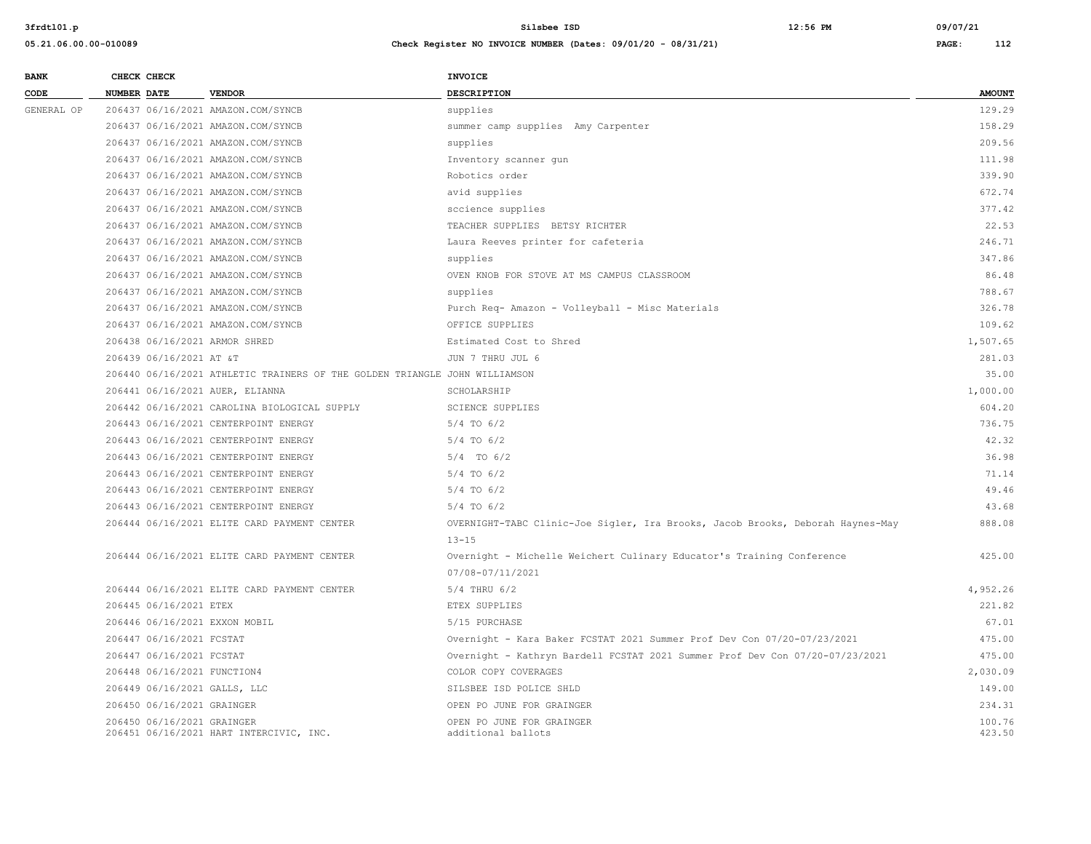| <b>BANK</b> |             | CHECK CHECK                 |                                                                            | INVOICE                                                                        |                  |
|-------------|-------------|-----------------------------|----------------------------------------------------------------------------|--------------------------------------------------------------------------------|------------------|
| CODE        | NUMBER DATE |                             | <b>VENDOR</b>                                                              | <b>DESCRIPTION</b>                                                             | <b>AMOUNT</b>    |
| GENERAL OP  |             |                             | 206437 06/16/2021 AMAZON.COM/SYNCB                                         | supplies                                                                       | 129.29           |
|             |             |                             | 206437 06/16/2021 AMAZON.COM/SYNCB                                         | summer camp supplies Amy Carpenter                                             | 158.29           |
|             |             |                             | 206437 06/16/2021 AMAZON.COM/SYNCB                                         | supplies                                                                       | 209.56           |
|             |             |                             | 206437 06/16/2021 AMAZON.COM/SYNCB                                         | Inventory scanner qun                                                          | 111.98           |
|             |             |                             | 206437 06/16/2021 AMAZON.COM/SYNCB                                         | Robotics order                                                                 | 339.90           |
|             |             |                             | 206437 06/16/2021 AMAZON.COM/SYNCB                                         | avid supplies                                                                  | 672.74           |
|             |             |                             | 206437 06/16/2021 AMAZON.COM/SYNCB                                         | sccience supplies                                                              | 377.42           |
|             |             |                             | 206437 06/16/2021 AMAZON.COM/SYNCB                                         | TEACHER SUPPLIES BETSY RICHTER                                                 | 22.53            |
|             |             |                             | 206437 06/16/2021 AMAZON.COM/SYNCB                                         | Laura Reeves printer for cafeteria                                             | 246.71           |
|             |             |                             | 206437 06/16/2021 AMAZON.COM/SYNCB                                         | supplies                                                                       | 347.86           |
|             |             |                             | 206437 06/16/2021 AMAZON.COM/SYNCB                                         | OVEN KNOB FOR STOVE AT MS CAMPUS CLASSROOM                                     | 86.48            |
|             |             |                             | 206437 06/16/2021 AMAZON.COM/SYNCB                                         | supplies                                                                       | 788.67           |
|             |             |                             | 206437 06/16/2021 AMAZON.COM/SYNCB                                         | Purch Req- Amazon - Volleyball - Misc Materials                                | 326.78           |
|             |             |                             | 206437 06/16/2021 AMAZON.COM/SYNCB                                         | OFFICE SUPPLIES                                                                | 109.62           |
|             |             |                             | 206438 06/16/2021 ARMOR SHRED                                              | Estimated Cost to Shred                                                        | 1,507.65         |
|             |             | 206439 06/16/2021 AT &T     |                                                                            | JUN 7 THRU JUL 6                                                               | 281.03           |
|             |             |                             | 206440 06/16/2021 ATHLETIC TRAINERS OF THE GOLDEN TRIANGLE JOHN WILLIAMSON |                                                                                | 35.00            |
|             |             |                             | 206441 06/16/2021 AUER, ELIANNA                                            | SCHOLARSHIP                                                                    | 1,000.00         |
|             |             |                             | 206442 06/16/2021 CAROLINA BIOLOGICAL SUPPLY                               | <b>SCIENCE SUPPLIES</b>                                                        | 604.20           |
|             |             |                             | 206443 06/16/2021 CENTERPOINT ENERGY                                       | $5/4$ TO $6/2$                                                                 | 736.75           |
|             |             |                             | 206443 06/16/2021 CENTERPOINT ENERGY                                       | $5/4$ TO $6/2$                                                                 | 42.32            |
|             |             |                             | 206443 06/16/2021 CENTERPOINT ENERGY                                       | $5/4$ TO $6/2$                                                                 | 36.98            |
|             |             |                             | 206443 06/16/2021 CENTERPOINT ENERGY                                       | $5/4$ TO $6/2$                                                                 | 71.14            |
|             |             |                             | 206443 06/16/2021 CENTERPOINT ENERGY                                       | $5/4$ TO $6/2$                                                                 | 49.46            |
|             |             |                             | 206443 06/16/2021 CENTERPOINT ENERGY                                       | $5/4$ TO $6/2$                                                                 | 43.68            |
|             |             |                             | 206444 06/16/2021 ELITE CARD PAYMENT CENTER                                | OVERNIGHT-TABC Clinic-Joe Sigler, Ira Brooks, Jacob Brooks, Deborah Haynes-May | 888.08           |
|             |             |                             |                                                                            | $13 - 15$                                                                      |                  |
|             |             |                             | 206444 06/16/2021 ELITE CARD PAYMENT CENTER                                | Overnight - Michelle Weichert Culinary Educator's Training Conference          | 425.00           |
|             |             |                             |                                                                            | 07/08-07/11/2021                                                               |                  |
|             |             |                             | 206444 06/16/2021 ELITE CARD PAYMENT CENTER                                | $5/4$ THRU $6/2$                                                               | 4,952.26         |
|             |             | 206445 06/16/2021 ETEX      |                                                                            | ETEX SUPPLIES                                                                  | 221.82           |
|             |             |                             | 206446 06/16/2021 EXXON MOBIL                                              | 5/15 PURCHASE                                                                  | 67.01            |
|             |             | 206447 06/16/2021 FCSTAT    |                                                                            | Overnight - Kara Baker FCSTAT 2021 Summer Prof Dev Con 07/20-07/23/2021        | 475.00           |
|             |             | 206447 06/16/2021 FCSTAT    |                                                                            | Overnight - Kathryn Bardell FCSTAT 2021 Summer Prof Dev Con 07/20-07/23/2021   | 475.00           |
|             |             | 206448 06/16/2021 FUNCTION4 |                                                                            | COLOR COPY COVERAGES                                                           | 2,030.09         |
|             |             |                             | 206449 06/16/2021 GALLS, LLC                                               | SILSBEE ISD POLICE SHLD                                                        | 149.00           |
|             |             | 206450 06/16/2021 GRAINGER  |                                                                            | OPEN PO JUNE FOR GRAINGER                                                      | 234.31           |
|             |             | 206450 06/16/2021 GRAINGER  | 206451 06/16/2021 HART INTERCIVIC, INC.                                    | OPEN PO JUNE FOR GRAINGER<br>additional ballots                                | 100.76<br>423.50 |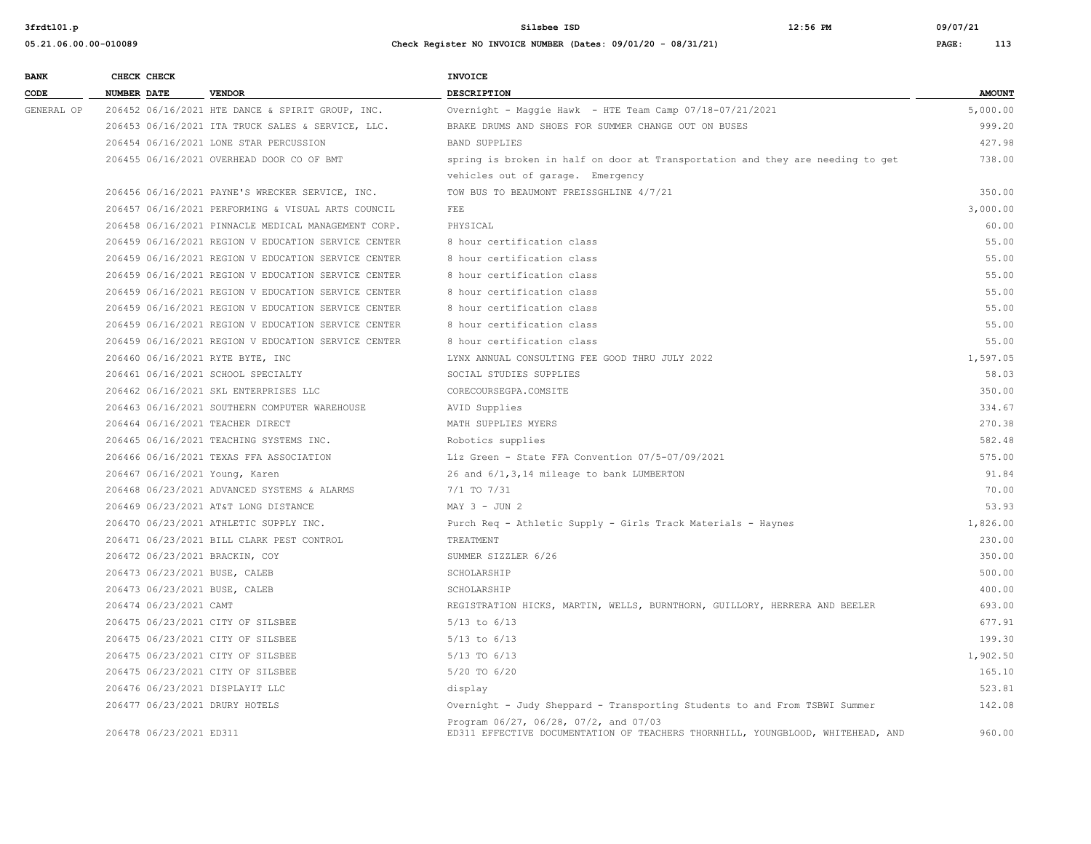| <b>BANK</b> | CHECK CHECK                       |                                                     | <b>INVOICE</b>                                                                                                           |               |
|-------------|-----------------------------------|-----------------------------------------------------|--------------------------------------------------------------------------------------------------------------------------|---------------|
| CODE        | <b>NUMBER DATE</b>                | <b>VENDOR</b>                                       | <b>DESCRIPTION</b>                                                                                                       | <b>AMOUNT</b> |
| GENERAL OP  |                                   | 206452 06/16/2021 HTE DANCE & SPIRIT GROUP, INC.    | Overnight - Maggie Hawk - HTE Team Camp 07/18-07/21/2021                                                                 | 5,000.00      |
|             |                                   | 206453 06/16/2021 ITA TRUCK SALES & SERVICE, LLC.   | BRAKE DRUMS AND SHOES FOR SUMMER CHANGE OUT ON BUSES                                                                     | 999.20        |
|             |                                   | 206454 06/16/2021 LONE STAR PERCUSSION              | <b>BAND SUPPLIES</b>                                                                                                     | 427.98        |
|             |                                   | 206455 06/16/2021 OVERHEAD DOOR CO OF BMT           | spring is broken in half on door at Transportation and they are needing to get                                           | 738.00        |
|             |                                   |                                                     | vehicles out of garage. Emergency                                                                                        |               |
|             |                                   | 206456 06/16/2021 PAYNE'S WRECKER SERVICE, INC.     | TOW BUS TO BEAUMONT FREISSGHLINE 4/7/21                                                                                  | 350.00        |
|             |                                   | 206457 06/16/2021 PERFORMING & VISUAL ARTS COUNCIL  | <b>FEE</b>                                                                                                               | 3,000.00      |
|             |                                   | 206458 06/16/2021 PINNACLE MEDICAL MANAGEMENT CORP. | PHYSICAL                                                                                                                 | 60.00         |
|             |                                   | 206459 06/16/2021 REGION V EDUCATION SERVICE CENTER | 8 hour certification class                                                                                               | 55.00         |
|             |                                   | 206459 06/16/2021 REGION V EDUCATION SERVICE CENTER | 8 hour certification class                                                                                               | 55.00         |
|             |                                   | 206459 06/16/2021 REGION V EDUCATION SERVICE CENTER | 8 hour certification class                                                                                               | 55.00         |
|             |                                   | 206459 06/16/2021 REGION V EDUCATION SERVICE CENTER | 8 hour certification class                                                                                               | 55.00         |
|             |                                   | 206459 06/16/2021 REGION V EDUCATION SERVICE CENTER | 8 hour certification class                                                                                               | 55.00         |
|             |                                   | 206459 06/16/2021 REGION V EDUCATION SERVICE CENTER | 8 hour certification class                                                                                               | 55.00         |
|             |                                   | 206459 06/16/2021 REGION V EDUCATION SERVICE CENTER | 8 hour certification class                                                                                               | 55.00         |
|             | 206460 06/16/2021 RYTE BYTE, INC  |                                                     | LYNX ANNUAL CONSULTING FEE GOOD THRU JULY 2022                                                                           | 1,597.05      |
|             |                                   | 206461 06/16/2021 SCHOOL SPECIALTY                  | SOCIAL STUDIES SUPPLIES                                                                                                  | 58.03         |
|             |                                   | 206462 06/16/2021 SKL ENTERPRISES LLC               | CORECOURSEGPA.COMSITE                                                                                                    | 350.00        |
|             |                                   | 206463 06/16/2021 SOUTHERN COMPUTER WAREHOUSE       | AVID Supplies                                                                                                            | 334.67        |
|             | 206464 06/16/2021 TEACHER DIRECT  |                                                     | MATH SUPPLIES MYERS                                                                                                      | 270.38        |
|             |                                   | 206465 06/16/2021 TEACHING SYSTEMS INC.             | Robotics supplies                                                                                                        | 582.48        |
|             |                                   | 206466 06/16/2021 TEXAS FFA ASSOCIATION             | Liz Green - State FFA Convention 07/5-07/09/2021                                                                         | 575.00        |
|             | 206467 06/16/2021 Young, Karen    |                                                     | 26 and 6/1, 3, 14 mileage to bank LUMBERTON                                                                              | 91.84         |
|             |                                   | 206468 06/23/2021 ADVANCED SYSTEMS & ALARMS         | 7/1 TO 7/31                                                                                                              | 70.00         |
|             |                                   | 206469 06/23/2021 AT&T LONG DISTANCE                | $MAX 3 - JUN 2$                                                                                                          | 53.93         |
|             |                                   | 206470 06/23/2021 ATHLETIC SUPPLY INC.              | Purch Req - Athletic Supply - Girls Track Materials - Haynes                                                             | 1,826.00      |
|             |                                   | 206471 06/23/2021 BILL CLARK PEST CONTROL           | TREATMENT                                                                                                                | 230.00        |
|             | 206472 06/23/2021 BRACKIN, COY    |                                                     | SUMMER SIZZLER 6/26                                                                                                      | 350.00        |
|             | 206473 06/23/2021 BUSE, CALEB     |                                                     | SCHOLARSHIP                                                                                                              | 500.00        |
|             | 206473 06/23/2021 BUSE, CALEB     |                                                     | SCHOLARSHIP                                                                                                              | 400.00        |
|             | 206474 06/23/2021 CAMT            |                                                     | REGISTRATION HICKS, MARTIN, WELLS, BURNTHORN, GUILLORY, HERRERA AND BEELER                                               | 693.00        |
|             | 206475 06/23/2021 CITY OF SILSBEE |                                                     | $5/13$ to $6/13$                                                                                                         | 677.91        |
|             | 206475 06/23/2021 CITY OF SILSBEE |                                                     | $5/13$ to $6/13$                                                                                                         | 199.30        |
|             | 206475 06/23/2021 CITY OF SILSBEE |                                                     | 5/13 TO 6/13                                                                                                             | 1,902.50      |
|             | 206475 06/23/2021 CITY OF SILSBEE |                                                     | 5/20 TO 6/20                                                                                                             | 165.10        |
|             | 206476 06/23/2021 DISPLAYIT LLC   |                                                     | display                                                                                                                  | 523.81        |
|             | 206477 06/23/2021 DRURY HOTELS    |                                                     | Overnight - Judy Sheppard - Transporting Students to and From TSBWI Summer                                               | 142.08        |
|             | 206478 06/23/2021 ED311           |                                                     | Program 06/27, 06/28, 07/2, and 07/03<br>ED311 EFFECTIVE DOCUMENTATION OF TEACHERS THORNHILL, YOUNGBLOOD, WHITEHEAD, AND | 960.00        |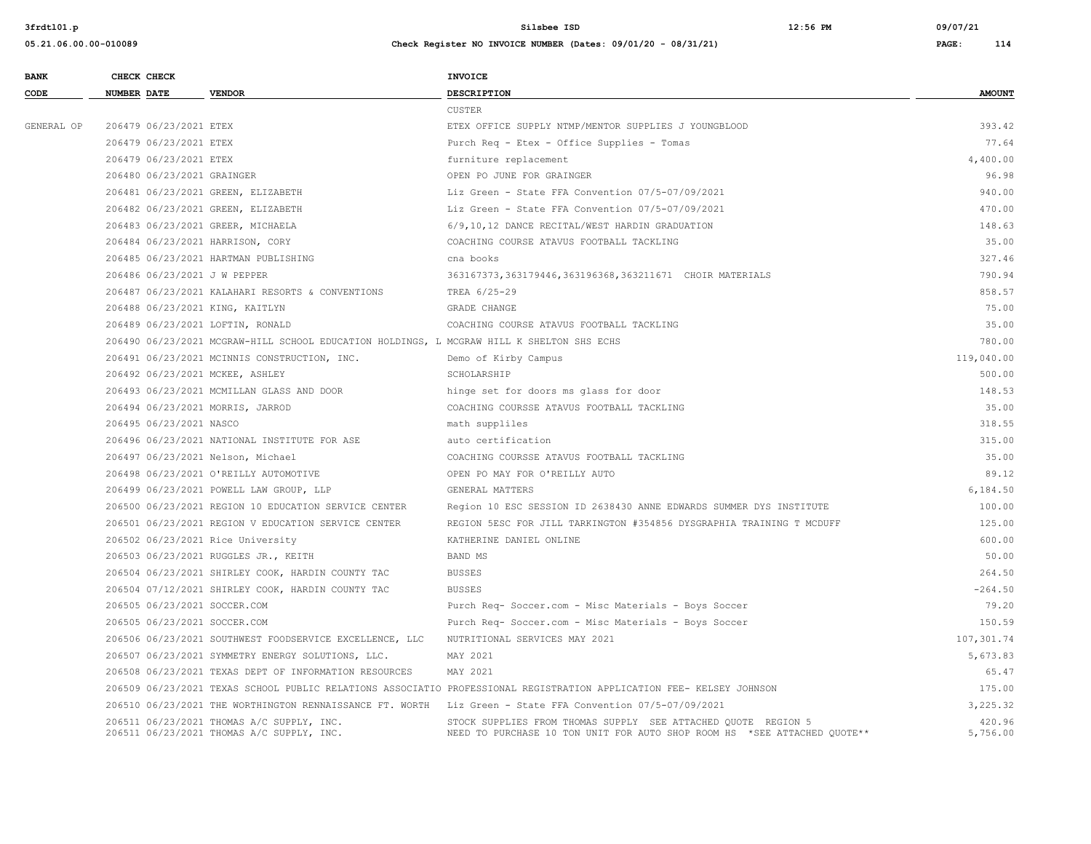| <b>BANK</b> |                    | CHECK CHECK                |                                                                                           | INVOICE                                                                                                                                   |                    |
|-------------|--------------------|----------------------------|-------------------------------------------------------------------------------------------|-------------------------------------------------------------------------------------------------------------------------------------------|--------------------|
| CODE        | <b>NUMBER DATE</b> |                            | <b>VENDOR</b>                                                                             | <b>DESCRIPTION</b>                                                                                                                        | <b>AMOUNT</b>      |
|             |                    |                            |                                                                                           | <b>CUSTER</b>                                                                                                                             |                    |
| GENERAL OP  |                    | 206479 06/23/2021 ETEX     |                                                                                           | ETEX OFFICE SUPPLY NTMP/MENTOR SUPPLIES J YOUNGBLOOD                                                                                      | 393.42             |
|             |                    | 206479 06/23/2021 ETEX     |                                                                                           | Purch Req - Etex - Office Supplies - Tomas                                                                                                | 77.64              |
|             |                    | 206479 06/23/2021 ETEX     |                                                                                           | furniture replacement                                                                                                                     | 4,400.00           |
|             |                    | 206480 06/23/2021 GRAINGER |                                                                                           | OPEN PO JUNE FOR GRAINGER                                                                                                                 | 96.98              |
|             |                    |                            | 206481 06/23/2021 GREEN, ELIZABETH                                                        | Liz Green - State FFA Convention 07/5-07/09/2021                                                                                          | 940.00             |
|             |                    |                            | 206482 06/23/2021 GREEN, ELIZABETH                                                        | Liz Green - State FFA Convention 07/5-07/09/2021                                                                                          | 470.00             |
|             |                    |                            | 206483 06/23/2021 GREER, MICHAELA                                                         | 6/9,10,12 DANCE RECITAL/WEST HARDIN GRADUATION                                                                                            | 148.63             |
|             |                    |                            | 206484 06/23/2021 HARRISON, CORY                                                          | COACHING COURSE ATAVUS FOOTBALL TACKLING                                                                                                  | 35.00              |
|             |                    |                            | 206485 06/23/2021 HARTMAN PUBLISHING                                                      | cna books                                                                                                                                 | 327.46             |
|             |                    |                            | 206486 06/23/2021 J W PEPPER                                                              | 363167373, 363179446, 363196368, 363211671 CHOIR MATERIALS                                                                                | 790.94             |
|             |                    |                            | 206487 06/23/2021 KALAHARI RESORTS & CONVENTIONS                                          | TREA 6/25-29                                                                                                                              | 858.57             |
|             |                    |                            | 206488 06/23/2021 KING, KAITLYN                                                           | GRADE CHANGE                                                                                                                              | 75.00              |
|             |                    |                            | 206489 06/23/2021 LOFTIN, RONALD                                                          | COACHING COURSE ATAVUS FOOTBALL TACKLING                                                                                                  | 35.00              |
|             |                    |                            | 206490 06/23/2021 MCGRAW-HILL SCHOOL EDUCATION HOLDINGS, L MCGRAW HILL K SHELTON SHS ECHS |                                                                                                                                           | 780.00             |
|             |                    |                            | 206491 06/23/2021 MCINNIS CONSTRUCTION, INC.                                              | Demo of Kirby Campus                                                                                                                      | 119,040.00         |
|             |                    |                            | 206492 06/23/2021 MCKEE, ASHLEY                                                           | SCHOLARSHIP                                                                                                                               | 500.00             |
|             |                    |                            | 206493 06/23/2021 MCMILLAN GLASS AND DOOR                                                 | hinge set for doors ms glass for door                                                                                                     | 148.53             |
|             |                    |                            | 206494 06/23/2021 MORRIS, JARROD                                                          | COACHING COURSSE ATAVUS FOOTBALL TACKLING                                                                                                 | 35.00              |
|             |                    | 206495 06/23/2021 NASCO    |                                                                                           | math suppliles                                                                                                                            | 318.55             |
|             |                    |                            | 206496 06/23/2021 NATIONAL INSTITUTE FOR ASE                                              | auto certification                                                                                                                        | 315.00             |
|             |                    |                            | 206497 06/23/2021 Nelson, Michael                                                         | COACHING COURSSE ATAVUS FOOTBALL TACKLING                                                                                                 | 35.00              |
|             |                    |                            | 206498 06/23/2021 O'REILLY AUTOMOTIVE                                                     | OPEN PO MAY FOR O'REILLY AUTO                                                                                                             | 89.12              |
|             |                    |                            | 206499 06/23/2021 POWELL LAW GROUP, LLP                                                   | GENERAL MATTERS                                                                                                                           | 6,184.50           |
|             |                    |                            | 206500 06/23/2021 REGION 10 EDUCATION SERVICE CENTER                                      | Region 10 ESC SESSION ID 2638430 ANNE EDWARDS SUMMER DYS INSTITUTE                                                                        | 100.00             |
|             |                    |                            | 206501 06/23/2021 REGION V EDUCATION SERVICE CENTER                                       | REGION 5ESC FOR JILL TARKINGTON #354856 DYSGRAPHIA TRAINING T MCDUFF                                                                      | 125.00             |
|             |                    |                            | 206502 06/23/2021 Rice University                                                         | KATHERINE DANIEL ONLINE                                                                                                                   | 600.00             |
|             |                    |                            | 206503 06/23/2021 RUGGLES JR., KEITH                                                      | <b>BAND MS</b>                                                                                                                            | 50.00              |
|             |                    |                            | 206504 06/23/2021 SHIRLEY COOK, HARDIN COUNTY TAC                                         | <b>BUSSES</b>                                                                                                                             | 264.50             |
|             |                    |                            | 206504 07/12/2021 SHIRLEY COOK, HARDIN COUNTY TAC                                         | <b>BUSSES</b>                                                                                                                             | $-264.50$          |
|             |                    |                            | 206505 06/23/2021 SOCCER.COM                                                              | Purch Req- Soccer.com - Misc Materials - Boys Soccer                                                                                      | 79.20              |
|             |                    |                            | 206505 06/23/2021 SOCCER.COM                                                              | Purch Req- Soccer.com - Misc Materials - Boys Soccer                                                                                      | 150.59             |
|             |                    |                            | 206506 06/23/2021 SOUTHWEST FOODSERVICE EXCELLENCE, LLC                                   | NUTRITIONAL SERVICES MAY 2021                                                                                                             | 107,301.74         |
|             |                    |                            | 206507 06/23/2021 SYMMETRY ENERGY SOLUTIONS, LLC.                                         | MAY 2021                                                                                                                                  | 5,673.83           |
|             |                    |                            | 206508 06/23/2021 TEXAS DEPT OF INFORMATION RESOURCES                                     | MAY 2021                                                                                                                                  | 65.47              |
|             |                    |                            |                                                                                           | 206509 06/23/2021 TEXAS SCHOOL PUBLIC RELATIONS ASSOCIATIO PROFESSIONAL REGISTRATION APPLICATION FEE- KELSEY JOHNSON                      | 175.00             |
|             |                    |                            |                                                                                           | 206510 06/23/2021 THE WORTHINGTON RENNAISSANCE FT. WORTH Liz Green - State FFA Convention 07/5-07/09/2021                                 | 3,225.32           |
|             |                    |                            | 206511 06/23/2021 THOMAS A/C SUPPLY, INC.<br>206511 06/23/2021 THOMAS A/C SUPPLY, INC.    | STOCK SUPPLIES FROM THOMAS SUPPLY SEE ATTACHED QUOTE REGION 5<br>NEED TO PURCHASE 10 TON UNIT FOR AUTO SHOP ROOM HS *SEE ATTACHED QUOTE** | 420.96<br>5,756.00 |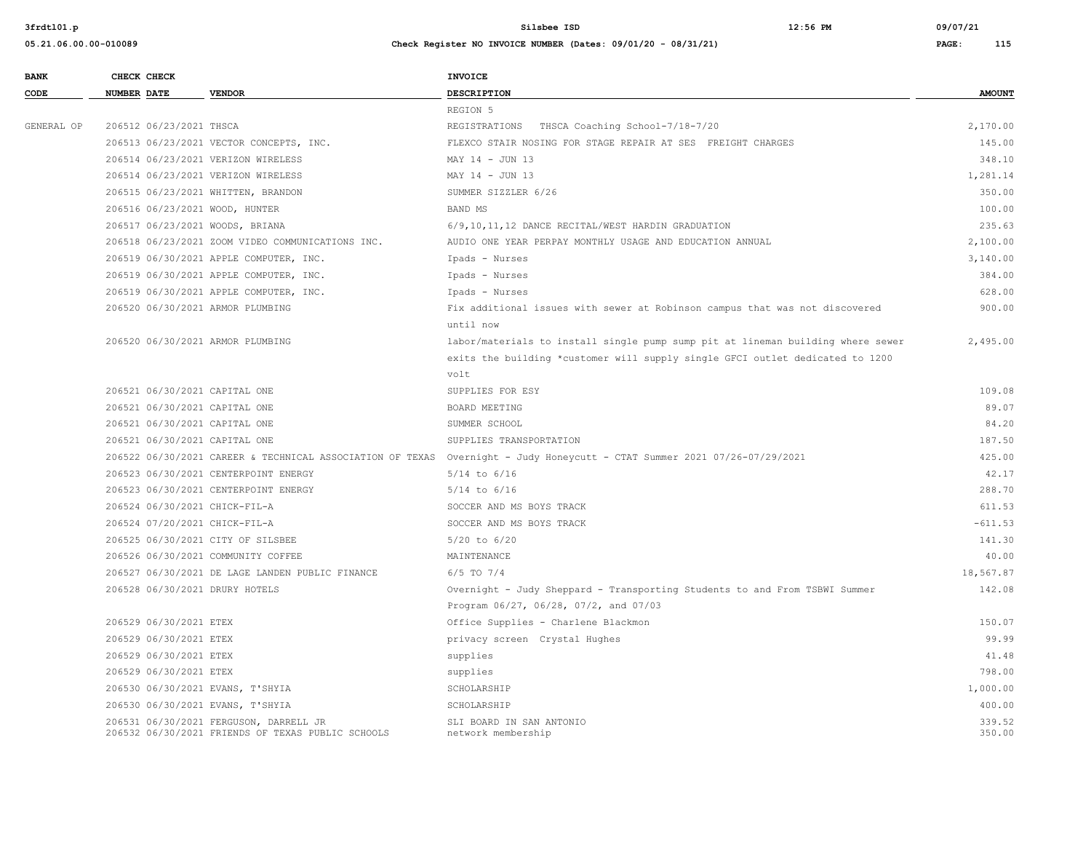|  |                            | <b>INVOICE</b>                                                                                                                                                                                                                                                                                                                                                                                                                                                                                                                                                                                                                                                                                                                                                                                                                                                                                                                                                                                                                                                                                                                                                                                                                                           |                                                                                                                          |
|--|----------------------------|----------------------------------------------------------------------------------------------------------------------------------------------------------------------------------------------------------------------------------------------------------------------------------------------------------------------------------------------------------------------------------------------------------------------------------------------------------------------------------------------------------------------------------------------------------------------------------------------------------------------------------------------------------------------------------------------------------------------------------------------------------------------------------------------------------------------------------------------------------------------------------------------------------------------------------------------------------------------------------------------------------------------------------------------------------------------------------------------------------------------------------------------------------------------------------------------------------------------------------------------------------|--------------------------------------------------------------------------------------------------------------------------|
|  | <b>VENDOR</b>              | <b>DESCRIPTION</b>                                                                                                                                                                                                                                                                                                                                                                                                                                                                                                                                                                                                                                                                                                                                                                                                                                                                                                                                                                                                                                                                                                                                                                                                                                       | <b>AMOUNT</b>                                                                                                            |
|  |                            | REGION 5                                                                                                                                                                                                                                                                                                                                                                                                                                                                                                                                                                                                                                                                                                                                                                                                                                                                                                                                                                                                                                                                                                                                                                                                                                                 |                                                                                                                          |
|  |                            | REGISTRATIONS THSCA Coaching School-7/18-7/20                                                                                                                                                                                                                                                                                                                                                                                                                                                                                                                                                                                                                                                                                                                                                                                                                                                                                                                                                                                                                                                                                                                                                                                                            | 2,170.00                                                                                                                 |
|  |                            | FLEXCO STAIR NOSING FOR STAGE REPAIR AT SES FREIGHT CHARGES                                                                                                                                                                                                                                                                                                                                                                                                                                                                                                                                                                                                                                                                                                                                                                                                                                                                                                                                                                                                                                                                                                                                                                                              | 145.00                                                                                                                   |
|  |                            | MAY 14 - JUN 13                                                                                                                                                                                                                                                                                                                                                                                                                                                                                                                                                                                                                                                                                                                                                                                                                                                                                                                                                                                                                                                                                                                                                                                                                                          | 348.10                                                                                                                   |
|  |                            | MAY 14 - JUN 13                                                                                                                                                                                                                                                                                                                                                                                                                                                                                                                                                                                                                                                                                                                                                                                                                                                                                                                                                                                                                                                                                                                                                                                                                                          | 1,281.14                                                                                                                 |
|  |                            | SUMMER SIZZLER 6/26                                                                                                                                                                                                                                                                                                                                                                                                                                                                                                                                                                                                                                                                                                                                                                                                                                                                                                                                                                                                                                                                                                                                                                                                                                      | 350.00                                                                                                                   |
|  |                            | <b>BAND MS</b>                                                                                                                                                                                                                                                                                                                                                                                                                                                                                                                                                                                                                                                                                                                                                                                                                                                                                                                                                                                                                                                                                                                                                                                                                                           | 100.00                                                                                                                   |
|  |                            | 6/9,10,11,12 DANCE RECITAL/WEST HARDIN GRADUATION                                                                                                                                                                                                                                                                                                                                                                                                                                                                                                                                                                                                                                                                                                                                                                                                                                                                                                                                                                                                                                                                                                                                                                                                        | 235.63                                                                                                                   |
|  |                            | AUDIO ONE YEAR PERPAY MONTHLY USAGE AND EDUCATION ANNUAL                                                                                                                                                                                                                                                                                                                                                                                                                                                                                                                                                                                                                                                                                                                                                                                                                                                                                                                                                                                                                                                                                                                                                                                                 | 2,100.00                                                                                                                 |
|  |                            | Ipads - Nurses                                                                                                                                                                                                                                                                                                                                                                                                                                                                                                                                                                                                                                                                                                                                                                                                                                                                                                                                                                                                                                                                                                                                                                                                                                           | 3,140.00                                                                                                                 |
|  |                            | Ipads - Nurses                                                                                                                                                                                                                                                                                                                                                                                                                                                                                                                                                                                                                                                                                                                                                                                                                                                                                                                                                                                                                                                                                                                                                                                                                                           | 384.00                                                                                                                   |
|  |                            | Ipads - Nurses                                                                                                                                                                                                                                                                                                                                                                                                                                                                                                                                                                                                                                                                                                                                                                                                                                                                                                                                                                                                                                                                                                                                                                                                                                           | 628.00                                                                                                                   |
|  |                            | Fix additional issues with sewer at Robinson campus that was not discovered                                                                                                                                                                                                                                                                                                                                                                                                                                                                                                                                                                                                                                                                                                                                                                                                                                                                                                                                                                                                                                                                                                                                                                              | 900.00                                                                                                                   |
|  |                            | until now                                                                                                                                                                                                                                                                                                                                                                                                                                                                                                                                                                                                                                                                                                                                                                                                                                                                                                                                                                                                                                                                                                                                                                                                                                                |                                                                                                                          |
|  |                            | labor/materials to install single pump sump pit at lineman building where sewer                                                                                                                                                                                                                                                                                                                                                                                                                                                                                                                                                                                                                                                                                                                                                                                                                                                                                                                                                                                                                                                                                                                                                                          | 2,495.00                                                                                                                 |
|  |                            | exits the building *customer will supply single GFCI outlet dedicated to 1200                                                                                                                                                                                                                                                                                                                                                                                                                                                                                                                                                                                                                                                                                                                                                                                                                                                                                                                                                                                                                                                                                                                                                                            |                                                                                                                          |
|  |                            | volt                                                                                                                                                                                                                                                                                                                                                                                                                                                                                                                                                                                                                                                                                                                                                                                                                                                                                                                                                                                                                                                                                                                                                                                                                                                     |                                                                                                                          |
|  |                            | SUPPLIES FOR ESY                                                                                                                                                                                                                                                                                                                                                                                                                                                                                                                                                                                                                                                                                                                                                                                                                                                                                                                                                                                                                                                                                                                                                                                                                                         | 109.08                                                                                                                   |
|  |                            | BOARD MEETING                                                                                                                                                                                                                                                                                                                                                                                                                                                                                                                                                                                                                                                                                                                                                                                                                                                                                                                                                                                                                                                                                                                                                                                                                                            | 89.07                                                                                                                    |
|  |                            | SUMMER SCHOOL                                                                                                                                                                                                                                                                                                                                                                                                                                                                                                                                                                                                                                                                                                                                                                                                                                                                                                                                                                                                                                                                                                                                                                                                                                            | 84.20                                                                                                                    |
|  |                            | SUPPLIES TRANSPORTATION                                                                                                                                                                                                                                                                                                                                                                                                                                                                                                                                                                                                                                                                                                                                                                                                                                                                                                                                                                                                                                                                                                                                                                                                                                  | 187.50                                                                                                                   |
|  |                            |                                                                                                                                                                                                                                                                                                                                                                                                                                                                                                                                                                                                                                                                                                                                                                                                                                                                                                                                                                                                                                                                                                                                                                                                                                                          | 425.00                                                                                                                   |
|  |                            | $5/14$ to $6/16$                                                                                                                                                                                                                                                                                                                                                                                                                                                                                                                                                                                                                                                                                                                                                                                                                                                                                                                                                                                                                                                                                                                                                                                                                                         | 42.17                                                                                                                    |
|  |                            | $5/14$ to $6/16$                                                                                                                                                                                                                                                                                                                                                                                                                                                                                                                                                                                                                                                                                                                                                                                                                                                                                                                                                                                                                                                                                                                                                                                                                                         | 288.70                                                                                                                   |
|  |                            | SOCCER AND MS BOYS TRACK                                                                                                                                                                                                                                                                                                                                                                                                                                                                                                                                                                                                                                                                                                                                                                                                                                                                                                                                                                                                                                                                                                                                                                                                                                 | 611.53                                                                                                                   |
|  |                            | SOCCER AND MS BOYS TRACK                                                                                                                                                                                                                                                                                                                                                                                                                                                                                                                                                                                                                                                                                                                                                                                                                                                                                                                                                                                                                                                                                                                                                                                                                                 | $-611.53$                                                                                                                |
|  |                            | $5/20$ to $6/20$                                                                                                                                                                                                                                                                                                                                                                                                                                                                                                                                                                                                                                                                                                                                                                                                                                                                                                                                                                                                                                                                                                                                                                                                                                         | 141.30                                                                                                                   |
|  |                            | MAINTENANCE                                                                                                                                                                                                                                                                                                                                                                                                                                                                                                                                                                                                                                                                                                                                                                                                                                                                                                                                                                                                                                                                                                                                                                                                                                              | 40.00                                                                                                                    |
|  |                            | $6/5$ TO $7/4$                                                                                                                                                                                                                                                                                                                                                                                                                                                                                                                                                                                                                                                                                                                                                                                                                                                                                                                                                                                                                                                                                                                                                                                                                                           | 18,567.87                                                                                                                |
|  |                            | Overnight - Judy Sheppard - Transporting Students to and From TSBWI Summer                                                                                                                                                                                                                                                                                                                                                                                                                                                                                                                                                                                                                                                                                                                                                                                                                                                                                                                                                                                                                                                                                                                                                                               | 142.08                                                                                                                   |
|  |                            | Program 06/27, 06/28, 07/2, and 07/03                                                                                                                                                                                                                                                                                                                                                                                                                                                                                                                                                                                                                                                                                                                                                                                                                                                                                                                                                                                                                                                                                                                                                                                                                    |                                                                                                                          |
|  |                            | Office Supplies - Charlene Blackmon                                                                                                                                                                                                                                                                                                                                                                                                                                                                                                                                                                                                                                                                                                                                                                                                                                                                                                                                                                                                                                                                                                                                                                                                                      | 150.07                                                                                                                   |
|  |                            | privacy screen Crystal Hughes                                                                                                                                                                                                                                                                                                                                                                                                                                                                                                                                                                                                                                                                                                                                                                                                                                                                                                                                                                                                                                                                                                                                                                                                                            | 99.99                                                                                                                    |
|  |                            | supplies                                                                                                                                                                                                                                                                                                                                                                                                                                                                                                                                                                                                                                                                                                                                                                                                                                                                                                                                                                                                                                                                                                                                                                                                                                                 | 41.48                                                                                                                    |
|  |                            | supplies                                                                                                                                                                                                                                                                                                                                                                                                                                                                                                                                                                                                                                                                                                                                                                                                                                                                                                                                                                                                                                                                                                                                                                                                                                                 | 798.00                                                                                                                   |
|  |                            | SCHOLARSHIP                                                                                                                                                                                                                                                                                                                                                                                                                                                                                                                                                                                                                                                                                                                                                                                                                                                                                                                                                                                                                                                                                                                                                                                                                                              | 1,000.00                                                                                                                 |
|  |                            | SCHOLARSHIP                                                                                                                                                                                                                                                                                                                                                                                                                                                                                                                                                                                                                                                                                                                                                                                                                                                                                                                                                                                                                                                                                                                                                                                                                                              | 400.00                                                                                                                   |
|  |                            | SLI BOARD IN SAN ANTONIO<br>network membership                                                                                                                                                                                                                                                                                                                                                                                                                                                                                                                                                                                                                                                                                                                                                                                                                                                                                                                                                                                                                                                                                                                                                                                                           | 339.52<br>350.00                                                                                                         |
|  | CHECK CHECK<br>NUMBER DATE | 206512 06/23/2021 THSCA<br>206513 06/23/2021 VECTOR CONCEPTS, INC.<br>206514 06/23/2021 VERIZON WIRELESS<br>206514 06/23/2021 VERIZON WIRELESS<br>206515 06/23/2021 WHITTEN, BRANDON<br>206516 06/23/2021 WOOD, HUNTER<br>206517 06/23/2021 WOODS, BRIANA<br>206518 06/23/2021 ZOOM VIDEO COMMUNICATIONS INC.<br>206519 06/30/2021 APPLE COMPUTER, INC.<br>206519 06/30/2021 APPLE COMPUTER, INC.<br>206519 06/30/2021 APPLE COMPUTER, INC.<br>206520 06/30/2021 ARMOR PLUMBING<br>206520 06/30/2021 ARMOR PLUMBING<br>206521 06/30/2021 CAPITAL ONE<br>206521 06/30/2021 CAPITAL ONE<br>206521 06/30/2021 CAPITAL ONE<br>206521 06/30/2021 CAPITAL ONE<br>206523 06/30/2021 CENTERPOINT ENERGY<br>206523 06/30/2021 CENTERPOINT ENERGY<br>206524 06/30/2021 CHICK-FIL-A<br>206524 07/20/2021 CHICK-FIL-A<br>206525 06/30/2021 CITY OF SILSBEE<br>206526 06/30/2021 COMMUNITY COFFEE<br>206527 06/30/2021 DE LAGE LANDEN PUBLIC FINANCE<br>206528 06/30/2021 DRURY HOTELS<br>206529 06/30/2021 ETEX<br>206529 06/30/2021 ETEX<br>206529 06/30/2021 ETEX<br>206529 06/30/2021 ETEX<br>206530 06/30/2021 EVANS, T'SHYIA<br>206530 06/30/2021 EVANS, T'SHYIA<br>206531 06/30/2021 FERGUSON, DARRELL JR<br>206532 06/30/2021 FRIENDS OF TEXAS PUBLIC SCHOOLS | 206522 06/30/2021 CAREER & TECHNICAL ASSOCIATION OF TEXAS Overnight - Judy Honeycutt - CTAT Summer 2021 07/26-07/29/2021 |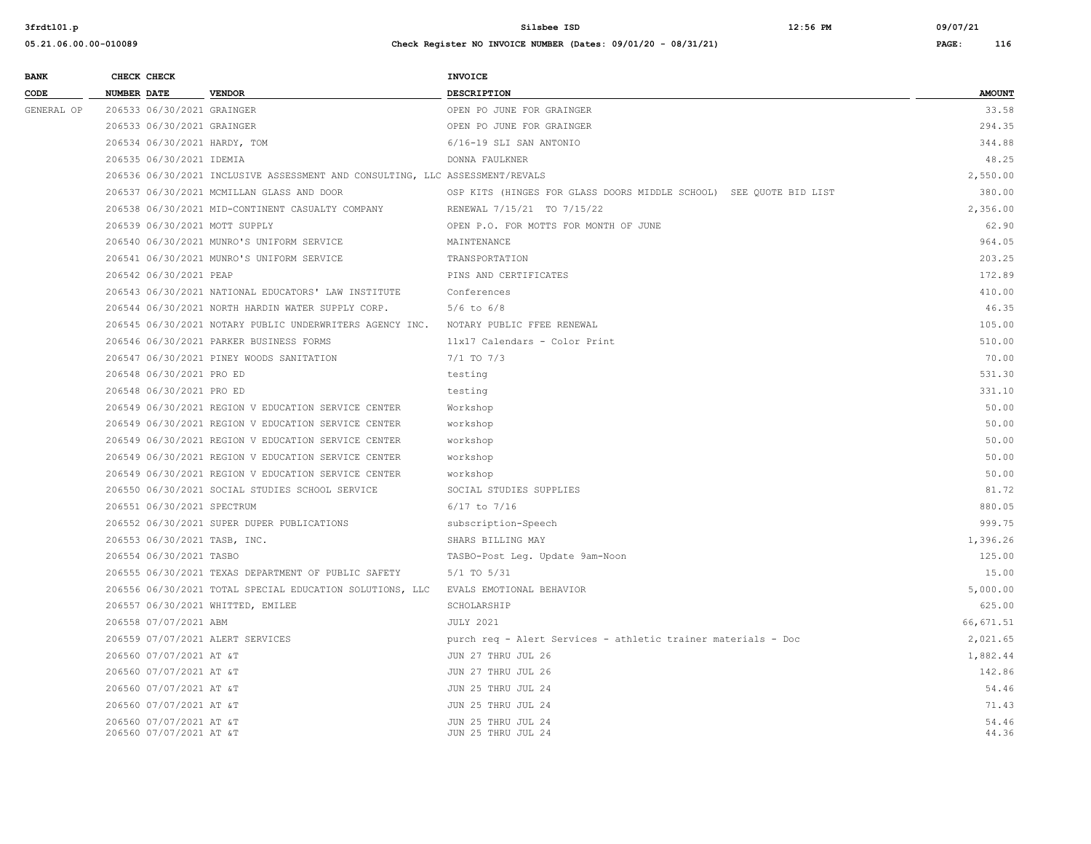| <b>BANK</b> |                    | CHECK CHECK                                        |                                                                              | <b>INVOICE</b>                                                     |                |
|-------------|--------------------|----------------------------------------------------|------------------------------------------------------------------------------|--------------------------------------------------------------------|----------------|
| CODE        | <b>NUMBER DATE</b> |                                                    | <b>VENDOR</b>                                                                | DESCRIPTION                                                        | <b>AMOUNT</b>  |
| GENERAL OP  |                    | 206533 06/30/2021 GRAINGER                         |                                                                              | OPEN PO JUNE FOR GRAINGER                                          | 33.58          |
|             |                    | 206533 06/30/2021 GRAINGER                         |                                                                              | OPEN PO JUNE FOR GRAINGER                                          | 294.35         |
|             |                    |                                                    | 206534 06/30/2021 HARDY, TOM                                                 | 6/16-19 SLI SAN ANTONIO                                            | 344.88         |
|             |                    | 206535 06/30/2021 IDEMIA                           |                                                                              | DONNA FAULKNER                                                     | 48.25          |
|             |                    |                                                    | 206536 06/30/2021 INCLUSIVE ASSESSMENT AND CONSULTING, LLC ASSESSMENT/REVALS |                                                                    | 2,550.00       |
|             |                    |                                                    | 206537 06/30/2021 MCMILLAN GLASS AND DOOR                                    | OSP KITS (HINGES FOR GLASS DOORS MIDDLE SCHOOL) SEE QUOTE BID LIST | 380.00         |
|             |                    |                                                    | 206538 06/30/2021 MID-CONTINENT CASUALTY COMPANY                             | RENEWAL 7/15/21 TO 7/15/22                                         | 2,356.00       |
|             |                    |                                                    | 206539 06/30/2021 MOTT SUPPLY                                                | OPEN P.O. FOR MOTTS FOR MONTH OF JUNE                              | 62.90          |
|             |                    |                                                    | 206540 06/30/2021 MUNRO'S UNIFORM SERVICE                                    | MAINTENANCE                                                        | 964.05         |
|             |                    |                                                    | 206541 06/30/2021 MUNRO'S UNIFORM SERVICE                                    | TRANSPORTATION                                                     | 203.25         |
|             |                    | 206542 06/30/2021 PEAP                             |                                                                              | PINS AND CERTIFICATES                                              | 172.89         |
|             |                    |                                                    | 206543 06/30/2021 NATIONAL EDUCATORS' LAW INSTITUTE                          | Conferences                                                        | 410.00         |
|             |                    |                                                    | 206544 06/30/2021 NORTH HARDIN WATER SUPPLY CORP.                            | $5/6$ to $6/8$                                                     | 46.35          |
|             |                    |                                                    | 206545 06/30/2021 NOTARY PUBLIC UNDERWRITERS AGENCY INC.                     | NOTARY PUBLIC FFEE RENEWAL                                         | 105.00         |
|             |                    |                                                    | 206546 06/30/2021 PARKER BUSINESS FORMS                                      | 11x17 Calendars - Color Print                                      | 510.00         |
|             |                    |                                                    | 206547 06/30/2021 PINEY WOODS SANITATION                                     | $7/1$ TO $7/3$                                                     | 70.00          |
|             |                    | 206548 06/30/2021 PRO ED                           |                                                                              | testing                                                            | 531.30         |
|             |                    | 206548 06/30/2021 PRO ED                           |                                                                              | testing                                                            | 331.10         |
|             |                    |                                                    | 206549 06/30/2021 REGION V EDUCATION SERVICE CENTER                          | Workshop                                                           | 50.00          |
|             |                    |                                                    | 206549 06/30/2021 REGION V EDUCATION SERVICE CENTER                          | workshop                                                           | 50.00          |
|             |                    |                                                    | 206549 06/30/2021 REGION V EDUCATION SERVICE CENTER                          | workshop                                                           | 50.00          |
|             |                    |                                                    | 206549 06/30/2021 REGION V EDUCATION SERVICE CENTER                          | workshop                                                           | 50.00          |
|             |                    |                                                    | 206549 06/30/2021 REGION V EDUCATION SERVICE CENTER                          | workshop                                                           | 50.00          |
|             |                    |                                                    | 206550 06/30/2021 SOCIAL STUDIES SCHOOL SERVICE                              | SOCIAL STUDIES SUPPLIES                                            | 81.72          |
|             |                    | 206551 06/30/2021 SPECTRUM                         |                                                                              | $6/17$ to $7/16$                                                   | 880.05         |
|             |                    |                                                    | 206552 06/30/2021 SUPER DUPER PUBLICATIONS                                   | subscription-Speech                                                | 999.75         |
|             |                    |                                                    | 206553 06/30/2021 TASB, INC.                                                 | SHARS BILLING MAY                                                  | 1,396.26       |
|             |                    | 206554 06/30/2021 TASBO                            |                                                                              | TASBO-Post Leg. Update 9am-Noon                                    | 125.00         |
|             |                    |                                                    | 206555 06/30/2021 TEXAS DEPARTMENT OF PUBLIC SAFETY                          | $5/1$ TO $5/31$                                                    | 15.00          |
|             |                    |                                                    | 206556 06/30/2021 TOTAL SPECIAL EDUCATION SOLUTIONS, LLC                     | EVALS EMOTIONAL BEHAVIOR                                           | 5,000.00       |
|             |                    |                                                    | 206557 06/30/2021 WHITTED, EMILEE                                            | SCHOLARSHIP                                                        | 625.00         |
|             |                    | 206558 07/07/2021 ABM                              |                                                                              | <b>JULY 2021</b>                                                   | 66,671.51      |
|             |                    |                                                    | 206559 07/07/2021 ALERT SERVICES                                             | purch req - Alert Services - athletic trainer materials - Doc      | 2,021.65       |
|             |                    | 206560 07/07/2021 AT &T                            |                                                                              | JUN 27 THRU JUL 26                                                 | 1,882.44       |
|             |                    | 206560 07/07/2021 AT &T                            |                                                                              | JUN 27 THRU JUL 26                                                 | 142.86         |
|             |                    | 206560 07/07/2021 AT &T                            |                                                                              | JUN 25 THRU JUL 24                                                 | 54.46          |
|             |                    | 206560 07/07/2021 AT &T                            |                                                                              | JUN 25 THRU JUL 24                                                 | 71.43          |
|             |                    | 206560 07/07/2021 AT &T<br>206560 07/07/2021 AT &T |                                                                              | JUN 25 THRU JUL 24<br>JUN 25 THRU JUL 24                           | 54.46<br>44.36 |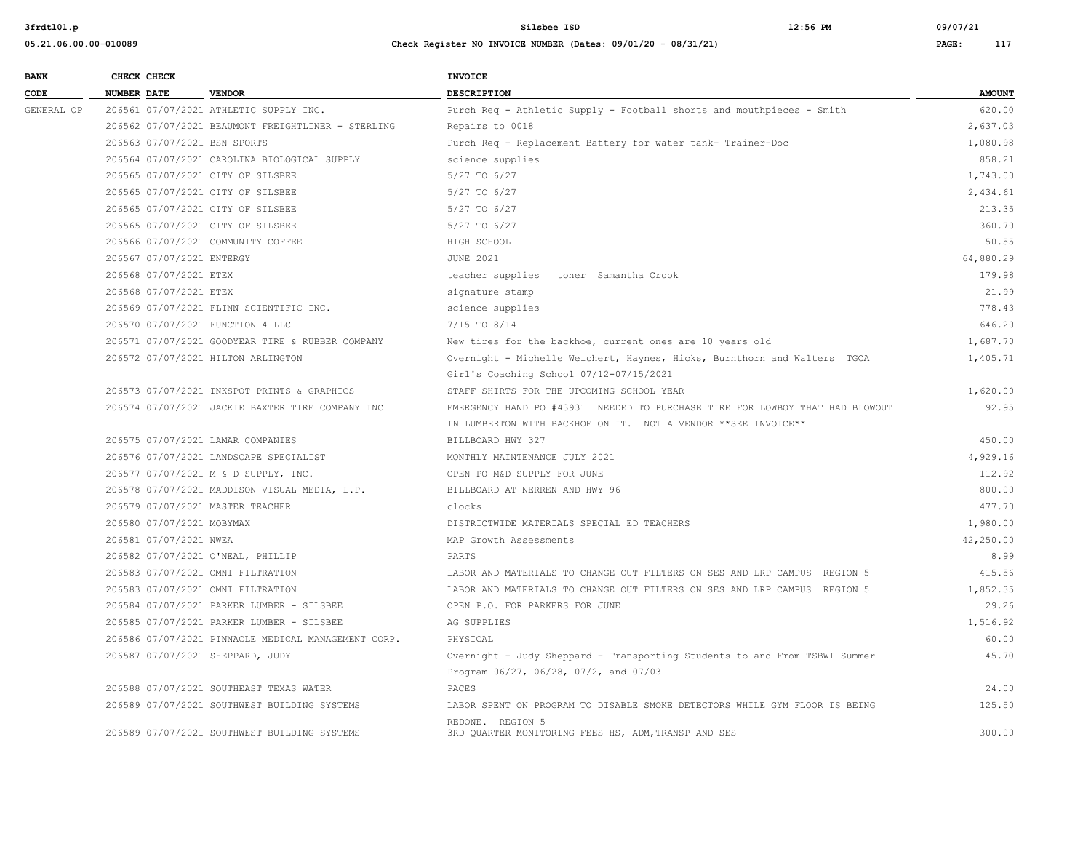| <b>BANK</b> |             | CHECK CHECK               |                                                     | <b>INVOICE</b>                                                               |               |
|-------------|-------------|---------------------------|-----------------------------------------------------|------------------------------------------------------------------------------|---------------|
| CODE        | NUMBER DATE |                           | <b>VENDOR</b>                                       | DESCRIPTION                                                                  | <b>AMOUNT</b> |
| GENERAL OP  |             |                           | 206561 07/07/2021 ATHLETIC SUPPLY INC.              | Purch Req - Athletic Supply - Football shorts and mouthpieces - Smith        | 620.00        |
|             |             |                           | 206562 07/07/2021 BEAUMONT FREIGHTLINER - STERLING  | Repairs to 0018                                                              | 2,637.03      |
|             |             |                           | 206563 07/07/2021 BSN SPORTS                        | Purch Req - Replacement Battery for water tank- Trainer-Doc                  | 1,080.98      |
|             |             |                           | 206564 07/07/2021 CAROLINA BIOLOGICAL SUPPLY        | science supplies                                                             | 858.21        |
|             |             |                           | 206565 07/07/2021 CITY OF SILSBEE                   | 5/27 TO 6/27                                                                 | 1,743.00      |
|             |             |                           | 206565 07/07/2021 CITY OF SILSBEE                   | 5/27 TO 6/27                                                                 | 2,434.61      |
|             |             |                           | 206565 07/07/2021 CITY OF SILSBEE                   | 5/27 TO 6/27                                                                 | 213.35        |
|             |             |                           | 206565 07/07/2021 CITY OF SILSBEE                   | 5/27 TO 6/27                                                                 | 360.70        |
|             |             |                           | 206566 07/07/2021 COMMUNITY COFFEE                  | HIGH SCHOOL                                                                  | 50.55         |
|             |             | 206567 07/07/2021 ENTERGY |                                                     | <b>JUNE 2021</b>                                                             | 64,880.29     |
|             |             | 206568 07/07/2021 ETEX    |                                                     | teacher supplies toner Samantha Crook                                        | 179.98        |
|             |             | 206568 07/07/2021 ETEX    |                                                     | signature stamp                                                              | 21.99         |
|             |             |                           | 206569 07/07/2021 FLINN SCIENTIFIC INC.             | science supplies                                                             | 778.43        |
|             |             |                           | 206570 07/07/2021 FUNCTION 4 LLC                    | 7/15 TO 8/14                                                                 | 646.20        |
|             |             |                           | 206571 07/07/2021 GOODYEAR TIRE & RUBBER COMPANY    | New tires for the backhoe, current ones are 10 years old                     | 1,687.70      |
|             |             |                           | 206572 07/07/2021 HILTON ARLINGTON                  | Overnight - Michelle Weichert, Haynes, Hicks, Burnthorn and Walters TGCA     | 1,405.71      |
|             |             |                           |                                                     | Girl's Coaching School 07/12-07/15/2021                                      |               |
|             |             |                           | 206573 07/07/2021 INKSPOT PRINTS & GRAPHICS         | STAFF SHIRTS FOR THE UPCOMING SCHOOL YEAR                                    | 1,620.00      |
|             |             |                           | 206574 07/07/2021 JACKIE BAXTER TIRE COMPANY INC    | EMERGENCY HAND PO #43931 NEEDED TO PURCHASE TIRE FOR LOWBOY THAT HAD BLOWOUT | 92.95         |
|             |             |                           |                                                     | IN LUMBERTON WITH BACKHOE ON IT. NOT A VENDOR **SEE INVOICE**                |               |
|             |             |                           | 206575 07/07/2021 LAMAR COMPANIES                   | BILLBOARD HWY 327                                                            | 450.00        |
|             |             |                           | 206576 07/07/2021 LANDSCAPE SPECIALIST              | MONTHLY MAINTENANCE JULY 2021                                                | 4,929.16      |
|             |             |                           | 206577 07/07/2021 M & D SUPPLY, INC.                | OPEN PO M&D SUPPLY FOR JUNE                                                  | 112.92        |
|             |             |                           | 206578 07/07/2021 MADDISON VISUAL MEDIA, L.P.       | BILLBOARD AT NERREN AND HWY 96                                               | 800.00        |
|             |             |                           | 206579 07/07/2021 MASTER TEACHER                    | clocks                                                                       | 477.70        |
|             |             | 206580 07/07/2021 MOBYMAX |                                                     | DISTRICTWIDE MATERIALS SPECIAL ED TEACHERS                                   | 1,980.00      |
|             |             | 206581 07/07/2021 NWEA    |                                                     | MAP Growth Assessments                                                       | 42,250.00     |
|             |             |                           | 206582 07/07/2021 O'NEAL, PHILLIP                   | PARTS                                                                        | 8.99          |
|             |             |                           | 206583 07/07/2021 OMNI FILTRATION                   | LABOR AND MATERIALS TO CHANGE OUT FILTERS ON SES AND LRP CAMPUS REGION 5     | 415.56        |
|             |             |                           | 206583 07/07/2021 OMNI FILTRATION                   | LABOR AND MATERIALS TO CHANGE OUT FILTERS ON SES AND LRP CAMPUS REGION 5     | 1,852.35      |
|             |             |                           | 206584 07/07/2021 PARKER LUMBER - SILSBEE           | OPEN P.O. FOR PARKERS FOR JUNE                                               | 29.26         |
|             |             |                           | 206585 07/07/2021 PARKER LUMBER - SILSBEE           | AG SUPPLIES                                                                  | 1,516.92      |
|             |             |                           | 206586 07/07/2021 PINNACLE MEDICAL MANAGEMENT CORP. | PHYSICAL                                                                     | 60.00         |
|             |             |                           | 206587 07/07/2021 SHEPPARD, JUDY                    | Overnight - Judy Sheppard - Transporting Students to and From TSBWI Summer   | 45.70         |
|             |             |                           |                                                     | Program 06/27, 06/28, 07/2, and 07/03                                        |               |
|             |             |                           | 206588 07/07/2021 SOUTHEAST TEXAS WATER             | PACES                                                                        | 24.00         |
|             |             |                           | 206589 07/07/2021 SOUTHWEST BUILDING SYSTEMS        | LABOR SPENT ON PROGRAM TO DISABLE SMOKE DETECTORS WHILE GYM FLOOR IS BEING   | 125.50        |
|             |             |                           |                                                     | REDONE. REGION 5                                                             |               |
|             |             |                           | 206589 07/07/2021 SOUTHWEST BUILDING SYSTEMS        | 3RD QUARTER MONITORING FEES HS, ADM, TRANSP AND SES                          | 300.00        |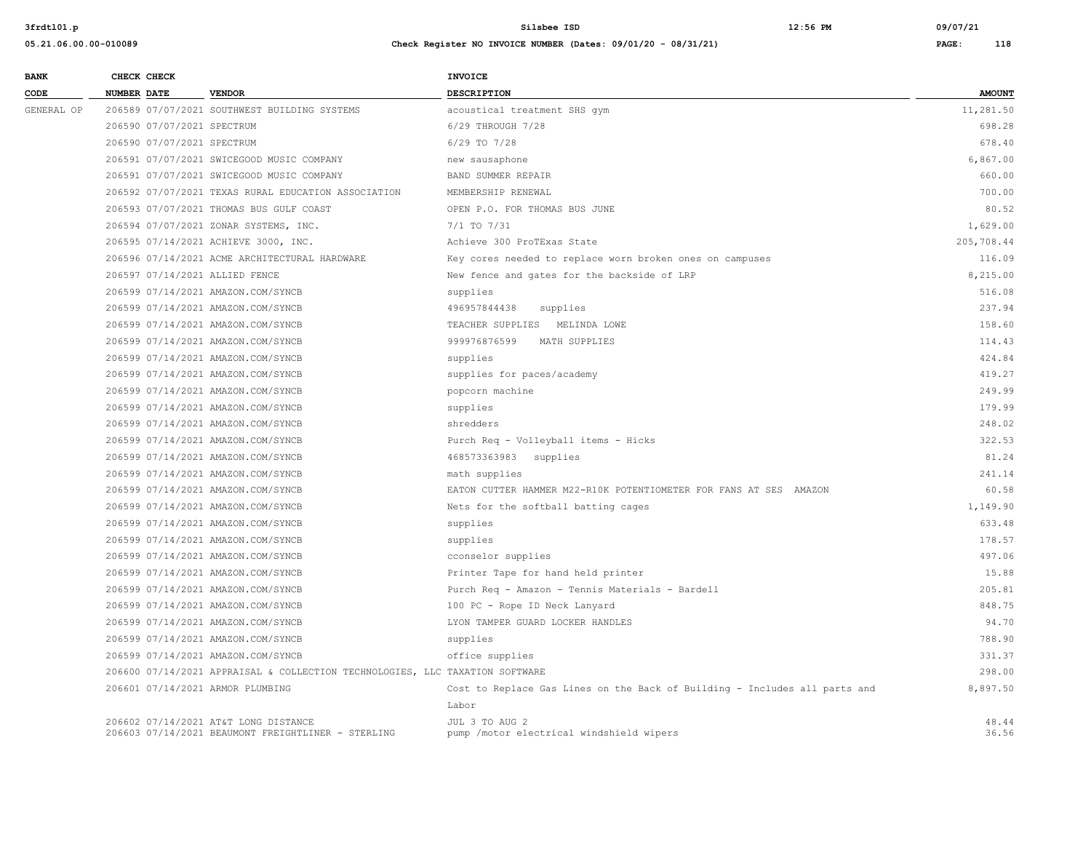**05.21.06.00.00-010089 Check Register NO INVOICE NUMBER (Dates: 09/01/20 - 08/31/21) PAGE: 118**

| <b>BANK</b> |                    | CHECK CHECK                |                                                                              | INVOICE                                                           |               |
|-------------|--------------------|----------------------------|------------------------------------------------------------------------------|-------------------------------------------------------------------|---------------|
| CODE        | <b>NUMBER DATE</b> |                            | <b>VENDOR</b>                                                                | DESCRIPTION                                                       | <b>AMOUNT</b> |
| GENERAL OP  |                    |                            | 206589 07/07/2021 SOUTHWEST BUILDING SYSTEMS                                 | acoustical treatment SHS qym                                      | 11,281.50     |
|             |                    | 206590 07/07/2021 SPECTRUM |                                                                              | 6/29 THROUGH 7/28                                                 | 698.28        |
|             |                    | 206590 07/07/2021 SPECTRUM |                                                                              | $6/29$ TO $7/28$                                                  | 678.40        |
|             |                    |                            | 206591 07/07/2021 SWICEGOOD MUSIC COMPANY                                    | new sausaphone                                                    | 6,867.00      |
|             |                    |                            | 206591 07/07/2021 SWICEGOOD MUSIC COMPANY                                    | BAND SUMMER REPAIR                                                | 660.00        |
|             |                    |                            | 206592 07/07/2021 TEXAS RURAL EDUCATION ASSOCIATION                          | MEMBERSHIP RENEWAL                                                | 700.00        |
|             |                    |                            | 206593 07/07/2021 THOMAS BUS GULF COAST                                      | OPEN P.O. FOR THOMAS BUS JUNE                                     | 80.52         |
|             |                    |                            | 206594 07/07/2021 ZONAR SYSTEMS, INC.                                        | 7/1 TO 7/31                                                       | 1,629.00      |
|             |                    |                            | 206595 07/14/2021 ACHIEVE 3000, INC.                                         | Achieve 300 ProTExas State                                        | 205,708.44    |
|             |                    |                            | 206596 07/14/2021 ACME ARCHITECTURAL HARDWARE                                | Key cores needed to replace worn broken ones on campuses          | 116.09        |
|             |                    |                            | 206597 07/14/2021 ALLIED FENCE                                               | New fence and gates for the backside of LRP                       | 8,215.00      |
|             |                    |                            | 206599 07/14/2021 AMAZON.COM/SYNCB                                           | supplies                                                          | 516.08        |
|             |                    |                            | 206599 07/14/2021 AMAZON.COM/SYNCB                                           | 496957844438<br>supplies                                          | 237.94        |
|             |                    |                            | 206599 07/14/2021 AMAZON.COM/SYNCB                                           | TEACHER SUPPLIES MELINDA LOWE                                     | 158.60        |
|             |                    |                            | 206599 07/14/2021 AMAZON.COM/SYNCB                                           | 999976876599<br>MATH SUPPLIES                                     | 114.43        |
|             |                    |                            | 206599 07/14/2021 AMAZON.COM/SYNCB                                           | supplies                                                          | 424.84        |
|             |                    |                            | 206599 07/14/2021 AMAZON.COM/SYNCB                                           | supplies for paces/academy                                        | 419.27        |
|             |                    |                            | 206599 07/14/2021 AMAZON.COM/SYNCB                                           | popcorn machine                                                   | 249.99        |
|             |                    |                            | 206599 07/14/2021 AMAZON.COM/SYNCB                                           | supplies                                                          | 179.99        |
|             |                    |                            | 206599 07/14/2021 AMAZON.COM/SYNCB                                           | shredders                                                         | 248.02        |
|             |                    |                            | 206599 07/14/2021 AMAZON.COM/SYNCB                                           | Purch Req - Volleyball items - Hicks                              | 322.53        |
|             |                    |                            | 206599 07/14/2021 AMAZON.COM/SYNCB                                           | 468573363983 supplies                                             | 81.24         |
|             |                    |                            | 206599 07/14/2021 AMAZON.COM/SYNCB                                           | math supplies                                                     | 241.14        |
|             |                    |                            | 206599 07/14/2021 AMAZON.COM/SYNCB                                           | EATON CUTTER HAMMER M22-R10K POTENTIOMETER FOR FANS AT SES AMAZON | 60.58         |
|             |                    |                            | 206599 07/14/2021 AMAZON.COM/SYNCB                                           | Nets for the softball batting cages                               | 1,149.90      |
|             |                    |                            | 206599 07/14/2021 AMAZON.COM/SYNCB                                           | supplies                                                          | 633.48        |
|             |                    |                            | 206599 07/14/2021 AMAZON.COM/SYNCB                                           | supplies                                                          | 178.57        |
|             |                    |                            | 206599 07/14/2021 AMAZON.COM/SYNCB                                           | cconselor supplies                                                | 497.06        |
|             |                    |                            | 206599 07/14/2021 AMAZON.COM/SYNCB                                           | Printer Tape for hand held printer                                | 15.88         |
|             |                    |                            | 206599 07/14/2021 AMAZON.COM/SYNCB                                           | Purch Req - Amazon - Tennis Materials - Bardell                   | 205.81        |
|             |                    |                            | 206599 07/14/2021 AMAZON.COM/SYNCB                                           | 100 PC - Rope ID Neck Lanyard                                     | 848.75        |
|             |                    |                            | 206599 07/14/2021 AMAZON.COM/SYNCB                                           | LYON TAMPER GUARD LOCKER HANDLES                                  | 94.70         |
|             |                    |                            | 206599 07/14/2021 AMAZON.COM/SYNCB                                           | supplies                                                          | 788.90        |
|             |                    |                            | 206599 07/14/2021 AMAZON.COM/SYNCB                                           | office supplies                                                   | 331.37        |
|             |                    |                            | 206600 07/14/2021 APPRAISAL & COLLECTION TECHNOLOGIES, LLC TAXATION SOFTWARE |                                                                   | 298.00        |

206601 07/14/2021 ARMOR PLUMBING Cost to Replace Gas Lines on the Back of Building - Includes all parts and 8,897.50

206602 07/14/2021 AT&T LONG DISTANCE 5 18.44 JUL 3 TO AUG 2<br>206603 07/14/2021 BEAUMONT FREIGHTLINER - STERLING pump /motor electrical windshield wipers 5 18.56 18.56 18.56 206603 07/14/2021 BEAUMONT FREIGHTLINER - STERLING pump /motor electrical windshield wipers 36.56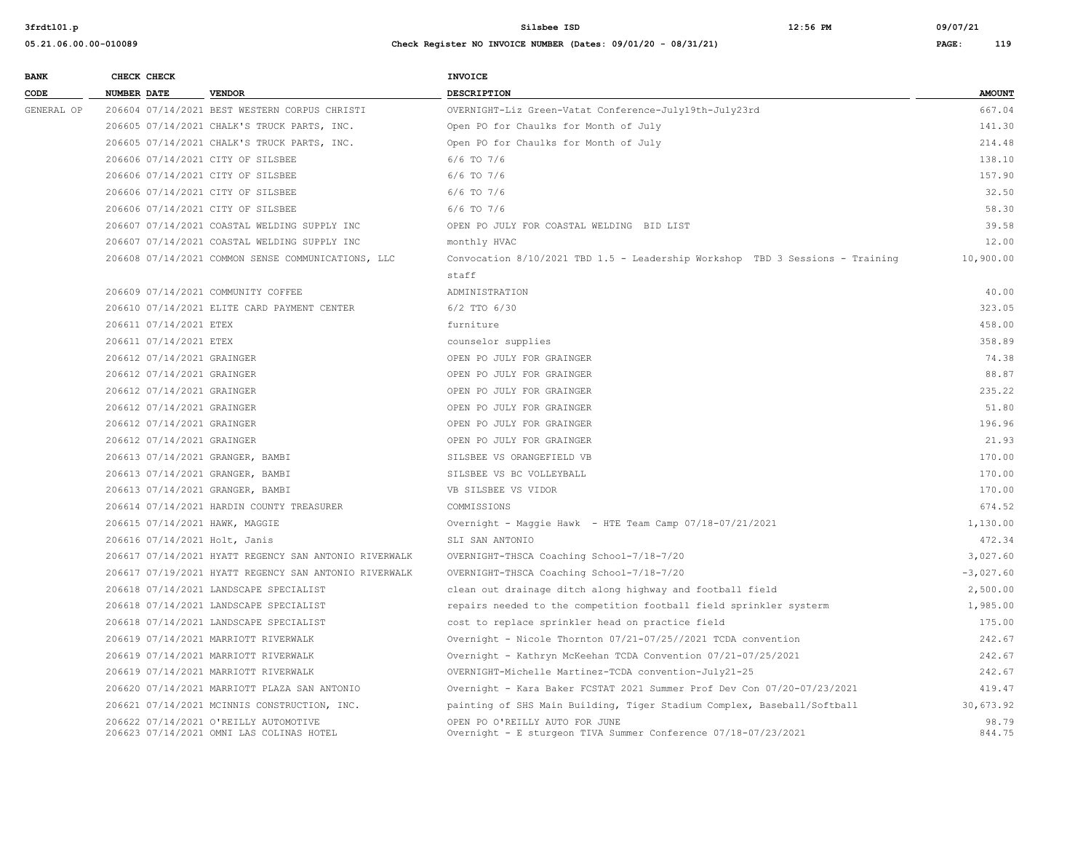| <b>BANK</b> | CHECK CHECK        |                            |                                                                                   | INVOICE                                                                                          |                 |
|-------------|--------------------|----------------------------|-----------------------------------------------------------------------------------|--------------------------------------------------------------------------------------------------|-----------------|
| CODE        | <b>NUMBER DATE</b> |                            | <b>VENDOR</b>                                                                     | DESCRIPTION                                                                                      | <b>AMOUNT</b>   |
| GENERAL OP  |                    |                            | 206604 07/14/2021 BEST WESTERN CORPUS CHRISTI                                     | OVERNIGHT-Liz Green-Vatat Conference-July19th-July23rd                                           | 667.04          |
|             |                    |                            | 206605 07/14/2021 CHALK'S TRUCK PARTS, INC.                                       | Open PO for Chaulks for Month of July                                                            | 141.30          |
|             |                    |                            | 206605 07/14/2021 CHALK'S TRUCK PARTS, INC.                                       | Open PO for Chaulks for Month of July                                                            | 214.48          |
|             |                    |                            | 206606 07/14/2021 CITY OF SILSBEE                                                 | $6/6$ TO $7/6$                                                                                   | 138.10          |
|             |                    |                            | 206606 07/14/2021 CITY OF SILSBEE                                                 | 6/6 TO 7/6                                                                                       | 157.90          |
|             |                    |                            | 206606 07/14/2021 CITY OF SILSBEE                                                 | 6/6 TO 7/6                                                                                       | 32.50           |
|             |                    |                            | 206606 07/14/2021 CITY OF SILSBEE                                                 | 6/6 TO 7/6                                                                                       | 58.30           |
|             |                    |                            | 206607 07/14/2021 COASTAL WELDING SUPPLY INC                                      | OPEN PO JULY FOR COASTAL WELDING BID LIST                                                        | 39.58           |
|             |                    |                            | 206607 07/14/2021 COASTAL WELDING SUPPLY INC                                      | monthly HVAC                                                                                     | 12.00           |
|             |                    |                            | 206608 07/14/2021 COMMON SENSE COMMUNICATIONS, LLC                                | Convocation 8/10/2021 TBD 1.5 - Leadership Workshop TBD 3 Sessions - Training                    | 10,900.00       |
|             |                    |                            |                                                                                   | staff                                                                                            |                 |
|             |                    |                            | 206609 07/14/2021 COMMUNITY COFFEE                                                | ADMINISTRATION                                                                                   | 40.00           |
|             |                    |                            | 206610 07/14/2021 ELITE CARD PAYMENT CENTER                                       | 6/2 TTO 6/30                                                                                     | 323.05          |
|             |                    | 206611 07/14/2021 ETEX     |                                                                                   | furniture                                                                                        | 458.00          |
|             |                    | 206611 07/14/2021 ETEX     |                                                                                   | counselor supplies                                                                               | 358.89          |
|             |                    | 206612 07/14/2021 GRAINGER |                                                                                   | OPEN PO JULY FOR GRAINGER                                                                        | 74.38           |
|             |                    | 206612 07/14/2021 GRAINGER |                                                                                   | OPEN PO JULY FOR GRAINGER                                                                        | 88.87           |
|             |                    | 206612 07/14/2021 GRAINGER |                                                                                   | OPEN PO JULY FOR GRAINGER                                                                        | 235.22          |
|             |                    | 206612 07/14/2021 GRAINGER |                                                                                   | OPEN PO JULY FOR GRAINGER                                                                        | 51.80           |
|             |                    | 206612 07/14/2021 GRAINGER |                                                                                   | OPEN PO JULY FOR GRAINGER                                                                        | 196.96          |
|             |                    | 206612 07/14/2021 GRAINGER |                                                                                   | OPEN PO JULY FOR GRAINGER                                                                        | 21.93           |
|             |                    |                            | 206613 07/14/2021 GRANGER, BAMBI                                                  | SILSBEE VS ORANGEFIELD VB                                                                        | 170.00          |
|             |                    |                            | 206613 07/14/2021 GRANGER, BAMBI                                                  | SILSBEE VS BC VOLLEYBALL                                                                         | 170.00          |
|             |                    |                            | 206613 07/14/2021 GRANGER, BAMBI                                                  | VB SILSBEE VS VIDOR                                                                              | 170.00          |
|             |                    |                            | 206614 07/14/2021 HARDIN COUNTY TREASURER                                         | COMMISSIONS                                                                                      | 674.52          |
|             |                    |                            | 206615 07/14/2021 HAWK, MAGGIE                                                    | Overnight - Maggie Hawk - HTE Team Camp 07/18-07/21/2021                                         | 1,130.00        |
|             |                    |                            | 206616 07/14/2021 Holt, Janis                                                     | SLI SAN ANTONIO                                                                                  | 472.34          |
|             |                    |                            | 206617 07/14/2021 HYATT REGENCY SAN ANTONIO RIVERWALK                             | OVERNIGHT-THSCA Coaching School-7/18-7/20                                                        | 3,027.60        |
|             |                    |                            | 206617 07/19/2021 HYATT REGENCY SAN ANTONIO RIVERWALK                             | OVERNIGHT-THSCA Coaching School-7/18-7/20                                                        | $-3,027.60$     |
|             |                    |                            | 206618 07/14/2021 LANDSCAPE SPECIALIST                                            | clean out drainage ditch along highway and football field                                        | 2,500.00        |
|             |                    |                            | 206618 07/14/2021 LANDSCAPE SPECIALIST                                            | repairs needed to the competition football field sprinkler systerm                               | 1,985.00        |
|             |                    |                            | 206618 07/14/2021 LANDSCAPE SPECIALIST                                            | cost to replace sprinkler head on practice field                                                 | 175.00          |
|             |                    |                            | 206619 07/14/2021 MARRIOTT RIVERWALK                                              | Overnight - Nicole Thornton 07/21-07/25//2021 TCDA convention                                    | 242.67          |
|             |                    |                            | 206619 07/14/2021 MARRIOTT RIVERWALK                                              | Overnight - Kathryn McKeehan TCDA Convention 07/21-07/25/2021                                    | 242.67          |
|             |                    |                            | 206619 07/14/2021 MARRIOTT RIVERWALK                                              | OVERNIGHT-Michelle Martinez-TCDA convention-July21-25                                            | 242.67          |
|             |                    |                            | 206620 07/14/2021 MARRIOTT PLAZA SAN ANTONIO                                      | Overnight - Kara Baker FCSTAT 2021 Summer Prof Dev Con 07/20-07/23/2021                          | 419.47          |
|             |                    |                            | 206621 07/14/2021 MCINNIS CONSTRUCTION, INC.                                      | painting of SHS Main Building, Tiger Stadium Complex, Baseball/Softball                          | 30,673.92       |
|             |                    |                            | 206622 07/14/2021 O'REILLY AUTOMOTIVE<br>206623 07/14/2021 OMNI LAS COLINAS HOTEL | OPEN PO O'REILLY AUTO FOR JUNE<br>Overnight - E sturgeon TIVA Summer Conference 07/18-07/23/2021 | 98.79<br>844.75 |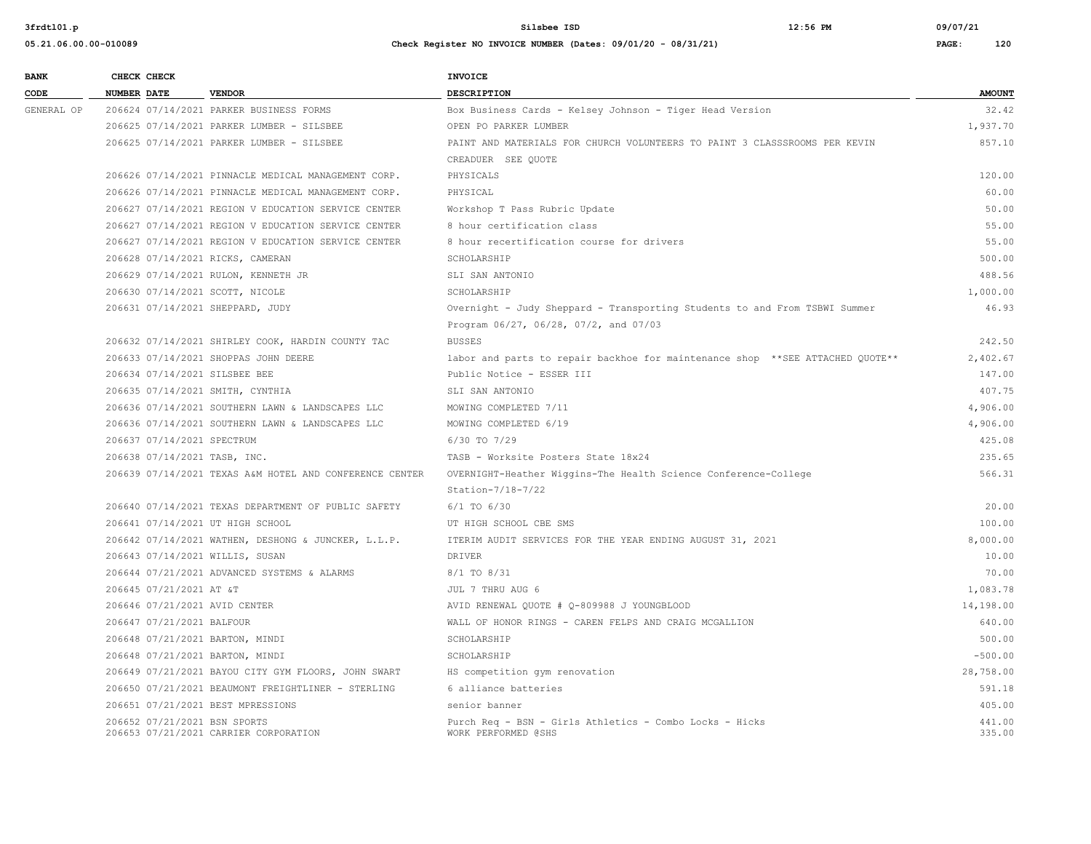| <b>BANK</b> | CHECK CHECK        |                            |                                                                       | INVOICE                                                                        |                  |
|-------------|--------------------|----------------------------|-----------------------------------------------------------------------|--------------------------------------------------------------------------------|------------------|
| CODE        | <b>NUMBER DATE</b> |                            | <b>VENDOR</b>                                                         | <b>DESCRIPTION</b>                                                             | <b>AMOUNT</b>    |
| GENERAL OP  |                    |                            | 206624 07/14/2021 PARKER BUSINESS FORMS                               | Box Business Cards - Kelsey Johnson - Tiger Head Version                       | 32.42            |
|             |                    |                            | 206625 07/14/2021 PARKER LUMBER - SILSBEE                             | OPEN PO PARKER LUMBER                                                          | 1,937.70         |
|             |                    |                            | 206625 07/14/2021 PARKER LUMBER - SILSBEE                             | PAINT AND MATERIALS FOR CHURCH VOLUNTEERS TO PAINT 3 CLASSSROOMS PER KEVIN     | 857.10           |
|             |                    |                            |                                                                       | CREADUER SEE OUOTE                                                             |                  |
|             |                    |                            | 206626 07/14/2021 PINNACLE MEDICAL MANAGEMENT CORP.                   | PHYSICALS                                                                      | 120.00           |
|             |                    |                            | 206626 07/14/2021 PINNACLE MEDICAL MANAGEMENT CORP.                   | PHYSICAL                                                                       | 60.00            |
|             |                    |                            | 206627 07/14/2021 REGION V EDUCATION SERVICE CENTER                   | Workshop T Pass Rubric Update                                                  | 50.00            |
|             |                    |                            | 206627 07/14/2021 REGION V EDUCATION SERVICE CENTER                   | 8 hour certification class                                                     | 55.00            |
|             |                    |                            | 206627 07/14/2021 REGION V EDUCATION SERVICE CENTER                   | 8 hour recertification course for drivers                                      | 55.00            |
|             |                    |                            | 206628 07/14/2021 RICKS, CAMERAN                                      | SCHOLARSHIP                                                                    | 500.00           |
|             |                    |                            | 206629 07/14/2021 RULON, KENNETH JR                                   | SLI SAN ANTONIO                                                                | 488.56           |
|             |                    |                            | 206630 07/14/2021 SCOTT, NICOLE                                       | SCHOLARSHIP                                                                    | 1,000.00         |
|             |                    |                            | 206631 07/14/2021 SHEPPARD, JUDY                                      | Overnight - Judy Sheppard - Transporting Students to and From TSBWI Summer     | 46.93            |
|             |                    |                            |                                                                       | Program 06/27, 06/28, 07/2, and 07/03                                          |                  |
|             |                    |                            | 206632 07/14/2021 SHIRLEY COOK, HARDIN COUNTY TAC                     | <b>BUSSES</b>                                                                  | 242.50           |
|             |                    |                            | 206633 07/14/2021 SHOPPAS JOHN DEERE                                  | labor and parts to repair backhoe for maintenance shop **SEE ATTACHED QUOTE**  | 2,402.67         |
|             |                    |                            | 206634 07/14/2021 SILSBEE BEE                                         | Public Notice - ESSER III                                                      | 147.00           |
|             |                    |                            | 206635 07/14/2021 SMITH, CYNTHIA                                      | SLI SAN ANTONIO                                                                | 407.75           |
|             |                    |                            | 206636 07/14/2021 SOUTHERN LAWN & LANDSCAPES LLC                      | MOWING COMPLETED 7/11                                                          | 4,906.00         |
|             |                    |                            | 206636 07/14/2021 SOUTHERN LAWN & LANDSCAPES LLC                      | MOWING COMPLETED 6/19                                                          | 4,906.00         |
|             |                    | 206637 07/14/2021 SPECTRUM |                                                                       | 6/30 TO 7/29                                                                   | 425.08           |
|             |                    |                            | 206638 07/14/2021 TASB, INC.                                          | TASB - Worksite Posters State 18x24                                            | 235.65           |
|             |                    |                            | 206639 07/14/2021 TEXAS A&M HOTEL AND CONFERENCE CENTER               | OVERNIGHT-Heather Wiggins-The Health Science Conference-College                | 566.31           |
|             |                    |                            |                                                                       | Station- $7/18-7/22$                                                           |                  |
|             |                    |                            | 206640 07/14/2021 TEXAS DEPARTMENT OF PUBLIC SAFETY                   | $6/1$ TO $6/30$                                                                | 20.00            |
|             |                    |                            | 206641 07/14/2021 UT HIGH SCHOOL                                      | UT HIGH SCHOOL CBE SMS                                                         | 100.00           |
|             |                    |                            | 206642 07/14/2021 WATHEN, DESHONG & JUNCKER, L.L.P.                   | ITERIM AUDIT SERVICES FOR THE YEAR ENDING AUGUST 31, 2021                      | 8,000.00         |
|             |                    |                            | 206643 07/14/2021 WILLIS, SUSAN                                       | DRIVER                                                                         | 10.00            |
|             |                    |                            | 206644 07/21/2021 ADVANCED SYSTEMS & ALARMS                           | $8/1$ TO $8/31$                                                                | 70.00            |
|             |                    | 206645 07/21/2021 AT &T    |                                                                       | JUL 7 THRU AUG 6                                                               | 1,083.78         |
|             |                    |                            | 206646 07/21/2021 AVID CENTER                                         | AVID RENEWAL QUOTE # Q-809988 J YOUNGBLOOD                                     | 14,198.00        |
|             |                    | 206647 07/21/2021 BALFOUR  |                                                                       | WALL OF HONOR RINGS - CAREN FELPS AND CRAIG MCGALLION                          | 640.00           |
|             |                    |                            | 206648 07/21/2021 BARTON, MINDI                                       | SCHOLARSHIP                                                                    | 500.00           |
|             |                    |                            | 206648 07/21/2021 BARTON, MINDI                                       | SCHOLARSHIP                                                                    | $-500.00$        |
|             |                    |                            | 206649 07/21/2021 BAYOU CITY GYM FLOORS, JOHN SWART                   | HS competition gym renovation                                                  | 28,758.00        |
|             |                    |                            | 206650 07/21/2021 BEAUMONT FREIGHTLINER - STERLING                    | 6 alliance batteries                                                           | 591.18           |
|             |                    |                            | 206651 07/21/2021 BEST MPRESSIONS                                     | senior banner                                                                  | 405.00           |
|             |                    |                            | 206652 07/21/2021 BSN SPORTS<br>206653 07/21/2021 CARRIER CORPORATION | Purch Req - BSN - Girls Athletics - Combo Locks - Hicks<br>WORK PERFORMED @SHS | 441.00<br>335.00 |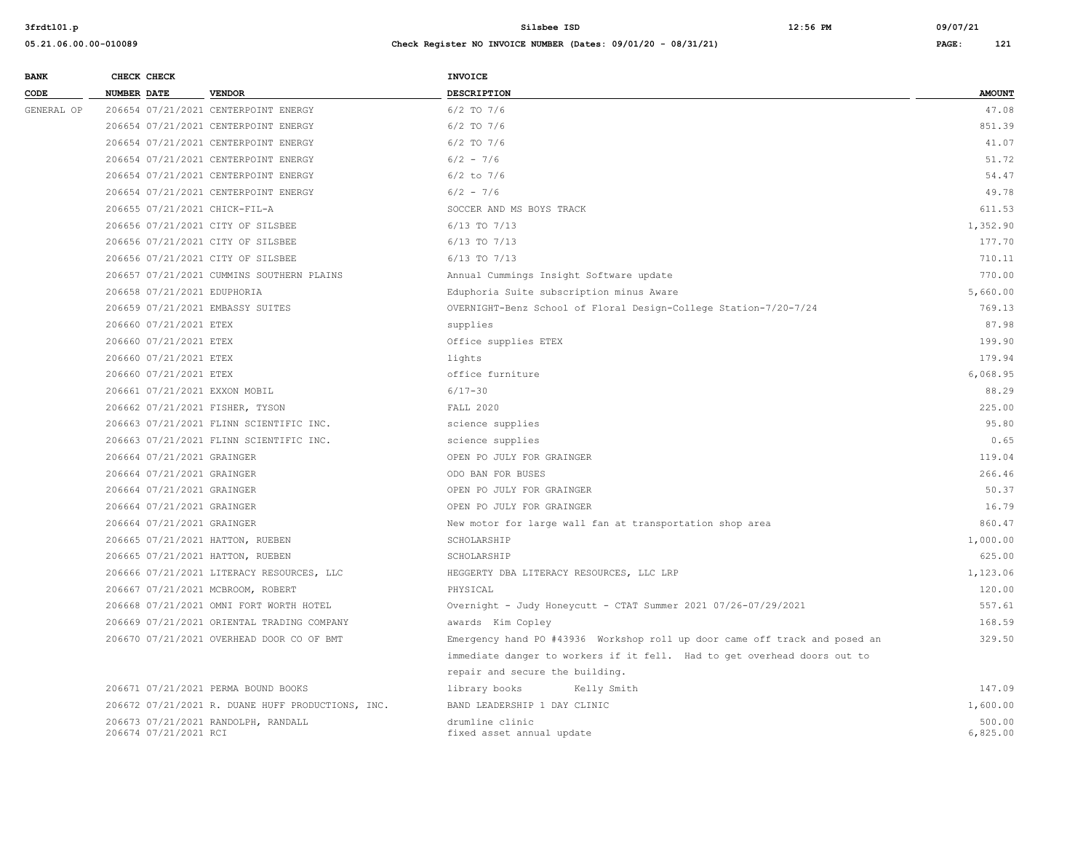| <b>AMOUNT</b><br>CODE<br><b>NUMBER DATE</b><br><b>VENDOR</b><br><b>DESCRIPTION</b><br>206654 07/21/2021 CENTERPOINT ENERGY<br>47.08<br>GENERAL OP<br>$6/2$ TO $7/6$<br>206654 07/21/2021 CENTERPOINT ENERGY<br>6/2 TO 7/6<br>851.39<br>41.07<br>206654 07/21/2021 CENTERPOINT ENERGY<br>$6/2$ TO $7/6$<br>51.72<br>206654 07/21/2021 CENTERPOINT ENERGY<br>$6/2 - 7/6$<br>206654 07/21/2021 CENTERPOINT ENERGY<br>$6/2$ to $7/6$<br>54.47<br>$6/2 - 7/6$<br>49.78<br>206654 07/21/2021 CENTERPOINT ENERGY<br>611.53<br>206655 07/21/2021 CHICK-FIL-A<br>SOCCER AND MS BOYS TRACK<br>206656 07/21/2021 CITY OF SILSBEE<br>6/13 TO 7/13<br>1,352.90<br>177.70<br>206656 07/21/2021 CITY OF SILSBEE<br>6/13 TO 7/13<br>710.11<br>206656 07/21/2021 CITY OF SILSBEE<br>6/13 TO 7/13<br>206657 07/21/2021 CUMMINS SOUTHERN PLAINS<br>770.00<br>Annual Cummings Insight Software update<br>5,660.00<br>206658 07/21/2021 EDUPHORIA<br>Eduphoria Suite subscription minus Aware<br>769.13<br>206659 07/21/2021 EMBASSY SUITES<br>OVERNIGHT-Benz School of Floral Design-College Station-7/20-7/24<br>206660 07/21/2021 ETEX<br>87.98<br>supplies<br>199.90<br>206660 07/21/2021 ETEX<br>Office supplies ETEX<br>179.94<br>206660 07/21/2021 ETEX<br>lights<br>office furniture<br>6,068.95<br>206660 07/21/2021 ETEX<br>$6/17 - 30$<br>88.29<br>206661 07/21/2021 EXXON MOBIL<br>225.00<br>206662 07/21/2021 FISHER, TYSON<br><b>FALL 2020</b><br>95.80<br>206663 07/21/2021 FLINN SCIENTIFIC INC.<br>science supplies<br>0.65<br>206663 07/21/2021 FLINN SCIENTIFIC INC.<br>science supplies<br>206664 07/21/2021 GRAINGER<br>119.04<br>OPEN PO JULY FOR GRAINGER<br>266.46<br>206664 07/21/2021 GRAINGER<br>ODO BAN FOR BUSES<br>50.37<br>206664 07/21/2021 GRAINGER<br>OPEN PO JULY FOR GRAINGER<br>16.79<br>206664 07/21/2021 GRAINGER<br>OPEN PO JULY FOR GRAINGER<br>206664 07/21/2021 GRAINGER<br>860.47<br>New motor for large wall fan at transportation shop area<br>1,000.00<br>206665 07/21/2021 HATTON, RUEBEN<br>SCHOLARSHIP<br>625.00<br>206665 07/21/2021 HATTON, RUEBEN<br>SCHOLARSHIP<br>206666 07/21/2021 LITERACY RESOURCES, LLC<br>HEGGERTY DBA LITERACY RESOURCES, LLC LRP<br>1,123.06<br>120.00<br>206667 07/21/2021 MCBROOM, ROBERT<br>PHYSICAL<br>557.61<br>206668 07/21/2021 OMNI FORT WORTH HOTEL<br>Overnight - Judy Honeycutt - CTAT Summer 2021 07/26-07/29/2021<br>168.59<br>206669 07/21/2021 ORIENTAL TRADING COMPANY<br>awards Kim Copley<br>329.50<br>206670 07/21/2021 OVERHEAD DOOR CO OF BMT<br>Emergency hand PO #43936 Workshop roll up door came off track and posed an<br>immediate danger to workers if it fell. Had to get overhead doors out to<br>repair and secure the building.<br>147.09<br>206671 07/21/2021 PERMA BOUND BOOKS<br>library books<br>Kelly Smith<br>206672 07/21/2021 R. DUANE HUFF PRODUCTIONS, INC.<br>BAND LEADERSHIP 1 DAY CLINIC<br>1,600.00<br>500.00<br>206673 07/21/2021 RANDOLPH, RANDALL<br>drumline clinic<br>6,825.00<br>206674 07/21/2021 RCI<br>fixed asset annual update | <b>BANK</b> | CHECK CHECK | <b>INVOICE</b> |  |
|--------------------------------------------------------------------------------------------------------------------------------------------------------------------------------------------------------------------------------------------------------------------------------------------------------------------------------------------------------------------------------------------------------------------------------------------------------------------------------------------------------------------------------------------------------------------------------------------------------------------------------------------------------------------------------------------------------------------------------------------------------------------------------------------------------------------------------------------------------------------------------------------------------------------------------------------------------------------------------------------------------------------------------------------------------------------------------------------------------------------------------------------------------------------------------------------------------------------------------------------------------------------------------------------------------------------------------------------------------------------------------------------------------------------------------------------------------------------------------------------------------------------------------------------------------------------------------------------------------------------------------------------------------------------------------------------------------------------------------------------------------------------------------------------------------------------------------------------------------------------------------------------------------------------------------------------------------------------------------------------------------------------------------------------------------------------------------------------------------------------------------------------------------------------------------------------------------------------------------------------------------------------------------------------------------------------------------------------------------------------------------------------------------------------------------------------------------------------------------------------------------------------------------------------------------------------------------------------------------------------------------------------------------------------------------------------------------------------------------------------------------------------------------------------------------------------------------------------------------------------------------------------------------------------------------------------------------------------------------------------------------------------------------------------------|-------------|-------------|----------------|--|
|                                                                                                                                                                                                                                                                                                                                                                                                                                                                                                                                                                                                                                                                                                                                                                                                                                                                                                                                                                                                                                                                                                                                                                                                                                                                                                                                                                                                                                                                                                                                                                                                                                                                                                                                                                                                                                                                                                                                                                                                                                                                                                                                                                                                                                                                                                                                                                                                                                                                                                                                                                                                                                                                                                                                                                                                                                                                                                                                                                                                                                                  |             |             |                |  |
|                                                                                                                                                                                                                                                                                                                                                                                                                                                                                                                                                                                                                                                                                                                                                                                                                                                                                                                                                                                                                                                                                                                                                                                                                                                                                                                                                                                                                                                                                                                                                                                                                                                                                                                                                                                                                                                                                                                                                                                                                                                                                                                                                                                                                                                                                                                                                                                                                                                                                                                                                                                                                                                                                                                                                                                                                                                                                                                                                                                                                                                  |             |             |                |  |
|                                                                                                                                                                                                                                                                                                                                                                                                                                                                                                                                                                                                                                                                                                                                                                                                                                                                                                                                                                                                                                                                                                                                                                                                                                                                                                                                                                                                                                                                                                                                                                                                                                                                                                                                                                                                                                                                                                                                                                                                                                                                                                                                                                                                                                                                                                                                                                                                                                                                                                                                                                                                                                                                                                                                                                                                                                                                                                                                                                                                                                                  |             |             |                |  |
|                                                                                                                                                                                                                                                                                                                                                                                                                                                                                                                                                                                                                                                                                                                                                                                                                                                                                                                                                                                                                                                                                                                                                                                                                                                                                                                                                                                                                                                                                                                                                                                                                                                                                                                                                                                                                                                                                                                                                                                                                                                                                                                                                                                                                                                                                                                                                                                                                                                                                                                                                                                                                                                                                                                                                                                                                                                                                                                                                                                                                                                  |             |             |                |  |
|                                                                                                                                                                                                                                                                                                                                                                                                                                                                                                                                                                                                                                                                                                                                                                                                                                                                                                                                                                                                                                                                                                                                                                                                                                                                                                                                                                                                                                                                                                                                                                                                                                                                                                                                                                                                                                                                                                                                                                                                                                                                                                                                                                                                                                                                                                                                                                                                                                                                                                                                                                                                                                                                                                                                                                                                                                                                                                                                                                                                                                                  |             |             |                |  |
|                                                                                                                                                                                                                                                                                                                                                                                                                                                                                                                                                                                                                                                                                                                                                                                                                                                                                                                                                                                                                                                                                                                                                                                                                                                                                                                                                                                                                                                                                                                                                                                                                                                                                                                                                                                                                                                                                                                                                                                                                                                                                                                                                                                                                                                                                                                                                                                                                                                                                                                                                                                                                                                                                                                                                                                                                                                                                                                                                                                                                                                  |             |             |                |  |
|                                                                                                                                                                                                                                                                                                                                                                                                                                                                                                                                                                                                                                                                                                                                                                                                                                                                                                                                                                                                                                                                                                                                                                                                                                                                                                                                                                                                                                                                                                                                                                                                                                                                                                                                                                                                                                                                                                                                                                                                                                                                                                                                                                                                                                                                                                                                                                                                                                                                                                                                                                                                                                                                                                                                                                                                                                                                                                                                                                                                                                                  |             |             |                |  |
|                                                                                                                                                                                                                                                                                                                                                                                                                                                                                                                                                                                                                                                                                                                                                                                                                                                                                                                                                                                                                                                                                                                                                                                                                                                                                                                                                                                                                                                                                                                                                                                                                                                                                                                                                                                                                                                                                                                                                                                                                                                                                                                                                                                                                                                                                                                                                                                                                                                                                                                                                                                                                                                                                                                                                                                                                                                                                                                                                                                                                                                  |             |             |                |  |
|                                                                                                                                                                                                                                                                                                                                                                                                                                                                                                                                                                                                                                                                                                                                                                                                                                                                                                                                                                                                                                                                                                                                                                                                                                                                                                                                                                                                                                                                                                                                                                                                                                                                                                                                                                                                                                                                                                                                                                                                                                                                                                                                                                                                                                                                                                                                                                                                                                                                                                                                                                                                                                                                                                                                                                                                                                                                                                                                                                                                                                                  |             |             |                |  |
|                                                                                                                                                                                                                                                                                                                                                                                                                                                                                                                                                                                                                                                                                                                                                                                                                                                                                                                                                                                                                                                                                                                                                                                                                                                                                                                                                                                                                                                                                                                                                                                                                                                                                                                                                                                                                                                                                                                                                                                                                                                                                                                                                                                                                                                                                                                                                                                                                                                                                                                                                                                                                                                                                                                                                                                                                                                                                                                                                                                                                                                  |             |             |                |  |
|                                                                                                                                                                                                                                                                                                                                                                                                                                                                                                                                                                                                                                                                                                                                                                                                                                                                                                                                                                                                                                                                                                                                                                                                                                                                                                                                                                                                                                                                                                                                                                                                                                                                                                                                                                                                                                                                                                                                                                                                                                                                                                                                                                                                                                                                                                                                                                                                                                                                                                                                                                                                                                                                                                                                                                                                                                                                                                                                                                                                                                                  |             |             |                |  |
|                                                                                                                                                                                                                                                                                                                                                                                                                                                                                                                                                                                                                                                                                                                                                                                                                                                                                                                                                                                                                                                                                                                                                                                                                                                                                                                                                                                                                                                                                                                                                                                                                                                                                                                                                                                                                                                                                                                                                                                                                                                                                                                                                                                                                                                                                                                                                                                                                                                                                                                                                                                                                                                                                                                                                                                                                                                                                                                                                                                                                                                  |             |             |                |  |
|                                                                                                                                                                                                                                                                                                                                                                                                                                                                                                                                                                                                                                                                                                                                                                                                                                                                                                                                                                                                                                                                                                                                                                                                                                                                                                                                                                                                                                                                                                                                                                                                                                                                                                                                                                                                                                                                                                                                                                                                                                                                                                                                                                                                                                                                                                                                                                                                                                                                                                                                                                                                                                                                                                                                                                                                                                                                                                                                                                                                                                                  |             |             |                |  |
|                                                                                                                                                                                                                                                                                                                                                                                                                                                                                                                                                                                                                                                                                                                                                                                                                                                                                                                                                                                                                                                                                                                                                                                                                                                                                                                                                                                                                                                                                                                                                                                                                                                                                                                                                                                                                                                                                                                                                                                                                                                                                                                                                                                                                                                                                                                                                                                                                                                                                                                                                                                                                                                                                                                                                                                                                                                                                                                                                                                                                                                  |             |             |                |  |
|                                                                                                                                                                                                                                                                                                                                                                                                                                                                                                                                                                                                                                                                                                                                                                                                                                                                                                                                                                                                                                                                                                                                                                                                                                                                                                                                                                                                                                                                                                                                                                                                                                                                                                                                                                                                                                                                                                                                                                                                                                                                                                                                                                                                                                                                                                                                                                                                                                                                                                                                                                                                                                                                                                                                                                                                                                                                                                                                                                                                                                                  |             |             |                |  |
|                                                                                                                                                                                                                                                                                                                                                                                                                                                                                                                                                                                                                                                                                                                                                                                                                                                                                                                                                                                                                                                                                                                                                                                                                                                                                                                                                                                                                                                                                                                                                                                                                                                                                                                                                                                                                                                                                                                                                                                                                                                                                                                                                                                                                                                                                                                                                                                                                                                                                                                                                                                                                                                                                                                                                                                                                                                                                                                                                                                                                                                  |             |             |                |  |
|                                                                                                                                                                                                                                                                                                                                                                                                                                                                                                                                                                                                                                                                                                                                                                                                                                                                                                                                                                                                                                                                                                                                                                                                                                                                                                                                                                                                                                                                                                                                                                                                                                                                                                                                                                                                                                                                                                                                                                                                                                                                                                                                                                                                                                                                                                                                                                                                                                                                                                                                                                                                                                                                                                                                                                                                                                                                                                                                                                                                                                                  |             |             |                |  |
|                                                                                                                                                                                                                                                                                                                                                                                                                                                                                                                                                                                                                                                                                                                                                                                                                                                                                                                                                                                                                                                                                                                                                                                                                                                                                                                                                                                                                                                                                                                                                                                                                                                                                                                                                                                                                                                                                                                                                                                                                                                                                                                                                                                                                                                                                                                                                                                                                                                                                                                                                                                                                                                                                                                                                                                                                                                                                                                                                                                                                                                  |             |             |                |  |
|                                                                                                                                                                                                                                                                                                                                                                                                                                                                                                                                                                                                                                                                                                                                                                                                                                                                                                                                                                                                                                                                                                                                                                                                                                                                                                                                                                                                                                                                                                                                                                                                                                                                                                                                                                                                                                                                                                                                                                                                                                                                                                                                                                                                                                                                                                                                                                                                                                                                                                                                                                                                                                                                                                                                                                                                                                                                                                                                                                                                                                                  |             |             |                |  |
|                                                                                                                                                                                                                                                                                                                                                                                                                                                                                                                                                                                                                                                                                                                                                                                                                                                                                                                                                                                                                                                                                                                                                                                                                                                                                                                                                                                                                                                                                                                                                                                                                                                                                                                                                                                                                                                                                                                                                                                                                                                                                                                                                                                                                                                                                                                                                                                                                                                                                                                                                                                                                                                                                                                                                                                                                                                                                                                                                                                                                                                  |             |             |                |  |
|                                                                                                                                                                                                                                                                                                                                                                                                                                                                                                                                                                                                                                                                                                                                                                                                                                                                                                                                                                                                                                                                                                                                                                                                                                                                                                                                                                                                                                                                                                                                                                                                                                                                                                                                                                                                                                                                                                                                                                                                                                                                                                                                                                                                                                                                                                                                                                                                                                                                                                                                                                                                                                                                                                                                                                                                                                                                                                                                                                                                                                                  |             |             |                |  |
|                                                                                                                                                                                                                                                                                                                                                                                                                                                                                                                                                                                                                                                                                                                                                                                                                                                                                                                                                                                                                                                                                                                                                                                                                                                                                                                                                                                                                                                                                                                                                                                                                                                                                                                                                                                                                                                                                                                                                                                                                                                                                                                                                                                                                                                                                                                                                                                                                                                                                                                                                                                                                                                                                                                                                                                                                                                                                                                                                                                                                                                  |             |             |                |  |
|                                                                                                                                                                                                                                                                                                                                                                                                                                                                                                                                                                                                                                                                                                                                                                                                                                                                                                                                                                                                                                                                                                                                                                                                                                                                                                                                                                                                                                                                                                                                                                                                                                                                                                                                                                                                                                                                                                                                                                                                                                                                                                                                                                                                                                                                                                                                                                                                                                                                                                                                                                                                                                                                                                                                                                                                                                                                                                                                                                                                                                                  |             |             |                |  |
|                                                                                                                                                                                                                                                                                                                                                                                                                                                                                                                                                                                                                                                                                                                                                                                                                                                                                                                                                                                                                                                                                                                                                                                                                                                                                                                                                                                                                                                                                                                                                                                                                                                                                                                                                                                                                                                                                                                                                                                                                                                                                                                                                                                                                                                                                                                                                                                                                                                                                                                                                                                                                                                                                                                                                                                                                                                                                                                                                                                                                                                  |             |             |                |  |
|                                                                                                                                                                                                                                                                                                                                                                                                                                                                                                                                                                                                                                                                                                                                                                                                                                                                                                                                                                                                                                                                                                                                                                                                                                                                                                                                                                                                                                                                                                                                                                                                                                                                                                                                                                                                                                                                                                                                                                                                                                                                                                                                                                                                                                                                                                                                                                                                                                                                                                                                                                                                                                                                                                                                                                                                                                                                                                                                                                                                                                                  |             |             |                |  |
|                                                                                                                                                                                                                                                                                                                                                                                                                                                                                                                                                                                                                                                                                                                                                                                                                                                                                                                                                                                                                                                                                                                                                                                                                                                                                                                                                                                                                                                                                                                                                                                                                                                                                                                                                                                                                                                                                                                                                                                                                                                                                                                                                                                                                                                                                                                                                                                                                                                                                                                                                                                                                                                                                                                                                                                                                                                                                                                                                                                                                                                  |             |             |                |  |
|                                                                                                                                                                                                                                                                                                                                                                                                                                                                                                                                                                                                                                                                                                                                                                                                                                                                                                                                                                                                                                                                                                                                                                                                                                                                                                                                                                                                                                                                                                                                                                                                                                                                                                                                                                                                                                                                                                                                                                                                                                                                                                                                                                                                                                                                                                                                                                                                                                                                                                                                                                                                                                                                                                                                                                                                                                                                                                                                                                                                                                                  |             |             |                |  |
|                                                                                                                                                                                                                                                                                                                                                                                                                                                                                                                                                                                                                                                                                                                                                                                                                                                                                                                                                                                                                                                                                                                                                                                                                                                                                                                                                                                                                                                                                                                                                                                                                                                                                                                                                                                                                                                                                                                                                                                                                                                                                                                                                                                                                                                                                                                                                                                                                                                                                                                                                                                                                                                                                                                                                                                                                                                                                                                                                                                                                                                  |             |             |                |  |
|                                                                                                                                                                                                                                                                                                                                                                                                                                                                                                                                                                                                                                                                                                                                                                                                                                                                                                                                                                                                                                                                                                                                                                                                                                                                                                                                                                                                                                                                                                                                                                                                                                                                                                                                                                                                                                                                                                                                                                                                                                                                                                                                                                                                                                                                                                                                                                                                                                                                                                                                                                                                                                                                                                                                                                                                                                                                                                                                                                                                                                                  |             |             |                |  |
|                                                                                                                                                                                                                                                                                                                                                                                                                                                                                                                                                                                                                                                                                                                                                                                                                                                                                                                                                                                                                                                                                                                                                                                                                                                                                                                                                                                                                                                                                                                                                                                                                                                                                                                                                                                                                                                                                                                                                                                                                                                                                                                                                                                                                                                                                                                                                                                                                                                                                                                                                                                                                                                                                                                                                                                                                                                                                                                                                                                                                                                  |             |             |                |  |
|                                                                                                                                                                                                                                                                                                                                                                                                                                                                                                                                                                                                                                                                                                                                                                                                                                                                                                                                                                                                                                                                                                                                                                                                                                                                                                                                                                                                                                                                                                                                                                                                                                                                                                                                                                                                                                                                                                                                                                                                                                                                                                                                                                                                                                                                                                                                                                                                                                                                                                                                                                                                                                                                                                                                                                                                                                                                                                                                                                                                                                                  |             |             |                |  |
|                                                                                                                                                                                                                                                                                                                                                                                                                                                                                                                                                                                                                                                                                                                                                                                                                                                                                                                                                                                                                                                                                                                                                                                                                                                                                                                                                                                                                                                                                                                                                                                                                                                                                                                                                                                                                                                                                                                                                                                                                                                                                                                                                                                                                                                                                                                                                                                                                                                                                                                                                                                                                                                                                                                                                                                                                                                                                                                                                                                                                                                  |             |             |                |  |
|                                                                                                                                                                                                                                                                                                                                                                                                                                                                                                                                                                                                                                                                                                                                                                                                                                                                                                                                                                                                                                                                                                                                                                                                                                                                                                                                                                                                                                                                                                                                                                                                                                                                                                                                                                                                                                                                                                                                                                                                                                                                                                                                                                                                                                                                                                                                                                                                                                                                                                                                                                                                                                                                                                                                                                                                                                                                                                                                                                                                                                                  |             |             |                |  |
|                                                                                                                                                                                                                                                                                                                                                                                                                                                                                                                                                                                                                                                                                                                                                                                                                                                                                                                                                                                                                                                                                                                                                                                                                                                                                                                                                                                                                                                                                                                                                                                                                                                                                                                                                                                                                                                                                                                                                                                                                                                                                                                                                                                                                                                                                                                                                                                                                                                                                                                                                                                                                                                                                                                                                                                                                                                                                                                                                                                                                                                  |             |             |                |  |
|                                                                                                                                                                                                                                                                                                                                                                                                                                                                                                                                                                                                                                                                                                                                                                                                                                                                                                                                                                                                                                                                                                                                                                                                                                                                                                                                                                                                                                                                                                                                                                                                                                                                                                                                                                                                                                                                                                                                                                                                                                                                                                                                                                                                                                                                                                                                                                                                                                                                                                                                                                                                                                                                                                                                                                                                                                                                                                                                                                                                                                                  |             |             |                |  |
|                                                                                                                                                                                                                                                                                                                                                                                                                                                                                                                                                                                                                                                                                                                                                                                                                                                                                                                                                                                                                                                                                                                                                                                                                                                                                                                                                                                                                                                                                                                                                                                                                                                                                                                                                                                                                                                                                                                                                                                                                                                                                                                                                                                                                                                                                                                                                                                                                                                                                                                                                                                                                                                                                                                                                                                                                                                                                                                                                                                                                                                  |             |             |                |  |
|                                                                                                                                                                                                                                                                                                                                                                                                                                                                                                                                                                                                                                                                                                                                                                                                                                                                                                                                                                                                                                                                                                                                                                                                                                                                                                                                                                                                                                                                                                                                                                                                                                                                                                                                                                                                                                                                                                                                                                                                                                                                                                                                                                                                                                                                                                                                                                                                                                                                                                                                                                                                                                                                                                                                                                                                                                                                                                                                                                                                                                                  |             |             |                |  |
|                                                                                                                                                                                                                                                                                                                                                                                                                                                                                                                                                                                                                                                                                                                                                                                                                                                                                                                                                                                                                                                                                                                                                                                                                                                                                                                                                                                                                                                                                                                                                                                                                                                                                                                                                                                                                                                                                                                                                                                                                                                                                                                                                                                                                                                                                                                                                                                                                                                                                                                                                                                                                                                                                                                                                                                                                                                                                                                                                                                                                                                  |             |             |                |  |
|                                                                                                                                                                                                                                                                                                                                                                                                                                                                                                                                                                                                                                                                                                                                                                                                                                                                                                                                                                                                                                                                                                                                                                                                                                                                                                                                                                                                                                                                                                                                                                                                                                                                                                                                                                                                                                                                                                                                                                                                                                                                                                                                                                                                                                                                                                                                                                                                                                                                                                                                                                                                                                                                                                                                                                                                                                                                                                                                                                                                                                                  |             |             |                |  |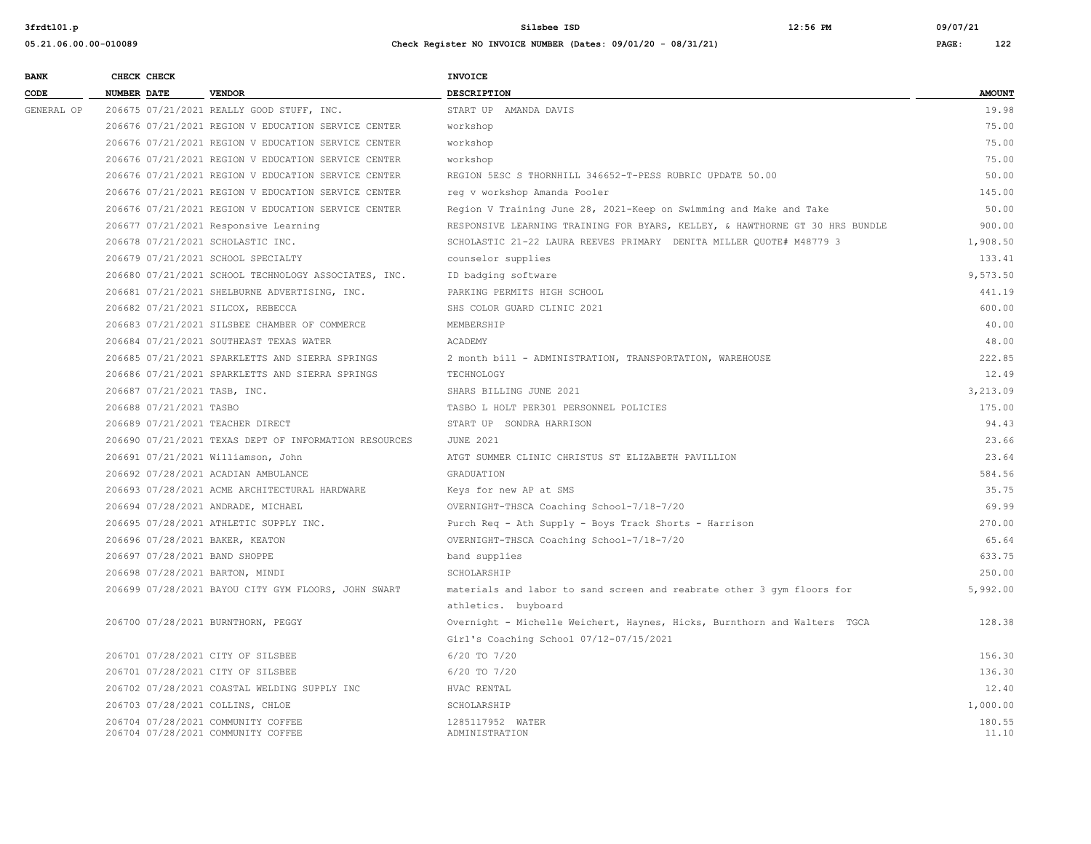| <b>BANK</b> | CHECK CHECK                     |                                                       | INVOICE                                                                      |               |
|-------------|---------------------------------|-------------------------------------------------------|------------------------------------------------------------------------------|---------------|
| CODE        | <b>NUMBER DATE</b>              | <b>VENDOR</b>                                         | DESCRIPTION                                                                  | <b>AMOUNT</b> |
| GENERAL OP  |                                 | 206675 07/21/2021 REALLY GOOD STUFF, INC.             | START UP AMANDA DAVIS                                                        | 19.98         |
|             |                                 | 206676 07/21/2021 REGION V EDUCATION SERVICE CENTER   | workshop                                                                     | 75.00         |
|             |                                 | 206676 07/21/2021 REGION V EDUCATION SERVICE CENTER   | workshop                                                                     | 75.00         |
|             |                                 | 206676 07/21/2021 REGION V EDUCATION SERVICE CENTER   | workshop                                                                     | 75.00         |
|             |                                 | 206676 07/21/2021 REGION V EDUCATION SERVICE CENTER   | REGION 5ESC S THORNHILL 346652-T-PESS RUBRIC UPDATE 50.00                    | 50.00         |
|             |                                 | 206676 07/21/2021 REGION V EDUCATION SERVICE CENTER   | req v workshop Amanda Pooler                                                 | 145.00        |
|             |                                 | 206676 07/21/2021 REGION V EDUCATION SERVICE CENTER   | Region V Training June 28, 2021-Keep on Swimming and Make and Take           | 50.00         |
|             |                                 | 206677 07/21/2021 Responsive Learning                 | RESPONSIVE LEARNING TRAINING FOR BYARS, KELLEY, & HAWTHORNE GT 30 HRS BUNDLE | 900.00        |
|             |                                 | 206678 07/21/2021 SCHOLASTIC INC.                     | SCHOLASTIC 21-22 LAURA REEVES PRIMARY DENITA MILLER QUOTE# M48779 3          | 1,908.50      |
|             |                                 | 206679 07/21/2021 SCHOOL SPECIALTY                    | counselor supplies                                                           | 133.41        |
|             |                                 | 206680 07/21/2021 SCHOOL TECHNOLOGY ASSOCIATES, INC.  | ID badging software                                                          | 9,573.50      |
|             |                                 | 206681 07/21/2021 SHELBURNE ADVERTISING, INC.         | PARKING PERMITS HIGH SCHOOL                                                  | 441.19        |
|             |                                 | 206682 07/21/2021 SILCOX, REBECCA                     | SHS COLOR GUARD CLINIC 2021                                                  | 600.00        |
|             |                                 | 206683 07/21/2021 SILSBEE CHAMBER OF COMMERCE         | MEMBERSHIP                                                                   | 40.00         |
|             |                                 | 206684 07/21/2021 SOUTHEAST TEXAS WATER               | ACADEMY                                                                      | 48.00         |
|             |                                 | 206685 07/21/2021 SPARKLETTS AND SIERRA SPRINGS       | 2 month bill - ADMINISTRATION, TRANSPORTATION, WAREHOUSE                     | 222.85        |
|             |                                 | 206686 07/21/2021 SPARKLETTS AND SIERRA SPRINGS       | TECHNOLOGY                                                                   | 12.49         |
|             | 206687 07/21/2021 TASB, INC.    |                                                       | SHARS BILLING JUNE 2021                                                      | 3,213.09      |
|             | 206688 07/21/2021 TASBO         |                                                       | TASBO L HOLT PER301 PERSONNEL POLICIES                                       | 175.00        |
|             |                                 | 206689 07/21/2021 TEACHER DIRECT                      | START UP SONDRA HARRISON                                                     | 94.43         |
|             |                                 | 206690 07/21/2021 TEXAS DEPT OF INFORMATION RESOURCES | <b>JUNE 2021</b>                                                             | 23.66         |
|             |                                 | 206691 07/21/2021 Williamson, John                    | ATGT SUMMER CLINIC CHRISTUS ST ELIZABETH PAVILLION                           | 23.64         |
|             |                                 | 206692 07/28/2021 ACADIAN AMBULANCE                   | GRADUATION                                                                   | 584.56        |
|             |                                 | 206693 07/28/2021 ACME ARCHITECTURAL HARDWARE         | Keys for new AP at SMS                                                       | 35.75         |
|             |                                 | 206694 07/28/2021 ANDRADE, MICHAEL                    | OVERNIGHT-THSCA Coaching School-7/18-7/20                                    | 69.99         |
|             |                                 | 206695 07/28/2021 ATHLETIC SUPPLY INC.                | Purch Req - Ath Supply - Boys Track Shorts - Harrison                        | 270.00        |
|             | 206696 07/28/2021 BAKER, KEATON |                                                       | OVERNIGHT-THSCA Coaching School-7/18-7/20                                    | 65.64         |
|             | 206697 07/28/2021 BAND SHOPPE   |                                                       | band supplies                                                                | 633.75        |
|             | 206698 07/28/2021 BARTON, MINDI |                                                       | SCHOLARSHIP                                                                  | 250.00        |
|             |                                 | 206699 07/28/2021 BAYOU CITY GYM FLOORS, JOHN SWART   | materials and labor to sand screen and reabrate other 3 gym floors for       | 5,992.00      |
|             |                                 |                                                       | athletics. buyboard                                                          |               |
|             |                                 | 206700 07/28/2021 BURNTHORN, PEGGY                    | Overnight - Michelle Weichert, Haynes, Hicks, Burnthorn and Walters TGCA     | 128.38        |
|             |                                 |                                                       | Girl's Coaching School 07/12-07/15/2021                                      |               |
|             |                                 | 206701 07/28/2021 CITY OF SILSBEE                     | 6/20 TO 7/20                                                                 | 156.30        |
|             |                                 | 206701 07/28/2021 CITY OF SILSBEE                     | 6/20 TO 7/20                                                                 | 136.30        |
|             |                                 | 206702 07/28/2021 COASTAL WELDING SUPPLY INC          | HVAC RENTAL                                                                  | 12.40         |
|             |                                 | 206703 07/28/2021 COLLINS, CHLOE                      | SCHOLARSHIP                                                                  | 1,000.00      |
|             |                                 | 206704 07/28/2021 COMMUNITY COFFEE                    | 1285117952 WATER                                                             | 180.55        |
|             |                                 | 206704 07/28/2021 COMMUNITY COFFEE                    | ADMINISTRATION                                                               | 11.10         |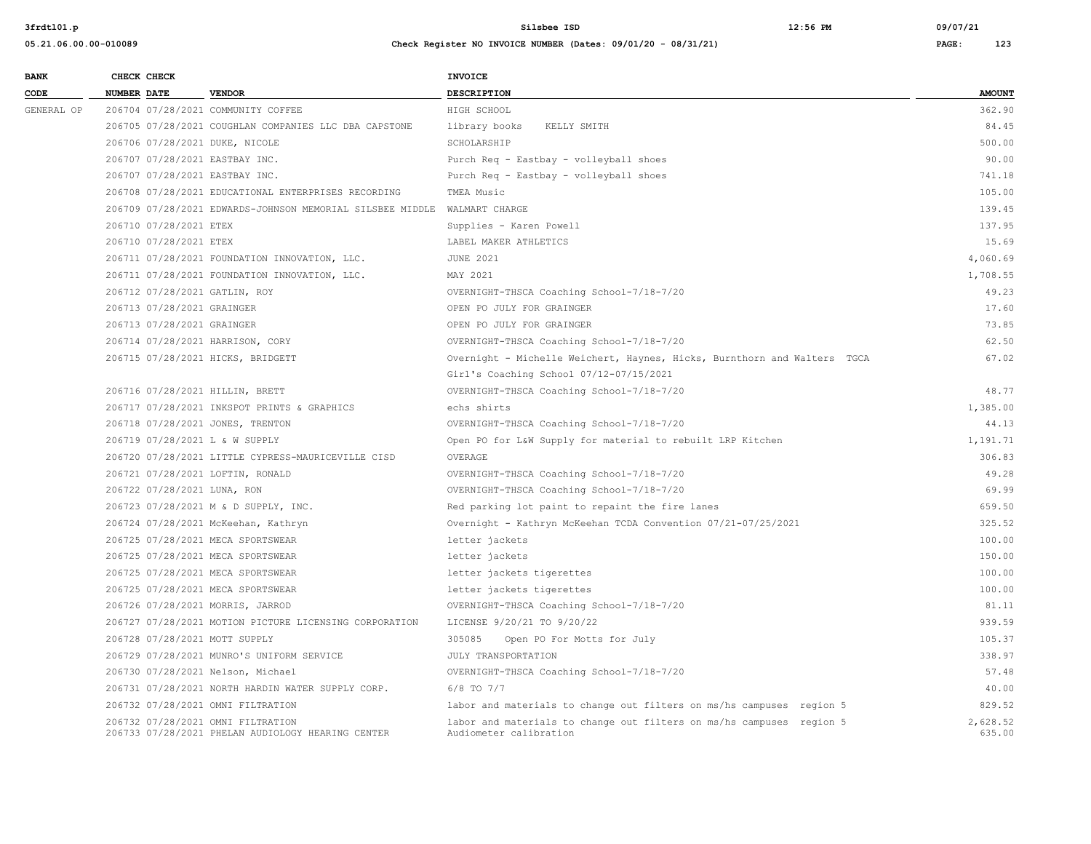| <b>BANK</b> |             | CHECK CHECK                 |                                                                                        | <b>INVOICE</b>                                                                                 |                    |
|-------------|-------------|-----------------------------|----------------------------------------------------------------------------------------|------------------------------------------------------------------------------------------------|--------------------|
| CODE        | NUMBER DATE |                             | <b>VENDOR</b>                                                                          | <b>DESCRIPTION</b>                                                                             | <b>AMOUNT</b>      |
| GENERAL OP  |             |                             | 206704 07/28/2021 COMMUNITY COFFEE                                                     | HIGH SCHOOL                                                                                    | 362.90             |
|             |             |                             | 206705 07/28/2021 COUGHLAN COMPANIES LLC DBA CAPSTONE                                  | library books<br>KELLY SMITH                                                                   | 84.45              |
|             |             |                             | 206706 07/28/2021 DUKE, NICOLE                                                         | SCHOLARSHIP                                                                                    | 500.00             |
|             |             |                             | 206707 07/28/2021 EASTBAY INC.                                                         | Purch Req - Eastbay - volleyball shoes                                                         | 90.00              |
|             |             |                             | 206707 07/28/2021 EASTBAY INC.                                                         | Purch Req - Eastbay - volleyball shoes                                                         | 741.18             |
|             |             |                             | 206708 07/28/2021 EDUCATIONAL ENTERPRISES RECORDING                                    | TMEA Music                                                                                     | 105.00             |
|             |             |                             | 206709 07/28/2021 EDWARDS-JOHNSON MEMORIAL SILSBEE MIDDLE                              | WALMART CHARGE                                                                                 | 139.45             |
|             |             | 206710 07/28/2021 ETEX      |                                                                                        | Supplies - Karen Powell                                                                        | 137.95             |
|             |             | 206710 07/28/2021 ETEX      |                                                                                        | LABEL MAKER ATHLETICS                                                                          | 15.69              |
|             |             |                             | 206711 07/28/2021 FOUNDATION INNOVATION, LLC.                                          | <b>JUNE 2021</b>                                                                               | 4,060.69           |
|             |             |                             | 206711 07/28/2021 FOUNDATION INNOVATION, LLC.                                          | MAY 2021                                                                                       | 1,708.55           |
|             |             |                             | 206712 07/28/2021 GATLIN, ROY                                                          | OVERNIGHT-THSCA Coaching School-7/18-7/20                                                      | 49.23              |
|             |             | 206713 07/28/2021 GRAINGER  |                                                                                        | OPEN PO JULY FOR GRAINGER                                                                      | 17.60              |
|             |             | 206713 07/28/2021 GRAINGER  |                                                                                        | OPEN PO JULY FOR GRAINGER                                                                      | 73.85              |
|             |             |                             | 206714 07/28/2021 HARRISON, CORY                                                       | OVERNIGHT-THSCA Coaching School-7/18-7/20                                                      | 62.50              |
|             |             |                             | 206715 07/28/2021 HICKS, BRIDGETT                                                      | Overnight - Michelle Weichert, Haynes, Hicks, Burnthorn and Walters TGCA                       | 67.02              |
|             |             |                             |                                                                                        | Girl's Coaching School 07/12-07/15/2021                                                        |                    |
|             |             |                             | 206716 07/28/2021 HILLIN, BRETT                                                        | OVERNIGHT-THSCA Coaching School-7/18-7/20                                                      | 48.77              |
|             |             |                             | 206717 07/28/2021 INKSPOT PRINTS & GRAPHICS                                            | echs shirts                                                                                    | 1,385.00           |
|             |             |                             | 206718 07/28/2021 JONES, TRENTON                                                       | OVERNIGHT-THSCA Coaching School-7/18-7/20                                                      | 44.13              |
|             |             |                             | 206719 07/28/2021 L & W SUPPLY                                                         | Open PO for L&W Supply for material to rebuilt LRP Kitchen                                     | 1,191.71           |
|             |             |                             | 206720 07/28/2021 LITTLE CYPRESS-MAURICEVILLE CISD                                     | OVERAGE                                                                                        | 306.83             |
|             |             |                             | 206721 07/28/2021 LOFTIN, RONALD                                                       | OVERNIGHT-THSCA Coaching School-7/18-7/20                                                      | 49.28              |
|             |             | 206722 07/28/2021 LUNA, RON |                                                                                        | OVERNIGHT-THSCA Coaching School-7/18-7/20                                                      | 69.99              |
|             |             |                             | 206723 07/28/2021 M & D SUPPLY, INC.                                                   | Red parking lot paint to repaint the fire lanes                                                | 659.50             |
|             |             |                             | 206724 07/28/2021 McKeehan, Kathryn                                                    | Overnight - Kathryn McKeehan TCDA Convention 07/21-07/25/2021                                  | 325.52             |
|             |             |                             | 206725 07/28/2021 MECA SPORTSWEAR                                                      | letter jackets                                                                                 | 100.00             |
|             |             |                             | 206725 07/28/2021 MECA SPORTSWEAR                                                      | letter jackets                                                                                 | 150.00             |
|             |             |                             | 206725 07/28/2021 MECA SPORTSWEAR                                                      | letter jackets tigerettes                                                                      | 100.00             |
|             |             |                             | 206725 07/28/2021 MECA SPORTSWEAR                                                      | letter jackets tigerettes                                                                      | 100.00             |
|             |             |                             | 206726 07/28/2021 MORRIS, JARROD                                                       | OVERNIGHT-THSCA Coaching School-7/18-7/20                                                      | 81.11              |
|             |             |                             | 206727 07/28/2021 MOTION PICTURE LICENSING CORPORATION                                 | LICENSE 9/20/21 TO 9/20/22                                                                     | 939.59             |
|             |             |                             | 206728 07/28/2021 MOTT SUPPLY                                                          | 305085<br>Open PO For Motts for July                                                           | 105.37             |
|             |             |                             | 206729 07/28/2021 MUNRO'S UNIFORM SERVICE                                              | JULY TRANSPORTATION                                                                            | 338.97             |
|             |             |                             | 206730 07/28/2021 Nelson, Michael                                                      | OVERNIGHT-THSCA Coaching School-7/18-7/20                                                      | 57.48              |
|             |             |                             | 206731 07/28/2021 NORTH HARDIN WATER SUPPLY CORP.                                      | $6/8$ TO $7/7$                                                                                 | 40.00              |
|             |             |                             | 206732 07/28/2021 OMNI FILTRATION                                                      | labor and materials to change out filters on ms/hs campuses region 5                           | 829.52             |
|             |             |                             | 206732 07/28/2021 OMNI FILTRATION<br>206733 07/28/2021 PHELAN AUDIOLOGY HEARING CENTER | labor and materials to change out filters on ms/hs campuses region 5<br>Audiometer calibration | 2,628.52<br>635.00 |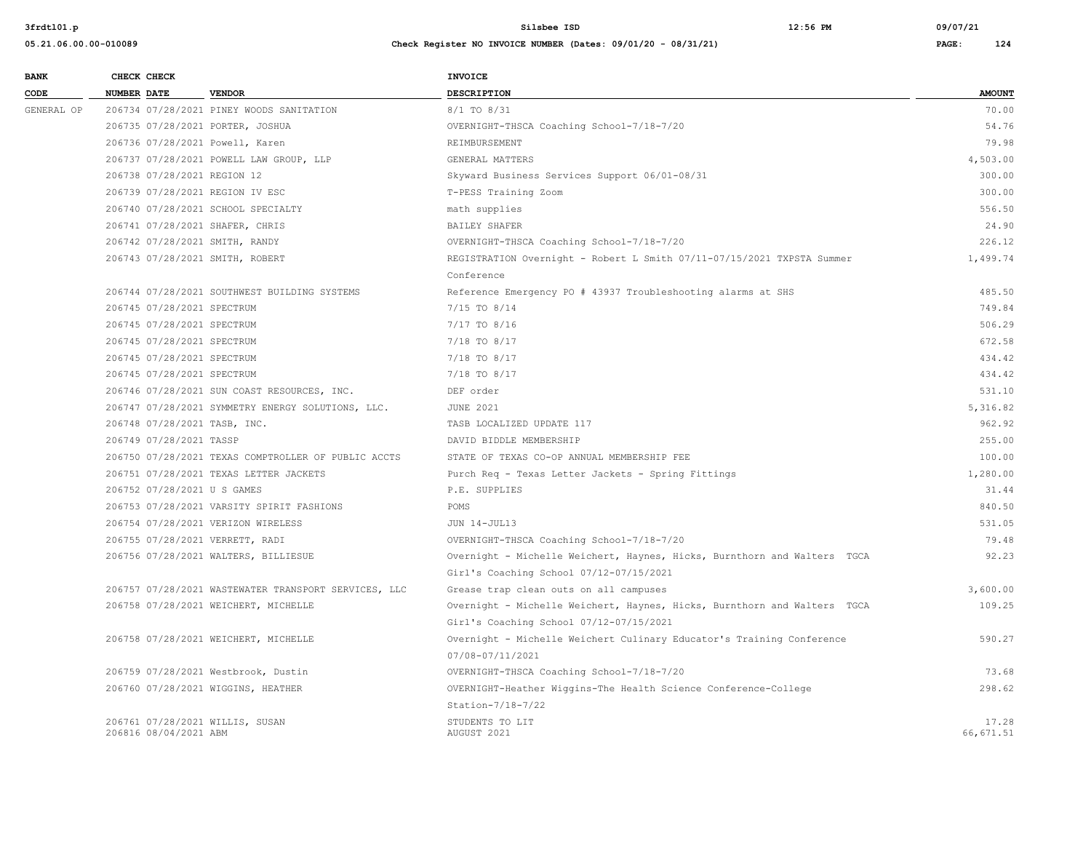| <b>BANK</b> | CHECK CHECK        |                             |                                                      | <b>INVOICE</b>                                                           |               |
|-------------|--------------------|-----------------------------|------------------------------------------------------|--------------------------------------------------------------------------|---------------|
| CODE        | <b>NUMBER DATE</b> |                             | <b>VENDOR</b>                                        | <b>DESCRIPTION</b>                                                       | <b>AMOUNT</b> |
| GENERAL OP  |                    |                             | 206734 07/28/2021 PINEY WOODS SANITATION             | 8/1 TO 8/31                                                              | 70.00         |
|             |                    |                             | 206735 07/28/2021 PORTER, JOSHUA                     | OVERNIGHT-THSCA Coaching School-7/18-7/20                                | 54.76         |
|             |                    |                             | 206736 07/28/2021 Powell, Karen                      | REIMBURSEMENT                                                            | 79.98         |
|             |                    |                             | 206737 07/28/2021 POWELL LAW GROUP, LLP              | GENERAL MATTERS                                                          | 4,503.00      |
|             |                    | 206738 07/28/2021 REGION 12 |                                                      | Skyward Business Services Support 06/01-08/31                            | 300.00        |
|             |                    |                             | 206739 07/28/2021 REGION IV ESC                      | T-PESS Training Zoom                                                     | 300.00        |
|             |                    |                             | 206740 07/28/2021 SCHOOL SPECIALTY                   | math supplies                                                            | 556.50        |
|             |                    |                             | 206741 07/28/2021 SHAFER, CHRIS                      | BAILEY SHAFER                                                            | 24.90         |
|             |                    |                             | 206742 07/28/2021 SMITH, RANDY                       | OVERNIGHT-THSCA Coaching School-7/18-7/20                                | 226.12        |
|             |                    |                             | 206743 07/28/2021 SMITH, ROBERT                      | REGISTRATION Overnight - Robert L Smith 07/11-07/15/2021 TXPSTA Summer   | 1,499.74      |
|             |                    |                             |                                                      | Conference                                                               |               |
|             |                    |                             | 206744 07/28/2021 SOUTHWEST BUILDING SYSTEMS         | Reference Emergency PO # 43937 Troubleshooting alarms at SHS             | 485.50        |
|             |                    | 206745 07/28/2021 SPECTRUM  |                                                      | 7/15 TO 8/14                                                             | 749.84        |
|             |                    | 206745 07/28/2021 SPECTRUM  |                                                      | 7/17 TO 8/16                                                             | 506.29        |
|             |                    | 206745 07/28/2021 SPECTRUM  |                                                      | 7/18 TO 8/17                                                             | 672.58        |
|             |                    | 206745 07/28/2021 SPECTRUM  |                                                      | 7/18 TO 8/17                                                             | 434.42        |
|             |                    | 206745 07/28/2021 SPECTRUM  |                                                      | 7/18 TO 8/17                                                             | 434.42        |
|             |                    |                             | 206746 07/28/2021 SUN COAST RESOURCES, INC.          | DEF order                                                                | 531.10        |
|             |                    |                             | 206747 07/28/2021 SYMMETRY ENERGY SOLUTIONS, LLC.    | <b>JUNE 2021</b>                                                         | 5,316.82      |
|             |                    |                             | 206748 07/28/2021 TASB, INC.                         | TASB LOCALIZED UPDATE 117                                                | 962.92        |
|             |                    | 206749 07/28/2021 TASSP     |                                                      | DAVID BIDDLE MEMBERSHIP                                                  | 255.00        |
|             |                    |                             | 206750 07/28/2021 TEXAS COMPTROLLER OF PUBLIC ACCTS  | STATE OF TEXAS CO-OP ANNUAL MEMBERSHIP FEE                               | 100.00        |
|             |                    |                             | 206751 07/28/2021 TEXAS LETTER JACKETS               | Purch Req - Texas Letter Jackets - Spring Fittings                       | 1,280.00      |
|             |                    | 206752 07/28/2021 U S GAMES |                                                      | P.E. SUPPLIES                                                            | 31.44         |
|             |                    |                             | 206753 07/28/2021 VARSITY SPIRIT FASHIONS            | POMS                                                                     | 840.50        |
|             |                    |                             | 206754 07/28/2021 VERIZON WIRELESS                   | JUN 14-JUL13                                                             | 531.05        |
|             |                    |                             | 206755 07/28/2021 VERRETT, RADI                      | OVERNIGHT-THSCA Coaching School-7/18-7/20                                | 79.48         |
|             |                    |                             | 206756 07/28/2021 WALTERS, BILLIESUE                 | Overnight - Michelle Weichert, Haynes, Hicks, Burnthorn and Walters TGCA | 92.23         |
|             |                    |                             |                                                      | Girl's Coaching School 07/12-07/15/2021                                  |               |
|             |                    |                             | 206757 07/28/2021 WASTEWATER TRANSPORT SERVICES, LLC | Grease trap clean outs on all campuses                                   | 3,600.00      |
|             |                    |                             | 206758 07/28/2021 WEICHERT, MICHELLE                 | Overnight - Michelle Weichert, Haynes, Hicks, Burnthorn and Walters TGCA | 109.25        |
|             |                    |                             |                                                      | Girl's Coaching School 07/12-07/15/2021                                  |               |
|             |                    |                             | 206758 07/28/2021 WEICHERT, MICHELLE                 | Overnight - Michelle Weichert Culinary Educator's Training Conference    | 590.27        |
|             |                    |                             |                                                      | 07/08-07/11/2021                                                         |               |
|             |                    |                             | 206759 07/28/2021 Westbrook, Dustin                  | OVERNIGHT-THSCA Coaching School-7/18-7/20                                | 73.68         |
|             |                    |                             | 206760 07/28/2021 WIGGINS, HEATHER                   | OVERNIGHT-Heather Wiggins-The Health Science Conference-College          | 298.62        |
|             |                    |                             |                                                      | Station-7/18-7/22                                                        |               |
|             |                    |                             | 206761 07/28/2021 WILLIS, SUSAN                      | STUDENTS TO LIT                                                          | 17.28         |
|             |                    | 206816 08/04/2021 ABM       |                                                      | AUGUST 2021                                                              | 66, 671.51    |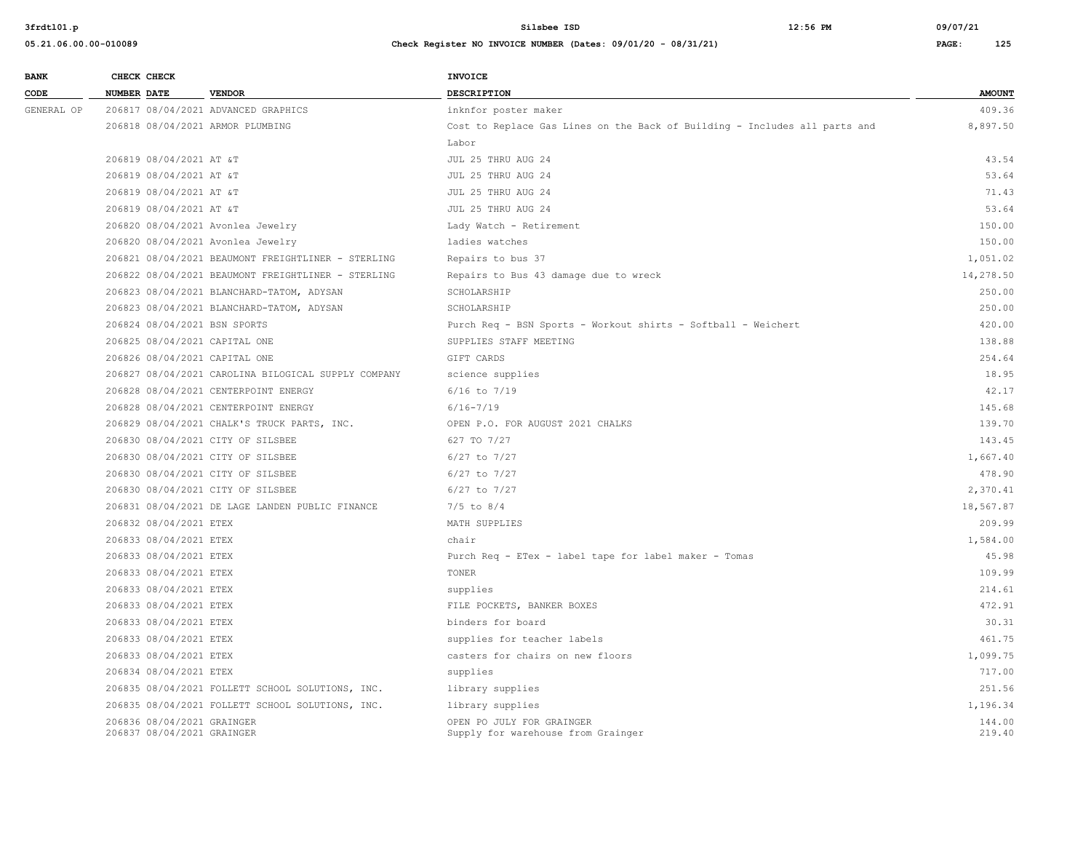| <b>BANK</b> | CHECK CHECK                  |                                                     | INVOICE                                                                    |               |
|-------------|------------------------------|-----------------------------------------------------|----------------------------------------------------------------------------|---------------|
| CODE        | NUMBER DATE                  | <b>VENDOR</b>                                       | <b>DESCRIPTION</b>                                                         | <b>AMOUNT</b> |
| GENERAL OP  |                              | 206817 08/04/2021 ADVANCED GRAPHICS                 | inknfor poster maker                                                       | 409.36        |
|             |                              | 206818 08/04/2021 ARMOR PLUMBING                    | Cost to Replace Gas Lines on the Back of Building - Includes all parts and | 8,897.50      |
|             |                              |                                                     | Labor                                                                      |               |
|             | 206819 08/04/2021 AT &T      |                                                     | JUL 25 THRU AUG 24                                                         | 43.54         |
|             | 206819 08/04/2021 AT &T      |                                                     | JUL 25 THRU AUG 24                                                         | 53.64         |
|             | 206819 08/04/2021 AT &T      |                                                     | JUL 25 THRU AUG 24                                                         | 71.43         |
|             | 206819 08/04/2021 AT &T      |                                                     | JUL 25 THRU AUG 24                                                         | 53.64         |
|             |                              | 206820 08/04/2021 Avonlea Jewelry                   | Lady Watch - Retirement                                                    | 150.00        |
|             |                              | 206820 08/04/2021 Avonlea Jewelry                   | ladies watches                                                             | 150.00        |
|             |                              | 206821 08/04/2021 BEAUMONT FREIGHTLINER - STERLING  | Repairs to bus 37                                                          | 1,051.02      |
|             |                              | 206822 08/04/2021 BEAUMONT FREIGHTLINER - STERLING  | Repairs to Bus 43 damage due to wreck                                      | 14,278.50     |
|             |                              | 206823 08/04/2021 BLANCHARD-TATOM, ADYSAN           | SCHOLARSHIP                                                                | 250.00        |
|             |                              | 206823 08/04/2021 BLANCHARD-TATOM, ADYSAN           | SCHOLARSHIP                                                                | 250.00        |
|             | 206824 08/04/2021 BSN SPORTS |                                                     | Purch Req - BSN Sports - Workout shirts - Softball - Weichert              | 420.00        |
|             |                              | 206825 08/04/2021 CAPITAL ONE                       | SUPPLIES STAFF MEETING                                                     | 138.88        |
|             |                              | 206826 08/04/2021 CAPITAL ONE                       | GIFT CARDS                                                                 | 254.64        |
|             |                              | 206827 08/04/2021 CAROLINA BILOGICAL SUPPLY COMPANY | science supplies                                                           | 18.95         |
|             |                              | 206828 08/04/2021 CENTERPOINT ENERGY                | $6/16$ to $7/19$                                                           | 42.17         |
|             |                              | 206828 08/04/2021 CENTERPOINT ENERGY                | $6/16 - 7/19$                                                              | 145.68        |
|             |                              | 206829 08/04/2021 CHALK'S TRUCK PARTS, INC.         | OPEN P.O. FOR AUGUST 2021 CHALKS                                           | 139.70        |
|             |                              | 206830 08/04/2021 CITY OF SILSBEE                   | 627 TO 7/27                                                                | 143.45        |
|             |                              | 206830 08/04/2021 CITY OF SILSBEE                   | 6/27 to 7/27                                                               | 1,667.40      |
|             |                              | 206830 08/04/2021 CITY OF SILSBEE                   | 6/27 to 7/27                                                               | 478.90        |
|             |                              | 206830 08/04/2021 CITY OF SILSBEE                   | $6/27$ to $7/27$                                                           | 2,370.41      |
|             |                              | 206831 08/04/2021 DE LAGE LANDEN PUBLIC FINANCE     | $7/5$ to $8/4$                                                             | 18,567.87     |
|             | 206832 08/04/2021 ETEX       |                                                     | MATH SUPPLIES                                                              | 209.99        |
|             | 206833 08/04/2021 ETEX       |                                                     | chair                                                                      | 1,584.00      |
|             | 206833 08/04/2021 ETEX       |                                                     | Purch Req - ETex - label tape for label maker - Tomas                      | 45.98         |
|             | 206833 08/04/2021 ETEX       |                                                     | TONER                                                                      | 109.99        |
|             | 206833 08/04/2021 ETEX       |                                                     | supplies                                                                   | 214.61        |
|             | 206833 08/04/2021 ETEX       |                                                     | FILE POCKETS, BANKER BOXES                                                 | 472.91        |
|             | 206833 08/04/2021 ETEX       |                                                     | binders for board                                                          | 30.31         |
|             | 206833 08/04/2021 ETEX       |                                                     | supplies for teacher labels                                                | 461.75        |
|             | 206833 08/04/2021 ETEX       |                                                     | casters for chairs on new floors                                           | 1,099.75      |
|             | 206834 08/04/2021 ETEX       |                                                     | supplies                                                                   | 717.00        |
|             |                              | 206835 08/04/2021 FOLLETT SCHOOL SOLUTIONS, INC.    | library supplies                                                           | 251.56        |
|             |                              | 206835 08/04/2021 FOLLETT SCHOOL SOLUTIONS, INC.    | library supplies                                                           | 1,196.34      |
|             | 206836 08/04/2021 GRAINGER   |                                                     | OPEN PO JULY FOR GRAINGER                                                  | 144.00        |
|             | 206837 08/04/2021 GRAINGER   |                                                     | Supply for warehouse from Grainger                                         | 219.40        |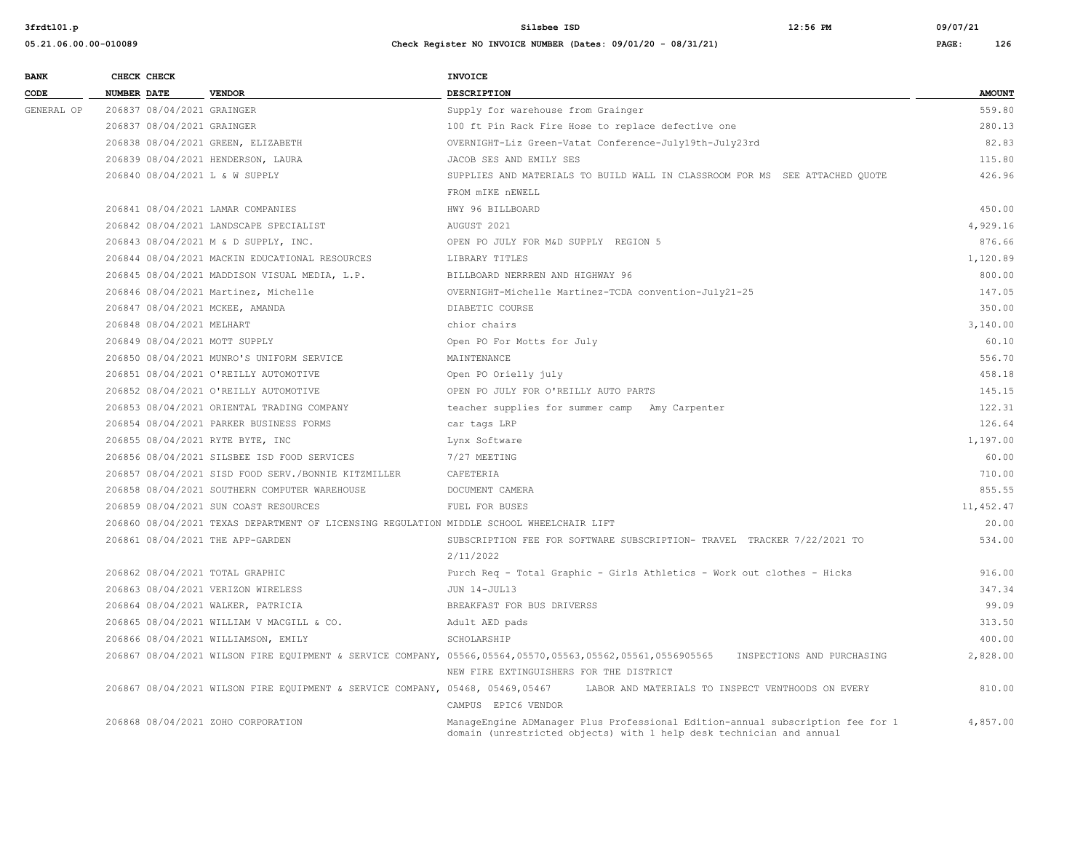**05.21.06.00.00-010089 Check Register NO INVOICE NUMBER (Dates: 09/01/20 - 08/31/21) PAGE: 126**

**BANK CHECK CHECK CHECK CODE NUMBER DATE VENDOR DESCRIPTION AMOUNT** GENERAL OP 206837 08/04/2021 GRAINGER Supply for warehouse from Grainger Supply for which is a supply for warehouse from Grainger S59.80 206837 08/04/2021 GRAINGER 100 ft Pin Rack Fire Hose to replace defective one 280.13 206838 08/04/2021 GREEN, ELIZABETH OVERNIGHT-Liz Green-Vatat Conference-July19th-July23rd 82.83 206839 08/04/2021 HENDERSON, LAURA 115.80 JACOB SES AND EMILY SES 115.80 115.80 206840 08/04/2021 L & W SUPPLY SUPPLIES AND MATERIALS TO BUILD WALL IN CLASSROOM FOR MS SEE ATTACHED QUOTE 426.96 FROM mIKE nEWELL 206841 08/04/2021 LAMAR COMPANIES HWY 96 BILLBOARD 450.00 206842 08/04/2021 LANDSCAPE SPECIALIST AUGUST 2021 4,929.16 206843 08/04/2021 M & D SUPPLY, INC. OPEN PO JULY FOR M&D SUPPLY REGION 5 876.66 206844 08/04/2021 MACKIN EDUCATIONAL RESOURCES LIBRARY TITLES 1,120.89 206845 08/04/2021 MADDISON VISUAL MEDIA, L.P. BILLBOARD NERRREN AND HIGHWAY 96 800.00 206846 08/04/2021 Martinez, Michelle OVERNIGHT-Michelle Martinez-TCDA convention-July21-25 147.05 206847 08/04/2021 MCKEE, AMANDA DIABETIC COURSE 350.00 206848 08/04/2021 MELHART chior chairs 3,140.00 206849 08/04/2021 MOTT SUPPLY Open PO For Motts for July 60.10 206850 08/04/2021 MUNRO'S UNIFORM SERVICE MAINTENANCE 556.70 206851 08/04/2021 O'REILLY AUTOMOTIVE Open PO Orielly july 458.18 206852 08/04/2021 O'REILLY AUTOMOTIVE OPEN PO JULY FOR O'REILLY AUTO PARTS 145.15 206853 08/04/2021 ORIENTAL TRADING COMPANY teacher supplies for summer camp Amy Carpenter 122.31 206854 08/04/2021 PARKER BUSINESS FORMS car tags LRP 126.64 206855 08/04/2021 RYTE BYTE, INC Lynx Software 1,197.00 206856 08/04/2021 SILSBEE ISD FOOD SERVICES 7/27 MEETING 60.00 206857 08/04/2021 SISD FOOD SERV./BONNIE KITZMILLER CAFETERIA 710.00 206858 08/04/2021 SOUTHERN COMPUTER WAREHOUSE DOCUMENT CAMERA 855.55 206859 08/04/2021 SUN COAST RESOURCES FUEL FOR BUSES FUEL FOR BUSES TO A SAME RESOURCES TO A SAME RESOURCES TO 206860 08/04/2021 TEXAS DEPARTMENT OF LICENSING REGULATION MIDDLE SCHOOL WHEELCHAIR LIFT 20.00 206861 08/04/2021 THE APP-GARDEN SUBSCRIPTION FEE FOR SOFTWARE SUBSCRIPTION- TRAVEL TRACKER 7/22/2021 TO 534.00 2/11/2022 206862 08/04/2021 TOTAL GRAPHIC Purch Req - Total Graphic - Girls Athletics - Work out clothes - Hicks 916.00 206863 08/04/2021 VERIZON WIRELESS **JUN 14-JUL13** JUN 14-JUL13 347.34 206864 08/04/2021 WALKER, PATRICIA BREAKFAST FOR BUS DRIVERSS 99.09 206865 08/04/2021 WILLIAM V MACGILL & CO. Adult AED pads 313.50 206866 08/04/2021 WILLIAMSON, EMILY SCHOLARSHIP 400.00 206867 08/04/2021 WILSON FIRE EQUIPMENT & SERVICE COMPANY, 05566,05564,05570,05563,05562,05561,0556905565 INSPECTIONS AND PURCHASING 2,828.00 NEW FIRE EXTINGUISHERS FOR THE DISTRICT 206867 08/04/2021 WILSON FIRE EQUIPMENT & SERVICE COMPANY, 05468, 05469,05467 LABOR AND MATERIALS TO INSPECT VENTHOODS ON EVERY 810.00 CAMPUS EPIC6 VENDOR 206868 08/04/2021 ZOHO CORPORATION ManageEngine ADManager Plus Professional Edition-annual subscription fee for 1 4,857.00 domain (unrestricted objects) with 1 help desk technician and annual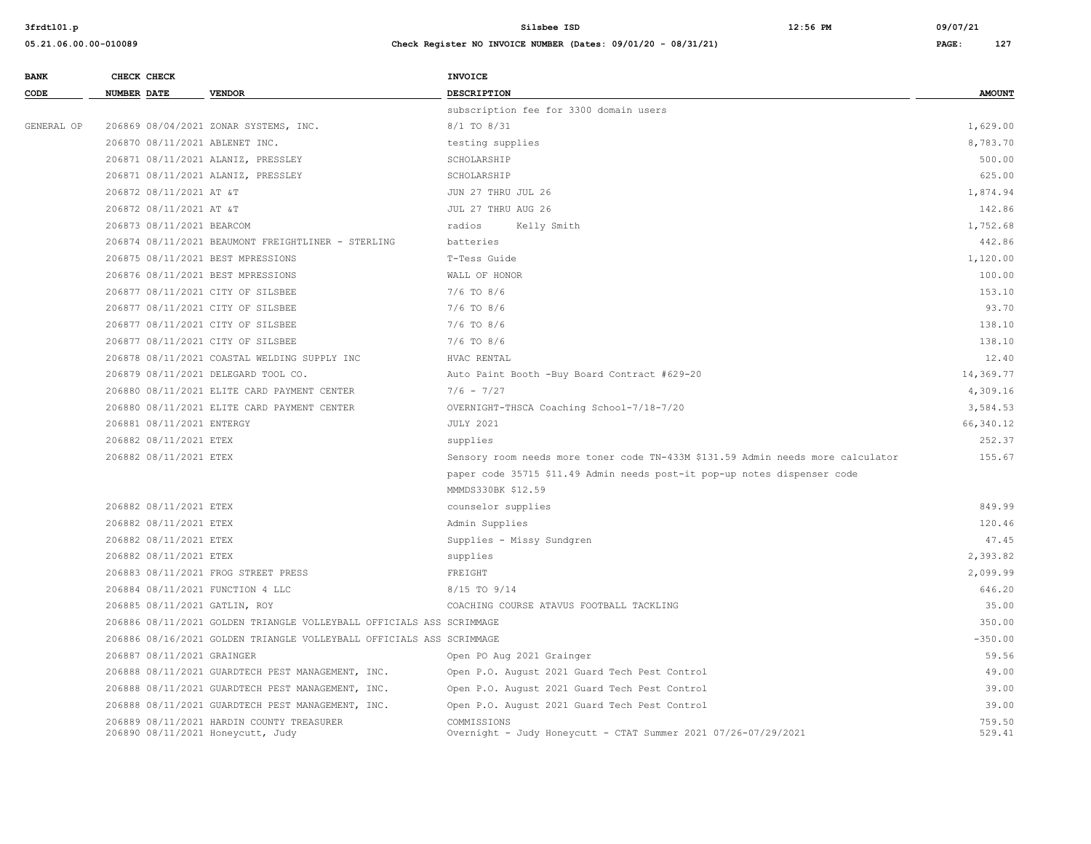| <b>BANK</b> | CHECK CHECK                        |                                                                      | <b>INVOICE</b>                                                                  |                  |
|-------------|------------------------------------|----------------------------------------------------------------------|---------------------------------------------------------------------------------|------------------|
| CODE        | <b>NUMBER DATE</b>                 | <b>VENDOR</b>                                                        | <b>DESCRIPTION</b>                                                              | <b>AMOUNT</b>    |
|             |                                    |                                                                      | subscription fee for 3300 domain users                                          |                  |
| GENERAL OP  |                                    | 206869 08/04/2021 ZONAR SYSTEMS, INC.                                | 8/1 TO 8/31                                                                     | 1,629.00         |
|             | 206870 08/11/2021 ABLENET INC.     |                                                                      | testing supplies                                                                | 8,783.70         |
|             |                                    | 206871 08/11/2021 ALANIZ, PRESSLEY                                   | SCHOLARSHIP                                                                     | 500.00           |
|             | 206871 08/11/2021 ALANIZ, PRESSLEY |                                                                      | SCHOLARSHIP                                                                     | 625.00           |
|             | 206872 08/11/2021 AT &T            |                                                                      | JUN 27 THRU JUL 26                                                              | 1,874.94         |
|             | 206872 08/11/2021 AT &T            |                                                                      | JUL 27 THRU AUG 26                                                              | 142.86           |
|             | 206873 08/11/2021 BEARCOM          |                                                                      | radios<br>Kelly Smith                                                           | 1,752.68         |
|             |                                    | 206874 08/11/2021 BEAUMONT FREIGHTLINER - STERLING                   | batteries                                                                       | 442.86           |
|             | 206875 08/11/2021 BEST MPRESSIONS  |                                                                      | T-Tess Guide                                                                    | 1,120.00         |
|             | 206876 08/11/2021 BEST MPRESSIONS  |                                                                      | WALL OF HONOR                                                                   | 100.00           |
|             | 206877 08/11/2021 CITY OF SILSBEE  |                                                                      | 7/6 TO 8/6                                                                      | 153.10           |
|             | 206877 08/11/2021 CITY OF SILSBEE  |                                                                      | $7/6$ TO $8/6$                                                                  | 93.70            |
|             | 206877 08/11/2021 CITY OF SILSBEE  |                                                                      | $7/6$ TO $8/6$                                                                  | 138.10           |
|             | 206877 08/11/2021 CITY OF SILSBEE  |                                                                      | $7/6$ TO $8/6$                                                                  | 138.10           |
|             |                                    | 206878 08/11/2021 COASTAL WELDING SUPPLY INC                         | HVAC RENTAL                                                                     | 12.40            |
|             |                                    | 206879 08/11/2021 DELEGARD TOOL CO.                                  | Auto Paint Booth -Buy Board Contract #629-20                                    | 14,369.77        |
|             |                                    | 206880 08/11/2021 ELITE CARD PAYMENT CENTER                          | $7/6 - 7/27$                                                                    | 4,309.16         |
|             |                                    | 206880 08/11/2021 ELITE CARD PAYMENT CENTER                          | OVERNIGHT-THSCA Coaching School-7/18-7/20                                       | 3,584.53         |
|             | 206881 08/11/2021 ENTERGY          |                                                                      | <b>JULY 2021</b>                                                                | 66,340.12        |
|             | 206882 08/11/2021 ETEX             |                                                                      | supplies                                                                        | 252.37           |
|             | 206882 08/11/2021 ETEX             |                                                                      | Sensory room needs more toner code TN-433M \$131.59 Admin needs more calculator | 155.67           |
|             |                                    |                                                                      | paper code 35715 \$11.49 Admin needs post-it pop-up notes dispenser code        |                  |
|             |                                    |                                                                      | MMMDS330BK \$12.59                                                              |                  |
|             | 206882 08/11/2021 ETEX             |                                                                      | counselor supplies                                                              | 849.99           |
|             | 206882 08/11/2021 ETEX             |                                                                      | Admin Supplies                                                                  | 120.46           |
|             | 206882 08/11/2021 ETEX             |                                                                      | Supplies - Missy Sundgren                                                       | 47.45            |
|             | 206882 08/11/2021 ETEX             |                                                                      | supplies                                                                        | 2,393.82         |
|             |                                    | 206883 08/11/2021 FROG STREET PRESS                                  | FREIGHT                                                                         | 2,099.99         |
|             | 206884 08/11/2021 FUNCTION 4 LLC   |                                                                      | 8/15 TO 9/14                                                                    | 646.20           |
|             | 206885 08/11/2021 GATLIN, ROY      |                                                                      | COACHING COURSE ATAVUS FOOTBALL TACKLING                                        | 35.00            |
|             |                                    | 206886 08/11/2021 GOLDEN TRIANGLE VOLLEYBALL OFFICIALS ASS SCRIMMAGE |                                                                                 | 350.00           |
|             |                                    | 206886 08/16/2021 GOLDEN TRIANGLE VOLLEYBALL OFFICIALS ASS SCRIMMAGE |                                                                                 | $-350.00$        |
|             | 206887 08/11/2021 GRAINGER         |                                                                      | Open PO Aug 2021 Grainger                                                       | 59.56            |
|             |                                    | 206888 08/11/2021 GUARDTECH PEST MANAGEMENT, INC.                    | Open P.O. August 2021 Guard Tech Pest Control                                   | 49.00            |
|             |                                    | 206888 08/11/2021 GUARDTECH PEST MANAGEMENT, INC.                    | Open P.O. August 2021 Guard Tech Pest Control                                   | 39.00            |
|             |                                    | 206888 08/11/2021 GUARDTECH PEST MANAGEMENT, INC.                    | Open P.O. August 2021 Guard Tech Pest Control                                   | 39.00            |
|             | 206890 08/11/2021 Honeycutt, Judy  | 206889 08/11/2021 HARDIN COUNTY TREASURER                            | COMMISSIONS<br>Overnight - Judy Honeycutt - CTAT Summer 2021 07/26-07/29/2021   | 759.50<br>529.41 |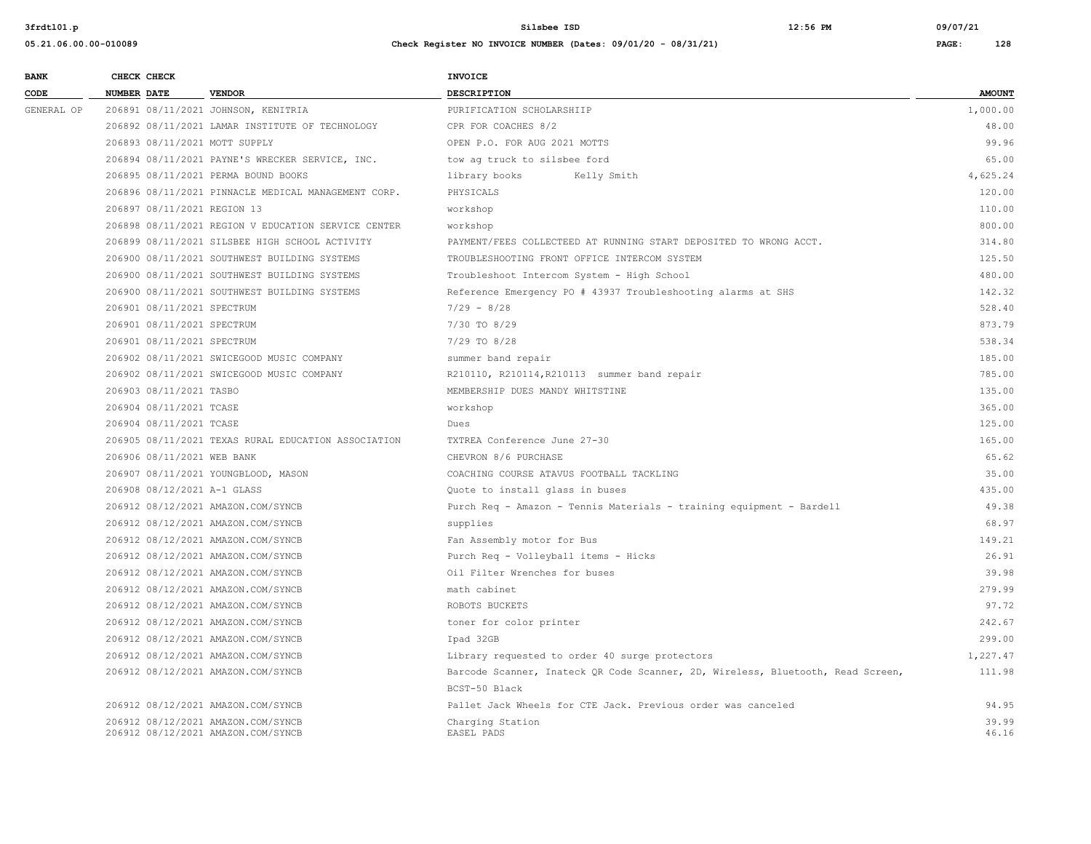| <b>BANK</b> | CHECK CHECK                         |                                                                        | <b>INVOICE</b>               |                           |               |
|-------------|-------------------------------------|------------------------------------------------------------------------|------------------------------|---------------------------|---------------|
| CODE        | <b>NUMBER DATE</b>                  | <b>VENDOR</b>                                                          | <b>DESCRIPTION</b>           |                           | <b>AMOUNT</b> |
| GENERAL OP  | 206891 08/11/2021 JOHNSON, KENITRIA |                                                                        |                              | PURIFICATION SCHOLARSHIIP |               |
|             |                                     | 206892 08/11/2021 LAMAR INSTITUTE OF TECHNOLOGY                        | CPR FOR COACHES 8/2          |                           | 48.00         |
|             | 206893 08/11/2021 MOTT SUPPLY       |                                                                        | OPEN P.O. FOR AUG 2021 MOTTS |                           | 99.96         |
|             |                                     | 206894 08/11/2021 PAYNE'S WRECKER SERVICE, INC.                        | tow ag truck to silsbee ford |                           | 65.00         |
|             | 206895 08/11/2021 PERMA BOUND BOOKS |                                                                        | library books                | Kelly Smith               | 4,625.24      |
|             |                                     | 206896 08/11/2021 PINNACLE MEDICAL MANAGEMENT CORP.                    | PHYSICALS                    |                           | 120.00        |
|             | 206897 08/11/2021 REGION 13         |                                                                        | workshop                     |                           | 110.00        |
|             |                                     | $AAZAAA$ $AA/AA$ $AAAA$ provides it privates at applied on appropriate | $\cdots$                     |                           | 0.00000       |

| 206894 08/11/2021 PAYNE'S WRECKER SERVICE, INC.     | tow ag truck to silsbee ford                                                    | 65.00    |
|-----------------------------------------------------|---------------------------------------------------------------------------------|----------|
| 206895 08/11/2021 PERMA BOUND BOOKS                 | library books<br>Kelly Smith                                                    | 4,625.24 |
| 206896 08/11/2021 PINNACLE MEDICAL MANAGEMENT CORP. | PHYSICALS                                                                       | 120.00   |
| 206897 08/11/2021 REGION 13                         | workshop                                                                        | 110.00   |
| 206898 08/11/2021 REGION V EDUCATION SERVICE CENTER | workshop                                                                        | 800.00   |
| 206899 08/11/2021 SILSBEE HIGH SCHOOL ACTIVITY      | PAYMENT/FEES COLLECTEED AT RUNNING START DEPOSITED TO WRONG ACCT.               | 314.80   |
| 206900 08/11/2021 SOUTHWEST BUILDING SYSTEMS        | TROUBLESHOOTING FRONT OFFICE INTERCOM SYSTEM                                    | 125.50   |
| 206900 08/11/2021 SOUTHWEST BUILDING SYSTEMS        | Troubleshoot Intercom System - High School                                      | 480.00   |
| 206900 08/11/2021 SOUTHWEST BUILDING SYSTEMS        | Reference Emergency PO # 43937 Troubleshooting alarms at SHS                    | 142.32   |
| 206901 08/11/2021 SPECTRUM                          | $7/29 - 8/28$                                                                   | 528.40   |
| 206901 08/11/2021 SPECTRUM                          | 7/30 TO 8/29                                                                    | 873.79   |
| 206901 08/11/2021 SPECTRUM                          | 7/29 TO 8/28                                                                    | 538.34   |
| 206902 08/11/2021 SWICEGOOD MUSIC COMPANY           | summer band repair                                                              | 185.00   |
| 206902 08/11/2021 SWICEGOOD MUSIC COMPANY           | R210110, R210114, R210113 summer band repair                                    | 785.00   |
| 206903 08/11/2021 TASBO                             | MEMBERSHIP DUES MANDY WHITSTINE                                                 | 135.00   |
| 206904 08/11/2021 TCASE                             | workshop                                                                        | 365.00   |
| 206904 08/11/2021 TCASE                             | Dues                                                                            | 125.00   |
| 206905 08/11/2021 TEXAS RURAL EDUCATION ASSOCIATION | TXTREA Conference June 27-30                                                    | 165.00   |
| 206906 08/11/2021 WEB BANK                          | CHEVRON 8/6 PURCHASE                                                            | 65.62    |
| 206907 08/11/2021 YOUNGBLOOD, MASON                 | COACHING COURSE ATAVUS FOOTBALL TACKLING                                        | 35.00    |
| 206908 08/12/2021 A-1 GLASS                         | Quote to install glass in buses                                                 | 435.00   |
| 206912 08/12/2021 AMAZON.COM/SYNCB                  | Purch Req - Amazon - Tennis Materials - training equipment - Bardell            | 49.38    |
| 206912 08/12/2021 AMAZON.COM/SYNCB                  | supplies                                                                        | 68.97    |
| 206912 08/12/2021 AMAZON.COM/SYNCB                  | Fan Assembly motor for Bus                                                      | 149.21   |
| 206912 08/12/2021 AMAZON.COM/SYNCB                  | Purch Req - Volleyball items - Hicks                                            | 26.91    |
| 206912 08/12/2021 AMAZON.COM/SYNCB                  | Oil Filter Wrenches for buses                                                   | 39.98    |
| 206912 08/12/2021 AMAZON.COM/SYNCB                  | math cabinet                                                                    | 279.99   |
| 206912 08/12/2021 AMAZON.COM/SYNCB                  | ROBOTS BUCKETS                                                                  | 97.72    |
| 206912 08/12/2021 AMAZON.COM/SYNCB                  | toner for color printer                                                         | 242.67   |
| 206912 08/12/2021 AMAZON.COM/SYNCB                  | Ipad 32GB                                                                       | 299.00   |
| 206912 08/12/2021 AMAZON.COM/SYNCB                  | Library requested to order 40 surge protectors                                  | 1,227.47 |
| 206912 08/12/2021 AMAZON.COM/SYNCB                  | Barcode Scanner, Inateck QR Code Scanner, 2D, Wireless, Bluetooth, Read Screen, | 111.98   |
|                                                     | BCST-50 Black                                                                   |          |
| 206912 08/12/2021 AMAZON.COM/SYNCB                  | Pallet Jack Wheels for CTE Jack. Previous order was canceled                    | 94.95    |
| 206912 08/12/2021 AMAZON.COM/SYNCB                  | Charging Station                                                                | 39.99    |
| 206912 08/12/2021 AMAZON.COM/SYNCB                  | EASEL PADS                                                                      | 46.16    |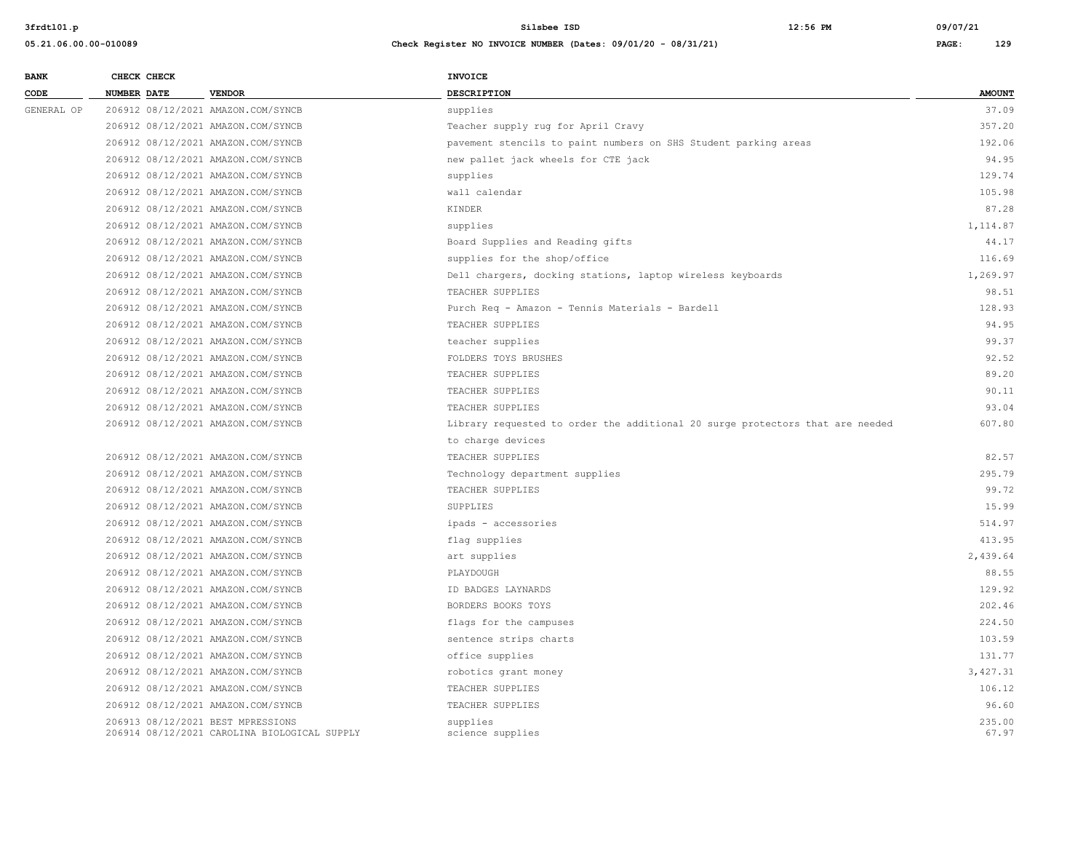**05.21.06.00.00-010089 Check Register NO INVOICE NUMBER (Dates: 09/01/20 - 08/31/21) PAGE: 129**

**BANK CHECK CHECK CHECK CODE NUMBER DATE VENDOR DESCRIPTION AMOUNT** GENERAL OP 206912 08/12/2021 AMAZON.COM/SYNCB supplies 37.09 206912 08/12/2021 AMAZON.COM/SYNCB Teacher supply rug for April Cravy 357.20 206912 08/12/2021 AMAZON.COM/SYNCB pavement stencils to paint numbers on SHS Student parking areas 192.06 206912 08/12/2021 AMAZON.COM/SYNCB new pallet jack wheels for CTE jack 94.95 206912 08/12/2021 AMAZON.COM/SYNCB supplies 129.74 206912 08/12/2021 AMAZON.COM/SYNCB wall calendar 105.98 206912 08/12/2021 AMAZON.COM/SYNCB KINDER 87.28 206912 08/12/2021 AMAZON.COM/SYNCB supplies 1,114.87 206912 08/12/2021 AMAZON.COM/SYNCB Board Supplies and Reading gifts 44.17 206912 08/12/2021 AMAZON.COM/SYNCB supplies for the shop/office 116.69 206912 08/12/2021 AMAZON.COM/SYNCB Dell chargers, docking stations, laptop wireless keyboards 1,269.97 206912 08/12/2021 AMAZON.COM/SYNCB TEACHER SUPPLIES 98.51 206912 08/12/2021 AMAZON.COM/SYNCB Purch Req - Amazon - Tennis Materials - Bardell 128.93 206912 08/12/2021 AMAZON.COM/SYNCB TEACHER SUPPLIES 94.95 206912 08/12/2021 AMAZON.COM/SYNCB teacher supplies 99.37 206912 08/12/2021 AMAZON.COM/SYNCB FOLDERS TOYS BRUSHES 92.52 206912 08/12/2021 AMAZON.COM/SYNCB TEACHER SUPPLIES 89.20 206912 08/12/2021 AMAZON.COM/SYNCB TEACHER SUPPLIES 90.11 206912 08/12/2021 AMAZON.COM/SYNCB TEACHER SUPPLIES 93.04 206912 08/12/2021 AMAZON.COM/SYNCB Library requested to order the additional 20 surge protectors that are needed 607.80 to charge devices 206912 08/12/2021 AMAZON.COM/SYNCB TEACHER SUPPLIES 82.57 206912 08/12/2021 AMAZON.COM/SYNCB Technology department supplies 295.79 206912 08/12/2021 AMAZON.COM/SYNCB TEACHER SUPPLIES 99.72 206912 08/12/2021 AMAZON.COM/SYNCB SUPPLIES 15.99 206912 08/12/2021 AMAZON.COM/SYNCB ipads - accessories 514.97 206912 08/12/2021 AMAZON.COM/SYNCB flag supplies 413.95 206912 08/12/2021 AMAZON.COM/SYNCB art supplies 2,439.64 206912 08/12/2021 AMAZON.COM/SYNCB PLAYDOUGH 88.55 206912 08/12/2021 AMAZON.COM/SYNCB ID BADGES LAYNARDS 129.92 206912 08/12/2021 AMAZON.COM/SYNCB BORDERS BOOKS TOYS 202.46 206912 08/12/2021 AMAZON.COM/SYNCB flags for the campuses 224.50 206912 08/12/2021 AMAZON.COM/SYNCB sentence strips charts 103.59 206912 08/12/2021 AMAZON.COM/SYNCB office supplies 131.77 206912 08/12/2021 AMAZON.COM/SYNCB robotics grant money 3,427.31 206912 08/12/2021 AMAZON.COM/SYNCB TEACHER SUPPLIES 106.12 206912 08/12/2021 AMAZON.COM/SYNCB TEACHER SUPPLIES 96.60 206913 08/12/2021 BEST MPRESSIONS supplies 235.00

206914 08/12/2021 CAROLINA BIOLOGICAL SUPPLY science supplies 67.97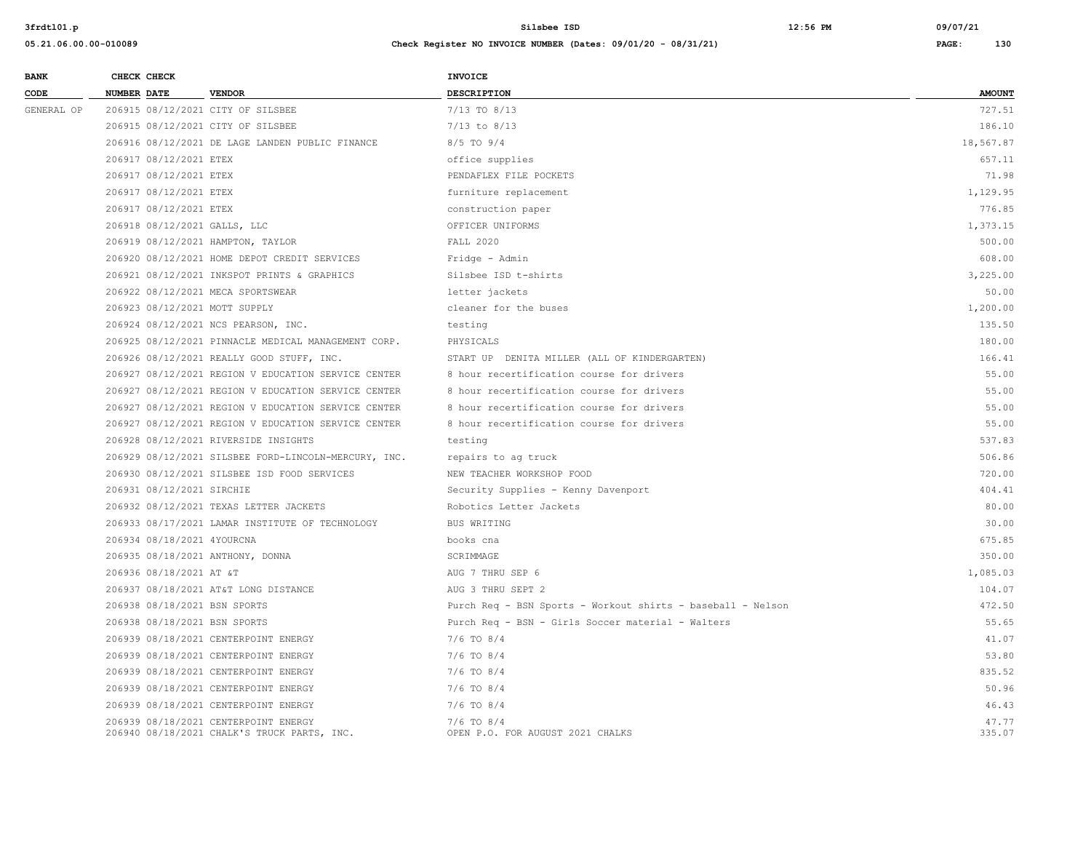| <b>BANK</b> | CHECK CHECK                       |                                                                                     | INVOICE                                                     |                 |
|-------------|-----------------------------------|-------------------------------------------------------------------------------------|-------------------------------------------------------------|-----------------|
| CODE        | <b>NUMBER DATE</b>                | <b>VENDOR</b>                                                                       | DESCRIPTION                                                 | <b>AMOUNT</b>   |
| GENERAL OP  | 206915 08/12/2021 CITY OF SILSBEE |                                                                                     | $7/13$ TO $8/13$                                            | 727.51          |
|             | 206915 08/12/2021 CITY OF SILSBEE |                                                                                     | $7/13$ to $8/13$                                            | 186.10          |
|             |                                   | 206916 08/12/2021 DE LAGE LANDEN PUBLIC FINANCE                                     | 8/5 TO 9/4                                                  | 18,567.87       |
|             | 206917 08/12/2021 ETEX            |                                                                                     | office supplies                                             | 657.11          |
|             | 206917 08/12/2021 ETEX            |                                                                                     | PENDAFLEX FILE POCKETS                                      | 71.98           |
|             | 206917 08/12/2021 ETEX            |                                                                                     | furniture replacement                                       | 1,129.95        |
|             | 206917 08/12/2021 ETEX            |                                                                                     | construction paper                                          | 776.85          |
|             | 206918 08/12/2021 GALLS, LLC      |                                                                                     | OFFICER UNIFORMS                                            | 1,373.15        |
|             | 206919 08/12/2021 HAMPTON, TAYLOR |                                                                                     | FALL 2020                                                   | 500.00          |
|             |                                   | 206920 08/12/2021 HOME DEPOT CREDIT SERVICES                                        | Fridge - Admin                                              | 608.00          |
|             |                                   | 206921 08/12/2021 INKSPOT PRINTS & GRAPHICS                                         | Silsbee ISD t-shirts                                        | 3,225.00        |
|             | 206922 08/12/2021 MECA SPORTSWEAR |                                                                                     | letter jackets                                              | 50.00           |
|             | 206923 08/12/2021 MOTT SUPPLY     |                                                                                     | cleaner for the buses                                       | 1,200.00        |
|             |                                   | 206924 08/12/2021 NCS PEARSON, INC.                                                 | testing                                                     | 135.50          |
|             |                                   | 206925 08/12/2021 PINNACLE MEDICAL MANAGEMENT CORP.                                 | PHYSICALS                                                   | 180.00          |
|             |                                   | 206926 08/12/2021 REALLY GOOD STUFF, INC.                                           | START UP DENITA MILLER (ALL OF KINDERGARTEN)                | 166.41          |
|             |                                   | 206927 08/12/2021 REGION V EDUCATION SERVICE CENTER                                 | 8 hour recertification course for drivers                   | 55.00           |
|             |                                   | 206927 08/12/2021 REGION V EDUCATION SERVICE CENTER                                 | 8 hour recertification course for drivers                   | 55.00           |
|             |                                   | 206927 08/12/2021 REGION V EDUCATION SERVICE CENTER                                 | 8 hour recertification course for drivers                   | 55.00           |
|             |                                   | 206927 08/12/2021 REGION V EDUCATION SERVICE CENTER                                 | 8 hour recertification course for drivers                   | 55.00           |
|             |                                   | 206928 08/12/2021 RIVERSIDE INSIGHTS                                                | testing                                                     | 537.83          |
|             |                                   | 206929 08/12/2021 SILSBEE FORD-LINCOLN-MERCURY, INC.                                | repairs to ag truck                                         | 506.86          |
|             |                                   | 206930 08/12/2021 SILSBEE ISD FOOD SERVICES                                         | NEW TEACHER WORKSHOP FOOD                                   | 720.00          |
|             | 206931 08/12/2021 SIRCHIE         |                                                                                     | Security Supplies - Kenny Davenport                         | 404.41          |
|             |                                   | 206932 08/12/2021 TEXAS LETTER JACKETS                                              | Robotics Letter Jackets                                     | 80.00           |
|             |                                   | 206933 08/17/2021 LAMAR INSTITUTE OF TECHNOLOGY                                     | <b>BUS WRITING</b>                                          | 30.00           |
|             | 206934 08/18/2021 4YOURCNA        |                                                                                     | books cna                                                   | 675.85          |
|             | 206935 08/18/2021 ANTHONY, DONNA  |                                                                                     | SCRIMMAGE                                                   | 350.00          |
|             | 206936 08/18/2021 AT &T           |                                                                                     | AUG 7 THRU SEP 6                                            | 1,085.03        |
|             |                                   | 206937 08/18/2021 AT&T LONG DISTANCE                                                | AUG 3 THRU SEPT 2                                           | 104.07          |
|             | 206938 08/18/2021 BSN SPORTS      |                                                                                     | Purch Req - BSN Sports - Workout shirts - baseball - Nelson | 472.50          |
|             | 206938 08/18/2021 BSN SPORTS      |                                                                                     | Purch Req - BSN - Girls Soccer material - Walters           | 55.65           |
|             |                                   | 206939 08/18/2021 CENTERPOINT ENERGY                                                | $7/6$ TO $8/4$                                              | 41.07           |
|             |                                   | 206939 08/18/2021 CENTERPOINT ENERGY                                                | $7/6$ TO $8/4$                                              | 53.80           |
|             |                                   | 206939 08/18/2021 CENTERPOINT ENERGY                                                | $7/6$ TO $8/4$                                              | 835.52          |
|             |                                   | 206939 08/18/2021 CENTERPOINT ENERGY                                                | $7/6$ TO $8/4$                                              | 50.96           |
|             |                                   | 206939 08/18/2021 CENTERPOINT ENERGY                                                | $7/6$ TO $8/4$                                              | 46.43           |
|             |                                   | 206939 08/18/2021 CENTERPOINT ENERGY<br>206940 08/18/2021 CHALK'S TRUCK PARTS, INC. | $7/6$ TO $8/4$<br>OPEN P.O. FOR AUGUST 2021 CHALKS          | 47.77<br>335.07 |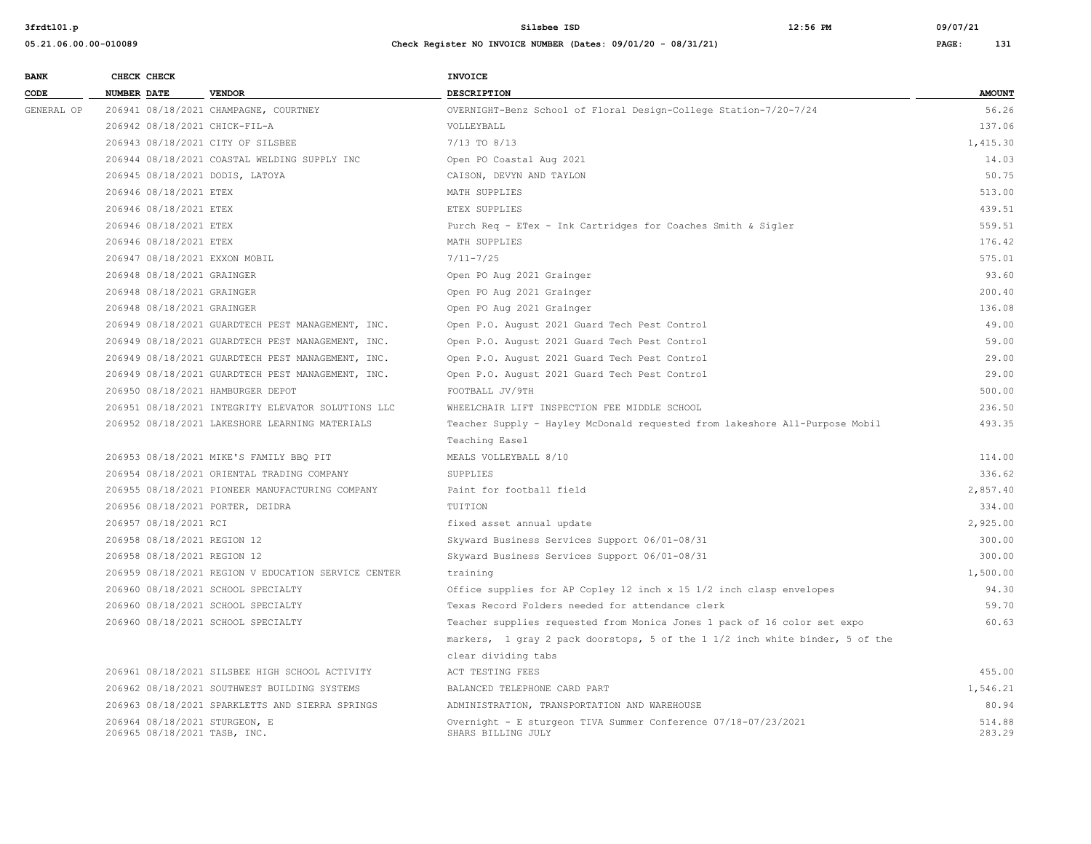| <b>BANK</b> | CHECK CHECK                                                   |                                                     | <b>INVOICE</b>                                                                       |                  |
|-------------|---------------------------------------------------------------|-----------------------------------------------------|--------------------------------------------------------------------------------------|------------------|
| CODE        | <b>NUMBER DATE</b>                                            | <b>VENDOR</b>                                       | <b>DESCRIPTION</b>                                                                   | <b>AMOUNT</b>    |
| GENERAL OP  |                                                               | 206941 08/18/2021 CHAMPAGNE, COURTNEY               | OVERNIGHT-Benz School of Floral Design-College Station-7/20-7/24                     | 56.26            |
|             | 206942 08/18/2021 CHICK-FIL-A                                 |                                                     | VOLLEYBALL                                                                           | 137.06           |
|             | 206943 08/18/2021 CITY OF SILSBEE                             |                                                     | 7/13 TO 8/13                                                                         | 1,415.30         |
|             |                                                               | 206944 08/18/2021 COASTAL WELDING SUPPLY INC        | Open PO Coastal Aug 2021                                                             | 14.03            |
|             | 206945 08/18/2021 DODIS, LATOYA                               |                                                     | CAISON, DEVYN AND TAYLON                                                             | 50.75            |
|             | 206946 08/18/2021 ETEX                                        |                                                     | MATH SUPPLIES                                                                        | 513.00           |
|             | 206946 08/18/2021 ETEX                                        |                                                     | ETEX SUPPLIES                                                                        | 439.51           |
|             | 206946 08/18/2021 ETEX                                        |                                                     | Purch Req - ETex - Ink Cartridges for Coaches Smith & Sigler                         | 559.51           |
|             | 206946 08/18/2021 ETEX                                        |                                                     | MATH SUPPLIES                                                                        | 176.42           |
|             | 206947 08/18/2021 EXXON MOBIL                                 |                                                     | $7/11 - 7/25$                                                                        | 575.01           |
|             | 206948 08/18/2021 GRAINGER                                    |                                                     | Open PO Aug 2021 Grainger                                                            | 93.60            |
|             | 206948 08/18/2021 GRAINGER                                    |                                                     | Open PO Aug 2021 Grainger                                                            | 200.40           |
|             | 206948 08/18/2021 GRAINGER                                    |                                                     | Open PO Aug 2021 Grainger                                                            | 136.08           |
|             |                                                               | 206949 08/18/2021 GUARDTECH PEST MANAGEMENT, INC.   | Open P.O. August 2021 Guard Tech Pest Control                                        | 49.00            |
|             |                                                               | 206949 08/18/2021 GUARDTECH PEST MANAGEMENT, INC.   | Open P.O. August 2021 Guard Tech Pest Control                                        | 59.00            |
|             |                                                               | 206949 08/18/2021 GUARDTECH PEST MANAGEMENT, INC.   | Open P.O. August 2021 Guard Tech Pest Control                                        | 29.00            |
|             |                                                               | 206949 08/18/2021 GUARDTECH PEST MANAGEMENT, INC.   | Open P.O. August 2021 Guard Tech Pest Control                                        | 29.00            |
|             | 206950 08/18/2021 HAMBURGER DEPOT                             |                                                     | FOOTBALL JV/9TH                                                                      | 500.00           |
|             |                                                               | 206951 08/18/2021 INTEGRITY ELEVATOR SOLUTIONS LLC  | WHEELCHAIR LIFT INSPECTION FEE MIDDLE SCHOOL                                         | 236.50           |
|             |                                                               | 206952 08/18/2021 LAKESHORE LEARNING MATERIALS      | Teacher Supply - Hayley McDonald requested from lakeshore All-Purpose Mobil          | 493.35           |
|             |                                                               |                                                     | Teaching Easel                                                                       |                  |
|             |                                                               | 206953 08/18/2021 MIKE'S FAMILY BBQ PIT             | MEALS VOLLEYBALL 8/10                                                                | 114.00           |
|             |                                                               | 206954 08/18/2021 ORIENTAL TRADING COMPANY          | <b>SUPPLIES</b>                                                                      | 336.62           |
|             |                                                               | 206955 08/18/2021 PIONEER MANUFACTURING COMPANY     | Paint for football field                                                             | 2,857.40         |
|             | 206956 08/18/2021 PORTER, DEIDRA                              |                                                     | TUITION                                                                              | 334.00           |
|             | 206957 08/18/2021 RCI                                         |                                                     | fixed asset annual update                                                            | 2,925.00         |
|             | 206958 08/18/2021 REGION 12                                   |                                                     | Skyward Business Services Support 06/01-08/31                                        | 300.00           |
|             | 206958 08/18/2021 REGION 12                                   |                                                     | Skyward Business Services Support 06/01-08/31                                        | 300.00           |
|             |                                                               | 206959 08/18/2021 REGION V EDUCATION SERVICE CENTER | training                                                                             | 1,500.00         |
|             |                                                               | 206960 08/18/2021 SCHOOL SPECIALTY                  | Office supplies for AP Copley 12 inch x 15 1/2 inch clasp envelopes                  | 94.30            |
|             |                                                               | 206960 08/18/2021 SCHOOL SPECIALTY                  | Texas Record Folders needed for attendance clerk                                     | 59.70            |
|             |                                                               | 206960 08/18/2021 SCHOOL SPECIALTY                  | Teacher supplies requested from Monica Jones 1 pack of 16 color set expo             | 60.63            |
|             |                                                               |                                                     | markers, 1 gray 2 pack doorstops, 5 of the 1 1/2 inch white binder, 5 of the         |                  |
|             |                                                               |                                                     | clear dividing tabs                                                                  |                  |
|             |                                                               | 206961 08/18/2021 SILSBEE HIGH SCHOOL ACTIVITY      | ACT TESTING FEES                                                                     | 455.00           |
|             |                                                               | 206962 08/18/2021 SOUTHWEST BUILDING SYSTEMS        | BALANCED TELEPHONE CARD PART                                                         | 1,546.21         |
|             |                                                               | 206963 08/18/2021 SPARKLETTS AND SIERRA SPRINGS     | ADMINISTRATION, TRANSPORTATION AND WAREHOUSE                                         | 80.94            |
|             | 206964 08/18/2021 STURGEON, E<br>206965 08/18/2021 TASB, INC. |                                                     | Overnight - E sturgeon TIVA Summer Conference 07/18-07/23/2021<br>SHARS BILLING JULY | 514.88<br>283.29 |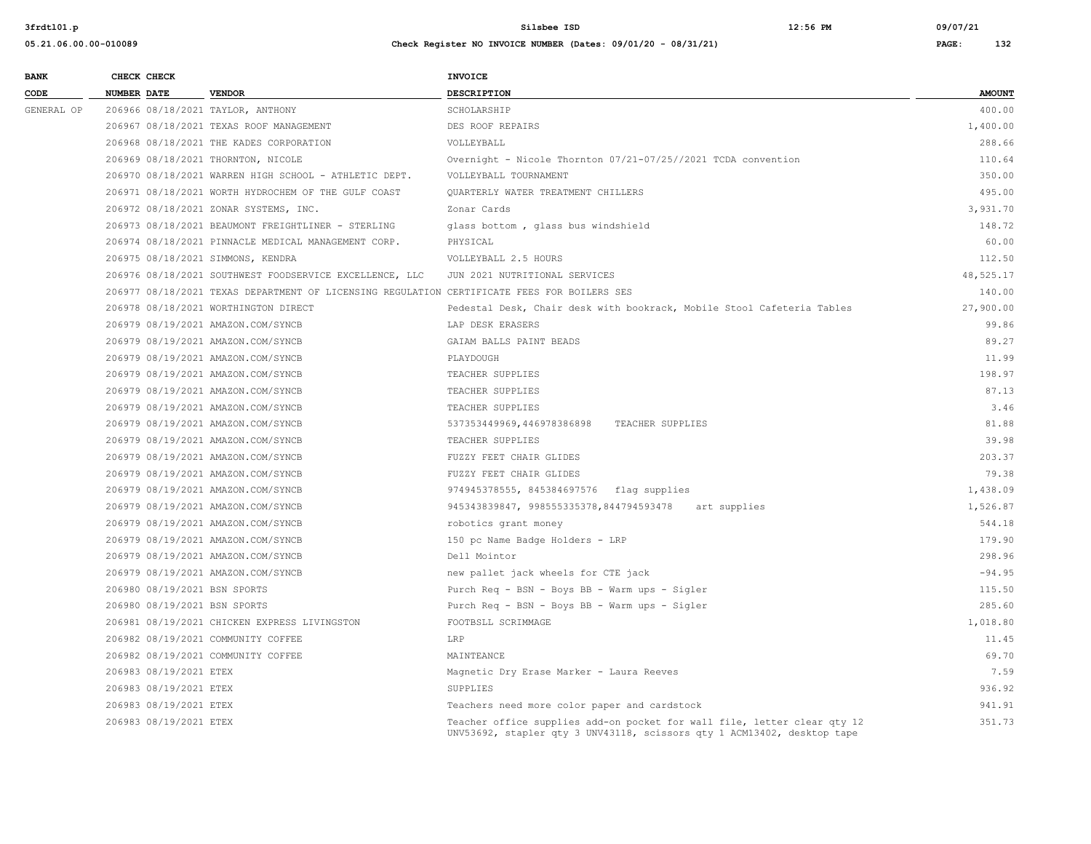| <b>BANK</b> |                    | CHECK CHECK            |                                                                                             | <b>INVOICE</b>                                                                                                                                      |               |
|-------------|--------------------|------------------------|---------------------------------------------------------------------------------------------|-----------------------------------------------------------------------------------------------------------------------------------------------------|---------------|
| CODE        | <b>NUMBER DATE</b> |                        | <b>VENDOR</b>                                                                               | <b>DESCRIPTION</b>                                                                                                                                  | <b>AMOUNT</b> |
| GENERAL OP  |                    |                        | 206966 08/18/2021 TAYLOR, ANTHONY                                                           | SCHOLARSHIP                                                                                                                                         | 400.00        |
|             |                    |                        | 206967 08/18/2021 TEXAS ROOF MANAGEMENT                                                     | DES ROOF REPAIRS                                                                                                                                    | 1,400.00      |
|             |                    |                        | 206968 08/18/2021 THE KADES CORPORATION                                                     | VOLLEYBALL                                                                                                                                          | 288.66        |
|             |                    |                        | 206969 08/18/2021 THORNTON, NICOLE                                                          | Overnight - Nicole Thornton 07/21-07/25//2021 TCDA convention                                                                                       | 110.64        |
|             |                    |                        | 206970 08/18/2021 WARREN HIGH SCHOOL - ATHLETIC DEPT.                                       | VOLLEYBALL TOURNAMENT                                                                                                                               | 350.00        |
|             |                    |                        | 206971 08/18/2021 WORTH HYDROCHEM OF THE GULF COAST                                         | <b>OUARTERLY WATER TREATMENT CHILLERS</b>                                                                                                           | 495.00        |
|             |                    |                        | 206972 08/18/2021 ZONAR SYSTEMS, INC.                                                       | Zonar Cards                                                                                                                                         | 3,931.70      |
|             |                    |                        | 206973 08/18/2021 BEAUMONT FREIGHTLINER - STERLING                                          | glass bottom, glass bus windshield                                                                                                                  | 148.72        |
|             |                    |                        | 206974 08/18/2021 PINNACLE MEDICAL MANAGEMENT CORP.                                         | PHYSICAL                                                                                                                                            | 60.00         |
|             |                    |                        | 206975 08/18/2021 SIMMONS, KENDRA                                                           | VOLLEYBALL 2.5 HOURS                                                                                                                                | 112.50        |
|             |                    |                        | 206976 08/18/2021 SOUTHWEST FOODSERVICE EXCELLENCE, LLC                                     | JUN 2021 NUTRITIONAL SERVICES                                                                                                                       | 48,525.17     |
|             |                    |                        | 206977 08/18/2021 TEXAS DEPARTMENT OF LICENSING REGULATION CERTIFICATE FEES FOR BOILERS SES |                                                                                                                                                     | 140.00        |
|             |                    |                        | 206978 08/18/2021 WORTHINGTON DIRECT                                                        | Pedestal Desk, Chair desk with bookrack, Mobile Stool Cafeteria Tables                                                                              | 27,900.00     |
|             |                    |                        | 206979 08/19/2021 AMAZON.COM/SYNCB                                                          | LAP DESK ERASERS                                                                                                                                    | 99.86         |
|             |                    |                        | 206979 08/19/2021 AMAZON.COM/SYNCB                                                          | GAIAM BALLS PAINT BEADS                                                                                                                             | 89.27         |
|             |                    |                        | 206979 08/19/2021 AMAZON.COM/SYNCB                                                          | PLAYDOUGH                                                                                                                                           | 11.99         |
|             |                    |                        | 206979 08/19/2021 AMAZON.COM/SYNCB                                                          | TEACHER SUPPLIES                                                                                                                                    | 198.97        |
|             |                    |                        | 206979 08/19/2021 AMAZON.COM/SYNCB                                                          | TEACHER SUPPLIES                                                                                                                                    | 87.13         |
|             |                    |                        | 206979 08/19/2021 AMAZON.COM/SYNCB                                                          | TEACHER SUPPLIES                                                                                                                                    | 3.46          |
|             |                    |                        | 206979 08/19/2021 AMAZON.COM/SYNCB                                                          | 537353449969,446978386898<br>TEACHER SUPPLIES                                                                                                       | 81.88         |
|             |                    |                        | 206979 08/19/2021 AMAZON.COM/SYNCB                                                          | TEACHER SUPPLIES                                                                                                                                    | 39.98         |
|             |                    |                        | 206979 08/19/2021 AMAZON.COM/SYNCB                                                          | FUZZY FEET CHAIR GLIDES                                                                                                                             | 203.37        |
|             |                    |                        | 206979 08/19/2021 AMAZON.COM/SYNCB                                                          | FUZZY FEET CHAIR GLIDES                                                                                                                             | 79.38         |
|             |                    |                        | 206979 08/19/2021 AMAZON.COM/SYNCB                                                          | 974945378555, 845384697576 flag supplies                                                                                                            | 1,438.09      |
|             |                    |                        | 206979 08/19/2021 AMAZON.COM/SYNCB                                                          | 945343839847, 998555335378,844794593478<br>art supplies                                                                                             | 1,526.87      |
|             |                    |                        | 206979 08/19/2021 AMAZON.COM/SYNCB                                                          | robotics grant money                                                                                                                                | 544.18        |
|             |                    |                        | 206979 08/19/2021 AMAZON.COM/SYNCB                                                          | 150 pc Name Badge Holders - LRP                                                                                                                     | 179.90        |
|             |                    |                        | 206979 08/19/2021 AMAZON.COM/SYNCB                                                          | Dell Mointor                                                                                                                                        | 298.96        |
|             |                    |                        | 206979 08/19/2021 AMAZON.COM/SYNCB                                                          | new pallet jack wheels for CTE jack                                                                                                                 | $-94.95$      |
|             |                    |                        | 206980 08/19/2021 BSN SPORTS                                                                | Purch Req - BSN - Boys BB - Warm ups - Sigler                                                                                                       | 115.50        |
|             |                    |                        | 206980 08/19/2021 BSN SPORTS                                                                | Purch Req - BSN - Boys BB - Warm ups - Sigler                                                                                                       | 285.60        |
|             |                    |                        | 206981 08/19/2021 CHICKEN EXPRESS LIVINGSTON                                                | FOOTBSLL SCRIMMAGE                                                                                                                                  | 1,018.80      |
|             |                    |                        | 206982 08/19/2021 COMMUNITY COFFEE                                                          | LRP                                                                                                                                                 | 11.45         |
|             |                    |                        | 206982 08/19/2021 COMMUNITY COFFEE                                                          | MAINTEANCE                                                                                                                                          | 69.70         |
|             |                    | 206983 08/19/2021 ETEX |                                                                                             | Magnetic Dry Erase Marker - Laura Reeves                                                                                                            | 7.59          |
|             |                    | 206983 08/19/2021 ETEX |                                                                                             | SUPPLIES                                                                                                                                            | 936.92        |
|             |                    | 206983 08/19/2021 ETEX |                                                                                             | Teachers need more color paper and cardstock                                                                                                        | 941.91        |
|             |                    | 206983 08/19/2021 ETEX |                                                                                             | Teacher office supplies add-on pocket for wall file, letter clear qty 12<br>UNV53692, stapler qty 3 UNV43118, scissors qty 1 ACM13402, desktop tape | 351.73        |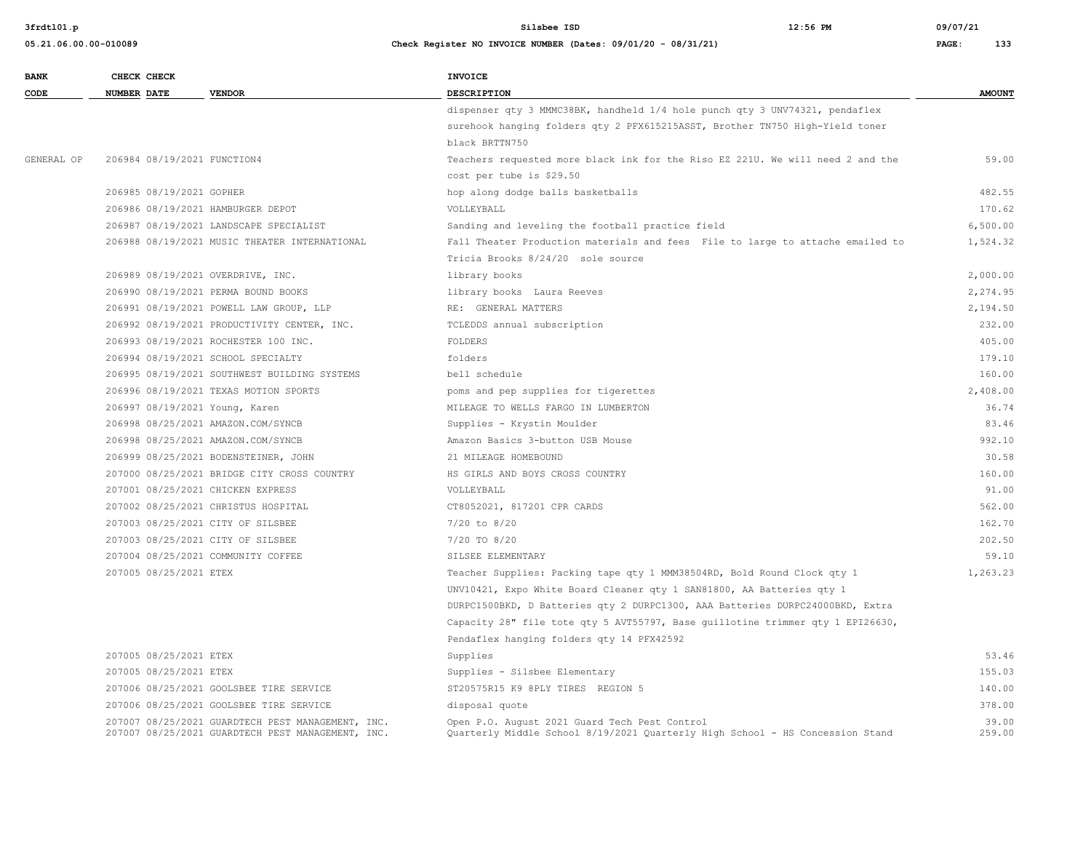**05.21.06.00.00-010089 Check Register NO INVOICE NUMBER (Dates: 09/01/20 - 08/31/21) PAGE: 133**

**3frdtl01.p Silsbee ISD 12:56 PM 09/07/21**

| <b>BANK</b> | CHECK CHECK                       |                                                                                                        | <b>INVOICE</b>                                                                                                                 |                 |
|-------------|-----------------------------------|--------------------------------------------------------------------------------------------------------|--------------------------------------------------------------------------------------------------------------------------------|-----------------|
| CODE        | <b>NUMBER DATE</b>                | <b>VENDOR</b>                                                                                          | <b>DESCRIPTION</b>                                                                                                             | <b>AMOUNT</b>   |
|             |                                   |                                                                                                        | dispenser qty 3 MMMC38BK, handheld 1/4 hole punch qty 3 UNV74321, pendaflex                                                    |                 |
|             |                                   |                                                                                                        | surehook hanging folders qty 2 PFX615215ASST, Brother TN750 High-Yield toner                                                   |                 |
|             |                                   |                                                                                                        | black BRTTN750                                                                                                                 |                 |
| GENERAL OP  | 206984 08/19/2021 FUNCTION4       |                                                                                                        | Teachers requested more black ink for the Riso EZ 221U. We will need 2 and the                                                 | 59.00           |
|             |                                   |                                                                                                        | cost per tube is \$29.50                                                                                                       |                 |
|             | 206985 08/19/2021 GOPHER          |                                                                                                        | hop along dodge balls basketballs                                                                                              | 482.55          |
|             | 206986 08/19/2021 HAMBURGER DEPOT |                                                                                                        | VOLLEYBALL                                                                                                                     | 170.62          |
|             |                                   | 206987 08/19/2021 LANDSCAPE SPECIALIST                                                                 | Sanding and leveling the football practice field                                                                               | 6,500.00        |
|             |                                   | 206988 08/19/2021 MUSIC THEATER INTERNATIONAL                                                          | Fall Theater Production materials and fees File to large to attache emailed to                                                 | 1,524.32        |
|             |                                   |                                                                                                        | Tricia Brooks 8/24/20 sole source                                                                                              |                 |
|             | 206989 08/19/2021 OVERDRIVE, INC. |                                                                                                        | library books                                                                                                                  | 2,000.00        |
|             |                                   | 206990 08/19/2021 PERMA BOUND BOOKS                                                                    | library books Laura Reeves                                                                                                     | 2,274.95        |
|             |                                   | 206991 08/19/2021 POWELL LAW GROUP, LLP                                                                | RE: GENERAL MATTERS                                                                                                            | 2,194.50        |
|             |                                   | 206992 08/19/2021 PRODUCTIVITY CENTER, INC.                                                            | TCLEDDS annual subscription                                                                                                    | 232.00          |
|             |                                   | 206993 08/19/2021 ROCHESTER 100 INC.                                                                   | FOLDERS                                                                                                                        | 405.00          |
|             |                                   | 206994 08/19/2021 SCHOOL SPECIALTY                                                                     | folders                                                                                                                        | 179.10          |
|             |                                   | 206995 08/19/2021 SOUTHWEST BUILDING SYSTEMS                                                           | bell schedule                                                                                                                  | 160.00          |
|             |                                   | 206996 08/19/2021 TEXAS MOTION SPORTS                                                                  | poms and pep supplies for tigerettes                                                                                           | 2,408.00        |
|             | 206997 08/19/2021 Young, Karen    |                                                                                                        | MILEAGE TO WELLS FARGO IN LUMBERTON                                                                                            | 36.74           |
|             |                                   | 206998 08/25/2021 AMAZON.COM/SYNCB                                                                     | Supplies - Krystin Moulder                                                                                                     | 83.46           |
|             |                                   | 206998 08/25/2021 AMAZON.COM/SYNCB                                                                     | Amazon Basics 3-button USB Mouse                                                                                               | 992.10          |
|             |                                   | 206999 08/25/2021 BODENSTEINER, JOHN                                                                   | 21 MILEAGE HOMEBOUND                                                                                                           | 30.58           |
|             |                                   | 207000 08/25/2021 BRIDGE CITY CROSS COUNTRY                                                            | HS GIRLS AND BOYS CROSS COUNTRY                                                                                                | 160.00          |
|             | 207001 08/25/2021 CHICKEN EXPRESS |                                                                                                        | VOLLEYBALL                                                                                                                     | 91.00           |
|             |                                   | 207002 08/25/2021 CHRISTUS HOSPITAL                                                                    | CT8052021, 817201 CPR CARDS                                                                                                    | 562.00          |
|             | 207003 08/25/2021 CITY OF SILSBEE |                                                                                                        | $7/20$ to $8/20$                                                                                                               | 162.70          |
|             | 207003 08/25/2021 CITY OF SILSBEE |                                                                                                        | 7/20 TO 8/20                                                                                                                   | 202.50          |
|             |                                   | 207004 08/25/2021 COMMUNITY COFFEE                                                                     | SILSEE ELEMENTARY                                                                                                              | 59.10           |
|             | 207005 08/25/2021 ETEX            |                                                                                                        | Teacher Supplies: Packing tape qty 1 MMM38504RD, Bold Round Clock qty 1                                                        | 1,263.23        |
|             |                                   |                                                                                                        | UNV10421, Expo White Board Cleaner qty 1 SAN81800, AA Batteries qty 1                                                          |                 |
|             |                                   |                                                                                                        | DURPC1500BKD, D Batteries qty 2 DURPC1300, AAA Batteries DURPC24000BKD, Extra                                                  |                 |
|             |                                   |                                                                                                        | Capacity 28" file tote qty 5 AVT55797, Base guillotine trimmer qty 1 EPI26630,                                                 |                 |
|             |                                   |                                                                                                        | Pendaflex hanging folders qty 14 PFX42592                                                                                      |                 |
|             | 207005 08/25/2021 ETEX            |                                                                                                        | Supplies                                                                                                                       | 53.46           |
|             | 207005 08/25/2021 ETEX            |                                                                                                        | Supplies - Silsbee Elementary                                                                                                  | 155.03          |
|             |                                   | 207006 08/25/2021 GOOLSBEE TIRE SERVICE                                                                | ST20575R15 K9 8PLY TIRES REGION 5                                                                                              | 140.00          |
|             |                                   | 207006 08/25/2021 GOOLSBEE TIRE SERVICE                                                                | disposal quote                                                                                                                 | 378.00          |
|             |                                   | 207007 08/25/2021 GUARDTECH PEST MANAGEMENT, INC.<br>207007 08/25/2021 GUARDTECH PEST MANAGEMENT, INC. | Open P.O. August 2021 Guard Tech Pest Control<br>Ouarterly Middle School 8/19/2021 Ouarterly High School - HS Concession Stand | 39.00<br>259.00 |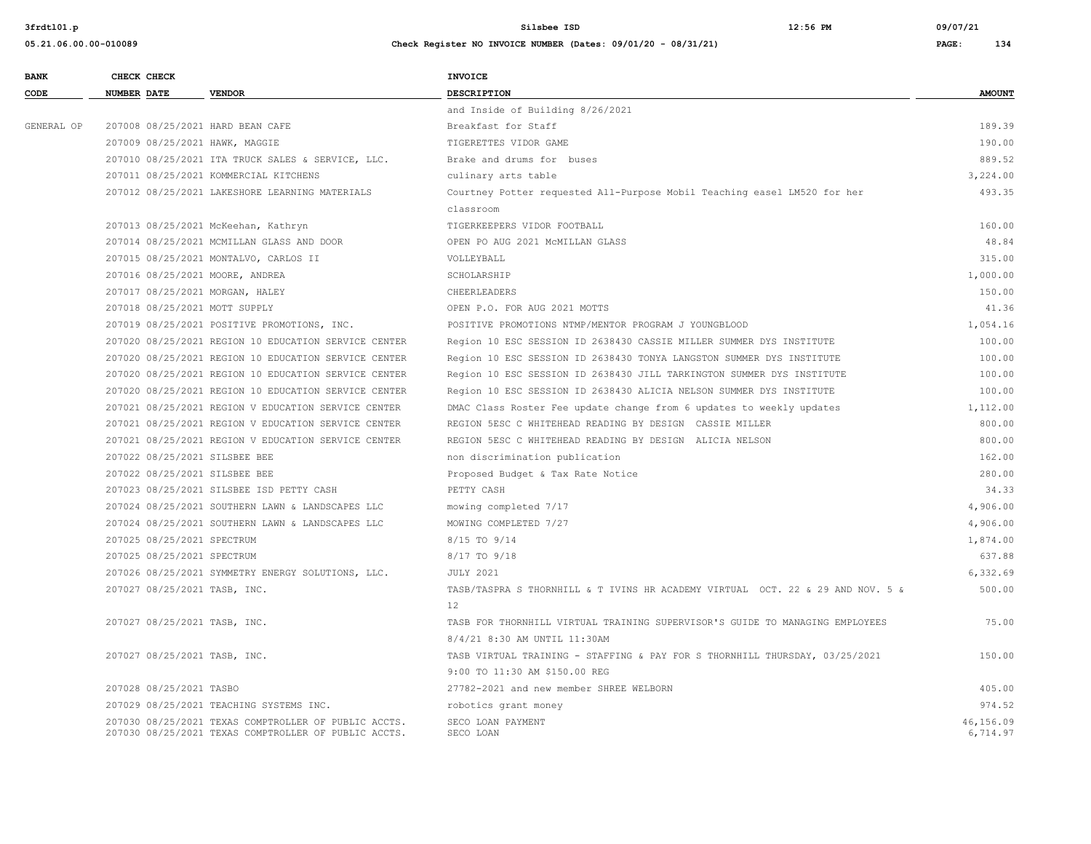| <b>BANK</b> |                    | CHECK CHECK                |                                                                                                              | <b>INVOICE</b>                                                                 |                       |
|-------------|--------------------|----------------------------|--------------------------------------------------------------------------------------------------------------|--------------------------------------------------------------------------------|-----------------------|
| CODE        | <b>NUMBER DATE</b> |                            | <b>VENDOR</b>                                                                                                | <b>DESCRIPTION</b>                                                             | <b>AMOUNT</b>         |
|             |                    |                            |                                                                                                              | and Inside of Building 8/26/2021                                               |                       |
| GENERAL OP  |                    |                            | 207008 08/25/2021 HARD BEAN CAFE                                                                             | Breakfast for Staff                                                            | 189.39                |
|             |                    |                            | 207009 08/25/2021 HAWK, MAGGIE                                                                               | TIGERETTES VIDOR GAME                                                          | 190.00                |
|             |                    |                            | 207010 08/25/2021 ITA TRUCK SALES & SERVICE, LLC.                                                            | Brake and drums for buses                                                      | 889.52                |
|             |                    |                            | 207011 08/25/2021 KOMMERCIAL KITCHENS                                                                        | culinary arts table                                                            | 3,224.00              |
|             |                    |                            | 207012 08/25/2021 LAKESHORE LEARNING MATERIALS                                                               | Courtney Potter requested All-Purpose Mobil Teaching easel LM520 for her       | 493.35                |
|             |                    |                            |                                                                                                              | classroom                                                                      |                       |
|             |                    |                            | 207013 08/25/2021 McKeehan, Kathryn                                                                          | TIGERKEEPERS VIDOR FOOTBALL                                                    | 160.00                |
|             |                    |                            | 207014 08/25/2021 MCMILLAN GLASS AND DOOR                                                                    | OPEN PO AUG 2021 MCMILLAN GLASS                                                | 48.84                 |
|             |                    |                            | 207015 08/25/2021 MONTALVO, CARLOS II                                                                        | VOLLEYBALL                                                                     | 315.00                |
|             |                    |                            | 207016 08/25/2021 MOORE, ANDREA                                                                              | SCHOLARSHIP                                                                    | 1,000.00              |
|             |                    |                            | 207017 08/25/2021 MORGAN, HALEY                                                                              | CHEERLEADERS                                                                   | 150.00                |
|             |                    |                            | 207018 08/25/2021 MOTT SUPPLY                                                                                | OPEN P.O. FOR AUG 2021 MOTTS                                                   | 41.36                 |
|             |                    |                            | 207019 08/25/2021 POSITIVE PROMOTIONS, INC.                                                                  | POSITIVE PROMOTIONS NTMP/MENTOR PROGRAM J YOUNGBLOOD                           | 1,054.16              |
|             |                    |                            | 207020 08/25/2021 REGION 10 EDUCATION SERVICE CENTER                                                         | Region 10 ESC SESSION ID 2638430 CASSIE MILLER SUMMER DYS INSTITUTE            | 100.00                |
|             |                    |                            | 207020 08/25/2021 REGION 10 EDUCATION SERVICE CENTER                                                         | Region 10 ESC SESSION ID 2638430 TONYA LANGSTON SUMMER DYS INSTITUTE           | 100.00                |
|             |                    |                            | 207020 08/25/2021 REGION 10 EDUCATION SERVICE CENTER                                                         | Region 10 ESC SESSION ID 2638430 JILL TARKINGTON SUMMER DYS INSTITUTE          | 100.00                |
|             |                    |                            | 207020 08/25/2021 REGION 10 EDUCATION SERVICE CENTER                                                         | Region 10 ESC SESSION ID 2638430 ALICIA NELSON SUMMER DYS INSTITUTE            | 100.00                |
|             |                    |                            | 207021 08/25/2021 REGION V EDUCATION SERVICE CENTER                                                          | DMAC Class Roster Fee update change from 6 updates to weekly updates           | 1,112.00              |
|             |                    |                            | 207021 08/25/2021 REGION V EDUCATION SERVICE CENTER                                                          | REGION 5ESC C WHITEHEAD READING BY DESIGN CASSIE MILLER                        | 800.00                |
|             |                    |                            | 207021 08/25/2021 REGION V EDUCATION SERVICE CENTER                                                          | REGION 5ESC C WHITEHEAD READING BY DESIGN ALICIA NELSON                        | 800.00                |
|             |                    |                            | 207022 08/25/2021 SILSBEE BEE                                                                                | non discrimination publication                                                 | 162.00                |
|             |                    |                            | 207022 08/25/2021 SILSBEE BEE                                                                                | Proposed Budget & Tax Rate Notice                                              | 280.00                |
|             |                    |                            | 207023 08/25/2021 SILSBEE ISD PETTY CASH                                                                     | PETTY CASH                                                                     | 34.33                 |
|             |                    |                            | 207024 08/25/2021 SOUTHERN LAWN & LANDSCAPES LLC                                                             | mowing completed 7/17                                                          | 4,906.00              |
|             |                    |                            | 207024 08/25/2021 SOUTHERN LAWN & LANDSCAPES LLC                                                             | MOWING COMPLETED 7/27                                                          | 4,906.00              |
|             |                    | 207025 08/25/2021 SPECTRUM |                                                                                                              | 8/15 TO 9/14                                                                   | 1,874.00              |
|             |                    | 207025 08/25/2021 SPECTRUM |                                                                                                              | 8/17 TO 9/18                                                                   | 637.88                |
|             |                    |                            | 207026 08/25/2021 SYMMETRY ENERGY SOLUTIONS, LLC.                                                            | <b>JULY 2021</b>                                                               | 6,332.69              |
|             |                    |                            | 207027 08/25/2021 TASB, INC.                                                                                 | TASB/TASPRA S THORNHILL & T IVINS HR ACADEMY VIRTUAL OCT. 22 & 29 AND NOV. 5 & | 500.00                |
|             |                    |                            |                                                                                                              | 12                                                                             |                       |
|             |                    |                            | 207027 08/25/2021 TASB, INC.                                                                                 | TASB FOR THORNHILL VIRTUAL TRAINING SUPERVISOR'S GUIDE TO MANAGING EMPLOYEES   | 75.00                 |
|             |                    |                            |                                                                                                              | 8/4/21 8:30 AM UNTIL 11:30AM                                                   |                       |
|             |                    |                            | 207027 08/25/2021 TASB, INC.                                                                                 | TASB VIRTUAL TRAINING - STAFFING & PAY FOR S THORNHILL THURSDAY, 03/25/2021    | 150.00                |
|             |                    |                            |                                                                                                              | 9:00 TO 11:30 AM \$150.00 REG                                                  |                       |
|             |                    | 207028 08/25/2021 TASBO    |                                                                                                              | 27782-2021 and new member SHREE WELBORN                                        | 405.00                |
|             |                    |                            | 207029 08/25/2021 TEACHING SYSTEMS INC.                                                                      | robotics grant money                                                           | 974.52                |
|             |                    |                            | 207030 08/25/2021 TEXAS COMPTROLLER OF PUBLIC ACCTS.<br>207030 08/25/2021 TEXAS COMPTROLLER OF PUBLIC ACCTS. | SECO LOAN PAYMENT<br>SECO LOAN                                                 | 46,156.09<br>6,714.97 |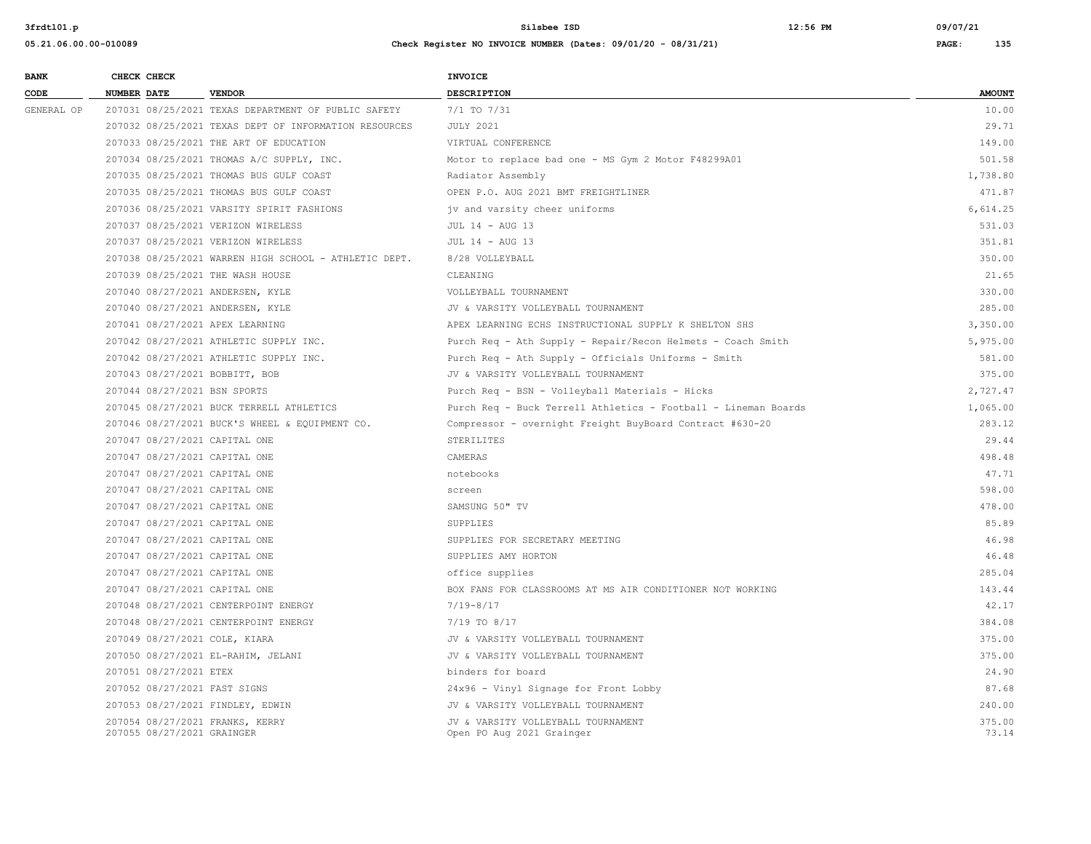| <b>BANK</b> | CHECK CHECK                                                   |                                                       | <b>INVOICE</b>                                                  |                 |  |  |
|-------------|---------------------------------------------------------------|-------------------------------------------------------|-----------------------------------------------------------------|-----------------|--|--|
| CODE        | <b>NUMBER DATE</b>                                            | <b>VENDOR</b>                                         | <b>DESCRIPTION</b>                                              | <b>AMOUNT</b>   |  |  |
| GENERAL OP  |                                                               | 207031 08/25/2021 TEXAS DEPARTMENT OF PUBLIC SAFETY   | 7/1 TO 7/31                                                     | 10.00           |  |  |
|             |                                                               | 207032 08/25/2021 TEXAS DEPT OF INFORMATION RESOURCES | <b>JULY 2021</b>                                                | 29.71           |  |  |
|             |                                                               | 207033 08/25/2021 THE ART OF EDUCATION                | VIRTUAL CONFERENCE                                              | 149.00          |  |  |
|             |                                                               | 207034 08/25/2021 THOMAS A/C SUPPLY, INC.             | Motor to replace bad one - MS Gym 2 Motor F48299A01             | 501.58          |  |  |
|             |                                                               | 207035 08/25/2021 THOMAS BUS GULF COAST               | Radiator Assembly                                               | 1,738.80        |  |  |
|             |                                                               | 207035 08/25/2021 THOMAS BUS GULF COAST               | OPEN P.O. AUG 2021 BMT FREIGHTLINER                             | 471.87          |  |  |
|             |                                                               | 207036 08/25/2021 VARSITY SPIRIT FASHIONS             | jv and varsity cheer uniforms                                   | 6,614.25        |  |  |
|             | 207037 08/25/2021 VERIZON WIRELESS                            |                                                       | JUL 14 - AUG 13                                                 | 531.03          |  |  |
|             | 207037 08/25/2021 VERIZON WIRELESS                            |                                                       | JUL 14 - AUG 13                                                 | 351.81          |  |  |
|             |                                                               | 207038 08/25/2021 WARREN HIGH SCHOOL - ATHLETIC DEPT. | 8/28 VOLLEYBALL                                                 | 350.00          |  |  |
|             | 207039 08/25/2021 THE WASH HOUSE                              |                                                       | CLEANING                                                        | 21.65           |  |  |
|             | 207040 08/27/2021 ANDERSEN, KYLE                              |                                                       | VOLLEYBALL TOURNAMENT                                           | 330.00          |  |  |
|             | 207040 08/27/2021 ANDERSEN, KYLE                              |                                                       | JV & VARSITY VOLLEYBALL TOURNAMENT                              | 285.00          |  |  |
|             | 207041 08/27/2021 APEX LEARNING                               |                                                       | APEX LEARNING ECHS INSTRUCTIONAL SUPPLY K SHELTON SHS           | 3,350.00        |  |  |
|             |                                                               | 207042 08/27/2021 ATHLETIC SUPPLY INC.                | Purch Req - Ath Supply - Repair/Recon Helmets - Coach Smith     | 5,975.00        |  |  |
|             |                                                               | 207042 08/27/2021 ATHLETIC SUPPLY INC.                | Purch Req - Ath Supply - Officials Uniforms - Smith             | 581.00          |  |  |
|             | 207043 08/27/2021 BOBBITT, BOB                                |                                                       | JV & VARSITY VOLLEYBALL TOURNAMENT                              | 375.00          |  |  |
|             | 207044 08/27/2021 BSN SPORTS                                  |                                                       | Purch Req - BSN - Volleyball Materials - Hicks                  | 2,727.47        |  |  |
|             |                                                               | 207045 08/27/2021 BUCK TERRELL ATHLETICS              | Purch Req - Buck Terrell Athletics - Football - Lineman Boards  | 1,065.00        |  |  |
|             |                                                               | 207046 08/27/2021 BUCK'S WHEEL & EQUIPMENT CO.        | Compressor - overnight Freight BuyBoard Contract #630-20        | 283.12          |  |  |
|             | 207047 08/27/2021 CAPITAL ONE                                 |                                                       | STERILITES                                                      | 29.44           |  |  |
|             | 207047 08/27/2021 CAPITAL ONE                                 |                                                       | CAMERAS                                                         | 498.48          |  |  |
|             | 207047 08/27/2021 CAPITAL ONE                                 |                                                       | notebooks                                                       | 47.71           |  |  |
|             | 207047 08/27/2021 CAPITAL ONE                                 |                                                       | screen                                                          | 598.00          |  |  |
|             | 207047 08/27/2021 CAPITAL ONE                                 |                                                       | SAMSUNG 50" TV                                                  | 478.00          |  |  |
|             | 207047 08/27/2021 CAPITAL ONE                                 |                                                       | SUPPLIES                                                        | 85.89           |  |  |
|             | 207047 08/27/2021 CAPITAL ONE                                 |                                                       | SUPPLIES FOR SECRETARY MEETING                                  | 46.98           |  |  |
|             | 207047 08/27/2021 CAPITAL ONE                                 |                                                       | SUPPLIES AMY HORTON                                             | 46.48           |  |  |
|             | 207047 08/27/2021 CAPITAL ONE                                 |                                                       | office supplies                                                 | 285.04          |  |  |
|             | 207047 08/27/2021 CAPITAL ONE                                 |                                                       | BOX FANS FOR CLASSROOMS AT MS AIR CONDITIONER NOT WORKING       | 143.44          |  |  |
|             |                                                               | 207048 08/27/2021 CENTERPOINT ENERGY                  | $7/19 - 8/17$                                                   | 42.17           |  |  |
|             |                                                               | 207048 08/27/2021 CENTERPOINT ENERGY                  | 7/19 TO 8/17                                                    | 384.08          |  |  |
|             | 207049 08/27/2021 COLE, KIARA                                 |                                                       | JV & VARSITY VOLLEYBALL TOURNAMENT                              | 375.00          |  |  |
|             | 207050 08/27/2021 EL-RAHIM, JELANI                            |                                                       | JV & VARSITY VOLLEYBALL TOURNAMENT                              | 375.00          |  |  |
|             | 207051 08/27/2021 ETEX                                        |                                                       | binders for board                                               | 24.90           |  |  |
|             | 207052 08/27/2021 FAST SIGNS                                  |                                                       | 24x96 - Vinyl Signage for Front Lobby                           | 87.68           |  |  |
|             | 207053 08/27/2021 FINDLEY, EDWIN                              |                                                       | JV & VARSITY VOLLEYBALL TOURNAMENT                              | 240.00          |  |  |
|             | 207054 08/27/2021 FRANKS, KERRY<br>207055 08/27/2021 GRAINGER |                                                       | JV & VARSITY VOLLEYBALL TOURNAMENT<br>Open PO Aug 2021 Grainger | 375.00<br>73.14 |  |  |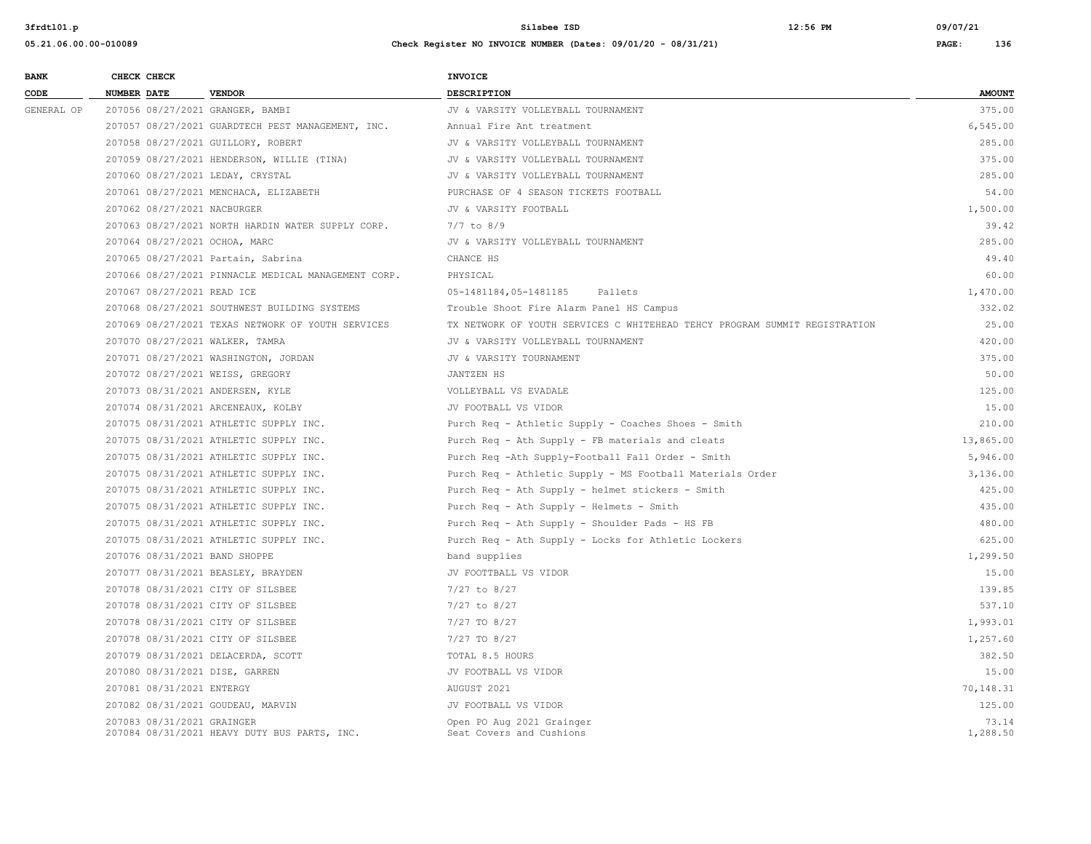| <b>BANK</b> |                    | CHECK CHECK                        |                                                     | <b>INVOICE</b>                                                             |                   |
|-------------|--------------------|------------------------------------|-----------------------------------------------------|----------------------------------------------------------------------------|-------------------|
| CODE        | <b>NUMBER DATE</b> |                                    | <b>VENDOR</b>                                       | DESCRIPTION                                                                | <b>AMOUNT</b>     |
| GENERAL OP  |                    |                                    | 207056 08/27/2021 GRANGER, BAMBI                    | JV & VARSITY VOLLEYBALL TOURNAMENT                                         | 375.00            |
|             |                    |                                    | 207057 08/27/2021 GUARDTECH PEST MANAGEMENT, INC.   | Annual Fire Ant treatment                                                  | 6,545.00          |
|             |                    |                                    | 207058 08/27/2021 GUILLORY, ROBERT                  | JV & VARSITY VOLLEYBALL TOURNAMENT                                         | 285.00            |
|             |                    |                                    | 207059 08/27/2021 HENDERSON, WILLIE (TINA)          | JV & VARSITY VOLLEYBALL TOURNAMENT                                         | 375.00            |
|             |                    |                                    | 207060 08/27/2021 LEDAY, CRYSTAL                    | JV & VARSITY VOLLEYBALL TOURNAMENT                                         | 285.00            |
|             |                    |                                    | 207061 08/27/2021 MENCHACA, ELIZABETH               | PURCHASE OF 4 SEASON TICKETS FOOTBALL                                      | 54.00             |
|             |                    | 207062 08/27/2021 NACBURGER        |                                                     | JV & VARSITY FOOTBALL                                                      | 1,500.00          |
|             |                    |                                    | 207063 08/27/2021 NORTH HARDIN WATER SUPPLY CORP.   | $7/7$ to $8/9$                                                             | 39.42             |
|             |                    |                                    | 207064 08/27/2021 OCHOA, MARC                       | JV & VARSITY VOLLEYBALL TOURNAMENT                                         | 285.00            |
|             |                    |                                    | 207065 08/27/2021 Partain, Sabrina                  | CHANCE HS                                                                  | 49.40             |
|             |                    |                                    | 207066 08/27/2021 PINNACLE MEDICAL MANAGEMENT CORP. | PHYSICAL                                                                   | 60.00             |
|             |                    | 207067 08/27/2021 READ ICE         |                                                     | Pallets<br>05-1481184,05-1481185                                           | 1,470.00          |
|             |                    |                                    | 207068 08/27/2021 SOUTHWEST BUILDING SYSTEMS        | Trouble Shoot Fire Alarm Panel HS Campus                                   | 332.02            |
|             |                    |                                    | 207069 08/27/2021 TEXAS NETWORK OF YOUTH SERVICES   | TX NETWORK OF YOUTH SERVICES C WHITEHEAD TEHCY PROGRAM SUMMIT REGISTRATION | 25.00             |
|             |                    |                                    | 207070 08/27/2021 WALKER, TAMRA                     | JV & VARSITY VOLLEYBALL TOURNAMENT                                         | 420.00            |
|             |                    |                                    | 207071 08/27/2021 WASHINGTON, JORDAN                | JV & VARSITY TOURNAMENT                                                    | 375.00            |
|             |                    |                                    | 207072 08/27/2021 WEISS, GREGORY                    | JANTZEN HS                                                                 | 50.00             |
|             |                    |                                    | 207073 08/31/2021 ANDERSEN, KYLE                    | VOLLEYBALL VS EVADALE                                                      | 125.00            |
|             |                    |                                    | 207074 08/31/2021 ARCENEAUX, KOLBY                  | JV FOOTBALL VS VIDOR                                                       | 15.00             |
|             |                    |                                    | 207075 08/31/2021 ATHLETIC SUPPLY INC.              | Purch Req - Athletic Supply - Coaches Shoes - Smith                        | 210.00            |
|             |                    |                                    | 207075 08/31/2021 ATHLETIC SUPPLY INC.              | Purch Req - Ath Supply - FB materials and cleats                           | 13,865.00         |
|             |                    |                                    | 207075 08/31/2021 ATHLETIC SUPPLY INC.              | Purch Req -Ath Supply-Football Fall Order - Smith                          | 5,946.00          |
|             |                    |                                    | 207075 08/31/2021 ATHLETIC SUPPLY INC.              | Purch Req - Athletic Supply - MS Football Materials Order                  | 3,136.00          |
|             |                    |                                    | 207075 08/31/2021 ATHLETIC SUPPLY INC.              | Purch Req - Ath Supply - helmet stickers - Smith                           | 425.00            |
|             |                    |                                    | 207075 08/31/2021 ATHLETIC SUPPLY INC.              | Purch Req - Ath Supply - Helmets - Smith                                   | 435.00            |
|             |                    |                                    | 207075 08/31/2021 ATHLETIC SUPPLY INC.              | Purch Req - Ath Supply - Shoulder Pads - HS FB                             | 480.00            |
|             |                    |                                    | 207075 08/31/2021 ATHLETIC SUPPLY INC.              | Purch Req - Ath Supply - Locks for Athletic Lockers                        | 625.00            |
|             |                    |                                    | 207076 08/31/2021 BAND SHOPPE                       | band supplies                                                              | 1,299.50          |
|             |                    |                                    | 207077 08/31/2021 BEASLEY, BRAYDEN                  | JV FOOTTBALL VS VIDOR                                                      | 15.00             |
|             |                    |                                    | 207078 08/31/2021 CITY OF SILSBEE                   | 7/27 to 8/27                                                               | 139.85            |
|             |                    |                                    | 207078 08/31/2021 CITY OF SILSBEE                   | 7/27 to 8/27                                                               | 537.10            |
|             |                    |                                    | 207078 08/31/2021 CITY OF SILSBEE                   | 7/27 TO 8/27                                                               | 1,993.01          |
|             |                    |                                    | 207078 08/31/2021 CITY OF SILSBEE                   | 7/27 TO 8/27                                                               | 1,257.60          |
|             |                    | 207079 08/31/2021 DELACERDA, SCOTT |                                                     | TOTAL 8.5 HOURS                                                            | 382.50            |
|             |                    |                                    | 207080 08/31/2021 DISE, GARREN                      | JV FOOTBALL VS VIDOR                                                       | 15.00             |
|             |                    | 207081 08/31/2021 ENTERGY          |                                                     | AUGUST 2021                                                                | 70,148.31         |
|             |                    |                                    | 207082 08/31/2021 GOUDEAU, MARVIN                   | JV FOOTBALL VS VIDOR                                                       | 125.00            |
|             |                    | 207083 08/31/2021 GRAINGER         | 207084 08/31/2021 HEAVY DUTY BUS PARTS, INC.        | Open PO Aug 2021 Grainger<br>Seat Covers and Cushions                      | 73.14<br>1,288.50 |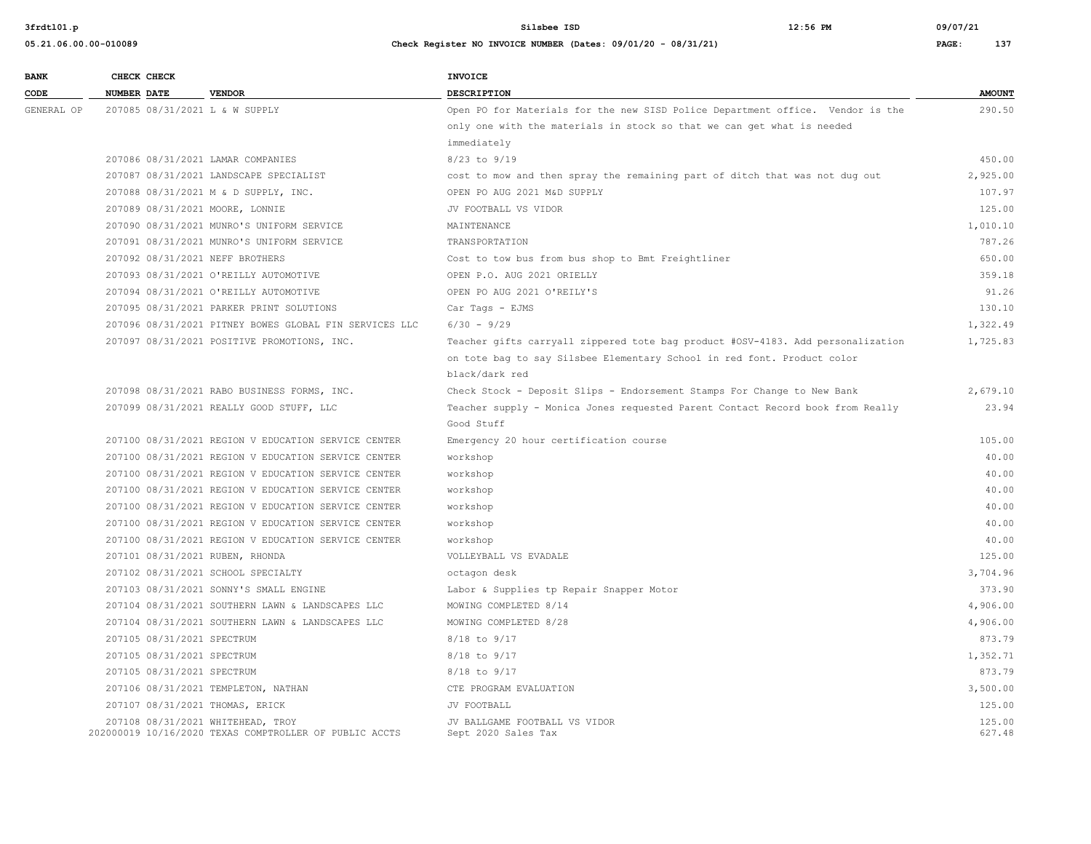| <b>BANK</b> |                    | CHECK CHECK                |                                                                                             | <b>INVOICE</b>                                                                  |                  |
|-------------|--------------------|----------------------------|---------------------------------------------------------------------------------------------|---------------------------------------------------------------------------------|------------------|
| CODE        | <b>NUMBER DATE</b> |                            | <b>VENDOR</b>                                                                               | DESCRIPTION                                                                     | <b>AMOUNT</b>    |
| GENERAL OP  |                    |                            | 207085 08/31/2021 L & W SUPPLY                                                              | Open PO for Materials for the new SISD Police Department office. Vendor is the  | 290.50           |
|             |                    |                            |                                                                                             | only one with the materials in stock so that we can get what is needed          |                  |
|             |                    |                            |                                                                                             | immediately                                                                     |                  |
|             |                    |                            | 207086 08/31/2021 LAMAR COMPANIES                                                           | 8/23 to 9/19                                                                    | 450.00           |
|             |                    |                            | 207087 08/31/2021 LANDSCAPE SPECIALIST                                                      | cost to mow and then spray the remaining part of ditch that was not dug out     | 2,925.00         |
|             |                    |                            | 207088 08/31/2021 M & D SUPPLY, INC.                                                        | OPEN PO AUG 2021 M&D SUPPLY                                                     | 107.97           |
|             |                    |                            | 207089 08/31/2021 MOORE, LONNIE                                                             | JV FOOTBALL VS VIDOR                                                            | 125.00           |
|             |                    |                            | 207090 08/31/2021 MUNRO'S UNIFORM SERVICE                                                   | MAINTENANCE                                                                     | 1,010.10         |
|             |                    |                            | 207091 08/31/2021 MUNRO'S UNIFORM SERVICE                                                   | TRANSPORTATION                                                                  | 787.26           |
|             |                    |                            | 207092 08/31/2021 NEFF BROTHERS                                                             | Cost to tow bus from bus shop to Bmt Freightliner                               | 650.00           |
|             |                    |                            | 207093 08/31/2021 O'REILLY AUTOMOTIVE                                                       | OPEN P.O. AUG 2021 ORIELLY                                                      | 359.18           |
|             |                    |                            | 207094 08/31/2021 O'REILLY AUTOMOTIVE                                                       | OPEN PO AUG 2021 O'REILY'S                                                      | 91.26            |
|             |                    |                            | 207095 08/31/2021 PARKER PRINT SOLUTIONS                                                    | Car Tags - EJMS                                                                 | 130.10           |
|             |                    |                            | 207096 08/31/2021 PITNEY BOWES GLOBAL FIN SERVICES LLC                                      | $6/30 - 9/29$                                                                   | 1,322.49         |
|             |                    |                            | 207097 08/31/2021 POSITIVE PROMOTIONS, INC.                                                 | Teacher gifts carryall zippered tote bag product #OSV-4183. Add personalization | 1,725.83         |
|             |                    |                            |                                                                                             | on tote bag to say Silsbee Elementary School in red font. Product color         |                  |
|             |                    |                            |                                                                                             | black/dark red                                                                  |                  |
|             |                    |                            | 207098 08/31/2021 RABO BUSINESS FORMS, INC.                                                 | Check Stock - Deposit Slips - Endorsement Stamps For Change to New Bank         | 2,679.10         |
|             |                    |                            | 207099 08/31/2021 REALLY GOOD STUFF, LLC                                                    | Teacher supply - Monica Jones requested Parent Contact Record book from Really  | 23.94            |
|             |                    |                            |                                                                                             | Good Stuff                                                                      |                  |
|             |                    |                            | 207100 08/31/2021 REGION V EDUCATION SERVICE CENTER                                         | Emergency 20 hour certification course                                          | 105.00           |
|             |                    |                            | 207100 08/31/2021 REGION V EDUCATION SERVICE CENTER                                         | workshop                                                                        | 40.00            |
|             |                    |                            | 207100 08/31/2021 REGION V EDUCATION SERVICE CENTER                                         | workshop                                                                        | 40.00            |
|             |                    |                            | 207100 08/31/2021 REGION V EDUCATION SERVICE CENTER                                         | workshop                                                                        | 40.00            |
|             |                    |                            | 207100 08/31/2021 REGION V EDUCATION SERVICE CENTER                                         | workshop                                                                        | 40.00            |
|             |                    |                            | 207100 08/31/2021 REGION V EDUCATION SERVICE CENTER                                         | workshop                                                                        | 40.00            |
|             |                    |                            | 207100 08/31/2021 REGION V EDUCATION SERVICE CENTER                                         | workshop                                                                        | 40.00            |
|             |                    |                            | 207101 08/31/2021 RUBEN, RHONDA                                                             | VOLLEYBALL VS EVADALE                                                           | 125.00           |
|             |                    |                            | 207102 08/31/2021 SCHOOL SPECIALTY                                                          | octagon desk                                                                    | 3,704.96         |
|             |                    |                            | 207103 08/31/2021 SONNY'S SMALL ENGINE                                                      | Labor & Supplies tp Repair Snapper Motor                                        | 373.90           |
|             |                    |                            | 207104 08/31/2021 SOUTHERN LAWN & LANDSCAPES LLC                                            | MOWING COMPLETED 8/14                                                           | 4,906.00         |
|             |                    |                            | 207104 08/31/2021 SOUTHERN LAWN & LANDSCAPES LLC                                            | MOWING COMPLETED 8/28                                                           | 4,906.00         |
|             |                    | 207105 08/31/2021 SPECTRUM |                                                                                             | 8/18 to 9/17                                                                    | 873.79           |
|             |                    | 207105 08/31/2021 SPECTRUM |                                                                                             | 8/18 to 9/17                                                                    | 1,352.71         |
|             |                    | 207105 08/31/2021 SPECTRUM |                                                                                             | 8/18 to 9/17                                                                    | 873.79           |
|             |                    |                            | 207106 08/31/2021 TEMPLETON, NATHAN                                                         | CTE PROGRAM EVALUATION                                                          | 3,500.00         |
|             |                    |                            | 207107 08/31/2021 THOMAS, ERICK                                                             | JV FOOTBALL                                                                     | 125.00           |
|             |                    |                            | 207108 08/31/2021 WHITEHEAD, TROY<br>202000019 10/16/2020 TEXAS COMPTROLLER OF PUBLIC ACCTS | JV BALLGAME FOOTBALL VS VIDOR<br>Sept 2020 Sales Tax                            | 125.00<br>627.48 |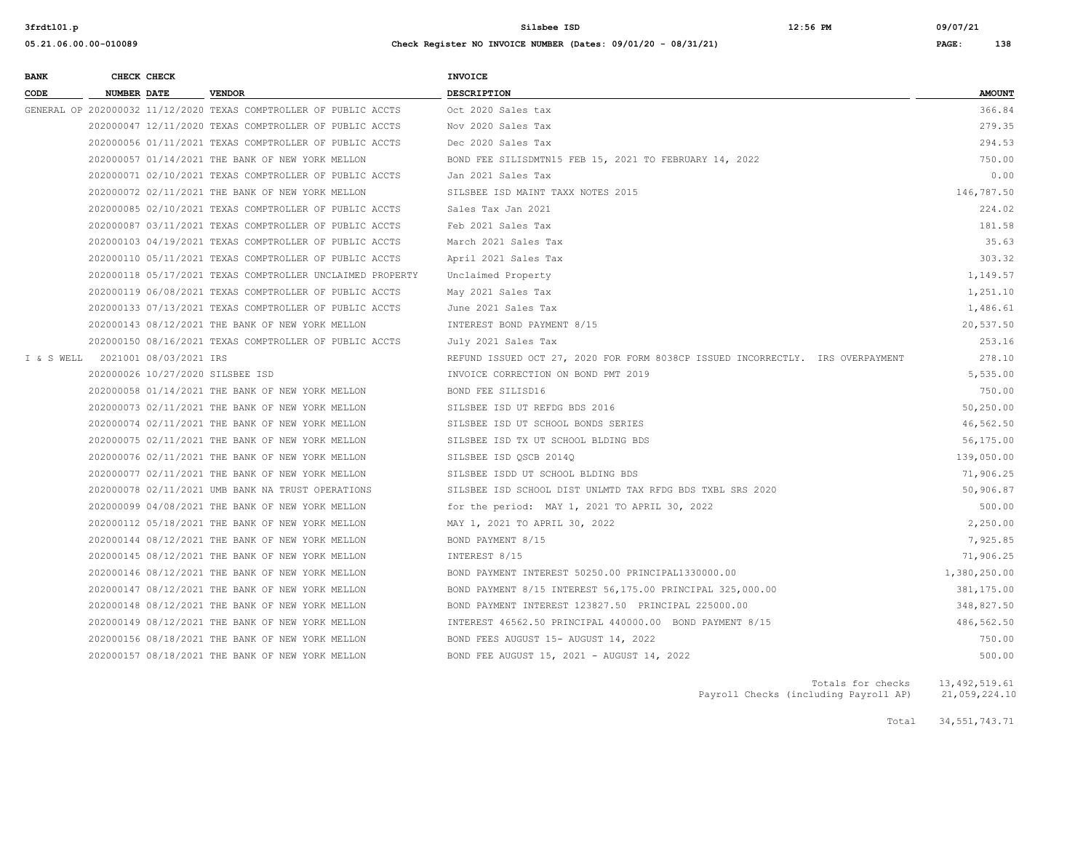**05.21.06.00.00-010089 Check Register NO INVOICE NUMBER (Dates: 09/01/20 - 08/31/21) PAGE: 138**

| <b>BANK</b> |                    | CHECK CHECK                       |                                                                   | <b>INVOICE</b>                                                                 |               |
|-------------|--------------------|-----------------------------------|-------------------------------------------------------------------|--------------------------------------------------------------------------------|---------------|
| CODE        | <b>NUMBER DATE</b> |                                   | <b>VENDOR</b>                                                     | DESCRIPTION                                                                    | <b>AMOUNT</b> |
|             |                    |                                   | GENERAL OP 202000032 11/12/2020 TEXAS COMPTROLLER OF PUBLIC ACCTS | Oct 2020 Sales tax                                                             | 366.84        |
|             |                    |                                   | 202000047 12/11/2020 TEXAS COMPTROLLER OF PUBLIC ACCTS            | Nov 2020 Sales Tax                                                             | 279.35        |
|             |                    |                                   | 202000056 01/11/2021 TEXAS COMPTROLLER OF PUBLIC ACCTS            | Dec 2020 Sales Tax                                                             | 294.53        |
|             |                    |                                   | 202000057 01/14/2021 THE BANK OF NEW YORK MELLON                  | BOND FEE SILISDMTN15 FEB 15, 2021 TO FEBRUARY 14, 2022                         | 750.00        |
|             |                    |                                   | 202000071 02/10/2021 TEXAS COMPTROLLER OF PUBLIC ACCTS            | Jan 2021 Sales Tax                                                             | 0.00          |
|             |                    |                                   | 202000072 02/11/2021 THE BANK OF NEW YORK MELLON                  | SILSBEE ISD MAINT TAXX NOTES 2015                                              | 146,787.50    |
|             |                    |                                   | 202000085 02/10/2021 TEXAS COMPTROLLER OF PUBLIC ACCTS            | Sales Tax Jan 2021                                                             | 224.02        |
|             |                    |                                   | 202000087 03/11/2021 TEXAS COMPTROLLER OF PUBLIC ACCTS            | Feb 2021 Sales Tax                                                             | 181.58        |
|             |                    |                                   | 202000103 04/19/2021 TEXAS COMPTROLLER OF PUBLIC ACCTS            | March 2021 Sales Tax                                                           | 35.63         |
|             |                    |                                   | 202000110 05/11/2021 TEXAS COMPTROLLER OF PUBLIC ACCTS            | April 2021 Sales Tax                                                           | 303.32        |
|             |                    |                                   | 202000118 05/17/2021 TEXAS COMPTROLLER UNCLAIMED PROPERTY         | Unclaimed Property                                                             | 1,149.57      |
|             |                    |                                   | 202000119 06/08/2021 TEXAS COMPTROLLER OF PUBLIC ACCTS            | May 2021 Sales Tax                                                             | 1,251.10      |
|             |                    |                                   | 202000133 07/13/2021 TEXAS COMPTROLLER OF PUBLIC ACCTS            | June 2021 Sales Tax                                                            | 1,486.61      |
|             |                    |                                   | 202000143 08/12/2021 THE BANK OF NEW YORK MELLON                  | INTEREST BOND PAYMENT 8/15                                                     | 20,537.50     |
|             |                    |                                   | 202000150 08/16/2021 TEXAS COMPTROLLER OF PUBLIC ACCTS            | July 2021 Sales Tax                                                            | 253.16        |
|             |                    | I & S WELL 2021001 08/03/2021 IRS |                                                                   | REFUND ISSUED OCT 27, 2020 FOR FORM 8038CP ISSUED INCORRECTLY. IRS OVERPAYMENT | 278.10        |
|             |                    |                                   | 202000026 10/27/2020 SILSBEE ISD                                  | INVOICE CORRECTION ON BOND PMT 2019                                            | 5,535.00      |
|             |                    |                                   | 202000058 01/14/2021 THE BANK OF NEW YORK MELLON                  | BOND FEE SILISD16                                                              | 750.00        |
|             |                    |                                   | 202000073 02/11/2021 THE BANK OF NEW YORK MELLON                  | SILSBEE ISD UT REFDG BDS 2016                                                  | 50,250.00     |
|             |                    |                                   | 202000074 02/11/2021 THE BANK OF NEW YORK MELLON                  | SILSBEE ISD UT SCHOOL BONDS SERIES                                             | 46,562.50     |
|             |                    |                                   | 202000075 02/11/2021 THE BANK OF NEW YORK MELLON                  | SILSBEE ISD TX UT SCHOOL BLDING BDS                                            | 56,175.00     |
|             |                    |                                   | 202000076 02/11/2021 THE BANK OF NEW YORK MELLON                  | SILSBEE ISD QSCB 2014Q                                                         | 139,050.00    |
|             |                    |                                   | 202000077 02/11/2021 THE BANK OF NEW YORK MELLON                  | SILSBEE ISDD UT SCHOOL BLDING BDS                                              | 71,906.25     |
|             |                    |                                   | 202000078 02/11/2021 UMB BANK NA TRUST OPERATIONS                 | SILSBEE ISD SCHOOL DIST UNLMTD TAX RFDG BDS TXBL SRS 2020                      | 50,906.87     |
|             |                    |                                   | 202000099 04/08/2021 THE BANK OF NEW YORK MELLON                  | for the period: MAY 1, 2021 TO APRIL 30, 2022                                  | 500.00        |
|             |                    |                                   | 202000112 05/18/2021 THE BANK OF NEW YORK MELLON                  | MAY 1, 2021 TO APRIL 30, 2022                                                  | 2,250.00      |
|             |                    |                                   | 202000144 08/12/2021 THE BANK OF NEW YORK MELLON                  | BOND PAYMENT 8/15                                                              | 7,925.85      |
|             |                    |                                   | 202000145 08/12/2021 THE BANK OF NEW YORK MELLON                  | INTEREST 8/15                                                                  | 71,906.25     |
|             |                    |                                   | 202000146 08/12/2021 THE BANK OF NEW YORK MELLON                  | BOND PAYMENT INTEREST 50250.00 PRINCIPAL1330000.00                             | 1,380,250.00  |
|             |                    |                                   | 202000147 08/12/2021 THE BANK OF NEW YORK MELLON                  | BOND PAYMENT 8/15 INTEREST 56,175.00 PRINCIPAL 325,000.00                      | 381,175.00    |
|             |                    |                                   | 202000148 08/12/2021 THE BANK OF NEW YORK MELLON                  | BOND PAYMENT INTEREST 123827.50 PRINCIPAL 225000.00                            | 348,827.50    |
|             |                    |                                   | 202000149 08/12/2021 THE BANK OF NEW YORK MELLON                  | INTEREST 46562.50 PRINCIPAL 440000.00 BOND PAYMENT 8/15                        | 486,562.50    |
|             |                    |                                   | 202000156 08/18/2021 THE BANK OF NEW YORK MELLON                  | BOND FEES AUGUST 15- AUGUST 14, 2022                                           | 750.00        |
|             |                    |                                   | 202000157 08/18/2021 THE BANK OF NEW YORK MELLON                  | BOND FEE AUGUST 15, 2021 - AUGUST 14, 2022                                     | 500.00        |

 Totals for checks 13,492,519.61 Payroll Checks (including Payroll AP) 21,059,224.10

Total 34,551,743.71